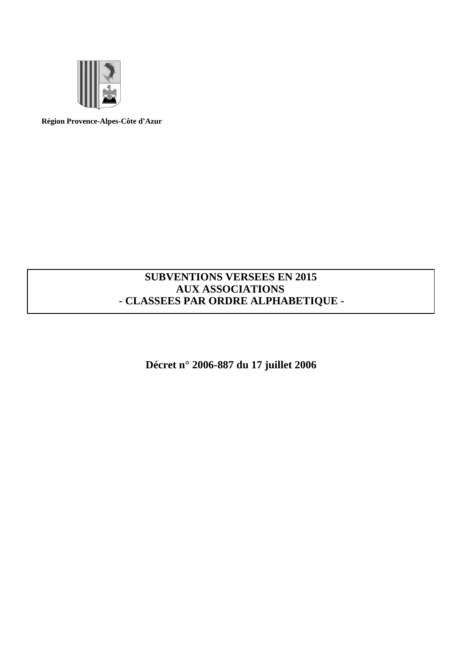

**Région Provence-Alpes-Côte d¶Azur**

# **SUBVENTIONS VERSEES EN 2015 AUX ASSOCIATIONS - CLASSEES PAR ORDRE ALPHABETIQUE -**

**Décret n° 2006-887 du 17 juillet 2006**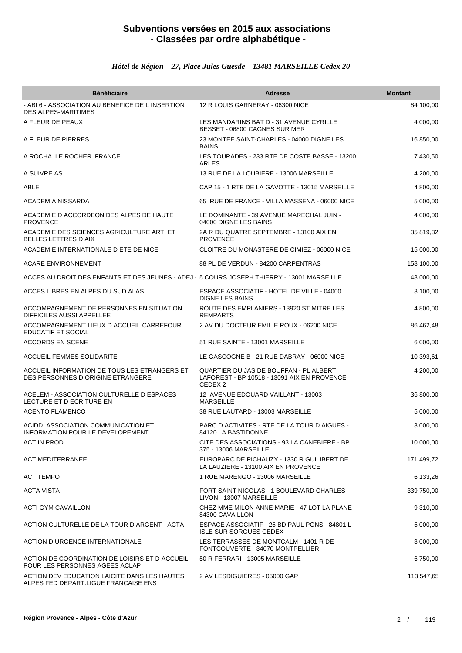#### *Hôtel de Région ±27, Place Jules Guesde ±13481 MARSEILLE Cedex 20*

| <b>Bénéficiaire</b>                                                                        | <b>Adresse</b>                                                                                              | <b>Montant</b> |
|--------------------------------------------------------------------------------------------|-------------------------------------------------------------------------------------------------------------|----------------|
| - ABI 6 - ASSOCIATION AU BENEFICE DE L INSERTION<br><b>DES ALPES-MARITIMES</b>             | 12 R LOUIS GARNERAY - 06300 NICE                                                                            | 84 100,00      |
| A FLEUR DE PEAUX                                                                           | LES MANDARINS BAT D - 31 AVENUE CYRILLE<br>BESSET - 06800 CAGNES SUR MER                                    | 4 000,00       |
| A FLEUR DE PIERRES                                                                         | 23 MONTEE SAINT-CHARLES - 04000 DIGNE LES<br><b>BAINS</b>                                                   | 16 850,00      |
| A ROCHA LE ROCHER FRANCE                                                                   | LES TOURADES - 233 RTE DE COSTE BASSE - 13200<br>ARLES                                                      | 7 430,50       |
| A SUIVRE AS                                                                                | 13 RUE DE LA LOUBIERE - 13006 MARSEILLE                                                                     | 4 200,00       |
| ABLE                                                                                       | CAP 15 - 1 RTE DE LA GAVOTTE - 13015 MARSEILLE                                                              | 4 800,00       |
| ACADEMIA NISSARDA                                                                          | 65 RUE DE FRANCE - VILLA MASSENA - 06000 NICE                                                               | 5 000,00       |
| ACADEMIE D ACCORDEON DES ALPES DE HAUTE<br><b>PROVENCE</b>                                 | LE DOMINANTE - 39 AVENUE MARECHAL JUIN -<br>04000 DIGNE LES BAINS                                           | 4 000,00       |
| ACADEMIE DES SCIENCES AGRICULTURE ART ET<br><b>BELLES LETTRES D AIX</b>                    | 2A R DU QUATRE SEPTEMBRE - 13100 AIX EN<br><b>PROVENCE</b>                                                  | 35 819,32      |
| ACADEMIE INTERNATIONALE D ETE DE NICE                                                      | CLOITRE DU MONASTERE DE CIMIEZ - 06000 NICE                                                                 | 15 000,00      |
| <b>ACARE ENVIRONNEMENT</b>                                                                 | 88 PL DE VERDUN - 84200 CARPENTRAS                                                                          | 158 100,00     |
| ACCES AU DROIT DES ENFANTS ET DES JEUNES - ADEJ - 5 COURS JOSEPH THIERRY - 13001 MARSEILLE |                                                                                                             | 48 000,00      |
| ACCES LIBRES EN ALPES DU SUD ALAS                                                          | ESPACE ASSOCIATIF - HOTEL DE VILLE - 04000<br><b>DIGNE LES BAINS</b>                                        | 3 100,00       |
| ACCOMPAGNEMENT DE PERSONNES EN SITUATION<br><b>DIFFICILES AUSSI APPELLEE</b>               | ROUTE DES EMPLANIERS - 13920 ST MITRE LES<br><b>REMPARTS</b>                                                | 4 800,00       |
| ACCOMPAGNEMENT LIEUX D ACCUEIL CARREFOUR<br><b>EDUCATIF ET SOCIAL</b>                      | 2 AV DU DOCTEUR EMILIE ROUX - 06200 NICE                                                                    | 86 462,48      |
| <b>ACCORDS EN SCENE</b>                                                                    | 51 RUE SAINTE - 13001 MARSEILLE                                                                             | 6 000,00       |
| <b>ACCUEIL FEMMES SOLIDARITE</b>                                                           | LE GASCOGNE B - 21 RUE DABRAY - 06000 NICE                                                                  | 10 393,61      |
| ACCUEIL INFORMATION DE TOUS LES ETRANGERS ET<br>DES PERSONNES D ORIGINE ETRANGERE          | QUARTIER DU JAS DE BOUFFAN - PL ALBERT<br>LAFOREST - BP 10518 - 13091 AIX EN PROVENCE<br>CEDEX <sub>2</sub> | 4 200,00       |
| ACELEM - ASSOCIATION CULTURELLE D ESPACES<br>LECTURE ET D ECRITURE EN                      | 12 AVENUE EDOUARD VAILLANT - 13003<br><b>MARSEILLE</b>                                                      | 36 800,00      |
| <b>ACENTO FLAMENCO</b>                                                                     | 38 RUE LAUTARD - 13003 MARSEILLE                                                                            | 5 000,00       |
| ACIDD ASSOCIATION COMMUNICATION ET<br>INFORMATION POUR LE DEVELOPEMENT                     | PARC D ACTIVITES - RTE DE LA TOUR D AIGUES -<br>84120 LA BASTIDONNE                                         | 3 000,00       |
| ACT IN PROD                                                                                | CITE DES ASSOCIATIONS - 93 LA CANEBIERE - BP<br>375 - 13006 MARSEILLE                                       | 10 000,00      |
| <b>ACT MEDITERRANEE</b>                                                                    | EUROPARC DE PICHAUZY - 1330 R GUILIBERT DE<br>LA LAUZIERE - 13100 AIX EN PROVENCE                           | 171 499,72     |
| <b>ACT TEMPO</b>                                                                           | 1 RUE MARENGO - 13006 MARSEILLE                                                                             | 6 133,26       |
| <b>ACTA VISTA</b>                                                                          | FORT SAINT NICOLAS - 1 BOULEVARD CHARLES<br>LIVON - 13007 MARSEILLE                                         | 339 750,00     |
| ACTI GYM CAVAILLON                                                                         | CHEZ MME MILON ANNE MARIE - 47 LOT LA PLANE -<br>84300 CAVAILLON                                            | 9 310,00       |
| ACTION CULTURELLE DE LA TOUR D ARGENT - ACTA                                               | ESPACE ASSOCIATIF - 25 BD PAUL PONS - 84801 L<br><b>ISLE SUR SORGUES CEDEX</b>                              | 5 000,00       |
| <b>ACTION D URGENCE INTERNATIONALE</b>                                                     | LES TERRASSES DE MONTCALM - 1401 R DE<br>FONTCOUVERTE - 34070 MONTPELLIER                                   | 3 000,00       |
| ACTION DE COORDINATION DE LOISIRS ET D ACCUEIL<br>POUR LES PERSONNES AGEES ACLAP           | 50 R FERRARI - 13005 MARSEILLE                                                                              | 6 750,00       |
| ACTION DEV EDUCATION LAICITE DANS LES HAUTES<br>ALPES FED DEPART.LIGUE FRANCAISE ENS       | 2 AV LESDIGUIERES - 05000 GAP                                                                               | 113 547,65     |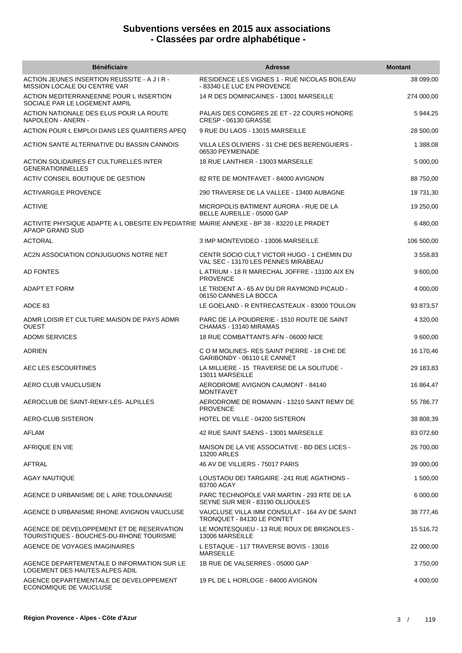| <b>Bénéficiaire</b>                                                                                          | <b>Adresse</b>                                                                    | <b>Montant</b> |
|--------------------------------------------------------------------------------------------------------------|-----------------------------------------------------------------------------------|----------------|
| ACTION JEUNES INSERTION REUSSITE - A J I R -<br><b>MISSION LOCALE DU CENTRE VAR</b>                          | RESIDENCE LES VIGNES 1 - RUE NICOLAS BOILEAU<br>- 83340 LE LUC EN PROVENCE        | 38 099,00      |
| ACTION MEDITERRANEENNE POUR L INSERTION<br>SOCIALE PAR LE LOGEMENT AMPIL                                     | 14 R DES DOMINICAINES - 13001 MARSEILLE                                           | 274 000,00     |
| ACTION NATIONALE DES ELUS POUR LA ROUTE<br>NAPOLEON - ANERN -                                                | PALAIS DES CONGRES 2E ET - 22 COURS HONORE<br>CRESP - 06130 GRASSE                | 5 944,25       |
| ACTION POUR L EMPLOI DANS LES QUARTIERS APEQ                                                                 | 9 RUE DU LAOS - 13015 MARSEILLE                                                   | 28 500,00      |
| ACTION SANTE ALTERNATIVE DU BASSIN CANNOIS                                                                   | VILLA LES OLIVIERS - 31 CHE DES BERENGUIERS -<br>06530 PEYMEINADE                 | 1 388,08       |
| ACTION SOLIDAIRES ET CULTURELLES INTER<br><b>GENERATIONNELLES</b>                                            | 18 RUE LANTHIER - 13003 MARSEILLE                                                 | 5 000,00       |
| ACTIV CONSEIL BOUTIQUE DE GESTION                                                                            | 82 RTE DE MONTFAVET - 84000 AVIGNON                                               | 88 750,00      |
| <b>ACTIVARGILE PROVENCE</b>                                                                                  | 290 TRAVERSE DE LA VALLEE - 13400 AUBAGNE                                         | 18 731,30      |
| <b>ACTIVIE</b>                                                                                               | MICROPOLIS BATIMENT AURORA - RUE DE LA<br>BELLE AUREILLE - 05000 GAP              | 19 250,00      |
| ACTIVITE PHYSIQUE ADAPTE A L OBESITE EN PEDIATRIE MAIRIE ANNEXE - BP 38 - 83220 LE PRADET<br>APAOP GRAND SUD |                                                                                   | 6 480,00       |
| <b>ACTORAL</b>                                                                                               | 3 IMP MONTEVIDEO - 13006 MARSEILLE                                                | 106 500,00     |
| AC2N ASSOCIATION CONJUGUONS NOTRE NET                                                                        | CENTR SOCIO CULT VICTOR HUGO - 1 CHEMIN DU<br>VAL SEC - 13170 LES PENNES MIRABEAU | 3 558,83       |
| <b>AD FONTES</b>                                                                                             | L ATRIUM - 18 R MARECHAL JOFFRE - 13100 AIX EN<br><b>PROVENCE</b>                 | 9 600,00       |
| ADAPT ET FORM                                                                                                | LE TRIDENT A - 65 AV DU DR RAYMOND PICAUD -<br>06150 CANNES LA BOCCA              | 4 000,00       |
| ADCE 83                                                                                                      | LE GOELAND - R ENTRECASTEAUX - 83000 TOULON                                       | 93 873,57      |
| ADMR LOISIR ET CULTURE MAISON DE PAYS ADMR<br><b>OUEST</b>                                                   | PARC DE LA POUDRERIE - 1510 ROUTE DE SAINT<br>CHAMAS - 13140 MIRAMAS              | 4 320,00       |
| <b>ADOMI SERVICES</b>                                                                                        | 18 RUE COMBATTANTS AFN - 06000 NICE                                               | 9 600,00       |
| ADRIEN                                                                                                       | C O M MOLINES-RES SAINT PIERRE - 18 CHE DE<br>GARIBONDY - 06110 LE CANNET         | 16 170,46      |
| AEC LES ESCOURTINES                                                                                          | LA MILLIERE - 15 TRAVERSE DE LA SOLITUDE -<br>13011 MARSEILLE                     | 29 183,83      |
| AERO CLUB VAUCLUSIEN                                                                                         | AERODROME AVIGNON CAUMONT - 84140<br><b>MONTFAVET</b>                             | 16 864,47      |
| AEROCLUB DE SAINT-REMY-LES- ALPILLES                                                                         | AERODROME DE ROMANIN - 13210 SAINT REMY DE<br><b>PROVENCE</b>                     | 55 786,77      |
| AERO-CLUB SISTERON                                                                                           | HOTEL DE VILLE - 04200 SISTERON                                                   | 38 808,39      |
| AFLAM                                                                                                        | 42 RUE SAINT SAENS - 13001 MARSEILLE                                              | 83 072,60      |
| AFRIQUE EN VIE                                                                                               | MAISON DE LA VIE ASSOCIATIVE - BD DES LICES -<br>13200 ARLES                      | 26 700,00      |
| AFTRAL                                                                                                       | 46 AV DE VILLIERS - 75017 PARIS                                                   | 39 000,00      |
| AGAY NAUTIQUE                                                                                                | LOUSTAOU DEI TARGAIRE - 241 RUE AGATHONS -<br>83700 AGAY                          | 1 500,00       |
| AGENCE D URBANISME DE L AIRE TOULONNAISE                                                                     | PARC TECHNOPOLE VAR MARTIN - 293 RTE DE LA<br>SEYNE SUR MER - 83190 OLLIOULES     | 6 000,00       |
| AGENCE D URBANISME RHONE AVIGNON VAUCLUSE                                                                    | VAUCLUSE VILLA IMM CONSULAT - 164 AV DE SAINT<br>TRONQUET - 84130 LE PONTET       | 38 777,46      |
| AGENCE DE DEVELOPPEMENT ET DE RESERVATION<br>TOURISTIQUES - BOUCHES-DU-RHONE TOURISME                        | LE MONTESQUIEU - 13 RUE ROUX DE BRIGNOLES -<br>13006 MARSEILLE                    | 15 516,72      |
| AGENCE DE VOYAGES IMAGINAIRES                                                                                | L ESTAQUE - 117 TRAVERSE BOVIS - 13016<br><b>MARSEILLE</b>                        | 22 000,00      |
| AGENCE DEPARTEMENTALE D INFORMATION SUR LE<br>LOGEMENT DES HAUTES ALPES ADIL                                 | 1B RUE DE VALSERRES - 05000 GAP                                                   | 3750,00        |
| AGENCE DEPARTEMENTALE DE DEVELOPPEMENT<br>ECONOMIQUE DE VAUCLUSE                                             | 19 PL DE L HORLOGE - 84000 AVIGNON                                                | 4 000,00       |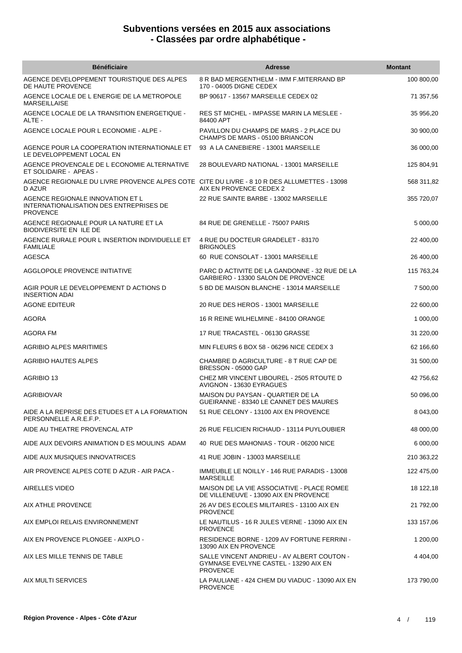| <b>Bénéficiaire</b>                                                                                   | <b>Adresse</b>                                                                                         | <b>Montant</b> |
|-------------------------------------------------------------------------------------------------------|--------------------------------------------------------------------------------------------------------|----------------|
| AGENCE DEVELOPPEMENT TOURISTIQUE DES ALPES<br>DE HAUTE PROVENCE                                       | 8 R BAD MERGENTHELM - IMM F.MITERRAND BP<br>170 - 04005 DIGNE CEDEX                                    | 100 800,00     |
| AGENCE LOCALE DE L ENERGIE DE LA METROPOLE<br><b>MARSEILLAISE</b>                                     | BP 90617 - 13567 MARSEILLE CEDEX 02                                                                    | 71 357,56      |
| AGENCE LOCALE DE LA TRANSITION ENERGETIQUE -<br>ALTE -                                                | <b>RES ST MICHEL - IMPASSE MARIN LA MESLEE -</b><br>84400 APT                                          | 35 956,20      |
| AGENCE LOCALE POUR L ECONOMIE - ALPE -                                                                | PAVILLON DU CHAMPS DE MARS - 2 PLACE DU<br>CHAMPS DE MARS - 05100 BRIANCON                             | 30 900,00      |
| AGENCE POUR LA COOPERATION INTERNATIONALE ET<br>LE DEVELOPPEMENT LOCAL EN                             | 93 A LA CANEBIERE - 13001 MARSEILLE                                                                    | 36 000,00      |
| AGENCE PROVENCALE DE L ECONOMIE ALTERNATIVE<br>ET SOLIDAIRE - APEAS -                                 | 28 BOULEVARD NATIONAL - 13001 MARSEILLE                                                                | 125 804,91     |
| AGENCE REGIONALE DU LIVRE PROVENCE ALPES COTE CITE DU LIVRE - 8 10 R DES ALLUMETTES - 13098<br>D AZUR | AIX EN PROVENCE CEDEX 2                                                                                | 568 311,82     |
| AGENCE REGIONALE INNOVATION ET L<br>INTERNATIONALISATION DES ENTREPRISES DE<br><b>PROVENCE</b>        | 22 RUE SAINTE BARBE - 13002 MARSEILLE                                                                  | 355 720,07     |
| AGENCE REGIONALE POUR LA NATURE ET LA<br><b>BIODIVERSITE EN ILE DE</b>                                | 84 RUE DE GRENELLE - 75007 PARIS                                                                       | 5 000,00       |
| AGENCE RURALE POUR L INSERTION INDIVIDUELLE ET<br><b>FAMILIALE</b>                                    | 4 RUE DU DOCTEUR GRADELET - 83170<br><b>BRIGNOLES</b>                                                  | 22 400,00      |
| <b>AGESCA</b>                                                                                         | 60 RUE CONSOLAT - 13001 MARSEILLE                                                                      | 26 400,00      |
| AGGLOPOLE PROVENCE INITIATIVE                                                                         | PARC D ACTIVITE DE LA GANDONNE - 32 RUE DE LA<br>GARBIERO - 13300 SALON DE PROVENCE                    | 115 763,24     |
| AGIR POUR LE DEVELOPPEMENT D ACTIONS D<br><b>INSERTION ADAI</b>                                       | 5 BD DE MAISON BLANCHE - 13014 MARSEILLE                                                               | 7 500,00       |
| AGONE EDITEUR                                                                                         | 20 RUE DES HEROS - 13001 MARSEILLE                                                                     | 22 600,00      |
| <b>AGORA</b>                                                                                          | 16 R REINE WILHELMINE - 84100 ORANGE                                                                   | 1 000,00       |
| AGORA FM                                                                                              | 17 RUE TRACASTEL - 06130 GRASSE                                                                        | 31 220,00      |
| AGRIBIO ALPES MARITIMES                                                                               | MIN FLEURS 6 BOX 58 - 06296 NICE CEDEX 3                                                               | 62 166,60      |
| AGRIBIO HAUTES ALPES                                                                                  | CHAMBRE D AGRICULTURE - 8 T RUE CAP DE<br>BRESSON - 05000 GAP                                          | 31 500,00      |
| AGRIBIO 13                                                                                            | CHEZ MR VINCENT LIBOUREL - 2505 RTOUTE D<br>AVIGNON - 13630 EYRAGUES                                   | 42 756,62      |
| <b>AGRIBIOVAR</b>                                                                                     | MAISON DU PAYSAN - QUARTIER DE LA<br>GUEIRANNE - 83340 LE CANNET DES MAURES                            | 50 096,00      |
| AIDE A LA REPRISE DES ETUDES ET A LA FORMATION<br>PERSONNELLE A.R.E.F.P.                              | 51 RUE CELONY - 13100 AIX EN PROVENCE                                                                  | 8 043,00       |
| AIDE AU THEATRE PROVENCAL ATP                                                                         | 26 RUE FELICIEN RICHAUD - 13114 PUYLOUBIER                                                             | 48 000,00      |
| AIDE AUX DEVOIRS ANIMATION D ES MOULINS ADAM                                                          | 40 RUE DES MAHONIAS - TOUR - 06200 NICE                                                                | 6 000,00       |
| AIDE AUX MUSIQUES INNOVATRICES                                                                        | 41 RUE JOBIN - 13003 MARSEILLE                                                                         | 210 363,22     |
| AIR PROVENCE ALPES COTE D AZUR - AIR PACA -                                                           | IMMEUBLE LE NOILLY - 146 RUE PARADIS - 13008<br><b>MARSEILLE</b>                                       | 122 475,00     |
| <b>AIRELLES VIDEO</b>                                                                                 | MAISON DE LA VIE ASSOCIATIVE - PLACE ROMEE<br>DE VILLENEUVE - 13090 AIX EN PROVENCE                    | 18 122,18      |
| AIX ATHLE PROVENCE                                                                                    | 26 AV DES ECOLES MILITAIRES - 13100 AIX EN<br><b>PROVENCE</b>                                          | 21 792,00      |
| AIX EMPLOI RELAIS ENVIRONNEMENT                                                                       | LE NAUTILUS - 16 R JULES VERNE - 13090 AIX EN<br><b>PROVENCE</b>                                       | 133 157,06     |
| AIX EN PROVENCE PLONGEE - AIXPLO -                                                                    | RESIDENCE BORNE - 1209 AV FORTUNE FERRINI -<br>13090 AIX EN PROVENCE                                   | 1 200,00       |
| AIX LES MILLE TENNIS DE TABLE                                                                         | SALLE VINCENT ANDRIEU - AV ALBERT COUTON -<br>GYMNASE EVELYNE CASTEL - 13290 AIX EN<br><b>PROVENCE</b> | 4 4 0 4 ,00    |
| AIX MULTI SERVICES                                                                                    | LA PAULIANE - 424 CHEM DU VIADUC - 13090 AIX EN<br><b>PROVENCE</b>                                     | 173 790,00     |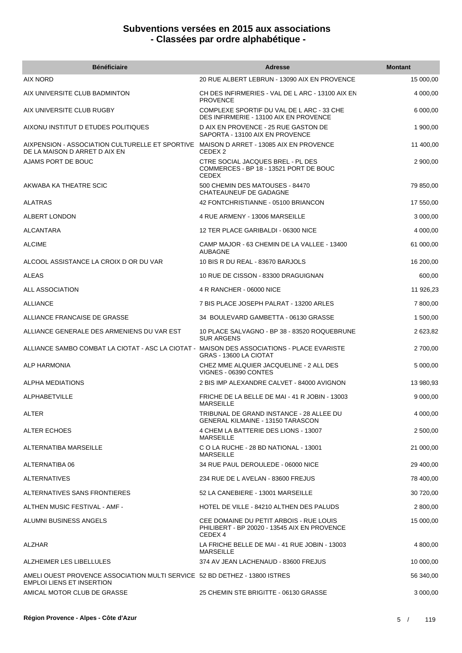| <b>Bénéficiaire</b>                                                                                                     | <b>Adresse</b>                                                                                     | <b>Montant</b> |
|-------------------------------------------------------------------------------------------------------------------------|----------------------------------------------------------------------------------------------------|----------------|
| <b>AIX NORD</b>                                                                                                         | 20 RUE ALBERT LEBRUN - 13090 AIX EN PROVENCE                                                       | 15 000,00      |
| AIX UNIVERSITE CLUB BADMINTON                                                                                           | CH DES INFIRMERIES - VAL DE L ARC - 13100 AIX EN<br><b>PROVENCE</b>                                | 4 000,00       |
| AIX UNIVERSITE CLUB RUGBY                                                                                               | COMPLEXE SPORTIF DU VAL DE L ARC - 33 CHE<br>DES INFIRMERIE - 13100 AIX EN PROVENCE                | 6 000,00       |
| AIXONU INSTITUT D ETUDES POLITIQUES                                                                                     | D AIX EN PROVENCE - 25 RUE GASTON DE<br>SAPORTA - 13100 AIX EN PROVENCE                            | 1 900,00       |
| AIXPENSION - ASSOCIATION CULTURELLE ET SPORTIVE MAISON D ARRET - 13085 AIX EN PROVENCE<br>DE LA MAISON D ARRET D AIX EN | CEDEX 2                                                                                            | 11 400,00      |
| AJAMS PORT DE BOUC                                                                                                      | CTRE SOCIAL JACQUES BREL - PL DES<br>COMMERCES - BP 18 - 13521 PORT DE BOUC<br><b>CEDEX</b>        | 2 900,00       |
| AKWABA KA THEATRE SCIC                                                                                                  | 500 CHEMIN DES MATOUSES - 84470<br>CHATEAUNEUF DE GADAGNE                                          | 79 850,00      |
| <b>ALATRAS</b>                                                                                                          | 42 FONTCHRISTIANNE - 05100 BRIANCON                                                                | 17 550,00      |
| ALBERT LONDON                                                                                                           | 4 RUE ARMENY - 13006 MARSEILLE                                                                     | 3 000,00       |
| ALCANTARA                                                                                                               | 12 TER PLACE GARIBALDI - 06300 NICE                                                                | 4 000,00       |
| <b>ALCIME</b>                                                                                                           | CAMP MAJOR - 63 CHEMIN DE LA VALLEE - 13400<br><b>AUBAGNE</b>                                      | 61 000,00      |
| ALCOOL ASSISTANCE LA CROIX D OR DU VAR                                                                                  | 10 BIS R DU REAL - 83670 BARJOLS                                                                   | 16 200,00      |
| <b>ALEAS</b>                                                                                                            | 10 RUE DE CISSON - 83300 DRAGUIGNAN                                                                | 600,00         |
| ALL ASSOCIATION                                                                                                         | 4 R RANCHER - 06000 NICE                                                                           | 11 926,23      |
| <b>ALLIANCE</b>                                                                                                         | 7 BIS PLACE JOSEPH PALRAT - 13200 ARLES                                                            | 7 800,00       |
| ALLIANCE FRANCAISE DE GRASSE                                                                                            | 34 BOULEVARD GAMBETTA - 06130 GRASSE                                                               | 1 500,00       |
| ALLIANCE GENERALE DES ARMENIENS DU VAR EST                                                                              | 10 PLACE SALVAGNO - BP 38 - 83520 ROQUEBRUNE<br><b>SUR ARGENS</b>                                  | 2 623,82       |
| ALLIANCE SAMBO COMBAT LA CIOTAT - ASC LA CIOTAT - MAISON DES ASSOCIATIONS - PLACE EVARISTE                              | GRAS - 13600 LA CIOTAT                                                                             | 2 700,00       |
| ALP HARMONIA                                                                                                            | CHEZ MME ALQUIER JACQUELINE - 2 ALL DES<br>VIGNES - 06390 CONTES                                   | 5 000,00       |
| ALPHA MEDIATIONS                                                                                                        | 2 BIS IMP ALEXANDRE CALVET - 84000 AVIGNON                                                         | 13 980,93      |
| <b>ALPHABETVILLE</b>                                                                                                    | FRICHE DE LA BELLE DE MAI - 41 R JOBIN - 13003<br><b>MARSEILLE</b>                                 | 9 000,00       |
| ALTER                                                                                                                   | TRIBUNAL DE GRAND INSTANCE - 28 ALLEE DU<br><b>GENERAL KILMAINE - 13150 TARASCON</b>               | 4 000,00       |
| ALTER ECHOES                                                                                                            | 4 CHEM LA BATTERIE DES LIONS - 13007<br><b>MARSEILLE</b>                                           | 2 500,00       |
| ALTERNATIBA MARSEILLE                                                                                                   | C O LA RUCHE - 28 BD NATIONAL - 13001<br><b>MARSEILLE</b>                                          | 21 000,00      |
| ALTERNATIBA 06                                                                                                          | 34 RUE PAUL DEROULEDE - 06000 NICE                                                                 | 29 400,00      |
| ALTERNATIVES                                                                                                            | 234 RUE DE L AVELAN - 83600 FREJUS                                                                 | 78 400,00      |
| ALTERNATIVES SANS FRONTIERES                                                                                            | 52 LA CANEBIERE - 13001 MARSEILLE                                                                  | 30 720,00      |
| ALTHEN MUSIC FESTIVAL - AMF -                                                                                           | HOTEL DE VILLE - 84210 ALTHEN DES PALUDS                                                           | 2 800,00       |
| ALUMNI BUSINESS ANGELS                                                                                                  | CEE DOMAINE DU PETIT ARBOIS - RUE LOUIS<br>PHILIBERT - BP 20020 - 13545 AIX EN PROVENCE<br>CEDEX 4 | 15 000,00      |
| ALZHAR                                                                                                                  | LA FRICHE BELLE DE MAI - 41 RUE JOBIN - 13003<br><b>MARSEILLE</b>                                  | 4 800,00       |
| ALZHEIMER LES LIBELLULES                                                                                                | 374 AV JEAN LACHENAUD - 83600 FREJUS                                                               | 10 000,00      |
| AMELI OUEST PROVENCE ASSOCIATION MULTI SERVICE 52 BD DETHEZ - 13800 ISTRES<br><b>EMPLOI LIENS ET INSERTION</b>          |                                                                                                    | 56 340,00      |
| AMICAL MOTOR CLUB DE GRASSE                                                                                             | 25 CHEMIN STE BRIGITTE - 06130 GRASSE                                                              | 3 000,00       |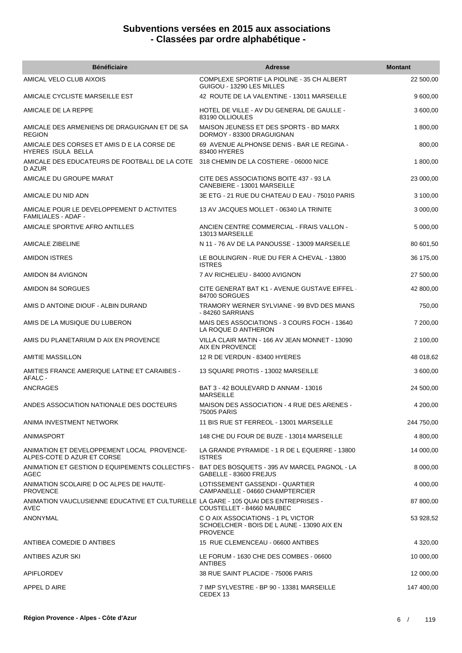| <b>Bénéficiaire</b>                                                                                  | <b>Adresse</b>                                                                                      | <b>Montant</b> |
|------------------------------------------------------------------------------------------------------|-----------------------------------------------------------------------------------------------------|----------------|
| AMICAL VELO CLUB AIXOIS                                                                              | COMPLEXE SPORTIF LA PIOLINE - 35 CH ALBERT<br>GUIGOU - 13290 LES MILLES                             | 22 500,00      |
| AMICALE CYCLISTE MARSEILLE EST                                                                       | 42 ROUTE DE LA VALENTINE - 13011 MARSEILLE                                                          | 9 600,00       |
| AMICALE DE LA REPPE                                                                                  | HOTEL DE VILLE - AV DU GENERAL DE GAULLE -<br>83190 OLLIOULES                                       | 3 600,00       |
| AMICALE DES ARMENIENS DE DRAGUIGNAN ET DE SA<br><b>REGION</b>                                        | MAISON JEUNESS ET DES SPORTS - BD MARX<br>DORMOY - 83300 DRAGUIGNAN                                 | 1 800,00       |
| AMICALE DES CORSES ET AMIS D E LA CORSE DE<br>HYERES ISULA BELLA                                     | 69 AVENUE ALPHONSE DENIS - BAR LE REGINA -<br>83400 HYERES                                          | 800,00         |
| AMICALE DES EDUCATEURS DE FOOTBALL DE LA COTE<br>D AZUR                                              | 318 CHEMIN DE LA COSTIERE - 06000 NICE                                                              | 1 800,00       |
| AMICALE DU GROUPE MARAT                                                                              | CITE DES ASSOCIATIONS BOITE 437 - 93 LA<br>CANEBIERE - 13001 MARSEILLE                              | 23 000,00      |
| AMICALE DU NID ADN                                                                                   | 3E ETG - 21 RUE DU CHATEAU D EAU - 75010 PARIS                                                      | 3 100,00       |
| AMICALE POUR LE DEVELOPPEMENT D ACTIVITES<br><b>FAMILIALES - ADAF -</b>                              | 13 AV JACQUES MOLLET - 06340 LA TRINITE                                                             | 3 000,00       |
| AMICALE SPORTIVE AFRO ANTILLES                                                                       | ANCIEN CENTRE COMMERCIAL - FRAIS VALLON -<br>13013 MARSEILLE                                        | 5 000,00       |
| AMICALE ZIBELINE                                                                                     | N 11 - 76 AV DE LA PANOUSSE - 13009 MARSEILLE                                                       | 80 601,50      |
| <b>AMIDON ISTRES</b>                                                                                 | LE BOULINGRIN - RUE DU FER A CHEVAL - 13800<br><b>ISTRES</b>                                        | 36 175,00      |
| AMIDON 84 AVIGNON                                                                                    | 7 AV RICHELIEU - 84000 AVIGNON                                                                      | 27 500,00      |
| AMIDON 84 SORGUES                                                                                    | CITE GENERAT BAT K1 - AVENUE GUSTAVE EIFFEL<br>84700 SORGUES                                        | 42 800,00      |
| AMIS D ANTOINE DIOUF - ALBIN DURAND                                                                  | TRAMORY WERNER SYLVIANE - 99 BVD DES MIANS<br>- 84260 SARRIANS                                      | 750,00         |
| AMIS DE LA MUSIQUE DU LUBERON                                                                        | MAIS DES ASSOCIATIONS - 3 COURS FOCH - 13640<br>LA ROQUE D ANTHERON                                 | 7 200,00       |
| AMIS DU PLANETARIUM D AIX EN PROVENCE                                                                | VILLA CLAIR MATIN - 166 AV JEAN MONNET - 13090<br>AIX EN PROVENCE                                   | 2 100,00       |
| <b>AMITIE MASSILLON</b>                                                                              | 12 R DE VERDUN - 83400 HYERES                                                                       | 48 018,62      |
| AMITIES FRANCE AMERIQUE LATINE ET CARAIBES -<br>AFALC -                                              | 13 SQUARE PROTIS - 13002 MARSEILLE                                                                  | 3 600,00       |
| <b>ANCRAGES</b>                                                                                      | BAT 3 - 42 BOULEVARD D ANNAM - 13016<br><b>MARSEILLE</b>                                            | 24 500,00      |
| ANDES ASSOCIATION NATIONALE DES DOCTEURS                                                             | MAISON DES ASSOCIATION - 4 RUE DES ARENES -<br>75005 PARIS                                          | 4 200,00       |
| ANIMA INVESTMENT NETWORK                                                                             | 11 BIS RUE ST FERREOL - 13001 MARSEILLE                                                             | 244 750,00     |
| ANIMASPORT                                                                                           | 148 CHE DU FOUR DE BUZE - 13014 MARSEILLE                                                           | 4 800,00       |
| ANIMATION ET DEVELOPPEMENT LOCAL PROVENCE-<br>ALPES-COTE D AZUR ET CORSE                             | LA GRANDE PYRAMIDE - 1 R DE L EQUERRE - 13800<br><b>ISTRES</b>                                      | 14 000,00      |
| ANIMATION ET GESTION D EQUIPEMENTS COLLECTIFS - BAT DES BOSQUETS - 395 AV MARCEL PAGNOL - LA<br>AGEC | GABELLE - 83600 FREJUS                                                                              | 8 000,00       |
| ANIMATION SCOLAIRE D OC ALPES DE HAUTE-<br><b>PROVENCE</b>                                           | LOTISSEMENT GASSENDI - QUARTIER<br>CAMPANELLE - 04660 CHAMPTERCIER                                  | 4 000,00       |
| ANIMATION VAUCLUSIENNE EDUCATIVE ET CULTURELLE LA GARE - 105 QUAI DES ENTREPRISES -<br>AVEC          | COUSTELLET - 84660 MAUBEC                                                                           | 87 800,00      |
| ANONYMAL                                                                                             | C O AIX ASSOCIATIONS - 1 PL VICTOR<br>SCHOELCHER - BOIS DE L AUNE - 13090 AIX EN<br><b>PROVENCE</b> | 53 928,52      |
| ANTIBEA COMEDIE D ANTIBES                                                                            | 15 RUE CLEMENCEAU - 06600 ANTIBES                                                                   | 4 320,00       |
| ANTIBES AZUR SKI                                                                                     | LE FORUM - 1630 CHE DES COMBES - 06600<br><b>ANTIBES</b>                                            | 10 000,00      |
| APIFLORDEV                                                                                           | 38 RUE SAINT PLACIDE - 75006 PARIS                                                                  | 12 000,00      |
| APPEL D AIRE                                                                                         | 7 IMP SYLVESTRE - BP 90 - 13381 MARSEILLE<br>CEDEX 13                                               | 147 400,00     |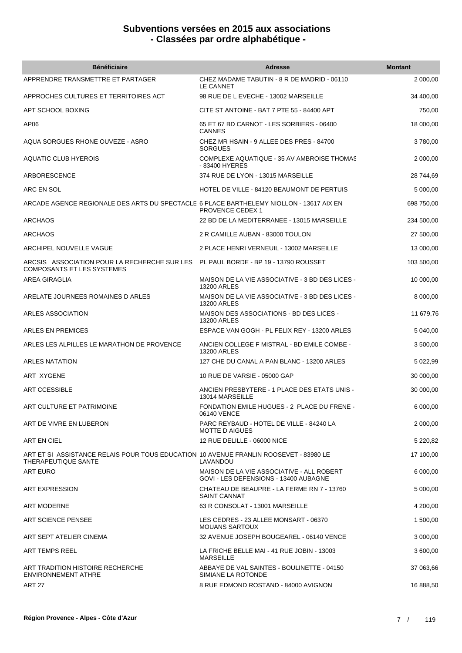| <b>Bénéficiaire</b>                                                                                          | <b>Adresse</b>                                                                     | <b>Montant</b> |
|--------------------------------------------------------------------------------------------------------------|------------------------------------------------------------------------------------|----------------|
| APPRENDRE TRANSMETTRE ET PARTAGER                                                                            | CHEZ MADAME TABUTIN - 8 R DE MADRID - 06110<br>LE CANNET                           | 2 000,00       |
| APPROCHES CULTURES ET TERRITOIRES ACT                                                                        | 98 RUE DE L EVECHE - 13002 MARSEILLE                                               | 34 400,00      |
| APT SCHOOL BOXING                                                                                            | CITE ST ANTOINE - BAT 7 PTE 55 - 84400 APT                                         | 750,00         |
| AP <sub>06</sub>                                                                                             | 65 ET 67 BD CARNOT - LES SORBIERS - 06400<br><b>CANNES</b>                         | 18 000,00      |
| AQUA SORGUES RHONE OUVEZE - ASRO                                                                             | CHEZ MR HSAIN - 9 ALLEE DES PRES - 84700<br><b>SORGUES</b>                         | 3780,00        |
| AQUATIC CLUB HYEROIS                                                                                         | COMPLEXE AQUATIQUE - 35 AV AMBROISE THOMAS<br>- 83400 HYERES                       | 2 000,00       |
| ARBORESCENCE                                                                                                 | 374 RUE DE LYON - 13015 MARSEILLE                                                  | 28 744,69      |
| ARC EN SOL                                                                                                   | HOTEL DE VILLE - 84120 BEAUMONT DE PERTUIS                                         | 5 000,00       |
| ARCADE AGENCE REGIONALE DES ARTS DU SPECTACLE 6 PLACE BARTHELEMY NIOLLON - 13617 AIX EN                      | <b>PROVENCE CEDEX 1</b>                                                            | 698 750,00     |
| <b>ARCHAOS</b>                                                                                               | 22 BD DE LA MEDITERRANEE - 13015 MARSEILLE                                         | 234 500,00     |
| <b>ARCHAOS</b>                                                                                               | 2 R CAMILLE AUBAN - 83000 TOULON                                                   | 27 500,00      |
| ARCHIPEL NOUVELLE VAGUE                                                                                      | 2 PLACE HENRI VERNEUIL - 13002 MARSEILLE                                           | 13 000,00      |
| ARCSIS ASSOCIATION POUR LA RECHERCHE SUR LES<br><b>COMPOSANTS ET LES SYSTEMES</b>                            | PL PAUL BORDE - BP 19 - 13790 ROUSSET                                              | 103 500,00     |
| AREA GIRAGLIA                                                                                                | MAISON DE LA VIE ASSOCIATIVE - 3 BD DES LICES -<br><b>13200 ARLES</b>              | 10 000,00      |
| ARELATE JOURNEES ROMAINES D ARLES                                                                            | MAISON DE LA VIE ASSOCIATIVE - 3 BD DES LICES -<br><b>13200 ARLES</b>              | 8 000,00       |
| ARLES ASSOCIATION                                                                                            | MAISON DES ASSOCIATIONS - BD DES LICES -<br><b>13200 ARLES</b>                     | 11 679,76      |
| <b>ARLES EN PREMICES</b>                                                                                     | ESPACE VAN GOGH - PL FELIX REY - 13200 ARLES                                       | 5 040,00       |
| ARLES LES ALPILLES LE MARATHON DE PROVENCE                                                                   | ANCIEN COLLEGE F MISTRAL - BD EMILE COMBE -<br><b>13200 ARLES</b>                  | 3 500,00       |
| <b>ARLES NATATION</b>                                                                                        | 127 CHE DU CANAL A PAN BLANC - 13200 ARLES                                         | 5 022,99       |
| ART XYGENE                                                                                                   | 10 RUE DE VARSIE - 05000 GAP                                                       | 30 000,00      |
| ART CCESSIBLE                                                                                                | ANCIEN PRESBYTERE - 1 PLACE DES ETATS UNIS -<br>13014 MARSEILLE                    | 30 000.00      |
| ART CULTURE ET PATRIMOINE                                                                                    | FONDATION EMILE HUGUES - 2 PLACE DU FRENE -<br>06140 VENCE                         | 6 000,00       |
| ART DE VIVRE EN LUBERON                                                                                      | PARC REYBAUD - HOTEL DE VILLE - 84240 LA<br><b>MOTTE D AIGUES</b>                  | 2 000,00       |
| ART EN CIEL                                                                                                  | 12 RUE DELILLE - 06000 NICE                                                        | 5 220,82       |
| ART ET SI ASSISTANCE RELAIS POUR TOUS EDUCATION 10 AVENUE FRANLIN ROOSEVET - 83980 LE<br>THERAPEUTIQUE SANTE | LAVANDOU                                                                           | 17 100,00      |
| <b>ART EURO</b>                                                                                              | MAISON DE LA VIE ASSOCIATIVE - ALL ROBERT<br>GOVI - LES DEFENSIONS - 13400 AUBAGNE | 6 000,00       |
| <b>ART EXPRESSION</b>                                                                                        | CHATEAU DE BEAUPRE - LA FERME RN 7 - 13760<br><b>SAINT CANNAT</b>                  | 5 000,00       |
| <b>ART MODERNE</b>                                                                                           | 63 R CONSOLAT - 13001 MARSEILLE                                                    | 4 200,00       |
| ART SCIENCE PENSEE                                                                                           | LES CEDRES - 23 ALLEE MONSART - 06370<br><b>MOUANS SARTOUX</b>                     | 1 500,00       |
| ART SEPT ATELIER CINEMA                                                                                      | 32 AVENUE JOSEPH BOUGEAREL - 06140 VENCE                                           | 3 000,00       |
| ART TEMPS REEL                                                                                               | LA FRICHE BELLE MAI - 41 RUE JOBIN - 13003<br><b>MARSEILLE</b>                     | 3 600,00       |
| ART TRADITION HISTOIRE RECHERCHE<br><b>ENVIRONNEMENT ATHRE</b>                                               | ABBAYE DE VAL SAINTES - BOULINETTE - 04150<br>SIMIANE LA ROTONDE                   | 37 063,66      |
| <b>ART 27</b>                                                                                                | 8 RUE EDMOND ROSTAND - 84000 AVIGNON                                               | 16 888,50      |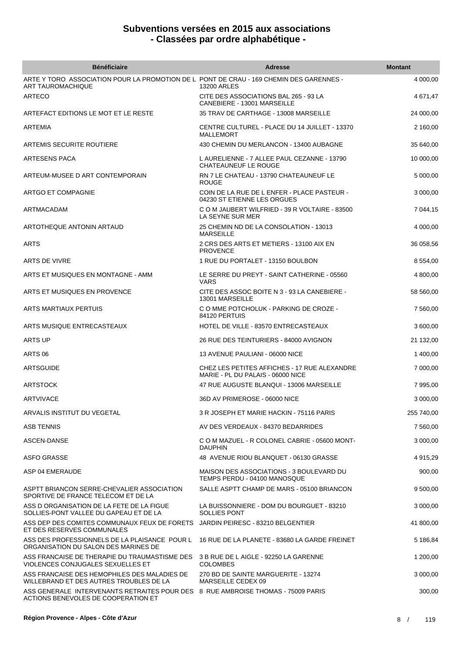| <b>Bénéficiaire</b>                                                                                                     | <b>Adresse</b>                                                                    | <b>Montant</b> |
|-------------------------------------------------------------------------------------------------------------------------|-----------------------------------------------------------------------------------|----------------|
| ARTE Y TORO ASSOCIATION POUR LA PROMOTION DE L PONT DE CRAU - 169 CHEMIN DES GARENNES -<br><b>ART TAUROMACHIQUE</b>     | 13200 ARLES                                                                       | 4 000,00       |
| ARTECO                                                                                                                  | CITE DES ASSOCIATIONS BAL 265 - 93 LA<br>CANEBIERE - 13001 MARSEILLE              | 4 671,47       |
| ARTEFACT EDITIONS LE MOT ET LE RESTE                                                                                    | 35 TRAV DE CARTHAGE - 13008 MARSEILLE                                             | 24 000,00      |
| ARTEMIA                                                                                                                 | CENTRE CULTUREL - PLACE DU 14 JUILLET - 13370<br><b>MALLEMORT</b>                 | 2 160,00       |
| ARTEMIS SECURITE ROUTIERE                                                                                               | 430 CHEMIN DU MERLANCON - 13400 AUBAGNE                                           | 35 640,00      |
| ARTESENS PACA                                                                                                           | L AURELIENNE - 7 ALLEE PAUL CEZANNE - 13790<br><b>CHATEAUNEUF LE ROUGE</b>        | 10 000,00      |
| ARTEUM-MUSEE D ART CONTEMPORAIN                                                                                         | RN 7 LE CHATEAU - 13790 CHATEAUNEUF LE<br><b>ROUGE</b>                            | 5 000,00       |
| ARTGO ET COMPAGNIE                                                                                                      | COIN DE LA RUE DE L ENFER - PLACE PASTEUR -<br>04230 ST ETIENNE LES ORGUES        | 3 000,00       |
| ARTMACADAM                                                                                                              | C O M JAUBERT WILFRIED - 39 R VOLTAIRE - 83500<br>LA SEYNE SUR MER                | 7 044,15       |
| ARTOTHEQUE ANTONIN ARTAUD                                                                                               | 25 CHEMIN ND DE LA CONSOLATION - 13013<br><b>MARSEILLE</b>                        | 4 000,00       |
| <b>ARTS</b>                                                                                                             | 2 CRS DES ARTS ET METIERS - 13100 AIX EN<br><b>PROVENCE</b>                       | 36 058,56      |
| ARTS DE VIVRE                                                                                                           | 1 RUE DU PORTALET - 13150 BOULBON                                                 | 8 554,00       |
| ARTS ET MUSIQUES EN MONTAGNE - AMM                                                                                      | LE SERRE DU PREYT - SAINT CATHERINE - 05560<br><b>VARS</b>                        | 4 800,00       |
| ARTS ET MUSIQUES EN PROVENCE                                                                                            | CITE DES ASSOC BOITE N 3 - 93 LA CANEBIERE -<br>13001 MARSEILLE                   | 58 560,00      |
| ARTS MARTIAUX PERTUIS                                                                                                   | C O MME POTCHOLUK - PARKING DE CROZE -<br>84120 PERTUIS                           | 7 560,00       |
| ARTS MUSIQUE ENTRECASTEAUX                                                                                              | HOTEL DE VILLE - 83570 ENTRECASTEAUX                                              | 3 600,00       |
| ARTS UP                                                                                                                 | 26 RUE DES TEINTURIERS - 84000 AVIGNON                                            | 21 132,00      |
| ARTS 06                                                                                                                 | 13 AVENUE PAULIANI - 06000 NICE                                                   | 1 400,00       |
| ARTSGUIDE                                                                                                               | CHEZ LES PETITES AFFICHES - 17 RUE ALEXANDRE<br>MARIE - PL DU PALAIS - 06000 NICE | 7 000,00       |
| <b>ARTSTOCK</b>                                                                                                         | 47 RUE AUGUSTE BLANQUI - 13006 MARSEILLE                                          | 7 995,00       |
| ARTVIVACE                                                                                                               | 36D AV PRIMEROSE - 06000 NICE                                                     | 3 000,00       |
| ARVALIS INSTITUT DU VEGETAL                                                                                             | 3 R JOSEPH ET MARIE HACKIN - 75116 PARIS                                          | 255 740,00     |
| <b>ASB TENNIS</b>                                                                                                       | AV DES VERDEAUX - 84370 BEDARRIDES                                                | 7 560,00       |
| ASCEN-DANSE                                                                                                             | C O M MAZUEL - R COLONEL CABRIE - 05600 MONT-<br><b>DAUPHIN</b>                   | 3 000,00       |
| <b>ASFO GRASSE</b>                                                                                                      | 48 AVENUE RIOU BLANQUET - 06130 GRASSE                                            | 4 915,29       |
| ASP 04 EMERAUDE                                                                                                         | MAISON DES ASSOCIATIONS - 3 BOULEVARD DU<br>TEMPS PERDU - 04100 MANOSQUE          | 900,00         |
| ASPTT BRIANCON SERRE-CHEVALIER ASSOCIATION<br>SPORTIVE DE FRANCE TELECOM ET DE LA                                       | SALLE ASPTT CHAMP DE MARS - 05100 BRIANCON                                        | 9 500,00       |
| ASS D ORGANISATION DE LA FETE DE LA FIGUE<br>SOLLIES-PONT VALLEE DU GAPEAU ET DE LA                                     | LA BUISSONNIERE - DOM DU BOURGUET - 83210<br><b>SOLLIES PONT</b>                  | 3 000,00       |
| ASS DEP DES COMITES COMMUNAUX FEUX DE FORETS JARDIN PEIRESC - 83210 BELGENTIER<br>ET DES RESERVES COMMUNALES            |                                                                                   | 41 800,00      |
| ASS DES PROFESSIONNELS DE LA PLAISANCE POUR L<br>ORGANISATION DU SALON DES MARINES DE                                   | 16 RUE DE LA PLANETE - 83680 LA GARDE FREINET                                     | 5 186,84       |
| ASS FRANCAISE DE THERAPIE DU TRAUMASTISME DES<br>VIOLENCES CONJUGALES SEXUELLES ET                                      | 3 B RUE DE L AIGLE - 92250 LA GARENNE<br><b>COLOMBES</b>                          | 1 200,00       |
| ASS FRANCAISE DES HEMOPHILES DES MALADIES DE<br>WILLEBRAND ET DES AUTRES TROUBLES DE LA                                 | 270 BD DE SAINTE MARGUERITE - 13274<br>MARSEILLE CEDEX 09                         | 3 000,00       |
| ASS GENERALE INTERVENANTS RETRAITES POUR DES 8 RUE AMBROISE THOMAS - 75009 PARIS<br>ACTIONS BENEVOLES DE COOPERATION ET |                                                                                   | 300,00         |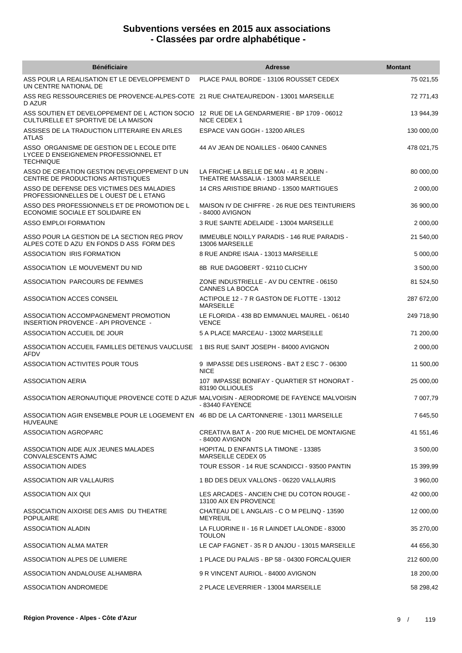| <b>Bénéficiaire</b>                                                                                                              | Adresse                                                                        | <b>Montant</b> |
|----------------------------------------------------------------------------------------------------------------------------------|--------------------------------------------------------------------------------|----------------|
| ASS POUR LA REALISATION ET LE DEVELOPPEMENT D<br>UN CENTRE NATIONAL DE                                                           | PLACE PAUL BORDE - 13106 ROUSSET CEDEX                                         | 75 021,55      |
| ASS REG RESSOURCERIES DE PROVENCE-ALPES-COTE 21 RUE CHATEAUREDON - 13001 MARSEILLE<br>D AZUR                                     |                                                                                | 72 771,43      |
| ASS SOUTIEN ET DEVELOPPEMENT DE L ACTION SOCIO 12 RUE DE LA GENDARMERIE - BP 1709 - 06012<br>CULTURELLE ET SPORTIVE DE LA MAISON | NICE CEDEX 1                                                                   | 13 944,39      |
| ASSISES DE LA TRADUCTION LITTERAIRE EN ARLES<br><b>ATLAS</b>                                                                     | ESPACE VAN GOGH - 13200 ARLES                                                  | 130 000,00     |
| ASSO ORGANISME DE GESTION DE L ECOLE DITE<br>LYCEE D ENSEIGNEMEN PROFESSIONNEL ET<br><b>TECHNIQUE</b>                            | 44 AV JEAN DE NOAILLES - 06400 CANNES                                          | 478 021,75     |
| ASSO DE CREATION GESTION DEVELOPPEMENT DUN<br>CENTRE DE PRODUCTIONS ARTISTIQUES                                                  | LA FRICHE LA BELLE DE MAI - 41 R JOBIN -<br>THEATRE MASSALIA - 13003 MARSEILLE | 80 000,00      |
| ASSO DE DEFENSE DES VICTIMES DES MALADIES<br>PROFESSIONNELLES DE L OUEST DE L ETANG                                              | 14 CRS ARISTIDE BRIAND - 13500 MARTIGUES                                       | 2 000,00       |
| ASSO DES PROFESSIONNELS ET DE PROMOTION DE L<br>ECONOMIE SOCIALE ET SOLIDAIRE EN                                                 | MAISON IV DE CHIFFRE - 26 RUE DES TEINTURIERS<br>- 84000 AVIGNON               | 36 900,00      |
| <b>ASSO EMPLOI FORMATION</b>                                                                                                     | 3 RUE SAINTE ADELAIDE - 13004 MARSEILLE                                        | 2 000,00       |
| ASSO POUR LA GESTION DE LA SECTION REG PROV<br>ALPES COTE D AZU EN FONDS D ASS FORM DES                                          | <b>IMMEUBLE NOILLY PARADIS - 146 RUE PARADIS -</b><br>13006 MARSEILLE          | 21 540,00      |
| ASSOCIATION IRIS FORMATION                                                                                                       | 8 RUE ANDRE ISAIA - 13013 MARSEILLE                                            | 5 000,00       |
| ASSOCIATION LE MOUVEMENT DU NID                                                                                                  | 8B RUE DAGOBERT - 92110 CLICHY                                                 | 3 500,00       |
| ASSOCIATION PARCOURS DE FEMMES                                                                                                   | ZONE INDUSTRIELLE - AV DU CENTRE - 06150<br>CANNES LA BOCCA                    | 81 524,50      |
| ASSOCIATION ACCES CONSEIL                                                                                                        | ACTIPOLE 12 - 7 R GASTON DE FLOTTE - 13012<br><b>MARSEILLE</b>                 | 287 672,00     |
| ASSOCIATION ACCOMPAGNEMENT PROMOTION<br>INSERTION PROVENCE - API PROVENCE -                                                      | LE FLORIDA - 438 BD EMMANUEL MAUREL - 06140<br><b>VENCE</b>                    | 249 718,90     |
| ASSOCIATION ACCUEIL DE JOUR                                                                                                      | 5 A PLACE MARCEAU - 13002 MARSEILLE                                            | 71 200,00      |
| ASSOCIATION ACCUEIL FAMILLES DETENUS VAUCLUSE 1 BIS RUE SAINT JOSEPH - 84000 AVIGNON<br>AFDV                                     |                                                                                | 2 000,00       |
| ASSOCIATION ACTIVITES POUR TOUS                                                                                                  | 9 IMPASSE DES LISERONS - BAT 2 ESC 7 - 06300<br><b>NICE</b>                    | 11 500,00      |
| <b>ASSOCIATION AERIA</b>                                                                                                         | 107 IMPASSE BONIFAY - QUARTIER ST HONORAT -<br>83190 OLLIOULES                 | 25 000,00      |
| ASSOCIATION AERONAUTIQUE PROVENCE COTE D AZUR MALVOISIN - AERODROME DE FAYENCE MALVOISIN                                         | - 83440 FAYENCE                                                                | 7 007,79       |
| ASSOCIATION AGIR ENSEMBLE POUR LE LOGEMENT EN 46 BD DE LA CARTONNERIE - 13011 MARSEILLE<br><b>HUVEAUNE</b>                       |                                                                                | 7 645,50       |
| ASSOCIATION AGROPARC                                                                                                             | CREATIVA BAT A - 200 RUE MICHEL DE MONTAIGNE<br>- 84000 AVIGNON                | 41 551,46      |
| ASSOCIATION AIDE AUX JEUNES MALADES<br><b>CONVALESCENTS AJMC</b>                                                                 | HOPITAL D ENFANTS LA TIMONE - 13385<br>MARSEILLE CEDEX 05                      | 3 500,00       |
| <b>ASSOCIATION AIDES</b>                                                                                                         | TOUR ESSOR - 14 RUE SCANDICCI - 93500 PANTIN                                   | 15 399,99      |
| ASSOCIATION AIR VALLAURIS                                                                                                        | 1 BD DES DEUX VALLONS - 06220 VALLAURIS                                        | 3 960,00       |
| ASSOCIATION AIX QUI                                                                                                              | LES ARCADES - ANCIEN CHE DU COTON ROUGE -<br>13100 AIX EN PROVENCE             | 42 000,00      |
| ASSOCIATION AIXOISE DES AMIS DU THEATRE<br><b>POPULAIRE</b>                                                                      | CHATEAU DE L ANGLAIS - C O M PELINQ - 13590<br><b>MEYREUIL</b>                 | 12 000,00      |
| ASSOCIATION ALADIN                                                                                                               | LA FLUORINE II - 16 R LAINDET LALONDE - 83000<br><b>TOULON</b>                 | 35 270,00      |
| ASSOCIATION ALMA MATER                                                                                                           | LE CAP FAGNET - 35 R D ANJOU - 13015 MARSEILLE                                 | 44 656,30      |
| ASSOCIATION ALPES DE LUMIERE                                                                                                     | 1 PLACE DU PALAIS - BP 58 - 04300 FORCALQUIER                                  | 212 600,00     |
| ASSOCIATION ANDALOUSE ALHAMBRA                                                                                                   | 9 R VINCENT AURIOL - 84000 AVIGNON                                             | 18 200,00      |
| ASSOCIATION ANDROMEDE                                                                                                            | 2 PLACE LEVERRIER - 13004 MARSEILLE                                            | 58 298,42      |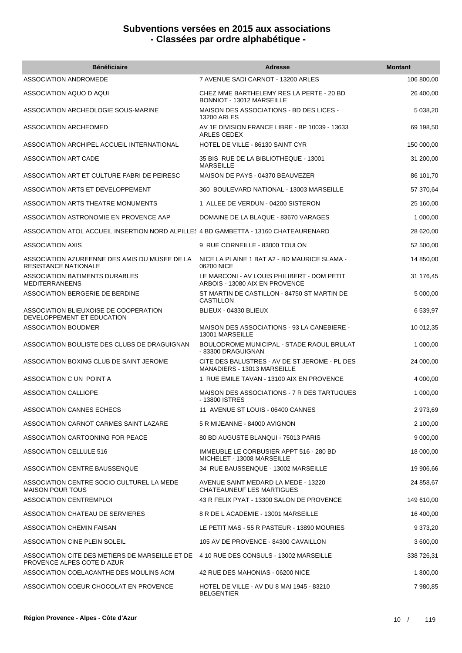| <b>Bénéficiaire</b>                                                                                                      | <b>Adresse</b>                                                                | <b>Montant</b> |
|--------------------------------------------------------------------------------------------------------------------------|-------------------------------------------------------------------------------|----------------|
| ASSOCIATION ANDROMEDE                                                                                                    | 7 AVENUE SADI CARNOT - 13200 ARLES                                            | 106 800,00     |
| ASSOCIATION AQUO D AQUI                                                                                                  | CHEZ MME BARTHELEMY RES LA PERTE - 20 BD<br>BONNIOT - 13012 MARSEILLE         | 26 400,00      |
| ASSOCIATION ARCHEOLOGIE SOUS-MARINE                                                                                      | MAISON DES ASSOCIATIONS - BD DES LICES -<br><b>13200 ARLES</b>                | 5 038,20       |
| ASSOCIATION ARCHEOMED                                                                                                    | AV 1E DIVISION FRANCE LIBRE - BP 10039 - 13633<br>ARLES CEDEX                 | 69 198,50      |
| ASSOCIATION ARCHIPEL ACCUEIL INTERNATIONAL                                                                               | HOTEL DE VILLE - 86130 SAINT CYR                                              | 150 000,00     |
| ASSOCIATION ART CADE                                                                                                     | 35 BIS RUE DE LA BIBLIOTHEQUE - 13001<br><b>MARSEILLE</b>                     | 31 200,00      |
| ASSOCIATION ART ET CULTURE FABRI DE PEIRESC                                                                              | MAISON DE PAYS - 04370 BEAUVEZER                                              | 86 101,70      |
| ASSOCIATION ARTS ET DEVELOPPEMENT                                                                                        | 360 BOULEVARD NATIONAL - 13003 MARSEILLE                                      | 57 370,64      |
| ASSOCIATION ARTS THEATRE MONUMENTS                                                                                       | 1 ALLEE DE VERDUN - 04200 SISTERON                                            | 25 160,00      |
| ASSOCIATION ASTRONOMIE EN PROVENCE AAP                                                                                   | DOMAINE DE LA BLAQUE - 83670 VARAGES                                          | 1 000,00       |
| ASSOCIATION ATOL ACCUEIL INSERTION NORD ALPILLES 4 BD GAMBETTA - 13160 CHATEAURENARD                                     |                                                                               | 28 620,00      |
| ASSOCIATION AXIS                                                                                                         | 9 RUE CORNEILLE - 83000 TOULON                                                | 52 500,00      |
| ASSOCIATION AZUREENNE DES AMIS DU MUSEE DE LA<br><b>RESISTANCE NATIONALE</b>                                             | NICE LA PLAINE 1 BAT A2 - BD MAURICE SLAMA -<br>06200 NICE                    | 14 850,00      |
| <b>ASSOCIATION BATIMENTS DURABLES</b><br><b>MEDITERRANEENS</b>                                                           | LE MARCONI - AV LOUIS PHILIBERT - DOM PETIT<br>ARBOIS - 13080 AIX EN PROVENCE | 31 176,45      |
| ASSOCIATION BERGERIE DE BERDINE                                                                                          | ST MARTIN DE CASTILLON - 84750 ST MARTIN DE<br>CASTILLON                      | 5 000,00       |
| ASSOCIATION BLIEUXOISE DE COOPERATION<br>DEVELOPPEMENT ET EDUCATION                                                      | BLIEUX - 04330 BLIEUX                                                         | 6 539,97       |
| <b>ASSOCIATION BOUDMER</b>                                                                                               | MAISON DES ASSOCIATIONS - 93 LA CANEBIERE -<br>13001 MARSEILLE                | 10 012,35      |
| ASSOCIATION BOULISTE DES CLUBS DE DRAGUIGNAN                                                                             | BOULODROME MUNICIPAL - STADE RAOUL BRULAT<br>- 83300 DRAGUIGNAN               | 1 000,00       |
| ASSOCIATION BOXING CLUB DE SAINT JEROME                                                                                  | CITE DES BALUSTRES - AV DE ST JEROME - PL DES<br>MANADIERS - 13013 MARSEILLE  | 24 000,00      |
| ASSOCIATION C UN POINT A                                                                                                 | 1 RUE EMILE TAVAN - 13100 AIX EN PROVENCE                                     | 4 000,00       |
| <b>ASSOCIATION CALLIOPE</b>                                                                                              | MAISON DES ASSOCIATIONS - 7 R DES TARTUGUES<br>- 13800 ISTRES                 | 1 000,00       |
| ASSOCIATION CANNES ECHECS                                                                                                | 11 AVENUE ST LOUIS - 06400 CANNES                                             | 2 973,69       |
| ASSOCIATION CARNOT CARMES SAINT LAZARE                                                                                   | 5 R MIJEANNE - 84000 AVIGNON                                                  | 2 100,00       |
| ASSOCIATION CARTOONING FOR PEACE                                                                                         | 80 BD AUGUSTE BLANQUI - 75013 PARIS                                           | 9 000,00       |
| ASSOCIATION CELLULE 516                                                                                                  | IMMEUBLE LE CORBUSIER APPT 516 - 280 BD<br>MICHELET - 13008 MARSEILLE         | 18 000,00      |
| ASSOCIATION CENTRE BAUSSENQUE                                                                                            | 34 RUE BAUSSENQUE - 13002 MARSEILLE                                           | 19 906,66      |
| ASSOCIATION CENTRE SOCIO CULTUREL LA MEDE<br><b>MAISON POUR TOUS</b>                                                     | AVENUE SAINT MEDARD LA MEDE - 13220<br>CHATEAUNEUF LES MARTIGUES              | 24 858,67      |
| <b>ASSOCIATION CENTREMPLOI</b>                                                                                           | 43 R FELIX PYAT - 13300 SALON DE PROVENCE                                     | 149 610,00     |
| ASSOCIATION CHATEAU DE SERVIERES                                                                                         | 8 R DE L ACADEMIE - 13001 MARSEILLE                                           | 16 400,00      |
| ASSOCIATION CHEMIN FAISAN                                                                                                | LE PETIT MAS - 55 R PASTEUR - 13890 MOURIES                                   | 9 373,20       |
| <b>ASSOCIATION CINE PLEIN SOLEIL</b>                                                                                     | 105 AV DE PROVENCE - 84300 CAVAILLON                                          | 3 600,00       |
| ASSOCIATION CITE DES METIERS DE MARSEILLE ET DE     4 10 RUE DES CONSULS - 13002 MARSEILLE<br>PROVENCE ALPES COTE D AZUR |                                                                               | 338 726,31     |
| ASSOCIATION COELACANTHE DES MOULINS ACM                                                                                  | 42 RUE DES MAHONIAS - 06200 NICE                                              | 1 800,00       |
| ASSOCIATION COEUR CHOCOLAT EN PROVENCE                                                                                   | HOTEL DE VILLE - AV DU 8 MAI 1945 - 83210<br><b>BELGENTIER</b>                | 7 980,85       |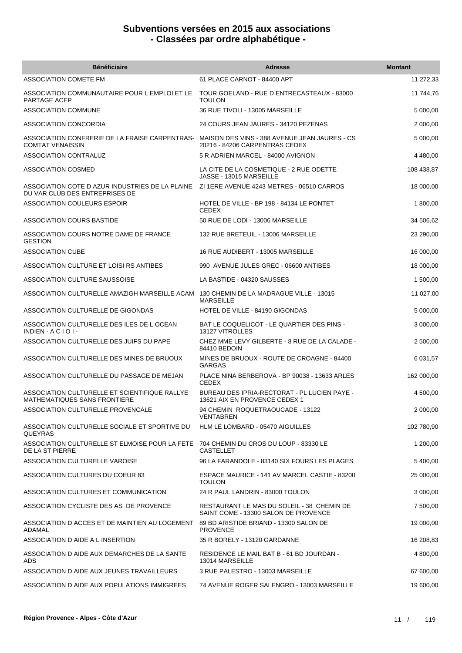| <b>Bénéficiaire</b>                                                                                     | <b>Adresse</b>                                                                     | <b>Montant</b> |
|---------------------------------------------------------------------------------------------------------|------------------------------------------------------------------------------------|----------------|
| ASSOCIATION COMETE FM                                                                                   | 61 PLACE CARNOT - 84400 APT                                                        | 11 272,33      |
| ASSOCIATION COMMUNAUTAIRE POUR L EMPLOI ET LE<br>PARTAGE ACEP                                           | TOUR GOELAND - RUE D ENTRECASTEAUX - 83000<br><b>TOULON</b>                        | 11 744,76      |
| <b>ASSOCIATION COMMUNE</b>                                                                              | 36 RUE TIVOLI - 13005 MARSEILLE                                                    | 5 000,00       |
| <b>ASSOCIATION CONCORDIA</b>                                                                            | 24 COURS JEAN JAURES - 34120 PEZENAS                                               | 2 000,00       |
| ASSOCIATION CONFRERIE DE LA FRAISE CARPENTRAS-<br><b>COMTAT VENAISSIN</b>                               | MAISON DES VINS - 388 AVENUE JEAN JAURES - CS<br>20216 - 84206 CARPENTRAS CEDEX    | 5 000,00       |
| <b>ASSOCIATION CONTRALUZ</b>                                                                            | 5 R ADRIEN MARCEL - 84000 AVIGNON                                                  | 4 480,00       |
| ASSOCIATION COSMED                                                                                      | LA CITE DE LA COSMETIQUE - 2 RUE ODETTE<br>JASSE - 13015 MARSEILLE                 | 108 438,87     |
| ASSOCIATION COTE D AZUR INDUSTRIES DE LA PLAINE<br>DU VAR CLUB DES ENTREPRISES DE                       | ZI 1ERE AVENUE 4243 METRES - 06510 CARROS                                          | 18 000,00      |
| ASSOCIATION COULEURS ESPOIR                                                                             | HOTEL DE VILLE - BP 198 - 84134 LE PONTET<br><b>CEDEX</b>                          | 1 800,00       |
| <b>ASSOCIATION COURS BASTIDE</b>                                                                        | 50 RUE DE LODI - 13006 MARSEILLE                                                   | 34 506,62      |
| ASSOCIATION COURS NOTRE DAME DE FRANCE<br><b>GESTION</b>                                                | 132 RUE BRETEUIL - 13006 MARSEILLE                                                 | 23 290,00      |
| <b>ASSOCIATION CUBE</b>                                                                                 | 16 RUE AUDIBERT - 13005 MARSEILLE                                                  | 16 000,00      |
| ASSOCIATION CULTURE ET LOISI RS ANTIBES                                                                 | 990 AVENUE JULES GREC - 06600 ANTIBES                                              | 18 000,00      |
| ASSOCIATION CULTURE SAUSSOISE                                                                           | LA BASTIDE - 04320 SAUSSES                                                         | 1 500,00       |
| ASSOCIATION CULTURELLE AMAZIGH MARSEILLE ACAM                                                           | 130 CHEMIN DE LA MADRAGUE VILLE - 13015<br><b>MARSEILLE</b>                        | 11 027,00      |
| ASSOCIATION CULTURELLE DE GIGONDAS                                                                      | HOTEL DE VILLE - 84190 GIGONDAS                                                    | 5 000,00       |
| ASSOCIATION CULTURELLE DES ILES DE L OCEAN<br>$INDIEN - ACIOI -$                                        | BAT LE COQUELICOT - LE QUARTIER DES PINS -<br>13127 VITROLLES                      | 3 000,00       |
| ASSOCIATION CULTURELLE DES JUIFS DU PAPE                                                                | CHEZ MME LEVY GILBERTE - 8 RUE DE LA CALADE -<br>84410 BEDOIN                      | 2 500,00       |
| ASSOCIATION CULTURELLE DES MINES DE BRUOUX                                                              | MINES DE BRUOUX - ROUTE DE CROAGNE - 84400<br><b>GARGAS</b>                        | 6 031,57       |
| ASSOCIATION CULTURELLE DU PASSAGE DE MEJAN                                                              | PLACE NINA BERBEROVA - BP 90038 - 13633 ARLES<br><b>CEDEX</b>                      | 162 000,00     |
| ASSOCIATION CULTURELLE ET SCIENTIFIQUE RALLYE<br><b>MATHEMATIQUES SANS FRONTIERE</b>                    | BUREAU DES IPRIA-RECTORAT - PL LUCIEN PAYE -<br>13621 AIX EN PROVENCE CEDEX 1      | 4 500,00       |
| ASSOCIATION CULTURELLE PROVENCALE                                                                       | 94 CHEMIN ROQUETRAOUCADE - 13122<br><b>VENTABREN</b>                               | 2 000,00       |
| ASSOCIATION CULTURELLE SOCIALE ET SPORTIVE DU<br>QUEYRAS                                                | HLM LE LOMBARD - 05470 AIGUILLES                                                   | 102 780,90     |
| ASSOCIATION CULTURELLE ST ELMOISE POUR LA FETE 704 CHEMIN DU CROS DU LOUP - 83330 LE<br>DE LA ST PIERRE | <b>CASTELLET</b>                                                                   | 1 200,00       |
| ASSOCIATION CULTURELLE VAROISE                                                                          | 96 LA FARANDOLE - 83140 SIX FOURS LES PLAGES                                       | 5 400,00       |
| ASSOCIATION CULTURES DU COEUR 83                                                                        | ESPACE MAURICE - 141 AV MARCEL CASTIE - 83200<br><b>TOULON</b>                     | 25 000,00      |
| ASSOCIATION CULTURES ET COMMUNICATION                                                                   | 24 R PAUL LANDRIN - 83000 TOULON                                                   | 3 000,00       |
| ASSOCIATION CYCLISTE DES AS DE PROVENCE                                                                 | RESTAURANT LE MAS DU SOLEIL - 38 CHEMIN DE<br>SAINT COME - 13300 SALON DE PROVENCE | 7 500,00       |
| ASSOCIATION D ACCES ET DE MAINTIEN AU LOGEMENT<br>ADAMAL                                                | 89 BD ARISTIDE BRIAND - 13300 SALON DE<br><b>PROVENCE</b>                          | 19 000,00      |
| ASSOCIATION D AIDE A L INSERTION                                                                        | 35 R BORELY - 13120 GARDANNE                                                       | 16 208,83      |
| ASSOCIATION D AIDE AUX DEMARCHES DE LA SANTE<br>ADS                                                     | RESIDENCE LE MAIL BAT B - 61 BD JOURDAN -<br>13014 MARSEILLE                       | 4 800,00       |
| ASSOCIATION D AIDE AUX JEUNES TRAVAILLEURS                                                              | 3 RUE PALESTRO - 13003 MARSEILLE                                                   | 67 600,00      |
| ASSOCIATION D AIDE AUX POPULATIONS IMMIGREES                                                            | 74 AVENUE ROGER SALENGRO - 13003 MARSEILLE                                         | 19 600,00      |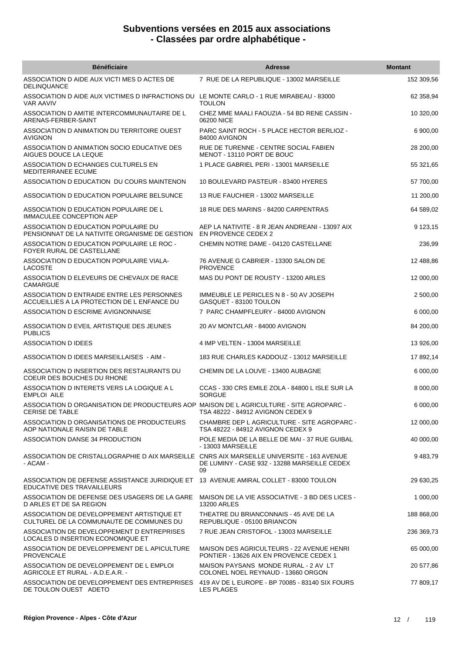| <b>Bénéficiaire</b>                                                                                                 | <b>Adresse</b>                                                                          | <b>Montant</b> |
|---------------------------------------------------------------------------------------------------------------------|-----------------------------------------------------------------------------------------|----------------|
| ASSOCIATION D AIDE AUX VICTI MES D ACTES DE<br><b>DELINQUANCE</b>                                                   | 7 RUE DE LA REPUBLIQUE - 13002 MARSEILLE                                                | 152 309,56     |
| ASSOCIATION D AIDE AUX VICTIMES D INFRACTIONS DU LE MONTE CARLO - 1 RUE MIRABEAU - 83000<br><b>VAR AAVIV</b>        | <b>TOULON</b>                                                                           | 62 358,94      |
| ASSOCIATION D AMITIE INTERCOMMUNAUTAIRE DE L<br>ARENAS-FERBER-SAINT                                                 | CHEZ MME MAALI FAOUZIA - 54 BD RENE CASSIN -<br>06200 NICE                              | 10 320,00      |
| ASSOCIATION D ANIMATION DU TERRITOIRE OUEST<br><b>AVIGNON</b>                                                       | PARC SAINT ROCH - 5 PLACE HECTOR BERLIOZ -<br>84000 AVIGNON                             | 6 900,00       |
| ASSOCIATION D ANIMATION SOCIO EDUCATIVE DES<br>AIGUES DOUCE LA LEQUE                                                | RUE DE TURENNE - CENTRE SOCIAL FABIEN<br>MENOT - 13110 PORT DE BOUC                     | 28 200,00      |
| ASSOCIATION D ECHANGES CULTURELS EN<br>MEDITERRANEE ECUME                                                           | 1 PLACE GABRIEL PERI - 13001 MARSEILLE                                                  | 55 321,65      |
| ASSOCIATION D EDUCATION DU COURS MAINTENON                                                                          | 10 BOULEVARD PASTEUR - 83400 HYERES                                                     | 57 700,00      |
| ASSOCIATION D EDUCATION POPULAIRE BELSUNCE                                                                          | 13 RUE FAUCHIER - 13002 MARSEILLE                                                       | 11 200,00      |
| ASSOCIATION D EDUCATION POPULAIRE DE L<br><b>IMMACULEE CONCEPTION AEP</b>                                           | 18 RUE DES MARINS - 84200 CARPENTRAS                                                    | 64 589,02      |
| ASSOCIATION D EDUCATION POPULAIRE DU<br>PENSIONNAT DE LA NATIVITE ORGANISME DE GESTION                              | AEP LA NATIVITE - 8 R JEAN ANDREANI - 13097 AIX<br>EN PROVENCE CEDEX 2                  | 9 123,15       |
| ASSOCIATION D EDUCATION POPULAIRE LE ROC -<br>FOYER RURAL DE CASTELLANE                                             | CHEMIN NOTRE DAME - 04120 CASTELLANE                                                    | 236,99         |
| ASSOCIATION D EDUCATION POPULAIRE VIALA-<br><b>LACOSTE</b>                                                          | 76 AVENUE G CABRIER - 13300 SALON DE<br><b>PROVENCE</b>                                 | 12 488,86      |
| ASSOCIATION D ELEVEURS DE CHEVAUX DE RACE<br><b>CAMARGUE</b>                                                        | MAS DU PONT DE ROUSTY - 13200 ARLES                                                     | 12 000,00      |
| ASSOCIATION D ENTRAIDE ENTRE LES PERSONNES<br>ACCUEILLIES A LA PROTECTION DE L ENFANCE DU                           | IMMEUBLE LE PERICLES N 8 - 50 AV JOSEPH<br>GASQUET - 83100 TOULON                       | 2 500,00       |
| ASSOCIATION D ESCRIME AVIGNONNAISE                                                                                  | 7 PARC CHAMPFLEURY - 84000 AVIGNON                                                      | 6 000,00       |
| ASSOCIATION D EVEIL ARTISTIQUE DES JEUNES<br><b>PUBLICS</b>                                                         | 20 AV MONTCLAR - 84000 AVIGNON                                                          | 84 200,00      |
| ASSOCIATION D IDEES                                                                                                 | 4 IMP VELTEN - 13004 MARSEILLE                                                          | 13 926,00      |
| ASSOCIATION D IDEES MARSEILLAISES - AIM -                                                                           | 183 RUE CHARLES KADDOUZ - 13012 MARSEILLE                                               | 17 892,14      |
| ASSOCIATION D INSERTION DES RESTAURANTS DU<br>COEUR DES BOUCHES DU RHONE                                            | CHEMIN DE LA LOUVE - 13400 AUBAGNE                                                      | 6 000,00       |
| ASSOCIATION D INTERETS VERS LA LOGIQUE A L<br><b>EMPLOI AILE</b>                                                    | CCAS - 330 CRS EMILE ZOLA - 84800 L ISLE SUR LA<br><b>SORGUE</b>                        | 8 000,00       |
| ASSOCIATION D ORGANISATION DE PRODUCTEURS AOP MAISON DE L AGRICULTURE - SITE AGROPARC -<br><b>CERISE DE TABLE</b>   | TSA 48222 - 84912 AVIGNON CEDEX 9                                                       | 6 000,00       |
| ASSOCIATION D ORGANISATIONS DE PRODUCTEURS<br>AOP NATIONALE RAISIN DE TABLE                                         | <b>CHAMBRE DEP L AGRICULTURE - SITE AGROPARC -</b><br>TSA 48222 - 84912 AVIGNON CEDEX 9 | 12 000,00      |
| ASSOCIATION DANSE 34 PRODUCTION                                                                                     | POLE MEDIA DE LA BELLE DE MAI - 37 RUE GUIBAL<br>- 13003 MARSEILLE                      | 40 000,00      |
| ASSOCIATION DE CRISTALLOGRAPHIE D AIX MARSEILLE CNRS AIX MARSEILLE UNIVERSITE - 163 AVENUE<br>- ACAM -              | DE LUMINY - CASE 932 - 13288 MARSEILLE CEDEX<br>09                                      | 9 483,79       |
| ASSOCIATION DE DEFENSE ASSISTANCE JURIDIQUE ET 13 AVENUE AMIRAL COLLET - 83000 TOULON<br>EDUCATIVE DES TRAVAILLEURS |                                                                                         | 29 630,25      |
| ASSOCIATION DE DEFENSE DES USAGERS DE LA GARE<br>D ARLES ET DE SA REGION                                            | MAISON DE LA VIE ASSOCIATIVE - 3 BD DES LICES -<br>13200 ARLES                          | 1 000,00       |
| ASSOCIATION DE DEVELOPPEMENT ARTISTIQUE ET<br>CULTUREL DE LA COMMUNAUTE DE COMMUNES DU                              | THEATRE DU BRIANCONNAIS - 45 AVE DE LA<br>REPUBLIQUE - 05100 BRIANCON                   | 188 868,00     |
| ASSOCIATION DE DEVELOPPEMENT D ENTREPRISES<br>LOCALES D INSERTION ECONOMIQUE ET                                     | 7 RUE JEAN CRISTOFOL - 13003 MARSEILLE                                                  | 236 369,73     |
| ASSOCIATION DE DEVELOPPEMENT DE L APICULTURE<br><b>PROVENCALE</b>                                                   | MAISON DES AGRICULTEURS - 22 AVENUE HENRI<br>PONTIER - 13626 AIX EN PROVENCE CEDEX 1    | 65 000,00      |
| ASSOCIATION DE DEVELOPPEMENT DE L EMPLOI<br>AGRICOLE ET RURAL - A.D.E.A.R. -                                        | MAISON PAYSANS MONDE RURAL - 2 AV LT<br>COLONEL NOEL REYNAUD - 13660 ORGON              | 20 577,86      |
| ASSOCIATION DE DEVELOPPEMENT DES ENTREPRISES<br>DE TOULON OUEST ADETO                                               | 419 AV DE L EUROPE - BP 70085 - 83140 SIX FOURS<br><b>LES PLAGES</b>                    | 77 809,17      |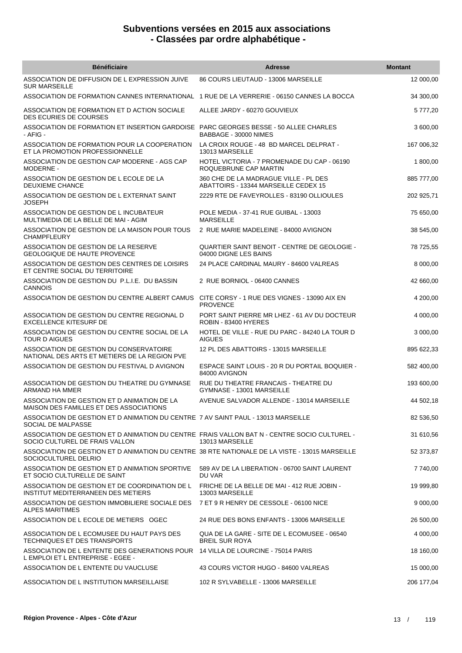| <b>Bénéficiaire</b>                                                                                                            | <b>Adresse</b>                                                                | <b>Montant</b> |
|--------------------------------------------------------------------------------------------------------------------------------|-------------------------------------------------------------------------------|----------------|
| ASSOCIATION DE DIFFUSION DE L EXPRESSION JUIVE<br><b>SUR MARSEILLE</b>                                                         | 86 COURS LIEUTAUD - 13006 MARSEILLE                                           | 12 000,00      |
| ASSOCIATION DE FORMATION CANNES INTERNATIONAL 1 RUE DE LA VERRERIE - 06150 CANNES LA BOCCA                                     |                                                                               | 34 300,00      |
| ASSOCIATION DE FORMATION ET D ACTION SOCIALE<br>DES ECURIES DE COURSES                                                         | ALLEE JARDY - 60270 GOUVIEUX                                                  | 5 777,20       |
| ASSOCIATION DE FORMATION ET INSERTION GARDOISE PARC GEORGES BESSE - 50 ALLEE CHARLES<br>- AFIG -                               | BABBAGE - 30000 NIMES                                                         | 3 600,00       |
| ASSOCIATION DE FORMATION POUR LA COOPERATION<br>ET LA PROMOTION PROFESSIONNELLE                                                | LA CROIX ROUGE - 48 BD MARCEL DELPRAT -<br>13013 MARSEILLE                    | 167 006,32     |
| ASSOCIATION DE GESTION CAP MODERNE - AGS CAP<br>MODERNE -                                                                      | HOTEL VICTORIA - 7 PROMENADE DU CAP - 06190<br>ROQUEBRUNE CAP MARTIN          | 1 800,00       |
| ASSOCIATION DE GESTION DE L ECOLE DE LA<br>DEUXIEME CHANCE                                                                     | 360 CHE DE LA MADRAGUE VILLE - PL DES<br>ABATTOIRS - 13344 MARSEILLE CEDEX 15 | 885 777,00     |
| ASSOCIATION DE GESTION DE L EXTERNAT SAINT<br><b>JOSEPH</b>                                                                    | 2229 RTE DE FAVEYROLLES - 83190 OLLIOULES                                     | 202 925,71     |
| ASSOCIATION DE GESTION DE L INCUBATEUR<br>MULTIMEDIA DE LA BELLE DE MAI - AGIM                                                 | POLE MEDIA - 37-41 RUE GUIBAL - 13003<br><b>MARSEILLE</b>                     | 75 650,00      |
| ASSOCIATION DE GESTION DE LA MAISON POUR TOUS<br><b>CHAMPFLEURY</b>                                                            | 2 RUE MARIE MADELEINE - 84000 AVIGNON                                         | 38 545,00      |
| ASSOCIATION DE GESTION DE LA RESERVE<br><b>GEOLOGIQUE DE HAUTE PROVENCE</b>                                                    | QUARTIER SAINT BENOIT - CENTRE DE GEOLOGIE -<br>04000 DIGNE LES BAINS         | 78 725,55      |
| ASSOCIATION DE GESTION DES CENTRES DE LOISIRS<br>ET CENTRE SOCIAL DU TERRITOIRE                                                | 24 PLACE CARDINAL MAURY - 84600 VALREAS                                       | 8 000,00       |
| ASSOCIATION DE GESTION DU P.L.I.E. DU BASSIN<br>CANNOIS                                                                        | 2 RUE BORNIOL - 06400 CANNES                                                  | 42 660,00      |
| ASSOCIATION DE GESTION DU CENTRE ALBERT CAMUS CITE CORSY - 1 RUE DES VIGNES - 13090 AIX EN                                     | <b>PROVENCE</b>                                                               | 4 200,00       |
| ASSOCIATION DE GESTION DU CENTRE REGIONAL D<br><b>EXCELLENCE KITESURF DE</b>                                                   | PORT SAINT PIERRE MR LHEZ - 61 AV DU DOCTEUR<br>ROBIN - 83400 HYERES          | 4 000,00       |
| ASSOCIATION DE GESTION DU CENTRE SOCIAL DE LA<br><b>TOUR D AIGUES</b>                                                          | HOTEL DE VILLE - RUE DU PARC - 84240 LA TOUR D<br><b>AIGUES</b>               | 3 000,00       |
| ASSOCIATION DE GESTION DU CONSERVATOIRE<br>NATIONAL DES ARTS ET METIERS DE LA REGION PVE                                       | 12 PL DES ABATTOIRS - 13015 MARSEILLE                                         | 895 622,33     |
| ASSOCIATION DE GESTION DU FESTIVAL D'AVIGNON                                                                                   | ESPACE SAINT LOUIS - 20 R DU PORTAIL BOQUIER -<br>84000 AVIGNON               | 582 400,00     |
| ASSOCIATION DE GESTION DU THEATRE DU GYMNASE<br>ARMAND HA MMER                                                                 | RUE DU THEATRE FRANCAIS - THEATRE DU<br>GYMNASE - 13001 MARSEILLE             | 193 600,00     |
| ASSOCIATION DE GESTION ET D ANIMATION DE LA<br>MAISON DES FAMILLES ET DES ASSOCIATIONS                                         | AVENUE SALVADOR ALLENDE - 13014 MARSEILLE                                     | 44 502,18      |
| ASSOCIATION DE GESTION ET D ANIMATION DU CENTRE 7 AV SAINT PAUL - 13013 MARSEILLE<br>SOCIAL DE MALPASSE                        |                                                                               | 82 536,50      |
| ASSOCIATION DE GESTION ET D ANIMATION DU CENTRE FRAIS VALLON BAT N - CENTRE SOCIO CULTUREL -<br>SOCIO CULTUREL DE FRAIS VALLON | 13013 MARSEILLE                                                               | 31 610,56      |
| ASSOCIATION DE GESTION ET D ANIMATION DU CENTRE 38 RTE NATIONALE DE LA VISTE - 13015 MARSEILLE<br>SOCIOCULTUREL DELRIO         |                                                                               | 52 373,87      |
| ASSOCIATION DE GESTION ET D ANIMATION SPORTIVE<br>ET SOCIO CULTURELLE DE SAINT                                                 | 589 AV DE LA LIBERATION - 06700 SAINT LAURENT<br>DU VAR                       | 7740,00        |
| ASSOCIATION DE GESTION ET DE COORDINATION DE L<br>INSTITUT MEDITERRANEEN DES METIERS                                           | FRICHE DE LA BELLE DE MAI - 412 RUE JOBIN -<br>13003 MARSEILLE                | 19 999,80      |
| ASSOCIATION DE GESTION IMMOBILIERE SOCIALE DES<br><b>ALPES MARITIMES</b>                                                       | 7 ET 9 R HENRY DE CESSOLE - 06100 NICE                                        | 9 000,00       |
| ASSOCIATION DE L ECOLE DE METIERS OGEC                                                                                         | 24 RUE DES BONS ENFANTS - 13006 MARSEILLE                                     | 26 500,00      |
| ASSOCIATION DE L ECOMUSEE DU HAUT PAYS DES<br>TECHNIQUES ET DES TRANSPORTS                                                     | QUA DE LA GARE - SITE DE L ECOMUSEE - 06540<br><b>BREIL SUR ROYA</b>          | 4 000,00       |
| ASSOCIATION DE L ENTENTE DES GENERATIONS POUR 14 VILLA DE LOURCINE - 75014 PARIS<br>L EMPLOI ET L ENTREPRISE - EGEE -          |                                                                               | 18 160,00      |
| ASSOCIATION DE L ENTENTE DU VAUCLUSE                                                                                           | 43 COURS VICTOR HUGO - 84600 VALREAS                                          | 15 000,00      |
| ASSOCIATION DE L INSTITUTION MARSEILLAISE                                                                                      | 102 R SYLVABELLE - 13006 MARSEILLE                                            | 206 177,04     |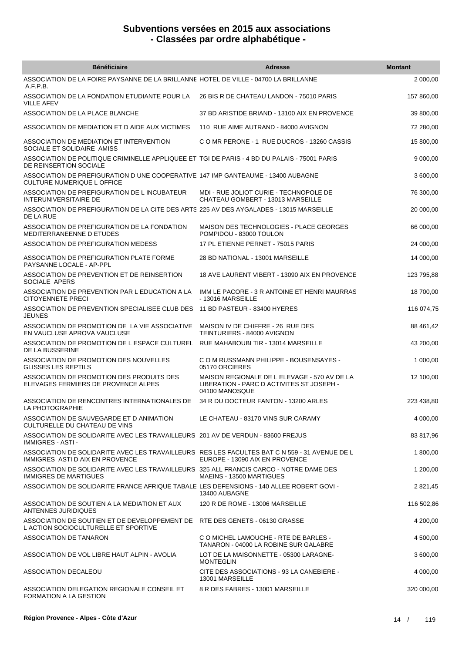| <b>Bénéficiaire</b>                                                                                                              | <b>Adresse</b>                                                                                              | <b>Montant</b> |
|----------------------------------------------------------------------------------------------------------------------------------|-------------------------------------------------------------------------------------------------------------|----------------|
| ASSOCIATION DE LA FOIRE PAYSANNE DE LA BRILLANNE HOTEL DE VILLE - 04700 LA BRILLANNE<br>A.F.P.B.                                 |                                                                                                             | 2 000,00       |
| ASSOCIATION DE LA FONDATION ETUDIANTE POUR LA<br><b>VILLE AFEV</b>                                                               | 26 BIS R DE CHATEAU LANDON - 75010 PARIS                                                                    | 157 860,00     |
| ASSOCIATION DE LA PLACE BLANCHE                                                                                                  | 37 BD ARISTIDE BRIAND - 13100 AIX EN PROVENCE                                                               | 39 800,00      |
| ASSOCIATION DE MEDIATION ET D AIDE AUX VICTIMES                                                                                  | 110 RUE AIME AUTRAND - 84000 AVIGNON                                                                        | 72 280,00      |
| ASSOCIATION DE MEDIATION ET INTERVENTION<br>SOCIALE ET SOLIDAIRE AMISS                                                           | C O MR PERONE - 1 RUE DUCROS - 13260 CASSIS                                                                 | 15 800,00      |
| ASSOCIATION DE POLITIQUE CRIMINELLE APPLIQUEE ET TGI DE PARIS - 4 BD DU PALAIS - 75001 PARIS<br>DE REINSERTION SOCIALE           |                                                                                                             | 9 000,00       |
| ASSOCIATION DE PREFIGURATION D UNE COOPERATIVE 147 IMP GANTEAUME - 13400 AUBAGNE<br><b>CULTURE NUMERIQUE L OFFICE</b>            |                                                                                                             | 3 600,00       |
| ASSOCIATION DE PREFIGURATION DE L INCUBATEUR<br><b>INTERUNIVERSITAIRE DE</b>                                                     | MDI - RUE JOLIOT CURIE - TECHNOPOLE DE<br>CHATEAU GOMBERT - 13013 MARSEILLE                                 | 76 300,00      |
| ASSOCIATION DE PREFIGURATION DE LA CITE DES ARTS 225 AV DES AYGALADES - 13015 MARSEILLE<br>DE LA RUE                             |                                                                                                             | 20 000,00      |
| ASSOCIATION DE PREFIGURATION DE LA FONDATION<br>MEDITERRANEENNE D ETUDES                                                         | MAISON DES TECHNOLOGIES - PLACE GEORGES<br>POMPIDOU - 83000 TOULON                                          | 66 000,00      |
| ASSOCIATION DE PREFIGURATION MEDESS                                                                                              | 17 PL ETIENNE PERNET - 75015 PARIS                                                                          | 24 000,00      |
| ASSOCIATION DE PREFIGURATION PLATE FORME<br>PAYSANNE LOCALE - AP-PPL                                                             | 28 BD NATIONAL - 13001 MARSEILLE                                                                            | 14 000,00      |
| ASSOCIATION DE PREVENTION ET DE REINSERTION<br>SOCIALE APERS                                                                     | 18 AVE LAURENT VIBERT - 13090 AIX EN PROVENCE                                                               | 123 795,88     |
| ASSOCIATION DE PREVENTION PAR L EDUCATION A LA<br><b>CITOYENNETE PRECI</b>                                                       | IMM LE PACORE - 3 R ANTOINE ET HENRI MAURRAS<br>- 13016 MARSEILLE                                           | 18 700,00      |
| ASSOCIATION DE PREVENTION SPECIALISEE CLUB DES<br><b>JEUNES</b>                                                                  | 11 BD PASTEUR - 83400 HYERES                                                                                | 116 074,75     |
| ASSOCIATION DE PROMOTION DE LA VIE ASSOCIATIVE<br>EN VAUCLUSE APROVA VAUCLUSE                                                    | MAISON IV DE CHIFFRE - 26 RUE DES<br>TEINTURIERS - 84000 AVIGNON                                            | 88 461,42      |
| ASSOCIATION DE PROMOTION DE L ESPACE CULTUREL RUE MAHABOUBI TIR - 13014 MARSEILLE<br>DE LA BUSSERINE                             |                                                                                                             | 43 200,00      |
| ASSOCIATION DE PROMOTION DES NOUVELLES<br><b>GLISSES LES REPTILS</b>                                                             | C O M RUSSMANN PHILIPPE - BOUSENSAYES -<br>05170 ORCIERES                                                   | 1 000,00       |
| ASSOCIATION DE PROMOTION DES PRODUITS DES<br>ELEVAGES FERMIERS DE PROVENCE ALPES                                                 | MAISON REGIONALE DE L ELEVAGE - 570 AV DE LA<br>LIBERATION - PARC D ACTIVITES ST JOSEPH -<br>04100 MANOSQUE | 12 100,00      |
| ASSOCIATION DE RENCONTRES INTERNATIONALES DE<br>LA PHOTOGRAPHIE                                                                  | 34 R DU DOCTEUR FANTON - 13200 ARLES                                                                        | 223 438,80     |
| ASSOCIATION DE SAUVEGARDE ET D ANIMATION<br>CULTURELLE DU CHATEAU DE VINS                                                        | LE CHATEAU - 83170 VINS SUR CARAMY                                                                          | 4 000,00       |
| ASSOCIATION DE SOLIDARITE AVEC LES TRAVAILLEURS 201 AV DE VERDUN - 83600 FREJUS<br><b>IMMIGRES - ASTI -</b>                      |                                                                                                             | 83 817,96      |
| ASSOCIATION DE SOLIDARITE AVEC LES TRAVAILLEURS RES LES FACULTES BAT C N 559 - 31 AVENUE DE L<br>IMMIGRES ASTI D AIX EN PROVENCE | EUROPE - 13090 AIX EN PROVENCE                                                                              | 1 800,00       |
| ASSOCIATION DE SOLIDARITE AVEC LES TRAVAILLEURS 325 ALL FRANCIS CARCO - NOTRE DAME DES<br><b>IMMIGRES DE MARTIGUES</b>           | MAEINS - 13500 MARTIGUES                                                                                    | 1 200,00       |
| ASSOCIATION DE SOLIDARITE FRANCE AFRIQUE TABALE LES DEFENSIONS - 140 ALLEE ROBERT GOVI -                                         | 13400 AUBAGNE                                                                                               | 2 821,45       |
| ASSOCIATION DE SOUTIEN A LA MEDIATION ET AUX<br>ANTENNES JURIDIQUES                                                              | 120 R DE ROME - 13006 MARSEILLE                                                                             | 116 502,86     |
| ASSOCIATION DE SOUTIEN ET DE DEVELOPPEMENT DE RTE DES GENETS - 06130 GRASSE<br>L ACTION SOCIOCULTURELLE ET SPORTIVE              |                                                                                                             | 4 200,00       |
| ASSOCIATION DE TANARON                                                                                                           | C O MICHEL LAMOUCHE - RTE DE BARLES -<br>TANARON - 04000 LA ROBINE SUR GALABRE                              | 4 500,00       |
| ASSOCIATION DE VOL LIBRE HAUT ALPIN - AVOLIA                                                                                     | LOT DE LA MAISONNETTE - 05300 LARAGNE-<br><b>MONTEGLIN</b>                                                  | 3 600,00       |
| ASSOCIATION DECALEOU                                                                                                             | CITE DES ASSOCIATIONS - 93 LA CANEBIERE -<br>13001 MARSEILLE                                                | 4 000,00       |
| ASSOCIATION DELEGATION REGIONALE CONSEIL ET<br>FORMATION A LA GESTION                                                            | 8 R DES FABRES - 13001 MARSEILLE                                                                            | 320 000,00     |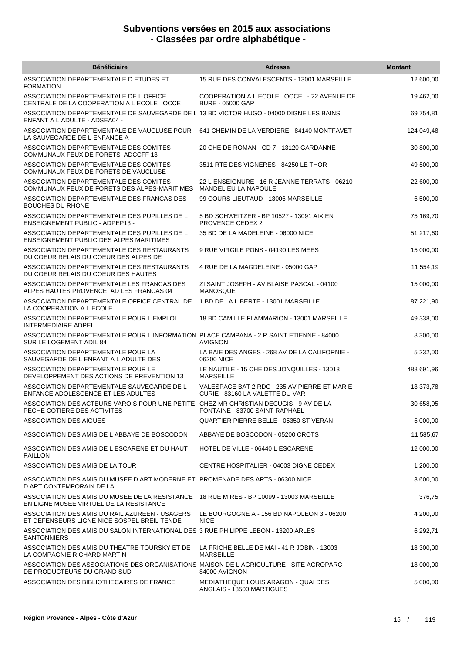| <b>Bénéficiaire</b>                                                                                                                 | <b>Adresse</b>                                                                  | <b>Montant</b> |
|-------------------------------------------------------------------------------------------------------------------------------------|---------------------------------------------------------------------------------|----------------|
| ASSOCIATION DEPARTEMENTALE D ETUDES ET<br><b>FORMATION</b>                                                                          | 15 RUE DES CONVALESCENTS - 13001 MARSEILLE                                      | 12 600,00      |
| ASSOCIATION DEPARTEMENTALE DE L OFFICE<br>CENTRALE DE LA COOPERATION A L ECOLE OCCE                                                 | COOPERATION A L ECOLE OCCE - 22 AVENUE DE<br><b>BURE - 05000 GAP</b>            | 19 462,00      |
| ASSOCIATION DEPARTEMENTALE DE SAUVEGARDE DE L 13 BD VICTOR HUGO - 04000 DIGNE LES BAINS<br>ENFANT A L ADULTE - ADSEA04 -            |                                                                                 | 69 754,81      |
| ASSOCIATION DEPARTEMENTALE DE VAUCLUSE POUR<br>LA SAUVEGARDE DE L ENFANCE A                                                         | 641 CHEMIN DE LA VERDIERE - 84140 MONTFAVET                                     | 124 049,48     |
| ASSOCIATION DEPARTEMENTALE DES COMITES<br>COMMUNAUX FEUX DE FORETS ADCCFF 13                                                        | 20 CHE DE ROMAN - CD 7 - 13120 GARDANNE                                         | 30 800,00      |
| ASSOCIATION DEPARTEMENTALE DES COMITES<br>COMMUNAUX FEUX DE FORETS DE VAUCLUSE                                                      | 3511 RTE DES VIGNERES - 84250 LE THOR                                           | 49 500,00      |
| ASSOCIATION DEPARTEMENTALE DES COMITES<br>COMMUNAUX FEUX DE FORETS DES ALPES-MARITIMES                                              | 22 L ENSEIGNURE - 16 R JEANNE TERRATS - 06210<br>MANDELIEU LA NAPOULE           | 22 600,00      |
| ASSOCIATION DEPARTEMENTALE DES FRANCAS DES<br><b>BOUCHES DU RHONE</b>                                                               | 99 COURS LIEUTAUD - 13006 MARSEILLE                                             | 6 500,00       |
| ASSOCIATION DEPARTEMENTALE DES PUPILLES DE L<br>ENSEIGNEMENT PUBLIC - ADPEP13 -                                                     | 5 BD SCHWEITZER - BP 10527 - 13091 AIX EN<br><b>PROVENCE CEDEX 2</b>            | 75 169,70      |
| ASSOCIATION DEPARTEMENTALE DES PUPILLES DE L<br>ENSEIGNEMENT PUBLIC DES ALPES MARITIMES                                             | 35 BD DE LA MADELEINE - 06000 NICE                                              | 51 217,60      |
| ASSOCIATION DEPARTEMENTALE DES RESTAURANTS<br>DU COEUR RELAIS DU COEUR DES ALPES DE                                                 | 9 RUE VIRGILE PONS - 04190 LES MEES                                             | 15 000,00      |
| ASSOCIATION DEPARTEMENTALE DES RESTAURANTS<br>DU COEUR RELAIS DU COEUR DES HAUTES                                                   | 4 RUE DE LA MAGDELEINE - 05000 GAP                                              | 11 554,19      |
| ASSOCIATION DEPARTEMENTALE LES FRANCAS DES<br>ALPES HAUTES PROVENCE AD LES FRANCAS 04                                               | ZI SAINT JOSEPH - AV BLAISE PASCAL - 04100<br>MANOSQUE                          | 15 000,00      |
| ASSOCIATION DEPARTEMENTALE OFFICE CENTRAL DE<br>LA COOPERATION A L ECOLE                                                            | 1 BD DE LA LIBERTE - 13001 MARSEILLE                                            | 87 221,90      |
| ASSOCIATION DEPARTEMENTALE POUR L EMPLOI<br><b>INTERMEDIAIRE ADPEI</b>                                                              | 18 BD CAMILLE FLAMMARION - 13001 MARSEILLE                                      | 49 338,00      |
| ASSOCIATION DEPARTEMENTALE POUR L INFORMATION PLACE CAMPANA - 2 R SAINT ETIENNE - 84000<br>SUR LE LOGEMENT ADIL 84                  | <b>AVIGNON</b>                                                                  | 8 300,00       |
| ASSOCIATION DEPARTEMENTALE POUR LA<br>SAUVEGARDE DE L ENFANT A L ADULTE DES                                                         | LA BAIE DES ANGES - 268 AV DE LA CALIFORNIE -<br>06200 NICE                     | 5 232,00       |
| ASSOCIATION DEPARTEMENTALE POUR LE<br>DEVELOPPEMENT DES ACTIONS DE PREVENTION 13                                                    | LE NAUTILE - 15 CHE DES JONQUILLES - 13013<br><b>MARSEILLE</b>                  | 488 691,96     |
| ASSOCIATION DEPARTEMENTALE SAUVEGARDE DE L<br>ENFANCE ADOLESCENCE ET LES ADULTES                                                    | VALESPACE BAT 2 RDC - 235 AV PIERRE ET MARIE<br>CURIE - 83160 LA VALETTE DU VAR | 13 373,78      |
| ASSOCIATION DES ACTEURS VAROIS POUR UNE PETITE CHEZ MR CHRISTIAN DECUGIS - 9 AV DE LA<br>PECHE COTIERE DES ACTIVITES                | FONTAINE - 83700 SAINT RAPHAEL                                                  | 30 658,95      |
| ASSOCIATION DES AIGUES                                                                                                              | QUARTIER PIERRE BELLE - 05350 ST VERAN                                          | 5 000,00       |
| ASSOCIATION DES AMIS DE L ABBAYE DE BOSCODON                                                                                        | ABBAYE DE BOSCODON - 05200 CROTS                                                | 11 585,67      |
| ASSOCIATION DES AMIS DE L ESCARENE ET DU HAUT<br><b>PAILLON</b>                                                                     | HOTEL DE VILLE - 06440 L ESCARENE                                               | 12 000,00      |
| ASSOCIATION DES AMIS DE LA TOUR                                                                                                     | CENTRE HOSPITALIER - 04003 DIGNE CEDEX                                          | 1 200,00       |
| ASSOCIATION DES AMIS DU MUSEE D ART MODERNE ET PROMENADE DES ARTS - 06300 NICE<br>D ART CONTEMPORAIN DE LA                          |                                                                                 | 3 600,00       |
| ASSOCIATION DES AMIS DU MUSEE DE LA RESISTANCE 18 RUE MIRES - BP 10099 - 13003 MARSEILLE<br>EN LIGNE MUSEE VIRTUEL DE LA RESISTANCE |                                                                                 | 376,75         |
| ASSOCIATION DES AMIS DU RAIL AZUREEN - USAGERS<br>ET DEFENSEURS LIGNE NICE SOSPEL BREIL TENDE                                       | LE BOURGOGNE A - 156 BD NAPOLEON 3 - 06200<br><b>NICE</b>                       | 4 200,00       |
| ASSOCIATION DES AMIS DU SALON INTERNATIONAL DES 3 RUE PHILIPPE LEBON - 13200 ARLES<br><b>SANTONNIERS</b>                            |                                                                                 | 6 292,71       |
| ASSOCIATION DES AMIS DU THEATRE TOURSKY ET DE<br>LA COMPAGNIE RICHARD MARTIN                                                        | LA FRICHE BELLE DE MAI - 41 R JOBIN - 13003<br><b>MARSEILLE</b>                 | 18 300,00      |
| ASSOCIATION DES ASSOCIATIONS DES ORGANISATIONS MAISON DE LAGRICULTURE - SITE AGROPARC -<br>DE PRODUCTEURS DU GRAND SUD-             | 84000 AVIGNON                                                                   | 18 000,00      |
| ASSOCIATION DES BIBLIOTHECAIRES DE FRANCE                                                                                           | <b>MEDIATHEQUE LOUIS ARAGON - QUAI DES</b><br>ANGLAIS - 13500 MARTIGUES         | 5 000,00       |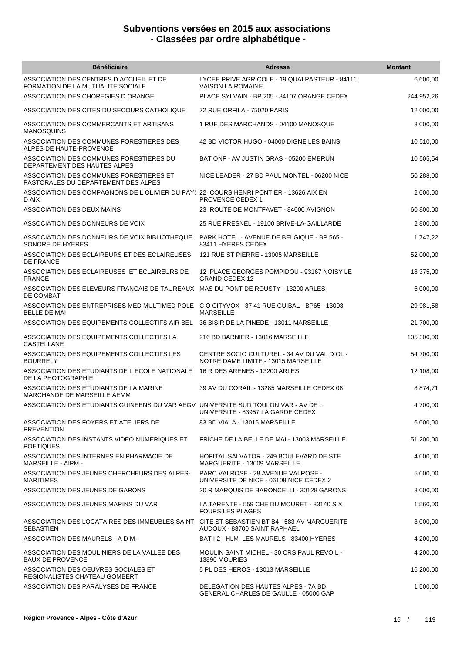| <b>Bénéficiaire</b>                                                                                                | <b>Adresse</b>                                                                     | <b>Montant</b> |
|--------------------------------------------------------------------------------------------------------------------|------------------------------------------------------------------------------------|----------------|
| ASSOCIATION DES CENTRES D ACCUEIL ET DE<br>FORMATION DE LA MUTUALITE SOCIALE                                       | LYCEE PRIVE AGRICOLE - 19 QUAI PASTEUR - 84110<br><b>VAISON LA ROMAINE</b>         | 6 600,00       |
| ASSOCIATION DES CHOREGIES D ORANGE                                                                                 | PLACE SYLVAIN - BP 205 - 84107 ORANGE CEDEX                                        | 244 952,26     |
| ASSOCIATION DES CITES DU SECOURS CATHOLIQUE                                                                        | 72 RUE ORFILA - 75020 PARIS                                                        | 12 000,00      |
| ASSOCIATION DES COMMERCANTS ET ARTISANS<br><b>MANOSQUINS</b>                                                       | 1 RUE DES MARCHANDS - 04100 MANOSQUE                                               | 3 000,00       |
| ASSOCIATION DES COMMUNES FORESTIERES DES<br>ALPES DE HAUTE-PROVENCE                                                | 42 BD VICTOR HUGO - 04000 DIGNE LES BAINS                                          | 10 510,00      |
| ASSOCIATION DES COMMUNES FORESTIERES DU<br>DEPARTEMENT DES HAUTES ALPES                                            | BAT ONF - AV JUSTIN GRAS - 05200 EMBRUN                                            | 10 505,54      |
| ASSOCIATION DES COMMUNES FORESTIERES ET<br>PASTORALES DU DEPARTEMENT DES ALPES                                     | NICE LEADER - 27 BD PAUL MONTEL - 06200 NICE                                       | 50 288,00      |
| ASSOCIATION DES COMPAGNONS DE L OLIVIER DU PAYS 22 COURS HENRI PONTIER - 13626 AIX EN<br>D AIX                     | <b>PROVENCE CEDEX 1</b>                                                            | 2 000,00       |
| ASSOCIATION DES DEUX MAINS                                                                                         | 23 ROUTE DE MONTFAVET - 84000 AVIGNON                                              | 60 800,00      |
| ASSOCIATION DES DONNEURS DE VOIX                                                                                   | 25 RUE FRESNEL - 19100 BRIVE-LA-GAILLARDE                                          | 2 800,00       |
| ASSOCIATION DES DONNEURS DE VOIX BIBLIOTHEQUE<br>SONORE DE HYERES                                                  | PARK HOTEL - AVENUE DE BELGIQUE - BP 565 -<br>83411 HYERES CEDEX                   | 1 747,22       |
| ASSOCIATION DES ECLAIREURS ET DES ECLAIREUSES<br>DE FRANCE                                                         | 121 RUE ST PIERRE - 13005 MARSEILLE                                                | 52 000,00      |
| ASSOCIATION DES ECLAIREUSES ET ECLAIREURS DE<br><b>FRANCE</b>                                                      | 12 PLACE GEORGES POMPIDOU - 93167 NOISY LE<br><b>GRAND CEDEX 12</b>                | 18 375,00      |
| ASSOCIATION DES ELEVEURS FRANCAIS DE TAUREAUX MAS DU PONT DE ROUSTY - 13200 ARLES<br>DE COMBAT                     |                                                                                    | 6 000,00       |
| ASSOCIATION DES ENTREPRISES MED MULTIMED POLE C O CITYVOX - 37 41 RUE GUIBAL - BP65 - 13003<br><b>BELLE DE MAI</b> | <b>MARSEILLE</b>                                                                   | 29 981,58      |
| ASSOCIATION DES EQUIPEMENTS COLLECTIFS AIR BEL                                                                     | 36 BIS R DE LA PINEDE - 13011 MARSEILLE                                            | 21 700,00      |
| ASSOCIATION DES EQUIPEMENTS COLLECTIFS LA<br>CASTELLANE                                                            | 216 BD BARNIER - 13016 MARSEILLE                                                   | 105 300,00     |
| ASSOCIATION DES EQUIPEMENTS COLLECTIFS LES<br><b>BOURRELY</b>                                                      | CENTRE SOCIO CULTUREL - 34 AV DU VAL D OL -<br>NOTRE DAME LIMITE - 13015 MARSEILLE | 54 700,00      |
| ASSOCIATION DES ETUDIANTS DE L ECOLE NATIONALE<br>DE LA PHOTOGRAPHIE                                               | 16 R DES ARENES - 13200 ARLES                                                      | 12 108,00      |
| ASSOCIATION DES ETUDIANTS DE LA MARINE<br>MARCHANDE DE MARSEILLE AEMM                                              | 39 AV DU CORAIL - 13285 MARSEILLE CEDEX 08                                         | 8 874,71       |
| ASSOCIATION DES ETUDIANTS GUINEENS DU VAR AEGV UNIVERSITE SUD TOULON VAR - AV DE L                                 | UNIVERSITE - 83957 LA GARDE CEDEX                                                  | 4 700,00       |
| ASSOCIATION DES FOYERS ET ATELIERS DE<br><b>PREVENTION</b>                                                         | 83 BD VIALA - 13015 MARSEILLE                                                      | 6 000,00       |
| ASSOCIATION DES INSTANTS VIDEO NUMERIQUES ET<br><b>POETIQUES</b>                                                   | FRICHE DE LA BELLE DE MAI - 13003 MARSEILLE                                        | 51 200,00      |
| ASSOCIATION DES INTERNES EN PHARMACIE DE<br><b>MARSEILLE - AIPM -</b>                                              | HOPITAL SALVATOR - 249 BOULEVARD DE STE<br>MARGUERITE - 13009 MARSEILLE            | 4 000,00       |
| ASSOCIATION DES JEUNES CHERCHEURS DES ALPES-<br><b>MARITIMES</b>                                                   | PARC VALROSE - 28 AVENUE VALROSE -<br>UNIVERSITE DE NICE - 06108 NICE CEDEX 2      | 5 000,00       |
| ASSOCIATION DES JEUNES DE GARONS                                                                                   | 20 R MARQUIS DE BARONCELLI - 30128 GARONS                                          | 3 000,00       |
| ASSOCIATION DES JEUNES MARINS DU VAR                                                                               | LA TARENTE - 559 CHE DU MOURET - 83140 SIX<br><b>FOURS LES PLAGES</b>              | 1 560,00       |
| ASSOCIATION DES LOCATAIRES DES IMMEUBLES SAINT CITE ST SEBASTIEN BT B4 - 583 AV MARGUERITE<br><b>SEBASTIEN</b>     | AUDOUX - 83700 SAINT RAPHAEL                                                       | 3 000,00       |
| ASSOCIATION DES MAURELS - A D M -                                                                                  | BAT I 2 - HLM LES MAURELS - 83400 HYERES                                           | 4 200,00       |
| ASSOCIATION DES MOULINIERS DE LA VALLEE DES<br><b>BAUX DE PROVENCE</b>                                             | MOULIN SAINT MICHEL - 30 CRS PAUL REVOIL -<br>13890 MOURIES                        | 4 200,00       |
| ASSOCIATION DES OEUVRES SOCIALES ET<br>REGIONALISTES CHATEAU GOMBERT                                               | 5 PL DES HEROS - 13013 MARSEILLE                                                   | 16 200,00      |
| ASSOCIATION DES PARALYSES DE FRANCE                                                                                | DELEGATION DES HAUTES ALPES - 7A BD<br>GENERAL CHARLES DE GAULLE - 05000 GAP       | 1 500,00       |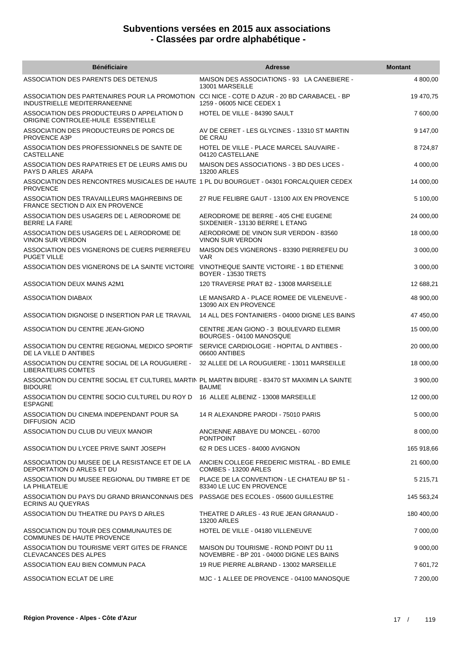| <b>Bénéficiaire</b>                                                                                             | <b>Adresse</b>                                                                     | <b>Montant</b> |
|-----------------------------------------------------------------------------------------------------------------|------------------------------------------------------------------------------------|----------------|
| ASSOCIATION DES PARENTS DES DETENUS                                                                             | MAISON DES ASSOCIATIONS - 93 LA CANEBIERE -<br>13001 MARSEILLE                     | 4 800,00       |
| ASSOCIATION DES PARTENAIRES POUR LA PROMOTION<br>INDUSTRIELLE MEDITERRANEENNE                                   | CCI NICE - COTE D AZUR - 20 BD CARABACEL - BP<br>1259 - 06005 NICE CEDEX 1         | 19 470,75      |
| ASSOCIATION DES PRODUCTEURS D APPELATION D<br>ORIGINE CONTROLEE-HUILE ESSENTIELLE                               | HOTEL DE VILLE - 84390 SAULT                                                       | 7 600,00       |
| ASSOCIATION DES PRODUCTEURS DE PORCS DE<br>PROVENCE A3P                                                         | AV DE CERET - LES GLYCINES - 13310 ST MARTIN<br>DE CRAU                            | 9 147,00       |
| ASSOCIATION DES PROFESSIONNELS DE SANTE DE<br><b>CASTELLANE</b>                                                 | HOTEL DE VILLE - PLACE MARCEL SAUVAIRE -<br>04120 CASTELLANE                       | 8724,87        |
| ASSOCIATION DES RAPATRIES ET DE LEURS AMIS DU<br>PAYS D ARLES ARAPA                                             | MAISON DES ASSOCIATIONS - 3 BD DES LICES -<br>13200 ARLES                          | 4 000,00       |
| ASSOCIATION DES RENCONTRES MUSICALES DE HAUTE 1 PL DU BOURGUET - 04301 FORCALQUIER CEDEX<br><b>PROVENCE</b>     |                                                                                    | 14 000,00      |
| ASSOCIATION DES TRAVAILLEURS MAGHREBINS DE<br>FRANCE SECTION D AIX EN PROVENCE                                  | 27 RUE FELIBRE GAUT - 13100 AIX EN PROVENCE                                        | 5 100,00       |
| ASSOCIATION DES USAGERS DE L AERODROME DE<br><b>BERRE LA FARE</b>                                               | AERODROME DE BERRE - 405 CHE EUGENE<br>SIXDENIER - 13130 BERRE L ETANG             | 24 000,00      |
| ASSOCIATION DES USAGERS DE L AERODROME DE<br><b>VINON SUR VERDON</b>                                            | AERODROME DE VINON SUR VERDON - 83560<br><b>VINON SUR VERDON</b>                   | 18 000,00      |
| ASSOCIATION DES VIGNERONS DE CUERS PIERREFEU<br><b>PUGET VILLE</b>                                              | MAISON DES VIGNERONS - 83390 PIERREFEU DU<br><b>VAR</b>                            | 3 000,00       |
| ASSOCIATION DES VIGNERONS DE LA SAINTE VICTOIRE                                                                 | VINOTHEQUE SAINTE VICTOIRE - 1 BD ETIENNE<br><b>BOYER - 13530 TRETS</b>            | 3 000,00       |
| <b>ASSOCIATION DEUX MAINS A2M1</b>                                                                              | 120 TRAVERSE PRAT B2 - 13008 MARSEILLE                                             | 12 688,21      |
| ASSOCIATION DIABAIX                                                                                             | LE MANSARD A - PLACE ROMEE DE VILENEUVE -<br>13090 AIX EN PROVENCE                 | 48 900,00      |
| ASSOCIATION DIGNOISE D INSERTION PAR LE TRAVAIL                                                                 | 14 ALL DES FONTAINIERS - 04000 DIGNE LES BAINS                                     | 47 450,00      |
| ASSOCIATION DU CENTRE JEAN-GIONO                                                                                | CENTRE JEAN GIONO - 3 BOULEVARD ELEMIR<br>BOURGES - 04100 MANOSQUE                 | 15 000,00      |
| ASSOCIATION DU CENTRE REGIONAL MEDICO SPORTIF<br>DE LA VILLE D ANTIBES                                          | SERVICE CARDIOLOGIE - HOPITAL D ANTIBES -<br>06600 ANTIBES                         | 20 000,00      |
| ASSOCIATION DU CENTRE SOCIAL DE LA ROUGUIERE -<br><b>LIBERATEURS COMTES</b>                                     | 32 ALLEE DE LA ROUGUIERE - 13011 MARSEILLE                                         | 18 000,00      |
| ASSOCIATION DU CENTRE SOCIAL ET CULTUREL MARTIN PL MARTIN BIDURE - 83470 ST MAXIMIN LA SAINTE<br><b>BIDOURE</b> | <b>BAUME</b>                                                                       | 3 900,00       |
| ASSOCIATION DU CENTRE SOCIO CULTUREL DU ROY D<br><b>ESPAGNE</b>                                                 | 16 ALLEE ALBENIZ - 13008 MARSEILLE                                                 | 12 000,00      |
| ASSOCIATION DU CINEMA INDEPENDANT POUR SA<br><b>DIFFUSION ACID</b>                                              | 14 R ALEXANDRE PARODI - 75010 PARIS                                                | 5 000,00       |
| ASSOCIATION DU CLUB DU VIEUX MANOIR                                                                             | ANCIENNE ABBAYE DU MONCEL - 60700<br><b>PONTPOINT</b>                              | 8 000,00       |
| ASSOCIATION DU LYCEE PRIVE SAINT JOSEPH                                                                         | 62 R DES LICES - 84000 AVIGNON                                                     | 165 918,66     |
| ASSOCIATION DU MUSEE DE LA RESISTANCE ET DE LA<br>DEPORTATION D ARLES ET DU                                     | ANCIEN COLLEGE FREDERIC MISTRAL - BD EMILE<br>COMBES - 13200 ARLES                 | 21 600,00      |
| ASSOCIATION DU MUSEE REGIONAL DU TIMBRE ET DE<br>LA PHILATELIE                                                  | PLACE DE LA CONVENTION - LE CHATEAU BP 51 -<br>83340 LE LUC EN PROVENCE            | 5 215,71       |
| ASSOCIATION DU PAYS DU GRAND BRIANCONNAIS DES PASSAGE DES ECOLES - 05600 GUILLESTRE<br><b>ECRINS AU QUEYRAS</b> |                                                                                    | 145 563,24     |
| ASSOCIATION DU THEATRE DU PAYS D ARLES                                                                          | THEATRE D ARLES - 43 RUE JEAN GRANAUD -<br>13200 ARLES                             | 180 400,00     |
| ASSOCIATION DU TOUR DES COMMUNAUTES DE<br>COMMUNES DE HAUTE PROVENCE                                            | HOTEL DE VILLE - 04180 VILLENEUVE                                                  | 7 000,00       |
| ASSOCIATION DU TOURISME VERT GITES DE FRANCE<br>CLEVACANCES DES ALPES                                           | MAISON DU TOURISME - ROND POINT DU 11<br>NOVEMBRE - BP 201 - 04000 DIGNE LES BAINS | 9 000,00       |
| ASSOCIATION EAU BIEN COMMUN PACA                                                                                | 19 RUE PIERRE ALBRAND - 13002 MARSEILLE                                            | 7 601,72       |
| ASSOCIATION ECLAT DE LIRE                                                                                       | MJC - 1 ALLEE DE PROVENCE - 04100 MANOSQUE                                         | 7 200,00       |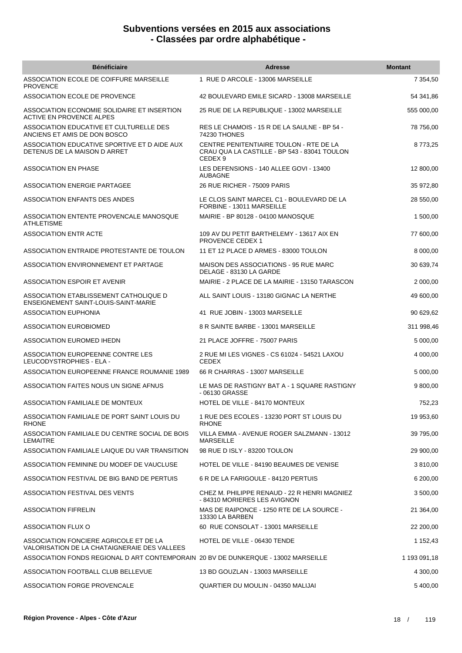| <b>Bénéficiaire</b>                                                                    | <b>Adresse</b>                                                                                                | <b>Montant</b> |
|----------------------------------------------------------------------------------------|---------------------------------------------------------------------------------------------------------------|----------------|
| ASSOCIATION ECOLE DE COIFFURE MARSEILLE<br><b>PROVENCE</b>                             | 1 RUE D ARCOLE - 13006 MARSEILLE                                                                              | 7 354,50       |
| ASSOCIATION ECOLE DE PROVENCE                                                          | 42 BOULEVARD EMILE SICARD - 13008 MARSEILLE                                                                   | 54 341,86      |
| ASSOCIATION ECONOMIE SOLIDAIRE ET INSERTION<br><b>ACTIVE EN PROVENCE ALPES</b>         | 25 RUE DE LA REPUBLIQUE - 13002 MARSEILLE                                                                     | 555 000,00     |
| ASSOCIATION EDUCATIVE ET CULTURELLE DES<br>ANCIENS ET AMIS DE DON BOSCO                | RES LE CHAMOIS - 15 R DE LA SAULNE - BP 54 -<br>74230 THONES                                                  | 78 756,00      |
| ASSOCIATION EDUCATIVE SPORTIVE ET D AIDE AUX<br>DETENUS DE LA MAISON D ARRET           | CENTRE PENITENTIAIRE TOULON - RTE DE LA<br>CRAU QUA LA CASTILLE - BP 543 - 83041 TOULON<br>CEDEX <sub>9</sub> | 8773,25        |
| ASSOCIATION EN PHASE                                                                   | LES DEFENSIONS - 140 ALLEE GOVI - 13400<br><b>AUBAGNE</b>                                                     | 12 800,00      |
| ASSOCIATION ENERGIE PARTAGEE                                                           | 26 RUE RICHER - 75009 PARIS                                                                                   | 35 972,80      |
| ASSOCIATION ENFANTS DES ANDES                                                          | LE CLOS SAINT MARCEL C1 - BOULEVARD DE LA<br>FORBINE - 13011 MARSEILLE                                        | 28 550,00      |
| ASSOCIATION ENTENTE PROVENCALE MANOSQUE<br><b>ATHLETISME</b>                           | MAIRIE - BP 80128 - 04100 MANOSQUE                                                                            | 1 500,00       |
| <b>ASSOCIATION ENTR ACTE</b>                                                           | 109 AV DU PETIT BARTHELEMY - 13617 AIX EN<br><b>PROVENCE CEDEX 1</b>                                          | 77 600,00      |
| ASSOCIATION ENTRAIDE PROTESTANTE DE TOULON                                             | 11 ET 12 PLACE D ARMES - 83000 TOULON                                                                         | 8 000,00       |
| ASSOCIATION ENVIRONNEMENT ET PARTAGE                                                   | <b>MAISON DES ASSOCIATIONS - 95 RUE MARC</b><br>DELAGE - 83130 LA GARDE                                       | 30 639,74      |
| ASSOCIATION ESPOIR ET AVENIR                                                           | MAIRIE - 2 PLACE DE LA MAIRIE - 13150 TARASCON                                                                | 2 000,00       |
| ASSOCIATION ETABLISSEMENT CATHOLIQUE D<br>ENSEIGNEMENT SAINT-LOUIS-SAINT-MARIE         | ALL SAINT LOUIS - 13180 GIGNAC LA NERTHE                                                                      | 49 600,00      |
| <b>ASSOCIATION EUPHONIA</b>                                                            | 41 RUE JOBIN - 13003 MARSEILLE                                                                                | 90 629,62      |
| ASSOCIATION EUROBIOMED                                                                 | 8 R SAINTE BARBE - 13001 MARSEILLE                                                                            | 311 998,46     |
| ASSOCIATION EUROMED IHEDN                                                              | 21 PLACE JOFFRE - 75007 PARIS                                                                                 | 5 000,00       |
| ASSOCIATION EUROPEENNE CONTRE LES<br>LEUCODYSTROPHIES - ELA -                          | 2 RUE MI LES VIGNES - CS 61024 - 54521 LAXOU<br><b>CEDEX</b>                                                  | 4 000,00       |
| ASSOCIATION EUROPEENNE FRANCE ROUMANIE 1989                                            | 66 R CHARRAS - 13007 MARSEILLE                                                                                | 5 000,00       |
| ASSOCIATION FAITES NOUS UN SIGNE AFNUS                                                 | LE MAS DE RASTIGNY BAT A - 1 SQUARE RASTIGNY<br>- 06130 GRASSE                                                | 9 800,00       |
| ASSOCIATION FAMILIALE DE MONTEUX                                                       | HOTEL DE VILLE - 84170 MONTEUX                                                                                | 752,23         |
| ASSOCIATION FAMILIALE DE PORT SAINT LOUIS DU<br><b>RHONE</b>                           | 1 RUE DES ECOLES - 13230 PORT ST LOUIS DU<br><b>RHONE</b>                                                     | 19 953,60      |
| ASSOCIATION FAMILIALE DU CENTRE SOCIAL DE BOIS<br><b>LEMAITRE</b>                      | VILLA EMMA - AVENUE ROGER SALZMANN - 13012<br><b>MARSEILLE</b>                                                | 39 795,00      |
| ASSOCIATION FAMILIALE LAIQUE DU VAR TRANSITION                                         | 98 RUE D ISLY - 83200 TOULON                                                                                  | 29 900,00      |
| ASSOCIATION FEMININE DU MODEF DE VAUCLUSE                                              | HOTEL DE VILLE - 84190 BEAUMES DE VENISE                                                                      | 3 810,00       |
| ASSOCIATION FESTIVAL DE BIG BAND DE PERTUIS                                            | 6 R DE LA FARIGOULE - 84120 PERTUIS                                                                           | 6 200,00       |
| ASSOCIATION FESTIVAL DES VENTS                                                         | CHEZ M. PHILIPPE RENAUD - 22 R HENRI MAGNIEZ<br>- 84310 MORIERES LES AVIGNON                                  | 3 500,00       |
| <b>ASSOCIATION FIFRELIN</b>                                                            | MAS DE RAIPONCE - 1250 RTE DE LA SOURCE -<br>13330 LA BARBEN                                                  | 21 364,00      |
| ASSOCIATION FLUX O                                                                     | 60 RUE CONSOLAT - 13001 MARSEILLE                                                                             | 22 200,00      |
| ASSOCIATION FONCIERE AGRICOLE ET DE LA<br>VALORISATION DE LA CHATAIGNERAIE DES VALLEES | HOTEL DE VILLE - 06430 TENDE                                                                                  | 1 152,43       |
| ASSOCIATION FONDS REGIONAL D ART CONTEMPORAIN 20 BV DE DUNKERQUE - 13002 MARSEILLE     |                                                                                                               | 1 193 091,18   |
| ASSOCIATION FOOTBALL CLUB BELLEVUE                                                     | 13 BD GOUZLAN - 13003 MARSEILLE                                                                               | 4 300,00       |
| ASSOCIATION FORGE PROVENCALE                                                           | QUARTIER DU MOULIN - 04350 MALIJAI                                                                            | 5 400,00       |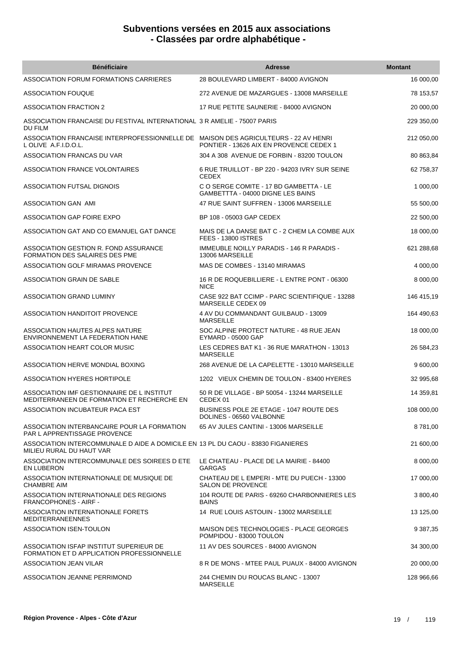| <b>Bénéficiaire</b>                                                                                          | <b>Adresse</b>                                                              | <b>Montant</b> |
|--------------------------------------------------------------------------------------------------------------|-----------------------------------------------------------------------------|----------------|
| ASSOCIATION FORUM FORMATIONS CARRIERES                                                                       | 28 BOULEVARD LIMBERT - 84000 AVIGNON                                        | 16 000,00      |
| ASSOCIATION FOUQUE                                                                                           | 272 AVENUE DE MAZARGUES - 13008 MARSEILLE                                   | 78 153,57      |
| <b>ASSOCIATION FRACTION 2</b>                                                                                | 17 RUE PETITE SAUNERIE - 84000 AVIGNON                                      | 20 000,00      |
| ASSOCIATION FRANCAISE DU FESTIVAL INTERNATIONAL 3 R AMELIE - 75007 PARIS<br>DU FILM                          |                                                                             | 229 350,00     |
| ASSOCIATION FRANCAISE INTERPROFESSIONNELLE DE MAISON DES AGRICULTEURS - 22 AV HENRI<br>L OLIVE A.F.I.D.O.L.  | PONTIER - 13626 AIX EN PROVENCE CEDEX 1                                     | 212 050,00     |
| ASSOCIATION FRANCAS DU VAR                                                                                   | 304 A 308 AVENUE DE FORBIN - 83200 TOULON                                   | 80 863,84      |
| ASSOCIATION FRANCE VOLONTAIRES                                                                               | 6 RUE TRUILLOT - BP 220 - 94203 IVRY SUR SEINE<br><b>CEDEX</b>              | 62 758,37      |
| ASSOCIATION FUTSAL DIGNOIS                                                                                   | C O SERGE COMITE - 17 BD GAMBETTA - LE<br>GAMBETTTA - 04000 DIGNE LES BAINS | 1 000,00       |
| ASSOCIATION GAN AMI                                                                                          | 47 RUE SAINT SUFFREN - 13006 MARSEILLE                                      | 55 500,00      |
| ASSOCIATION GAP FOIRE EXPO                                                                                   | BP 108 - 05003 GAP CEDEX                                                    | 22 500,00      |
| ASSOCIATION GAT AND CO EMANUEL GAT DANCE                                                                     | MAIS DE LA DANSE BAT C - 2 CHEM LA COMBE AUX<br><b>FEES - 13800 ISTRES</b>  | 18 000,00      |
| ASSOCIATION GESTION R. FOND ASSURANCE<br><b>FORMATION DES SALAIRES DES PME</b>                               | <b>IMMEUBLE NOILLY PARADIS - 146 R PARADIS -</b><br>13006 MARSEILLE         | 621 288,68     |
| ASSOCIATION GOLF MIRAMAS PROVENCE                                                                            | MAS DE COMBES - 13140 MIRAMAS                                               | 4 000,00       |
| ASSOCIATION GRAIN DE SABLE                                                                                   | 16 R DE ROQUEBILLIERE - L ENTRE PONT - 06300<br><b>NICE</b>                 | 8 000,00       |
| ASSOCIATION GRAND LUMINY                                                                                     | CASE 922 BAT CCIMP - PARC SCIENTIFIQUE - 13288<br>MARSEILLE CEDEX 09        | 146 415,19     |
| <b>ASSOCIATION HANDITOIT PROVENCE</b>                                                                        | 4 AV DU COMMANDANT GUILBAUD - 13009<br><b>MARSEILLE</b>                     | 164 490,63     |
| ASSOCIATION HAUTES ALPES NATURE<br>ENVIRONNEMENT LA FEDERATION HANE                                          | SOC ALPINE PROTECT NATURE - 48 RUE JEAN<br>EYMARD - 05000 GAP               | 18 000,00      |
| ASSOCIATION HEART COLOR MUSIC                                                                                | LES CEDRES BAT K1 - 36 RUE MARATHON - 13013<br><b>MARSEILLE</b>             | 26 584,23      |
| ASSOCIATION HERVE MONDIAL BOXING                                                                             | 268 AVENUE DE LA CAPELETTE - 13010 MARSEILLE                                | 9 600,00       |
| ASSOCIATION HYERES HORTIPOLE                                                                                 | 1202 VIEUX CHEMIN DE TOULON - 83400 HYERES                                  | 32 995,68      |
| ASSOCIATION IMF GESTIONNAIRE DE L INSTITUT<br>MEDITERRANEEN DE FORMATION ET RECHERCHE EN                     | 50 R DE VILLAGE - BP 50054 - 13244 MARSEILLE<br>CEDEX 01                    | 14 359,81      |
| ASSOCIATION INCUBATEUR PACA EST                                                                              | BUSINESS POLE 2E ETAGE - 1047 ROUTE DES<br>DOLINES - 06560 VALBONNE         | 108 000,00     |
| ASSOCIATION INTERBANCAIRE POUR LA FORMATION<br><b>PAR L APPRENTISSAGE PROVENCE</b>                           | 65 AV JULES CANTINI - 13006 MARSEILLE                                       | 8781,00        |
| ASSOCIATION INTERCOMMUNALE D AIDE A DOMICILE EN 13 PL DU CAOU - 83830 FIGANIERES<br>MILIEU RURAL DU HAUT VAR |                                                                             | 21 600,00      |
| ASSOCIATION INTERCOMMUNALE DES SOIREES D ETE<br><b>EN LUBERON</b>                                            | LE CHATEAU - PLACE DE LA MAIRIE - 84400<br><b>GARGAS</b>                    | 8 000,00       |
| ASSOCIATION INTERNATIONALE DE MUSIQUE DE<br><b>CHAMBRE AIM</b>                                               | CHATEAU DE L EMPERI - MTE DU PUECH - 13300<br><b>SALON DE PROVENCE</b>      | 17 000,00      |
| ASSOCIATION INTERNATIONALE DES REGIONS<br><b>FRANCOPHONES - AIRF -</b>                                       | 104 ROUTE DE PARIS - 69260 CHARBONNIERES LES<br><b>BAINS</b>                | 3 800,40       |
| ASSOCIATION INTERNATIONALE FORETS<br><b>MEDITERRANEENNES</b>                                                 | 14 RUE LOUIS ASTOUIN - 13002 MARSEILLE                                      | 13 125,00      |
| ASSOCIATION ISEN-TOULON                                                                                      | MAISON DES TECHNOLOGIES - PLACE GEORGES<br>POMPIDOU - 83000 TOULON          | 9 387,35       |
| ASSOCIATION ISFAP INSTITUT SUPERIEUR DE<br>FORMATION ET D APPLICATION PROFESSIONNELLE                        | 11 AV DES SOURCES - 84000 AVIGNON                                           | 34 300,00      |
| ASSOCIATION JEAN VILAR                                                                                       | 8 R DE MONS - MTEE PAUL PUAUX - 84000 AVIGNON                               | 20 000,00      |
| ASSOCIATION JEANNE PERRIMOND                                                                                 | 244 CHEMIN DU ROUCAS BLANC - 13007<br><b>MARSEILLE</b>                      | 128 966,66     |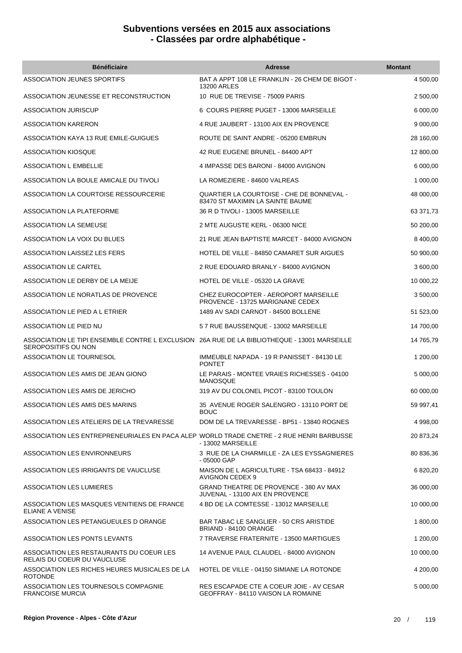| <b>Bénéficiaire</b>                                                                                                 | <b>Adresse</b>                                                                 | <b>Montant</b> |
|---------------------------------------------------------------------------------------------------------------------|--------------------------------------------------------------------------------|----------------|
| ASSOCIATION JEUNES SPORTIFS                                                                                         | BAT A APPT 108 LE FRANKLIN - 26 CHEM DE BIGOT -<br><b>13200 ARLES</b>          | 4 500,00       |
| ASSOCIATION JEUNESSE ET RECONSTRUCTION                                                                              | 10 RUE DE TREVISE - 75009 PARIS                                                | 2 500,00       |
| <b>ASSOCIATION JURISCUP</b>                                                                                         | 6 COURS PIERRE PUGET - 13006 MARSEILLE                                         | 6 000,00       |
| ASSOCIATION KARERON                                                                                                 | 4 RUE JAUBERT - 13100 AIX EN PROVENCE                                          | 9 000,00       |
| ASSOCIATION KAYA 13 RUE EMILE-GUIGUES                                                                               | ROUTE DE SAINT ANDRE - 05200 EMBRUN                                            | 28 160,00      |
| ASSOCIATION KIOSQUE                                                                                                 | 42 RUE EUGENE BRUNEL - 84400 APT                                               | 12 800,00      |
| <b>ASSOCIATION L EMBELLIE</b>                                                                                       | 4 IMPASSE DES BARONI - 84000 AVIGNON                                           | 6 000,00       |
| ASSOCIATION LA BOULE AMICALE DU TIVOLI                                                                              | LA ROMEZIERE - 84600 VALREAS                                                   | 1 000,00       |
| ASSOCIATION LA COURTOISE RESSOURCERIE                                                                               | QUARTIER LA COURTOISE - CHE DE BONNEVAL -<br>83470 ST MAXIMIN LA SAINTE BAUME  | 48 000,00      |
| ASSOCIATION LA PLATEFORME                                                                                           | 36 R D TIVOLI - 13005 MARSEILLE                                                | 63 371,73      |
| ASSOCIATION LA SEMEUSE                                                                                              | 2 MTE AUGUSTE KERL - 06300 NICE                                                | 50 200,00      |
| ASSOCIATION LA VOIX DU BLUES                                                                                        | 21 RUE JEAN BAPTISTE MARCET - 84000 AVIGNON                                    | 8 400,00       |
| ASSOCIATION LAISSEZ LES FERS                                                                                        | HOTEL DE VILLE - 84850 CAMARET SUR AIGUES                                      | 50 900,00      |
| <b>ASSOCIATION LE CARTEL</b>                                                                                        | 2 RUE EDOUARD BRANLY - 84000 AVIGNON                                           | 3 600,00       |
| ASSOCIATION LE DERBY DE LA MEIJE                                                                                    | HOTEL DE VILLE - 05320 LA GRAVE                                                | 10 000,22      |
| ASSOCIATION LE NORATLAS DE PROVENCE                                                                                 | CHEZ EUROCOPTER - AEROPORT MARSEILLE<br>PROVENCE - 13725 MARIGNANE CEDEX       | 3 500,00       |
| ASSOCIATION LE PIED A L ETRIER                                                                                      | 1489 AV SADI CARNOT - 84500 BOLLENE                                            | 51 523,00      |
| ASSOCIATION LE PIED NU                                                                                              | 57 RUE BAUSSENQUE - 13002 MARSEILLE                                            | 14 700,00      |
| ASSOCIATION LE TIPI ENSEMBLE CONTRE L EXCLUSION 26A RUE DE LA BIBLIOTHEQUE - 13001 MARSEILLE<br>SEROPOSITIFS OU NON |                                                                                | 14 765,79      |
| ASSOCIATION LE TOURNESOL                                                                                            | IMMEUBLE NAPADA - 19 R PANISSET - 84130 LE<br><b>PONTET</b>                    | 1 200,00       |
| ASSOCIATION LES AMIS DE JEAN GIONO                                                                                  | LE PARAIS - MONTEE VRAIES RICHESSES - 04100<br><b>MANOSQUE</b>                 | 5 000,00       |
| ASSOCIATION LES AMIS DE JERICHO                                                                                     | 319 AV DU COLONEL PICOT - 83100 TOULON                                         | 60 000,00      |
| ASSOCIATION LES AMIS DES MARINS                                                                                     | 35 AVENUE ROGER SALENGRO - 13110 PORT DE<br><b>BOUC</b>                        | 59 997,41      |
| ASSOCIATION LES ATELIERS DE LA TREVARESSE                                                                           | DOM DE LA TREVARESSE - BP51 - 13840 ROGNES                                     | 4 998,00       |
| ASSOCIATION LES ENTREPRENEURIALES EN PACA ALEP WORLD TRADE CNETRE - 2 RUE HENRI BARBUSSE                            | - 13002 MARSEILLE                                                              | 20 873,24      |
| ASSOCIATION LES ENVIRONNEURS                                                                                        | 3 RUE DE LA CHARMILLE - ZA LES EYSSAGNIERES<br>- 05000 GAP                     | 80 836,36      |
| ASSOCIATION LES IRRIGANTS DE VAUCLUSE                                                                               | MAISON DE L AGRICULTURE - TSA 68433 - 84912<br>AVIGNON CEDEX 9                 | 6 820,20       |
| ASSOCIATION LES LUMIERES                                                                                            | GRAND THEATRE DE PROVENCE - 380 AV MAX<br>JUVENAL - 13100 AIX EN PROVENCE      | 36 000,00      |
| ASSOCIATION LES MASQUES VENITIENS DE FRANCE<br>ELIANE A VENISE                                                      | 4 BD DE LA COMTESSE - 13012 MARSEILLE                                          | 10 000,00      |
| ASSOCIATION LES PETANGUEULES D ORANGE                                                                               | BAR TABAC LE SANGLIER - 50 CRS ARISTIDE<br>BRIAND - 84100 ORANGE               | 1 800,00       |
| ASSOCIATION LES PONTS LEVANTS                                                                                       | 7 TRAVERSE FRATERNITE - 13500 MARTIGUES                                        | 1 200,00       |
| ASSOCIATION LES RESTAURANTS DU COEUR LES<br>RELAIS DU COEUR DU VAUCLUSE                                             | 14 AVENUE PAUL CLAUDEL - 84000 AVIGNON                                         | 10 000,00      |
| ASSOCIATION LES RICHES HEURES MUSICALES DE LA<br><b>ROTONDE</b>                                                     | HOTEL DE VILLE - 04150 SIMIANE LA ROTONDE                                      | 4 200,00       |
| ASSOCIATION LES TOURNESOLS COMPAGNIE<br><b>FRANCOISE MURCIA</b>                                                     | RES ESCAPADE CTE A COEUR JOIE - AV CESAR<br>GEOFFRAY - 84110 VAISON LA ROMAINE | 5 000,00       |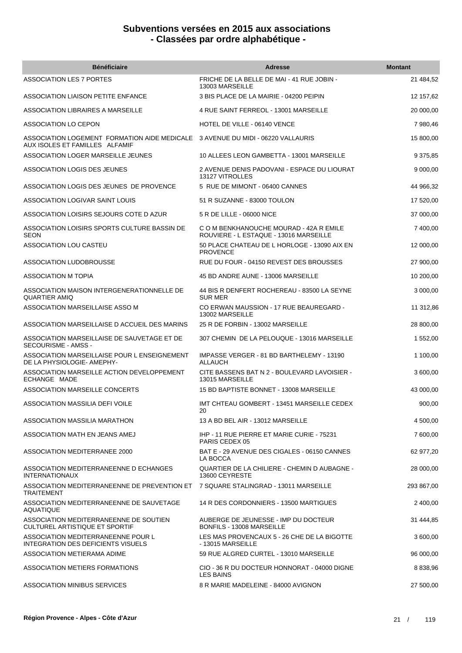| <b>Bénéficiaire</b>                                                             | <b>Adresse</b>                                                                    | <b>Montant</b> |
|---------------------------------------------------------------------------------|-----------------------------------------------------------------------------------|----------------|
| <b>ASSOCIATION LES 7 PORTES</b>                                                 | FRICHE DE LA BELLE DE MAI - 41 RUE JOBIN -<br>13003 MARSEILLE                     | 21 484,52      |
| ASSOCIATION LIAISON PETITE ENFANCE                                              | 3 BIS PLACE DE LA MAIRIE - 04200 PEIPIN                                           | 12 157,62      |
| ASSOCIATION LIBRAIRES A MARSEILLE                                               | 4 RUE SAINT FERREOL - 13001 MARSEILLE                                             | 20 000,00      |
| ASSOCIATION LO CEPON                                                            | HOTEL DE VILLE - 06140 VENCE                                                      | 7 980,46       |
| ASSOCIATION LOGEMENT FORMATION AIDE MEDICALE<br>AUX ISOLES ET FAMILLES ALFAMIF  | 3 AVENUE DU MIDI - 06220 VALLAURIS                                                | 15 800,00      |
| ASSOCIATION LOGER MARSEILLE JEUNES                                              | 10 ALLEES LEON GAMBETTA - 13001 MARSEILLE                                         | 9 375,85       |
| ASSOCIATION LOGIS DES JEUNES                                                    | 2 AVENUE DENIS PADOVANI - ESPACE DU LIOURAT<br>13127 VITROLLES                    | 9 000,00       |
| ASSOCIATION LOGIS DES JEUNES DE PROVENCE                                        | 5 RUE DE MIMONT - 06400 CANNES                                                    | 44 966,32      |
| ASSOCIATION LOGIVAR SAINT LOUIS                                                 | 51 R SUZANNE - 83000 TOULON                                                       | 17 520,00      |
| ASSOCIATION LOISIRS SEJOURS COTE D AZUR                                         | 5 R DE LILLE - 06000 NICE                                                         | 37 000,00      |
| ASSOCIATION LOISIRS SPORTS CULTURE BASSIN DE<br><b>SEON</b>                     | C O M BENKHANOUCHE MOURAD - 42A R EMILE<br>ROUVIERE - L ESTAQUE - 13016 MARSEILLE | 7 400,00       |
| ASSOCIATION LOU CASTEU                                                          | 50 PLACE CHATEAU DE L HORLOGE - 13090 AIX EN<br><b>PROVENCE</b>                   | 12 000,00      |
| ASSOCIATION LUDOBROUSSE                                                         | RUE DU FOUR - 04150 REVEST DES BROUSSES                                           | 27 900,00      |
| ASSOCIATION M TOPIA                                                             | 45 BD ANDRE AUNE - 13006 MARSEILLE                                                | 10 200,00      |
| ASSOCIATION MAISON INTERGENERATIONNELLE DE<br><b>QUARTIER AMIQ</b>              | 44 BIS R DENFERT ROCHEREAU - 83500 LA SEYNE<br><b>SUR MER</b>                     | 3 000,00       |
| ASSOCIATION MARSEILLAISE ASSO M                                                 | CO ERWAN MAUSSION - 17 RUE BEAUREGARD -<br>13002 MARSEILLE                        | 11 312,86      |
| ASSOCIATION MARSEILLAISE D ACCUEIL DES MARINS                                   | 25 R DE FORBIN - 13002 MARSEILLE                                                  | 28 800,00      |
| ASSOCIATION MARSEILLAISE DE SAUVETAGE ET DE<br>SECOURISME - AMSS -              | 307 CHEMIN DE LA PELOUQUE - 13016 MARSEILLE                                       | 1 552,00       |
| ASSOCIATION MARSEILLAISE POUR L ENSEIGNEMENT<br>DE LA PHYSIOLOGIE- AMEPHY-      | IMPASSE VERGER - 81 BD BARTHELEMY - 13190<br>ALLAUCH                              | 1 100,00       |
| ASSOCIATION MARSEILLE ACTION DEVELOPPEMENT<br>ECHANGE MADE                      | CITE BASSENS BAT N 2 - BOULEVARD LAVOISIER -<br>13015 MARSEILLE                   | 3 600,00       |
| ASSOCIATION MARSEILLE CONCERTS                                                  | 15 BD BAPTISTE BONNET - 13008 MARSEILLE                                           | 43 000,00      |
| ASSOCIATION MASSILIA DEFI VOILE                                                 | IMT CHTEAU GOMBERT - 13451 MARSEILLE CEDEX<br>20                                  | 900,00         |
| ASSOCIATION MASSILIA MARATHON                                                   | 13 A BD BEL AIR - 13012 MARSEILLE                                                 | 4 500,00       |
| ASSOCIATION MATH EN JEANS AMEJ                                                  | IHP - 11 RUE PIERRE ET MARIE CURIE - 75231<br>PARIS CEDEX 05                      | 7 600,00       |
| ASSOCIATION MEDITERRANEE 2000                                                   | BAT E - 29 AVENUE DES CIGALES - 06150 CANNES<br>LA BOCCA                          | 62 977,20      |
| ASSOCIATION MEDITERRANEENNE D ECHANGES<br><b>INTERNATIONAUX</b>                 | QUARTIER DE LA CHILIERE - CHEMIN D AUBAGNE -<br>13600 CEYRESTE                    | 28 000,00      |
| ASSOCIATION MEDITERRANEENNE DE PREVENTION ET<br><b>TRAITEMENT</b>               | 7 SQUARE STALINGRAD - 13011 MARSEILLE                                             | 293 867,00     |
| ASSOCIATION MEDITERRANEENNE DE SAUVETAGE<br>AQUATIQUE                           | 14 R DES CORDONNIERS - 13500 MARTIGUES                                            | 2 400,00       |
| ASSOCIATION MEDITERRANEENNE DE SOUTIEN<br>CULTUREL ARTISTIQUE ET SPORTIF        | AUBERGE DE JEUNESSE - IMP DU DOCTEUR<br>BONFILS - 13008 MARSEILLE                 | 31 444,85      |
| ASSOCIATION MEDITERRANEENNE POUR L<br><b>INTEGRATION DES DEFICIENTS VISUELS</b> | LES MAS PROVENCAUX 5 - 26 CHE DE LA BIGOTTE<br>- 13015 MARSEILLE                  | 3 600,00       |
| ASSOCIATION METIERAMA ADIME                                                     | 59 RUE ALGRED CURTEL - 13010 MARSEILLE                                            | 96 000,00      |
| ASSOCIATION METIERS FORMATIONS                                                  | CIO - 36 R DU DOCTEUR HONNORAT - 04000 DIGNE<br>LES BAINS                         | 8 838,96       |
| ASSOCIATION MINIBUS SERVICES                                                    | 8 R MARIE MADELEINE - 84000 AVIGNON                                               | 27 500,00      |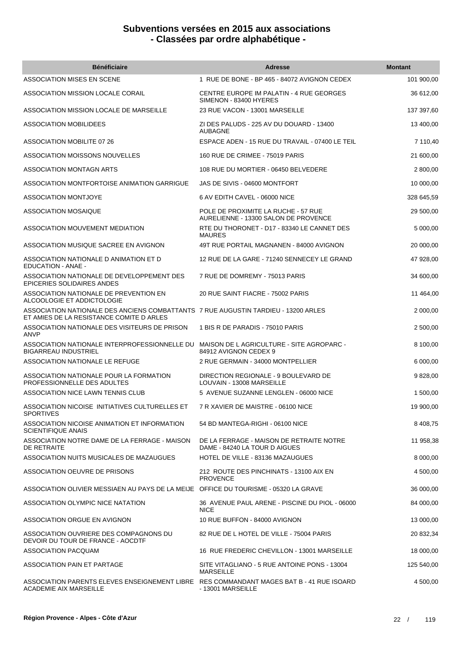| <b>Bénéficiaire</b>                                                                                                            | <b>Adresse</b>                                                              | <b>Montant</b> |
|--------------------------------------------------------------------------------------------------------------------------------|-----------------------------------------------------------------------------|----------------|
| <b>ASSOCIATION MISES EN SCENE</b>                                                                                              | 1 RUE DE BONE - BP 465 - 84072 AVIGNON CEDEX                                | 101 900,00     |
| ASSOCIATION MISSION LOCALE CORAIL                                                                                              | CENTRE EUROPE IM PALATIN - 4 RUE GEORGES<br>SIMENON - 83400 HYERES          | 36 612,00      |
| ASSOCIATION MISSION LOCALE DE MARSEILLE                                                                                        | 23 RUE VACON - 13001 MARSEILLE                                              | 137 397,60     |
| ASSOCIATION MOBILIDEES                                                                                                         | ZI DES PALUDS - 225 AV DU DOUARD - 13400<br><b>AUBAGNE</b>                  | 13 400,00      |
| <b>ASSOCIATION MOBILITE 07 26</b>                                                                                              | ESPACE ADEN - 15 RUE DU TRAVAIL - 07400 LE TEIL                             | 7 110,40       |
| ASSOCIATION MOISSONS NOUVELLES                                                                                                 | 160 RUE DE CRIMEE - 75019 PARIS                                             | 21 600,00      |
| ASSOCIATION MONTAGN ARTS                                                                                                       | 108 RUE DU MORTIER - 06450 BELVEDERE                                        | 2 800,00       |
| ASSOCIATION MONTFORTOISE ANIMATION GARRIGUE                                                                                    | JAS DE SIVIS - 04600 MONTFORT                                               | 10 000,00      |
| <b>ASSOCIATION MONTJOYE</b>                                                                                                    | 6 AV EDITH CAVEL - 06000 NICE                                               | 328 645,59     |
| <b>ASSOCIATION MOSAIQUE</b>                                                                                                    | POLE DE PROXIMITE LA RUCHE - 57 RUE<br>AURELIENNE - 13300 SALON DE PROVENCE | 29 500,00      |
| ASSOCIATION MOUVEMENT MEDIATION                                                                                                | RTE DU THORONET - D17 - 83340 LE CANNET DES<br><b>MAURES</b>                | 5 000,00       |
| ASSOCIATION MUSIQUE SACREE EN AVIGNON                                                                                          | 49T RUE PORTAIL MAGNANEN - 84000 AVIGNON                                    | 20 000,00      |
| ASSOCIATION NATIONALE D ANIMATION ET D<br><b>EDUCATION - ANAE -</b>                                                            | 12 RUE DE LA GARE - 71240 SENNECEY LE GRAND                                 | 47 928,00      |
| ASSOCIATION NATIONALE DE DEVELOPPEMENT DES<br><b>EPICERIES SOLIDAIRES ANDES</b>                                                | 7 RUE DE DOMREMY - 75013 PARIS                                              | 34 600,00      |
| ASSOCIATION NATIONALE DE PREVENTION EN<br>ALCOOLOGIE ET ADDICTOLOGIE                                                           | 20 RUE SAINT FIACRE - 75002 PARIS                                           | 11 464,00      |
| ASSOCIATION NATIONALE DES ANCIENS COMBATTANTS 7 RUE AUGUSTIN TARDIEU - 13200 ARLES<br>ET AMIES DE LA RESISTANCE COMITE D ARLES |                                                                             | 2 000,00       |
| ASSOCIATION NATIONALE DES VISITEURS DE PRISON<br>ANVP                                                                          | 1 BIS R DE PARADIS - 75010 PARIS                                            | 2 500,00       |
| ASSOCIATION NATIONALE INTERPROFESSIONNELLE DU MAISON DE LAGRICULTURE - SITE AGROPARC -<br><b>BIGARREAU INDUSTRIEL</b>          | 84912 AVIGNON CEDEX 9                                                       | 8 100,00       |
| ASSOCIATION NATIONALE LE REFUGE                                                                                                | 2 RUE GERMAIN - 34000 MONTPELLIER                                           | 6 000,00       |
| ASSOCIATION NATIONALE POUR LA FORMATION<br>PROFESSIONNELLE DES ADULTES                                                         | DIRECTION REGIONALE - 9 BOULEVARD DE<br>LOUVAIN - 13008 MARSEILLE           | 9828,00        |
| ASSOCIATION NICE LAWN TENNIS CLUB                                                                                              | 5 AVENUE SUZANNE LENGLEN - 06000 NICE                                       | 1 500.00       |
| ASSOCIATION NICOISE INITIATIVES CULTURELLES ET<br><b>SPORTIVES</b>                                                             | 7 R XAVIER DE MAISTRE - 06100 NICE                                          | 19 900,00      |
| ASSOCIATION NICOISE ANIMATION ET INFORMATION<br><b>SCIENTIFIQUE ANAIS</b>                                                      | 54 BD MANTEGA-RIGHI - 06100 NICE                                            | 8 408,75       |
| ASSOCIATION NOTRE DAME DE LA FERRAGE - MAISON<br>DE RETRAITE                                                                   | DE LA FERRAGE - MAISON DE RETRAITE NOTRE<br>DAME - 84240 LA TOUR D AIGUES   | 11 958,38      |
| ASSOCIATION NUITS MUSICALES DE MAZAUGUES                                                                                       | HOTEL DE VILLE - 83136 MAZAUGUES                                            | 8 000,00       |
| ASSOCIATION OEUVRE DE PRISONS                                                                                                  | 212 ROUTE DES PINCHINATS - 13100 AIX EN<br><b>PROVENCE</b>                  | 4 500,00       |
| ASSOCIATION OLIVIER MESSIAEN AU PAYS DE LA MEIJE OFFICE DU TOURISME - 05320 LA GRAVE                                           |                                                                             | 36 000,00      |
| ASSOCIATION OLYMPIC NICE NATATION                                                                                              | 36 AVENUE PAUL ARENE - PISCINE DU PIOL - 06000<br><b>NICE</b>               | 84 000,00      |
| ASSOCIATION ORGUE EN AVIGNON                                                                                                   | 10 RUE BUFFON - 84000 AVIGNON                                               | 13 000,00      |
| ASSOCIATION OUVRIERE DES COMPAGNONS DU<br>DEVOIR DU TOUR DE FRANCE - AOCDTF                                                    | 82 RUE DE L HOTEL DE VILLE - 75004 PARIS                                    | 20 832,34      |
| ASSOCIATION PACQUAM                                                                                                            | 16 RUE FREDERIC CHEVILLON - 13001 MARSEILLE                                 | 18 000,00      |
| <b>ASSOCIATION PAIN ET PARTAGE</b>                                                                                             | SITE VITAGLIANO - 5 RUE ANTOINE PONS - 13004<br><b>MARSEILLE</b>            | 125 540,00     |
| ASSOCIATION PARENTS ELEVES ENSEIGNEMENT LIBRE RES COMMANDANT MAGES BAT B - 41 RUE ISOARD<br><b>ACADEMIE AIX MARSEILLE</b>      | - 13001 MARSEILLE                                                           | 4 500,00       |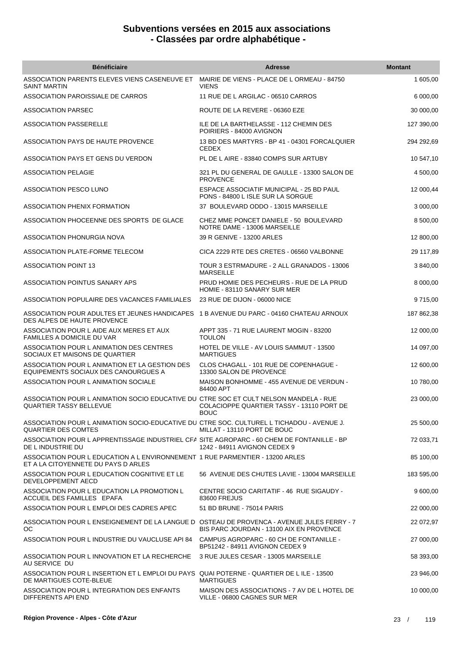| <b>Bénéficiaire</b>                                                                                                    | <b>Adresse</b>                                                                | <b>Montant</b> |
|------------------------------------------------------------------------------------------------------------------------|-------------------------------------------------------------------------------|----------------|
| ASSOCIATION PARENTS ELEVES VIENS CASENEUVE ET<br><b>SAINT MARTIN</b>                                                   | MAIRIE DE VIENS - PLACE DE L ORMEAU - 84750<br><b>VIENS</b>                   | 1 605,00       |
| ASSOCIATION PAROISSIALE DE CARROS                                                                                      | 11 RUE DE L ARGILAC - 06510 CARROS                                            | 6 000,00       |
| <b>ASSOCIATION PARSEC</b>                                                                                              | ROUTE DE LA REVERE - 06360 EZE                                                | 30 000,00      |
| ASSOCIATION PASSERELLE                                                                                                 | ILE DE LA BARTHELASSE - 112 CHEMIN DES<br>POIRIERS - 84000 AVIGNON            | 127 390,00     |
| ASSOCIATION PAYS DE HAUTE PROVENCE                                                                                     | 13 BD DES MARTYRS - BP 41 - 04301 FORCALQUIER<br><b>CEDEX</b>                 | 294 292,69     |
| ASSOCIATION PAYS ET GENS DU VERDON                                                                                     | PL DE L AIRE - 83840 COMPS SUR ARTUBY                                         | 10 547,10      |
| <b>ASSOCIATION PELAGIE</b>                                                                                             | 321 PL DU GENERAL DE GAULLE - 13300 SALON DE<br><b>PROVENCE</b>               | 4 500,00       |
| ASSOCIATION PESCO LUNO                                                                                                 | ESPACE ASSOCIATIF MUNICIPAL - 25 BD PAUL<br>PONS - 84800 L ISLE SUR LA SORGUE | 12 000,44      |
| ASSOCIATION PHENIX FORMATION                                                                                           | 37 BOULEVARD ODDO - 13015 MARSEILLE                                           | 3 000,00       |
| ASSOCIATION PHOCEENNE DES SPORTS DE GLACE                                                                              | CHEZ MME PONCET DANIELE - 50 BOULEVARD<br>NOTRE DAME - 13006 MARSEILLE        | 8 500,00       |
| ASSOCIATION PHONURGIA NOVA                                                                                             | 39 R GENIVE - 13200 ARLES                                                     | 12 800,00      |
| ASSOCIATION PLATE-FORME TELECOM                                                                                        | CICA 2229 RTE DES CRETES - 06560 VALBONNE                                     | 29 117,89      |
| <b>ASSOCIATION POINT 13</b>                                                                                            | TOUR 3 ESTRMADURE - 2 ALL GRANADOS - 13006<br><b>MARSEILLE</b>                | 3 840,00       |
| ASSOCIATION POINTUS SANARY APS                                                                                         | PRUD HOMIE DES PECHEURS - RUE DE LA PRUD<br>HOMIE - 83110 SANARY SUR MER      | 8 000,00       |
| ASSOCIATION POPULAIRE DES VACANCES FAMILIALES                                                                          | 23 RUE DE DIJON - 06000 NICE                                                  | 9715,00        |
| ASSOCIATION POUR ADULTES ET JEUNES HANDICAPES 1 B AVENUE DU PARC - 04160 CHATEAU ARNOUX<br>DES ALPES DE HAUTE PROVENCE |                                                                               | 187 862,38     |
| ASSOCIATION POUR L AIDE AUX MERES ET AUX<br><b>FAMILLES A DOMICILE DU VAR</b>                                          | APPT 335 - 71 RUE LAURENT MOGIN - 83200<br><b>TOULON</b>                      | 12 000,00      |
| ASSOCIATION POUR L ANIMATION DES CENTRES<br>SOCIAUX ET MAISONS DE QUARTIER                                             | HOTEL DE VILLE - AV LOUIS SAMMUT - 13500<br><b>MARTIGUES</b>                  | 14 097,00      |
| ASSOCIATION POUR L ANIMATION ET LA GESTION DES<br>EQUIPEMENTS SOCIAUX DES CANOURGUES A                                 | CLOS CHAGALL - 101 RUE DE COPENHAGUE -<br>13300 SALON DE PROVENCE             | 12 600,00      |
| ASSOCIATION POUR L ANIMATION SOCIALE                                                                                   | MAISON BONHOMME - 455 AVENUE DE VERDUN -<br>84400 APT                         | 10 780,00      |
| ASSOCIATION POUR L ANIMATION SOCIO EDUCATIVE DU CTRE SOC ET CULT NELSON MANDELA - RUE<br>QUARTIER TASSY BELLEVUE       | COLACIOPPE QUARTIER TASSY - 13110 PORT DE<br><b>BOUC</b>                      | 23 000,00      |
| ASSOCIATION POUR LANIMATION SOCIO-EDUCATIVE DU CTRE SOC. CULTUREL L TICHADOU - AVENUE J.<br><b>QUARTIER DES COMTES</b> | MILLAT - 13110 PORT DE BOUC                                                   | 25 500,00      |
| ASSOCIATION POUR LAPPRENTISSAGE INDUSTRIEL CFA SITE AGROPARC - 60 CHEM DE FONTANILLE - BP<br>DE L INDUSTRIE DU         | 1242 - 84911 AVIGNON CEDEX 9                                                  | 72 033,71      |
| ASSOCIATION POUR L EDUCATION A L ENVIRONNEMENT 1 RUE PARMENTIER - 13200 ARLES<br>ET A LA CITOYENNETE DU PAYS D ARLES   |                                                                               | 85 100,00      |
| ASSOCIATION POUR L EDUCATION COGNITIVE ET LE<br>DEVELOPPEMENT AECD                                                     | 56 AVENUE DES CHUTES LAVIE - 13004 MARSEILLE                                  | 183 595,00     |
| ASSOCIATION POUR L EDUCATION LA PROMOTION L<br>ACCUEIL DES FAMILLES EPAFA                                              | CENTRE SOCIO CARITATIF - 46 RUE SIGAUDY -<br>83600 FREJUS                     | 9 600,00       |
| ASSOCIATION POUR L EMPLOI DES CADRES APEC                                                                              | 51 BD BRUNE - 75014 PARIS                                                     | 22 000,00      |
| ASSOCIATION POUR L ENSEIGNEMENT DE LA LANGUE D OSTEAU DE PROVENCA - AVENUE JULES FERRY - 7<br>OC.                      | BIS PARC JOURDAN - 13100 AIX EN PROVENCE                                      | 22 072,97      |
| ASSOCIATION POUR L INDUSTRIE DU VAUCLUSE API 84                                                                        | CAMPUS AGROPARC - 60 CH DE FONTANILLE -<br>BP51242 - 84911 AVIGNON CEDEX 9    | 27 000,00      |
| ASSOCIATION POUR L INNOVATION ET LA RECHERCHE<br>AU SERVICE DU                                                         | 3 RUE JULES CESAR - 13005 MARSEILLE                                           | 58 393,00      |
| ASSOCIATION POUR L INSERTION ET L EMPLOI DU PAYS QUAI POTERNE - QUARTIER DE L ILE - 13500<br>DE MARTIGUES COTE-BLEUE   | <b>MARTIGUES</b>                                                              | 23 946,00      |
| ASSOCIATION POUR L INTEGRATION DES ENFANTS<br>DIFFERENTS API END                                                       | MAISON DES ASSOCIATIONS - 7 AV DE L HOTEL DE<br>VILLE - 06800 CAGNES SUR MER  | 10 000,00      |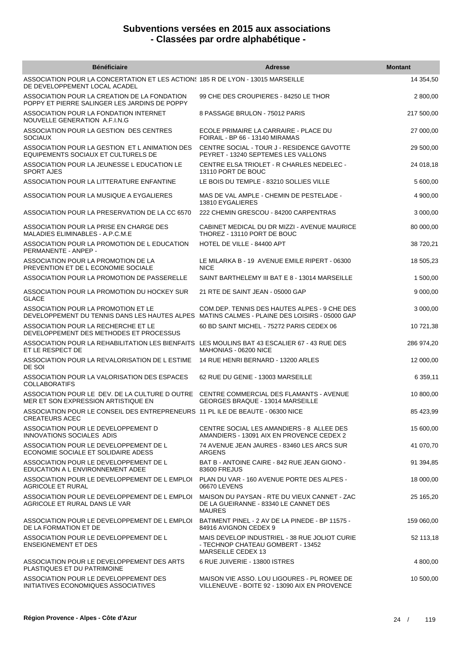| <b>Bénéficiaire</b>                                                                                                                 | <b>Adresse</b>                                                                                           | <b>Montant</b> |
|-------------------------------------------------------------------------------------------------------------------------------------|----------------------------------------------------------------------------------------------------------|----------------|
| ASSOCIATION POUR LA CONCERTATION ET LES ACTIONS 185 R DE LYON - 13015 MARSEILLE<br>DE DEVELOPPEMENT LOCAL ACADEL                    |                                                                                                          | 14 354,50      |
| ASSOCIATION POUR LA CREATION DE LA FONDATION<br>POPPY ET PIERRE SALINGER LES JARDINS DE POPPY                                       | 99 CHE DES CROUPIERES - 84250 LE THOR                                                                    | 2 800,00       |
| ASSOCIATION POUR LA FONDATION INTERNET<br>NOUVELLE GENERATION A.F.I.N.G                                                             | 8 PASSAGE BRULON - 75012 PARIS                                                                           | 217 500,00     |
| ASSOCIATION POUR LA GESTION DES CENTRES<br><b>SOCIAUX</b>                                                                           | ECOLE PRIMAIRE LA CARRAIRE - PLACE DU<br>FOIRAIL - BP 66 - 13140 MIRAMAS                                 | 27 000,00      |
| ASSOCIATION POUR LA GESTION ET L ANIMATION DES<br>EQUIPEMENTS SOCIAUX ET CULTURELS DE                                               | CENTRE SOCIAL - TOUR J - RESIDENCE GAVOTTE<br>PEYRET - 13240 SEPTEMES LES VALLONS                        | 29 500,00      |
| ASSOCIATION POUR LA JEUNESSE L EDUCATION LE<br><b>SPORT AJES</b>                                                                    | CENTRE ELSA TRIOLET - R CHARLES NEDELEC -<br>13110 PORT DE BOUC                                          | 24 018,18      |
| ASSOCIATION POUR LA LITTERATURE ENFANTINE                                                                                           | LE BOIS DU TEMPLE - 83210 SOLLIES VILLE                                                                  | 5 600,00       |
| ASSOCIATION POUR LA MUSIQUE A EYGALIERES                                                                                            | MAS DE VAL AMPLE - CHEMIN DE PESTELADE -<br>13810 EYGALIERES                                             | 4 900,00       |
| ASSOCIATION POUR LA PRESERVATION DE LA CC 6570                                                                                      | 222 CHEMIN GRESCOU - 84200 CARPENTRAS                                                                    | 3 000,00       |
| ASSOCIATION POUR LA PRISE EN CHARGE DES<br>MALADIES ELIMINABLES - A.P.C.M.E                                                         | CABINET MEDICAL DU DR MIZZI - AVENUE MAURICE<br>THOREZ - 13110 PORT DE BOUC                              | 80 000,00      |
| ASSOCIATION POUR LA PROMOTION DE L EDUCATION<br>PERMANENTE - ANPEP -                                                                | HOTEL DE VILLE - 84400 APT                                                                               | 38 720,21      |
| ASSOCIATION POUR LA PROMOTION DE LA<br>PREVENTION ET DE L ECONOMIE SOCIALE                                                          | LE MILARKA B - 19 AVENUE EMILE RIPERT - 06300<br><b>NICE</b>                                             | 18 505,23      |
| ASSOCIATION POUR LA PROMOTION DE PASSERELLE                                                                                         | SAINT BARTHELEMY III BAT E 8 - 13014 MARSEILLE                                                           | 1 500,00       |
| ASSOCIATION POUR LA PROMOTION DU HOCKEY SUR<br><b>GLACE</b>                                                                         | 21 RTE DE SAINT JEAN - 05000 GAP                                                                         | 9 000,00       |
| ASSOCIATION POUR LA PROMOTION ET LE<br>DEVELOPPEMENT DU TENNIS DANS LES HAUTES ALPES MATINS CALMES - PLAINE DES LOISIRS - 05000 GAP | COM. DEP. TENNIS DES HAUTES ALPES - 9 CHE DES                                                            | 3 000,00       |
| ASSOCIATION POUR LA RECHERCHE ET LE<br>DEVELOPPEMENT DES METHODES ET PROCESSUS                                                      | 60 BD SAINT MICHEL - 75272 PARIS CEDEX 06                                                                | 10 721,38      |
| ASSOCIATION POUR LA REHABILITATION LES BIENFAITS LES MOULINS BAT 43 ESCALIER 67 - 43 RUE DES<br>ET LE RESPECT DE                    | MAHONIAS - 06200 NICE                                                                                    | 286 974,20     |
| ASSOCIATION POUR LA REVALORISATION DE L ESTIME<br>DE SOI                                                                            | 14 RUE HENRI BERNARD - 13200 ARLES                                                                       | 12 000,00      |
| ASSOCIATION POUR LA VALORISATION DES ESPACES<br><b>COLLABORATIFS</b>                                                                | 62 RUE DU GENIE - 13003 MARSEILLE                                                                        | 6 359,11       |
| ASSOCIATION POUR LE DEV. DE LA CULTURE D OUTRE CENTRE COMMERCIAL DES FLAMANTS - AVENUE<br>MER ET SON EXPRESSION ARTISTIQUE EN       | GEORGES BRAQUE - 13014 MARSEILLE                                                                         | 10 800,00      |
| ASSOCIATION POUR LE CONSEIL DES ENTREPRENEURS 11 PL ILE DE BEAUTE - 06300 NICE<br><b>CREATEURS ACEC</b>                             |                                                                                                          | 85 423,99      |
| ASSOCIATION POUR LE DEVELOPPEMENT D<br>INNOVATIONS SOCIALES ADIS                                                                    | CENTRE SOCIAL LES AMANDIERS - 8 ALLEE DES<br>AMANDIERS - 13091 AIX EN PROVENCE CEDEX 2                   | 15 600,00      |
| ASSOCIATION POUR LE DEVELOPPEMENT DE L<br>ECONOMIE SOCIALE ET SOLIDAIRE ADESS                                                       | 74 AVENUE JEAN JAURES - 83460 LES ARCS SUR<br>ARGENS                                                     | 41 070,70      |
| ASSOCIATION POUR LE DEVELOPPEMENT DE L<br>EDUCATION A L ENVIRONNEMENT ADEE                                                          | BAT B - ANTOINE CAIRE - 842 RUE JEAN GIONO -<br>83600 FREJUS                                             | 91 394,85      |
| ASSOCIATION POUR LE DEVELOPPEMENT DE L EMPLOI PLAN DU VAR - 160 AVENUE PORTE DES ALPES -<br><b>AGRICOLE ET RURAL</b>                | 06670 LEVENS                                                                                             | 18 000,00      |
| ASSOCIATION POUR LE DEVELOPPEMENT DE L EMPLOI<br>AGRICOLE ET RURAL DANS LE VAR                                                      | MAISON DU PAYSAN - RTE DU VIEUX CANNET - ZAC<br>DE LA GUEIRANNE - 83340 LE CANNET DES<br><b>MAURES</b>   | 25 165,20      |
| ASSOCIATION POUR LE DEVELOPPEMENT DE L EMPLOI<br>DE LA FORMATION ET DE                                                              | BATIMENT PINEL - 2 AV DE LA PINEDE - BP 11575 -<br>84916 AVIGNON CEDEX 9                                 | 159 060,00     |
| ASSOCIATION POUR LE DEVELOPPEMENT DE L<br><b>ENSEIGNEMENT ET DES</b>                                                                | MAIS DEVELOP INDUSTRIEL - 38 RUE JOLIOT CURIE<br>- TECHNOP CHATEAU GOMBERT - 13452<br>MARSEILLE CEDEX 13 | 52 113,18      |
| ASSOCIATION POUR LE DEVELOPPEMENT DES ARTS<br>PLASTIQUES ET DU PATRIMOINE                                                           | 6 RUE JUIVERIE - 13800 ISTRES                                                                            | 4 800,00       |
| ASSOCIATION POUR LE DEVELOPPEMENT DES<br>INITIATIVES ECONOMIQUES ASSOCIATIVES                                                       | MAISON VIE ASSO. LOU LIGOURES - PL ROMEE DE<br>VILLENEUVE - BOITE 92 - 13090 AIX EN PROVENCE             | 10 500,00      |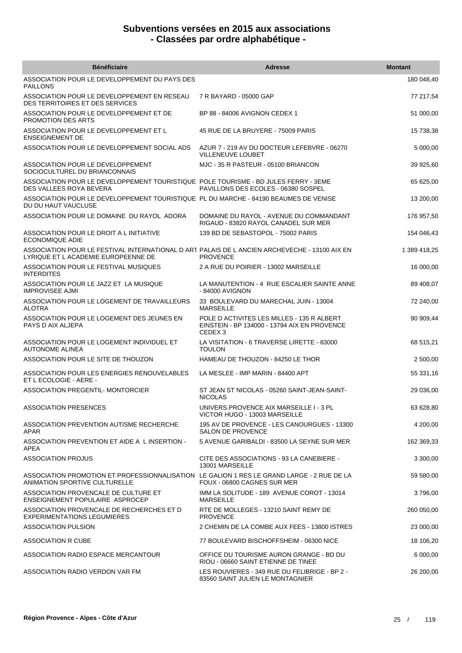| <b>Bénéficiaire</b>                                                                                                                  | <b>Adresse</b>                                                                                                   | <b>Montant</b> |
|--------------------------------------------------------------------------------------------------------------------------------------|------------------------------------------------------------------------------------------------------------------|----------------|
| ASSOCIATION POUR LE DEVELOPPEMENT DU PAYS DES<br><b>PAILLONS</b>                                                                     |                                                                                                                  | 180 048,40     |
| ASSOCIATION POUR LE DEVELOPPEMENT EN RESEAU<br><b>DES TERRITOIRES ET DES SERVICES</b>                                                | 7 R BAYARD - 05000 GAP                                                                                           | 77 217,54      |
| ASSOCIATION POUR LE DEVELOPPEMENT ET DE<br><b>PROMOTION DES ARTS</b>                                                                 | BP 88 - 84006 AVIGNON CEDEX 1                                                                                    | 51 000,00      |
| ASSOCIATION POUR LE DEVELOPPEMENT ET L<br><b>ENSEIGNEMENT DE</b>                                                                     | 45 RUE DE LA BRUYERE - 75009 PARIS                                                                               | 15 738,38      |
| ASSOCIATION POUR LE DEVELOPPEMENT SOCIAL ADS                                                                                         | AZUR 7 - 219 AV DU DOCTEUR LEFEBVRE - 06270<br><b>VILLENEUVE LOUBET</b>                                          | 5 000,00       |
| ASSOCIATION POUR LE DEVELOPPEMENT<br>SOCIOCULTUREL DU BRIANCONNAIS                                                                   | MJC - 35 R PASTEUR - 05100 BRIANCON                                                                              | 39 925,60      |
| ASSOCIATION POUR LE DEVELOPPEMENT TOURISTIQUE POLE TOURISME - BD JULES FERRY - 3EME<br>DES VALLEES ROYA BEVERA                       | PAVILLONS DES ECOLES - 06380 SOSPEL                                                                              | 65 625,00      |
| ASSOCIATION POUR LE DEVELOPPEMENT TOURISTIQUE PL DU MARCHE - 84190 BEAUMES DE VENISE<br>DU DU HAUT VAUCLUSE                          |                                                                                                                  | 13 200,00      |
| ASSOCIATION POUR LE DOMAINE DU RAYOL ADORA                                                                                           | DOMAINE DU RAYOL - AVENUE DU COMMANDANT<br>RIGAUD - 83820 RAYOL CANADEL SUR MER                                  | 176 957,50     |
| ASSOCIATION POUR LE DROIT A L INITIATIVE<br><b>ECONOMIQUE ADIE</b>                                                                   | 139 BD DE SEBASTOPOL - 75002 PARIS                                                                               | 154 046,43     |
| ASSOCIATION POUR LE FESTIVAL INTERNATIONAL D ART PALAIS DE L ANCIEN ARCHEVECHE - 13100 AIX EN<br>LYRIQUE ET L ACADEMIE EUROPEENNE DE | <b>PROVENCE</b>                                                                                                  | 1 389 418,25   |
| ASSOCIATION POUR LE FESTIVAL MUSIQUES<br><b>INTERDITES</b>                                                                           | 2 A RUE DU POIRIER - 13002 MARSEILLE                                                                             | 16 000,00      |
| ASSOCIATION POUR LE JAZZ ET LA MUSIQUE<br><b>IMPROVISEE AJMI</b>                                                                     | LA MANUTENTION - 4 RUE ESCALIER SAINTE ANNE<br>- 84000 AVIGNON                                                   | 89 408,07      |
| ASSOCIATION POUR LE LOGEMENT DE TRAVAILLEURS<br><b>ALOTRA</b>                                                                        | 33 BOULEVARD DU MARECHAL JUIN - 13004<br><b>MARSEILLE</b>                                                        | 72 240,00      |
| ASSOCIATION POUR LE LOGEMENT DES JEUNES EN<br>PAYS D AIX ALJEPA                                                                      | POLE D ACTIVITES LES MILLES - 135 R ALBERT<br>EINSTEIN - BP 134000 - 13794 AIX EN PROVENCE<br>CEDEX <sub>3</sub> | 90 909,44      |
| ASSOCIATION POUR LE LOGEMENT INDIVIDUEL ET<br><b>AUTONOME ALINEA</b>                                                                 | LA VISITATION - 6 TRAVERSE LIRETTE - 83000<br><b>TOULON</b>                                                      | 68 515,21      |
| ASSOCIATION POUR LE SITE DE THOUZON                                                                                                  | HAMEAU DE THOUZON - 84250 LE THOR                                                                                | 2 500,00       |
| ASSOCIATION POUR LES ENERGIES RENOUVELABLES<br>ET L ECOLOGIE - AERE -                                                                | LA MESLEE - IMP MARIN - 84400 APT                                                                                | 55 331,16      |
| <b>ASSOCIATION PREGENTIL- MONTORCIER</b>                                                                                             | ST JEAN ST NICOLAS - 05260 SAINT-JEAN-SAINT-<br><b>NICOLAS</b>                                                   | 29 036,00      |
| <b>ASSOCIATION PRESENCES</b>                                                                                                         | UNIVERS.PROVENCE AIX MARSEILLE I - 3 PL<br>VICTOR HUGO - 13003 MARSEILLE                                         | 63 628,80      |
| ASSOCIATION PREVENTION AUTISME RECHERCHE<br>APAR                                                                                     | 195 AV DE PROVENCE - LES CANOURGUES - 13300<br><b>SALON DE PROVENCE</b>                                          | 4 200,00       |
| ASSOCIATION PREVENTION ET AIDE A L INSERTION -<br>APEA                                                                               | 5 AVENUE GARIBALDI - 83500 LA SEYNE SUR MER                                                                      | 162 369,33     |
| <b>ASSOCIATION PROJUS</b>                                                                                                            | CITE DES ASSOCIATIONS - 93 LA CANEBIERE -<br>13001 MARSEILLE                                                     | 3 300,00       |
| ASSOCIATION PROMOTION ET PROFESSIONNALISATION LE GALION 1 RES LE GRAND LARGE - 2 RUE DE LA<br>ANIMATION SPORTIVE CULTURELLE          | FOUX - 06800 CAGNES SUR MER                                                                                      | 59 580,00      |
| ASSOCIATION PROVENCALE DE CULTURE ET<br>ENSEIGNEMENT POPULAIRE ASPROCEP                                                              | IMM LA SOLITUDE - 189 AVENUE COROT - 13014<br><b>MARSEILLE</b>                                                   | 3796,00        |
| ASSOCIATION PROVENCALE DE RECHERCHES ET D<br><b>EXPERIMENTATIONS LEGUMIERES</b>                                                      | RTE DE MOLLEGES - 13210 SAINT REMY DE<br><b>PROVENCE</b>                                                         | 260 050,00     |
| <b>ASSOCIATION PULSION</b>                                                                                                           | 2 CHEMIN DE LA COMBE AUX FEES - 13800 ISTRES                                                                     | 23 000,00      |
| ASSOCIATION R CUBE                                                                                                                   | 77 BOULEVARD BISCHOFFSHEIM - 06300 NICE                                                                          | 18 106,20      |
| ASSOCIATION RADIO ESPACE MERCANTOUR                                                                                                  | OFFICE DU TOURISME AURON GRANGE - BD DU<br>RIOU - 06660 SAINT ETIENNE DE TINEE                                   | 6 000,00       |
| ASSOCIATION RADIO VERDON VAR FM                                                                                                      | LES ROUVIERES - 349 RUE DU FELIBRIGE - BP 2 -<br>83560 SAINT JULIEN LE MONTAGNIER                                | 26 200,00      |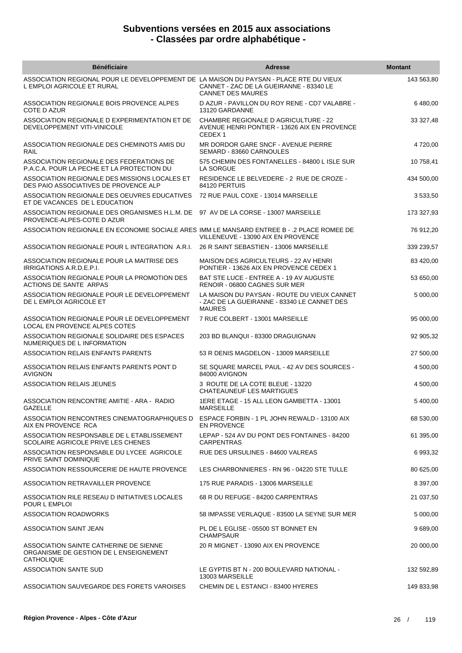| <b>Bénéficiaire</b>                                                                                                  | <b>Adresse</b>                                                                                                    | <b>Montant</b> |
|----------------------------------------------------------------------------------------------------------------------|-------------------------------------------------------------------------------------------------------------------|----------------|
| ASSOCIATION REGIONAL POUR LE DEVELOPPEMENT DE LA MAISON DU PAYSAN - PLACE RTE DU VIEUX<br>L EMPLOI AGRICOLE ET RURAL | CANNET - ZAC DE LA GUEIRANNE - 83340 LE<br><b>CANNET DES MAURES</b>                                               | 143 563,80     |
| ASSOCIATION REGIONALE BOIS PROVENCE ALPES<br>COTE D AZUR                                                             | D AZUR - PAVILLON DU ROY RENE - CD7 VALABRE -<br>13120 GARDANNE                                                   | 6 480,00       |
| ASSOCIATION REGIONALE D EXPERIMENTATION ET DE<br>DEVELOPPEMENT VITI-VINICOLE                                         | <b>CHAMBRE REGIONALE D AGRICULTURE - 22</b><br>AVENUE HENRI PONTIER - 13626 AIX EN PROVENCE<br>CEDEX <sub>1</sub> | 33 327,48      |
| ASSOCIATION REGIONALE DES CHEMINOTS AMIS DU<br>RAIL                                                                  | MR DORDOR GARE SNCF - AVENUE PIERRE<br>SEMARD - 83660 CARNOULES                                                   | 4 720,00       |
| ASSOCIATION REGIONALE DES FEDERATIONS DE<br>P.A.C.A. POUR LA PECHE ET LA PROTECTION DU                               | 575 CHEMIN DES FONTANELLES - 84800 L ISLE SUR<br>LA SORGUE                                                        | 10 758,41      |
| ASSOCIATION REGIONALE DES MISSIONS LOCALES ET<br>DES PAIO ASSOCIATIVES DE PROVENCE ALP                               | RESIDENCE LE BELVEDERE - 2 RUE DE CROZE -<br>84120 PERTUIS                                                        | 434 500,00     |
| ASSOCIATION REGIONALE DES OEUVRES EDUCATIVES<br>ET DE VACANCES DE L EDUCATION                                        | 72 RUE PAUL COXE - 13014 MARSEILLE                                                                                | 3 533,50       |
| ASSOCIATION REGIONALE DES ORGANISMES H.L.M. DE 97 AV DE LA CORSE - 13007 MARSEILLE<br>PROVENCE-ALPES-COTE D AZUR     |                                                                                                                   | 173 327,93     |
| ASSOCIATION REGIONALE EN ECONOMIE SOCIALE ARES IMM LE MANSARD ENTREE B - .2 PLACE ROMEE DE                           | VILLENEUVE - 13090 AIX EN PROVENCE                                                                                | 76 912,20      |
| ASSOCIATION REGIONALE POUR L INTEGRATION A.R.I.                                                                      | 26 R SAINT SEBASTIEN - 13006 MARSEILLE                                                                            | 339 239,57     |
| ASSOCIATION REGIONALE POUR LA MAITRISE DES<br>IRRIGATIONS A.R.D.E.P.I.                                               | MAISON DES AGRICULTEURS - 22 AV HENRI<br>PONTIER - 13626 AIX EN PROVENCE CEDEX 1                                  | 83 420,00      |
| ASSOCIATION REGIONALE POUR LA PROMOTION DES<br>ACTIONS DE SANTE ARPAS                                                | BAT STE LUCE - ENTREE A - 19 AV AUGUSTE<br>RENOIR - 06800 CAGNES SUR MER                                          | 53 650,00      |
| ASSOCIATION REGIONALE POUR LE DEVELOPPEMENT<br>DE L EMPLOI AGRICOLE ET                                               | LA MAISON DU PAYSAN - ROUTE DU VIEUX CANNET<br>- ZAC DE LA GUEIRANNE - 83340 LE CANNET DES<br><b>MAURES</b>       | 5 000,00       |
| ASSOCIATION REGIONALE POUR LE DEVELOPPEMENT<br>LOCAL EN PROVENCE ALPES COTES                                         | 7 RUE COLBERT - 13001 MARSEILLE                                                                                   | 95 000,00      |
| ASSOCIATION REGIONALE SOLIDAIRE DES ESPACES<br>NUMERIQUES DE L INFORMATION                                           | 203 BD BLANQUI - 83300 DRAGUIGNAN                                                                                 | 92 905,32      |
| ASSOCIATION RELAIS ENFANTS PARENTS                                                                                   | 53 R DENIS MAGDELON - 13009 MARSEILLE                                                                             | 27 500,00      |
| ASSOCIATION RELAIS ENFANTS PARENTS PONT D<br><b>AVIGNON</b>                                                          | SE SQUARE MARCEL PAUL - 42 AV DES SOURCES -<br>84000 AVIGNON                                                      | 4 500,00       |
| <b>ASSOCIATION RELAIS JEUNES</b>                                                                                     | 3 ROUTE DE LA COTE BLEUE - 13220<br>CHATEAUNEUF LES MARTIGUES                                                     | 4 500,00       |
| ASSOCIATION RENCONTRE AMITIE - ARA - RADIO<br>GAZELLE                                                                | 1ERE ETAGE - 15 ALL LEON GAMBETTA - 13001<br><b>MARSEILLE</b>                                                     | 5 400,00       |
| ASSOCIATION RENCONTRES CINEMATOGRAPHIQUES D<br>AIX EN PROVENCE RCA                                                   | ESPACE FORBIN - 1 PL JOHN REWALD - 13100 AIX<br><b>EN PROVENCE</b>                                                | 68 530,00      |
| ASSOCIATION RESPONSABLE DE L ETABLISSEMENT<br>SCOLAIRE AGRICOLE PRIVE LES CHENES                                     | LEPAP - 524 AV DU PONT DES FONTAINES - 84200<br><b>CARPENTRAS</b>                                                 | 61 395,00      |
| ASSOCIATION RESPONSABLE DU LYCEE AGRICOLE<br>PRIVE SAINT DOMINIQUE                                                   | RUE DES URSULINES - 84600 VALREAS                                                                                 | 6 993,32       |
| ASSOCIATION RESSOURCERIE DE HAUTE PROVENCE                                                                           | LES CHARBONNIERES - RN 96 - 04220 STE TULLE                                                                       | 80 625,00      |
| ASSOCIATION RETRAVAILLER PROVENCE                                                                                    | 175 RUE PARADIS - 13006 MARSEILLE                                                                                 | 8 397,00       |
| ASSOCIATION RILE RESEAU D INITIATIVES LOCALES<br>POUR L EMPLOI                                                       | 68 R DU REFUGE - 84200 CARPENTRAS                                                                                 | 21 037,50      |
| ASSOCIATION ROADWORKS                                                                                                | 58 IMPASSE VERLAQUE - 83500 LA SEYNE SUR MER                                                                      | 5 000,00       |
| ASSOCIATION SAINT JEAN                                                                                               | PL DE L EGLISE - 05500 ST BONNET EN<br><b>CHAMPSAUR</b>                                                           | 9 689,00       |
| ASSOCIATION SAINTE CATHERINE DE SIENNE<br>ORGANISME DE GESTION DE L ENSEIGNEMENT<br><b>CATHOLIQUE</b>                | 20 R MIGNET - 13090 AIX EN PROVENCE                                                                               | 20 000,00      |
| ASSOCIATION SANTE SUD                                                                                                | LE GYPTIS BT N - 200 BOULEVARD NATIONAL -<br>13003 MARSEILLE                                                      | 132 592,89     |
| ASSOCIATION SAUVEGARDE DES FORETS VAROISES                                                                           | CHEMIN DE L ESTANCI - 83400 HYERES                                                                                | 149 833,98     |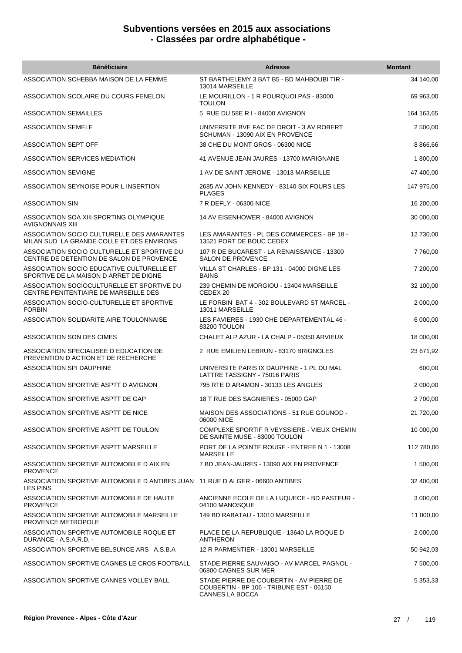| <b>Bénéficiaire</b>                                                                              | <b>Adresse</b>                                                                                          | <b>Montant</b> |
|--------------------------------------------------------------------------------------------------|---------------------------------------------------------------------------------------------------------|----------------|
| ASSOCIATION SCHEBBA MAISON DE LA FEMME                                                           | ST BARTHELEMY 3 BAT B5 - BD MAHBOUBI TIR -<br>13014 MARSEILLE                                           | 34 140,00      |
| ASSOCIATION SCOLAIRE DU COURS FENELON                                                            | LE MOURILLON - 1 R POURQUOI PAS - 83000<br><b>TOULON</b>                                                | 69 963,00      |
| <b>ASSOCIATION SEMAILLES</b>                                                                     | 5 RUE DU 58E R I - 84000 AVIGNON                                                                        | 164 163,65     |
| <b>ASSOCIATION SEMELE</b>                                                                        | UNIVERSITE BVE FAC DE DROIT - 3 AV ROBERT<br>SCHUMAN - 13090 AIX EN PROVENCE                            | 2 500,00       |
| <b>ASSOCIATION SEPT OFF</b>                                                                      | 38 CHE DU MONT GROS - 06300 NICE                                                                        | 8 8 66,66      |
| ASSOCIATION SERVICES MEDIATION                                                                   | 41 AVENUE JEAN JAURES - 13700 MARIGNANE                                                                 | 1 800,00       |
| <b>ASSOCIATION SEVIGNE</b>                                                                       | 1 AV DE SAINT JEROME - 13013 MARSEILLE                                                                  | 47 400,00      |
| ASSOCIATION SEYNOISE POUR L INSERTION                                                            | 2685 AV JOHN KENNEDY - 83140 SIX FOURS LES<br><b>PLAGES</b>                                             | 147 975,00     |
| <b>ASSOCIATION SIN</b>                                                                           | 7 R DEFLY - 06300 NICE                                                                                  | 16 200,00      |
| ASSOCIATION SOA XIII SPORTING OLYMPIQUE<br><b>AVIGNONNAIS XIII</b>                               | 14 AV EISENHOWER - 84000 AVIGNON                                                                        | 30 000,00      |
| ASSOCIATION SOCIO CULTURELLE DES AMARANTES<br>MILAN SUD LA GRANDE COLLE ET DES ENVIRONS          | LES AMARANTES - PL DES COMMERCES - BP 18 -<br>13521 PORT DE BOUC CEDEX                                  | 12 730,00      |
| ASSOCIATION SOCIO CULTURELLE ET SPORTIVE DU<br>CENTRE DE DETENTION DE SALON DE PROVENCE          | 107 R DE BUCAREST - LA RENAISSANCE - 13300<br>SALON DE PROVENCE                                         | 7 760,00       |
| ASSOCIATION SOCIO EDUCATIVE CULTURELLE ET<br>SPORTIVE DE LA MAISON D ARRET DE DIGNE              | VILLA ST CHARLES - BP 131 - 04000 DIGNE LES<br><b>BAINS</b>                                             | 7 200,00       |
| ASSOCIATION SOCIOCULTURELLE ET SPORTIVE DU<br>CENTRE PENITENTIAIRE DE MARSEILLE DES              | 239 CHEMIN DE MORGIOU - 13404 MARSEILLE<br>CEDEX 20                                                     | 32 100,00      |
| ASSOCIATION SOCIO-CULTURELLE ET SPORTIVE<br><b>FORBIN</b>                                        | LE FORBIN BAT 4 - 302 BOULEVARD ST MARCEL -<br>13011 MARSEILLE                                          | 2 000,00       |
| ASSOCIATION SOLIDARITE AIRE TOULONNAISE                                                          | LES FAVIERES - 1930 CHE DEPARTEMENTAL 46 -<br>83200 TOULON                                              | 6 000,00       |
| ASSOCIATION SON DES CIMES                                                                        | CHALET ALP AZUR - LA CHALP - 05350 ARVIEUX                                                              | 18 000,00      |
| ASSOCIATION SPECIALISEE D EDUCATION DE<br>PREVENTION D ACTION ET DE RECHERCHE                    | 2 RUE EMILIEN LEBRUN - 83170 BRIGNOLES                                                                  | 23 671,92      |
| ASSOCIATION SPI DAUPHINE                                                                         | UNIVERSITE PARIS IX DAUPHINE - 1 PL DU MAL<br>LATTRE TASSIGNY - 75016 PARIS                             | 600,00         |
| ASSOCIATION SPORTIVE ASPTT D AVIGNON                                                             | 795 RTE D ARAMON - 30133 LES ANGLES                                                                     | 2 000,00       |
| ASSOCIATION SPORTIVE ASPTT DE GAP                                                                | 18 T RUE DES SAGNIERES - 05000 GAP                                                                      | 2 700,00       |
| ASSOCIATION SPORTIVE ASPTT DE NICE                                                               | MAISON DES ASSOCIATIONS - 51 RUE GOUNOD -<br>06000 NICE                                                 | 21 720,00      |
| ASSOCIATION SPORTIVE ASPTT DE TOULON                                                             | COMPLEXE SPORTIF R VEYSSIERE - VIEUX CHEMIN<br>DE SAINTE MUSE - 83000 TOULON                            | 10 000,00      |
| ASSOCIATION SPORTIVE ASPTT MARSEILLE                                                             | PORT DE LA POINTE ROUGE - ENTREE N 1 - 13008<br><b>MARSEILLE</b>                                        | 112 780,00     |
| ASSOCIATION SPORTIVE AUTOMOBILE D AIX EN<br><b>PROVENCE</b>                                      | 7 BD JEAN-JAURES - 13090 AIX EN PROVENCE                                                                | 1 500,00       |
| ASSOCIATION SPORTIVE AUTOMOBILE D ANTIBES JUAN 11 RUE D ALGER - 06600 ANTIBES<br><b>LES PINS</b> |                                                                                                         | 32 400,00      |
| ASSOCIATION SPORTIVE AUTOMOBILE DE HAUTE<br><b>PROVENCE</b>                                      | ANCIENNE ECOLE DE LA LUQUECE - BD PASTEUR -<br>04100 MANOSQUE                                           | 3 000,00       |
| ASSOCIATION SPORTIVE AUTOMOBILE MARSEILLE<br>PROVENCE METROPOLE                                  | 149 BD RABATAU - 13010 MARSEILLE                                                                        | 11 000,00      |
| ASSOCIATION SPORTIVE AUTOMOBILE ROQUE ET<br>DURANCE - A.S.A.R.D. -                               | PLACE DE LA REPUBLIQUE - 13640 LA ROQUE D<br>ANTHERON                                                   | 2 000,00       |
| ASSOCIATION SPORTIVE BELSUNCE ARS A.S.B.A                                                        | 12 R PARMENTIER - 13001 MARSEILLE                                                                       | 50 942,03      |
| ASSOCIATION SPORTIVE CAGNES LE CROS FOOTBALL                                                     | STADE PIERRE SAUVAIGO - AV MARCEL PAGNOL -<br>06800 CAGNES SUR MER                                      | 7 500,00       |
| ASSOCIATION SPORTIVE CANNES VOLLEY BALL                                                          | STADE PIERRE DE COUBERTIN - AV PIERRE DE<br>COUBERTIN - BP 106 - TRIBUNE EST - 06150<br>CANNES LA BOCCA | 5 353,33       |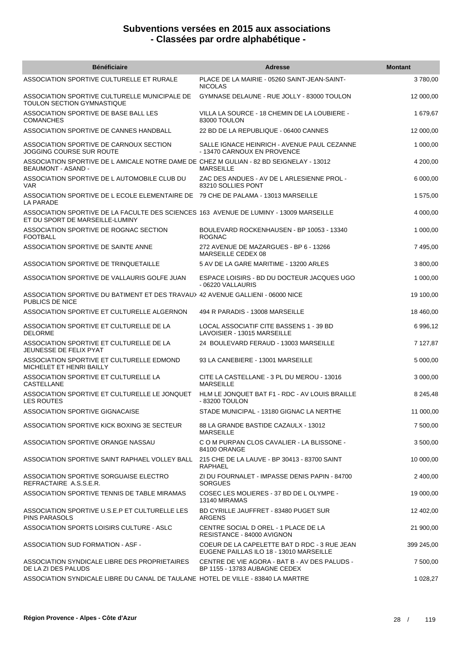| <b>Bénéficiaire</b>                                                                                                       | <b>Adresse</b>                                                                          | <b>Montant</b> |
|---------------------------------------------------------------------------------------------------------------------------|-----------------------------------------------------------------------------------------|----------------|
| ASSOCIATION SPORTIVE CULTURELLE ET RURALE                                                                                 | PLACE DE LA MAIRIE - 05260 SAINT-JEAN-SAINT-<br><b>NICOLAS</b>                          | 3780,00        |
| ASSOCIATION SPORTIVE CULTURELLE MUNICIPALE DE<br>TOULON SECTION GYMNASTIQUE                                               | GYMNASE DELAUNE - RUE JOLLY - 83000 TOULON                                              | 12 000,00      |
| ASSOCIATION SPORTIVE DE BASE BALL LES<br><b>COMANCHES</b>                                                                 | VILLA LA SOURCE - 18 CHEMIN DE LA LOUBIERE -<br>83000 TOULON                            | 1 679,67       |
| ASSOCIATION SPORTIVE DE CANNES HANDBALL                                                                                   | 22 BD DE LA REPUBLIQUE - 06400 CANNES                                                   | 12 000,00      |
| ASSOCIATION SPORTIVE DE CARNOUX SECTION<br>JOGGING COURSE SUR ROUTE                                                       | SALLE IGNACE HEINRICH - AVENUE PAUL CEZANNE<br>- 13470 CARNOUX EN PROVENCE              | 1 000,00       |
| ASSOCIATION SPORTIVE DE L AMICALE NOTRE DAME DE CHEZ M GULIAN - 82 BD SEIGNELAY - 13012<br><b>BEAUMONT - ASAND -</b>      | <b>MARSEILLE</b>                                                                        | 4 200,00       |
| ASSOCIATION SPORTIVE DE L AUTOMOBILE CLUB DU<br><b>VAR</b>                                                                | ZAC DES ANDUES - AV DE L ARLESIENNE PROL -<br>83210 SOLLIES PONT                        | 6 000,00       |
| ASSOCIATION SPORTIVE DE L ECOLE ELEMENTAIRE DE 79 CHE DE PALAMA - 13013 MARSEILLE<br>LA PARADE                            |                                                                                         | 1 575,00       |
| ASSOCIATION SPORTIVE DE LA FACULTE DES SCIENCES 163 AVENUE DE LUMINY - 13009 MARSEILLE<br>ET DU SPORT DE MARSEILLE-LUMINY |                                                                                         | 4 000,00       |
| ASSOCIATION SPORTIVE DE ROGNAC SECTION<br><b>FOOTBALL</b>                                                                 | BOULEVARD ROCKENHAUSEN - BP 10053 - 13340<br><b>ROGNAC</b>                              | 1 000,00       |
| ASSOCIATION SPORTIVE DE SAINTE ANNE                                                                                       | 272 AVENUE DE MAZARGUES - BP 6 - 13266<br>MARSEILLE CEDEX 08                            | 7 495,00       |
| ASSOCIATION SPORTIVE DE TRINQUETAILLE                                                                                     | 5 AV DE LA GARE MARITIME - 13200 ARLES                                                  | 3 800,00       |
| ASSOCIATION SPORTIVE DE VALLAURIS GOLFE JUAN                                                                              | ESPACE LOISIRS - BD DU DOCTEUR JACQUES UGO<br>- 06220 VALLAURIS                         | 1 000,00       |
| ASSOCIATION SPORTIVE DU BATIMENT ET DES TRAVAU> 42 AVENUE GALLIENI - 06000 NICE<br>PUBLICS DE NICE                        |                                                                                         | 19 100,00      |
| ASSOCIATION SPORTIVE ET CULTURELLE ALGERNON                                                                               | 494 R PARADIS - 13008 MARSEILLE                                                         | 18 460,00      |
| ASSOCIATION SPORTIVE ET CULTURELLE DE LA<br><b>DELORME</b>                                                                | LOCAL ASSOCIATIF CITE BASSENS 1 - 39 BD<br>LAVOISIER - 13015 MARSEILLE                  | 6 996,12       |
| ASSOCIATION SPORTIVE ET CULTURELLE DE LA<br>JEUNESSE DE FELIX PYAT                                                        | 24 BOULEVARD FERAUD - 13003 MARSEILLE                                                   | 7 127,87       |
| ASSOCIATION SPORTIVE ET CULTURELLE EDMOND<br>MICHELET ET HENRI BAILLY                                                     | 93 LA CANEBIERE - 13001 MARSEILLE                                                       | 5 000,00       |
| ASSOCIATION SPORTIVE ET CULTURELLE LA<br><b>CASTELLANE</b>                                                                | CITE LA CASTELLANE - 3 PL DU MEROU - 13016<br><b>MARSEILLE</b>                          | 3 000,00       |
| ASSOCIATION SPORTIVE ET CULTURELLE LE JONQUET<br><b>LES ROUTES</b>                                                        | HLM LE JONQUET BAT F1 - RDC - AV LOUIS BRAILLE<br>- 83200 TOULON                        | 8 245,48       |
| ASSOCIATION SPORTIVE GIGNACAISE                                                                                           | STADE MUNICIPAL - 13180 GIGNAC LA NERTHE                                                | 11 000,00      |
| ASSOCIATION SPORTIVE KICK BOXING 3E SECTEUR                                                                               | 88 LA GRANDE BASTIDE CAZAULX - 13012<br><b>MARSEILLE</b>                                | 7 500,00       |
| ASSOCIATION SPORTIVE ORANGE NASSAU                                                                                        | C O M PURPAN CLOS CAVALIER - LA BLISSONE -<br>84100 ORANGE                              | 3 500,00       |
| ASSOCIATION SPORTIVE SAINT RAPHAEL VOLLEY BALL 215 CHE DE LA LAUVE - BP 30413 - 83700 SAINT                               | RAPHAEL                                                                                 | 10 000,00      |
| ASSOCIATION SPORTIVE SORGUAISE ELECTRO<br>REFRACTAIRE A.S.S.E.R.                                                          | ZI DU FOURNALET - IMPASSE DENIS PAPIN - 84700<br><b>SORGUES</b>                         | 2 400,00       |
| ASSOCIATION SPORTIVE TENNIS DE TABLE MIRAMAS                                                                              | COSEC LES MOLIERES - 37 BD DE L OLYMPE -<br>13140 MIRAMAS                               | 19 000,00      |
| ASSOCIATION SPORTIVE U.S.E.P ET CULTURELLE LES<br>PINS PARASOLS                                                           | BD CYRILLE JAUFFRET - 83480 PUGET SUR<br>ARGENS                                         | 12 402,00      |
| ASSOCIATION SPORTS LOISIRS CULTURE - ASLC                                                                                 | CENTRE SOCIAL D OREL - 1 PLACE DE LA<br>RESISTANCE - 84000 AVIGNON                      | 21 900,00      |
| <b>ASSOCIATION SUD FORMATION - ASF -</b>                                                                                  | COEUR DE LA CAPELETTE BAT D RDC - 3 RUE JEAN<br>EUGENE PAILLAS ILO 18 - 13010 MARSEILLE | 399 245,00     |
| ASSOCIATION SYNDICALE LIBRE DES PROPRIETAIRES<br>DE LA ZI DES PALUDS                                                      | CENTRE DE VIE AGORA - BAT B - AV DES PALUDS -<br>BP 1155 - 13783 AUBAGNE CEDEX          | 7 500,00       |
| ASSOCIATION SYNDICALE LIBRE DU CANAL DE TAULANE HOTEL DE VILLE - 83840 LA MARTRE                                          |                                                                                         | 1 028,27       |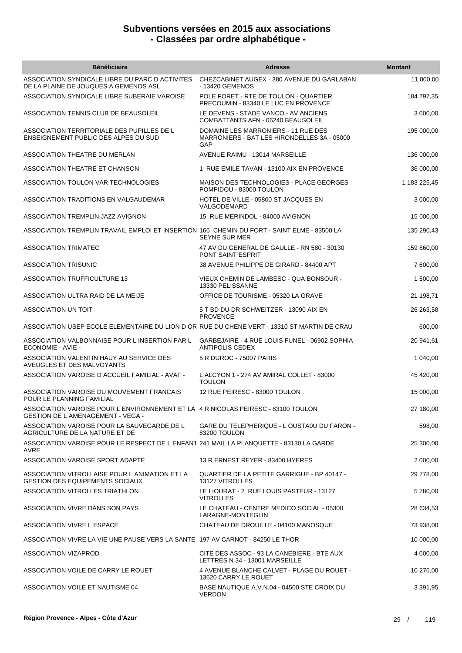| <b>Bénéficiaire</b>                                                                                                           | <b>Adresse</b>                                                                            | <b>Montant</b> |
|-------------------------------------------------------------------------------------------------------------------------------|-------------------------------------------------------------------------------------------|----------------|
| ASSOCIATION SYNDICALE LIBRE DU PARC D ACTIVITES<br>DE LA PLAINE DE JOUQUES A GEMENOS ASL                                      | CHEZCABINET AUGEX - 380 AVENUE DU GARLABAN<br>- 13420 GEMENOS                             | 11 000,00      |
| ASSOCIATION SYNDICALE LIBRE SUBERAIE VAROISE                                                                                  | POLE FORET - RTE DE TOULON - QUARTIER<br>PRECOUMIN - 83340 LE LUC EN PROVENCE             | 184 797,35     |
| ASSOCIATION TENNIS CLUB DE BEAUSOLEIL                                                                                         | LE DEVENS - STADE VANCO - AV ANCIENS<br>COMBATTANTS AFN - 06240 BEAUSOLEIL                | 3 000,00       |
| ASSOCIATION TERRITORIALE DES PUPILLES DE L<br>ENSEIGNEMENT PUBLIC DES ALPES DU SUD                                            | DOMAINE LES MARRONIERS - 11 RUE DES<br>MARRONIERS - BAT LES HIRONDELLES 3A - 05000<br>GAP | 195 000,00     |
| ASSOCIATION THEATRE DU MERLAN                                                                                                 | AVENUE RAIMU - 13014 MARSEILLE                                                            | 136 000,00     |
| ASSOCIATION THEATRE ET CHANSON                                                                                                | 1 RUE EMILE TAVAN - 13100 AIX EN PROVENCE                                                 | 36 000,00      |
| ASSOCIATION TOULON VAR TECHNOLOGIES                                                                                           | MAISON DES TECHNOLOGIES - PLACE GEORGES<br>POMPIDOU - 83000 TOULON                        | 1 183 225,45   |
| ASSOCIATION TRADITIONS EN VALGAUDEMAR                                                                                         | HOTEL DE VILLE - 05800 ST JACQUES EN<br>VALGODEMARD                                       | 3 000,00       |
| ASSOCIATION TREMPLIN JAZZ AVIGNON                                                                                             | 15 RUE MERINDOL - 84000 AVIGNON                                                           | 15 000,00      |
| ASSOCIATION TREMPLIN TRAVAIL EMPLOI ET INSERTION 166 CHEMIN DU FORT - SAINT ELME - 83500 LA                                   | <b>SEYNE SUR MER</b>                                                                      | 135 290,43     |
| <b>ASSOCIATION TRIMATEC</b>                                                                                                   | 47 AV DU GENERAL DE GAULLE - RN 580 - 30130<br><b>PONT SAINT ESPRIT</b>                   | 159 860,00     |
| <b>ASSOCIATION TRISUNIC</b>                                                                                                   | 38 AVENUE PHILIPPE DE GIRARD - 84400 APT                                                  | 7 600,00       |
| <b>ASSOCIATION TRUFFICULTURE 13</b>                                                                                           | VIEUX CHEMIN DE LAMBESC - QUA BONSOUR -<br>13330 PELISSANNE                               | 1 500,00       |
| ASSOCIATION ULTRA RAID DE LA MEIJE                                                                                            | OFFICE DE TOURISME - 05320 LA GRAVE                                                       | 21 198,71      |
| ASSOCIATION UN TOIT                                                                                                           | 5 T BD DU DR SCHWEITZER - 13090 AIX EN<br><b>PROVENCE</b>                                 | 26 263,58      |
| ASSOCIATION USEP ECOLE ELEMENTAIRE DU LION D OR RUE DU CHENE VERT - 13310 ST MARTIN DE CRAU                                   |                                                                                           | 600,00         |
| ASSOCIATION VALBONNAISE POUR L INSERTION PAR L<br><b>ECONOMIE - AVIE -</b>                                                    | GARBEJAIRE - 4 RUE LOUIS FUNEL - 06902 SOPHIA<br><b>ANTIPOLIS CEDEX</b>                   | 20 941,61      |
| ASSOCIATION VALENTIN HAUY AU SERVICE DES<br>AVEUGLES ET DES MALVOYANTS                                                        | 5 R DUROC - 75007 PARIS                                                                   | 1 040,00       |
| ASSOCIATION VAROISE D ACCUEIL FAMILIAL - AVAF -                                                                               | L ALCYON 1 - 274 AV AMIRAL COLLET - 83000<br><b>TOULON</b>                                | 45 420,00      |
| ASSOCIATION VAROISE DU MOUVEMENT FRANCAIS<br>POUR LE PLANNING FAMILIAL                                                        | 12 RUE PEIRESC - 83000 TOULON                                                             | 15 000,00      |
| ASSOCIATION VAROISE POUR L ENVIRONNEMENT ET LA 4 R NICOLAS PEIRESC - 83100 TOULON<br><b>GESTION DE L AMENAGEMENT - VEGA -</b> |                                                                                           | 27 180,00      |
| ASSOCIATION VAROISE POUR LA SAUVEGARDE DE L<br>AGRICULTURE DE LA NATURE ET DE                                                 | GARE DU TELEPHERIQUE - L OUSTA0U DU FARON -<br>83200 TOULON                               | 598,00         |
| ASSOCIATION VAROISE POUR LE RESPECT DE L ENFANT 241 MAIL LA PLANQUETTE - 83130 LA GARDE<br>AVRE                               |                                                                                           | 25 300,00      |
| ASSOCIATION VAROISE SPORT ADAPTE                                                                                              | 13 R ERNEST REYER - 83400 HYERES                                                          | 2 000,00       |
| ASSOCIATION VITROLLAISE POUR L ANIMATION ET LA<br><b>GESTION DES EQUIPEMENTS SOCIAUX</b>                                      | QUARTIER DE LA PETITE GARRIGUE - BP 40147 -<br>13127 VITROLLES                            | 29 778,00      |
| ASSOCIATION VITROLLES TRIATHLON                                                                                               | LE LIOURAT - 2 RUE LOUIS PASTEUR - 13127<br><b>VITROLLES</b>                              | 5780,00        |
| ASSOCIATION VIVRE DANS SON PAYS                                                                                               | LE CHATEAU - CENTRE MEDICO SOCIAL - 05300<br>LARAGNE-MONTEGLIN                            | 28 634,53      |
| ASSOCIATION VIVRE L ESPACE                                                                                                    | CHATEAU DE DROUILLE - 04100 MANOSQUE                                                      | 73 938,00      |
| ASSOCIATION VIVRE LA VIE UNE PAUSE VERS LA SANTE 197 AV CARNOT - 84250 LE THOR                                                |                                                                                           | 10 000,00      |
| ASSOCIATION VIZAPROD                                                                                                          | CITE DES ASSOC - 93 LA CANEBIERE - BTE AUX<br>LETTRES N 34 - 13001 MARSEILLE              | 4 000,00       |
| ASSOCIATION VOILE DE CARRY LE ROUET                                                                                           | 4 AVENUE BLANCHE CALVET - PLAGE DU ROUET -<br>13620 CARRY LE ROUET                        | 10 276,00      |
| ASSOCIATION VOILE ET NAUTISME 04                                                                                              | BASE NAUTIQUE A.V.N.04 - 04500 STE CROIX DU<br><b>VERDON</b>                              | 3 3 9 1 , 9 5  |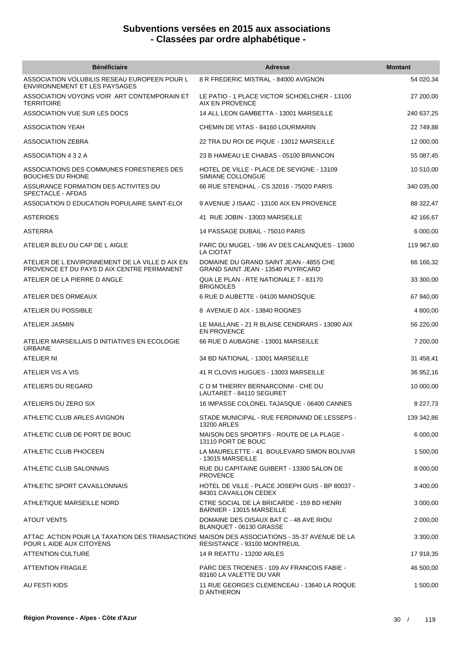| <b>Bénéficiaire</b>                                                                                                     | <b>Adresse</b>                                                                      | <b>Montant</b> |
|-------------------------------------------------------------------------------------------------------------------------|-------------------------------------------------------------------------------------|----------------|
| ASSOCIATION VOLUBILIS RESEAU EUROPEEN POUR L<br><b>ENVIRONNEMENT ET LES PAYSAGES</b>                                    | 8 R FREDERIC MISTRAL - 84000 AVIGNON                                                | 54 020,34      |
| ASSOCIATION VOYONS VOIR ART CONTEMPORAIN ET<br><b>TERRITOIRE</b>                                                        | LE PATIO - 1 PLACE VICTOR SCHOELCHER - 13100<br><b>AIX EN PROVENCE</b>              | 27 200,00      |
| ASSOCIATION VUE SUR LES DOCS                                                                                            | 14 ALL LEON GAMBETTA - 13001 MARSEILLE                                              | 240 637,25     |
| ASSOCIATION YEAH                                                                                                        | CHEMIN DE VITAS - 84160 LOURMARIN                                                   | 22 749,88      |
| <b>ASSOCIATION ZEBRA</b>                                                                                                | 22 TRA DU ROI DE PIQUE - 13012 MARSEILLE                                            | 12 000,00      |
| ASSOCIATION 4 3 2 A                                                                                                     | 23 B HAMEAU LE CHABAS - 05100 BRIANCON                                              | 55 087,45      |
| ASSOCIATIONS DES COMMUNES FORESTIERES DES<br><b>BOUCHES DU RHONE</b>                                                    | HOTEL DE VILLE - PLACE DE SEVIGNE - 13109<br>SIMIANE COLLONGUE                      | 10 510,00      |
| ASSURANCE FORMATION DES ACTIVITES DU<br>SPECTACLE - AFDAS                                                               | 66 RUE STENDHAL - CS 32016 - 75020 PARIS                                            | 340 035,00     |
| ASSOCIATION D EDUCATION POPULAIRE SAINT-ELOI                                                                            | 9 AVENUE J ISAAC - 13100 AIX EN PROVENCE                                            | 88 322,47      |
| ASTERIDES                                                                                                               | 41 RUE JOBIN - 13003 MARSEILLE                                                      | 42 166,67      |
| <b>ASTERRA</b>                                                                                                          | 14 PASSAGE DUBAIL - 75010 PARIS                                                     | 6 000,00       |
| ATELIER BLEU DU CAP DE L AIGLE                                                                                          | PARC DU MUGEL - 596 AV DES CALANQUES - 13600<br>LA CIOTAT                           | 119 967,60     |
| ATELIER DE L ENVIRONNEMENT DE LA VILLE D AIX EN<br>PROVENCE ET DU PAYS D AIX CENTRE PERMANENT                           | DOMAINE DU GRAND SAINT JEAN - 4855 CHE<br><b>GRAND SAINT JEAN - 13540 PUYRICARD</b> | 66 166,32      |
| ATELIER DE LA PIERRE D ANGLE                                                                                            | QUA LE PLAN - RTE NATIONALE 7 - 83170<br><b>BRIGNOLES</b>                           | 33 300,00      |
| ATELIER DES ORMEAUX                                                                                                     | 6 RUE D AUBETTE - 04100 MANOSQUE                                                    | 67 940,00      |
| ATELIER DU POSSIBLE                                                                                                     | 8 AVENUE D AIX - 13840 ROGNES                                                       | 4 800,00       |
| ATELIER JASMIN                                                                                                          | LE MAILLANE - 21 R BLAISE CENDRARS - 13090 AIX<br><b>EN PROVENCE</b>                | 56 220,00      |
| ATELIER MARSEILLAIS D INITIATIVES EN ECOLOGIE<br><b>URBAINE</b>                                                         | 66 RUE D AUBAGNE - 13001 MARSEILLE                                                  | 7 200,00       |
| ATELIER NI                                                                                                              | 34 BD NATIONAL - 13001 MARSEILLE                                                    | 31 458,41      |
| ATELIER VIS A VIS                                                                                                       | 41 R CLOVIS HUGUES - 13003 MARSEILLE                                                | 36 952,16      |
| ATELIERS DU REGARD                                                                                                      | C O M THIERRY BERNARCONNI - CHE DU<br>LAUTARET - 84110 SEGURET                      | 10 000,00      |
| ATELIERS DU ZERO SIX                                                                                                    | 16 IMPASSE COLONEL TAJASQUE - 06400 CANNES                                          | 8 2 2 7 .73    |
| ATHLETIC CLUB ARLES AVIGNON                                                                                             | STADE MUNICIPAL - RUE FERDINAND DE LESSEPS -<br><b>13200 ARLES</b>                  | 139 342,86     |
| ATHLETIC CLUB DE PORT DE BOUC                                                                                           | MAISON DES SPORTIFS - ROUTE DE LA PLAGE -<br>13110 PORT DE BOUC                     | 6 000,00       |
| ATHLETIC CLUB PHOCEEN                                                                                                   | LA MAURELETTE - 41 BOULEVARD SIMON BOLIVAR<br>- 13015 MARSEILLE                     | 1 500,00       |
| ATHLETIC CLUB SALONNAIS                                                                                                 | RUE DU CAPITAINE GUIBERT - 13300 SALON DE<br><b>PROVENCE</b>                        | 8 000,00       |
| ATHLETIC SPORT CAVAILLONNAIS                                                                                            | HOTEL DE VILLE - PLACE JOSEPH GUIS - BP 80037 -<br>84301 CAVAILLON CEDEX            | 3 400,00       |
| ATHLETIQUE MARSEILLE NORD                                                                                               | CTRE SOCIAL DE LA BRICARDE - 159 BD HENRI<br>BARNIER - 13015 MARSEILLE              | 3 000,00       |
| ATOUT VENTS                                                                                                             | DOMAINE DES OISAUX BAT C - 48 AVE RIOU<br>BLANQUET - 06130 GRASSE                   | 2 000,00       |
| ATTAC ACTION POUR LA TAXATION DES TRANSACTIONS MAISON DES ASSOCIATIONS - 35-37 AVENUE DE LA<br>POUR L AIDE AUX CITOYENS | RESISTANCE - 93100 MONTREUIL                                                        | 3 300,00       |
| <b>ATTENTION CULTURE</b>                                                                                                | 14 R REATTU - 13200 ARLES                                                           | 17 918,35      |
| <b>ATTENTION FRAGILE</b>                                                                                                | PARC DES TROENES - 109 AV FRANCOIS FABIE -<br>83160 LA VALETTE DU VAR               | 46 500,00      |
| AU FESTI KIDS                                                                                                           | 11 RUE GEORGES CLEMENCEAU - 13640 LA ROQUE<br><b>D ANTHERON</b>                     | 1 500,00       |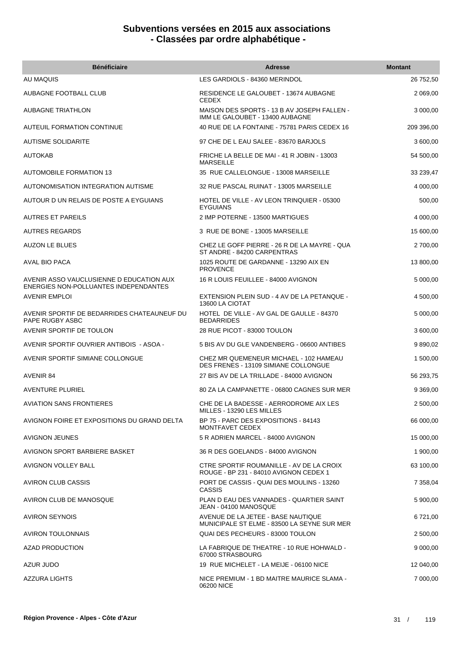| <b>Bénéficiaire</b>                                                               | <b>Adresse</b>                                                                     | <b>Montant</b> |
|-----------------------------------------------------------------------------------|------------------------------------------------------------------------------------|----------------|
| AU MAQUIS                                                                         | LES GARDIOLS - 84360 MERINDOL                                                      | 26 752,50      |
| AUBAGNE FOOTBALL CLUB                                                             | RESIDENCE LE GALOUBET - 13674 AUBAGNE<br><b>CEDEX</b>                              | 2 069,00       |
| AUBAGNE TRIATHLON                                                                 | MAISON DES SPORTS - 13 B AV JOSEPH FALLEN -<br>IMM LE GALOUBET - 13400 AUBAGNE     | 3 000,00       |
| AUTEUIL FORMATION CONTINUE                                                        | 40 RUE DE LA FONTAINE - 75781 PARIS CEDEX 16                                       | 209 396,00     |
| <b>AUTISME SOLIDARITE</b>                                                         | 97 CHE DE L EAU SALEE - 83670 BARJOLS                                              | 3 600,00       |
| AUTOKAB                                                                           | FRICHE LA BELLE DE MAI - 41 R JOBIN - 13003<br><b>MARSEILLE</b>                    | 54 500,00      |
| <b>AUTOMOBILE FORMATION 13</b>                                                    | 35 RUE CALLELONGUE - 13008 MARSEILLE                                               | 33 239,47      |
| AUTONOMISATION INTEGRATION AUTISME                                                | 32 RUE PASCAL RUINAT - 13005 MARSEILLE                                             | 4 000,00       |
| AUTOUR D UN RELAIS DE POSTE A EYGUIANS                                            | HOTEL DE VILLE - AV LEON TRINQUIER - 05300<br><b>EYGUIANS</b>                      | 500,00         |
| <b>AUTRES ET PAREILS</b>                                                          | 2 IMP POTERNE - 13500 MARTIGUES                                                    | 4 000,00       |
| <b>AUTRES REGARDS</b>                                                             | 3 RUE DE BONE - 13005 MARSEILLE                                                    | 15 600,00      |
| <b>AUZON LE BLUES</b>                                                             | CHEZ LE GOFF PIERRE - 26 R DE LA MAYRE - QUA<br>ST ANDRE - 84200 CARPENTRAS        | 2 700,00       |
| AVAL BIO PACA                                                                     | 1025 ROUTE DE GARDANNE - 13290 AIX EN<br><b>PROVENCE</b>                           | 13 800,00      |
| AVENIR ASSO VAUCLUSIENNE D EDUCATION AUX<br>ENERGIES NON-POLLUANTES INDEPENDANTES | 16 R LOUIS FEUILLEE - 84000 AVIGNON                                                | 5 000,00       |
| <b>AVENIR EMPLOI</b>                                                              | EXTENSION PLEIN SUD - 4 AV DE LA PETANQUE -<br>13600 LA CIOTAT                     | 4 500,00       |
| AVENIR SPORTIF DE BEDARRIDES CHATEAUNEUF DU<br>PAPE RUGBY ASBC                    | HOTEL DE VILLE - AV GAL DE GAULLE - 84370<br><b>BEDARRIDES</b>                     | 5 000,00       |
| AVENIR SPORTIF DE TOULON                                                          | 28 RUE PICOT - 83000 TOULON                                                        | 3 600,00       |
| AVENIR SPORTIF OUVRIER ANTIBOIS - ASOA -                                          | 5 BIS AV DU GLE VANDENBERG - 06600 ANTIBES                                         | 9 890,02       |
| AVENIR SPORTIF SIMIANE COLLONGUE                                                  | CHEZ MR QUEMENEUR MICHAEL - 102 HAMEAU<br>DES FRENES - 13109 SIMIANE COLLONGUE     | 1 500,00       |
| AVENIR 84                                                                         | 27 BIS AV DE LA TRILLADE - 84000 AVIGNON                                           | 56 293,75      |
| <b>AVENTURE PLURIEL</b>                                                           | 80 ZA LA CAMPANETTE - 06800 CAGNES SUR MER                                         | 9 369,00       |
| <b>AVIATION SANS FRONTIERES</b>                                                   | CHE DE LA BADESSE - AERRODROME AIX LES<br>MILLES - 13290 LES MILLES                | 2 500,00       |
| AVIGNON FOIRE ET EXPOSITIONS DU GRAND DELTA                                       | BP 75 - PARC DES EXPOSITIONS - 84143<br>MONTFAVET CEDEX                            | 66 000,00      |
| <b>AVIGNON JEUNES</b>                                                             | 5 R ADRIEN MARCEL - 84000 AVIGNON                                                  | 15 000,00      |
| AVIGNON SPORT BARBIERE BASKET                                                     | 36 R DES GOELANDS - 84000 AVIGNON                                                  | 1 900,00       |
| AVIGNON VOLLEY BALL                                                               | CTRE SPORTIF ROUMANILLE - AV DE LA CROIX<br>ROUGE - BP 231 - 84010 AVIGNON CEDEX 1 | 63 100,00      |
| AVIRON CLUB CASSIS                                                                | PORT DE CASSIS - QUAI DES MOULINS - 13260<br><b>CASSIS</b>                         | 7 358,04       |
| AVIRON CLUB DE MANOSQUE                                                           | PLAN D EAU DES VANNADES - QUARTIER SAINT<br>JEAN - 04100 MANOSQUE                  | 5 900,00       |
| <b>AVIRON SEYNOIS</b>                                                             | AVENUE DE LA JETEE - BASE NAUTIQUE<br>MUNICIPALE ST ELME - 83500 LA SEYNE SUR MER  | 6 721,00       |
| AVIRON TOULONNAIS                                                                 | QUAI DES PECHEURS - 83000 TOULON                                                   | 2 500,00       |
| <b>AZAD PRODUCTION</b>                                                            | LA FABRIQUE DE THEATRE - 10 RUE HOHWALD -<br>67000 STRASBOURG                      | 9 000,00       |
| AZUR JUDO                                                                         | 19 RUE MICHELET - LA MEIJE - 06100 NICE                                            | 12 040,00      |
| AZZURA LIGHTS                                                                     | NICE PREMIUM - 1 BD MAITRE MAURICE SLAMA -<br>06200 NICE                           | 7 000,00       |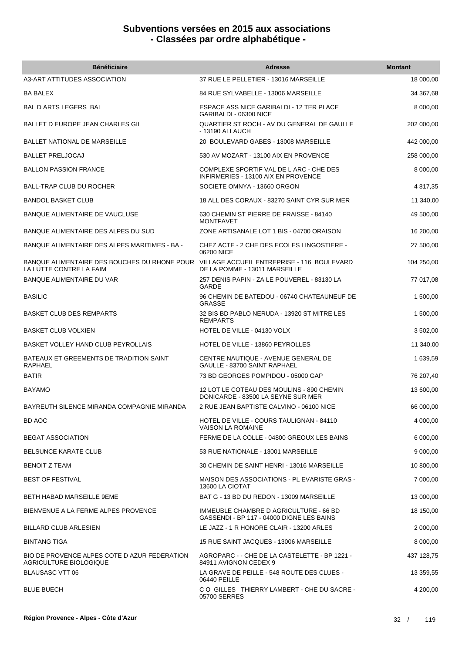| <b>Bénéficiaire</b>                                                     | <b>Adresse</b>                                                                      | <b>Montant</b> |
|-------------------------------------------------------------------------|-------------------------------------------------------------------------------------|----------------|
| A3-ART ATTITUDES ASSOCIATION                                            | 37 RUE LE PELLETIER - 13016 MARSEILLE                                               | 18 000,00      |
| <b>BA BALEX</b>                                                         | 84 RUE SYLVABELLE - 13006 MARSEILLE                                                 | 34 367,68      |
| BAL D ARTS LEGERS BAL                                                   | ESPACE ASS NICE GARIBALDI - 12 TER PLACE<br>GARIBALDI - 06300 NICE                  | 8 000,00       |
| BALLET D EUROPE JEAN CHARLES GIL                                        | QUARTIER ST ROCH - AV DU GENERAL DE GAULLE<br>- 13190 ALLAUCH                       | 202 000,00     |
| <b>BALLET NATIONAL DE MARSEILLE</b>                                     | 20 BOULEVARD GABES - 13008 MARSEILLE                                                | 442 000,00     |
| <b>BALLET PRELJOCAJ</b>                                                 | 530 AV MOZART - 13100 AIX EN PROVENCE                                               | 258 000,00     |
| <b>BALLON PASSION FRANCE</b>                                            | COMPLEXE SPORTIF VAL DE L ARC - CHE DES<br>INFIRMERIES - 13100 AIX EN PROVENCE      | 8 000,00       |
| <b>BALL-TRAP CLUB DU ROCHER</b>                                         | SOCIETE OMNYA - 13660 ORGON                                                         | 4 817,35       |
| <b>BANDOL BASKET CLUB</b>                                               | 18 ALL DES CORAUX - 83270 SAINT CYR SUR MER                                         | 11 340,00      |
| BANQUE ALIMENTAIRE DE VAUCLUSE                                          | 630 CHEMIN ST PIERRE DE FRAISSE - 84140<br><b>MONTFAVET</b>                         | 49 500,00      |
| BANQUE ALIMENTAIRE DES ALPES DU SUD                                     | ZONE ARTISANALE LOT 1 BIS - 04700 ORAISON                                           | 16 200,00      |
| BANQUE ALIMENTAIRE DES ALPES MARITIMES - BA -                           | CHEZ ACTE - 2 CHE DES ECOLES LINGOSTIERE -<br>06200 NICE                            | 27 500,00      |
| BANQUE ALIMENTAIRE DES BOUCHES DU RHONE POUR<br>LA LUTTE CONTRE LA FAIM | VILLAGE ACCUEIL ENTREPRISE - 116 BOULEVARD<br>DE LA POMME - 13011 MARSEILLE         | 104 250,00     |
| BANQUE ALIMENTAIRE DU VAR                                               | 257 DENIS PAPIN - ZA LE POUVEREL - 83130 LA<br><b>GARDE</b>                         | 77 017,08      |
| <b>BASILIC</b>                                                          | 96 CHEMIN DE BATEDOU - 06740 CHATEAUNEUF DE<br><b>GRASSE</b>                        | 1 500,00       |
| <b>BASKET CLUB DES REMPARTS</b>                                         | 32 BIS BD PABLO NERUDA - 13920 ST MITRE LES<br><b>REMPARTS</b>                      | 1 500,00       |
| <b>BASKET CLUB VOLXIEN</b>                                              | HOTEL DE VILLE - 04130 VOLX                                                         | 3 502,00       |
| BASKET VOLLEY HAND CLUB PEYROLLAIS                                      | HOTEL DE VILLE - 13860 PEYROLLES                                                    | 11 340,00      |
| BATEAUX ET GREEMENTS DE TRADITION SAINT<br>RAPHAEL                      | CENTRE NAUTIQUE - AVENUE GENERAL DE<br>GAULLE - 83700 SAINT RAPHAEL                 | 1 639,59       |
| <b>BATIR</b>                                                            | 73 BD GEORGES POMPIDOU - 05000 GAP                                                  | 76 207,40      |
| <b>BAYAMO</b>                                                           | 12 LOT LE COTEAU DES MOULINS - 890 CHEMIN<br>DONICARDE - 83500 LA SEYNE SUR MER     | 13 600,00      |
| BAYREUTH SILENCE MIRANDA COMPAGNIE MIRANDA                              | 2 RUE JEAN BAPTISTE CALVINO - 06100 NICE                                            | 66 000,00      |
| BD AOC                                                                  | HOTEL DE VILLE - COURS TAULIGNAN - 84110<br><b>VAISON LA ROMAINE</b>                | 4 000,00       |
| <b>BEGAT ASSOCIATION</b>                                                | FERME DE LA COLLE - 04800 GREOUX LES BAINS                                          | 6 000,00       |
| <b>BELSUNCE KARATE CLUB</b>                                             | 53 RUE NATIONALE - 13001 MARSEILLE                                                  | 9 000,00       |
| <b>BENOIT Z TEAM</b>                                                    | 30 CHEMIN DE SAINT HENRI - 13016 MARSEILLE                                          | 10 800,00      |
| <b>BEST OF FESTIVAL</b>                                                 | MAISON DES ASSOCIATIONS - PL EVARISTE GRAS -<br>13600 LA CIOTAT                     | 7 000,00       |
| BETH HABAD MARSEILLE 9EME                                               | BAT G - 13 BD DU REDON - 13009 MARSEILLE                                            | 13 000,00      |
| BIENVENUE A LA FERME ALPES PROVENCE                                     | IMMEUBLE CHAMBRE D AGRICULTURE - 66 BD<br>GASSENDI - BP 117 - 04000 DIGNE LES BAINS | 18 150,00      |
| <b>BILLARD CLUB ARLESIEN</b>                                            | LE JAZZ - 1 R HONORE CLAIR - 13200 ARLES                                            | 2 000,00       |
| <b>BINTANG TIGA</b>                                                     | 15 RUE SAINT JACQUES - 13006 MARSEILLE                                              | 8 000,00       |
| BIO DE PROVENCE ALPES COTE D AZUR FEDERATION<br>AGRICULTURE BIOLOGIQUE  | AGROPARC - - CHE DE LA CASTELETTE - BP 1221 -<br>84911 AVIGNON CEDEX 9              | 437 128,75     |
| <b>BLAUSASC VTT 06</b>                                                  | LA GRAVE DE PEILLE - 548 ROUTE DES CLUES -<br>06440 PEILLE                          | 13 359,55      |
| <b>BLUE BUECH</b>                                                       | CO GILLES THIERRY LAMBERT - CHE DU SACRE -<br>05700 SERRES                          | 4 200,00       |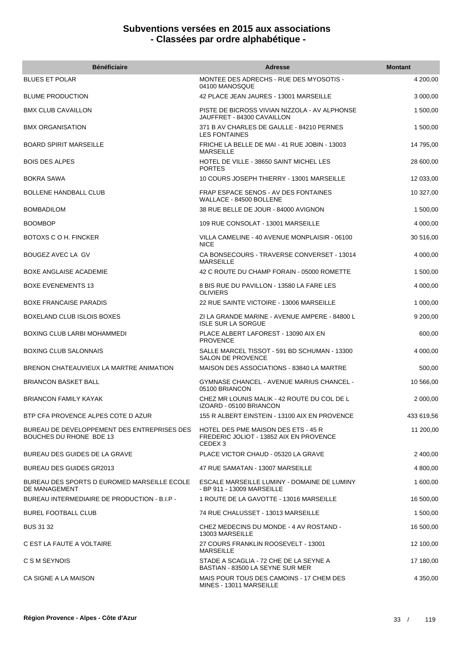| <b>Bénéficiaire</b>                                                    | <b>Adresse</b>                                                                                       | <b>Montant</b> |
|------------------------------------------------------------------------|------------------------------------------------------------------------------------------------------|----------------|
| <b>BLUES ET POLAR</b>                                                  | MONTEE DES ADRECHS - RUE DES MYOSOTIS -<br>04100 MANOSQUE                                            | 4 200,00       |
| <b>BLUME PRODUCTION</b>                                                | 42 PLACE JEAN JAURES - 13001 MARSEILLE                                                               | 3 000,00       |
| <b>BMX CLUB CAVAILLON</b>                                              | PISTE DE BICROSS VIVIAN NIZZOLA - AV ALPHONSE<br>JAUFFRET - 84300 CAVAILLON                          | 1 500,00       |
| BMX ORGANISATION                                                       | 371 B AV CHARLES DE GAULLE - 84210 PERNES<br><b>LES FONTAINES</b>                                    | 1 500,00       |
| <b>BOARD SPIRIT MARSEILLE</b>                                          | FRICHE LA BELLE DE MAI - 41 RUE JOBIN - 13003<br><b>MARSEILLE</b>                                    | 14 795,00      |
| <b>BOIS DES ALPES</b>                                                  | HOTEL DE VILLE - 38650 SAINT MICHEL LES<br><b>PORTES</b>                                             | 28 600,00      |
| BOKRA SAWA                                                             | 10 COURS JOSEPH THIERRY - 13001 MARSEILLE                                                            | 12 033,00      |
| <b>BOLLENE HANDBALL CLUB</b>                                           | FRAP ESPACE SENOS - AV DES FONTAINES<br>WALLACE - 84500 BOLLENE                                      | 10 327,00      |
| <b>BOMBADILOM</b>                                                      | 38 RUE BELLE DE JOUR - 84000 AVIGNON                                                                 | 1 500,00       |
| <b>BOOMBOP</b>                                                         | 109 RUE CONSOLAT - 13001 MARSEILLE                                                                   | 4 000,00       |
| BOTOXS C O H. FINCKER                                                  | VILLA CAMELINE - 40 AVENUE MONPLAISIR - 06100<br><b>NICE</b>                                         | 30 516,00      |
| BOUGEZ AVEC LA GV                                                      | CA BONSECOURS - TRAVERSE CONVERSET - 13014<br><b>MARSEILLE</b>                                       | 4 000,00       |
| BOXE ANGLAISE ACADEMIE                                                 | 42 C ROUTE DU CHAMP FORAIN - 05000 ROMETTE                                                           | 1 500,00       |
| <b>BOXE EVENEMENTS 13</b>                                              | 8 BIS RUE DU PAVILLON - 13580 LA FARE LES<br><b>OLIVIERS</b>                                         | 4 000,00       |
| <b>BOXE FRANCAISE PARADIS</b>                                          | 22 RUE SAINTE VICTOIRE - 13006 MARSEILLE                                                             | 1 000,00       |
| BOXELAND CLUB ISLOIS BOXES                                             | ZI LA GRANDE MARINE - AVENUE AMPERE - 84800 L<br><b>ISLE SUR LA SORGUE</b>                           | 9 200,00       |
| BOXING CLUB LARBI MOHAMMEDI                                            | PLACE ALBERT LAFOREST - 13090 AIX EN<br><b>PROVENCE</b>                                              | 600,00         |
| <b>BOXING CLUB SALONNAIS</b>                                           | SALLE MARCEL TISSOT - 591 BD SCHUMAN - 13300<br>SALON DE PROVENCE                                    | 4 000,00       |
| BRENON CHATEAUVIEUX LA MARTRE ANIMATION                                | MAISON DES ASSOCIATIONS - 83840 LA MARTRE                                                            | 500,00         |
| <b>BRIANCON BASKET BALL</b>                                            | <b>GYMNASE CHANCEL - AVENUE MARIUS CHANCEL -</b><br>05100 BRIANCON                                   | 10 566,00      |
| <b>BRIANCON FAMILY KAYAK</b>                                           | CHEZ MR LOUNIS MALIK - 42 ROUTE DU COL DE L<br>IZOARD - 05100 BRIANCON                               | 2 000,00       |
| BTP CFA PROVENCE ALPES COTE D AZUR                                     | 155 R ALBERT EINSTEIN - 13100 AIX EN PROVENCE                                                        | 433 619,56     |
| BUREAU DE DEVELOPPEMENT DES ENTREPRISES DES<br>BOUCHES DU RHONE BDE 13 | HOTEL DES PME MAISON DES ETS - 45 R<br>FREDERIC JOLIOT - 13852 AIX EN PROVENCE<br>CEDEX <sub>3</sub> | 11 200,00      |
| BUREAU DES GUIDES DE LA GRAVE                                          | PLACE VICTOR CHAUD - 05320 LA GRAVE                                                                  | 2 400,00       |
| <b>BUREAU DES GUIDES GR2013</b>                                        | 47 RUE SAMATAN - 13007 MARSEILLE                                                                     | 4 800,00       |
| BUREAU DES SPORTS D EUROMED MARSEILLE ECOLE<br>DE MANAGEMENT           | ESCALE MARSEILLE LUMINY - DOMAINE DE LUMINY<br>- BP 911 - 13009 MARSEILLE                            | 1 600,00       |
| BUREAU INTERMEDIAIRE DE PRODUCTION - B.I.P -                           | 1 ROUTE DE LA GAVOTTE - 13016 MARSEILLE                                                              | 16 500,00      |
| <b>BUREL FOOTBALL CLUB</b>                                             | 74 RUE CHALUSSET - 13013 MARSEILLE                                                                   | 1 500,00       |
| <b>BUS 31 32</b>                                                       | CHEZ MEDECINS DU MONDE - 4 AV ROSTAND -<br>13003 MARSEILLE                                           | 16 500,00      |
| C EST LA FAUTE A VOLTAIRE                                              | 27 COURS FRANKLIN ROOSEVELT - 13001<br><b>MARSEILLE</b>                                              | 12 100,00      |
| C S M SEYNOIS                                                          | STADE A SCAGLIA - 72 CHE DE LA SEYNE A<br>BASTIAN - 83500 LA SEYNE SUR MER                           | 17 180,00      |
| CA SIGNE A LA MAISON                                                   | MAIS POUR TOUS DES CAMOINS - 17 CHEM DES<br>MINES - 13011 MARSEILLE                                  | 4 350,00       |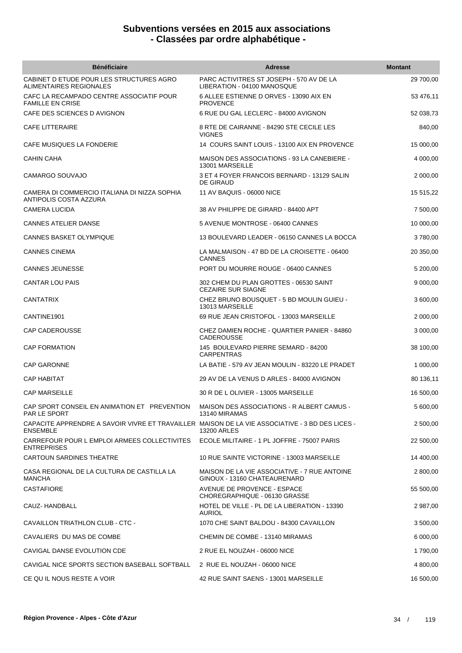| <b>Bénéficiaire</b>                                                                                                | <b>Adresse</b>                                                               | <b>Montant</b> |
|--------------------------------------------------------------------------------------------------------------------|------------------------------------------------------------------------------|----------------|
| CABINET D ETUDE POUR LES STRUCTURES AGRO<br>ALIMENTAIRES REGIONALES                                                | PARC ACTIVITRES ST JOSEPH - 570 AV DE LA<br>LIBERATION - 04100 MANOSQUE      | 29 700,00      |
| CAFC LA RECAMPADO CENTRE ASSOCIATIF POUR<br><b>FAMILLE EN CRISE</b>                                                | 6 ALLEE ESTIENNE D ORVES - 13090 AIX EN<br><b>PROVENCE</b>                   | 53 476,11      |
| CAFE DES SCIENCES D AVIGNON                                                                                        | 6 RUE DU GAL LECLERC - 84000 AVIGNON                                         | 52 038,73      |
| <b>CAFE LITTERAIRE</b>                                                                                             | 8 RTE DE CAIRANNE - 84290 STE CECILE LES<br><b>VIGNES</b>                    | 840,00         |
| CAFE MUSIQUES LA FONDERIE                                                                                          | 14 COURS SAINT LOUIS - 13100 AIX EN PROVENCE                                 | 15 000,00      |
| <b>CAHIN CAHA</b>                                                                                                  | MAISON DES ASSOCIATIONS - 93 LA CANEBIERE -<br>13001 MARSEILLE               | 4 000,00       |
| CAMARGO SOUVAJO                                                                                                    | 3 ET 4 FOYER FRANCOIS BERNARD - 13129 SALIN<br><b>DE GIRAUD</b>              | 2 000,00       |
| CAMERA DI COMMERCIO ITALIANA DI NIZZA SOPHIA<br>ANTIPOLIS COSTA AZZURA                                             | 11 AV BAQUIS - 06000 NICE                                                    | 15 515,22      |
| <b>CAMERA LUCIDA</b>                                                                                               | 38 AV PHILIPPE DE GIRARD - 84400 APT                                         | 7 500,00       |
| <b>CANNES ATELIER DANSE</b>                                                                                        | 5 AVENUE MONTROSE - 06400 CANNES                                             | 10 000,00      |
| <b>CANNES BASKET OLYMPIQUE</b>                                                                                     | 13 BOULEVARD LEADER - 06150 CANNES LA BOCCA                                  | 3780,00        |
| <b>CANNES CINEMA</b>                                                                                               | LA MALMAISON - 47 BD DE LA CROISETTE - 06400<br><b>CANNES</b>                | 20 350,00      |
| <b>CANNES JEUNESSE</b>                                                                                             | PORT DU MOURRE ROUGE - 06400 CANNES                                          | 5 200,00       |
| <b>CANTAR LOU PAIS</b>                                                                                             | 302 CHEM DU PLAN GROTTES - 06530 SAINT<br><b>CEZAIRE SUR SIAGNE</b>          | 9 000,00       |
| CANTATRIX                                                                                                          | CHEZ BRUNO BOUSQUET - 5 BD MOULIN GUIEU -<br>13013 MARSEILLE                 | 3 600,00       |
| CANTINE1901                                                                                                        | 69 RUE JEAN CRISTOFOL - 13003 MARSEILLE                                      | 2 000,00       |
| <b>CAP CADEROUSSE</b>                                                                                              | CHEZ DAMIEN ROCHE - QUARTIER PANIER - 84860<br>CADEROUSSE                    | 3 000,00       |
| <b>CAP FORMATION</b>                                                                                               | 145 BOULEVARD PIERRE SEMARD - 84200<br><b>CARPENTRAS</b>                     | 38 100,00      |
| <b>CAP GARONNE</b>                                                                                                 | LA BATIE - 579 AV JEAN MOULIN - 83220 LE PRADET                              | 1 000,00       |
| <b>CAP HABITAT</b>                                                                                                 | 29 AV DE LA VENUS D ARLES - 84000 AVIGNON                                    | 80 136,11      |
| <b>CAP MARSEILLE</b>                                                                                               | 30 R DE L OLIVIER - 13005 MARSEILLE                                          | 16 500,00      |
| CAP SPORT CONSEIL EN ANIMATION ET PREVENTION<br><b>PAR LE SPORT</b>                                                | MAISON DES ASSOCIATIONS - R ALBERT CAMUS -<br>13140 MIRAMAS                  | 5 600,00       |
| CAPACITE APPRENDRE A SAVOIR VIVRE ET TRAVAILLER MAISON DE LA VIE ASSOCIATIVE - 3 BD DES LICES -<br><b>ENSEMBLE</b> | <b>13200 ARLES</b>                                                           | 2 500.00       |
| CARREFOUR POUR L EMPLOI ARMEES COLLECTIVITES  ECOLE MILITAIRE - 1 PL JOFFRE - 75007 PARIS<br><b>ENTREPRISES</b>    |                                                                              | 22 500,00      |
| <b>CARTOUN SARDINES THEATRE</b>                                                                                    | 10 RUE SAINTE VICTORINE - 13003 MARSEILLE                                    | 14 400,00      |
| CASA REGIONAL DE LA CULTURA DE CASTILLA LA<br><b>MANCHA</b>                                                        | MAISON DE LA VIE ASSOCIATIVE - 7 RUE ANTOINE<br>GINOUX - 13160 CHATEAURENARD | 2 800,00       |
| <b>CASTAFIORE</b>                                                                                                  | AVENUE DE PROVENCE - ESPACE<br>CHOREGRAPHIQUE - 06130 GRASSE                 | 55 500,00      |
| CAUZ- HANDBALL                                                                                                     | HOTEL DE VILLE - PL DE LA LIBERATION - 13390<br><b>AURIOL</b>                | 2 987,00       |
| CAVAILLON TRIATHLON CLUB - CTC -                                                                                   | 1070 CHE SAINT BALDOU - 84300 CAVAILLON                                      | 3 500,00       |
| CAVALIERS DU MAS DE COMBE                                                                                          | CHEMIN DE COMBE - 13140 MIRAMAS                                              | 6 000,00       |
| CAVIGAL DANSE EVOLUTION CDE                                                                                        | 2 RUE EL NOUZAH - 06000 NICE                                                 | 1790,00        |
| CAVIGAL NICE SPORTS SECTION BASEBALL SOFTBALL                                                                      | 2 RUE EL NOUZAH - 06000 NICE                                                 | 4 800,00       |
| CE QUIL NOUS RESTE A VOIR                                                                                          | 42 RUE SAINT SAENS - 13001 MARSEILLE                                         | 16 500,00      |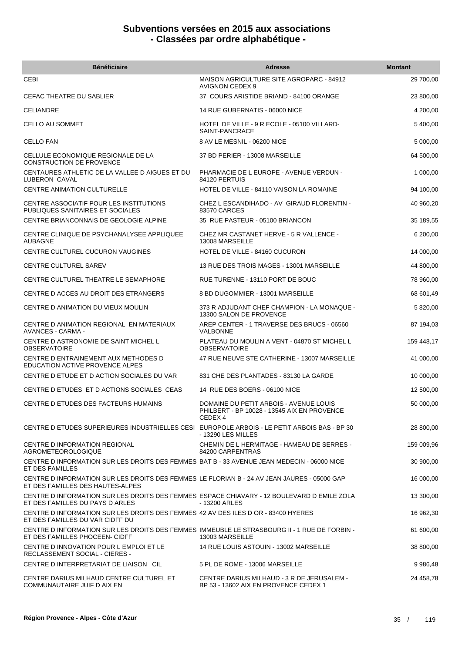| <b>Bénéficiaire</b>                                                                                                             | Adresse                                                                                                     | <b>Montant</b> |
|---------------------------------------------------------------------------------------------------------------------------------|-------------------------------------------------------------------------------------------------------------|----------------|
| CEBI                                                                                                                            | <b>MAISON AGRICULTURE SITE AGROPARC - 84912</b><br><b>AVIGNON CEDEX 9</b>                                   | 29 700,00      |
| CEFAC THEATRE DU SABLIER                                                                                                        | 37 COURS ARISTIDE BRIAND - 84100 ORANGE                                                                     | 23 800,00      |
| <b>CELIANDRE</b>                                                                                                                | 14 RUE GUBERNATIS - 06000 NICE                                                                              | 4 200,00       |
| CELLO AU SOMMET                                                                                                                 | HOTEL DE VILLE - 9 R ECOLE - 05100 VILLARD-<br>SAINT-PANCRACE                                               | 5 400,00       |
| <b>CELLO FAN</b>                                                                                                                | 8 AV LE MESNIL - 06200 NICE                                                                                 | 5 000,00       |
| CELLULE ECONOMIQUE REGIONALE DE LA<br><b>CONSTRUCTION DE PROVENCE</b>                                                           | 37 BD PERIER - 13008 MARSEILLE                                                                              | 64 500,00      |
| CENTAURES ATHLETIC DE LA VALLEE D AIGUES ET DU<br>LUBERON CAVAL                                                                 | PHARMACIE DE L EUROPE - AVENUE VERDUN -<br>84120 PERTUIS                                                    | 1 000,00       |
| <b>CENTRE ANIMATION CULTURELLE</b>                                                                                              | HOTEL DE VILLE - 84110 VAISON LA ROMAINE                                                                    | 94 100,00      |
| CENTRE ASSOCIATIF POUR LES INSTITUTIONS<br>PUBLIQUES SANITAIRES ET SOCIALES                                                     | CHEZ L ESCANDIHADO - AV GIRAUD FLORENTIN -<br>83570 CARCES                                                  | 40 960,20      |
| CENTRE BRIANCONNAIS DE GEOLOGIE ALPINE                                                                                          | 35 RUE PASTEUR - 05100 BRIANCON                                                                             | 35 189,55      |
| CENTRE CLINIQUE DE PSYCHANALYSEE APPLIQUEE<br><b>AUBAGNE</b>                                                                    | CHEZ MR CASTANET HERVE - 5 R VALLENCE -<br>13008 MARSEILLE                                                  | 6 200,00       |
| CENTRE CULTUREL CUCURON VAUGINES                                                                                                | <b>HOTEL DE VILLE - 84160 CUCURON</b>                                                                       | 14 000,00      |
| <b>CENTRE CULTUREL SAREV</b>                                                                                                    | 13 RUE DES TROIS MAGES - 13001 MARSEILLE                                                                    | 44 800,00      |
| CENTRE CULTUREL THEATRE LE SEMAPHORE                                                                                            | RUE TURENNE - 13110 PORT DE BOUC                                                                            | 78 960,00      |
| CENTRE D ACCES AU DROIT DES ETRANGERS                                                                                           | 8 BD DUGOMMIER - 13001 MARSEILLE                                                                            | 68 601,49      |
| CENTRE D ANIMATION DU VIEUX MOULIN                                                                                              | 373 R ADJUDANT CHEF CHAMPION - LA MONAQUE -<br>13300 SALON DE PROVENCE                                      | 5 820,00       |
| CENTRE D ANIMATION REGIONAL EN MATERIAUX<br>AVANCES - CARMA -                                                                   | AREP CENTER - 1 TRAVERSE DES BRUCS - 06560<br>VALBONNE                                                      | 87 194,03      |
| CENTRE D ASTRONOMIE DE SAINT MICHEL L<br><b>OBSERVATOIRE</b>                                                                    | PLATEAU DU MOULIN A VENT - 04870 ST MICHEL L<br><b>OBSERVATOIRE</b>                                         | 159 448,17     |
| CENTRE D ENTRAINEMENT AUX METHODES D<br><b>EDUCATION ACTIVE PROVENCE ALPES</b>                                                  | 47 RUE NEUVE STE CATHERINE - 13007 MARSEILLE                                                                | 41 000,00      |
| CENTRE D ETUDE ET D ACTION SOCIALES DU VAR                                                                                      | 831 CHE DES PLANTADES - 83130 LA GARDE                                                                      | 10 000,00      |
| CENTRE D ETUDES ET D ACTIONS SOCIALES CEAS                                                                                      | 14 RUE DES BOERS - 06100 NICE                                                                               | 12 500,00      |
| CENTRE D ETUDES DES FACTEURS HUMAINS                                                                                            | DOMAINE DU PETIT ARBOIS - AVENUE LOUIS<br>PHILBERT - BP 10028 - 13545 AIX EN PROVENCE<br>CEDEX <sub>4</sub> | 50 000,00      |
| CENTRE D ETUDES SUPERIEURES INDUSTRIELLES CESI EUROPOLE ARBOIS - LE PETIT ARBOIS BAS - BP 30                                    | - 13290 LES MILLES                                                                                          | 28 800,00      |
| CENTRE D INFORMATION REGIONAL<br><b>AGROMETEOROLOGIQUE</b>                                                                      | CHEMIN DE L HERMITAGE - HAMEAU DE SERRES -<br>84200 CARPENTRAS                                              | 159 009,96     |
| CENTRE D INFORMATION SUR LES DROITS DES FEMMES BAT B - 33 AVENUE JEAN MEDECIN - 06000 NICE<br>ET DES FAMILLES                   |                                                                                                             | 30 900,00      |
| CENTRE D INFORMATION SUR LES DROITS DES FEMMES LE FLORIAN B - 24 AV JEAN JAURES - 05000 GAP<br>ET DES FAMILLES DES HAUTES-ALPES |                                                                                                             | 16 000,00      |
| CENTRE D INFORMATION SUR LES DROITS DES FEMMES ESPACE CHIAVARY - 12 BOULEVARD D EMILE ZOLA<br>ET DES FAMILLES DU PAYS D ARLES   | - 13200 ARLES                                                                                               | 13 300,00      |
| CENTRE D INFORMATION SUR LES DROITS DES FEMMES 42 AV DES ILES D OR - 83400 HYERES<br>ET DES FAMILLES DU VAR CIDFF DU            |                                                                                                             | 16 962,30      |
| CENTRE D INFORMATION SUR LES DROITS DES FEMMES IMMEUBLE LE STRASBOURG II - 1 RUE DE FORBIN -<br>ET DES FAMILLES PHOCEEN- CIDFF  | 13003 MARSEILLE                                                                                             | 61 600,00      |
| CENTRE D INNOVATION POUR L EMPLOI ET LE<br>RECLASSEMENT SOCIAL - CIERES -                                                       | 14 RUE LOUIS ASTOUIN - 13002 MARSEILLE                                                                      | 38 800,00      |
| CENTRE D INTERPRETARIAT DE LIAISON CIL                                                                                          | 5 PL DE ROME - 13006 MARSEILLE                                                                              | 9 9 8 6,48     |
| CENTRE DARIUS MILHAUD CENTRE CULTUREL ET<br>COMMUNAUTAIRE JUIF D AIX EN                                                         | CENTRE DARIUS MILHAUD - 3 R DE JERUSALEM -<br>BP 53 - 13602 AIX EN PROVENCE CEDEX 1                         | 24 458,78      |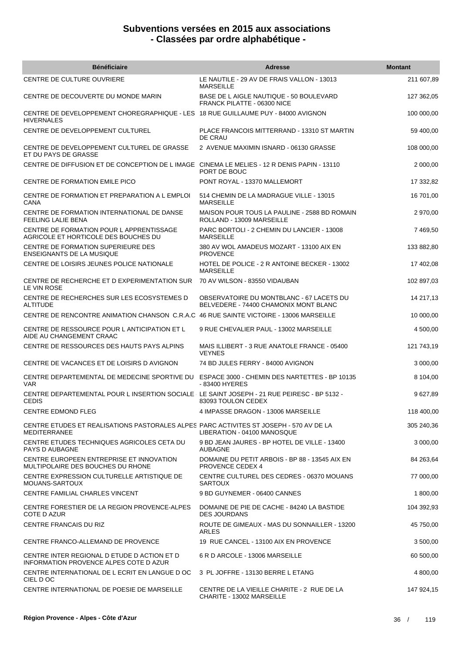| <b>Bénéficiaire</b>                                                                                           | <b>Adresse</b>                                                                    | <b>Montant</b> |
|---------------------------------------------------------------------------------------------------------------|-----------------------------------------------------------------------------------|----------------|
| CENTRE DE CULTURE OUVRIERE                                                                                    | LE NAUTILE - 29 AV DE FRAIS VALLON - 13013<br><b>MARSEILLE</b>                    | 211 607,89     |
| CENTRE DE DECOUVERTE DU MONDE MARIN                                                                           | BASE DE L AIGLE NAUTIQUE - 50 BOULEVARD<br>FRANCK PILATTE - 06300 NICE            | 127 362,05     |
| CENTRE DE DEVELOPPEMENT CHOREGRAPHIQUE - LES 18 RUE GUILLAUME PUY - 84000 AVIGNON<br><b>HIVERNALES</b>        |                                                                                   | 100 000,00     |
| CENTRE DE DEVELOPPEMENT CULTUREL                                                                              | PLACE FRANCOIS MITTERRAND - 13310 ST MARTIN<br>DE CRAU                            | 59 400,00      |
| CENTRE DE DEVELOPPEMENT CULTUREL DE GRASSE<br>ET DU PAYS DE GRASSE                                            | 2 AVENUE MAXIMIN ISNARD - 06130 GRASSE                                            | 108 000,00     |
| CENTRE DE DIFFUSION ET DE CONCEPTION DE L IMAGE CINEMA LE MELIES - 12 R DENIS PAPIN - 13110                   | PORT DE BOUC                                                                      | 2 000,00       |
| CENTRE DE FORMATION EMILE PICO                                                                                | PONT ROYAL - 13370 MALLEMORT                                                      | 17 332,82      |
| CENTRE DE FORMATION ET PREPARATION A L EMPLOI<br>CANA                                                         | 514 CHEMIN DE LA MADRAGUE VILLE - 13015<br><b>MARSEILLE</b>                       | 16 701,00      |
| CENTRE DE FORMATION INTERNATIONAL DE DANSE<br>FEELING LALIE BENA                                              | MAISON POUR TOUS LA PAULINE - 2588 BD ROMAIN<br>ROLLAND - 13009 MARSEILLE         | 2 970,00       |
| CENTRE DE FORMATION POUR L APPRENTISSAGE<br>AGRICOLE ET HORTICOLE DES BOUCHES DU                              | PARC BORTOLI - 2 CHEMIN DU LANCIER - 13008<br><b>MARSEILLE</b>                    | 7 469,50       |
| CENTRE DE FORMATION SUPERIEURE DES<br><b>ENSEIGNANTS DE LA MUSIQUE</b>                                        | 380 AV WOL AMADEUS MOZART - 13100 AIX EN<br><b>PROVENCE</b>                       | 133 882,80     |
| CENTRE DE LOISIRS JEUNES POLICE NATIONALE                                                                     | HOTEL DE POLICE - 2 R ANTOINE BECKER - 13002<br><b>MARSEILLE</b>                  | 17 402,08      |
| CENTRE DE RECHERCHE ET D EXPERIMENTATION SUR<br>LE VIN ROSE                                                   | 70 AV WILSON - 83550 VIDAUBAN                                                     | 102 897,03     |
| CENTRE DE RECHERCHES SUR LES ECOSYSTEMES D<br><b>ALTITUDE</b>                                                 | OBSERVATOIRE DU MONTBLANC - 67 LACETS DU<br>BELVEDERE - 74400 CHAMONIX MONT BLANC | 14 217,13      |
| CENTRE DE RENCONTRE ANIMATION CHANSON C.R.A.C 46 RUE SAINTE VICTOIRE - 13006 MARSEILLE                        |                                                                                   | 10 000,00      |
| CENTRE DE RESSOURCE POUR LANTICIPATION ET L<br>AIDE AU CHANGEMENT CRAAC                                       | 9 RUE CHEVALIER PAUL - 13002 MARSEILLE                                            | 4 500,00       |
| CENTRE DE RESSOURCES DES HAUTS PAYS ALPINS                                                                    | MAIS ILLIBERT - 3 RUE ANATOLE FRANCE - 05400<br><b>VEYNES</b>                     | 121 743,19     |
| CENTRE DE VACANCES ET DE LOISIRS D AVIGNON                                                                    | 74 BD JULES FERRY - 84000 AVIGNON                                                 | 3 000,00       |
| CENTRE DEPARTEMENTAL DE MEDECINE SPORTIVE DU ESPACE 3000 - CHEMIN DES NARTETTES - BP 10135<br><b>VAR</b>      | - 83400 HYERES                                                                    | 8 104,00       |
| CENTRE DEPARTEMENTAL POUR L INSERTION SOCIALE LE SAINT JOSEPH - 21 RUE PEIRESC - BP 5132 -<br><b>CEDIS</b>    | 83093 TOULON CEDEX                                                                | 9 627,89       |
| <b>CENTRE EDMOND FLEG</b>                                                                                     | 4 IMPASSE DRAGON - 13006 MARSEILLE                                                | 118 400,00     |
| CENTRE ETUDES ET REALISATIONS PASTORALES ALPES PARC ACTIVITES ST JOSEPH - 570 AV DE LA<br><b>MEDITERRANEE</b> | LIBERATION - 04100 MANOSQUE                                                       | 305 240,36     |
| CENTRE ETUDES TECHNIQUES AGRICOLES CETA DU<br>PAYS D AUBAGNE                                                  | 9 BD JEAN JAURES - BP HOTEL DE VILLE - 13400<br><b>AUBAGNE</b>                    | 3 000,00       |
| CENTRE EUROPEEN ENTREPRISE ET INNOVATION<br>MULTIPOLAIRE DES BOUCHES DU RHONE                                 | DOMAINE DU PETIT ARBOIS - BP 88 - 13545 AIX EN<br><b>PROVENCE CEDEX 4</b>         | 84 263,64      |
| CENTRE EXPRESSION CULTURELLE ARTISTIQUE DE<br>MOUANS-SARTOUX                                                  | CENTRE CULTUREL DES CEDRES - 06370 MOUANS<br><b>SARTOUX</b>                       | 77 000,00      |
| CENTRE FAMILIAL CHARLES VINCENT                                                                               | 9 BD GUYNEMER - 06400 CANNES                                                      | 1 800,00       |
| CENTRE FORESTIER DE LA REGION PROVENCE-ALPES<br>COTE D AZUR                                                   | DOMAINE DE PIE DE CACHE - 84240 LA BASTIDE<br><b>DES JOURDANS</b>                 | 104 392,93     |
| CENTRE FRANCAIS DU RIZ                                                                                        | ROUTE DE GIMEAUX - MAS DU SONNAILLER - 13200<br>ARLES                             | 45 750,00      |
| CENTRE FRANCO-ALLEMAND DE PROVENCE                                                                            | 19 RUE CANCEL - 13100 AIX EN PROVENCE                                             | 3 500,00       |
| CENTRE INTER REGIONAL D ETUDE D ACTION ET D<br>INFORMATION PROVENCE ALPES COTE D AZUR                         | 6 R D ARCOLE - 13006 MARSEILLE                                                    | 60 500,00      |
| CENTRE INTERNATIONAL DE L ECRIT EN LANGUE D OC<br>CIEL D OC                                                   | 3 PL JOFFRE - 13130 BERRE L ETANG                                                 | 4 800,00       |
| CENTRE INTERNATIONAL DE POESIE DE MARSEILLE                                                                   | CENTRE DE LA VIEILLE CHARITE - 2 RUE DE LA<br>CHARITE - 13002 MARSEILLE           | 147 924,15     |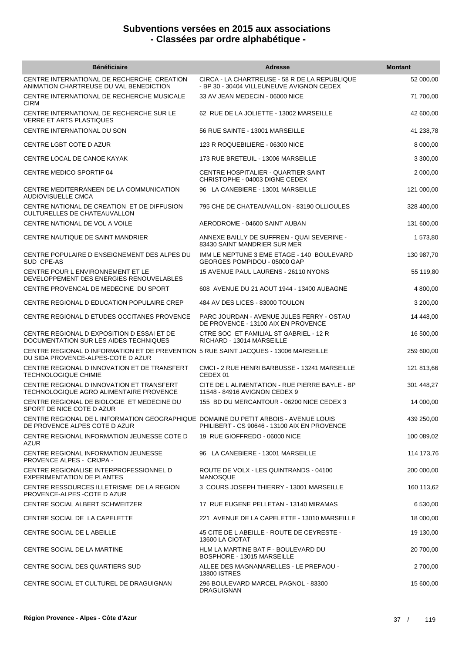| <b>Bénéficiaire</b>                                                                                                        | <b>Adresse</b>                                                                             | <b>Montant</b> |
|----------------------------------------------------------------------------------------------------------------------------|--------------------------------------------------------------------------------------------|----------------|
| CENTRE INTERNATIONAL DE RECHERCHE CREATION<br>ANIMATION CHARTREUSE DU VAL BENEDICTION                                      | CIRCA - LA CHARTREUSE - 58 R DE LA REPUBLIQUE<br>- BP 30 - 30404 VILLEUNEUVE AVIGNON CEDEX | 52 000,00      |
| CENTRE INTERNATIONAL DE RECHERCHE MUSICALE<br><b>CIRM</b>                                                                  | 33 AV JEAN MEDECIN - 06000 NICE                                                            | 71 700,00      |
| CENTRE INTERNATIONAL DE RECHERCHE SUR LE<br><b>VERRE ET ARTS PLASTIQUES</b>                                                | 62 RUE DE LA JOLIETTE - 13002 MARSEILLE                                                    | 42 600,00      |
| CENTRE INTERNATIONAL DU SON                                                                                                | 56 RUE SAINTE - 13001 MARSEILLE                                                            | 41 238,78      |
| CENTRE LGBT COTE D AZUR                                                                                                    | 123 R ROQUEBILIERE - 06300 NICE                                                            | 8 000,00       |
| CENTRE LOCAL DE CANOE KAYAK                                                                                                | 173 RUE BRETEUIL - 13006 MARSEILLE                                                         | 3 300,00       |
| CENTRE MEDICO SPORTIF 04                                                                                                   | CENTRE HOSPITALIER - QUARTIER SAINT<br>CHRISTOPHE - 04003 DIGNE CEDEX                      | 2 000,00       |
| CENTRE MEDITERRANEEN DE LA COMMUNICATION<br>AUDIOVISUELLE CMCA                                                             | 96 LA CANEBIERE - 13001 MARSEILLE                                                          | 121 000,00     |
| CENTRE NATIONAL DE CREATION ET DE DIFFUSION<br>CULTURELLES DE CHATEAUVALLON                                                | 795 CHE DE CHATEAUVALLON - 83190 OLLIOULES                                                 | 328 400,00     |
| CENTRE NATIONAL DE VOL A VOILE                                                                                             | AERODROME - 04600 SAINT AUBAN                                                              | 131 600,00     |
| CENTRE NAUTIQUE DE SAINT MANDRIER                                                                                          | ANNEXE BAILLY DE SUFFREN - QUAI SEVERINE -<br>83430 SAINT MANDRIER SUR MER                 | 1 573,80       |
| CENTRE POPULAIRE D ENSEIGNEMENT DES ALPES DU<br>SUD CPE-AS                                                                 | IMM LE NEPTUNE 3 EME ETAGE - 140 BOULEVARD<br>GEORGES POMPIDOU - 05000 GAP                 | 130 987,70     |
| CENTRE POUR L ENVIRONNEMENT ET LE<br>DEVELOPPEMENT DES ENERGIES RENOUVELABLES                                              | 15 AVENUE PAUL LAURENS - 26110 NYONS                                                       | 55 119,80      |
| CENTRE PROVENCAL DE MEDECINE DU SPORT                                                                                      | 608 AVENUE DU 21 AOUT 1944 - 13400 AUBAGNE                                                 | 4 800,00       |
| CENTRE REGIONAL D EDUCATION POPULAIRE CREP                                                                                 | 484 AV DES LICES - 83000 TOULON                                                            | 3 200,00       |
| CENTRE REGIONAL D ETUDES OCCITANES PROVENCE                                                                                | PARC JOURDAN - AVENUE JULES FERRY - OSTAU<br>DE PROVENCE - 13100 AIX EN PROVENCE           | 14 448,00      |
| CENTRE REGIONAL D EXPOSITION D ESSAI ET DE<br>DOCUMENTATION SUR LES AIDES TECHNIQUES                                       | CTRE SOC ET FAMILIAL ST GABRIEL - 12 R<br>RICHARD - 13014 MARSEILLE                        | 16 500,00      |
| CENTRE REGIONAL D INFORMATION ET DE PREVENTION 5 RUE SAINT JACQUES - 13006 MARSEILLE<br>DU SIDA PROVENCE-ALPES-COTE D AZUR |                                                                                            | 259 600,00     |
| CENTRE REGIONAL D INNOVATION ET DE TRANSFERT<br><b>TECHNOLOGIQUE CHIMIE</b>                                                | CMCI - 2 RUE HENRI BARBUSSE - 13241 MARSEILLE<br>CEDEX 01                                  | 121 813,66     |
| CENTRE REGIONAL D INNOVATION ET TRANSFERT<br>TECHNOLOGIQUE AGRO ALIMENTAIRE PROVENCE                                       | CITE DE L ALIMENTATION - RUE PIERRE BAYLE - BP<br>11548 - 84916 AVIGNON CEDEX 9            | 301 448,27     |
| CENTRE REGIONAL DE BIOLOGIE ET MEDECINE DU<br>SPORT DE NICE COTE D'AZUR                                                    | 155 BD DU MERCANTOUR - 06200 NICE CEDEX 3                                                  | 14 000,00      |
| CENTRE REGIONAL DE L INFORMATION GEOGRAPHIQUE DOMAINE DU PETIT ARBOIS - AVENUE LOUIS<br>DE PROVENCE ALPES COTE D AZUR      | PHILIBERT - CS 90646 - 13100 AIX EN PROVENCE                                               | 439 250,00     |
| CENTRE REGIONAL INFORMATION JEUNESSE COTE D<br><b>AZUR</b>                                                                 | 19 RUE GIOFFREDO - 06000 NICE                                                              | 100 089,02     |
| CENTRE REGIONAL INFORMATION JEUNESSE<br>PROVENCE ALPES - CRIJPA -                                                          | 96 LA CANEBIERE - 13001 MARSEILLE                                                          | 114 173,76     |
| CENTRE REGIONALISE INTERPROFESSIONNEL D<br><b>EXPERIMENTATION DE PLANTES</b>                                               | ROUTE DE VOLX - LES QUINTRANDS - 04100<br><b>MANOSQUE</b>                                  | 200 000,00     |
| CENTRE RESSOURCES ILLETRISME DE LA REGION<br>PROVENCE-ALPES - COTE D AZUR                                                  | 3 COURS JOSEPH THIERRY - 13001 MARSEILLE                                                   | 160 113,62     |
| CENTRE SOCIAL ALBERT SCHWEITZER                                                                                            | 17 RUE EUGENE PELLETAN - 13140 MIRAMAS                                                     | 6 530,00       |
| CENTRE SOCIAL DE LA CAPELETTE                                                                                              | 221 AVENUE DE LA CAPELETTE - 13010 MARSEILLE                                               | 18 000,00      |
| CENTRE SOCIAL DE L ABEILLE                                                                                                 | 45 CITE DE L ABEILLE - ROUTE DE CEYRESTE -<br>13600 LA CIOTAT                              | 19 130,00      |
| CENTRE SOCIAL DE LA MARTINE                                                                                                | HLM LA MARTINE BAT F - BOULEVARD DU<br>BOSPHORE - 13015 MARSEILLE                          | 20 700,00      |
| CENTRE SOCIAL DES QUARTIERS SUD                                                                                            | ALLEE DES MAGNANARELLES - LE PREPAOU -<br><b>13800 ISTRES</b>                              | 2 700,00       |
| CENTRE SOCIAL ET CULTUREL DE DRAGUIGNAN                                                                                    | 296 BOULEVARD MARCEL PAGNOL - 83300<br><b>DRAGUIGNAN</b>                                   | 15 600,00      |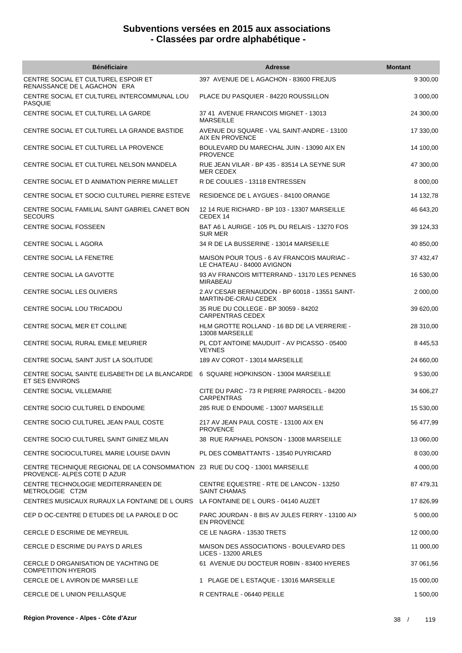| <b>Bénéficiaire</b>                                                                                            | <b>Adresse</b>                                                           | <b>Montant</b> |
|----------------------------------------------------------------------------------------------------------------|--------------------------------------------------------------------------|----------------|
| CENTRE SOCIAL ET CULTUREL ESPOIR ET<br>RENAISSANCE DE L AGACHON ERA                                            | 397 AVENUE DE L AGACHON - 83600 FREJUS                                   | 9 300,00       |
| CENTRE SOCIAL ET CULTUREL INTERCOMMUNAL LOU<br><b>PASQUIE</b>                                                  | PLACE DU PASQUIER - 84220 ROUSSILLON                                     | 3 000,00       |
| CENTRE SOCIAL ET CULTUREL LA GARDE                                                                             | 37 41 AVENUE FRANCOIS MIGNET - 13013<br><b>MARSEILLE</b>                 | 24 300,00      |
| CENTRE SOCIAL ET CULTUREL LA GRANDE BASTIDE                                                                    | AVENUE DU SQUARE - VAL SAINT-ANDRE - 13100<br>AIX EN PROVENCE            | 17 330,00      |
| CENTRE SOCIAL ET CULTUREL LA PROVENCE                                                                          | BOULEVARD DU MARECHAL JUIN - 13090 AIX EN<br><b>PROVENCE</b>             | 14 100,00      |
| CENTRE SOCIAL ET CULTUREL NELSON MANDELA                                                                       | RUE JEAN VILAR - BP 435 - 83514 LA SEYNE SUR<br><b>MER CEDEX</b>         | 47 300,00      |
| CENTRE SOCIAL ET D ANIMATION PIERRE MIALLET                                                                    | R DE COULIES - 13118 ENTRESSEN                                           | 8 000,00       |
| CENTRE SOCIAL ET SOCIO CULTUREL PIERRE ESTEVE                                                                  | RESIDENCE DE L AYGUES - 84100 ORANGE                                     | 14 132,78      |
| CENTRE SOCIAL FAMILIAL SAINT GABRIEL CANET BON<br><b>SECOURS</b>                                               | 12 14 RUE RICHARD - BP 103 - 13307 MARSEILLE<br>CEDEX 14                 | 46 643,20      |
| <b>CENTRE SOCIAL FOSSEEN</b>                                                                                   | BAT A6 L AURIGE - 105 PL DU RELAIS - 13270 FOS<br><b>SUR MER</b>         | 39 124,33      |
| CENTRE SOCIAL L AGORA                                                                                          | 34 R DE LA BUSSERINE - 13014 MARSEILLE                                   | 40 850,00      |
| CENTRE SOCIAL LA FENETRE                                                                                       | MAISON POUR TOUS - 6 AV FRANCOIS MAURIAC -<br>LE CHATEAU - 84000 AVIGNON | 37 432,47      |
| CENTRE SOCIAL LA GAVOTTE                                                                                       | 93 AV FRANCOIS MITTERRAND - 13170 LES PENNES<br><b>MIRABEAU</b>          | 16 530,00      |
| CENTRE SOCIAL LES OLIVIERS                                                                                     | 2 AV CESAR BERNAUDON - BP 60018 - 13551 SAINT-<br>MARTIN-DE-CRAU CEDEX   | 2 000,00       |
| CENTRE SOCIAL LOU TRICADOU                                                                                     | 35 RUE DU COLLEGE - BP 30059 - 84202<br><b>CARPENTRAS CEDEX</b>          | 39 620,00      |
| CENTRE SOCIAL MER ET COLLINE                                                                                   | HLM GROTTE ROLLAND - 16 BD DE LA VERRERIE -<br>13008 MARSEILLE           | 28 310,00      |
| CENTRE SOCIAL RURAL EMILE MEURIER                                                                              | PL CDT ANTOINE MAUDUIT - AV PICASSO - 05400<br><b>VEYNES</b>             | 8 4 4 5 , 5 3  |
| CENTRE SOCIAL SAINT JUST LA SOLITUDE                                                                           | 189 AV COROT - 13014 MARSEILLE                                           | 24 660,00      |
| CENTRE SOCIAL SAINTE ELISABETH DE LA BLANCARDE<br>ET SES ENVIRONS                                              | 6 SQUARE HOPKINSON - 13004 MARSEILLE                                     | 9 530,00       |
| <b>CENTRE SOCIAL VILLEMARIE</b>                                                                                | CITE DU PARC - 73 R PIERRE PARROCEL - 84200<br><b>CARPENTRAS</b>         | 34 606,27      |
| CENTRE SOCIO CULTUREL D ENDOUME                                                                                | 285 RUE D ENDOUME - 13007 MARSEILLE                                      | 15 530,00      |
| CENTRE SOCIO CULTUREL JEAN PAUL COSTE                                                                          | 217 AV JEAN PAUL COSTE - 13100 AIX EN<br><b>PROVENCE</b>                 | 56 477,99      |
| CENTRE SOCIO CULTUREL SAINT GINIEZ MILAN                                                                       | 38 RUE RAPHAEL PONSON - 13008 MARSEILLE                                  | 13 060,00      |
| CENTRE SOCIOCULTUREL MARIE LOUISE DAVIN                                                                        | PL DES COMBATTANTS - 13540 PUYRICARD                                     | 8 030,00       |
| CENTRE TECHNIQUE REGIONAL DE LA CONSOMMATION   23  RUE DU COQ - 13001 MARSEILLE<br>PROVENCE- ALPES COTE D AZUR |                                                                          | 4 000,00       |
| CENTRE TECHNOLOGIE MEDITERRANEEN DE<br>METROLOGIE CT2M                                                         | CENTRE EQUESTRE - RTE DE LANCON - 13250<br>SAINT CHAMAS                  | 87 479,31      |
| CENTRES MUSICAUX RURAUX LA FONTAINE DE LOURS                                                                   | LA FONTAINE DE L OURS - 04140 AUZET                                      | 17 826,99      |
| CEP D OC-CENTRE D ETUDES DE LA PAROLE D OC                                                                     | PARC JOURDAN - 8 BIS AV JULES FERRY - 13100 AIX<br><b>EN PROVENCE</b>    | 5 000,00       |
| CERCLE D ESCRIME DE MEYREUIL                                                                                   | CE LE NAGRA - 13530 TRETS                                                | 12 000,00      |
| CERCLE D ESCRIME DU PAYS D ARLES                                                                               | MAISON DES ASSOCIATIONS - BOULEVARD DES<br><b>LICES - 13200 ARLES</b>    | 11 000,00      |
| CERCLE D ORGANISATION DE YACHTING DE<br><b>COMPETITION HYEROIS</b>                                             | 61 AVENUE DU DOCTEUR ROBIN - 83400 HYERES                                | 37 061,56      |
| CERCLE DE L AVIRON DE MARSEI LLE                                                                               | 1 PLAGE DE L ESTAQUE - 13016 MARSEILLE                                   | 15 000,00      |
| CERCLE DE L UNION PEILLASQUE                                                                                   | R CENTRALE - 06440 PEILLE                                                | 1 500,00       |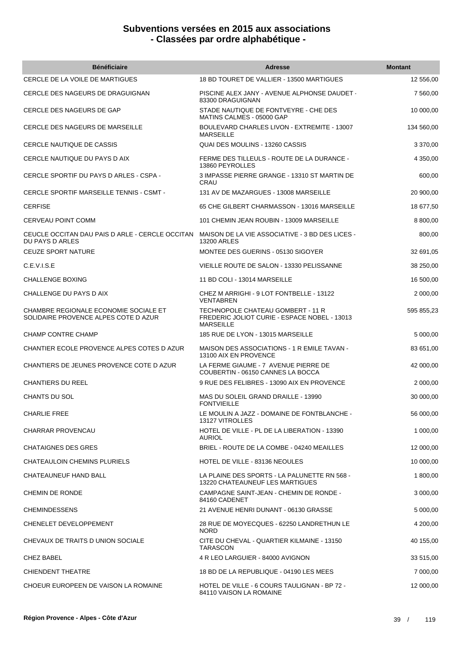| <b>Bénéficiaire</b>                                                           | <b>Adresse</b>                                                                                        | <b>Montant</b> |
|-------------------------------------------------------------------------------|-------------------------------------------------------------------------------------------------------|----------------|
| CERCLE DE LA VOILE DE MARTIGUES                                               | 18 BD TOURET DE VALLIER - 13500 MARTIGUES                                                             | 12 556,00      |
| CERCLE DES NAGEURS DE DRAGUIGNAN                                              | PISCINE ALEX JANY - AVENUE ALPHONSE DAUDET<br>83300 DRAGUIGNAN                                        | 7 560,00       |
| CERCLE DES NAGEURS DE GAP                                                     | STADE NAUTIQUE DE FONTVEYRE - CHE DES<br>MATINS CALMES - 05000 GAP                                    | 10 000,00      |
| CERCLE DES NAGEURS DE MARSEILLE                                               | BOULEVARD CHARLES LIVON - EXTREMITE - 13007<br><b>MARSEILLE</b>                                       | 134 560,00     |
| <b>CERCLE NAUTIQUE DE CASSIS</b>                                              | QUAI DES MOULINS - 13260 CASSIS                                                                       | 3 370,00       |
| CERCLE NAUTIQUE DU PAYS D AIX                                                 | FERME DES TILLEULS - ROUTE DE LA DURANCE -<br>13860 PEYROLLES                                         | 4 350,00       |
| CERCLE SPORTIF DU PAYS D ARLES - CSPA -                                       | 3 IMPASSE PIERRE GRANGE - 13310 ST MARTIN DE<br>CRAU                                                  | 600,00         |
| CERCLE SPORTIF MARSEILLE TENNIS - CSMT -                                      | 131 AV DE MAZARGUES - 13008 MARSEILLE                                                                 | 20 900,00      |
| <b>CERFISE</b>                                                                | 65 CHE GILBERT CHARMASSON - 13016 MARSEILLE                                                           | 18 677,50      |
| CERVEAU POINT COMM                                                            | 101 CHEMIN JEAN ROUBIN - 13009 MARSEILLE                                                              | 8 800,00       |
| CEUCLE OCCITAN DAU PAIS D ARLE - CERCLE OCCITAN<br>DU PAYS D ARLES            | MAISON DE LA VIE ASSOCIATIVE - 3 BD DES LICES -<br><b>13200 ARLES</b>                                 | 800,00         |
| <b>CEUZE SPORT NATURE</b>                                                     | MONTEE DES GUERINS - 05130 SIGOYER                                                                    | 32 691,05      |
| C.E.V.I.S.E                                                                   | VIEILLE ROUTE DE SALON - 13330 PELISSANNE                                                             | 38 250,00      |
| CHALLENGE BOXING                                                              | 11 BD COLI - 13014 MARSEILLE                                                                          | 16 500,00      |
| CHALLENGE DU PAYS D AIX                                                       | CHEZ M ARRIGHI - 9 LOT FONTBELLE - 13122<br><b>VENTABREN</b>                                          | 2 000,00       |
| CHAMBRE REGIONALE ECONOMIE SOCIALE ET<br>SOLIDAIRE PROVENCE ALPES COTE D AZUR | TECHNOPOLE CHATEAU GOMBERT - 11 R<br>FREDERIC JOLIOT CURIE - ESPACE NOBEL - 13013<br><b>MARSEILLE</b> | 595 855,23     |
| <b>CHAMP CONTRE CHAMP</b>                                                     | 185 RUE DE LYON - 13015 MARSEILLE                                                                     | 5 000,00       |
| CHANTIER ECOLE PROVENCE ALPES COTES D AZUR                                    | <b>MAISON DES ASSOCIATIONS - 1 R EMILE TAVAN -</b><br>13100 AIX EN PROVENCE                           | 83 651,00      |
| CHANTIERS DE JEUNES PROVENCE COTE D AZUR                                      | LA FERME GIAUME - 7 AVENUE PIERRE DE<br>COUBERTIN - 06150 CANNES LA BOCCA                             | 42 000,00      |
| CHANTIERS DU REEL                                                             | 9 RUE DES FELIBRES - 13090 AIX EN PROVENCE                                                            | 2 000,00       |
| <b>CHANTS DU SOL</b>                                                          | MAS DU SOLEIL GRAND DRAILLE - 13990<br><b>FONTVIEILLE</b>                                             | 30 000,00      |
| <b>CHARLIE FREE</b>                                                           | LE MOULIN A JAZZ - DOMAINE DE FONTBLANCHE -<br>13127 VITROLLES                                        | 56 000,00      |
| <b>CHARRAR PROVENCAU</b>                                                      | HOTEL DE VILLE - PL DE LA LIBERATION - 13390<br><b>AURIOL</b>                                         | 1 000,00       |
| <b>CHATAIGNES DES GRES</b>                                                    | BRIEL - ROUTE DE LA COMBE - 04240 MEAILLES                                                            | 12 000,00      |
| CHATEAULOIN CHEMINS PLURIELS                                                  | HOTEL DE VILLE - 83136 NEOULES                                                                        | 10 000,00      |
| CHATEAUNEUF HAND BALL                                                         | LA PLAINE DES SPORTS - LA PALUNETTE RN 568 -<br>13220 CHATEAUNEUF LES MARTIGUES                       | 1 800,00       |
| <b>CHEMIN DE RONDE</b>                                                        | CAMPAGNE SAINT-JEAN - CHEMIN DE RONDE -<br>84160 CADENET                                              | 3 000,00       |
| <b>CHEMINDESSENS</b>                                                          | 21 AVENUE HENRI DUNANT - 06130 GRASSE                                                                 | 5 000,00       |
| CHENELET DEVELOPPEMENT                                                        | 28 RUE DE MOYECQUES - 62250 LANDRETHUN LE<br><b>NORD</b>                                              | 4 200,00       |
| CHEVAUX DE TRAITS D UNION SOCIALE                                             | CITE DU CHEVAL - QUARTIER KILMAINE - 13150<br><b>TARASCON</b>                                         | 40 155,00      |
| <b>CHEZ BABEL</b>                                                             | 4 R LEO LARGUIER - 84000 AVIGNON                                                                      | 33 515,00      |
| <b>CHIENDENT THEATRE</b>                                                      | 18 BD DE LA REPUBLIQUE - 04190 LES MEES                                                               | 7 000,00       |
| CHOEUR EUROPEEN DE VAISON LA ROMAINE                                          | HOTEL DE VILLE - 6 COURS TAULIGNAN - BP 72 -<br>84110 VAISON LA ROMAINE                               | 12 000,00      |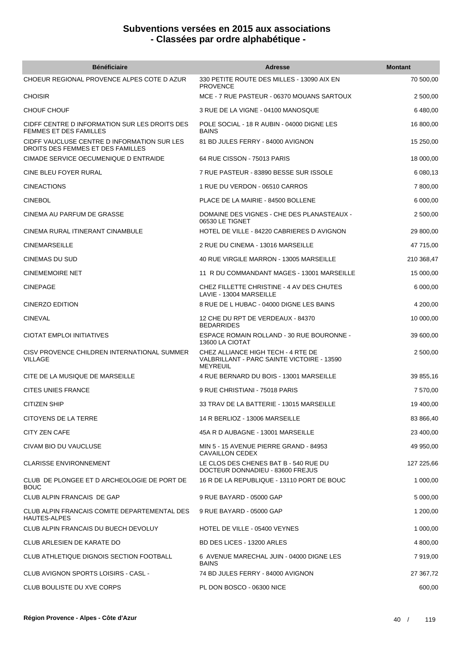| <b>Bénéficiaire</b>                                                              | Adresse                                                                                             | <b>Montant</b> |
|----------------------------------------------------------------------------------|-----------------------------------------------------------------------------------------------------|----------------|
| CHOEUR REGIONAL PROVENCE ALPES COTE D AZUR                                       | 330 PETITE ROUTE DES MILLES - 13090 AIX EN<br><b>PROVENCE</b>                                       | 70 500,00      |
| <b>CHOISIR</b>                                                                   | MCE - 7 RUE PASTEUR - 06370 MOUANS SARTOUX                                                          | 2 500,00       |
| CHOUF CHOUF                                                                      | 3 RUE DE LA VIGNE - 04100 MANOSQUE                                                                  | 6480.00        |
| CIDFF CENTRE D INFORMATION SUR LES DROITS DES<br>FEMMES ET DES FAMILLES          | POLE SOCIAL - 18 R AUBIN - 04000 DIGNE LES<br><b>BAINS</b>                                          | 16 800,00      |
| CIDFF VAUCLUSE CENTRE D INFORMATION SUR LES<br>DROITS DES FEMMES ET DES FAMILLES | 81 BD JULES FERRY - 84000 AVIGNON                                                                   | 15 250,00      |
| CIMADE SERVICE OECUMENIQUE D ENTRAIDE                                            | 64 RUE CISSON - 75013 PARIS                                                                         | 18 000,00      |
| CINE BLEU FOYER RURAL                                                            | 7 RUE PASTEUR - 83890 BESSE SUR ISSOLE                                                              | 6 080,13       |
| <b>CINEACTIONS</b>                                                               | 1 RUE DU VERDON - 06510 CARROS                                                                      | 7 800,00       |
| <b>CINEBOL</b>                                                                   | PLACE DE LA MAIRIE - 84500 BOLLENE                                                                  | 6 000,00       |
| CINEMA AU PARFUM DE GRASSE                                                       | DOMAINE DES VIGNES - CHE DES PLANASTEAUX -<br>06530 LE TIGNET                                       | 2 500,00       |
| CINEMA RURAL ITINERANT CINAMBULE                                                 | HOTEL DE VILLE - 84220 CABRIERES D AVIGNON                                                          | 29 800,00      |
| <b>CINEMARSEILLE</b>                                                             | 2 RUE DU CINEMA - 13016 MARSEILLE                                                                   | 47 715,00      |
| CINEMAS DU SUD                                                                   | 40 RUE VIRGILE MARRON - 13005 MARSEILLE                                                             | 210 368,47     |
| <b>CINEMEMOIRE NET</b>                                                           | 11 R DU COMMANDANT MAGES - 13001 MARSEILLE                                                          | 15 000,00      |
| <b>CINEPAGE</b>                                                                  | CHEZ FILLETTE CHRISTINE - 4 AV DES CHUTES<br>LAVIE - 13004 MARSEILLE                                | 6 000,00       |
| CINERZO EDITION                                                                  | 8 RUE DE L HUBAC - 04000 DIGNE LES BAINS                                                            | 4 200,00       |
| <b>CINEVAL</b>                                                                   | 12 CHE DU RPT DE VERDEAUX - 84370<br><b>BEDARRIDES</b>                                              | 10 000,00      |
| CIOTAT EMPLOI INITIATIVES                                                        | ESPACE ROMAIN ROLLAND - 30 RUE BOURONNE -<br>13600 LA CIOTAT                                        | 39 600,00      |
| CISV PROVENCE CHILDREN INTERNATIONAL SUMMER<br><b>VILLAGE</b>                    | CHEZ ALLIANCE HIGH TECH - 4 RTE DE<br>VALBRILLANT - PARC SAINTE VICTOIRE - 13590<br><b>MEYREUIL</b> | 2 500,00       |
| CITE DE LA MUSIQUE DE MARSEILLE                                                  | 4 RUE BERNARD DU BOIS - 13001 MARSEILLE                                                             | 39 855,16      |
| CITES UNIES FRANCE                                                               | 9 RUE CHRISTIANI - 75018 PARIS                                                                      | 7 570,00       |
| <b>CITIZEN SHIP</b>                                                              | 33 TRAV DE LA BATTERIE - 13015 MARSEILLE                                                            | 19 400,00      |
| CITOYENS DE LA TERRE                                                             | 14 R BERLIOZ - 13006 MARSEILLE                                                                      | 83 866,40      |
| CITY ZEN CAFE                                                                    | 45A R D AUBAGNE - 13001 MARSEILLE                                                                   | 23 400,00      |
| CIVAM BIO DU VAUCLUSE                                                            | MIN 5 - 15 AVENUE PIERRE GRAND - 84953<br>CAVAILLON CEDEX                                           | 49 950,00      |
| <b>CLARISSE ENVIRONNEMENT</b>                                                    | LE CLOS DES CHENES BAT B - 540 RUE DU<br>DOCTEUR DONNADIEU - 83600 FREJUS                           | 127 225,66     |
| CLUB DE PLONGEE ET D ARCHEOLOGIE DE PORT DE<br><b>BOUC</b>                       | 16 R DE LA REPUBLIQUE - 13110 PORT DE BOUC                                                          | 1 000,00       |
| CLUB ALPIN FRANCAIS DE GAP                                                       | 9 RUE BAYARD - 05000 GAP                                                                            | 5 000,00       |
| CLUB ALPIN FRANCAIS COMITE DEPARTEMENTAL DES<br><b>HAUTES-ALPES</b>              | 9 RUE BAYARD - 05000 GAP                                                                            | 1 200,00       |
| CLUB ALPIN FRANCAIS DU BUECH DEVOLUY                                             | HOTEL DE VILLE - 05400 VEYNES                                                                       | 1 000,00       |
| CLUB ARLESIEN DE KARATE DO                                                       | BD DES LICES - 13200 ARLES                                                                          | 4 800,00       |
| CLUB ATHLETIQUE DIGNOIS SECTION FOOTBALL                                         | 6 AVENUE MARECHAL JUIN - 04000 DIGNE LES<br><b>BAINS</b>                                            | 7919,00        |
| CLUB AVIGNON SPORTS LOISIRS - CASL -                                             | 74 BD JULES FERRY - 84000 AVIGNON                                                                   | 27 367,72      |
| CLUB BOULISTE DU XVE CORPS                                                       | PL DON BOSCO - 06300 NICE                                                                           | 600,00         |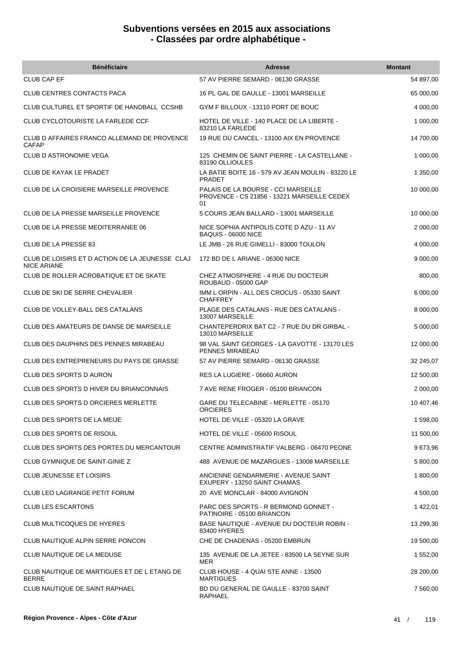| <b>Bénéficiaire</b>                                                   | <b>Adresse</b>                                                                           | <b>Montant</b> |
|-----------------------------------------------------------------------|------------------------------------------------------------------------------------------|----------------|
| <b>CLUB CAP EF</b>                                                    | 57 AV PIERRE SEMARD - 06130 GRASSE                                                       | 54 897,00      |
| CLUB CENTRES CONTACTS PACA                                            | 16 PL GAL DE GAULLE - 13001 MARSEILLE                                                    | 65 000,00      |
| CLUB CULTUREL ET SPORTIF DE HANDBALL CCSHB                            | GYM F BILLOUX - 13110 PORT DE BOUC                                                       | 4 000,00       |
| CLUB CYCLOTOURISTE LA FARLEDE CCF                                     | HOTEL DE VILLE - 140 PLACE DE LA LIBERTE -<br>83210 LA FARLEDE                           | 1 000,00       |
| CLUB D AFFAIRES FRANCO ALLEMAND DE PROVENCE<br><b>CAFAP</b>           | 19 RUE DU CANCEL - 13100 AIX EN PROVENCE                                                 | 14 700,00      |
| <b>CLUB D ASTRONOMIE VEGA</b>                                         | 125 CHEMIN DE SAINT PIERRE - LA CASTELLANE -<br>83190 OLLIOULES                          | 1 000,00       |
| <b>CLUB DE KAYAK LE PRADET</b>                                        | LA BATIE BOITE 16 - 579 AV JEAN MOULIN - 83220 LE<br><b>PRADET</b>                       | 1 350,00       |
| CLUB DE LA CROISIERE MARSEILLE PROVENCE                               | PALAIS DE LA BOURSE - CCI MARSEILLE<br>PROVENCE - CS 21856 - 13221 MARSEILLE CEDEX<br>01 | 10 000,00      |
| CLUB DE LA PRESSE MARSEILLE PROVENCE                                  | 5 COURS JEAN BALLARD - 13001 MARSEILLE                                                   | 10 000,00      |
| CLUB DE LA PRESSE MEDITERRANEE 06                                     | NICE SOPHIA ANTIPOLIS COTE D AZU - 11 AV<br>BAQUIS - 06000 NICE                          | 2 000,00       |
| CLUB DE LA PRESSE 83                                                  | LE JMB - 26 RUE GIMELLI - 83000 TOULON                                                   | 4 000,00       |
| CLUB DE LOISIRS ET D ACTION DE LA JEUNESSE CLAJ<br><b>NICE ARIANE</b> | 172 BD DE L ARIANE - 06300 NICE                                                          | 9 000,00       |
| CLUB DE ROLLER ACROBATIQUE ET DE SKATE                                | CHEZ ATMOSPHERE - 4 RUE DU DOCTEUR<br><b>ROUBAUD - 05000 GAP</b>                         | 800,00         |
| CLUB DE SKI DE SERRE CHEVALIER                                        | IMM LORPIN - ALL DES CROCUS - 05330 SAINT<br><b>CHAFFREY</b>                             | 6 000,00       |
| CLUB DE VOLLEY-BALL DES CATALANS                                      | PLAGE DES CATALANS - RUE DES CATALANS -<br>13007 MARSEILLE                               | 8 000,00       |
| CLUB DES AMATEURS DE DANSE DE MARSEILLE                               | CHANTEPERDRIX BAT C2 - 7 RUE DU DR GIRBAL -<br>13010 MARSEILLE                           | 5 000,00       |
| CLUB DES DAUPHINS DES PENNES MIRABEAU                                 | 98 VAL SAINT GEORGES - LA GAVOTTE - 13170 LES<br>PENNES MIRABEAU                         | 12 000,00      |
| CLUB DES ENTREPRENEURS DU PAYS DE GRASSE                              | 57 AV PIERRE SEMARD - 06130 GRASSE                                                       | 32 245,07      |
| CLUB DES SPORTS D AURON                                               | RES LA LUGIERE - 06660 AURON                                                             | 12 500,00      |
| CLUB DES SPORTS D HIVER DU BRIANCONNAIS                               | 7 AVE RENE FROGER - 05100 BRIANCON                                                       | 2 000,00       |
| CLUB DES SPORTS D ORCIERES MERLETTE                                   | GARE DU TELECABINE - MERLETTE - 05170<br>ORCIERES                                        | 10 407,46      |
| CLUB DES SPORTS DE LA MEIJE                                           | HOTEL DE VILLE - 05320 LA GRAVE                                                          | 1 598,00       |
| CLUB DES SPORTS DE RISOUL                                             | HOTEL DE VILLE - 05600 RISOUL                                                            | 11 500,00      |
| CLUB DES SPORTS DES PORTES DU MERCANTOUR                              | CENTRE ADMINISTRATIF VALBERG - 06470 PEONE                                               | 9 673,96       |
| CLUB GYMNIQUE DE SAINT-GINIE Z                                        | 488 AVENUE DE MAZARGUES - 13008 MARSEILLE                                                | 5 800,00       |
| CLUB JEUNESSE ET LOISIRS                                              | ANCIENNE GENDARMERIE - AVENUE SAINT<br>EXUPERY - 13250 SAINT CHAMAS                      | 1 800,00       |
| <b>CLUB LEO LAGRANGE PETIT FORUM</b>                                  | 20 AVE MONCLAR - 84000 AVIGNON                                                           | 4 500,00       |
| <b>CLUB LES ESCARTONS</b>                                             | PARC DES SPORTS - R BERMOND GONNET -<br>PATINOIRE - 05100 BRIANCON                       | 1422,01        |
| CLUB MULTICOQUES DE HYERES                                            | BASE NAUTIQUE - AVENUE DU DOCTEUR ROBIN -<br>83400 HYERES                                | 13 299,30      |
| CLUB NAUTIQUE ALPIN SERRE PONCON                                      | CHE DE CHADENAS - 05200 EMBRUN                                                           | 19 500,00      |
| CLUB NAUTIQUE DE LA MEDUSE                                            | 135 AVENUE DE LA JETEE - 83500 LA SEYNE SUR<br><b>MER</b>                                | 1 552,00       |
| CLUB NAUTIQUE DE MARTIGUES ET DE L ETANG DE<br><b>BERRE</b>           | CLUB HOUSE - 4 QUAI STE ANNE - 13500<br><b>MARTIGUES</b>                                 | 28 200,00      |
| CLUB NAUTIQUE DE SAINT RAPHAEL                                        | BD DU GENERAL DE GAULLE - 83700 SAINT<br><b>RAPHAEL</b>                                  | 7 560,00       |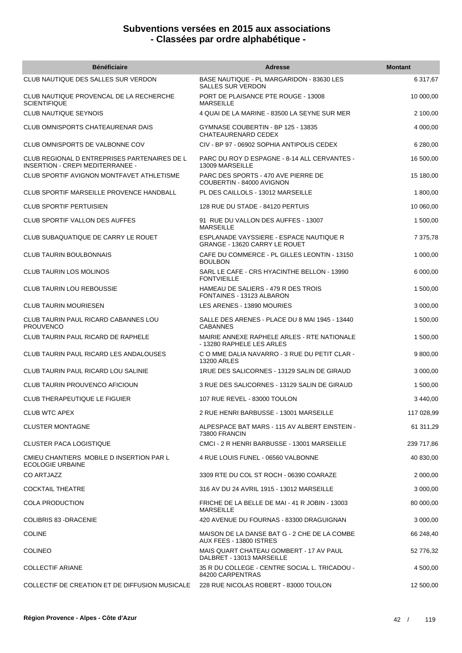| <b>Bénéficiaire</b>                                                              | <b>Adresse</b>                                                           | <b>Montant</b> |
|----------------------------------------------------------------------------------|--------------------------------------------------------------------------|----------------|
| CLUB NAUTIQUE DES SALLES SUR VERDON                                              | BASE NAUTIQUE - PL MARGARIDON - 83630 LES<br><b>SALLES SUR VERDON</b>    | 6 317,67       |
| CLUB NAUTIQUE PROVENCAL DE LA RECHERCHE<br><b>SCIENTIFIQUE</b>                   | PORT DE PLAISANCE PTE ROUGE - 13008<br><b>MARSEILLE</b>                  | 10 000,00      |
| <b>CLUB NAUTIQUE SEYNOIS</b>                                                     | 4 QUAI DE LA MARINE - 83500 LA SEYNE SUR MER                             | 2 100,00       |
| CLUB OMNISPORTS CHATEAURENAR DAIS                                                | GYMNASE COUBERTIN - BP 125 - 13835<br>CHATEAURENARD CEDEX                | 4 000,00       |
| CLUB OMNISPORTS DE VALBONNE COV                                                  | CIV - BP 97 - 06902 SOPHIA ANTIPOLIS CEDEX                               | 6 280,00       |
| CLUB REGIONAL D ENTREPRISES PARTENAIRES DE L<br>INSERTION - CREPI MEDITERRANEE - | PARC DU ROY D ESPAGNE - 8-14 ALL CERVANTES -<br>13009 MARSEILLE          | 16 500,00      |
| CLUB SPORTIF AVIGNON MONTFAVET ATHLETISME                                        | PARC DES SPORTS - 470 AVE PIERRE DE<br>COUBERTIN - 84000 AVIGNON         | 15 180,00      |
| <b>CLUB SPORTIF MARSEILLE PROVENCE HANDBALL</b>                                  | PL DES CAILLOLS - 13012 MARSEILLE                                        | 1 800,00       |
| <b>CLUB SPORTIF PERTUISIEN</b>                                                   | 128 RUE DU STADE - 84120 PERTUIS                                         | 10 060,00      |
| <b>CLUB SPORTIF VALLON DES AUFFES</b>                                            | 91 RUE DU VALLON DES AUFFES - 13007<br><b>MARSEILLE</b>                  | 1 500,00       |
| CLUB SUBAQUATIQUE DE CARRY LE ROUET                                              | ESPLANADE VAYSSIERE - ESPACE NAUTIQUE R<br>GRANGE - 13620 CARRY LE ROUET | 7 375,78       |
| <b>CLUB TAURIN BOULBONNAIS</b>                                                   | CAFE DU COMMERCE - PL GILLES LEONTIN - 13150<br><b>BOULBON</b>           | 1 000,00       |
| CLUB TAURIN LOS MOLINOS                                                          | SARL LE CAFE - CRS HYACINTHE BELLON - 13990<br><b>FONTVIEILLE</b>        | 6 000,00       |
| <b>CLUB TAURIN LOU REBOUSSIE</b>                                                 | HAMEAU DE SALIERS - 479 R DES TROIS<br>FONTAINES - 13123 ALBARON         | 1 500,00       |
| <b>CLUB TAURIN MOURIESEN</b>                                                     | LES ARENES - 13890 MOURIES                                               | 3 000,00       |
| CLUB TAURIN PAUL RICARD CABANNES LOU<br><b>PROUVENCO</b>                         | SALLE DES ARENES - PLACE DU 8 MAI 1945 - 13440<br><b>CABANNES</b>        | 1 500,00       |
| <b>CLUB TAURIN PAUL RICARD DE RAPHELE</b>                                        | MAIRIE ANNEXE RAPHELE ARLES - RTE NATIONALE<br>- 13280 RAPHELE LES ARLES | 1 500,00       |
| CLUB TAURIN PAUL RICARD LES ANDALOUSES                                           | C O MME DALIA NAVARRO - 3 RUE DU PETIT CLAR -<br><b>13200 ARLES</b>      | 9 800,00       |
| CLUB TAURIN PAUL RICARD LOU SALINIE                                              | 1RUE DES SALICORNES - 13129 SALIN DE GIRAUD                              | 3 000,00       |
| CLUB TAURIN PROUVENCO AFICIOUN                                                   | 3 RUE DES SALICORNES - 13129 SALIN DE GIRAUD                             | 1 500,00       |
| <b>CLUB THERAPEUTIQUE LE FIGUIER</b>                                             | 107 RUE REVEL - 83000 TOULON                                             | 3 440,00       |
| <b>CLUB WTC APEX</b>                                                             | 2 RUE HENRI BARBUSSE - 13001 MARSEILLE                                   | 117 028,99     |
| <b>CLUSTER MONTAGNE</b>                                                          | ALPESPACE BAT MARS - 115 AV ALBERT EINSTEIN -<br>73800 FRANCIN           | 61 311,29      |
| CLUSTER PACA LOGISTIQUE                                                          | CMCI - 2 R HENRI BARBUSSE - 13001 MARSEILLE                              | 239 717,86     |
| CMIEU CHANTIERS MOBILE D INSERTION PAR L<br><b>ECOLOGIE URBAINE</b>              | 4 RUE LOUIS FUNEL - 06560 VALBONNE                                       | 40 830,00      |
| <b>CO ARTJAZZ</b>                                                                | 3309 RTE DU COL ST ROCH - 06390 COARAZE                                  | 2 000,00       |
| <b>COCKTAIL THEATRE</b>                                                          | 316 AV DU 24 AVRIL 1915 - 13012 MARSEILLE                                | 3 000,00       |
| <b>COLA PRODUCTION</b>                                                           | FRICHE DE LA BELLE DE MAI - 41 R JOBIN - 13003<br><b>MARSEILLE</b>       | 80 000,00      |
| COLIBRIS 83 - DRACENIE                                                           | 420 AVENUE DU FOURNAS - 83300 DRAGUIGNAN                                 | 3 000,00       |
| <b>COLINE</b>                                                                    | MAISON DE LA DANSE BAT G - 2 CHE DE LA COMBE<br>AUX FEES - 13800 ISTRES  | 66 248,40      |
| <b>COLINEO</b>                                                                   | MAIS QUART CHATEAU GOMBERT - 17 AV PAUL<br>DALBRET - 13013 MARSEILLE     | 52 776,32      |
| <b>COLLECTIF ARIANE</b>                                                          | 35 R DU COLLEGE - CENTRE SOCIAL L. TRICADOU -<br>84200 CARPENTRAS        | 4 500,00       |
| COLLECTIF DE CREATION ET DE DIFFUSION MUSICALE                                   | 228 RUE NICOLAS ROBERT - 83000 TOULON                                    | 12 500,00      |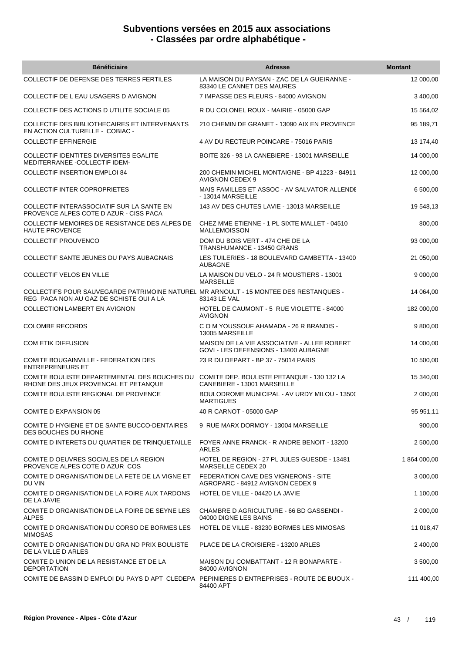| <b>Bénéficiaire</b>                                                                                                              | <b>Adresse</b>                                                                       | <b>Montant</b> |
|----------------------------------------------------------------------------------------------------------------------------------|--------------------------------------------------------------------------------------|----------------|
| COLLECTIF DE DEFENSE DES TERRES FERTILES                                                                                         | LA MAISON DU PAYSAN - ZAC DE LA GUEIRANNE -<br>83340 LE CANNET DES MAURES            | 12 000,00      |
| COLLECTIF DE L EAU USAGERS D AVIGNON                                                                                             | 7 IMPASSE DES FLEURS - 84000 AVIGNON                                                 | 3 400,00       |
| COLLECTIF DES ACTIONS DUTILITE SOCIALE 05                                                                                        | R DU COLONEL ROUX - MAIRIE - 05000 GAP                                               | 15 5 64,02     |
| COLLECTIF DES BIBLIOTHECAIRES ET INTERVENANTS<br>EN ACTION CULTURELLE - COBIAC -                                                 | 210 CHEMIN DE GRANET - 13090 AIX EN PROVENCE                                         | 95 189,71      |
| <b>COLLECTIF EFFINERGIE</b>                                                                                                      | 4 AV DU RECTEUR POINCARE - 75016 PARIS                                               | 13 174,40      |
| COLLECTIF IDENTITES DIVERSITES EGALITE<br>MEDITERRANEE - COLLECTIF IDEM-                                                         | BOITE 326 - 93 LA CANEBIERE - 13001 MARSEILLE                                        | 14 000,00      |
| <b>COLLECTIF INSERTION EMPLOI 84</b>                                                                                             | 200 CHEMIN MICHEL MONTAIGNE - BP 41223 - 84911<br>AVIGNON CEDEX 9                    | 12 000,00      |
| COLLECTIF INTER COPROPRIETES                                                                                                     | MAIS FAMILLES ET ASSOC - AV SALVATOR ALLENDE<br>- 13014 MARSEILLE                    | 6 500,00       |
| COLLECTIF INTERASSOCIATIF SUR LA SANTE EN<br>PROVENCE ALPES COTE D AZUR - CISS PACA                                              | 143 AV DES CHUTES LAVIE - 13013 MARSEILLE                                            | 19 548,13      |
| COLLECTIF MEMOIRES DE RESISTANCE DES ALPES DE<br>HAUTE PROVENCE                                                                  | CHEZ MME ETIENNE - 1 PL SIXTE MALLET - 04510<br><b>MALLEMOISSON</b>                  | 800,00         |
| <b>COLLECTIF PROUVENCO</b>                                                                                                       | DOM DU BOIS VERT - 474 CHE DE LA<br>TRANSHUMANCE - 13450 GRANS                       | 93 000,00      |
| COLLECTIF SANTE JEUNES DU PAYS AUBAGNAIS                                                                                         | LES TUILERIES - 18 BOULEVARD GAMBETTA - 13400<br><b>AUBAGNE</b>                      | 21 050,00      |
| <b>COLLECTIF VELOS EN VILLE</b>                                                                                                  | LA MAISON DU VELO - 24 R MOUSTIERS - 13001<br><b>MARSEILLE</b>                       | 9 000,00       |
| COLLECTIFS POUR SAUVEGARDE PATRIMOINE NATUREL MR ARNOULT - 15 MONTEE DES RESTANQUES -<br>REG PACA NON AU GAZ DE SCHISTE OUI A LA | 83143 LE VAL                                                                         | 14 064,00      |
| COLLECTION LAMBERT EN AVIGNON                                                                                                    | HOTEL DE CAUMONT - 5 RUE VIOLETTE - 84000<br><b>AVIGNON</b>                          | 182 000,00     |
| <b>COLOMBE RECORDS</b>                                                                                                           | C O M YOUSSOUF AHAMADA - 26 R BRANDIS -<br>13005 MARSEILLE                           | 9 800,00       |
| <b>COM ETIK DIFFUSION</b>                                                                                                        | MAISON DE LA VIE ASSOCIATIVE - ALLEE ROBERT<br>GOVI - LES DEFENSIONS - 13400 AUBAGNE | 14 000,00      |
| <b>COMITE BOUGAINVILLE - FEDERATION DES</b><br><b>ENTREPRENEURS ET</b>                                                           | 23 R DU DEPART - BP 37 - 75014 PARIS                                                 | 10 500,00      |
| COMITE BOULISTE DEPARTEMENTAL DES BOUCHES DU<br>RHONE DES JEUX PROVENCAL ET PETANQUE                                             | COMITE DEP. BOULISTE PETANQUE - 130 132 LA<br>CANEBIERE - 13001 MARSEILLE            | 15 340,00      |
| COMITE BOULISTE REGIONAL DE PROVENCE                                                                                             | BOULODROME MUNICIPAL - AV URDY MILOU - 13500<br><b>MARTIGUES</b>                     | 2 000,00       |
| <b>COMITE D EXPANSION 05</b>                                                                                                     | 40 R CARNOT - 05000 GAP                                                              | 95 951,11      |
| COMITE D HYGIENE ET DE SANTE BUCCO-DENTAIRES<br>DES BOUCHES DU RHONE                                                             | 9 RUE MARX DORMOY - 13004 MARSEILLE                                                  | 900,00         |
| COMITE D INTERETS DU QUARTIER DE TRINQUETAILLE                                                                                   | FOYER ANNE FRANCK - R ANDRE BENOIT - 13200<br>ARLES                                  | 2 500,00       |
| COMITE D OEUVRES SOCIALES DE LA REGION<br>PROVENCE ALPES COTE D AZUR COS                                                         | HOTEL DE REGION - 27 PL JULES GUESDE - 13481<br><b>MARSEILLE CEDEX 20</b>            | 1 864 000,00   |
| COMITE D ORGANISATION DE LA FETE DE LA VIGNE ET<br>DU VIN                                                                        | FEDERATION CAVE DES VIGNERONS - SITE<br>AGROPARC - 84912 AVIGNON CEDEX 9             | 3 000,00       |
| COMITE D ORGANISATION DE LA FOIRE AUX TARDONS<br>DE LA JAVIE                                                                     | HOTEL DE VILLE - 04420 LA JAVIE                                                      | 1 100,00       |
| COMITE D ORGANISATION DE LA FOIRE DE SEYNE LES<br><b>ALPES</b>                                                                   | CHAMBRE D AGRICULTURE - 66 BD GASSENDI -<br>04000 DIGNE LES BAINS                    | 2 000,00       |
| COMITE D ORGANISATION DU CORSO DE BORMES LES<br><b>MIMOSAS</b>                                                                   | HOTEL DE VILLE - 83230 BORMES LES MIMOSAS                                            | 11 018,47      |
| COMITE D ORGANISATION DU GRA ND PRIX BOULISTE<br>DE LA VILLE D ARLES                                                             | PLACE DE LA CROISIERE - 13200 ARLES                                                  | 2 400,00       |
| COMITE D UNION DE LA RESISTANCE ET DE LA<br><b>DEPORTATION</b>                                                                   | MAISON DU COMBATTANT - 12 R BONAPARTE -<br>84000 AVIGNON                             | 3 500,00       |
| COMITE DE BASSIN D EMPLOI DU PAYS D APT CLEDEPA PEPINIERES D ENTREPRISES - ROUTE DE BUOUX -                                      | 84400 APT                                                                            | 111 400,00     |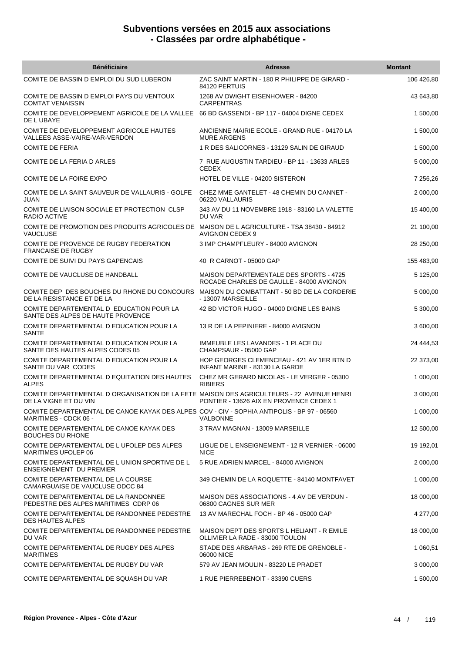| <b>Bénéficiaire</b>                                                                                                        | <b>Adresse</b>                                                                      | <b>Montant</b> |
|----------------------------------------------------------------------------------------------------------------------------|-------------------------------------------------------------------------------------|----------------|
| COMITE DE BASSIN D EMPLOI DU SUD LUBERON                                                                                   | ZAC SAINT MARTIN - 180 R PHILIPPE DE GIRARD -<br>84120 PERTUIS                      | 106 426,80     |
| COMITE DE BASSIN D EMPLOI PAYS DU VENTOUX<br><b>COMTAT VENAISSIN</b>                                                       | 1268 AV DWIGHT EISENHOWER - 84200<br><b>CARPENTRAS</b>                              | 43 643,80      |
| COMITE DE DEVELOPPEMENT AGRICOLE DE LA VALLEE<br>DE L UBAYE                                                                | 66 BD GASSENDI - BP 117 - 04004 DIGNE CEDEX                                         | 1 500,00       |
| COMITE DE DEVELOPPEMENT AGRICOLE HAUTES<br>VALLEES ASSE-VAIRE-VAR-VERDON                                                   | ANCIENNE MAIRIE ECOLE - GRAND RUE - 04170 LA<br><b>MURE ARGENS</b>                  | 1 500,00       |
| <b>COMITE DE FERIA</b>                                                                                                     | 1 R DES SALICORNES - 13129 SALIN DE GIRAUD                                          | 1 500,00       |
| COMITE DE LA FERIA D ARLES                                                                                                 | 7 RUE AUGUSTIN TARDIEU - BP 11 - 13633 ARLES<br><b>CEDEX</b>                        | 5 000,00       |
| COMITE DE LA FOIRE EXPO                                                                                                    | HOTEL DE VILLE - 04200 SISTERON                                                     | 7 256,26       |
| COMITE DE LA SAINT SAUVEUR DE VALLAURIS - GOLFE<br>JUAN                                                                    | CHEZ MME GANTELET - 48 CHEMIN DU CANNET -<br>06220 VALLAURIS                        | 2 000,00       |
| COMITE DE LIAISON SOCIALE ET PROTECTION CLSP<br>RADIO ACTIVE                                                               | 343 AV DU 11 NOVEMBRE 1918 - 83160 LA VALETTE<br>DU VAR                             | 15 400,00      |
| COMITE DE PROMOTION DES PRODUITS AGRICOLES DE MAISON DE LAGRICULTURE - TSA 38430 - 84912<br><b>VAUCLUSE</b>                | <b>AVIGNON CEDEX 9</b>                                                              | 21 100,00      |
| COMITE DE PROVENCE DE RUGBY FEDERATION<br><b>FRANCAISE DE RUGBY</b>                                                        | 3 IMP CHAMPFLEURY - 84000 AVIGNON                                                   | 28 250,00      |
| COMITE DE SUIVI DU PAYS GAPENCAIS                                                                                          | 40 R CARNOT - 05000 GAP                                                             | 155 483,90     |
| COMITE DE VAUCLUSE DE HANDBALL                                                                                             | MAISON DEPARTEMENTALE DES SPORTS - 4725<br>ROCADE CHARLES DE GAULLE - 84000 AVIGNON | 5 125,00       |
| COMITE DEP DES BOUCHES DU RHONE DU CONCOURS<br>DE LA RESISTANCE ET DE LA                                                   | MAISON DU COMBATTANT - 50 BD DE LA CORDERIE<br>- 13007 MARSEILLE                    | 5 000,00       |
| COMITE DEPARTEMENTAL D EDUCATION POUR LA<br>SANTE DES ALPES DE HAUTE PROVENCE                                              | 42 BD VICTOR HUGO - 04000 DIGNE LES BAINS                                           | 5 300,00       |
| COMITE DEPARTEMENTAL D EDUCATION POUR LA<br>SANTE                                                                          | 13 R DE LA PEPINIERE - 84000 AVIGNON                                                | 3 600,00       |
| COMITE DEPARTEMENTAL D EDUCATION POUR LA<br>SANTE DES HAUTES ALPES CODES 05                                                | IMMEUBLE LES LAVANDES - 1 PLACE DU<br>CHAMPSAUR - 05000 GAP                         | 24 444,53      |
| COMITE DEPARTEMENTAL D EDUCATION POUR LA<br>SANTE DU VAR CODES                                                             | HOP GEORGES CLEMENCEAU - 421 AV 1ER BTN D<br>INFANT MARINE - 83130 LA GARDE         | 22 373,00      |
| COMITE DEPARTEMENTAL D EQUITATION DES HAUTES<br><b>ALPES</b>                                                               | CHEZ MR GERARD NICOLAS - LE VERGER - 05300<br><b>RIBIERS</b>                        | 1 000,00       |
| COMITE DEPARTEMENTAL D ORGANISATION DE LA FETE MAISON DES AGRICULTEURS - 22 AVENUE HENRI<br>DE LA VIGNE ET DU VIN          | PONTIER - 13626 AIX EN PROVENCE CEDEX 1                                             | 3 000,00       |
| COMITE DEPARTEMENTAL DE CANOE KAYAK DES ALPES COV - CIV - SOPHIA ANTIPOLIS - BP 97 - 06560<br><b>MARITIMES - CDCK 06 -</b> | VALBONNE                                                                            | 1 000,00       |
| COMITE DEPARTEMENTAL DE CANOE KAYAK DES<br><b>BOUCHES DU RHONE</b>                                                         | 3 TRAV MAGNAN - 13009 MARSEILLE                                                     | 12 500,00      |
| COMITE DEPARTEMENTAL DE L UFOLEP DES ALPES<br>MARITIMES UFOLEP 06                                                          | LIGUE DE L ENSEIGNEMENT - 12 R VERNIER - 06000<br><b>NICE</b>                       | 19 192,01      |
| COMITE DEPARTEMENTAL DE L UNION SPORTIVE DE L<br><b>ENSEIGNEMENT DU PREMIER</b>                                            | 5 RUE ADRIEN MARCEL - 84000 AVIGNON                                                 | 2 000,00       |
| COMITE DEPARTEMENTAL DE LA COURSE<br>CAMARGUAISE DE VAUCLUSE ODCC 84                                                       | 349 CHEMIN DE LA ROQUETTE - 84140 MONTFAVET                                         | 1 000,00       |
| COMITE DEPARTEMENTAL DE LA RANDONNEE<br>PEDESTRE DES ALPES MARITIMES CDRP 06                                               | MAISON DES ASSOCIATIONS - 4 AV DE VERDUN -<br>06800 CAGNES SUR MER                  | 18 000,00      |
| COMITE DEPARTEMENTAL DE RANDONNEE PEDESTRE<br><b>DES HAUTES ALPES</b>                                                      | 13 AV MARECHAL FOCH - BP 46 - 05000 GAP                                             | 4 277,00       |
| COMITE DEPARTEMENTAL DE RANDONNEE PEDESTRE<br>DU VAR                                                                       | MAISON DEPT DES SPORTS L HELIANT - R EMILE<br>OLLIVIER LA RADE - 83000 TOULON       | 18 000,00      |
| COMITE DEPARTEMENTAL DE RUGBY DES ALPES<br><b>MARITIMES</b>                                                                | STADE DES ARBARAS - 269 RTE DE GRENOBLE -<br>06000 NICE                             | 1 060,51       |
| COMITE DEPARTEMENTAL DE RUGBY DU VAR                                                                                       | 579 AV JEAN MOULIN - 83220 LE PRADET                                                | 3 000,00       |
| COMITE DEPARTEMENTAL DE SQUASH DU VAR                                                                                      | 1 RUE PIERREBENOIT - 83390 CUERS                                                    | 1 500,00       |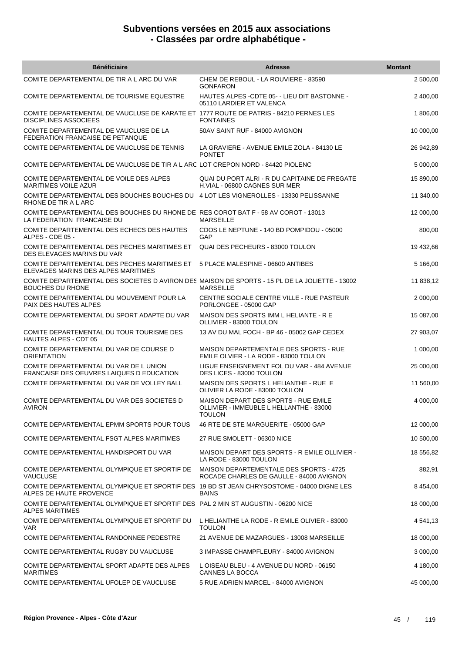| <b>Bénéficiaire</b>                                                                                                       | <b>Adresse</b>                                                                            | <b>Montant</b> |
|---------------------------------------------------------------------------------------------------------------------------|-------------------------------------------------------------------------------------------|----------------|
| COMITE DEPARTEMENTAL DE TIR A L ARC DU VAR                                                                                | CHEM DE REBOUL - LA ROUVIERE - 83590<br><b>GONFARON</b>                                   | 2 500,00       |
| COMITE DEPARTEMENTAL DE TOURISME EQUESTRE                                                                                 | HAUTES ALPES - CDTE 05 - LIEU DIT BASTONNE -<br>05110 LARDIER ET VALENCA                  | 2 400,00       |
| COMITE DEPARTEMENTAL DE VAUCLUSE DE KARATE ET 1777 ROUTE DE PATRIS - 84210 PERNES LES<br><b>DISCIPLINES ASSOCIEES</b>     | <b>FONTAINES</b>                                                                          | 1 806,00       |
| COMITE DEPARTEMENTAL DE VAUCLUSE DE LA<br>FEDERATION FRANCAISE DE PETANQUE                                                | 50AV SAINT RUF - 84000 AVIGNON                                                            | 10 000,00      |
| COMITE DEPARTEMENTAL DE VAUCLUSE DE TENNIS                                                                                | LA GRAVIERE - AVENUE EMILE ZOLA - 84130 LE<br><b>PONTET</b>                               | 26 942,89      |
| COMITE DEPARTEMENTAL DE VAUCLUSE DE TIR A L ARC LOT CREPON NORD - 84420 PIOLENC                                           |                                                                                           | 5 000,00       |
| COMITE DEPARTEMENTAL DE VOILE DES ALPES<br><b>MARITIMES VOILE AZUR</b>                                                    | QUAI DU PORT ALRI - R DU CAPITAINE DE FREGATE<br>H.VIAL - 06800 CAGNES SUR MER            | 15 890,00      |
| COMITE DEPARTEMENTAL DES BOUCHES BOUCHES DU 4 LOT LES VIGNEROLLES - 13330 PELISSANNE<br>RHONE DE TIR A L ARC              |                                                                                           | 11 340,00      |
| COMITE DEPARTEMENTAL DES BOUCHES DU RHONE DE RES COROT BAT F - 58 AV COROT - 13013<br>LA FEDERATION FRANCAISE DU          | <b>MARSEILLE</b>                                                                          | 12 000,00      |
| COMITE DEPARTEMENTAL DES ECHECS DES HAUTES<br>ALPES - CDE 05 -                                                            | CDOS LE NEPTUNE - 140 BD POMPIDOU - 05000<br>GAP                                          | 800,00         |
| COMITE DEPARTEMENTAL DES PECHES MARITIMES ET<br>DES ELEVAGES MARINS DU VAR                                                | QUAI DES PECHEURS - 83000 TOULON                                                          | 19 432,66      |
| COMITE DEPARTEMENTAL DES PECHES MARITIMES ET<br>ELEVAGES MARINS DES ALPES MARITIMES                                       | 5 PLACE MALESPINE - 06600 ANTIBES                                                         | 5 166,00       |
| COMITE DEPARTEMENTAL DES SOCIETES D AVIRON DES MAISON DE SPORTS - 15 PL DE LA JOLIETTE - 13002<br><b>BOUCHES DU RHONE</b> | <b>MARSEILLE</b>                                                                          | 11 838,12      |
| COMITE DEPARTEMENTAL DU MOUVEMENT POUR LA<br>PAIX DES HAUTES ALPES                                                        | CENTRE SOCIALE CENTRE VILLE - RUE PASTEUR<br>PORLONGEE - 05000 GAP                        | 2 000,00       |
| COMITE DEPARTEMENTAL DU SPORT ADAPTE DU VAR                                                                               | MAISON DES SPORTS IMM L HELIANTE - R E<br>OLLIVIER - 83000 TOULON                         | 15 087,00      |
| COMITE DEPARTEMENTAL DU TOUR TOURISME DES<br><b>HAUTES ALPES - CDT 05</b>                                                 | 13 AV DU MAL FOCH - BP 46 - 05002 GAP CEDEX                                               | 27 903,07      |
| COMITE DEPARTEMENTAL DU VAR DE COURSE D<br><b>ORIENTATION</b>                                                             | MAISON DEPARTEMENTALE DES SPORTS - RUE<br>EMILE OLVIER - LA RODE - 83000 TOULON           | 1 000,00       |
| COMITE DEPARTEMENTAL DU VAR DE L UNION<br>FRANCAISE DES OEUVRES LAIQUES D EDUCATION                                       | LIGUE ENSEIGNEMENT FOL DU VAR - 484 AVENUE<br>DES LICES - 83000 TOULON                    | 25 000,00      |
| COMITE DEPARTEMENTAL DU VAR DE VOLLEY BALL                                                                                | MAISON DES SPORTS L HELIANTHE - RUE E<br>OLIVIER LA RODE - 83000 TOULON                   | 11 560,00      |
| COMITE DEPARTEMENTAL DU VAR DES SOCIETES D<br>AVIRON                                                                      | MAISON DEPART DES SPORTS - RUE EMILE<br>OLLIVIER - IMMEUBLE L HELLANTHE - 83000<br>TOULON | 4 000,00       |
| COMITE DEPARTEMENTAL EPMM SPORTS POUR TOUS                                                                                | 46 RTE DE STE MARGUERITE - 05000 GAP                                                      | 12 000,00      |
| COMITE DEPARTEMENTAL FSGT ALPES MARITIMES                                                                                 | 27 RUE SMOLETT - 06300 NICE                                                               | 10 500,00      |
| COMITE DEPARTEMENTAL HANDISPORT DU VAR                                                                                    | MAISON DEPART DES SPORTS - R EMILE OLLIVIER -<br>LA RODE - 83000 TOULON                   | 18 556,82      |
| COMITE DEPARTEMENTAL OLYMPIQUE ET SPORTIF DE<br><b>VAUCLUSE</b>                                                           | MAISON DEPARTEMENTALE DES SPORTS - 4725<br>ROCADE CHARLES DE GAULLE - 84000 AVIGNON       | 882,91         |
| COMITE DEPARTEMENTAL OLYMPIQUE ET SPORTIF DES 19 BD ST JEAN CHRYSOSTOME - 04000 DIGNE LES<br>ALPES DE HAUTE PROVENCE      | <b>BAINS</b>                                                                              | 8 454,00       |
| COMITE DEPARTEMENTAL OLYMPIQUE ET SPORTIF DES PAL 2 MIN ST AUGUSTIN - 06200 NICE<br><b>ALPES MARITIMES</b>                |                                                                                           | 18 000,00      |
| COMITE DEPARTEMENTAL OLYMPIQUE ET SPORTIF DU<br>VAR.                                                                      | L HELIANTHE LA RODE - R EMILE OLIVIER - 83000<br><b>TOULON</b>                            | 4 541,13       |
| COMITE DEPARTEMENTAL RANDONNEE PEDESTRE                                                                                   | 21 AVENUE DE MAZARGUES - 13008 MARSEILLE                                                  | 18 000,00      |
| COMITE DEPARTEMENTAL RUGBY DU VAUCLUSE                                                                                    | 3 IMPASSE CHAMPFLEURY - 84000 AVIGNON                                                     | 3 000,00       |
| COMITE DEPARTEMENTAL SPORT ADAPTE DES ALPES<br><b>MARITIMES</b>                                                           | L OISEAU BLEU - 4 AVENUE DU NORD - 06150<br>CANNES LA BOCCA                               | 4 180,00       |
| COMITE DEPARTEMENTAL UFOLEP DE VAUCLUSE                                                                                   | 5 RUE ADRIEN MARCEL - 84000 AVIGNON                                                       | 45 000,00      |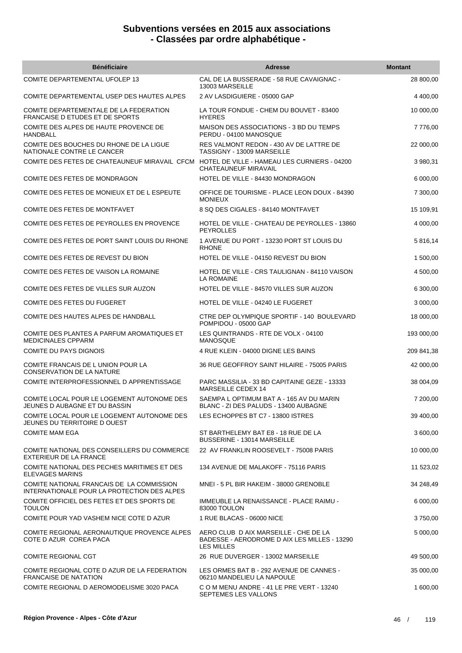| <b>Bénéficiaire</b>                                                                      | <b>Adresse</b>                                                                                             | <b>Montant</b> |
|------------------------------------------------------------------------------------------|------------------------------------------------------------------------------------------------------------|----------------|
| COMITE DEPARTEMENTAL UFOLEP 13                                                           | CAL DE LA BUSSERADE - 58 RUE CAVAIGNAC -<br>13003 MARSEILLE                                                | 28 800,00      |
| COMITE DEPARTEMENTAL USEP DES HAUTES ALPES                                               | 2 AV LASDIGUIERE - 05000 GAP                                                                               | 4 400,00       |
| COMITE DEPARTEMENTALE DE LA FEDERATION<br><b>FRANCAISE D ETUDES ET DE SPORTS</b>         | LA TOUR FONDUE - CHEM DU BOUVET - 83400<br><b>HYERES</b>                                                   | 10 000,00      |
| COMITE DES ALPES DE HAUTE PROVENCE DE<br>HANDBALL                                        | MAISON DES ASSOCIATIONS - 3 BD DU TEMPS<br>PERDU - 04100 MANOSQUE                                          | 7776,00        |
| COMITE DES BOUCHES DU RHONE DE LA LIGUE<br>NATIONALE CONTRE LE CANCER                    | RES VALMONT REDON - 430 AV DE LATTRE DE<br>TASSIGNY - 13009 MARSEILLE                                      | 22 000,00      |
| COMITE DES FETES DE CHATEAUNEUF MIRAVAIL CFCM                                            | HOTEL DE VILLE - HAMEAU LES CURNIERS - 04200<br>CHATEAUNEUF MIRAVAIL                                       | 3 980,31       |
| COMITE DES FETES DE MONDRAGON                                                            | HOTEL DE VILLE - 84430 MONDRAGON                                                                           | 6 000,00       |
| COMITE DES FETES DE MONIEUX ET DE L ESPEUTE                                              | OFFICE DE TOURISME - PLACE LEON DOUX - 84390<br><b>MONIEUX</b>                                             | 7 300,00       |
| COMITE DES FETES DE MONTFAVET                                                            | 8 SQ DES CIGALES - 84140 MONTFAVET                                                                         | 15 109,91      |
| COMITE DES FETES DE PEYROLLES EN PROVENCE                                                | HOTEL DE VILLE - CHATEAU DE PEYROLLES - 13860<br><b>PEYROLLES</b>                                          | 4 000,00       |
| COMITE DES FETES DE PORT SAINT LOUIS DU RHONE                                            | 1 AVENUE DU PORT - 13230 PORT ST LOUIS DU<br><b>RHONE</b>                                                  | 5 816,14       |
| COMITE DES FETES DE REVEST DU BION                                                       | HOTEL DE VILLE - 04150 REVEST DU BION                                                                      | 1 500,00       |
| COMITE DES FETES DE VAISON LA ROMAINE                                                    | HOTEL DE VILLE - CRS TAULIGNAN - 84110 VAISON<br>LA ROMAINE                                                | 4 500,00       |
| COMITE DES FETES DE VILLES SUR AUZON                                                     | HOTEL DE VILLE - 84570 VILLES SUR AUZON                                                                    | 6 300,00       |
| COMITE DES FETES DU FUGERET                                                              | HOTEL DE VILLE - 04240 LE FUGERET                                                                          | 3 000,00       |
| COMITE DES HAUTES ALPES DE HANDBALL                                                      | CTRE DEP OLYMPIQUE SPORTIF - 140 BOULEVARD<br>POMPIDOU - 05000 GAP                                         | 18 000,00      |
| COMITE DES PLANTES A PARFUM AROMATIQUES ET<br><b>MEDICINALES CPPARM</b>                  | LES QUINTRANDS - RTE DE VOLX - 04100<br><b>MANOSQUE</b>                                                    | 193 000,00     |
| <b>COMITE DU PAYS DIGNOIS</b>                                                            | 4 RUE KLEIN - 04000 DIGNE LES BAINS                                                                        | 209 841,38     |
| COMITE FRANCAIS DE L UNION POUR LA<br><b>CONSERVATION DE LA NATURE</b>                   | 36 RUE GEOFFROY SAINT HILAIRE - 75005 PARIS                                                                | 42 000,00      |
| COMITE INTERPROFESSIONNEL D APPRENTISSAGE                                                | PARC MASSILIA - 33 BD CAPITAINE GEZE - 13333<br>MARSEILLE CEDEX 14                                         | 38 004,09      |
| COMITE LOCAL POUR LE LOGEMENT AUTONOME DES<br>JEUNES D AUBAGNE ET DU BASSIN              | SAEMPA L OPTIMUM BAT A - 165 AV DU MARIN<br>BLANC - ZI DES PALUDS - 13400 AUBAGNE                          | 7 200,00       |
| COMITE LOCAL POUR LE LOGEMENT AUTONOME DES<br>JEUNES DU TERRITOIRE D OUEST               | LES ECHOPPES BT C7 - 13800 ISTRES                                                                          | 39 400,00      |
| <b>COMITE MAM EGA</b>                                                                    | ST BARTHELEMY BAT E8 - 18 RUE DE LA<br>BUSSERINE - 13014 MARSEILLE                                         | 3 600,00       |
| COMITE NATIONAL DES CONSEILLERS DU COMMERCE<br>EXTERIEUR DE LA FRANCE                    | 22 AV FRANKLIN ROOSEVELT - 75008 PARIS                                                                     | 10 000,00      |
| COMITE NATIONAL DES PECHES MARITIMES ET DES<br><b>ELEVAGES MARINS</b>                    | 134 AVENUE DE MALAKOFF - 75116 PARIS                                                                       | 11 523,02      |
| COMITE NATIONAL FRANCAIS DE LA COMMISSION<br>INTERNATIONALE POUR LA PROTECTION DES ALPES | MNEI - 5 PL BIR HAKEIM - 38000 GRENOBLE                                                                    | 34 248,49      |
| COMITE OFFICIEL DES FETES ET DES SPORTS DE<br><b>TOULON</b>                              | IMMEUBLE LA RENAISSANCE - PLACE RAIMU -<br>83000 TOULON                                                    | 6 000,00       |
| COMITE POUR YAD VASHEM NICE COTE D AZUR                                                  | 1 RUE BLACAS - 06000 NICE                                                                                  | 3750,00        |
| COMITE REGIONAL AERONAUTIQUE PROVENCE ALPES<br>COTE D AZUR COREA PACA                    | AERO CLUB D AIX MARSEILLE - CHE DE LA<br>BADESSE - AERODROME D AIX LES MILLES - 13290<br><b>LES MILLES</b> | 5 000,00       |
| <b>COMITE REGIONAL CGT</b>                                                               | 26 RUE DUVERGER - 13002 MARSEILLE                                                                          | 49 500,00      |
| COMITE REGIONAL COTE D AZUR DE LA FEDERATION<br><b>FRANCAISE DE NATATION</b>             | LES ORMES BAT B - 292 AVENUE DE CANNES -<br>06210 MANDELIEU LA NAPOULE                                     | 35 000,00      |
| COMITE REGIONAL D AEROMODELISME 3020 PACA                                                | C O M MENU ANDRE - 41 LE PRE VERT - 13240<br>SEPTEMES LES VALLONS                                          | 1 600,00       |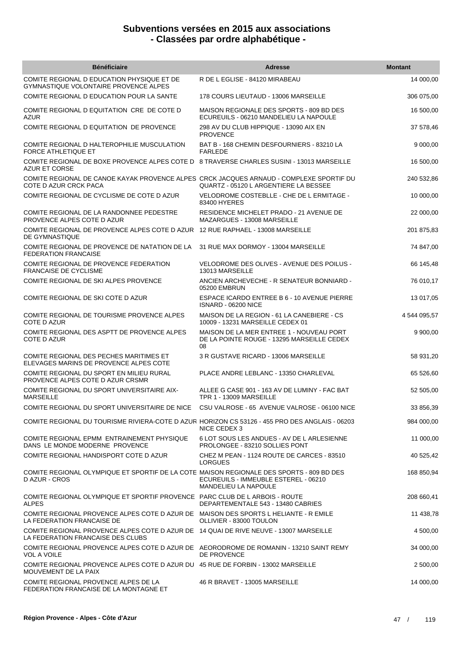| <b>Bénéficiaire</b>                                                                                                        | <b>Adresse</b>                                                                               | <b>Montant</b> |
|----------------------------------------------------------------------------------------------------------------------------|----------------------------------------------------------------------------------------------|----------------|
| COMITE REGIONAL D EDUCATION PHYSIQUE ET DE<br>GYMNASTIQUE VOLONTAIRE PROVENCE ALPES                                        | R DE L EGLISE - 84120 MIRABEAU                                                               | 14 000,00      |
| COMITE REGIONAL D EDUCATION POUR LA SANTE                                                                                  | 178 COURS LIEUTAUD - 13006 MARSEILLE                                                         | 306 075,00     |
| COMITE REGIONAL D EQUITATION CRE DE COTE D<br><b>AZUR</b>                                                                  | MAISON REGIONALE DES SPORTS - 809 BD DES<br>ECUREUILS - 06210 MANDELIEU LA NAPOULE           | 16 500,00      |
| COMITE REGIONAL D EQUITATION DE PROVENCE                                                                                   | 298 AV DU CLUB HIPPIQUE - 13090 AIX EN<br><b>PROVENCE</b>                                    | 37 578,46      |
| COMITE REGIONAL D HALTEROPHILIE MUSCULATION<br><b>FORCE ATHLETIQUE ET</b>                                                  | BAT B - 168 CHEMIN DESFOURNIERS - 83210 LA<br><b>FARLEDE</b>                                 | 9 000,00       |
| COMITE REGIONAL DE BOXE PROVENCE ALPES COTE D 8 TRAVERSE CHARLES SUSINI - 13013 MARSEILLE<br><b>AZUR ET CORSE</b>          |                                                                                              | 16 500,00      |
| COMITE REGIONAL DE CANOE KAYAK PROVENCE ALPES CRCK JACQUES ARNAUD - COMPLEXE SPORTIF DU<br>COTE D AZUR CRCK PACA           | QUARTZ - 05120 L ARGENTIERE LA BESSEE                                                        | 240 532,86     |
| COMITE REGIONAL DE CYCLISME DE COTE D AZUR                                                                                 | VELODROME COSTEBLLE - CHE DE L ERMITAGE -<br>83400 HYERES                                    | 10 000,00      |
| COMITE REGIONAL DE LA RANDONNEE PEDESTRE<br>PROVENCE ALPES COTE D AZUR                                                     | RESIDENCE MICHELET PRADO - 21 AVENUE DE<br>MAZARGUES - 13008 MARSEILLE                       | 22 000,00      |
| COMITE REGIONAL DE PROVENCE ALPES COTE D AZUR 12 RUE RAPHAEL - 13008 MARSEILLE<br>DE GYMNASTIQUE                           |                                                                                              | 201 875,83     |
| COMITE REGIONAL DE PROVENCE DE NATATION DE LA<br><b>FEDERATION FRANCAISE</b>                                               | 31 RUE MAX DORMOY - 13004 MARSEILLE                                                          | 74 847,00      |
| COMITE REGIONAL DE PROVENCE FEDERATION<br><b>FRANCAISE DE CYCLISME</b>                                                     | VELODROME DES OLIVES - AVENUE DES POILUS -<br>13013 MARSEILLE                                | 66 145,48      |
| COMITE REGIONAL DE SKI ALPES PROVENCE                                                                                      | ANCIEN ARCHEVECHE - R SENATEUR BONNIARD -<br>05200 EMBRUN                                    | 76 010,17      |
| COMITE REGIONAL DE SKI COTE D AZUR                                                                                         | ESPACE ICARDO ENTREE B 6 - 10 AVENUE PIERRE<br>ISNARD - 06200 NICE                           | 13 017,05      |
| COMITE REGIONAL DE TOURISME PROVENCE ALPES<br><b>COTE D AZUR</b>                                                           | MAISON DE LA REGION - 61 LA CANEBIERE - CS<br>10009 - 13231 MARSEILLE CEDEX 01               | 4 544 095,57   |
| COMITE REGIONAL DES ASPTT DE PROVENCE ALPES<br>COTE D AZUR                                                                 | MAISON DE LA MER ENTREE 1 - NOUVEAU PORT<br>DE LA POINTE ROUGE - 13295 MARSEILLE CEDEX<br>08 | 9 900,00       |
| COMITE REGIONAL DES PECHES MARITIMES ET<br>ELEVAGES MARINS DE PROVENCE ALPES COTE                                          | 3 R GUSTAVE RICARD - 13006 MARSEILLE                                                         | 58 931,20      |
| COMITE REGIONAL DU SPORT EN MILIEU RURAL<br>PROVENCE ALPES COTE D AZUR CRSMR                                               | PLACE ANDRE LEBLANC - 13350 CHARLEVAL                                                        | 65 526,60      |
| COMITE REGIONAL DU SPORT UNIVERSITAIRE AIX-<br><b>MARSEILLE</b>                                                            | ALLEE G CASE 901 - 163 AV DE LUMINY - FAC BAT<br>TPR 1 - 13009 MARSEILLE                     | 52 505,00      |
| COMITE REGIONAL DU SPORT UNIVERSITAIRE DE NICE CSU VALROSE - 65 AVENUE VALROSE - 06100 NICE                                |                                                                                              | 33 856,39      |
| COMITE REGIONAL DU TOURISME RIVIERA-COTE D AZUR HORIZON CS 53126 - 455 PRO DES ANGLAIS - 06203                             | NICE CEDEX 3                                                                                 | 984 000,00     |
| COMITE REGIONAL EPMM ENTRAINEMENT PHYSIQUE<br>DANS LE MONDE MODERNE PROVENCE                                               | 6 LOT SOUS LES ANDUES - AV DE L ARLESIENNE<br>PROLONGEE - 83210 SOLLIES PONT                 | 11 000,00      |
| COMITE REGIONAL HANDISPORT COTE D AZUR                                                                                     | CHEZ M PEAN - 1124 ROUTE DE CARCES - 83510<br>LORGUES                                        | 40 525,42      |
| COMITE REGIONAL OLYMPIQUE ET SPORTIF DE LA COTE MAISON REGIONALE DES SPORTS - 809 BD DES<br>D AZUR - CROS                  | ECUREUILS - IMMEUBLE ESTEREL - 06210<br><b>MANDELIEU LA NAPOULE</b>                          | 168 850,94     |
| COMITE REGIONAL OLYMPIQUE ET SPORTIF PROVENCE PARC CLUB DE L ARBOIS - ROUTE<br><b>ALPES</b>                                | DEPARTEMENTALE 543 - 13480 CABRIES                                                           | 208 660,41     |
| COMITE REGIONAL PROVENCE ALPES COTE D AZUR DE MAISON DES SPORTS L HELIANTE - R EMILE<br>LA FEDERATION FRANCAISE DE         | OLLIVIER - 83000 TOULON                                                                      | 11 438,78      |
| COMITE REGIONAL PROVENCE ALPES COTE D AZUR DE 14 QUAI DE RIVE NEUVE - 13007 MARSEILLE<br>LA FEDERATION FRANCAISE DES CLUBS |                                                                                              | 4 500,00       |
| COMITE REGIONAL PROVENCE ALPES COTE D AZUR DE AEORODROME DE ROMANIN - 13210 SAINT REMY<br><b>VOL A VOILE</b>               | DE PROVENCE                                                                                  | 34 000,00      |
| COMITE REGIONAL PROVENCE ALPES COTE D AZUR DU 45 RUE DE FORBIN - 13002 MARSEILLE<br>MOUVEMENT DE LA PAIX                   |                                                                                              | 2 500,00       |
| COMITE REGIONAL PROVENCE ALPES DE LA<br>FEDERATION FRANCAISE DE LA MONTAGNE ET                                             | 46 R BRAVET - 13005 MARSEILLE                                                                | 14 000,00      |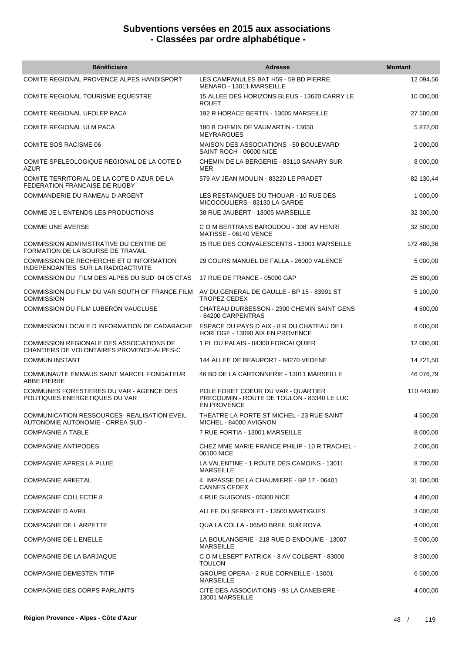| <b>Bénéficiaire</b>                                                                   | <b>Adresse</b>                                                                                  | <b>Montant</b> |
|---------------------------------------------------------------------------------------|-------------------------------------------------------------------------------------------------|----------------|
| COMITE REGIONAL PROVENCE ALPES HANDISPORT                                             | LES CAMPANULES BAT H59 - 59 BD PIERRE<br>MENARD - 13011 MARSEILLE                               | 12 094,56      |
| COMITE REGIONAL TOURISME EQUESTRE                                                     | 15 ALLEE DES HORIZONS BLEUS - 13620 CARRY LE<br><b>ROUET</b>                                    | 10 000,00      |
| COMITE REGIONAL UFOLEP PACA                                                           | 192 R HORACE BERTIN - 13005 MARSEILLE                                                           | 27 500,00      |
| COMITE REGIONAL ULM PACA                                                              | 180 B CHEMIN DE VAUMARTIN - 13650<br><b>MEYRARGUES</b>                                          | 5 872,00       |
| <b>COMITE SOS RACISME 06</b>                                                          | MAISON DES ASSOCIATIONS - 50 BOULEVARD<br>SAINT ROCH - 06000 NICE                               | 2 000,00       |
| COMITE SPELEOLOGIQUE REGIONAL DE LA COTE D<br><b>AZUR</b>                             | CHEMIN DE LA BERGERIE - 83110 SANARY SUR<br>MER                                                 | 8 000,00       |
| COMITE TERRITORIAL DE LA COTE D AZUR DE LA<br>FEDERATION FRANCAISE DE RUGBY           | 579 AV JEAN MOULIN - 83220 LE PRADET                                                            | 82 130,44      |
| COMMANDERIE DU RAMEAU D ARGENT                                                        | LES RESTANQUES DU THOUAR - 10 RUE DES<br>MICOCOULIERS - 83130 LA GARDE                          | 1 000,00       |
| COMME JE L ENTENDS LES PRODUCTIONS                                                    | 38 RUE JAUBERT - 13005 MARSEILLE                                                                | 32 300,00      |
| <b>COMME UNE AVERSE</b>                                                               | C O M BERTRANS BAROUDOU - 308 AV HENRI<br>MATISSE - 06140 VENCE                                 | 32 500,00      |
| COMMISSION ADMINISTRATIVE DU CENTRE DE<br>FORMATION DE LA BOURSE DE TRAVAIL           | 15 RUE DES CONVALESCENTS - 13001 MARSEILLE                                                      | 172 480,36     |
| COMMISSION DE RECHERCHE ET D INFORMATION<br>INDEPENDANTES SUR LA RADIOACTIVITE        | 29 COURS MANUEL DE FALLA - 26000 VALENCE                                                        | 5 000,00       |
| COMMISSION DU FILM DES ALPES DU SUD 04 05 CFAS                                        | 17 RUE DE FRANCE - 05000 GAP                                                                    | 25 600,00      |
| COMMISSION DU FILM DU VAR SOUTH OF FRANCE FILM<br><b>COMMISSION</b>                   | AV DU GENERAL DE GAULLE - BP 15 - 83991 ST<br>TROPEZ CEDEX                                      | 5 100,00       |
| COMMISSION DU FILM LUBERON VAUCLUSE                                                   | CHATEAU DURBESSON - 2300 CHEMIN SAINT GENS<br>- 84200 CARPENTRAS                                | 4 500,00       |
| COMMISSION LOCALE D INFORMATION DE CADARACHE                                          | ESPACE DU PAYS D AIX - 8 R DU CHATEAU DE L<br>HORLOGE - 13090 AIX EN PROVENCE                   | 6 000,00       |
| COMMISSION REGIONALE DES ASSOCIATIONS DE<br>CHANTIERS DE VOLONTAIRES PROVENCE-ALPES-C | 1 PL DU PALAIS - 04300 FORCALQUIER                                                              | 12 000,00      |
| <b>COMMUN INSTANT</b>                                                                 | 144 ALLEE DE BEAUPORT - 84270 VEDENE                                                            | 14 721,50      |
| COMMUNAUTE EMMAUS SAINT MARCEL FONDATEUR<br><b>ABBE PIERRE</b>                        | 46 BD DE LA CARTONNERIE - 13011 MARSEILLE                                                       | 46 076,79      |
| COMMUNES FORESTIERES DU VAR - AGENCE DES<br>POLITIQUES ENERGETIQUES DU VAR            | POLE FORET COEUR DU VAR - QUARTIER<br>PRECOUMIN - ROUTE DE TOULON - 83340 LE LUC<br>EN PROVENCE | 110 443,60     |
| COMMUNICATION RESSOURCES- REALISATION EVEIL<br>AUTONOMIE AUTONOMIE - CRREA SUD -      | THEATRE LA PORTE ST MICHEL - 23 RUE SAINT<br>MICHEL - 84000 AVIGNON                             | 4 500,00       |
| <b>COMPAGNIE A TABLE</b>                                                              | 7 RUE FORTIA - 13001 MARSEILLE                                                                  | 8 000,00       |
| <b>COMPAGNIE ANTIPODES</b>                                                            | CHEZ MME MARIE FRANCE PHILIP - 10 R TRACHEL -<br>06100 NICE                                     | 2 000,00       |
| <b>COMPAGNIE APRES LA PLUIE</b>                                                       | LA VALENTINE - 1 ROUTE DES CAMOINS - 13011<br><b>MARSEILLE</b>                                  | 8700,00        |
| <b>COMPAGNIE ARKETAL</b>                                                              | 4 IMPASSE DE LA CHAUMIERE - BP 17 - 06401<br><b>CANNES CEDEX</b>                                | 31 600,00      |
| COMPAGNIE COLLECTIF 8                                                                 | 4 RUE GUIGONIS - 06300 NICE                                                                     | 4 800,00       |
| <b>COMPAGNIE D AVRIL</b>                                                              | ALLEE DU SERPOLET - 13500 MARTIGUES                                                             | 3 000,00       |
| COMPAGNIE DE L ARPETTE                                                                | QUA LA COLLA - 06540 BREIL SUR ROYA                                                             | 4 000,00       |
| COMPAGNIE DE L ENELLE                                                                 | LA BOULANGERIE - 218 RUE D ENDOUME - 13007<br><b>MARSEILLE</b>                                  | 5 000,00       |
| COMPAGNIE DE LA BARJAQUE                                                              | C O M LESEPT PATRICK - 3 AV COLBERT - 83000<br><b>TOULON</b>                                    | 8 500,00       |
| <b>COMPAGNIE DEMESTEN TITIP</b>                                                       | GROUPE OPERA - 2 RUE CORNEILLE - 13001<br><b>MARSEILLE</b>                                      | 6 500,00       |
| COMPAGNIE DES CORPS PARLANTS                                                          | CITE DES ASSOCIATIONS - 93 LA CANEBIERE -<br>13001 MARSEILLE                                    | 4 000,00       |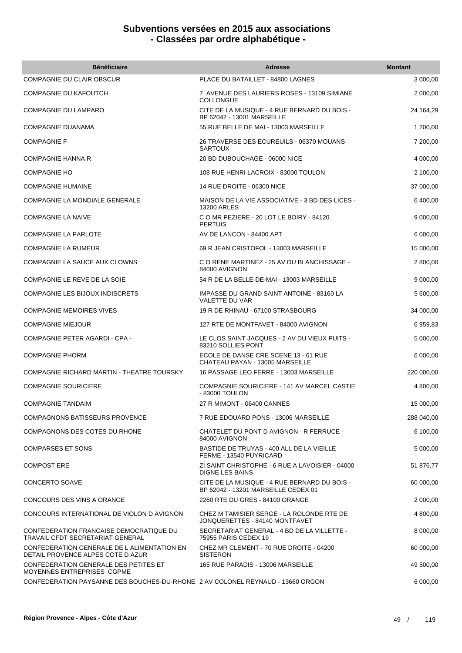| <b>Bénéficiaire</b>                                                              | <b>Adresse</b>                                                                      | <b>Montant</b> |
|----------------------------------------------------------------------------------|-------------------------------------------------------------------------------------|----------------|
| <b>COMPAGNIE DU CLAIR OBSCUR</b>                                                 | PLACE DU BATAILLET - 84800 LAGNES                                                   | 3 000,00       |
| COMPAGNIE DU KAFOUTCH                                                            | 7 AVENUE DES LAURIERS ROSES - 13109 SIMIANE<br><b>COLLONGUE</b>                     | 2 000,00       |
| COMPAGNIE DU LAMPARO                                                             | CITE DE LA MUSIQUE - 4 RUE BERNARD DU BOIS -<br>BP 62042 - 13001 MARSEILLE          | 24 164,29      |
| COMPAGNIE DUANAMA                                                                | 55 RUE BELLE DE MAI - 13003 MARSEILLE                                               | 1 200,00       |
| COMPAGNIE F                                                                      | 26 TRAVERSE DES ECUREUILS - 06370 MOUANS<br><b>SARTOUX</b>                          | 7 200,00       |
| <b>COMPAGNIE HANNA R</b>                                                         | 20 BD DUBOUCHAGE - 06000 NICE                                                       | 4 000,00       |
| <b>COMPAGNIE HO</b>                                                              | 108 RUE HENRI LACROIX - 83000 TOULON                                                | 2 100,00       |
| <b>COMPAGNIE HUMAINE</b>                                                         | 14 RUE DROITE - 06300 NICE                                                          | 37 000,00      |
| COMPAGNIE LA MONDIALE GENERALE                                                   | MAISON DE LA VIE ASSOCIATIVE - 3 BD DES LICES -<br>13200 ARLES                      | 6 400,00       |
| <b>COMPAGNIE LA NAIVE</b>                                                        | C O MR PEZIERE - 20 LOT LE BOIRY - 84120<br><b>PERTUIS</b>                          | 9 000,00       |
| <b>COMPAGNIE LA PARLOTE</b>                                                      | AV DE LANCON - 84400 APT                                                            | 6 000,00       |
| COMPAGNIE LA RUMEUR                                                              | 69 R JEAN CRISTOFOL - 13003 MARSEILLE                                               | 15 000,00      |
| COMPAGNIE LA SAUCE AUX CLOWNS                                                    | C O RENE MARTINEZ - 25 AV DU BLANCHISSAGE -<br>84000 AVIGNON                        | 2 800,00       |
| COMPAGNIE LE REVE DE LA SOIE                                                     | 54 R DE LA BELLE-DE-MAI - 13003 MARSEILLE                                           | 9 000,00       |
| COMPAGNIE LES BIJOUX INDISCRETS                                                  | IMPASSE DU GRAND SAINT ANTOINE - 83160 LA<br><b>VALETTE DU VAR</b>                  | 5 600,00       |
| <b>COMPAGNIE MEMOIRES VIVES</b>                                                  | 19 R DE RHINAU - 67100 STRASBOURG                                                   | 34 000,00      |
| <b>COMPAGNIE MIEJOUR</b>                                                         | 127 RTE DE MONTFAVET - 84000 AVIGNON                                                | 6 959,83       |
| COMPAGNIE PETER AGARDI - CPA -                                                   | LE CLOS SAINT JACQUES - 2 AV DU VIEUX PUITS -<br>83210 SOLLIES PONT                 | 5 000,00       |
| <b>COMPAGNIE PHORM</b>                                                           | ECOLE DE DANSE CRE SCENE 13 - 61 RUE<br>CHATEAU PAYAN - 13005 MARSEILLE             | 6 000,00       |
| COMPAGNIE RICHARD MARTIN - THEATRE TOURSKY                                       | 16 PASSAGE LEO FERRE - 13003 MARSEILLE                                              | 220 000,00     |
| <b>COMPAGNIE SOURICIERE</b>                                                      | COMPAGNIE SOURICIERE - 141 AV MARCEL CASTIE<br>- 83000 TOULON                       | 4 800,00       |
| <b>COMPAGNIE TANDAIM</b>                                                         | 27 R MIMONT - 06400 CANNES                                                          | 15 000,00      |
| COMPAGNONS BATISSEURS PROVENCE                                                   | 7 RUE EDOUARD PONS - 13006 MARSEILLE                                                | 288 040,00     |
| COMPAGNONS DES COTES DU RHONE                                                    | CHATELET DU PONT D AVIGNON - R FERRUCE -<br>84000 AVIGNON                           | 6 100,00       |
| <b>COMPARSES ET SONS</b>                                                         | BASTIDE DE TRUYAS - 400 ALL DE LA VIEILLE<br>FERME - 13540 PUYRICARD                | 5 000,00       |
| <b>COMPOST ERE</b>                                                               | ZI SAINT CHRISTOPHE - 6 RUE A LAVOISIER - 04000<br><b>DIGNE LES BAINS</b>           | 51 876,77      |
| <b>CONCERTO SOAVE</b>                                                            | CITE DE LA MUSIQUE - 4 RUE BERNARD DU BOIS -<br>BP 62042 - 13201 MARSEILLE CEDEX 01 | 60 000,00      |
| CONCOURS DES VINS A ORANGE                                                       | 2260 RTE DU GRES - 84100 ORANGE                                                     | 2 000,00       |
| CONCOURS INTERNATIONAL DE VIOLON D AVIGNON                                       | CHEZ M TAMISIER SERGE - LA ROLONDE RTE DE<br>JONQUERETTES - 84140 MONTFAVET         | 4 800,00       |
| CONFEDERATION FRANCAISE DEMOCRATIQUE DU<br>TRAVAIL CFDT SECRETARIAT GENERAL      | SECRETARIAT GENERAL - 4 BD DE LA VILLETTE -<br>75955 PARIS CEDEX 19                 | 8 000,00       |
| CONFEDERATION GENERALE DE L ALIMENTATION EN<br>DETAIL PROVENCE ALPES COTE D AZUR | CHEZ MR CLEMENT - 70 RUE DROITE - 04200<br><b>SISTERON</b>                          | 60 000,00      |
| CONFEDERATION GENERALE DES PETITES ET<br><b>MOYENNES ENTREPRISES CGPME</b>       | 165 RUE PARADIS - 13006 MARSEILLE                                                   | 49 500,00      |
| CONFEDERATION PAYSANNE DES BOUCHES-DU-RHONE 2 AV COLONEL REYNAUD - 13660 ORGON   |                                                                                     | 6 000,00       |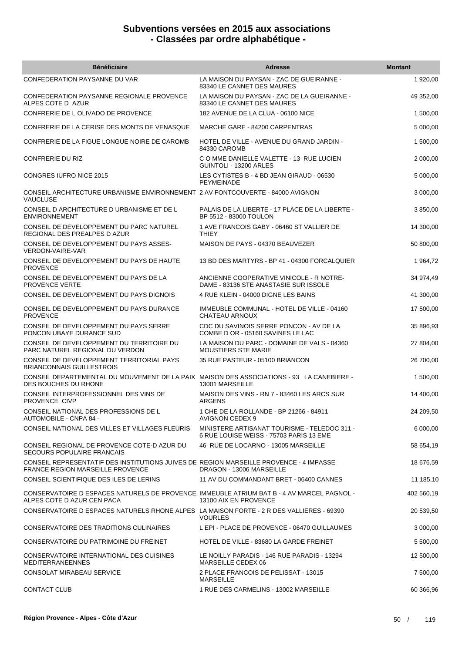| <b>Bénéficiaire</b>                                                                                                               | <b>Adresse</b>                                                                          | <b>Montant</b> |
|-----------------------------------------------------------------------------------------------------------------------------------|-----------------------------------------------------------------------------------------|----------------|
| CONFEDERATION PAYSANNE DU VAR                                                                                                     | LA MAISON DU PAYSAN - ZAC DE GUEIRANNE -<br>83340 LE CANNET DES MAURES                  | 1 920,00       |
| CONFEDERATION PAYSANNE REGIONALE PROVENCE<br>ALPES COTE D AZUR                                                                    | LA MAISON DU PAYSAN - ZAC DE LA GUEIRANNE -<br>83340 LE CANNET DES MAURES               | 49 352,00      |
| CONFRERIE DE L OLIVADO DE PROVENCE                                                                                                | 182 AVENUE DE LA CLUA - 06100 NICE                                                      | 1 500,00       |
| CONFRERIE DE LA CERISE DES MONTS DE VENASQUE                                                                                      | MARCHE GARE - 84200 CARPENTRAS                                                          | 5 000,00       |
| CONFRERIE DE LA FIGUE LONGUE NOIRE DE CAROMB                                                                                      | HOTEL DE VILLE - AVENUE DU GRAND JARDIN -<br>84330 CAROMB                               | 1 500,00       |
| <b>CONFRERIE DU RIZ</b>                                                                                                           | C O MME DANIELLE VALETTE - 13 RUE LUCIEN<br>GUINTOLI - 13200 ARLES                      | 2 000,00       |
| CONGRES IUFRO NICE 2015                                                                                                           | LES CYTISTES B - 4 BD JEAN GIRAUD - 06530<br><b>PEYMEINADE</b>                          | 5 000,00       |
| CONSEIL ARCHITECTURE URBANISME ENVIRONNEMENT 2 AV FONTCOUVERTE - 84000 AVIGNON<br><b>VAUCLUSE</b>                                 |                                                                                         | 3 000,00       |
| CONSEIL D ARCHITECTURE D URBANISME ET DE L<br><b>ENVIRONNEMENT</b>                                                                | PALAIS DE LA LIBERTE - 17 PLACE DE LA LIBERTE -<br>BP 5512 - 83000 TOULON               | 3 850,00       |
| CONSEIL DE DEVELOPPEMENT DU PARC NATUREL<br>REGIONAL DES PREALPES D AZUR                                                          | 1 AVE FRANCOIS GABY - 06460 ST VALLIER DE<br><b>THIEY</b>                               | 14 300,00      |
| CONSEIL DE DEVELOPPEMENT DU PAYS ASSES-<br><b>VERDON-VAIRE-VAR</b>                                                                | MAISON DE PAYS - 04370 BEAUVEZER                                                        | 50 800,00      |
| CONSEIL DE DEVELOPPEMENT DU PAYS DE HAUTE<br><b>PROVENCE</b>                                                                      | 13 BD DES MARTYRS - BP 41 - 04300 FORCALQUIER                                           | 1 964,72       |
| CONSEIL DE DEVELOPPEMENT DU PAYS DE LA<br><b>PROVENCE VERTE</b>                                                                   | ANCIENNE COOPERATIVE VINICOLE - R NOTRE-<br>DAME - 83136 STE ANASTASIE SUR ISSOLE       | 34 974,49      |
| CONSEIL DE DEVELOPPEMENT DU PAYS DIGNOIS                                                                                          | 4 RUE KLEIN - 04000 DIGNE LES BAINS                                                     | 41 300,00      |
| CONSEIL DE DEVELOPPEMENT DU PAYS DURANCE<br><b>PROVENCE</b>                                                                       | IMMEUBLE COMMUNAL - HOTEL DE VILLE - 04160<br>CHATEAU ARNOUX                            | 17 500,00      |
| CONSEIL DE DEVELOPPEMENT DU PAYS SERRE<br>PONCON UBAYE DURANCE SUD                                                                | CDC DU SAVINOIS SERRE PONCON - AV DE LA<br>COMBE D OR - 05160 SAVINES LE LAC            | 35 896,93      |
| CONSEIL DE DEVELOPPEMENT DU TERRITOIRE DU<br>PARC NATUREL REGIONAL DU VERDON                                                      | LA MAISON DU PARC - DOMAINE DE VALS - 04360<br><b>MOUSTIERS STE MARIE</b>               | 27 804,00      |
| CONSEIL DE DEVELOPPEMENT TERRITORIAL PAYS<br><b>BRIANCONNAIS GUILLESTROIS</b>                                                     | 35 RUE PASTEUR - 05100 BRIANCON                                                         | 26 700,00      |
| CONSEIL DEPARTEMENTAL DU MOUVEMENT DE LA PAIX MAISON DES ASSOCIATIONS - 93 LA CANEBIERE -<br>DES BOUCHES DU RHONE                 | 13001 MARSEILLE                                                                         | 1 500,00       |
| CONSEIL INTERPROFESSIONNEL DES VINS DE<br>PROVENCE CIVP                                                                           | MAISON DES VINS - RN 7 - 83460 LES ARCS SUR<br>ARGENS                                   | 14 400,00      |
| CONSEIL NATIONAL DES PROFESSIONS DE L<br>AUTOMOBILE - CNPA 84 -                                                                   | 1 CHE DE LA ROLLANDE - BP 21266 - 84911<br>AVIGNON CEDEX 9                              | 24 209,50      |
| CONSEIL NATIONAL DES VILLES ET VILLAGES FLEURIS                                                                                   | MINISTERE ARTISANAT TOURISME - TELEDOC 311 -<br>6 RUE LOUISE WEISS - 75703 PARIS 13 EME | 6 000,00       |
| CONSEIL REGIONAL DE PROVENCE COTE-D AZUR DU<br>SECOURS POPULAIRE FRANCAIS                                                         | 46 RUE DE LOCARNO - 13005 MARSEILLE                                                     | 58 654,19      |
| CONSEIL REPRESENTATIF DES INSTITUTIONS JUIVES DE REGION MARSEILLE PROVENCE - 4 IMPASSE<br><b>FRANCE REGION MARSEILLE PROVENCE</b> | DRAGON - 13006 MARSEILLE                                                                | 18 676,59      |
| CONSEIL SCIENTIFIQUE DES ILES DE LERINS                                                                                           | 11 AV DU COMMANDANT BRET - 06400 CANNES                                                 | 11 185,10      |
| CONSERVATOIRE D ESPACES NATURELS DE PROVENCE IMMEUBLE ATRIUM BAT B - 4 AV MARCEL PAGNOL -<br>ALPES COTE D AZUR CEN PACA           | 13100 AIX EN PROVENCE                                                                   | 402 560,19     |
| CONSERVATOIRE D ESPACES NATURELS RHONE ALPES LA MAISON FORTE - 2 R DES VALLIERES - 69390                                          | <b>VOURLES</b>                                                                          | 20 539,50      |
| CONSERVATOIRE DES TRADITIONS CULINAIRES                                                                                           | L EPI - PLACE DE PROVENCE - 06470 GUILLAUMES                                            | 3 000,00       |
| CONSERVATOIRE DU PATRIMOINE DU FREINET                                                                                            | HOTEL DE VILLE - 83680 LA GARDE FREINET                                                 | 5 500,00       |
| CONSERVATOIRE INTERNATIONAL DES CUISINES<br><b>MEDITERRANEENNES</b>                                                               | LE NOILLY PARADIS - 146 RUE PARADIS - 13294<br>MARSEILLE CEDEX 06                       | 12 500,00      |
| CONSOLAT MIRABEAU SERVICE                                                                                                         | 2 PLACE FRANCOIS DE PELISSAT - 13015<br><b>MARSEILLE</b>                                | 7 500,00       |
| CONTACT CLUB                                                                                                                      | 1 RUE DES CARMELINS - 13002 MARSEILLE                                                   | 60 366,96      |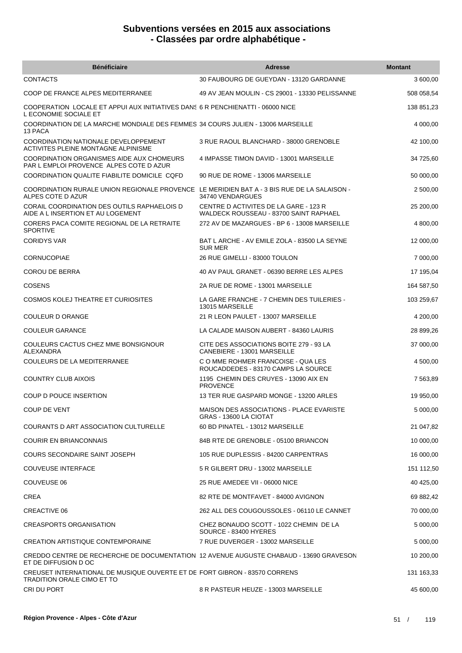| <b>Bénéficiaire</b>                                                                                              | <b>Adresse</b>                                                                  | <b>Montant</b> |
|------------------------------------------------------------------------------------------------------------------|---------------------------------------------------------------------------------|----------------|
| <b>CONTACTS</b>                                                                                                  | 30 FAUBOURG DE GUEYDAN - 13120 GARDANNE                                         | 3 600,00       |
| COOP DE FRANCE ALPES MEDITERRANEE                                                                                | 49 AV JEAN MOULIN - CS 29001 - 13330 PELISSANNE                                 | 508 058,54     |
| COOPERATION LOCALE ET APPUI AUX INITIATIVES DANS 6 R PENCHIENATTI - 06000 NICE<br>L ECONOMIE SOCIALE ET          |                                                                                 | 138 851,23     |
| COORDINATION DE LA MARCHE MONDIALE DES FEMMES 34 COURS JULIEN - 13006 MARSEILLE<br>13 PACA                       |                                                                                 | 4 000,00       |
| COORDINATION NATIONALE DEVELOPPEMENT<br><b>ACTIVITES PLEINE MONTAGNE ALPINISME</b>                               | 3 RUE RAOUL BLANCHARD - 38000 GRENOBLE                                          | 42 100,00      |
| COORDINATION ORGANISMES AIDE AUX CHOMEURS<br>PAR L EMPLOI PROVENCE ALPES COTE D AZUR                             | 4 IMPASSE TIMON DAVID - 13001 MARSEILLE                                         | 34 725,60      |
| COORDINATION QUALITE FIABILITE DOMICILE COFD                                                                     | 90 RUE DE ROME - 13006 MARSEILLE                                                | 50 000,00      |
| COORDINATION RURALE UNION REGIONALE PROVENCE LE MERIDIEN BAT A - 3 BIS RUE DE LA SALAISON -<br>ALPES COTE D AZUR | 34740 VENDARGUES                                                                | 2 500,00       |
| CORAIL COORDINATION DES OUTILS RAPHAELOIS D<br>AIDE A L INSERTION ET AU LOGEMENT                                 | CENTRE D ACTIVITES DE LA GARE - 123 R<br>WALDECK ROUSSEAU - 83700 SAINT RAPHAEL | 25 200,00      |
| CORERS PACA COMITE REGIONAL DE LA RETRAITE<br><b>SPORTIVE</b>                                                    | 272 AV DE MAZARGUES - BP 6 - 13008 MARSEILLE                                    | 4 800,00       |
| <b>CORIDYS VAR</b>                                                                                               | BAT L ARCHE - AV EMILE ZOLA - 83500 LA SEYNE<br><b>SUR MER</b>                  | 12 000,00      |
| <b>CORNUCOPIAE</b>                                                                                               | 26 RUE GIMELLI - 83000 TOULON                                                   | 7 000,00       |
| <b>COROU DE BERRA</b>                                                                                            | 40 AV PAUL GRANET - 06390 BERRE LES ALPES                                       | 17 195,04      |
| <b>COSENS</b>                                                                                                    | 2A RUE DE ROME - 13001 MARSEILLE                                                | 164 587,50     |
| <b>COSMOS KOLEJ THEATRE ET CURIOSITES</b>                                                                        | LA GARE FRANCHE - 7 CHEMIN DES TUILERIES -<br>13015 MARSEILLE                   | 103 259,67     |
| COULEUR D ORANGE                                                                                                 | 21 R LEON PAULET - 13007 MARSEILLE                                              | 4 200,00       |
| <b>COULEUR GARANCE</b>                                                                                           | LA CALADE MAISON AUBERT - 84360 LAURIS                                          | 28 899,26      |
| COULEURS CACTUS CHEZ MME BONSIGNOUR<br>ALEXANDRA                                                                 | CITE DES ASSOCIATIONS BOITE 279 - 93 LA<br>CANEBIERE - 13001 MARSEILLE          | 37 000,00      |
| COULEURS DE LA MEDITERRANEE                                                                                      | C O MME ROHMER FRANCOISE - QUA LES<br>ROUCADDEDES - 83170 CAMPS LA SOURCE       | 4 500,00       |
| <b>COUNTRY CLUB AIXOIS</b>                                                                                       | 1195 CHEMIN DES CRUYES - 13090 AIX EN<br><b>PROVENCE</b>                        | 7 563,89       |
| COUP D POUCE INSERTION                                                                                           | 13 TER RUE GASPARD MONGE - 13200 ARLES                                          | 19 950,00      |
| COUP DE VENT                                                                                                     | MAISON DES ASSOCIATIONS - PLACE EVARISTE<br>GRAS - 13600 LA CIOTAT              | 5 000,00       |
| COURANTS D ART ASSOCIATION CULTURELLE                                                                            | 60 BD PINATEL - 13012 MARSEILLE                                                 | 21 047,82      |
| <b>COURIR EN BRIANCONNAIS</b>                                                                                    | 84B RTE DE GRENOBLE - 05100 BRIANCON                                            | 10 000,00      |
| COURS SECONDAIRE SAINT JOSEPH                                                                                    | 105 RUE DUPLESSIS - 84200 CARPENTRAS                                            | 16 000,00      |
| <b>COUVEUSE INTERFACE</b>                                                                                        | 5 R GILBERT DRU - 13002 MARSEILLE                                               | 151 112,50     |
| COUVEUSE 06                                                                                                      | 25 RUE AMEDEE VII - 06000 NICE                                                  | 40 425,00      |
| CREA                                                                                                             | 82 RTE DE MONTFAVET - 84000 AVIGNON                                             | 69 882,42      |
| CREACTIVE 06                                                                                                     | 262 ALL DES COUGOUSSOLES - 06110 LE CANNET                                      | 70 000,00      |
| <b>CREASPORTS ORGANISATION</b>                                                                                   | CHEZ BONAUDO SCOTT - 1022 CHEMIN DE LA<br>SOURCE - 83400 HYERES                 | 5 000,00       |
| CREATION ARTISTIQUE CONTEMPORAINE                                                                                | 7 RUE DUVERGER - 13002 MARSEILLE                                                | 5 000,00       |
| CREDDO CENTRE DE RECHERCHE DE DOCUMENTATION 12 AVENUE AUGUSTE CHABAUD - 13690 GRAVESON<br>ET DE DIFFUSION D OC   |                                                                                 | 10 200,00      |
| CREUSET INTERNATIONAL DE MUSIQUE OUVERTE ET DE FORT GIBRON - 83570 CORRENS<br><b>TRADITION ORALE CIMO ET TO</b>  |                                                                                 | 131 163,33     |
| CRI DU PORT                                                                                                      | 8 R PASTEUR HEUZE - 13003 MARSEILLE                                             | 45 600,00      |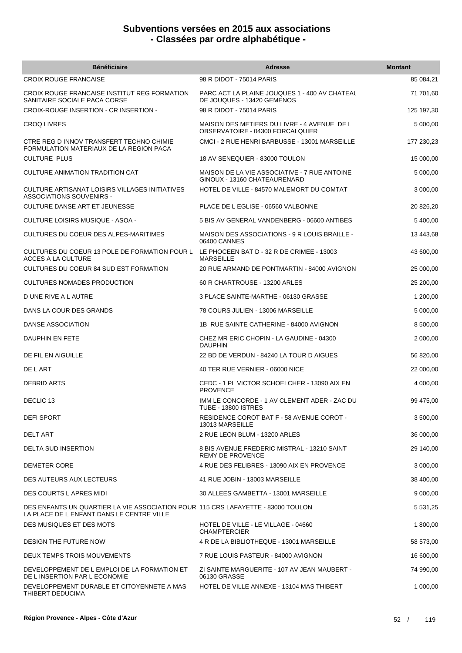| <b>Bénéficiaire</b>                                                                                                           | <b>Adresse</b>                                                                  | <b>Montant</b> |
|-------------------------------------------------------------------------------------------------------------------------------|---------------------------------------------------------------------------------|----------------|
| <b>CROIX ROUGE FRANCAISE</b>                                                                                                  | 98 R DIDOT - 75014 PARIS                                                        | 85 084,21      |
| CROIX ROUGE FRANCAISE INSTITUT REG FORMATION<br>SANITAIRE SOCIALE PACA CORSE                                                  | PARC ACT LA PLAINE JOUQUES 1 - 400 AV CHATEAU<br>DE JOUQUES - 13420 GEMENOS     | 71 701,60      |
| CROIX-ROUGE INSERTION - CR INSERTION -                                                                                        | 98 R DIDOT - 75014 PARIS                                                        | 125 197,30     |
| <b>CROQ LIVRES</b>                                                                                                            | MAISON DES METIERS DU LIVRE - 4 AVENUE DE L<br>OBSERVATOIRE - 04300 FORCALQUIER | 5 000,00       |
| CTRE REG D INNOV TRANSFERT TECHNO CHIMIE<br>FORMULATION MATERIAUX DE LA REGION PACA                                           | CMCI - 2 RUE HENRI BARBUSSE - 13001 MARSEILLE                                   | 177 230,23     |
| <b>CULTURE PLUS</b>                                                                                                           | 18 AV SENEQUIER - 83000 TOULON                                                  | 15 000,00      |
| CULTURE ANIMATION TRADITION CAT                                                                                               | MAISON DE LA VIE ASSOCIATIVE - 7 RUE ANTOINE<br>GINOUX - 13160 CHATEAURENARD    | 5 000,00       |
| CULTURE ARTISANAT LOISIRS VILLAGES INITIATIVES<br><b>ASSOCIATIONS SOUVENIRS -</b>                                             | HOTEL DE VILLE - 84570 MALEMORT DU COMTAT                                       | 3 000,00       |
| CULTURE DANSE ART ET JEUNESSE                                                                                                 | PLACE DE L EGLISE - 06560 VALBONNE                                              | 20 826,20      |
| CULTURE LOISIRS MUSIQUE - ASOA -                                                                                              | 5 BIS AV GENERAL VANDENBERG - 06600 ANTIBES                                     | 5 400,00       |
| CULTURES DU COEUR DES ALPES-MARITIMES                                                                                         | MAISON DES ASSOCIATIONS - 9 R LOUIS BRAILLE -<br>06400 CANNES                   | 13 443,68      |
| CULTURES DU COEUR 13 POLE DE FORMATION POUR L<br><b>ACCES A LA CULTURE</b>                                                    | LE PHOCEEN BAT D - 32 R DE CRIMEE - 13003<br><b>MARSEILLE</b>                   | 43 600,00      |
| CULTURES DU COEUR 84 SUD EST FORMATION                                                                                        | 20 RUE ARMAND DE PONTMARTIN - 84000 AVIGNON                                     | 25 000,00      |
| <b>CULTURES NOMADES PRODUCTION</b>                                                                                            | 60 R CHARTROUSE - 13200 ARLES                                                   | 25 200,00      |
| D UNE RIVE A L AUTRE                                                                                                          | 3 PLACE SAINTE-MARTHE - 06130 GRASSE                                            | 1 200,00       |
| DANS LA COUR DES GRANDS                                                                                                       | 78 COURS JULIEN - 13006 MARSEILLE                                               | 5 000,00       |
| DANSE ASSOCIATION                                                                                                             | 1B RUE SAINTE CATHERINE - 84000 AVIGNON                                         | 8 500,00       |
| DAUPHIN EN FETE                                                                                                               | CHEZ MR ERIC CHOPIN - LA GAUDINE - 04300<br><b>DAUPHIN</b>                      | 2 000,00       |
| DE FIL EN AIGUILLE                                                                                                            | 22 BD DE VERDUN - 84240 LA TOUR D AIGUES                                        | 56 820,00      |
| DE L ART                                                                                                                      | 40 TER RUE VERNIER - 06000 NICE                                                 | 22 000,00      |
| <b>DEBRID ARTS</b>                                                                                                            | CEDC - 1 PL VICTOR SCHOELCHER - 13090 AIX EN<br><b>PROVENCE</b>                 | 4 000,00       |
| DECLIC <sub>13</sub>                                                                                                          | IMM LE CONCORDE - 1 AV CLEMENT ADER - ZAC DU<br><b>TUBE - 13800 ISTRES</b>      | 99 475,00      |
| <b>DEFI SPORT</b>                                                                                                             | RESIDENCE COROT BAT F - 58 AVENUE COROT -<br>13013 MARSEILLE                    | 3 500,00       |
| DELT ART                                                                                                                      | 2 RUE LEON BLUM - 13200 ARLES                                                   | 36 000,00      |
| DELTA SUD INSERTION                                                                                                           | 8 BIS AVENUE FREDERIC MISTRAL - 13210 SAINT<br><b>REMY DE PROVENCE</b>          | 29 140,00      |
| DEMETER CORE                                                                                                                  | 4 RUE DES FELIBRES - 13090 AIX EN PROVENCE                                      | 3 000,00       |
| DES AUTEURS AUX LECTEURS                                                                                                      | 41 RUE JOBIN - 13003 MARSEILLE                                                  | 38 400,00      |
| DES COURTS L APRES MIDI                                                                                                       | 30 ALLEES GAMBETTA - 13001 MARSEILLE                                            | 9 000,00       |
| DES ENFANTS UN QUARTIER LA VIE ASSOCIATION POUR 115 CRS LAFAYETTE - 83000 TOULON<br>LA PLACE DE L ENFANT DANS LE CENTRE VILLE |                                                                                 | 5 531,25       |
| DES MUSIQUES ET DES MOTS                                                                                                      | HOTEL DE VILLE - LE VILLAGE - 04660<br><b>CHAMPTERCIER</b>                      | 1 800,00       |
| DESIGN THE FUTURE NOW                                                                                                         | 4 R DE LA BIBLIOTHEQUE - 13001 MARSEILLE                                        | 58 573,00      |
| DEUX TEMPS TROIS MOUVEMENTS                                                                                                   | 7 RUE LOUIS PASTEUR - 84000 AVIGNON                                             | 16 600,00      |
| DEVELOPPEMENT DE L EMPLOI DE LA FORMATION ET<br>DE L INSERTION PAR L ECONOMIE                                                 | ZI SAINTE MARGUERITE - 107 AV JEAN MAUBERT -<br>06130 GRASSE                    | 74 990,00      |
| DEVELOPPEMENT DURABLE ET CITOYENNETE A MAS<br>THIBERT DEDUCIMA                                                                | HOTEL DE VILLE ANNEXE - 13104 MAS THIBERT                                       | 1 000,00       |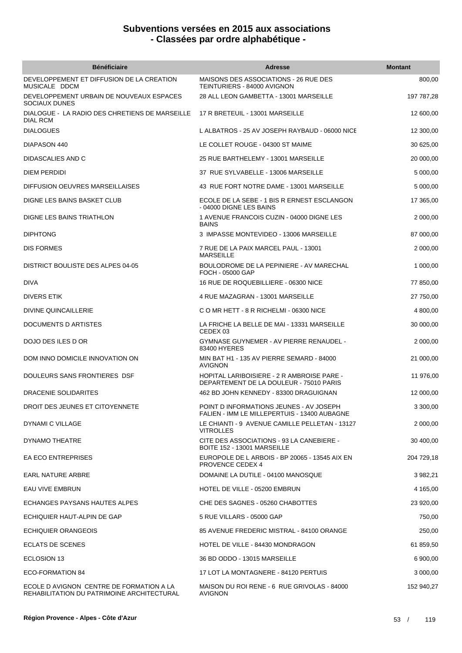| <b>Bénéficiaire</b>                                                                    | <b>Adresse</b>                                                                          | <b>Montant</b> |
|----------------------------------------------------------------------------------------|-----------------------------------------------------------------------------------------|----------------|
| DEVELOPPEMENT ET DIFFUSION DE LA CREATION<br>MUSICALE DDCM                             | MAISONS DES ASSOCIATIONS - 26 RUE DES<br>TEINTURIERS - 84000 AVIGNON                    | 800,00         |
| DEVELOPPEMENT URBAIN DE NOUVEAUX ESPACES<br><b>SOCIAUX DUNES</b>                       | 28 ALL LEON GAMBETTA - 13001 MARSEILLE                                                  | 197 787,28     |
| DIALOGUE - LA RADIO DES CHRETIENS DE MARSEILLE<br><b>DIAL RCM</b>                      | 17 R BRETEUIL - 13001 MARSEILLE                                                         | 12 600,00      |
| <b>DIALOGUES</b>                                                                       | L ALBATROS - 25 AV JOSEPH RAYBAUD - 06000 NICE                                          | 12 300,00      |
| DIAPASON 440                                                                           | LE COLLET ROUGE - 04300 ST MAIME                                                        | 30 625,00      |
| DIDASCALIES AND C                                                                      | 25 RUE BARTHELEMY - 13001 MARSEILLE                                                     | 20 000,00      |
| <b>DIEM PERDIDI</b>                                                                    | 37 RUE SYLVABELLE - 13006 MARSEILLE                                                     | 5 000,00       |
| DIFFUSION OEUVRES MARSEILLAISES                                                        | 43 RUE FORT NOTRE DAME - 13001 MARSEILLE                                                | 5 000,00       |
| DIGNE LES BAINS BASKET CLUB                                                            | ECOLE DE LA SEBE - 1 BIS R ERNEST ESCLANGON<br>- 04000 DIGNE LES BAINS                  | 17 365,00      |
| DIGNE LES BAINS TRIATHLON                                                              | 1 AVENUE FRANCOIS CUZIN - 04000 DIGNE LES<br><b>BAINS</b>                               | 2 000,00       |
| <b>DIPHTONG</b>                                                                        | 3 IMPASSE MONTEVIDEO - 13006 MARSEILLE                                                  | 87 000.00      |
| <b>DIS FORMES</b>                                                                      | 7 RUE DE LA PAIX MARCEL PAUL - 13001<br><b>MARSEILLE</b>                                | 2 000.00       |
| DISTRICT BOULISTE DES ALPES 04-05                                                      | BOULODROME DE LA PEPINIERE - AV MARECHAL<br>FOCH - 05000 GAP                            | 1 000,00       |
| <b>DIVA</b>                                                                            | 16 RUE DE ROQUEBILLIERE - 06300 NICE                                                    | 77 850,00      |
| DIVERS ETIK                                                                            | 4 RUE MAZAGRAN - 13001 MARSEILLE                                                        | 27 750,00      |
| DIVINE QUINCAILLERIE                                                                   | C O MR HETT - 8 R RICHELMI - 06300 NICE                                                 | 4 800,00       |
| DOCUMENTS D ARTISTES                                                                   | LA FRICHE LA BELLE DE MAI - 13331 MARSEILLE<br>CEDEX 03                                 | 30 000,00      |
| DOJO DES ILES D OR                                                                     | GYMNASE GUYNEMER - AV PIERRE RENAUDEL -<br>83400 HYERES                                 | 2 000,00       |
| DOM INNO DOMICILE INNOVATION ON                                                        | MIN BAT H1 - 135 AV PIERRE SEMARD - 84000<br><b>AVIGNON</b>                             | 21 000,00      |
| DOULEURS SANS FRONTIERES DSF                                                           | HOPITAL LARIBOISIERE - 2 R AMBROISE PARE -<br>DEPARTEMENT DE LA DOULEUR - 75010 PARIS   | 11 976,00      |
| <b>DRACENIE SOLIDARITES</b>                                                            | 462 BD JOHN KENNEDY - 83300 DRAGUIGNAN                                                  | 12 000.00      |
| DROIT DES JEUNES ET CITOYENNETE                                                        | POINT D INFORMATIONS JEUNES - AV JOSEPH<br>FALIEN - IMM LE MILLEPERTUIS - 13400 AUBAGNE | 3 300,00       |
| DYNAMI C VILLAGE                                                                       | LE CHIANTI - 9 AVENUE CAMILLE PELLETAN - 13127<br><b>VITROLLES</b>                      | 2 000,00       |
| DYNAMO THEATRE                                                                         | CITE DES ASSOCIATIONS - 93 LA CANEBIERE -<br>BOITE 152 - 13001 MARSEILLE                | 30 400,00      |
| <b>EA ECO ENTREPRISES</b>                                                              | EUROPOLE DE L ARBOIS - BP 20065 - 13545 AIX EN<br><b>PROVENCE CEDEX 4</b>               | 204 729,18     |
| EARL NATURE ARBRE                                                                      | DOMAINE LA DUTILE - 04100 MANOSQUE                                                      | 3 982,21       |
| EAU VIVE EMBRUN                                                                        | HOTEL DE VILLE - 05200 EMBRUN                                                           | 4 165,00       |
| ECHANGES PAYSANS HAUTES ALPES                                                          | CHE DES SAGNES - 05260 CHABOTTES                                                        | 23 920,00      |
| ECHIQUIER HAUT-ALPIN DE GAP                                                            | 5 RUE VILLARS - 05000 GAP                                                               | 750,00         |
| <b>ECHIQUIER ORANGEOIS</b>                                                             | 85 AVENUE FREDERIC MISTRAL - 84100 ORANGE                                               | 250,00         |
| <b>ECLATS DE SCENES</b>                                                                | HOTEL DE VILLE - 84430 MONDRAGON                                                        | 61 859,50      |
| ECLOSION 13                                                                            | 36 BD ODDO - 13015 MARSEILLE                                                            | 6 900,00       |
| ECO-FORMATION 84                                                                       | 17 LOT LA MONTAGNERE - 84120 PERTUIS                                                    | 3 000,00       |
| ECOLE D AVIGNON CENTRE DE FORMATION A LA<br>REHABILITATION DU PATRIMOINE ARCHITECTURAL | MAISON DU ROI RENE - 6 RUE GRIVOLAS - 84000<br><b>AVIGNON</b>                           | 152 940,27     |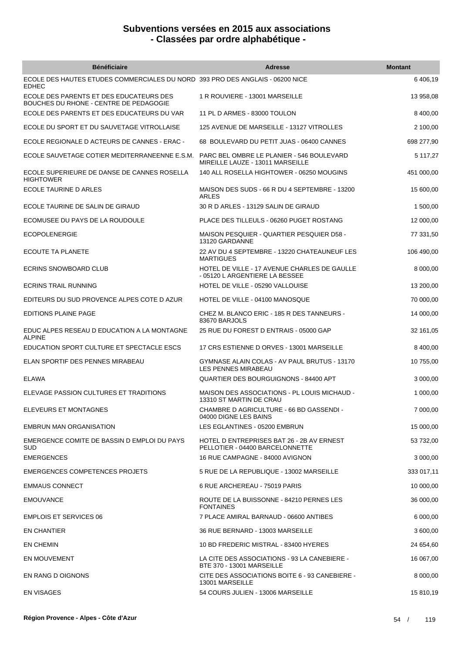| <b>Bénéficiaire</b>                                                                           | <b>Adresse</b>                                                                   | <b>Montant</b> |
|-----------------------------------------------------------------------------------------------|----------------------------------------------------------------------------------|----------------|
| ECOLE DES HAUTES ETUDES COMMERCIALES DU NORD 393 PRO DES ANGLAIS - 06200 NICE<br><b>EDHEC</b> |                                                                                  | 6 406,19       |
| ECOLE DES PARENTS ET DES EDUCATEURS DES<br>BOUCHES DU RHONE - CENTRE DE PEDAGOGIE             | 1 R ROUVIERE - 13001 MARSEILLE                                                   | 13 958,08      |
| ECOLE DES PARENTS ET DES EDUCATEURS DU VAR                                                    | 11 PL D ARMES - 83000 TOULON                                                     | 8 400,00       |
| ECOLE DU SPORT ET DU SAUVETAGE VITROLLAISE                                                    | 125 AVENUE DE MARSEILLE - 13127 VITROLLES                                        | 2 100,00       |
| ECOLE REGIONALE D ACTEURS DE CANNES - ERAC -                                                  | 68 BOULEVARD DU PETIT JUAS - 06400 CANNES                                        | 698 277,90     |
| ECOLE SAUVETAGE COTIER MEDITERRANEENNE E.S.M.                                                 | PARC BEL OMBRE LE PLANIER - 546 BOULEVARD<br>MIREILLE LAUZE - 13011 MARSEILLE    | 5 117,27       |
| ECOLE SUPERIEURE DE DANSE DE CANNES ROSELLA<br><b>HIGHTOWER</b>                               | 140 ALL ROSELLA HIGHTOWER - 06250 MOUGINS                                        | 451 000,00     |
| ECOLE TAURINE D ARLES                                                                         | MAISON DES SUDS - 66 R DU 4 SEPTEMBRE - 13200<br><b>ARLES</b>                    | 15 600,00      |
| ECOLE TAURINE DE SALIN DE GIRAUD                                                              | 30 R D ARLES - 13129 SALIN DE GIRAUD                                             | 1 500,00       |
| ECOMUSEE DU PAYS DE LA ROUDOULE                                                               | PLACE DES TILLEULS - 06260 PUGET ROSTANG                                         | 12 000,00      |
| <b>ECOPOLENERGIE</b>                                                                          | MAISON PESQUIER - QUARTIER PESQUIER D58 -<br>13120 GARDANNE                      | 77 331,50      |
| ECOUTE TA PLANETE                                                                             | 22 AV DU 4 SEPTEMBRE - 13220 CHATEAUNEUF LES<br><b>MARTIGUES</b>                 | 106 490,00     |
| <b>ECRINS SNOWBOARD CLUB</b>                                                                  | HOTEL DE VILLE - 17 AVENUE CHARLES DE GAULLE<br>- 05120 L ARGENTIERE LA BESSEE   | 8 000,00       |
| <b>ECRINS TRAIL RUNNING</b>                                                                   | HOTEL DE VILLE - 05290 VALLOUISE                                                 | 13 200,00      |
| EDITEURS DU SUD PROVENCE ALPES COTE D AZUR                                                    | HOTEL DE VILLE - 04100 MANOSQUE                                                  | 70 000,00      |
| <b>EDITIONS PLAINE PAGE</b>                                                                   | CHEZ M. BLANCO ERIC - 185 R DES TANNEURS -<br>83670 BARJOLS                      | 14 000,00      |
| EDUC ALPES RESEAU D EDUCATION A LA MONTAGNE<br><b>ALPINE</b>                                  | 25 RUE DU FOREST D ENTRAIS - 05000 GAP                                           | 32 161,05      |
| EDUCATION SPORT CULTURE ET SPECTACLE ESCS                                                     | 17 CRS ESTIENNE D ORVES - 13001 MARSEILLE                                        | 8 400,00       |
| ELAN SPORTIF DES PENNES MIRABEAU                                                              | GYMNASE ALAIN COLAS - AV PAUL BRUTUS - 13170<br>LES PENNES MIRABEAU              | 10 755,00      |
| <b>ELAWA</b>                                                                                  | QUARTIER DES BOURGUIGNONS - 84400 APT                                            | 3 000,00       |
| ELEVAGE PASSION CULTURES ET TRADITIONS                                                        | <b>MAISON DES ASSOCIATIONS - PL LOUIS MICHAUD -</b><br>13310 ST MARTIN DE CRAU   | 1 000,00       |
| ELEVEURS ET MONTAGNES                                                                         | CHAMBRE D AGRICULTURE - 66 BD GASSENDI -<br>04000 DIGNE LES BAINS                | 7 000,00       |
| <b>EMBRUN MAN ORGANISATION</b>                                                                | LES EGLANTINES - 05200 EMBRUN                                                    | 15 000,00      |
| EMERGENCE COMITE DE BASSIN D EMPLOI DU PAYS<br><b>SUD</b>                                     | HOTEL D ENTREPRISES BAT 26 - 2B AV ERNEST<br>PELLOTIER - 04400 BARCELONNETTE     | 53 732,00      |
| <b>EMERGENCES</b>                                                                             | 16 RUE CAMPAGNE - 84000 AVIGNON                                                  | 3 000,00       |
| <b>EMERGENCES COMPETENCES PROJETS</b>                                                         | 5 RUE DE LA REPUBLIQUE - 13002 MARSEILLE                                         | 333 017,11     |
| <b>EMMAUS CONNECT</b>                                                                         | 6 RUE ARCHEREAU - 75019 PARIS                                                    | 10 000,00      |
| <b>EMOUVANCE</b>                                                                              | ROUTE DE LA BUISSONNE - 84210 PERNES LES<br><b>FONTAINES</b>                     | 36 000,00      |
| <b>EMPLOIS ET SERVICES 06</b>                                                                 | 7 PLACE AMIRAL BARNAUD - 06600 ANTIBES                                           | 6 000,00       |
| EN CHANTIER                                                                                   | 36 RUE BERNARD - 13003 MARSEILLE                                                 | 3 600,00       |
| EN CHEMIN                                                                                     | 10 BD FREDERIC MISTRAL - 83400 HYERES                                            | 24 654,60      |
| EN MOUVEMENT                                                                                  | LA CITE DES ASSOCIATIONS - 93 LA CANEBIERE -<br><b>BTE 370 - 13001 MARSEILLE</b> | 16 067,00      |
| EN RANG D OIGNONS                                                                             | CITE DES ASSOCIATIONS BOITE 6 - 93 CANEBIERE -<br>13001 MARSEILLE                | 8 000,00       |
| <b>EN VISAGES</b>                                                                             | 54 COURS JULIEN - 13006 MARSEILLE                                                | 15 810,19      |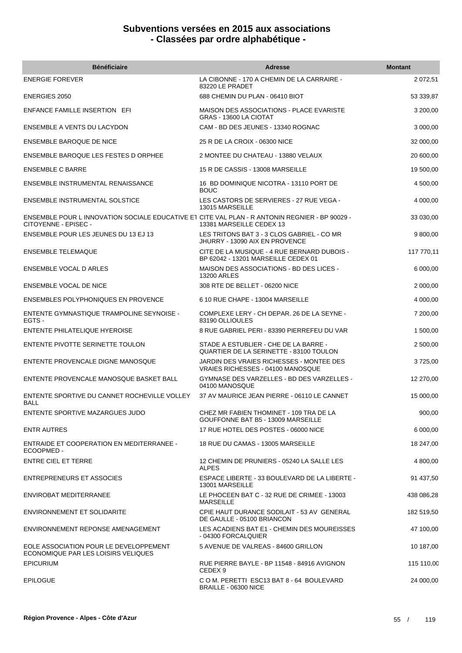| <b>Bénéficiaire</b>                                                                                                    | <b>Adresse</b>                                                                     | <b>Montant</b> |
|------------------------------------------------------------------------------------------------------------------------|------------------------------------------------------------------------------------|----------------|
| <b>ENERGIE FOREVER</b>                                                                                                 | LA CIBONNE - 170 A CHEMIN DE LA CARRAIRE -<br>83220 LE PRADET                      | 2 072,51       |
| <b>ENERGIES 2050</b>                                                                                                   | 688 CHEMIN DU PLAN - 06410 BIOT                                                    | 53 339,87      |
| <b>ENFANCE FAMILLE INSERTION EFI</b>                                                                                   | <b>MAISON DES ASSOCIATIONS - PLACE EVARISTE</b><br>GRAS - 13600 LA CIOTAT          | 3 200,00       |
| ENSEMBLE A VENTS DU LACYDON                                                                                            | CAM - BD DES JEUNES - 13340 ROGNAC                                                 | 3 000,00       |
| ENSEMBLE BAROQUE DE NICE                                                                                               | 25 R DE LA CROIX - 06300 NICE                                                      | 32 000,00      |
| <b>ENSEMBLE BAROQUE LES FESTES D ORPHEE</b>                                                                            | 2 MONTEE DU CHATEAU - 13880 VELAUX                                                 | 20 600,00      |
| <b>ENSEMBLE C BARRE</b>                                                                                                | 15 R DE CASSIS - 13008 MARSEILLE                                                   | 19 500,00      |
| <b>ENSEMBLE INSTRUMENTAL RENAISSANCE</b>                                                                               | 16 BD DOMINIQUE NICOTRA - 13110 PORT DE<br><b>BOUC</b>                             | 4 500,00       |
| <b>ENSEMBLE INSTRUMENTAL SOLSTICE</b>                                                                                  | LES CASTORS DE SERVIERES - 27 RUE VEGA -<br>13015 MARSEILLE                        | 4 000,00       |
| ENSEMBLE POUR L INNOVATION SOCIALE EDUCATIVE ET CITE VAL PLAN - R ANTONIN REGNIER - BP 90029 -<br>CITOYENNE - EPISEC - | 13381 MARSEILLE CEDEX 13                                                           | 33 030,00      |
| <b>ENSEMBLE POUR LES JEUNES DU 13 EJ 13</b>                                                                            | LES TRITONS BAT 3 - 3 CLOS GABRIEL - CO MR<br>JHURRY - 13090 AIX EN PROVENCE       | 9 800,00       |
| <b>ENSEMBLE TELEMAQUE</b>                                                                                              | CITE DE LA MUSIQUE - 4 RUE BERNARD DUBOIS -<br>BP 62042 - 13201 MARSEILLE CEDEX 01 | 117 770,11     |
| <b>ENSEMBLE VOCAL D ARLES</b>                                                                                          | MAISON DES ASSOCIATIONS - BD DES LICES -<br><b>13200 ARLES</b>                     | 6 000,00       |
| <b>ENSEMBLE VOCAL DE NICE</b>                                                                                          | 308 RTE DE BELLET - 06200 NICE                                                     | 2 000,00       |
| <b>ENSEMBLES POLYPHONIQUES EN PROVENCE</b>                                                                             | 6 10 RUE CHAPE - 13004 MARSEILLE                                                   | 4 000,00       |
| ENTENTE GYMNASTIQUE TRAMPOLINE SEYNOISE -<br>EGTS -                                                                    | COMPLEXE LERY - CH DEPAR. 26 DE LA SEYNE -<br>83190 OLLIOULES                      | 7 200,00       |
| <b>ENTENTE PHILATELIQUE HYEROISE</b>                                                                                   | 8 RUE GABRIEL PERI - 83390 PIERREFEU DU VAR                                        | 1 500,00       |
| ENTENTE PIVOTTE SERINETTE TOULON                                                                                       | STADE A ESTUBLIER - CHE DE LA BARRE -<br>QUARTIER DE LA SERINETTE - 83100 TOULON   | 2 500,00       |
| ENTENTE PROVENCALE DIGNE MANOSQUE                                                                                      | JARDIN DES VRAIES RICHESSES - MONTEE DES<br>VRAIES RICHESSES - 04100 MANOSQUE      | 3725,00        |
| ENTENTE PROVENCALE MANOSQUE BASKET BALL                                                                                | GYMNASE DES VARZELLES - BD DES VARZELLES -<br>04100 MANOSQUE                       | 12 270,00      |
| ENTENTE SPORTIVE DU CANNET ROCHEVILLE VOLLEY<br>BALL                                                                   | 37 AV MAURICE JEAN PIERRE - 06110 LE CANNET                                        | 15 000,00      |
| ENTENTE SPORTIVE MAZARGUES JUDO                                                                                        | CHEZ MR FABIEN THOMINET - 109 TRA DE LA<br>GOUFFONNE BAT B5 - 13009 MARSEILLE      | 900,00         |
| <b>ENTR AUTRES</b>                                                                                                     | 17 RUE HOTEL DES POSTES - 06000 NICE                                               | 6 000,00       |
| <b>ENTRAIDE ET COOPERATION EN MEDITERRANEE -</b><br>ECOOPMED -                                                         | 18 RUE DU CAMAS - 13005 MARSEILLE                                                  | 18 247,00      |
| <b>ENTRE CIEL ET TERRE</b>                                                                                             | 12 CHEMIN DE PRUNIERS - 05240 LA SALLE LES<br><b>ALPES</b>                         | 4 800,00       |
| <b>ENTREPRENEURS ET ASSOCIES</b>                                                                                       | ESPACE LIBERTE - 33 BOULEVARD DE LA LIBERTE -<br>13001 MARSEILLE                   | 91 437,50      |
| ENVIROBAT MEDITERRANEE                                                                                                 | LE PHOCEEN BAT C - 32 RUE DE CRIMEE - 13003<br><b>MARSEILLE</b>                    | 438 086,28     |
| <b>ENVIRONNEMENT ET SOLIDARITE</b>                                                                                     | CPIE HAUT DURANCE SODILAIT - 53 AV GENERAL<br>DE GAULLE - 05100 BRIANCON           | 182 519,50     |
| ENVIRONNEMENT REPONSE AMENAGEMENT                                                                                      | LES ACADIENS BAT E1 - CHEMIN DES MOUREISSES<br>- 04300 FORCALQUIER                 | 47 100,00      |
| EOLE ASSOCIATION POUR LE DEVELOPPEMENT<br>ECONOMIQUE PAR LES LOISIRS VELIQUES                                          | 5 AVENUE DE VALREAS - 84600 GRILLON                                                | 10 187,00      |
| <b>EPICURIUM</b>                                                                                                       | RUE PIERRE BAYLE - BP 11548 - 84916 AVIGNON<br>CEDEX <sub>9</sub>                  | 115 110,00     |
| <b>EPILOGUE</b>                                                                                                        | COM. PERETTI ESC13 BAT 8 - 64 BOULEVARD<br>BRAILLE - 06300 NICE                    | 24 000,00      |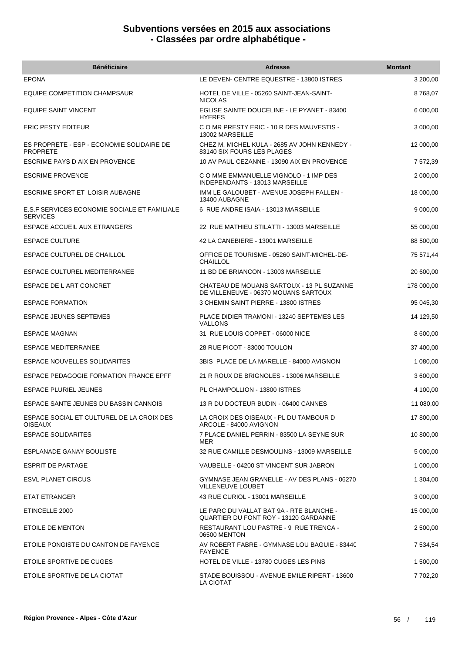| <b>Bénéficiaire</b>                                             | <b>Adresse</b>                                                                    | <b>Montant</b> |
|-----------------------------------------------------------------|-----------------------------------------------------------------------------------|----------------|
| <b>EPONA</b>                                                    | LE DEVEN- CENTRE EQUESTRE - 13800 ISTRES                                          | 3 200,00       |
| EQUIPE COMPETITION CHAMPSAUR                                    | HOTEL DE VILLE - 05260 SAINT-JEAN-SAINT-<br><b>NICOLAS</b>                        | 8768,07        |
| <b>EQUIPE SAINT VINCENT</b>                                     | EGLISE SAINTE DOUCELINE - LE PYANET - 83400<br><b>HYERES</b>                      | 6 000,00       |
| <b>ERIC PESTY EDITEUR</b>                                       | C O MR PRESTY ERIC - 10 R DES MAUVESTIS -<br>13002 MARSEILLE                      | 3 000,00       |
| ES PROPRETE - ESP - ECONOMIE SOLIDAIRE DE<br><b>PROPRETE</b>    | CHEZ M. MICHEL KULA - 2685 AV JOHN KENNEDY -<br>83140 SIX FOURS LES PLAGES        | 12 000,00      |
| ESCRIME PAYS D AIX EN PROVENCE                                  | 10 AV PAUL CEZANNE - 13090 AIX EN PROVENCE                                        | 7 572,39       |
| <b>ESCRIME PROVENCE</b>                                         | C O MME EMMANUELLE VIGNOLO - 1 IMP DES<br>INDEPENDANTS - 13013 MARSEILLE          | 2 000,00       |
| ESCRIME SPORT ET LOISIR AUBAGNE                                 | IMM LE GALOUBET - AVENUE JOSEPH FALLEN -<br>13400 AUBAGNE                         | 18 000,00      |
| E.S.F SERVICES ECONOMIE SOCIALE ET FAMILIALE<br><b>SERVICES</b> | 6 RUE ANDRE ISAIA - 13013 MARSEILLE                                               | 9 000,00       |
| ESPACE ACCUEIL AUX ETRANGERS                                    | 22 RUE MATHIEU STILATTI - 13003 MARSEILLE                                         | 55 000,00      |
| <b>ESPACE CULTURE</b>                                           | 42 LA CANEBIERE - 13001 MARSEILLE                                                 | 88 500,00      |
| ESPACE CULTUREL DE CHAILLOL                                     | OFFICE DE TOURISME - 05260 SAINT-MICHEL-DE-<br>CHAILLOL                           | 75 571,44      |
| <b>ESPACE CULTUREL MEDITERRANEE</b>                             | 11 BD DE BRIANCON - 13003 MARSEILLE                                               | 20 600,00      |
| ESPACE DE L ART CONCRET                                         | CHATEAU DE MOUANS SARTOUX - 13 PL SUZANNE<br>DE VILLENEUVE - 06370 MOUANS SARTOUX | 178 000,00     |
| <b>ESPACE FORMATION</b>                                         | 3 CHEMIN SAINT PIERRE - 13800 ISTRES                                              | 95 045,30      |
| <b>ESPACE JEUNES SEPTEMES</b>                                   | PLACE DIDIER TRAMONI - 13240 SEPTEMES LES<br><b>VALLONS</b>                       | 14 129,50      |
| <b>ESPACE MAGNAN</b>                                            | 31 RUE LOUIS COPPET - 06000 NICE                                                  | 8 600,00       |
| <b>ESPACE MEDITERRANEE</b>                                      | 28 RUE PICOT - 83000 TOULON                                                       | 37 400,00      |
| ESPACE NOUVELLES SOLIDARITES                                    | 3BIS PLACE DE LA MARELLE - 84000 AVIGNON                                          | 1 080,00       |
| ESPACE PEDAGOGIE FORMATION FRANCE EPFF                          | 21 R ROUX DE BRIGNOLES - 13006 MARSEILLE                                          | 3 600,00       |
| ESPACE PLURIEL JEUNES                                           | PL CHAMPOLLION - 13800 ISTRES                                                     | 4 100,00       |
| ESPACE SANTE JEUNES DU BASSIN CANNOIS                           | 13 R DU DOCTEUR BUDIN - 06400 CANNES                                              | 11 080,00      |
| ESPACE SOCIAL ET CULTUREL DE LA CROIX DES<br><b>OISEAUX</b>     | LA CROIX DES OISEAUX - PL DU TAMBOUR D<br>ARCOLE - 84000 AVIGNON                  | 17 800,00      |
| <b>ESPACE SOLIDARITES</b>                                       | 7 PLACE DANIEL PERRIN - 83500 LA SEYNE SUR<br>MER                                 | 10 800,00      |
| ESPLANADE GANAY BOULISTE                                        | 32 RUE CAMILLE DESMOULINS - 13009 MARSEILLE                                       | 5 000,00       |
| <b>ESPRIT DE PARTAGE</b>                                        | VAUBELLE - 04200 ST VINCENT SUR JABRON                                            | 1 000,00       |
| <b>ESVL PLANET CIRCUS</b>                                       | GYMNASE JEAN GRANELLE - AV DES PLANS - 06270<br><b>VILLENEUVE LOUBET</b>          | 1 304,00       |
| ETAT ETRANGER                                                   | 43 RUE CURIOL - 13001 MARSEILLE                                                   | 3 000,00       |
| ETINCELLE 2000                                                  | LE PARC DU VALLAT BAT 9A - RTE BLANCHE -<br>QUARTIER DU FONT ROY - 13120 GARDANNE | 15 000,00      |
| ETOILE DE MENTON                                                | RESTAURANT LOU PASTRE - 9 RUE TRENCA -<br>06500 MENTON                            | 2 500,00       |
| ETOILE PONGISTE DU CANTON DE FAYENCE                            | AV ROBERT FABRE - GYMNASE LOU BAGUIE - 83440<br><b>FAYENCE</b>                    | 7 534,54       |
| ETOILE SPORTIVE DE CUGES                                        | HOTEL DE VILLE - 13780 CUGES LES PINS                                             | 1 500,00       |
| ETOILE SPORTIVE DE LA CIOTAT                                    | STADE BOUISSOU - AVENUE EMILE RIPERT - 13600<br><b>LA CIOTAT</b>                  | 7 702,20       |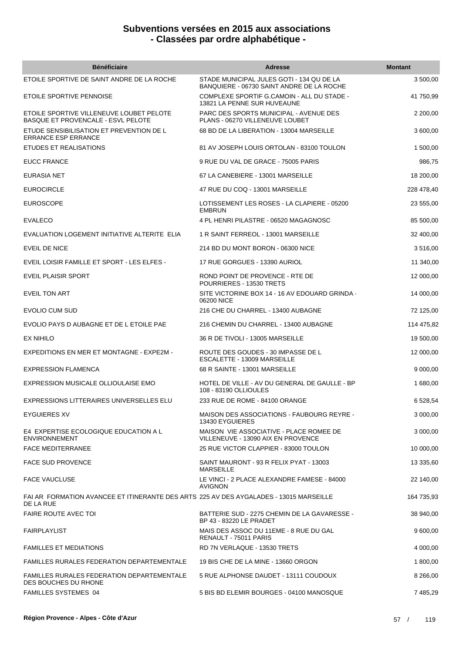| <b>Bénéficiaire</b>                                                                                 | <b>Adresse</b>                                                                         | <b>Montant</b> |
|-----------------------------------------------------------------------------------------------------|----------------------------------------------------------------------------------------|----------------|
| ETOILE SPORTIVE DE SAINT ANDRE DE LA ROCHE                                                          | STADE MUNICIPAL JULES GOTI - 134 QU DE LA<br>BANQUIERE - 06730 SAINT ANDRE DE LA ROCHE | 3 500,00       |
| ETOILE SPORTIVE PENNOISE                                                                            | COMPLEXE SPORTIF G.CAMOIN - ALL DU STADE -<br>13821 LA PENNE SUR HUVEAUNE              | 41 750,99      |
| ETOILE SPORTIVE VILLENEUVE LOUBET PELOTE<br><b>BASQUE ET PROVENCALE - ESVL PELOTE</b>               | PARC DES SPORTS MUNICIPAL - AVENUE DES<br>PLANS - 06270 VILLENEUVE LOUBET              | 2 200,00       |
| ETUDE SENSIBILISATION ET PREVENTION DE L<br><b>ERRANCE ESP ERRANCE</b>                              | 68 BD DE LA LIBERATION - 13004 MARSEILLE                                               | 3 600,00       |
| ETUDES ET REALISATIONS                                                                              | 81 AV JOSEPH LOUIS ORTOLAN - 83100 TOULON                                              | 1 500,00       |
| <b>EUCC FRANCE</b>                                                                                  | 9 RUE DU VAL DE GRACE - 75005 PARIS                                                    | 986,75         |
| EURASIA NET                                                                                         | 67 LA CANEBIERE - 13001 MARSEILLE                                                      | 18 200,00      |
| <b>EUROCIRCLE</b>                                                                                   | 47 RUE DU COQ - 13001 MARSEILLE                                                        | 228 478,40     |
| <b>EUROSCOPE</b>                                                                                    | LOTISSEMENT LES ROSES - LA CLAPIERE - 05200<br><b>EMBRUN</b>                           | 23 555,00      |
| <b>EVALECO</b>                                                                                      | 4 PL HENRI PILASTRE - 06520 MAGAGNOSC                                                  | 85 500,00      |
| EVALUATION LOGEMENT INITIATIVE ALTERITE ELIA                                                        | 1 R SAINT FERREOL - 13001 MARSEILLE                                                    | 32 400,00      |
| <b>EVEIL DE NICE</b>                                                                                | 214 BD DU MONT BORON - 06300 NICE                                                      | 3516,00        |
| EVEIL LOISIR FAMILLE ET SPORT - LES ELFES -                                                         | 17 RUE GORGUES - 13390 AURIOL                                                          | 11 340,00      |
| EVEIL PLAISIR SPORT                                                                                 | ROND POINT DE PROVENCE - RTE DE<br>POURRIERES - 13530 TRETS                            | 12 000,00      |
| <b>EVEIL TON ART</b>                                                                                | SITE VICTORINE BOX 14 - 16 AV EDOUARD GRINDA -<br>06200 NICE                           | 14 000,00      |
| EVOLIO CUM SUD                                                                                      | 216 CHE DU CHARREL - 13400 AUBAGNE                                                     | 72 125,00      |
| EVOLIO PAYS D AUBAGNE ET DE L ETOILE PAE                                                            | 216 CHEMIN DU CHARREL - 13400 AUBAGNE                                                  | 114 475,82     |
| <b>EX NIHILO</b>                                                                                    | 36 R DE TIVOLI - 13005 MARSEILLE                                                       | 19 500,00      |
| EXPEDITIONS EN MER ET MONTAGNE - EXPE2M -                                                           | ROUTE DES GOUDES - 30 IMPASSE DE L<br>ESCALETTE - 13009 MARSEILLE                      | 12 000,00      |
| <b>EXPRESSION FLAMENCA</b>                                                                          | 68 R SAINTE - 13001 MARSEILLE                                                          | 9 000,00       |
| EXPRESSION MUSICALE OLLIOULAISE EMO                                                                 | HOTEL DE VILLE - AV DU GENERAL DE GAULLE - BP<br>108 - 83190 OLLIOULES                 | 1 680,00       |
| EXPRESSIONS LITTERAIRES UNIVERSELLES ELU                                                            | 233 RUE DE ROME - 84100 ORANGE                                                         | 6 528,54       |
| EYGUIERES XV                                                                                        | MAISON DES ASSOCIATIONS - FAUBOURG REYRE -<br>13430 EYGUIERES                          | 3 000,00       |
| E4 EXPERTISE ECOLOGIQUE EDUCATION A L<br><b>ENVIRONNEMENT</b>                                       | MAISON VIE ASSOCIATIVE - PLACE ROMEE DE<br>VILLENEUVE - 13090 AIX EN PROVENCE          | 3 000,00       |
| <b>FACE MEDITERRANEE</b>                                                                            | 25 RUE VICTOR CLAPPIER - 83000 TOULON                                                  | 10 000,00      |
| <b>FACE SUD PROVENCE</b>                                                                            | SAINT MAURONT - 93 R FELIX PYAT - 13003<br><b>MARSEILLE</b>                            | 13 335,60      |
| <b>FACE VAUCLUSE</b>                                                                                | LE VINCI - 2 PLACE ALEXANDRE FAMESE - 84000<br><b>AVIGNON</b>                          | 22 140,00      |
| FAI AR FORMATION AVANCEE ET ITINERANTE DES ARTS 225 AV DES AYGALADES - 13015 MARSEILLE<br>DE LA RUE |                                                                                        | 164 735,93     |
| <b>FAIRE ROUTE AVEC TOI</b>                                                                         | BATTERIE SUD - 2275 CHEMIN DE LA GAVARESSE -<br>BP 43 - 83220 LE PRADET                | 38 940,00      |
| <b>FAIRPLAYLIST</b>                                                                                 | MAIS DES ASSOC DU 11EME - 8 RUE DU GAL<br>RENAULT - 75011 PARIS                        | 9 600,00       |
| <b>FAMILLES ET MEDIATIONS</b>                                                                       | RD 7N VERLAQUE - 13530 TRETS                                                           | 4 000,00       |
| FAMILLES RURALES FEDERATION DEPARTEMENTALE                                                          | 19 BIS CHE DE LA MINE - 13660 ORGON                                                    | 1 800,00       |
| <b>FAMILLES RURALES FEDERATION DEPARTEMENTALE</b><br>DES BOUCHES DU RHONE                           | 5 RUE ALPHONSE DAUDET - 13111 COUDOUX                                                  | 8 266,00       |
| <b>FAMILLES SYSTEMES 04</b>                                                                         | 5 BIS BD ELEMIR BOURGES - 04100 MANOSQUE                                               | 7 485,29       |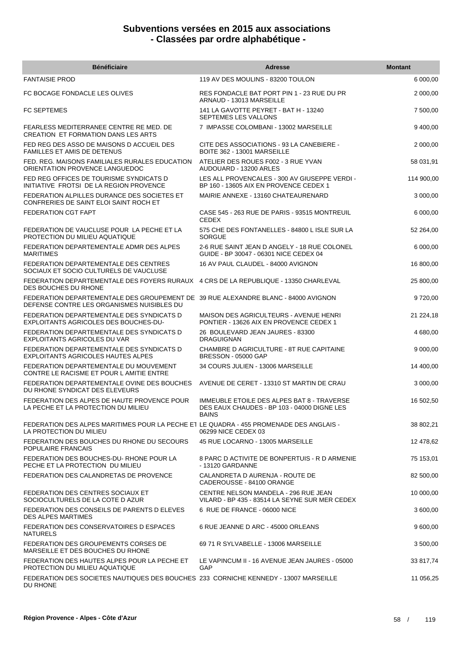| <b>Bénéficiaire</b>                                                                                                              | <b>Adresse</b>                                                                                            | <b>Montant</b> |
|----------------------------------------------------------------------------------------------------------------------------------|-----------------------------------------------------------------------------------------------------------|----------------|
| <b>FANTAISIE PROD</b>                                                                                                            | 119 AV DES MOULINS - 83200 TOULON                                                                         | 6 000,00       |
| FC BOCAGE FONDACLE LES OLIVES                                                                                                    | RES FONDACLE BAT PORT PIN 1 - 23 RUE DU PR<br>ARNAUD - 13013 MARSEILLE                                    | 2 000,00       |
| <b>FC SEPTEMES</b>                                                                                                               | 141 LA GAVOTTE PEYRET - BAT H - 13240<br>SEPTEMES LES VALLONS                                             | 7 500,00       |
| FEARLESS MEDITERRANEE CENTRE RE MED. DE<br><b>CREATION ET FORMATION DANS LES ARTS</b>                                            | 7 IMPASSE COLOMBANI - 13002 MARSEILLE                                                                     | 9 400,00       |
| FED REG DES ASSO DE MAISONS D ACCUEIL DES<br><b>FAMILLES ET AMIS DE DETENUS</b>                                                  | CITE DES ASSOCIATIONS - 93 LA CANEBIERE -<br>BOITE 362 - 13001 MARSEILLE                                  | 2 000,00       |
| FED. REG. MAISONS FAMILIALES RURALES EDUCATION<br>ORIENTATION PROVENCE LANGUEDOC                                                 | ATELIER DES ROUES F002 - 3 RUE YVAN<br>AUDOUARD - 13200 ARLES                                             | 58 031,91      |
| FED REG OFFICES DE TOURISME SYNDICATS D<br>INITIATIVE FROTSI DE LA REGION PROVENCE                                               | LES ALL PROVENCALES - 300 AV GIUSEPPE VERDI -<br>BP 160 - 13605 AIX EN PROVENCE CEDEX 1                   | 114 900,00     |
| FEDERATION ALPILLES DURANCE DES SOCIETES ET<br>CONFRERIES DE SAINT ELOI SAINT ROCH ET                                            | MAIRIE ANNEXE - 13160 CHATEAURENARD                                                                       | 3 000,00       |
| <b>FEDERATION CGT FAPT</b>                                                                                                       | CASE 545 - 263 RUE DE PARIS - 93515 MONTREUIL<br><b>CEDEX</b>                                             | 6 000,00       |
| FEDERATION DE VAUCLUSE POUR LA PECHE ET LA<br>PROTECTION DU MILIEU AQUATIQUE                                                     | 575 CHE DES FONTANELLES - 84800 L ISLE SUR LA<br><b>SORGUE</b>                                            | 52 264,00      |
| FEDERATION DEPARTEMENTALE ADMR DES ALPES<br><b>MARITIMES</b>                                                                     | 2-6 RUE SAINT JEAN D ANGELY - 18 RUE COLONEL<br>GUIDE - BP 30047 - 06301 NICE CEDEX 04                    | 6 000,00       |
| FEDERATION DEPARTEMENTALE DES CENTRES<br>SOCIAUX ET SOCIO CULTURELS DE VAUCLUSE                                                  | 16 AV PAUL CLAUDEL - 84000 AVIGNON                                                                        | 16 800,00      |
| FEDERATION DEPARTEMENTALE DES FOYERS RURAUX 4 CRS DE LA REPUBLIQUE - 13350 CHARLEVAL<br>DES BOUCHES DU RHONE                     |                                                                                                           | 25 800,00      |
| FEDERATION DEPARTEMENTALE DES GROUPEMENT DE 39 RUE ALEXANDRE BLANC - 84000 AVIGNON<br>DEFENSE CONTRE LES ORGANISMES NUISIBLES DU |                                                                                                           | 9720,00        |
| FEDERATION DEPARTEMENTALE DES SYNDICATS D<br>EXPLOITANTS AGRICOLES DES BOUCHES-DU-                                               | MAISON DES AGRICULTEURS - AVENUE HENRI<br>PONTIER - 13626 AIX EN PROVENCE CEDEX 1                         | 21 224,18      |
| FEDERATION DEPARTEMENTALE DES SYNDICATS D<br><b>EXPLOITANTS AGRICOLES DU VAR</b>                                                 | 26 BOULEVARD JEAN JAURES - 83300<br><b>DRAGUIGNAN</b>                                                     | 4 680,00       |
| FEDERATION DEPARTEMENTALE DES SYNDICATS D<br>EXPLOITANTS AGRICOLES HAUTES ALPES                                                  | CHAMBRE D AGRICULTURE - 8T RUE CAPITAINE<br><b>BRESSON - 05000 GAP</b>                                    | 9 000,00       |
| FEDERATION DEPARTEMENTALE DU MOUVEMENT<br>CONTRE LE RACISME ET POUR L AMITIE ENTRE                                               | 34 COURS JULIEN - 13006 MARSEILLE                                                                         | 14 400,00      |
| FEDERATION DEPARTEMENTALE OVINE DES BOUCHES<br>DU RHONE SYNDICAT DES ELEVEURS                                                    | AVENUE DE CERET - 13310 ST MARTIN DE CRAU                                                                 | 3 000,00       |
| FEDERATION DES ALPES DE HAUTE PROVENCE POUR<br>LA PECHE ET LA PROTECTION DU MILIEU                                               | IMMEUBLE ETOILE DES ALPES BAT 8 - TRAVERSE<br>DES EAUX CHAUDES - BP 103 - 04000 DIGNE LES<br><b>BAINS</b> | 16 502,50      |
| FEDERATION DES ALPES MARITIMES POUR LA PECHE ET LE QUADRA - 455 PROMENADE DES ANGLAIS -<br>LA PROTECTION DU MILIEU               | 06299 NICE CEDEX 03                                                                                       | 38 802,21      |
| FEDERATION DES BOUCHES DU RHONE DU SECOURS<br>POPULAIRE FRANCAIS                                                                 | 45 RUE LOCARNO - 13005 MARSEILLE                                                                          | 12 478,62      |
| FEDERATION DES BOUCHES-DU-RHONE POUR LA<br>PECHE ET LA PROTECTION DU MILIEU                                                      | 8 PARC D ACTIVITE DE BONPERTUIS - R D ARMENIE<br>- 13120 GARDANNE                                         | 75 153,01      |
| FEDERATION DES CALANDRETAS DE PROVENCE                                                                                           | CALANDRETA D AURENJA - ROUTE DE<br>CADEROUSSE - 84100 ORANGE                                              | 82 500,00      |
| FEDERATION DES CENTRES SOCIAUX ET<br>SOCIOCULTURELS DE LA COTE D AZUR                                                            | CENTRE NELSON MANDELA - 296 RUE JEAN<br>VILARD - BP 435 - 83514 LA SEYNE SUR MER CEDEX                    | 10 000,00      |
| FEDERATION DES CONSEILS DE PARENTS D ELEVES<br><b>DES ALPES MARTIMES</b>                                                         | 6 RUE DE FRANCE - 06000 NICE                                                                              | 3 600,00       |
| FEDERATION DES CONSERVATOIRES D ESPACES<br><b>NATURELS</b>                                                                       | 6 RUE JEANNE D ARC - 45000 ORLEANS                                                                        | 9 600,00       |
| FEDERATION DES GROUPEMENTS CORSES DE<br>MARSEILLE ET DES BOUCHES DU RHONE                                                        | 69 71 R SYLVABELLE - 13006 MARSEILLE                                                                      | 3 500,00       |
| FEDERATION DES HAUTES ALPES POUR LA PECHE ET<br>PROTECTION DU MILIEU AQUATIQUE                                                   | LE VAPINCUM II - 16 AVENUE JEAN JAURES - 05000<br>GAP                                                     | 33 817,74      |
| FEDERATION DES SOCIETES NAUTIQUES DES BOUCHES 233 CORNICHE KENNEDY - 13007 MARSEILLE<br>DU RHONE                                 |                                                                                                           | 11 056,25      |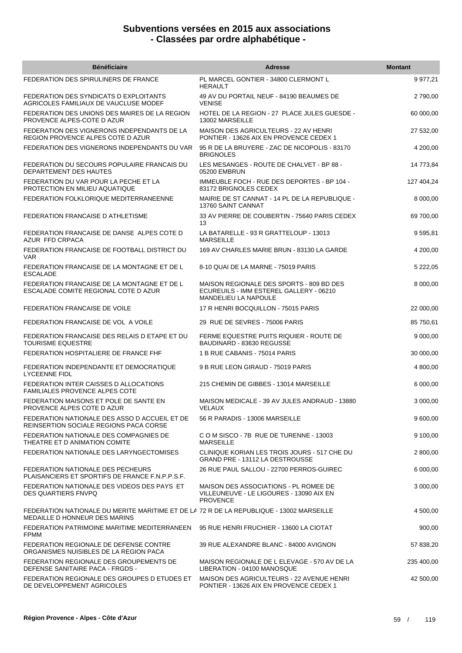| <b>Bénéficiaire</b>                                                                                                       | <b>Adresse</b>                                                                                              | <b>Montant</b> |
|---------------------------------------------------------------------------------------------------------------------------|-------------------------------------------------------------------------------------------------------------|----------------|
| FEDERATION DES SPIRULINERS DE FRANCE                                                                                      | PL MARCEL GONTIER - 34800 CLERMONT L<br><b>HERAULT</b>                                                      | 9 977,21       |
| FEDERATION DES SYNDICATS D EXPLOITANTS<br>AGRICOLES FAMILIAUX DE VAUCLUSE MODEF                                           | 49 AV DU PORTAIL NEUF - 84190 BEAUMES DE<br><b>VENISE</b>                                                   | 2790,00        |
| FEDERATION DES UNIONS DES MAIRES DE LA REGION<br>PROVENCE ALPES-COTE D AZUR                                               | HOTEL DE LA REGION - 27 PLACE JULES GUESDE -<br>13002 MARSEILLE                                             | 60 000,00      |
| FEDERATION DES VIGNERONS INDEPENDANTS DE LA<br>REGION PROVENCE ALPES COTE D AZUR                                          | MAISON DES AGRICULTEURS - 22 AV HENRI<br>PONTIER - 13626 AIX EN PROVENCE CEDEX 1                            | 27 532,00      |
| FEDERATION DES VIGNERONS INDEPENDANTS DU VAR                                                                              | 95 R DE LA BRUYERE - ZAC DE NICOPOLIS - 83170<br><b>BRIGNOLES</b>                                           | 4 200,00       |
| FEDERATION DU SECOURS POPULAIRE FRANCAIS DU<br>DEPARTEMENT DES HAUTES                                                     | LES MESANGES - ROUTE DE CHALVET - BP 88 -<br>05200 EMBRUN                                                   | 14 773,84      |
| FEDERATION DU VAR POUR LA PECHE ET LA<br>PROTECTION EN MILIEU AQUATIQUE                                                   | IMMEUBLE FOCH - RUE DES DEPORTES - BP 104 -<br>83172 BRIGNOLES CEDEX                                        | 127 404,24     |
| FEDERATION FOLKLORIQUE MEDITERRANEENNE                                                                                    | MAIRIE DE ST CANNAT - 14 PL DE LA REPUBLIQUE -<br>13760 SAINT CANNAT                                        | 8 000,00       |
| FEDERATION FRANCAISE D ATHLETISME                                                                                         | 33 AV PIERRE DE COUBERTIN - 75640 PARIS CEDEX<br>13                                                         | 69 700,00      |
| FEDERATION FRANCAISE DE DANSE ALPES COTE D<br>AZUR FFD CRPACA                                                             | LA BATARELLE - 93 R GRATTELOUP - 13013<br><b>MARSEILLE</b>                                                  | 9595,81        |
| FEDERATION FRANCAISE DE FOOTBALL DISTRICT DU<br><b>VAR</b>                                                                | 169 AV CHARLES MARIE BRUN - 83130 LA GARDE                                                                  | 4 200,00       |
| FEDERATION FRANCAISE DE LA MONTAGNE ET DE L<br><b>ESCALADE</b>                                                            | 8-10 QUAI DE LA MARNE - 75019 PARIS                                                                         | 5 222,05       |
| FEDERATION FRANCAISE DE LA MONTAGNE ET DE L<br>ESCALADE COMITE REGIONAL COTE D AZUR                                       | MAISON REGIONALE DES SPORTS - 809 BD DES<br>ECUREUILS - IMM ESTEREL GALLERY - 06210<br>MANDELIEU LA NAPOULE | 8 000,00       |
| FEDERATION FRANCAISE DE VOILE                                                                                             | 17 R HENRI BOCQUILLON - 75015 PARIS                                                                         | 22 000,00      |
| FEDERATION FRANCAISE DE VOL A VOILE                                                                                       | 29 RUE DE SEVRES - 75006 PARIS                                                                              | 85 750,61      |
| FEDERATION FRANCAISE DES RELAIS D ETAPE ET DU<br><b>TOURISME EQUESTRE</b>                                                 | FERME EQUESTRE PUITS RIQUIER - ROUTE DE<br>BAUDINARD - 83630 REGUSSE                                        | 9 000,00       |
| FEDERATION HOSPITALIERE DE FRANCE FHF                                                                                     | 1 B RUE CABANIS - 75014 PARIS                                                                               | 30 000,00      |
| FEDERATION INDEPENDANTE ET DEMOCRATIQUE<br><b>LYCEENNE FIDL</b>                                                           | 9 B RUE LEON GIRAUD - 75019 PARIS                                                                           | 4 800,00       |
| FEDERATION INTER CAISSES D ALLOCATIONS<br><b>FAMILIALES PROVENCE ALPES COTE</b>                                           | 215 CHEMIN DE GIBBES - 13014 MARSEILLE                                                                      | 6 000,00       |
| FEDERATION MAISONS ET POLE DE SANTE EN<br>PROVENCE ALPES COTE D AZUR                                                      | MAISON MEDICALE - 39 AV JULES ANDRAUD - 13880<br>VELAUX                                                     | 3 000,00       |
| FEDERATION NATIONALE DES ASSO D ACCUEIL ET DE<br><b>REINSERTION SOCIALE REGIONS PACA CORSE</b>                            | 56 R PARADIS - 13006 MARSEILLE                                                                              | 9 600,00       |
| FEDERATION NATIONALE DES COMPAGNIES DE<br>THEATRE ET D ANIMATION COMITE                                                   | C O M SISCO - 7B RUE DE TURENNE - 13003<br><b>MARSEILLE</b>                                                 | 9 100,00       |
| FEDERATION NATIONALE DES LARYNGECTOMISES                                                                                  | CLINIQUE KORIAN LES TROIS JOURS - 517 CHE DU<br>GRAND PRE - 13112 LA DESTROUSSE                             | 2 800,00       |
| FEDERATION NATIONALE DES PECHEURS<br>PLAISANCIERS ET SPORTIFS DE FRANCE F.N.P.P.S.F.                                      | 26 RUE PAUL SALLOU - 22700 PERROS-GUIREC                                                                    | 6 000,00       |
| FEDERATION NATIONALE DES VIDEOS DES PAYS ET<br><b>DES QUARTIERS FNVPQ</b>                                                 | MAISON DES ASSOCIATIONS - PL ROMEE DE<br>VILLEUNEUVE - LE LIGOURES - 13090 AIX EN<br><b>PROVENCE</b>        | 3 000,00       |
| FEDERATION NATIONALE DU MERITE MARITIME ET DE LA 72 R DE LA REPUBLIQUE - 13002 MARSEILLE<br>MEDAILLE D HONNEUR DES MARINS |                                                                                                             | 4 500,00       |
| FEDERATION PATRIMOINE MARITIME MEDITERRANEEN<br><b>FPMM</b>                                                               | 95 RUE HENRI FRUCHIER - 13600 LA CIOTAT                                                                     | 900,00         |
| FEDERATION REGIONALE DE DEFENSE CONTRE<br>ORGANISMES NUISIBLES DE LA REGION PACA                                          | 39 RUE ALEXANDRE BLANC - 84000 AVIGNON                                                                      | 57 838,20      |
| FEDERATION REGIONALE DES GROUPEMENTS DE<br>DEFENSE SANITAIRE PACA - FRGDS -                                               | MAISON REGIONALE DE L ELEVAGE - 570 AV DE LA<br>LIBERATION - 04100 MANOSQUE                                 | 235 400,00     |
| FEDERATION REGIONALE DES GROUPES D ETUDES ET<br>DE DEVELOPPEMENT AGRICOLES                                                | MAISON DES AGRICULTEURS - 22 AVENUE HENRI<br>PONTIER - 13626 AIX EN PROVENCE CEDEX 1                        | 42 500,00      |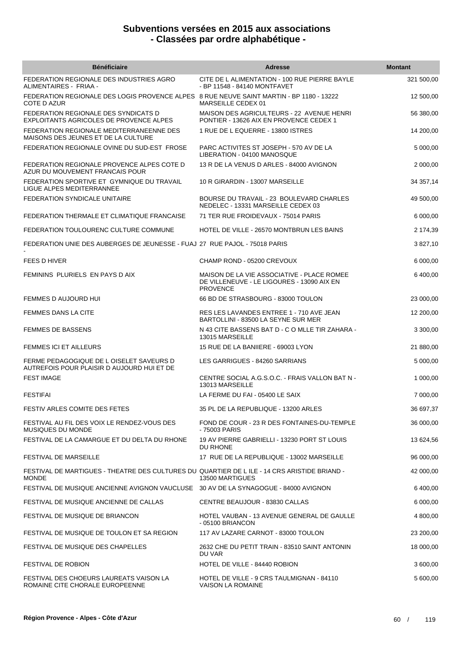| <b>Bénéficiaire</b>                                                                                          | <b>Adresse</b>                                                                                              | <b>Montant</b> |
|--------------------------------------------------------------------------------------------------------------|-------------------------------------------------------------------------------------------------------------|----------------|
| FEDERATION REGIONALE DES INDUSTRIES AGRO<br>ALIMENTAIRES - FRIAA -                                           | CITE DE L ALIMENTATION - 100 RUE PIERRE BAYLE<br>- BP 11548 - 84140 MONTFAVET                               | 321 500,00     |
| FEDERATION REGIONALE DES LOGIS PROVENCE ALPES 8 RUE NEUVE SAINT MARTIN - BP 1180 - 13222<br>COTE D AZUR      | MARSEILLE CEDEX 01                                                                                          | 12 500,00      |
| FEDERATION REGIONALE DES SYNDICATS D<br>EXPLOITANTS AGRICOLES DE PROVENCE ALPES                              | MAISON DES AGRICULTEURS - 22 AVENUE HENRI<br>PONTIER - 13626 AIX EN PROVENCE CEDEX 1                        | 56 380,00      |
| FEDERATION REGIONALE MEDITERRANEENNE DES<br>MAISONS DES JEUNES ET DE LA CULTURE                              | 1 RUE DE L EQUERRE - 13800 ISTRES                                                                           | 14 200,00      |
| FEDERATION REGIONALE OVINE DU SUD-EST FROSE                                                                  | PARC ACTIVITES ST JOSEPH - 570 AV DE LA<br>LIBERATION - 04100 MANOSQUE                                      | 5 000,00       |
| FEDERATION REGIONALE PROVENCE ALPES COTE D<br>AZUR DU MOUVEMENT FRANCAIS POUR                                | 13 R DE LA VENUS D ARLES - 84000 AVIGNON                                                                    | 2 000,00       |
| FEDERATION SPORTIVE ET GYMNIQUE DU TRAVAIL<br>LIGUE ALPES MEDITERRANNEE                                      | 10 R GIRARDIN - 13007 MARSEILLE                                                                             | 34 357,14      |
| FEDERATION SYNDICALE UNITAIRE                                                                                | BOURSE DU TRAVAIL - 23 BOULEVARD CHARLES<br>NEDELEC - 13331 MARSEILLE CEDEX 03                              | 49 500,00      |
| FEDERATION THERMALE ET CLIMATIQUE FRANCAISE                                                                  | 71 TER RUE FROIDEVAUX - 75014 PARIS                                                                         | 6 000,00       |
| FEDERATION TOULOURENC CULTURE COMMUNE                                                                        | HOTEL DE VILLE - 26570 MONTBRUN LES BAINS                                                                   | 2 174,39       |
| FEDERATION UNIE DES AUBERGES DE JEUNESSE - FUAJ 27 RUE PAJOL - 75018 PARIS                                   |                                                                                                             | 3 827,10       |
| <b>FEES D HIVER</b>                                                                                          | CHAMP ROND - 05200 CREVOUX                                                                                  | 6 000,00       |
| FEMININS PLURIELS EN PAYS D AIX                                                                              | MAISON DE LA VIE ASSOCIATIVE - PLACE ROMEE<br>DE VILLENEUVE - LE LIGOURES - 13090 AIX EN<br><b>PROVENCE</b> | 6 400,00       |
| FEMMES D AUJOURD HUI                                                                                         | 66 BD DE STRASBOURG - 83000 TOULON                                                                          | 23 000,00      |
| FEMMES DANS LA CITE                                                                                          | RES LES LAVANDES ENTREE 1 - 710 AVE JEAN<br>BARTOLLINI - 83500 LA SEYNE SUR MER                             | 12 200,00      |
| <b>FEMMES DE BASSENS</b>                                                                                     | N 43 CITE BASSENS BAT D - C O MLLE TIR ZAHARA -<br>13015 MARSEILLE                                          | 3 300,00       |
| <b>FEMMES ICI ET AILLEURS</b>                                                                                | 15 RUE DE LA BANIIERE - 69003 LYON                                                                          | 21 880,00      |
| FERME PEDAGOGIQUE DE L OISELET SAVEURS D<br>AUTREFOIS POUR PLAISIR D AUJOURD HUI ET DE                       | LES GARRIGUES - 84260 SARRIANS                                                                              | 5 000,00       |
| <b>FEST IMAGE</b>                                                                                            | CENTRE SOCIAL A.G.S.O.C. - FRAIS VALLON BAT N -<br>13013 MARSEILLE                                          | 1 000,00       |
| <b>FESTIFAI</b>                                                                                              | LA FERME DU FAI - 05400 LE SAIX                                                                             | 7 000,00       |
| FESTIV ARLES COMITE DES FETES                                                                                | 35 PL DE LA REPUBLIQUE - 13200 ARLES                                                                        | 36 697,37      |
| FESTIVAL AU FIL DES VOIX LE RENDEZ-VOUS DES<br>MUSIQUES DU MONDE                                             | FOND DE COUR - 23 R DES FONTAINES-DU-TEMPLE<br>- 75003 PARIS                                                | 36 000,00      |
| FESTIVAL DE LA CAMARGUE ET DU DELTA DU RHONE                                                                 | 19 AV PIERRE GABRIELLI - 13230 PORT ST LOUIS<br><b>DU RHONE</b>                                             | 13 624,56      |
| <b>FESTIVAL DE MARSEILLE</b>                                                                                 | 17 RUE DE LA REPUBLIQUE - 13002 MARSEILLE                                                                   | 96 000,00      |
| FESTIVAL DE MARTIGUES - THEATRE DES CULTURES DU QUARTIER DE L ILE - 14 CRS ARISTIDE BRIAND -<br><b>MONDE</b> | 13500 MARTIGUES                                                                                             | 42 000,00      |
| FESTIVAL DE MUSIQUE ANCIENNE AVIGNON VAUCLUSE 30 AV DE LA SYNAGOGUE - 84000 AVIGNON                          |                                                                                                             | 6 400,00       |
| FESTIVAL DE MUSIQUE ANCIENNE DE CALLAS                                                                       | CENTRE BEAUJOUR - 83830 CALLAS                                                                              | 6 000,00       |
| FESTIVAL DE MUSIQUE DE BRIANCON                                                                              | HOTEL VAUBAN - 13 AVENUE GENERAL DE GAULLE<br>- 05100 BRIANCON                                              | 4 800,00       |
| FESTIVAL DE MUSIQUE DE TOULON ET SA REGION                                                                   | 117 AV LAZARE CARNOT - 83000 TOULON                                                                         | 23 200,00      |
| FESTIVAL DE MUSIQUE DES CHAPELLES                                                                            | 2632 CHE DU PETIT TRAIN - 83510 SAINT ANTONIN<br>DU VAR                                                     | 18 000,00      |
| FESTIVAL DE ROBION                                                                                           | HOTEL DE VILLE - 84440 ROBION                                                                               | 3 600,00       |
| FESTIVAL DES CHOEURS LAUREATS VAISON LA<br>ROMAINE CITE CHORALE EUROPEENNE                                   | HOTEL DE VILLE - 9 CRS TAULMIGNAN - 84110<br><b>VAISON LA ROMAINE</b>                                       | 5 600,00       |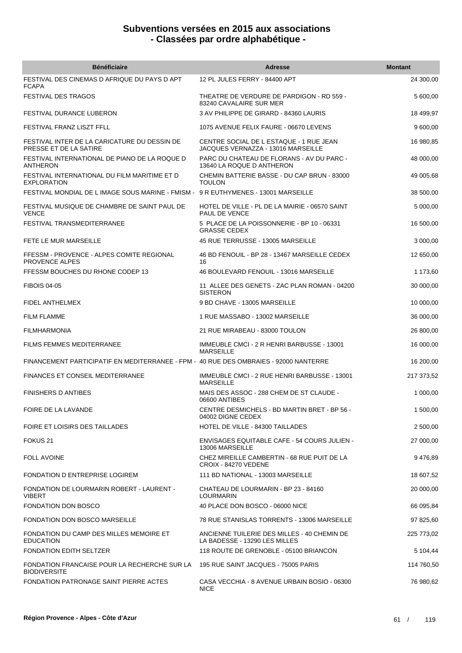| <b>Bénéficiaire</b>                                                                   | <b>Adresse</b>                                                                | <b>Montant</b> |
|---------------------------------------------------------------------------------------|-------------------------------------------------------------------------------|----------------|
| FESTIVAL DES CINEMAS D AFRIQUE DU PAYS D APT<br><b>FCAPA</b>                          | 12 PL JULES FERRY - 84400 APT                                                 | 24 300,00      |
| <b>FESTIVAL DES TRAGOS</b>                                                            | THEATRE DE VERDURE DE PARDIGON - RD 559 -<br>83240 CAVALAIRE SUR MER          | 5 600,00       |
| FESTIVAL DURANCE LUBERON                                                              | 3 AV PHILIPPE DE GIRARD - 84360 LAURIS                                        | 18 499,97      |
| FESTIVAL FRANZ LISZT FFLL                                                             | 1075 AVENUE FELIX FAURE - 06670 LEVENS                                        | 9 600,00       |
| FESTIVAL INTER DE LA CARICATURE DU DESSIN DE<br>PRESSE ET DE LA SATIRE                | CENTRE SOCIAL DE L ESTAQUE - 1 RUE JEAN<br>JACQUES VERNAZZA - 13016 MARSEILLE | 16 980,85      |
| FESTIVAL INTERNATIONAL DE PIANO DE LA ROQUE D<br><b>ANTHERON</b>                      | PARC DU CHATEAU DE FLORANS - AV DU PARC -<br>13640 LA ROQUE D ANTHERON        | 48 000,00      |
| FESTIVAL INTERNATIONAL DU FILM MARITIME ET D<br><b>EXPLORATION</b>                    | CHEMIN BATTERIE BASSE - DU CAP BRUN - 83000<br><b>TOULON</b>                  | 49 005,68      |
| FESTIVAL MONDIAL DE L IMAGE SOUS MARINE - FMISM - 9 R EUTHYMENES - 13001 MARSEILLE    |                                                                               | 38 500,00      |
| FESTIVAL MUSIQUE DE CHAMBRE DE SAINT PAUL DE<br><b>VENCE</b>                          | HOTEL DE VILLE - PL DE LA MAIRIE - 06570 SAINT<br>PAUL DE VENCE               | 5 000,00       |
| <b>FESTIVAL TRANSMEDITERRANEE</b>                                                     | 5 PLACE DE LA POISSONNERIE - BP 10 - 06331<br><b>GRASSE CEDEX</b>             | 16 500,00      |
| FETE LE MUR MARSEILLE                                                                 | 45 RUE TERRUSSE - 13005 MARSEILLE                                             | 3 000,00       |
| FFESSM - PROVENCE - ALPES COMITE REGIONAL<br><b>PROVENCE ALPES</b>                    | 46 BD FENOUIL - BP 28 - 13467 MARSEILLE CEDEX<br>16                           | 12 650,00      |
| FFESSM BOUCHES DU RHONE CODEP 13                                                      | 46 BOULEVARD FENOUIL - 13016 MARSEILLE                                        | 1 173,60       |
| <b>FIBOIS 04-05</b>                                                                   | 11 ALLEE DES GENETS - ZAC PLAN ROMAN - 04200<br><b>SISTERON</b>               | 30 000,00      |
| <b>FIDEL ANTHELMEX</b>                                                                | 9 BD CHAVE - 13005 MARSEILLE                                                  | 10 000,00      |
| <b>FILM FLAMME</b>                                                                    | 1 RUE MASSABO - 13002 MARSEILLE                                               | 36 000,00      |
| <b>FILMHARMONIA</b>                                                                   | 21 RUE MIRABEAU - 83000 TOULON                                                | 26 800,00      |
| <b>FILMS FEMMES MEDITERRANEE</b>                                                      | IMMEUBLE CMCI - 2 R HENRI BARBUSSE - 13001<br><b>MARSEILLE</b>                | 16 000,00      |
| FINANCEMENT PARTICIPATIF EN MEDITERRANEE - FPM - 40 RUE DES OMBRAIES - 92000 NANTERRE |                                                                               | 16 200,00      |
| <b>FINANCES ET CONSEIL MEDITERRANEE</b>                                               | IMMEUBLE CMCI - 2 RUE HENRI BARBUSSE - 13001<br><b>MARSEILLE</b>              | 217 373,52     |
| <b>FINISHERS D ANTIBES</b>                                                            | MAIS DES ASSOC - 288 CHEM DE ST CLAUDE -<br>06600 ANTIBES                     | 1 000,00       |
| FOIRE DE LA LAVANDE                                                                   | CENTRE DESMICHELS - BD MARTIN BRET - BP 56 -<br>04002 DIGNE CEDEX             | 1 500,00       |
| FOIRE ET LOISIRS DES TAILLADES                                                        | HOTEL DE VILLE - 84300 TAILLADES                                              | 2 500,00       |
| FOKUS <sub>21</sub>                                                                   | <b>ENVISAGES EQUITABLE CAFE - 54 COURS JULIEN -</b><br>13006 MARSEILLE        | 27 000,00      |
| <b>FOLL AVOINE</b>                                                                    | CHEZ MIREILLE CAMBERTIN - 68 RUE PUIT DE LA<br>CROIX - 84270 VEDENE           | 9476,89        |
| <b>FONDATION D ENTREPRISE LOGIREM</b>                                                 | 111 BD NATIONAL - 13003 MARSEILLE                                             | 18 607,52      |
| <b>FONDATION DE LOURMARIN ROBERT - LAURENT -</b><br><b>VIBERT</b>                     | CHATEAU DE LOURMARIN - BP 23 - 84160<br><b>LOURMARIN</b>                      | 20 000,00      |
| FONDATION DON BOSCO                                                                   | 40 PLACE DON BOSCO - 06000 NICE                                               | 66 095,84      |
| <b>FONDATION DON BOSCO MARSEILLE</b>                                                  | 78 RUE STANISLAS TORRENTS - 13006 MARSEILLE                                   | 97 825,60      |
| FONDATION DU CAMP DES MILLES MEMOIRE ET<br><b>EDUCATION</b>                           | ANCIENNE TUILERIE DES MILLES - 40 CHEMIN DE<br>LA BADESSE - 13290 LES MILLES  | 225 773,02     |
| <b>FONDATION EDITH SELTZER</b>                                                        | 118 ROUTE DE GRENOBLE - 05100 BRIANCON                                        | 5 104,44       |
| FONDATION FRANCAISE POUR LA RECHERCHE SUR LA<br><b>BIODIVERSITE</b>                   | 195 RUE SAINT JACQUES - 75005 PARIS                                           | 114 760,50     |
| <b>FONDATION PATRONAGE SAINT PIERRE ACTES</b>                                         | CASA VECCHIA - 8 AVENUE URBAIN BOSIO - 06300<br><b>NICE</b>                   | 76 980,62      |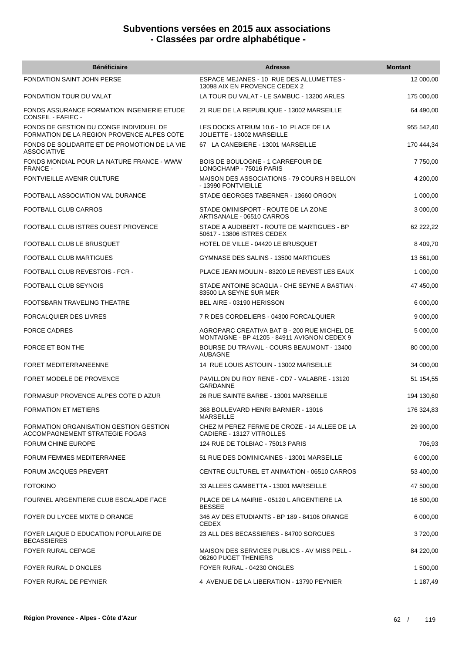| <b>Bénéficiaire</b>                                                                   | <b>Adresse</b>                                                                              | <b>Montant</b> |
|---------------------------------------------------------------------------------------|---------------------------------------------------------------------------------------------|----------------|
| <b>FONDATION SAINT JOHN PERSE</b>                                                     | ESPACE MEJANES - 10 RUE DES ALLUMETTES -<br>13098 AIX EN PROVENCE CEDEX 2                   | 12 000,00      |
| FONDATION TOUR DU VALAT                                                               | LA TOUR DU VALAT - LE SAMBUC - 13200 ARLES                                                  | 175 000,00     |
| FONDS ASSURANCE FORMATION INGENIERIE ETUDE<br>CONSEIL - FAFIEC -                      | 21 RUE DE LA REPUBLIQUE - 13002 MARSEILLE                                                   | 64 490,00      |
| FONDS DE GESTION DU CONGE INDIVIDUEL DE<br>FORMATION DE LA REGION PROVENCE ALPES COTE | LES DOCKS ATRIUM 10.6 - 10 PLACE DE LA<br>JOLIETTE - 13002 MARSEILLE                        | 955 542,40     |
| FONDS DE SOLIDARITE ET DE PROMOTION DE LA VIE<br><b>ASSOCIATIVE</b>                   | 67 LA CANEBIERE - 13001 MARSEILLE                                                           | 170 444,34     |
| FONDS MONDIAL POUR LA NATURE FRANCE - WWW<br><b>FRANCE -</b>                          | <b>BOIS DE BOULOGNE - 1 CARREFOUR DE</b><br>LONGCHAMP - 75016 PARIS                         | 7750,00        |
| FONTVIEILLE AVENIR CULTURE                                                            | MAISON DES ASSOCIATIONS - 79 COURS H BELLON<br>- 13990 FONTVIEILLE                          | 4 200,00       |
| FOOTBALL ASSOCIATION VAL DURANCE                                                      | STADE GEORGES TABERNER - 13660 ORGON                                                        | 1 000,00       |
| FOOTBALL CLUB CARROS                                                                  | STADE OMINISPORT - ROUTE DE LA ZONE<br>ARTISANALE - 06510 CARROS                            | 3 000,00       |
| FOOTBALL CLUB ISTRES OUEST PROVENCE                                                   | STADE A AUDIBERT - ROUTE DE MARTIGUES - BP<br>50617 - 13806 ISTRES CEDEX                    | 62 222,22      |
| FOOTBALL CLUB LE BRUSQUET                                                             | HOTEL DE VILLE - 04420 LE BRUSQUET                                                          | 8 409,70       |
| <b>FOOTBALL CLUB MARTIGUES</b>                                                        | <b>GYMNASE DES SALINS - 13500 MARTIGUES</b>                                                 | 13 561,00      |
| FOOTBALL CLUB REVESTOIS - FCR -                                                       | PLACE JEAN MOULIN - 83200 LE REVEST LES EAUX                                                | 1 000,00       |
| FOOTBALL CLUB SEYNOIS                                                                 | STADE ANTOINE SCAGLIA - CHE SEYNE A BASTIAN<br>83500 LA SEYNE SUR MER                       | 47 450,00      |
| FOOTSBARN TRAVELING THEATRE                                                           | BEL AIRE - 03190 HERISSON                                                                   | 6 000,00       |
| FORCALQUIER DES LIVRES                                                                | 7 R DES CORDELIERS - 04300 FORCALQUIER                                                      | 9 000,00       |
| <b>FORCE CADRES</b>                                                                   | AGROPARC CREATIVA BAT B - 200 RUE MICHEL DE<br>MONTAIGNE - BP 41205 - 84911 AVIGNON CEDEX 9 | 5 000,00       |
| FORCE ET BON THE                                                                      | BOURSE DU TRAVAIL - COURS BEAUMONT - 13400<br><b>AUBAGNE</b>                                | 80 000,00      |
| <b>FORET MEDITERRANEENNE</b>                                                          | 14 RUE LOUIS ASTOUIN - 13002 MARSEILLE                                                      | 34 000,00      |
| FORET MODELE DE PROVENCE                                                              | PAVILLON DU ROY RENE - CD7 - VALABRE - 13120<br><b>GARDANNE</b>                             | 51 154,55      |
| FORMASUP PROVENCE ALPES COTE D AZUR                                                   | 26 RUE SAINTE BARBE - 13001 MARSEILLE                                                       | 194 130,60     |
| FORMATION ET METIERS                                                                  | 368 BOULEVARD HENRI BARNIER - 13016<br><b>MARSEILLE</b>                                     | 176 324,83     |
| FORMATION ORGANISATION GESTION GESTION<br>ACCOMPAGNEMENT STRATEGIE FOGAS              | CHEZ M PEREZ FERME DE CROZE - 14 ALLEE DE LA<br>CADIERE - 13127 VITROLLES                   | 29 900,00      |
| <b>FORUM CHINE EUROPE</b>                                                             | 124 RUE DE TOLBIAC - 75013 PARIS                                                            | 706,93         |
| <b>FORUM FEMMES MEDITERRANEE</b>                                                      | 51 RUE DES DOMINICAINES - 13001 MARSEILLE                                                   | 6 000,00       |
| FORUM JACQUES PREVERT                                                                 | CENTRE CULTUREL ET ANIMATION - 06510 CARROS                                                 | 53 400,00      |
| <b>FOTOKINO</b>                                                                       | 33 ALLEES GAMBETTA - 13001 MARSEILLE                                                        | 47 500,00      |
| FOURNEL ARGENTIERE CLUB ESCALADE FACE                                                 | PLACE DE LA MAIRIE - 05120 L ARGENTIERE LA<br><b>BESSEE</b>                                 | 16 500,00      |
| FOYER DU LYCEE MIXTE D ORANGE                                                         | 346 AV DES ETUDIANTS - BP 189 - 84106 ORANGE<br><b>CEDEX</b>                                | 6 000,00       |
| FOYER LAIQUE D EDUCATION POPULAIRE DE<br><b>BECASSIERES</b>                           | 23 ALL DES BECASSIERES - 84700 SORGUES                                                      | 3720,00        |
| FOYER RURAL CEPAGE                                                                    | MAISON DES SERVICES PUBLICS - AV MISS PELL -<br>06260 PUGET THENIERS                        | 84 220,00      |
| FOYER RURAL D ONGLES                                                                  | FOYER RURAL - 04230 ONGLES                                                                  | 1 500,00       |
| FOYER RURAL DE PEYNIER                                                                | 4 AVENUE DE LA LIBERATION - 13790 PEYNIER                                                   | 1 187,49       |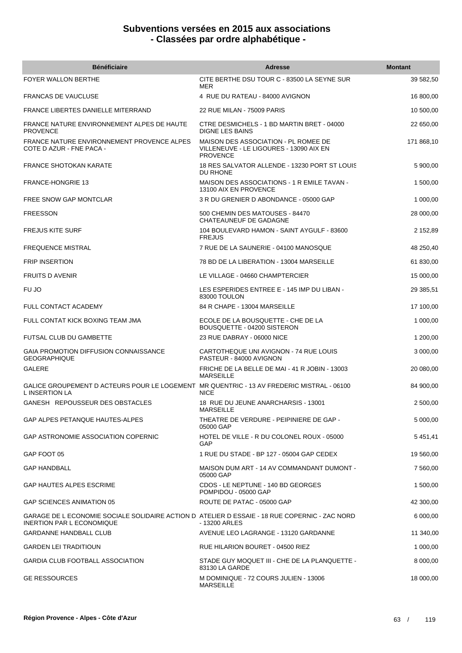| <b>Bénéficiaire</b>                                                                                                               | <b>Adresse</b>                                                                                     | <b>Montant</b> |
|-----------------------------------------------------------------------------------------------------------------------------------|----------------------------------------------------------------------------------------------------|----------------|
| <b>FOYER WALLON BERTHE</b>                                                                                                        | CITE BERTHE DSU TOUR C - 83500 LA SEYNE SUR<br>MER                                                 | 39 582,50      |
| <b>FRANCAS DE VAUCLUSE</b>                                                                                                        | 4 RUE DU RATEAU - 84000 AVIGNON                                                                    | 16 800,00      |
| FRANCE LIBERTES DANIELLE MITERRAND                                                                                                | 22 RUE MILAN - 75009 PARIS                                                                         | 10 500,00      |
| FRANCE NATURE ENVIRONNEMENT ALPES DE HAUTE<br><b>PROVENCE</b>                                                                     | CTRE DESMICHELS - 1 BD MARTIN BRET - 04000<br><b>DIGNE LES BAINS</b>                               | 22 650,00      |
| FRANCE NATURE ENVIRONNEMENT PROVENCE ALPES<br>COTE D AZUR - FNE PACA -                                                            | MAISON DES ASSOCIATION - PL ROMEE DE<br>VILLENEUVE - LE LIGOURES - 13090 AIX EN<br><b>PROVENCE</b> | 171 868,10     |
| <b>FRANCE SHOTOKAN KARATE</b>                                                                                                     | 18 RES SALVATOR ALLENDE - 13230 PORT ST LOUIS<br>DU RHONE                                          | 5 900.00       |
| <b>FRANCE-HONGRIE 13</b>                                                                                                          | MAISON DES ASSOCIATIONS - 1 R EMILE TAVAN -<br>13100 AIX EN PROVENCE                               | 1 500,00       |
| FREE SNOW GAP MONTCLAR                                                                                                            | 3 R DU GRENIER D ABONDANCE - 05000 GAP                                                             | 1 000,00       |
| <b>FREESSON</b>                                                                                                                   | 500 CHEMIN DES MATOUSES - 84470<br>CHATEAUNEUF DE GADAGNE                                          | 28 000,00      |
| <b>FREJUS KITE SURF</b>                                                                                                           | 104 BOULEVARD HAMON - SAINT AYGULF - 83600<br><b>FREJUS</b>                                        | 2 152,89       |
| <b>FREQUENCE MISTRAL</b>                                                                                                          | 7 RUE DE LA SAUNERIE - 04100 MANOSQUE                                                              | 48 250,40      |
| <b>FRIP INSERTION</b>                                                                                                             | 78 BD DE LA LIBERATION - 13004 MARSEILLE                                                           | 61 830,00      |
| <b>FRUITS D AVENIR</b>                                                                                                            | LE VILLAGE - 04660 CHAMPTERCIER                                                                    | 15 000,00      |
| FU JO                                                                                                                             | LES ESPERIDES ENTREE E - 145 IMP DU LIBAN -<br>83000 TOULON                                        | 29 385,51      |
| FULL CONTACT ACADEMY                                                                                                              | 84 R CHAPE - 13004 MARSEILLE                                                                       | 17 100,00      |
| FULL CONTAT KICK BOXING TEAM JMA                                                                                                  | ECOLE DE LA BOUSQUETTE - CHE DE LA<br>BOUSQUETTE - 04200 SISTERON                                  | 1 000,00       |
| FUTSAL CLUB DU GAMBETTE                                                                                                           | 23 RUE DABRAY - 06000 NICE                                                                         | 1 200,00       |
| <b>GAIA PROMOTION DIFFUSION CONNAISSANCE</b><br><b>GEOGRAPHIQUE</b>                                                               | CARTOTHEQUE UNI AVIGNON - 74 RUE LOUIS<br>PASTEUR - 84000 AVIGNON                                  | 3 000,00       |
| <b>GALERE</b>                                                                                                                     | FRICHE DE LA BELLE DE MAI - 41 R JOBIN - 13003<br><b>MARSEILLE</b>                                 | 20 080,00      |
| GALICE GROUPEMENT D ACTEURS POUR LE LOGEMENT MR QUENTRIC - 13 AV FREDERIC MISTRAL - 06100<br><b>L INSERTION LA</b>                | <b>NICE</b>                                                                                        | 84 900,00      |
| GANESH REPOUSSEUR DES OBSTACLES                                                                                                   | 18 RUE DU JEUNE ANARCHARSIS - 13001<br><b>MARSEILLE</b>                                            | 2 500,00       |
| GAP ALPES PETANQUE HAUTES-ALPES                                                                                                   | THEATRE DE VERDURE - PEIPINIERE DE GAP -<br>05000 GAP                                              | 5 000,00       |
| <b>GAP ASTRONOMIE ASSOCIATION COPERNIC</b>                                                                                        | HOTEL DE VILLE - R DU COLONEL ROUX - 05000<br>GAP                                                  | 5451,41        |
| GAP FOOT 05                                                                                                                       | 1 RUE DU STADE - BP 127 - 05004 GAP CEDEX                                                          | 19 560,00      |
| <b>GAP HANDBALL</b>                                                                                                               | MAISON DUM ART - 14 AV COMMANDANT DUMONT -<br>05000 GAP                                            | 7 560,00       |
| <b>GAP HAUTES ALPES ESCRIME</b>                                                                                                   | CDOS - LE NEPTUNE - 140 BD GEORGES<br>POMPIDOU - 05000 GAP                                         | 1 500,00       |
| GAP SCIENCES ANIMATION 05                                                                                                         | ROUTE DE PATAC - 05000 GAP                                                                         | 42 300,00      |
| GARAGE DE L ECONOMIE SOCIALE SOLIDAIRE ACTION D ATELIER D ESSAIE - 18 RUE COPERNIC - ZAC NORD<br><b>INERTION PAR L ECONOMIQUE</b> | - 13200 ARLES                                                                                      | 6 000,00       |
| <b>GARDANNE HANDBALL CLUB</b>                                                                                                     | AVENUE LEO LAGRANGE - 13120 GARDANNE                                                               | 11 340,00      |
| <b>GARDEN LEI TRADITIOUN</b>                                                                                                      | RUE HILARION BOURET - 04500 RIEZ                                                                   | 1 000,00       |
| GARDIA CLUB FOOTBALL ASSOCIATION                                                                                                  | STADE GUY MOQUET III - CHE DE LA PLANQUETTE -<br>83130 LA GARDE                                    | 8 000,00       |
| <b>GE RESSOURCES</b>                                                                                                              | M DOMINIQUE - 72 COURS JULIEN - 13006<br><b>MARSEILLE</b>                                          | 18 000,00      |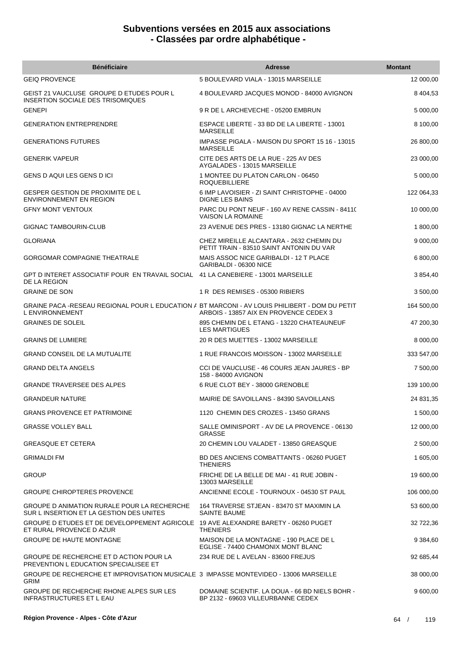| <b>Bénéficiaire</b>                                                                                               | Adresse                                                                              | <b>Montant</b> |
|-------------------------------------------------------------------------------------------------------------------|--------------------------------------------------------------------------------------|----------------|
| <b>GEIQ PROVENCE</b>                                                                                              | 5 BOULEVARD VIALA - 13015 MARSEILLE                                                  | 12 000,00      |
| GEIST 21 VAUCLUSE GROUPE D ETUDES POUR L<br>INSERTION SOCIALE DES TRISOMIQUES                                     | 4 BOULEVARD JACQUES MONOD - 84000 AVIGNON                                            | 8 4 0 4 , 5 3  |
| <b>GENEPI</b>                                                                                                     | 9 R DE L ARCHEVECHE - 05200 EMBRUN                                                   | 5 000,00       |
| <b>GENERATION ENTREPRENDRE</b>                                                                                    | ESPACE LIBERTE - 33 BD DE LA LIBERTE - 13001<br><b>MARSEILLE</b>                     | 8 100,00       |
| <b>GENERATIONS FUTURES</b>                                                                                        | IMPASSE PIGALA - MAISON DU SPORT 15 16 - 13015<br><b>MARSEILLE</b>                   | 26 800,00      |
| <b>GENERIK VAPEUR</b>                                                                                             | CITE DES ARTS DE LA RUE - 225 AV DES<br>AYGALADES - 13015 MARSEILLE                  | 23 000,00      |
| GENS D AQUI LES GENS D ICI                                                                                        | 1 MONTEE DU PLATON CARLON - 06450<br><b>ROQUEBILLIERE</b>                            | 5 000,00       |
| GESPER GESTION DE PROXIMITE DE L<br><b>ENVIRONNEMENT EN REGION</b>                                                | 6 IMP LAVOISIER - ZI SAINT CHRISTOPHE - 04000<br><b>DIGNE LES BAINS</b>              | 122 064,33     |
| <b>GFNY MONT VENTOUX</b>                                                                                          | PARC DU PONT NEUF - 160 AV RENE CASSIN - 8411(<br><b>VAISON LA ROMAINE</b>           | 10 000,00      |
| GIGNAC TAMBOURIN-CLUB                                                                                             | 23 AVENUE DES PRES - 13180 GIGNAC LA NERTHE                                          | 1 800,00       |
| <b>GLORIANA</b>                                                                                                   | CHEZ MIREILLE ALCANTARA - 2632 CHEMIN DU<br>PETIT TRAIN - 83510 SAINT ANTONIN DU VAR | 9 000,00       |
| <b>GORGOMAR COMPAGNIE THEATRALE</b>                                                                               | MAIS ASSOC NICE GARIBALDI - 12 T PLACE<br>GARIBALDI - 06300 NICE                     | 6 800,00       |
| GPT D INTERET ASSOCIATIF POUR EN TRAVAIL SOCIAL 41 LA CANEBIERE - 13001 MARSEILLE<br>DE LA REGION                 |                                                                                      | 3 854,40       |
| <b>GRAINE DE SON</b>                                                                                              | 1 R DES REMISES - 05300 RIBIERS                                                      | 3 500,00       |
| GRAINE PACA -RESEAU REGIONAL POUR L EDUCATION A BT MARCONI - AV LOUIS PHILIBERT - DOM DU PETIT<br>L ENVIRONNEMENT | ARBOIS - 13857 AIX EN PROVENCE CEDEX 3                                               | 164 500,00     |
| <b>GRAINES DE SOLEIL</b>                                                                                          | 895 CHEMIN DE L ETANG - 13220 CHATEAUNEUF<br><b>LES MARTIGUES</b>                    | 47 200,30      |
| <b>GRAINS DE LUMIERE</b>                                                                                          | 20 R DES MUETTES - 13002 MARSEILLE                                                   | 8 000,00       |
| <b>GRAND CONSEIL DE LA MUTUALITE</b>                                                                              | 1 RUE FRANCOIS MOISSON - 13002 MARSEILLE                                             | 333 547,00     |
| <b>GRAND DELTA ANGELS</b>                                                                                         | CCI DE VAUCLUSE - 46 COURS JEAN JAURES - BP<br>158 - 84000 AVIGNON                   | 7 500,00       |
| <b>GRANDE TRAVERSEE DES ALPES</b>                                                                                 | 6 RUE CLOT BEY - 38000 GRENOBLE                                                      | 139 100,00     |
| <b>GRANDEUR NATURE</b>                                                                                            | MAIRIE DE SAVOILLANS - 84390 SAVOILLANS                                              | 24 831,35      |
| <b>GRANS PROVENCE ET PATRIMOINE</b>                                                                               | 1120 CHEMIN DES CROZES - 13450 GRANS                                                 | 1 500,00       |
| <b>GRASSE VOLLEY BALL</b>                                                                                         | SALLE OMINISPORT - AV DE LA PROVENCE - 06130<br><b>GRASSE</b>                        | 12 000,00      |
| <b>GREASQUE ET CETERA</b>                                                                                         | 20 CHEMIN LOU VALADET - 13850 GREASQUE                                               | 2 500,00       |
| <b>GRIMALDI FM</b>                                                                                                | BD DES ANCIENS COMBATTANTS - 06260 PUGET<br><b>THENIERS</b>                          | 1 605,00       |
| <b>GROUP</b>                                                                                                      | FRICHE DE LA BELLE DE MAI - 41 RUE JOBIN -<br>13003 MARSEILLE                        | 19 600,00      |
| <b>GROUPE CHIROPTERES PROVENCE</b>                                                                                | ANCIENNE ECOLE - TOURNOUX - 04530 ST PAUL                                            | 106 000,00     |
| GROUPE D ANIMATION RURALE POUR LA RECHERCHE<br>SUR L INSERTION ET LA GESTION DES UNITES                           | 164 TRAVERSE STJEAN - 83470 ST MAXIMIN LA<br>SAINTE BAUME                            | 53 600,00      |
| GROUPE D ETUDES ET DE DEVELOPPEMENT AGRICOLE 19 AVE ALEXANDRE BARETY - 06260 PUGET<br>ET RURAL PROVENCE D AZUR    | <b>THENIERS</b>                                                                      | 32 722,36      |
| <b>GROUPE DE HAUTE MONTAGNE</b>                                                                                   | MAISON DE LA MONTAGNE - 190 PLACE DE L<br>EGLISE - 74400 CHAMONIX MONT BLANC         | 9 3 8 4,60     |
| GROUPE DE RECHERCHE ET D ACTION POUR LA<br>PREVENTION L EDUCATION SPECIALISEE ET                                  | 234 RUE DE L AVELAN - 83600 FREJUS                                                   | 92 685,44      |
| GROUPE DE RECHERCHE ET IMPROVISATION MUSICALE 3 IMPASSE MONTEVIDEO - 13006 MARSEILLE<br><b>GRIM</b>               |                                                                                      | 38 000,00      |
| GROUPE DE RECHERCHE RHONE ALPES SUR LES<br><b>INFRASTRUCTURES ET L EAU</b>                                        | DOMAINE SCIENTIF. LA DOUA - 66 BD NIELS BOHR -<br>BP 2132 - 69603 VILLEURBANNE CEDEX | 9 600,00       |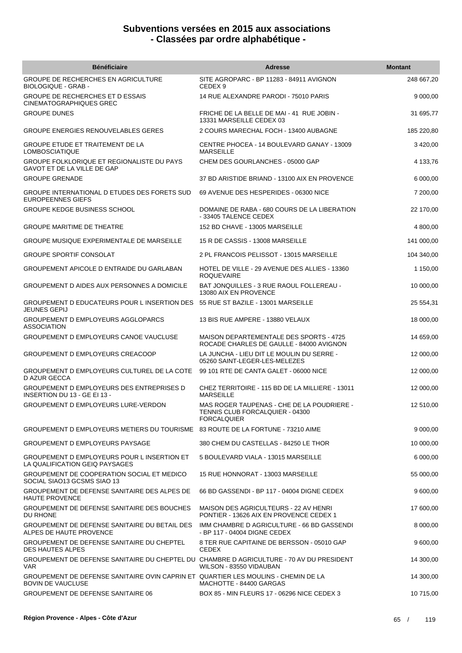| <b>Bénéficiaire</b>                                                                                            | <b>Adresse</b>                                                                                      | <b>Montant</b> |
|----------------------------------------------------------------------------------------------------------------|-----------------------------------------------------------------------------------------------------|----------------|
| GROUPE DE RECHERCHES EN AGRICULTURE<br><b>BIOLOGIQUE - GRAB -</b>                                              | SITE AGROPARC - BP 11283 - 84911 AVIGNON<br>CEDEX <sub>9</sub>                                      | 248 667,20     |
| GROUPE DE RECHERCHES ET D ESSAIS<br><b>CINEMATOGRAPHIQUES GREC</b>                                             | 14 RUE ALEXANDRE PARODI - 75010 PARIS                                                               | 9 000,00       |
| <b>GROUPE DUNES</b>                                                                                            | FRICHE DE LA BELLE DE MAI - 41 RUE JOBIN -<br>13331 MARSEILLE CEDEX 03                              | 31 695,77      |
| GROUPE ENERGIES RENOUVELABLES GERES                                                                            | 2 COURS MARECHAL FOCH - 13400 AUBAGNE                                                               | 185 220,80     |
| <b>GROUPE ETUDE ET TRAITEMENT DE LA</b><br><b>LOMBOSCIATIQUE</b>                                               | CENTRE PHOCEA - 14 BOULEVARD GANAY - 13009<br><b>MARSEILLE</b>                                      | 3 420,00       |
| <b>GROUPE FOLKLORIQUE ET REGIONALISTE DU PAYS</b><br>GAVOT ET DE LA VILLE DE GAP                               | CHEM DES GOURLANCHES - 05000 GAP                                                                    | 4 133,76       |
| <b>GROUPE GRENADE</b>                                                                                          | 37 BD ARISTIDE BRIAND - 13100 AIX EN PROVENCE                                                       | 6 000,00       |
| GROUPE INTERNATIONAL D ETUDES DES FORETS SUD<br><b>EUROPEENNES GIEFS</b>                                       | 69 AVENUE DES HESPERIDES - 06300 NICE                                                               | 7 200,00       |
| <b>GROUPE KEDGE BUSINESS SCHOOL</b>                                                                            | DOMAINE DE RABA - 680 COURS DE LA LIBERATION<br>- 33405 TALENCE CEDEX                               | 22 170,00      |
| <b>GROUPE MARITIME DE THEATRE</b>                                                                              | 152 BD CHAVE - 13005 MARSEILLE                                                                      | 4 800,00       |
| <b>GROUPE MUSIQUE EXPERIMENTALE DE MARSEILLE</b>                                                               | 15 R DE CASSIS - 13008 MARSEILLE                                                                    | 141 000,00     |
| <b>GROUPE SPORTIF CONSOLAT</b>                                                                                 | 2 PL FRANCOIS PELISSOT - 13015 MARSEILLE                                                            | 104 340,00     |
| GROUPEMENT APICOLE D ENTRAIDE DU GARLABAN                                                                      | HOTEL DE VILLE - 29 AVENUE DES ALLIES - 13360<br><b>ROQUEVAIRE</b>                                  | 1 150,00       |
| GROUPEMENT D AIDES AUX PERSONNES A DOMICILE                                                                    | BAT JONQUILLES - 3 RUE RAOUL FOLLEREAU -<br>13080 AIX EN PROVENCE                                   | 10 000,00      |
| GROUPEMENT D EDUCATEURS POUR L INSERTION DES<br><b>JEUNES GEPIJ</b>                                            | 55 RUE ST BAZILE - 13001 MARSEILLE                                                                  | 25 554,31      |
| <b>GROUPEMENT D EMPLOYEURS AGGLOPARCS</b><br><b>ASSOCIATION</b>                                                | 13 BIS RUE AMPERE - 13880 VELAUX                                                                    | 18 000,00      |
| GROUPEMENT D EMPLOYEURS CANOE VAUCLUSE                                                                         | MAISON DEPARTEMENTALE DES SPORTS - 4725<br>ROCADE CHARLES DE GAULLE - 84000 AVIGNON                 | 14 659,00      |
| GROUPEMENT D EMPLOYEURS CREACOOP                                                                               | LA JUNCHA - LIEU DIT LE MOULIN DU SERRE -<br>05260 SAINT-LEGER-LES-MELEZES                          | 12 000,00      |
| GROUPEMENT D EMPLOYEURS CULTUREL DE LA COTE<br><b>D AZUR GECCA</b>                                             | 99 101 RTE DE CANTA GALET - 06000 NICE                                                              | 12 000,00      |
| GROUPEMENT D EMPLOYEURS DES ENTREPRISES D<br>INSERTION DU 13 - GE EI 13 -                                      | CHEZ TERRITOIRE - 115 BD DE LA MILLIERE - 13011<br><b>MARSEILLE</b>                                 | 12 000,00      |
| GROUPEMENT D EMPLOYEURS LURE-VERDON                                                                            | MAS ROGER TAUPENAS - CHE DE LA POUDRIERE -<br>TENNIS CLUB FORCALQUIER - 04300<br><b>FORCALQUIER</b> | 12 510,00      |
| GROUPEMENT D EMPLOYEURS METIERS DU TOURISME 83 ROUTE DE LA FORTUNE - 73210 AIME                                |                                                                                                     | 9 000,00       |
| GROUPEMENT D EMPLOYEURS PAYSAGE                                                                                | 380 CHEM DU CASTELLAS - 84250 LE THOR                                                               | 10 000,00      |
| GROUPEMENT D EMPLOYEURS POUR L INSERTION ET<br>LA QUALIFICATION GEIQ PAYSAGES                                  | 5 BOULEVARD VIALA - 13015 MARSEILLE                                                                 | 6 000,00       |
| GROUPEMENT DE COOPERATION SOCIAL ET MEDICO<br>SOCIAL SIAO13 GCSMS SIAO 13                                      | 15 RUE HONNORAT - 13003 MARSEILLE                                                                   | 55 000,00      |
| GROUPEMENT DE DEFENSE SANITAIRE DES ALPES DE<br><b>HAUTE PROVENCE</b>                                          | 66 BD GASSENDI - BP 117 - 04004 DIGNE CEDEX                                                         | 9 600,00       |
| GROUPEMENT DE DEFENSE SANITAIRE DES BOUCHES<br>DU RHONE                                                        | MAISON DES AGRICULTEURS - 22 AV HENRI<br>PONTIER - 13626 AIX EN PROVENCE CEDEX 1                    | 17 600,00      |
| GROUPEMENT DE DEFENSE SANITAIRE DU BETAIL DES<br>ALPES DE HAUTE PROVENCE                                       | IMM CHAMBRE D AGRICULTURE - 66 BD GASSENDI<br>- BP 117 - 04004 DIGNE CEDEX                          | 8 000,00       |
| GROUPEMENT DE DEFENSE SANITAIRE DU CHEPTEL<br><b>DES HAUTES ALPES</b>                                          | 8 TER RUE CAPITAINE DE BERSSON - 05010 GAP<br><b>CEDEX</b>                                          | 9 600,00       |
| GROUPEMENT DE DEFENSE SANITAIRE DU CHEPTEL DU CHAMBRE D AGRICULTURE - 70 AV DU PRESIDENT<br>VAR.               | WILSON - 83550 VIDAUBAN                                                                             | 14 300,00      |
| GROUPEMENT DE DEFENSE SANITAIRE OVIN CAPRIN ET QUARTIER LES MOULINS - CHEMIN DE LA<br><b>BOVIN DE VAUCLUSE</b> | MACHOTTE - 84400 GARGAS                                                                             | 14 300,00      |
| <b>GROUPEMENT DE DEFENSE SANITAIRE 06</b>                                                                      | BOX 85 - MIN FLEURS 17 - 06296 NICE CEDEX 3                                                         | 10 715,00      |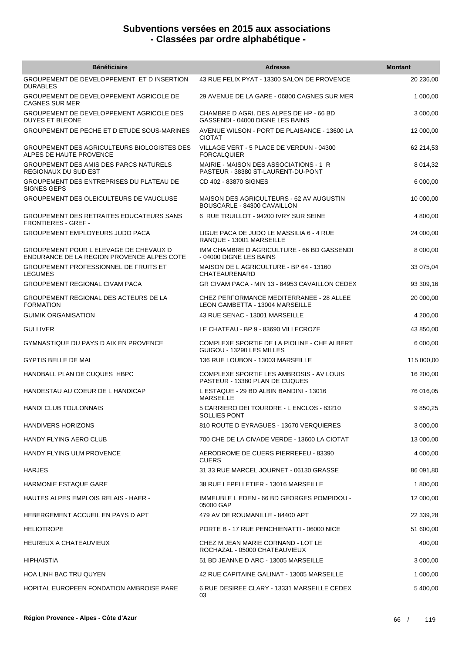| <b>Bénéficiaire</b>                                                                  | <b>Adresse</b>                                                               | <b>Montant</b> |
|--------------------------------------------------------------------------------------|------------------------------------------------------------------------------|----------------|
| GROUPEMENT DE DEVELOPPEMENT ET D INSERTION<br><b>DURABLES</b>                        | 43 RUE FELIX PYAT - 13300 SALON DE PROVENCE                                  | 20 236,00      |
| GROUPEMENT DE DEVELOPPEMENT AGRICOLE DE<br><b>CAGNES SUR MER</b>                     | 29 AVENUE DE LA GARE - 06800 CAGNES SUR MER                                  | 1 000,00       |
| GROUPEMENT DE DEVELOPPEMENT AGRICOLE DES<br>DUYES ET BLEONE                          | CHAMBRE D AGRI. DES ALPES DE HP - 66 BD<br>GASSENDI - 04000 DIGNE LES BAINS  | 3 000,00       |
| GROUPEMENT DE PECHE ET D ETUDE SOUS-MARINES                                          | AVENUE WILSON - PORT DE PLAISANCE - 13600 LA<br><b>CIOTAT</b>                | 12 000,00      |
| GROUPEMENT DES AGRICULTEURS BIOLOGISTES DES<br>ALPES DE HAUTE PROVENCE               | VILLAGE VERT - 5 PLACE DE VERDUN - 04300<br><b>FORCALQUIER</b>               | 62 214,53      |
| GROUPEMENT DES AMIS DES PARCS NATURELS<br>REGIONAUX DU SUD EST                       | MAIRIE - MAISON DES ASSOCIATIONS - 1 R<br>PASTEUR - 38380 ST-LAURENT-DU-PONT | 8 0 14, 32     |
| GROUPEMENT DES ENTREPRISES DU PLATEAU DE<br><b>SIGNES GEPS</b>                       | CD 402 - 83870 SIGNES                                                        | 6 000,00       |
| GROUPEMENT DES OLEICULTEURS DE VAUCLUSE                                              | MAISON DES AGRICULTEURS - 62 AV AUGUSTIN<br>BOUSCARLE - 84300 CAVAILLON      | 10 000,00      |
| GROUPEMENT DES RETRAITES EDUCATEURS SANS<br><b>FRONTIERES - GREF -</b>               | 6 RUE TRUILLOT - 94200 IVRY SUR SEINE                                        | 4 800,00       |
| <b>GROUPEMENT EMPLOYEURS JUDO PACA</b>                                               | LIGUE PACA DE JUDO LE MASSILIA 6 - 4 RUE<br>RANQUE - 13001 MARSEILLE         | 24 000,00      |
| GROUPEMENT POUR L ELEVAGE DE CHEVAUX D<br>ENDURANCE DE LA REGION PROVENCE ALPES COTE | IMM CHAMBRE D AGRICULTURE - 66 BD GASSENDI<br>- 04000 DIGNE LES BAINS        | 8 000,00       |
| <b>GROUPEMENT PROFESSIONNEL DE FRUITS ET</b><br><b>LEGUMES</b>                       | MAISON DE L AGRICULTURE - BP 64 - 13160<br>CHATEAURENARD                     | 33 075,04      |
| <b>GROUPEMENT REGIONAL CIVAM PACA</b>                                                | GR CIVAM PACA - MIN 13 - 84953 CAVAILLON CEDEX                               | 93 309,16      |
| GROUPEMENT REGIONAL DES ACTEURS DE LA<br><b>FORMATION</b>                            | CHEZ PERFORMANCE MEDITERRANEE - 28 ALLEE<br>LEON GAMBETTA - 13004 MARSEILLE  | 20 000,00      |
| <b>GUIMIK ORGANISATION</b>                                                           | 43 RUE SENAC - 13001 MARSEILLE                                               | 4 200,00       |
| <b>GULLIVER</b>                                                                      | LE CHATEAU - BP 9 - 83690 VILLECROZE                                         | 43 850,00      |
| GYMNASTIQUE DU PAYS D AIX EN PROVENCE                                                | COMPLEXE SPORTIF DE LA PIOLINE - CHE ALBERT<br>GUIGOU - 13290 LES MILLES     | 6 000,00       |
| <b>GYPTIS BELLE DE MAI</b>                                                           | 136 RUE LOUBON - 13003 MARSEILLE                                             | 115 000,00     |
| HANDBALL PLAN DE CUQUES HBPC                                                         | COMPLEXE SPORTIF LES AMBROSIS - AV LOUIS<br>PASTEUR - 13380 PLAN DE CUQUES   | 16 200,00      |
| HANDESTAU AU COEUR DE L HANDICAP                                                     | L ESTAQUE - 29 BD ALBIN BANDINI - 13016<br><b>MARSEILLE</b>                  | 76 016,05      |
| HANDI CLUB TOULONNAIS                                                                | 5 CARRIERO DEI TOURDRE - L ENCLOS - 83210<br>SOLLIES PONT                    | 9 850,25       |
| <b>HANDIVERS HORIZONS</b>                                                            | 810 ROUTE D EYRAGUES - 13670 VERQUIERES                                      | 3 000,00       |
| HANDY FLYING AERO CLUB                                                               | 700 CHE DE LA CIVADE VERDE - 13600 LA CIOTAT                                 | 13 000,00      |
| HANDY FLYING ULM PROVENCE                                                            | AERODROME DE CUERS PIERREFEU - 83390<br><b>CUERS</b>                         | 4 000,00       |
| <b>HARJES</b>                                                                        | 31 33 RUE MARCEL JOURNET - 06130 GRASSE                                      | 86 091,80      |
| <b>HARMONIE ESTAQUE GARE</b>                                                         | 38 RUE LEPELLETIER - 13016 MARSEILLE                                         | 1 800,00       |
| <b>HAUTES ALPES EMPLOIS RELAIS - HAER -</b>                                          | IMMEUBLE L EDEN - 66 BD GEORGES POMPIDOU -<br>05000 GAP                      | 12 000,00      |
| HEBERGEMENT ACCUEIL EN PAYS D APT                                                    | 479 AV DE ROUMANILLE - 84400 APT                                             | 22 339,28      |
| <b>HELIOTROPE</b>                                                                    | PORTE B - 17 RUE PENCHIENATTI - 06000 NICE                                   | 51 600,00      |
| HEUREUX A CHATEAUVIEUX                                                               | CHEZ M JEAN MARIE CORNAND - LOT LE<br>ROCHAZAL - 05000 CHATEAUVIEUX          | 400,00         |
| HIPHAISTIA                                                                           | 51 BD JEANNE D ARC - 13005 MARSEILLE                                         | 3 000,00       |
| <b>HOA LINH BAC TRU QUYEN</b>                                                        | 42 RUE CAPITAINE GALINAT - 13005 MARSEILLE                                   | 1 000,00       |
| HOPITAL EUROPEEN FONDATION AMBROISE PARE                                             | 6 RUE DESIREE CLARY - 13331 MARSEILLE CEDEX<br>03                            | 5 400,00       |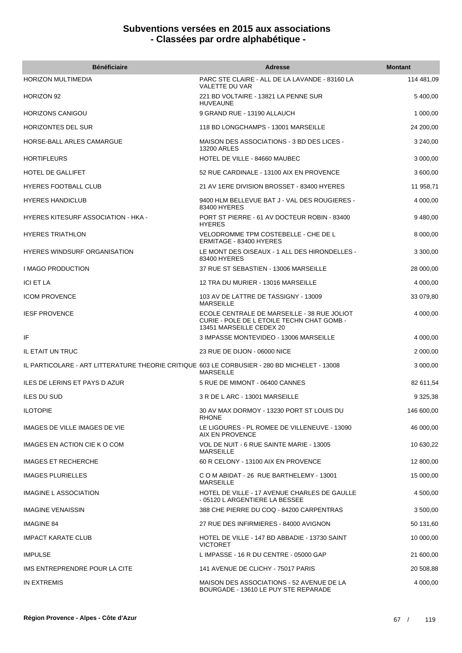| <b>Bénéficiaire</b>                                                                          | <b>Adresse</b>                                                                                                        | <b>Montant</b> |
|----------------------------------------------------------------------------------------------|-----------------------------------------------------------------------------------------------------------------------|----------------|
| <b>HORIZON MULTIMEDIA</b>                                                                    | PARC STE CLAIRE - ALL DE LA LAVANDE - 83160 LA<br>VALETTE DU VAR                                                      | 114 481,09     |
| HORIZON 92                                                                                   | 221 BD VOLTAIRE - 13821 LA PENNE SUR<br><b>HUVEAUNE</b>                                                               | 5 400,00       |
| <b>HORIZONS CANIGOU</b>                                                                      | 9 GRAND RUE - 13190 ALLAUCH                                                                                           | 1 000,00       |
| <b>HORIZONTES DEL SUR</b>                                                                    | 118 BD LONGCHAMPS - 13001 MARSEILLE                                                                                   | 24 200,00      |
| HORSE-BALL ARLES CAMARGUE                                                                    | MAISON DES ASSOCIATIONS - 3 BD DES LICES -<br><b>13200 ARLES</b>                                                      | 3 240,00       |
| <b>HORTIFLEURS</b>                                                                           | HOTEL DE VILLE - 84660 MAUBEC                                                                                         | 3 000,00       |
| <b>HOTEL DE GALLIFET</b>                                                                     | 52 RUE CARDINALE - 13100 AIX EN PROVENCE                                                                              | 3 600,00       |
| <b>HYERES FOOTBALL CLUB</b>                                                                  | 21 AV 1ERE DIVISION BROSSET - 83400 HYERES                                                                            | 11 958,71      |
| <b>HYERES HANDICLUB</b>                                                                      | 9400 HLM BELLEVUE BAT J - VAL DES ROUGIERES -<br>83400 HYERES                                                         | 4 000,00       |
| <b>HYERES KITESURF ASSOCIATION - HKA -</b>                                                   | PORT ST PIERRE - 61 AV DOCTEUR ROBIN - 83400<br><b>HYERES</b>                                                         | 9 480,00       |
| <b>HYERES TRIATHLON</b>                                                                      | VELODROMME TPM COSTEBELLE - CHE DE L<br>ERMITAGE - 83400 HYERES                                                       | 8 000,00       |
| <b>HYERES WINDSURF ORGANISATION</b>                                                          | LE MONT DES OISEAUX - 1 ALL DES HIRONDELLES -<br>83400 HYERES                                                         | 3 300,00       |
| <b>I MAGO PRODUCTION</b>                                                                     | 37 RUE ST SEBASTIEN - 13006 MARSEILLE                                                                                 | 28 000,00      |
| <b>ICI ET LA</b>                                                                             | 12 TRA DU MURIER - 13016 MARSEILLE                                                                                    | 4 000,00       |
| <b>ICOM PROVENCE</b>                                                                         | 103 AV DE LATTRE DE TASSIGNY - 13009<br><b>MARSEILLE</b>                                                              | 33 079,80      |
| <b>IESF PROVENCE</b>                                                                         | ECOLE CENTRALE DE MARSEILLE - 38 RUE JOLIOT<br>CURIE - POLE DE L ETOILE TECHN CHAT GOMB -<br>13451 MARSEILLE CEDEX 20 | 4 000,00       |
| ΙF                                                                                           | 3 IMPASSE MONTEVIDEO - 13006 MARSEILLE                                                                                | 4 000,00       |
| IL ETAIT UN TRUC                                                                             | 23 RUE DE DIJON - 06000 NICE                                                                                          | 2 000,00       |
| IL PARTICOLARE - ART LITTERATURE THEORIE CRITIQUE 603 LE CORBUSIER - 280 BD MICHELET - 13008 | <b>MARSEILLE</b>                                                                                                      | 3 000,00       |
| ILES DE LERINS ET PAYS D AZUR                                                                | 5 RUE DE MIMONT - 06400 CANNES                                                                                        | 82 611,54      |
| <b>ILES DU SUD</b>                                                                           | 3 R DE L ARC - 13001 MARSEILLE                                                                                        | 9 3 25, 38     |
| <b>ILOTOPIE</b>                                                                              | 30 AV MAX DORMOY - 13230 PORT ST LOUIS DU<br><b>RHONE</b>                                                             | 146 600,00     |
| IMAGES DE VILLE IMAGES DE VIE                                                                | LE LIGOURES - PL ROMEE DE VILLENEUVE - 13090<br>AIX EN PROVENCE                                                       | 46 000,00      |
| IMAGES EN ACTION CIE K O COM                                                                 | VOL DE NUIT - 6 RUE SAINTE MARIE - 13005<br><b>MARSEILLE</b>                                                          | 10 630,22      |
| <b>IMAGES ET RECHERCHE</b>                                                                   | 60 R CELONY - 13100 AIX EN PROVENCE                                                                                   | 12 800,00      |
| <b>IMAGES PLURIELLES</b>                                                                     | C O M ABIDAT - 26 RUE BARTHELEMY - 13001<br><b>MARSEILLE</b>                                                          | 15 000,00      |
| <b>IMAGINE L ASSOCIATION</b>                                                                 | HOTEL DE VILLE - 17 AVENUE CHARLES DE GAULLE<br>- 05120 L ARGENTIERE LA BESSEE                                        | 4 500,00       |
| <b>IMAGINE VENAISSIN</b>                                                                     | 388 CHE PIERRE DU COQ - 84200 CARPENTRAS                                                                              | 3 500,00       |
| <b>IMAGINE 84</b>                                                                            | 27 RUE DES INFIRMIERES - 84000 AVIGNON                                                                                | 50 131,60      |
| <b>IMPACT KARATE CLUB</b>                                                                    | HOTEL DE VILLE - 147 BD ABBADIE - 13730 SAINT<br><b>VICTORET</b>                                                      | 10 000,00      |
| <b>IMPULSE</b>                                                                               | L IMPASSE - 16 R DU CENTRE - 05000 GAP                                                                                | 21 600,00      |
| IMS ENTREPRENDRE POUR LA CITE                                                                | 141 AVENUE DE CLICHY - 75017 PARIS                                                                                    | 20 508,88      |
| IN EXTREMIS                                                                                  | MAISON DES ASSOCIATIONS - 52 AVENUE DE LA<br>BOURGADE - 13610 LE PUY STE REPARADE                                     | 4 000,00       |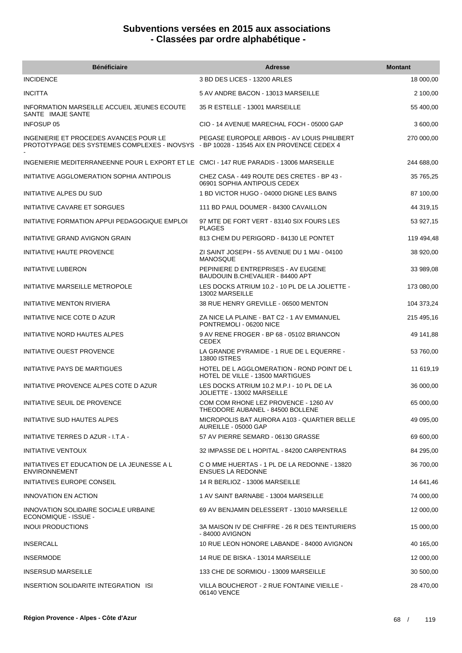| <b>Bénéficiaire</b>                                                                                                               | <b>Adresse</b>                                                                | <b>Montant</b> |
|-----------------------------------------------------------------------------------------------------------------------------------|-------------------------------------------------------------------------------|----------------|
| <b>INCIDENCE</b>                                                                                                                  | 3 BD DES LICES - 13200 ARLES                                                  | 18 000,00      |
| <b>INCITTA</b>                                                                                                                    | 5 AV ANDRE BACON - 13013 MARSEILLE                                            | 2 100,00       |
| INFORMATION MARSEILLE ACCUEIL JEUNES ECOUTE<br>SANTE IMAJE SANTE                                                                  | 35 R ESTELLE - 13001 MARSEILLE                                                | 55 400,00      |
| <b>INFOSUP 05</b>                                                                                                                 | CIO - 14 AVENUE MARECHAL FOCH - 05000 GAP                                     | 3 600,00       |
| INGENIERIE ET PROCEDES AVANCES POUR LE<br>PROTOTYPAGE DES SYSTEMES COMPLEXES - INOVSYS - BP 10028 - 13545 AIX EN PROVENCE CEDEX 4 | PEGASE EUROPOLE ARBOIS - AV LOUIS PHILIBERT                                   | 270 000,00     |
| INGENIERIE MEDITERRANEENNE POUR LEXPORT ET LE CMCI-147 RUE PARADIS-13006 MARSEILLE                                                |                                                                               | 244 688,00     |
| INITIATIVE AGGLOMERATION SOPHIA ANTIPOLIS                                                                                         | CHEZ CASA - 449 ROUTE DES CRETES - BP 43 -<br>06901 SOPHIA ANTIPOLIS CEDEX    | 35 765,25      |
| INITIATIVE ALPES DU SUD                                                                                                           | 1 BD VICTOR HUGO - 04000 DIGNE LES BAINS                                      | 87 100,00      |
| INITIATIVE CAVARE ET SORGUES                                                                                                      | 111 BD PAUL DOUMER - 84300 CAVAILLON                                          | 44 319,15      |
| INITIATIVE FORMATION APPUI PEDAGOGIQUE EMPLOI                                                                                     | 97 MTE DE FORT VERT - 83140 SIX FOURS LES<br><b>PLAGES</b>                    | 53 927,15      |
| INITIATIVE GRAND AVIGNON GRAIN                                                                                                    | 813 CHEM DU PERIGORD - 84130 LE PONTET                                        | 119 494,48     |
| <b>INITIATIVE HAUTE PROVENCE</b>                                                                                                  | ZI SAINT JOSEPH - 55 AVENUE DU 1 MAI - 04100<br><b>MANOSQUE</b>               | 38 920,00      |
| <b>INITIATIVE LUBERON</b>                                                                                                         | PEPINIERE D ENTREPRISES - AV EUGENE<br>BAUDOUIN B.CHEVALIER - 84400 APT       | 33 989,08      |
| INITIATIVE MARSEILLE METROPOLE                                                                                                    | LES DOCKS ATRIUM 10.2 - 10 PL DE LA JOLIETTE -<br>13002 MARSEILLE             | 173 080,00     |
| <b>INITIATIVE MENTON RIVIERA</b>                                                                                                  | 38 RUE HENRY GREVILLE - 06500 MENTON                                          | 104 373,24     |
| INITIATIVE NICE COTE D AZUR                                                                                                       | ZA NICE LA PLAINE - BAT C2 - 1 AV EMMANUEL<br>PONTREMOLI - 06200 NICE         | 215 495,16     |
| INITIATIVE NORD HAUTES ALPES                                                                                                      | 9 AV RENE FROGER - BP 68 - 05102 BRIANCON<br><b>CEDEX</b>                     | 49 141,88      |
| INITIATIVE OUEST PROVENCE                                                                                                         | LA GRANDE PYRAMIDE - 1 RUE DE L EQUERRE -<br><b>13800 ISTRES</b>              | 53 760,00      |
| INITIATIVE PAYS DE MARTIGUES                                                                                                      | HOTEL DE LAGGLOMERATION - ROND POINT DE L<br>HOTEL DE VILLE - 13500 MARTIGUES | 11 619,19      |
| INITIATIVE PROVENCE ALPES COTE D AZUR                                                                                             | LES DOCKS ATRIUM 10.2 M.P.I - 10 PL DE LA<br>JOLIETTE - 13002 MARSEILLE       | 36 000,00      |
| INITIATIVE SEUIL DE PROVENCE                                                                                                      | COM COM RHONE LEZ PROVENCE - 1260 AV<br>THEODORE AUBANEL - 84500 BOLLENE      | 65 000,00      |
| INITIATIVE SUD HAUTES ALPES                                                                                                       | MICROPOLIS BAT AURORA A103 - QUARTIER BELLE<br>AUREILLE - 05000 GAP           | 49 095.00      |
| INITIATIVE TERRES D AZUR - I.T.A -                                                                                                | 57 AV PIERRE SEMARD - 06130 GRASSE                                            | 69 600,00      |
| <b>INITIATIVE VENTOUX</b>                                                                                                         | 32 IMPASSE DE L HOPITAL - 84200 CARPENTRAS                                    | 84 295,00      |
| INITIATIVES ET EDUCATION DE LA JEUNESSE A L<br><b>ENVIRONNEMENT</b>                                                               | C O MME HUERTAS - 1 PL DE LA REDONNE - 13820<br><b>ENSUES LA REDONNE</b>      | 36 700,00      |
| INITIATIVES EUROPE CONSEIL                                                                                                        | 14 R BERLIOZ - 13006 MARSEILLE                                                | 14 641,46      |
| <b>INNOVATION EN ACTION</b>                                                                                                       | 1 AV SAINT BARNABE - 13004 MARSEILLE                                          | 74 000,00      |
| INNOVATION SOLIDAIRE SOCIALE URBAINE<br>ECONOMIQUE - ISSUE -                                                                      | 69 AV BENJAMIN DELESSERT - 13010 MARSEILLE                                    | 12 000,00      |
| <b>INOUI PRODUCTIONS</b>                                                                                                          | 3A MAISON IV DE CHIFFRE - 26 R DES TEINTURIERS<br>- 84000 AVIGNON             | 15 000,00      |
| <b>INSERCALL</b>                                                                                                                  | 10 RUE LEON HONORE LABANDE - 84000 AVIGNON                                    | 40 165,00      |
| <b>INSERMODE</b>                                                                                                                  | 14 RUE DE BISKA - 13014 MARSEILLE                                             | 12 000,00      |
| <b>INSERSUD MARSEILLE</b>                                                                                                         | 133 CHE DE SORMIOU - 13009 MARSEILLE                                          | 30 500,00      |
| INSERTION SOLIDARITE INTEGRATION ISI                                                                                              | VILLA BOUCHEROT - 2 RUE FONTAINE VIEILLE -<br>06140 VENCE                     | 28 470,00      |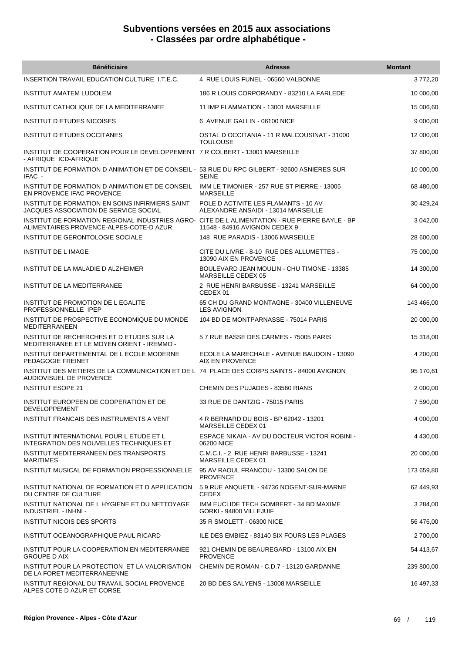| <b>Bénéficiaire</b>                                                                                                                       | <b>Adresse</b>                                                              | <b>Montant</b> |
|-------------------------------------------------------------------------------------------------------------------------------------------|-----------------------------------------------------------------------------|----------------|
| INSERTION TRAVAIL EDUCATION CULTURE 1.T.E.C.                                                                                              | 4 RUE LOUIS FUNEL - 06560 VALBONNE                                          | 3772,20        |
| INSTITUT AMATEM LUDOLEM                                                                                                                   | 186 R LOUIS CORPORANDY - 83210 LA FARLEDE                                   | 10 000,00      |
| INSTITUT CATHOLIQUE DE LA MEDITERRANEE                                                                                                    | 11 IMP FLAMMATION - 13001 MARSEILLE                                         | 15 006,60      |
| <b>INSTITUT D ETUDES NICOISES</b>                                                                                                         | 6 AVENUE GALLIN - 06100 NICE                                                | 9 000,00       |
| INSTITUT D ETUDES OCCITANES                                                                                                               | OSTAL D OCCITANIA - 11 R MALCOUSINAT - 31000<br><b>TOULOUSE</b>             | 12 000,00      |
| INSTITUT DE COOPERATION POUR LE DEVELOPPEMENT 7 R COLBERT - 13001 MARSEILLE<br>- AFRIQUE ICD-AFRIQUE                                      |                                                                             | 37 800,00      |
| INSTITUT DE FORMATION D ANIMATION ET DE CONSEIL - 53 RUE DU RPC GILBERT - 92600 ASNIERES SUR<br>IFAC -                                    | <b>SEINE</b>                                                                | 10 000,00      |
| INSTITUT DE FORMATION D ANIMATION ET DE CONSEIL<br>EN PROVENCE IFAC PROVENCE                                                              | IMM LE TIMONIER - 257 RUE ST PIERRE - 13005<br><b>MARSEILLE</b>             | 68 480,00      |
| INSTITUT DE FORMATION EN SOINS INFIRMIERS SAINT<br>JACQUES ASSOCIATION DE SERVICE SOCIAL                                                  | POLE D ACTIVITE LES FLAMANTS - 10 AV<br>ALEXANDRE ANSAIDI - 13014 MARSEILLE | 30 429,24      |
| INSTITUT DE FORMATION REGIONAL INDUSTRIES AGRO- CITE DE L ALIMENTATION - RUE PIERRE BAYLE - BP<br>ALIMENTAIRES PROVENCE-ALPES-COTE-D AZUR | 11548 - 84916 AVIGNON CEDEX 9                                               | 3 042,00       |
| INSTITUT DE GERONTOLOGIE SOCIALE                                                                                                          | 148 RUE PARADIS - 13006 MARSEILLE                                           | 28 600,00      |
| <b>INSTITUT DE L IMAGE</b>                                                                                                                | CITE DU LIVRE - 8-10 RUE DES ALLUMETTES -<br>13090 AIX EN PROVENCE          | 75 000,00      |
| INSTITUT DE LA MALADIE D ALZHEIMER                                                                                                        | BOULEVARD JEAN MOULIN - CHU TIMONE - 13385<br>MARSEILLE CEDEX 05            | 14 300,00      |
| INSTITUT DE LA MEDITERRANEE                                                                                                               | 2 RUE HENRI BARBUSSE - 13241 MARSEILLE<br>CEDEX 01                          | 64 000,00      |
| INSTITUT DE PROMOTION DE L EGALITE<br>PROFESSIONNELLE IPEP                                                                                | 65 CH DU GRAND MONTAGNE - 30400 VILLENEUVE<br><b>LES AVIGNON</b>            | 143 466,00     |
| INSTITUT DE PROSPECTIVE ECONOMIQUE DU MONDE<br><b>MEDITERRANEEN</b>                                                                       | 104 BD DE MONTPARNASSE - 75014 PARIS                                        | 20 000,00      |
| INSTITUT DE RECHERCHES ET D ETUDES SUR LA<br>MEDITERRANEE ET LE MOYEN ORIENT - IREMMO -                                                   | 57 RUE BASSE DES CARMES - 75005 PARIS                                       | 15 318,00      |
| INSTITUT DEPARTEMENTAL DE L ECOLE MODERNE<br>PEDAGOGIE FREINET                                                                            | ECOLE LA MARECHALE - AVENUE BAUDOIN - 13090<br>AIX EN PROVENCE              | 4 200,00       |
| INSTITUT DES METIERS DE LA COMMUNICATION ET DE L 74 PLACE DES CORPS SAINTS - 84000 AVIGNON<br>AUDIOVISUEL DE PROVENCE                     |                                                                             | 95 170,61      |
| <b>INSTITUT ESOPE 21</b>                                                                                                                  | CHEMIN DES PUJADES - 83560 RIANS                                            | 2 000,00       |
| INSTITUT EUROPEEN DE COOPERATION ET DE<br>DEVELOPPEMENT                                                                                   | 33 RUE DE DANTZIG - 75015 PARIS                                             | 7 590,00       |
| INSTITUT FRANCAIS DES INSTRUMENTS A VENT                                                                                                  | 4 R BERNARD DU BOIS - BP 62042 - 13201<br>MARSEILLE CEDEX 01                | 4 000,00       |
| INSTITUT INTERNATIONAL POUR L ETUDE ET L<br>INTEGRATION DES NOUVELLES TECHNIQUES ET                                                       | ESPACE NIKAIA - AV DU DOCTEUR VICTOR ROBINI -<br>06200 NICE                 | 4 430,00       |
| INSTITUT MEDITERRANEEN DES TRANSPORTS<br><b>MARITIMES</b>                                                                                 | C.M.C.I. - 2 RUE HENRI BARBUSSE - 13241<br>MARSEILLE CEDEX 01               | 20 000,00      |
| INSTITUT MUSICAL DE FORMATION PROFESSIONNELLE                                                                                             | 95 AV RAOUL FRANCOU - 13300 SALON DE<br><b>PROVENCE</b>                     | 173 659,80     |
| INSTITUT NATIONAL DE FORMATION ET D APPLICATION<br>DU CENTRE DE CULTURE                                                                   | 59 RUE ANQUETIL - 94736 NOGENT-SUR-MARNE<br><b>CEDEX</b>                    | 62 449,93      |
| INSTITUT NATIONAL DE L HYGIENE ET DU NETTOYAGE<br>INDUSTRIEL - INHNI -                                                                    | IMM EUCLIDE TECH GOMBERT - 34 BD MAXIME<br>GORKI - 94800 VILLEJUIF          | 3 284,00       |
| <b>INSTITUT NICOIS DES SPORTS</b>                                                                                                         | 35 R SMOLETT - 06300 NICE                                                   | 56 476,00      |
| INSTITUT OCEANOGRAPHIQUE PAUL RICARD                                                                                                      | ILE DES EMBIEZ - 83140 SIX FOURS LES PLAGES                                 | 2 700,00       |
| INSTITUT POUR LA COOPERATION EN MEDITERRANEE<br><b>GROUPE D AIX</b>                                                                       | 921 CHEMIN DE BEAUREGARD - 13100 AIX EN<br><b>PROVENCE</b>                  | 54 413,67      |
| INSTITUT POUR LA PROTECTION ET LA VALORISATION<br>DE LA FORET MEDITERRANEENNE                                                             | CHEMIN DE ROMAN - C.D.7 - 13120 GARDANNE                                    | 239 800,00     |
| INSTITUT REGIONAL DU TRAVAIL SOCIAL PROVENCE<br>ALPES COTE D AZUR ET CORSE                                                                | 20 BD DES SALYENS - 13008 MARSEILLE                                         | 16 497,33      |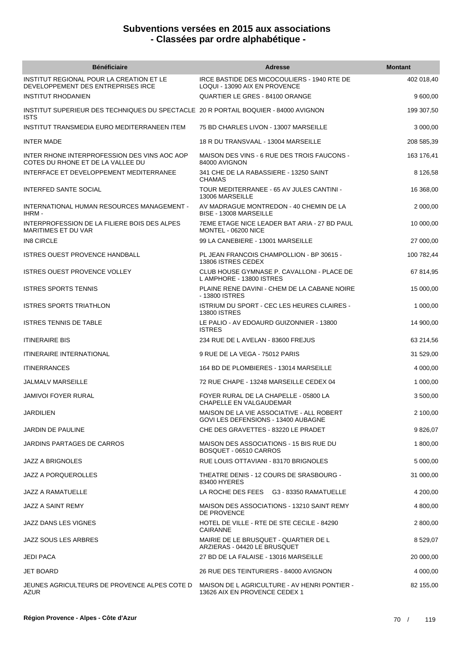| <b>Bénéficiaire</b>                                                                                | <b>Adresse</b>                                                                   | <b>Montant</b> |
|----------------------------------------------------------------------------------------------------|----------------------------------------------------------------------------------|----------------|
| INSTITUT REGIONAL POUR LA CREATION ET LE<br>DEVELOPPEMENT DES ENTREPRISES IRCE                     | IRCE BASTIDE DES MICOCOULIERS - 1940 RTE DE<br>LOQUI - 13090 AIX EN PROVENCE     | 402 018,40     |
| <b>INSTITUT RHODANIEN</b>                                                                          | QUARTIER LE GRES - 84100 ORANGE                                                  | 9 600,00       |
| INSTITUT SUPERIEUR DES TECHNIQUES DU SPECTACLE 20 R PORTAIL BOQUIER - 84000 AVIGNON<br><b>ISTS</b> |                                                                                  | 199 307,50     |
| INSTITUT TRANSMEDIA EURO MEDITERRANEEN ITEM                                                        | 75 BD CHARLES LIVON - 13007 MARSEILLE                                            | 3 000,00       |
| <b>INTER MADE</b>                                                                                  | 18 R DU TRANSVAAL - 13004 MARSEILLE                                              | 208 585,39     |
| INTER RHONE INTERPROFESSION DES VINS AOC AOP<br>COTES DU RHONE ET DE LA VALLEE DU                  | MAISON DES VINS - 6 RUE DES TROIS FAUCONS -<br>84000 AVIGNON                     | 163 176,41     |
| INTERFACE ET DEVELOPPEMENT MEDITERRANEE                                                            | 341 CHE DE LA RABASSIERE - 13250 SAINT<br><b>CHAMAS</b>                          | 8 126,58       |
| INTERFED SANTE SOCIAL                                                                              | TOUR MEDITERRANEE - 65 AV JULES CANTINI -<br>13006 MARSEILLE                     | 16 368,00      |
| INTERNATIONAL HUMAN RESOURCES MANAGEMENT -<br>IHRM-                                                | AV MADRAGUE MONTREDON - 40 CHEMIN DE LA<br>BISE - 13008 MARSEILLE                | 2 000,00       |
| INTERPROFESSION DE LA FILIERE BOIS DES ALPES<br>MARITIMES ET DU VAR                                | 7EME ETAGE NICE LEADER BAT ARIA - 27 BD PAUL<br>MONTEL - 06200 NICE              | 10 000,00      |
| <b>IN8 CIRCLE</b>                                                                                  | 99 LA CANEBIERE - 13001 MARSEILLE                                                | 27 000,00      |
| <b>ISTRES OUEST PROVENCE HANDBALL</b>                                                              | PL JEAN FRANCOIS CHAMPOLLION - BP 30615 -<br>13806 ISTRES CEDEX                  | 100 782,44     |
| <b>ISTRES OUEST PROVENCE VOLLEY</b>                                                                | CLUB HOUSE GYMNASE P. CAVALLONI - PLACE DE<br>L AMPHORE - 13800 ISTRES           | 67 814,95      |
| <b>ISTRES SPORTS TENNIS</b>                                                                        | PLAINE RENE DAVINI - CHEM DE LA CABANE NOIRE<br>- 13800 ISTRES                   | 15 000,00      |
| <b>ISTRES SPORTS TRIATHLON</b>                                                                     | <b>ISTRIUM DU SPORT - CEC LES HEURES CLAIRES -</b><br><b>13800 ISTRES</b>        | 1 000,00       |
| <b>ISTRES TENNIS DE TABLE</b>                                                                      | LE PALIO - AV EDOAURD GUIZONNIER - 13800<br><b>ISTRES</b>                        | 14 900,00      |
| <b>ITINERAIRE BIS</b>                                                                              | 234 RUE DE L AVELAN - 83600 FREJUS                                               | 63 214,56      |
| <b>ITINERAIRE INTERNATIONAL</b>                                                                    | 9 RUE DE LA VEGA - 75012 PARIS                                                   | 31 529,00      |
| <b>ITINERRANCES</b>                                                                                | 164 BD DE PLOMBIERES - 13014 MARSEILLE                                           | 4 000,00       |
| JALMALV MARSEILLE                                                                                  | 72 RUE CHAPE - 13248 MARSEILLE CEDEX 04                                          | 1 000,00       |
| <b>JAMIVOI FOYER RURAL</b>                                                                         | FOYER RURAL DE LA CHAPELLE - 05800 LA<br>CHAPELLE EN VALGAUDEMAR                 | 3 500,00       |
| <b>JARDILIEN</b>                                                                                   | MAISON DE LA VIE ASSOCIATIVE - ALL ROBERT<br>GOVI LES DEFENSIONS - 13400 AUBAGNE | 2 100,00       |
| <b>JARDIN DE PAULINE</b>                                                                           | CHE DES GRAVETTES - 83220 LE PRADET                                              | 9 826,07       |
| JARDINS PARTAGES DE CARROS                                                                         | MAISON DES ASSOCIATIONS - 15 BIS RUE DU<br>BOSQUET - 06510 CARROS                | 1 800,00       |
| JAZZ A BRIGNOLES                                                                                   | RUE LOUIS OTTAVIANI - 83170 BRIGNOLES                                            | 5 000,00       |
| <b>JAZZ A PORQUEROLLES</b>                                                                         | THEATRE DENIS - 12 COURS DE SRASBOURG -<br>83400 HYERES                          | 31 000,00      |
| JAZZ A RAMATUELLE                                                                                  | LA ROCHE DES FEES G3 - 83350 RAMATUELLE                                          | 4 200,00       |
| JAZZ A SAINT REMY                                                                                  | MAISON DES ASSOCIATIONS - 13210 SAINT REMY<br>DE PROVENCE                        | 4 800,00       |
| JAZZ DANS LES VIGNES                                                                               | HOTEL DE VILLE - RTE DE STE CECILE - 84290<br>CAIRANNE                           | 2 800,00       |
| JAZZ SOUS LES ARBRES                                                                               | MAIRIE DE LE BRUSQUET - QUARTIER DE L<br>ARZIERAS - 04420 LE BRUSQUET            | 8 529,07       |
| <b>JEDI PACA</b>                                                                                   | 27 BD DE LA FALAISE - 13016 MARSEILLE                                            | 20 000,00      |
| <b>JET BOARD</b>                                                                                   | 26 RUE DES TEINTURIERS - 84000 AVIGNON                                           | 4 000,00       |
| JEUNES AGRICULTEURS DE PROVENCE ALPES COTE D<br>AZUR                                               | MAISON DE LAGRICULTURE - AV HENRI PONTIER -<br>13626 AIX EN PROVENCE CEDEX 1     | 82 155,00      |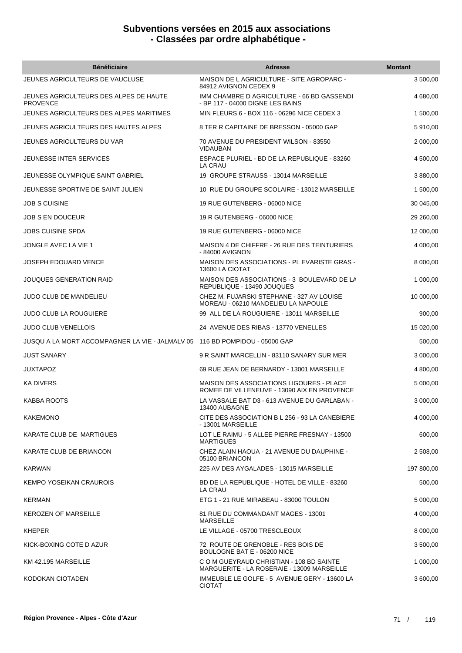| <b>Bénéficiaire</b>                                                         | <b>Adresse</b>                                                                          | <b>Montant</b> |
|-----------------------------------------------------------------------------|-----------------------------------------------------------------------------------------|----------------|
| JEUNES AGRICULTEURS DE VAUCLUSE                                             | MAISON DE L AGRICULTURE - SITE AGROPARC -<br>84912 AVIGNON CEDEX 9                      | 3 500,00       |
| JEUNES AGRICULTEURS DES ALPES DE HAUTE<br><b>PROVENCE</b>                   | IMM CHAMBRE D AGRICULTURE - 66 BD GASSENDI<br>- BP 117 - 04000 DIGNE LES BAINS          | 4 680,00       |
| JEUNES AGRICULTEURS DES ALPES MARITIMES                                     | MIN FLEURS 6 - BOX 116 - 06296 NICE CEDEX 3                                             | 1 500,00       |
| JEUNES AGRICULTEURS DES HAUTES ALPES                                        | 8 TER R CAPITAINE DE BRESSON - 05000 GAP                                                | 5 910,00       |
| JEUNES AGRICULTEURS DU VAR                                                  | 70 AVENUE DU PRESIDENT WILSON - 83550<br>VIDAUBAN                                       | 2 000,00       |
| JEUNESSE INTER SERVICES                                                     | ESPACE PLURIEL - BD DE LA REPUBLIQUE - 83260<br><b>LA CRAU</b>                          | 4 500,00       |
| JEUNESSE OLYMPIQUE SAINT GABRIEL                                            | 19 GROUPE STRAUSS - 13014 MARSEILLE                                                     | 3 880,00       |
| JEUNESSE SPORTIVE DE SAINT JULIEN                                           | 10 RUE DU GROUPE SCOLAIRE - 13012 MARSEILLE                                             | 1 500,00       |
| <b>JOB S CUISINE</b>                                                        | 19 RUE GUTENBERG - 06000 NICE                                                           | 30 045,00      |
| <b>JOB S EN DOUCEUR</b>                                                     | 19 R GUTENBERG - 06000 NICE                                                             | 29 260,00      |
| <b>JOBS CUISINE SPDA</b>                                                    | 19 RUE GUTENBERG - 06000 NICE                                                           | 12 000,00      |
| JONGLE AVEC LA VIE 1                                                        | MAISON 4 DE CHIFFRE - 26 RUE DES TEINTURIERS<br>- 84000 AVIGNON                         | 4 000,00       |
| <b>JOSEPH EDOUARD VENCE</b>                                                 | <b>MAISON DES ASSOCIATIONS - PL EVARISTE GRAS -</b><br>13600 LA CIOTAT                  | 8 000,00       |
| JOUQUES GENERATION RAID                                                     | MAISON DES ASSOCIATIONS - 3 BOULEVARD DE LA<br>REPUBLIQUE - 13490 JOUQUES               | 1 000,00       |
| JUDO CLUB DE MANDELIEU                                                      | CHEZ M. FUJARSKI STEPHANE - 327 AV LOUISE<br>MOREAU - 06210 MANDELIEU LA NAPOULE        | 10 000,00      |
| <b>JUDO CLUB LA ROUGUIERE</b>                                               | 99 ALL DE LA ROUGUIERE - 13011 MARSEILLE                                                | 900,00         |
| <b>JUDO CLUB VENELLOIS</b>                                                  | 24 AVENUE DES RIBAS - 13770 VENELLES                                                    | 15 020,00      |
| JUSQU A LA MORT ACCOMPAGNER LA VIE - JALMALV 05 116 BD POMPIDOU - 05000 GAP |                                                                                         | 500,00         |
| <b>JUST SANARY</b>                                                          | 9 R SAINT MARCELLIN - 83110 SANARY SUR MER                                              | 3 000,00       |
| <b>JUXTAPOZ</b>                                                             | 69 RUE JEAN DE BERNARDY - 13001 MARSEILLE                                               | 4 800,00       |
| <b>KA DIVERS</b>                                                            | MAISON DES ASSOCIATIONS LIGOURES - PLACE<br>ROMEE DE VILLENEUVE - 13090 AIX EN PROVENCE | 5 000,00       |
| <b>KABBA ROOTS</b>                                                          | LA VASSALE BAT D3 - 613 AVENUE DU GARLABAN -<br>13400 AUBAGNE                           | 3 000,00       |
| <b>KAKEMONO</b>                                                             | CITE DES ASSOCIATION B L 256 - 93 LA CANEBIERE<br>- 13001 MARSEILLE                     | 4 000,00       |
| KARATE CLUB DE MARTIGUES                                                    | LOT LE RAIMU - 5 ALLEE PIERRE FRESNAY - 13500<br><b>MARTIGUES</b>                       | 600,00         |
| KARATE CLUB DE BRIANCON                                                     | CHEZ ALAIN HAOUA - 21 AVENUE DU DAUPHINE -<br>05100 BRIANCON                            | 2 508,00       |
| <b>KARWAN</b>                                                               | 225 AV DES AYGALADES - 13015 MARSEILLE                                                  | 197 800,00     |
| KEMPO YOSEIKAN CRAUROIS                                                     | BD DE LA REPUBLIQUE - HOTEL DE VILLE - 83260<br>LA CRAU                                 | 500,00         |
| <b>KERMAN</b>                                                               | ETG 1 - 21 RUE MIRABEAU - 83000 TOULON                                                  | 5 000,00       |
| <b>KEROZEN OF MARSEILLE</b>                                                 | 81 RUE DU COMMANDANT MAGES - 13001<br><b>MARSEILLE</b>                                  | 4 000,00       |
| <b>KHEPER</b>                                                               | LE VILLAGE - 05700 TRESCLEOUX                                                           | 8 000,00       |
| KICK-BOXING COTE D AZUR                                                     | 72 ROUTE DE GRENOBLE - RES BOIS DE<br>BOULOGNE BAT E - 06200 NICE                       | 3 500,00       |
| KM 42.195 MARSEILLE                                                         | C O M GUEYRAUD CHRISTIAN - 108 BD SAINTE<br>MARGUERITE - LA ROSERAIE - 13009 MARSEILLE  | 1 000,00       |
| KODOKAN CIOTADEN                                                            | IMMEUBLE LE GOLFE - 5 AVENUE GERY - 13600 LA<br><b>CIOTAT</b>                           | 3 600,00       |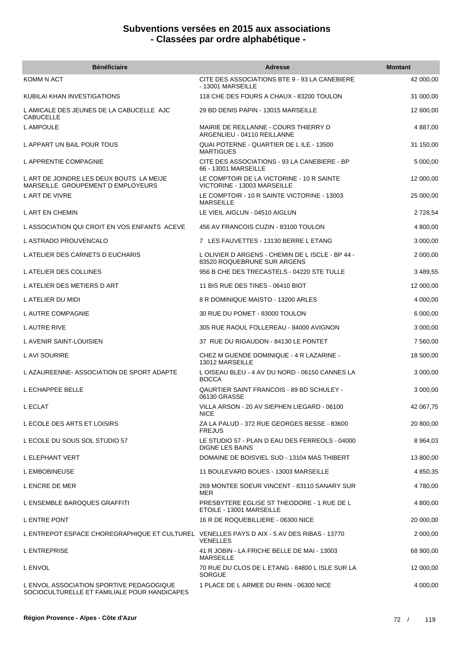| <b>Bénéficiaire</b>                                                                       | <b>Adresse</b>                                                                  | <b>Montant</b> |
|-------------------------------------------------------------------------------------------|---------------------------------------------------------------------------------|----------------|
| KOMM N ACT                                                                                | CITE DES ASSOCIATIONS BTE 9 - 93 LA CANEBIERE<br>- 13001 MARSEILLE              | 42 000,00      |
| KUBILAI KHAN INVESTIGATIONS                                                               | 118 CHE DES FOURS A CHAUX - 83200 TOULON                                        | 31 000,00      |
| L AMICALE DES JEUNES DE LA CABUCELLE AJC<br><b>CABUCELLE</b>                              | 29 BD DENIS PAPIN - 13015 MARSEILLE                                             | 12 600,00      |
| L AMPOULE                                                                                 | MAIRIE DE REILLANNE - COURS THIERRY D<br>ARGENLIEU - 04110 REILLANNE            | 4 887,00       |
| L APPART UN BAIL POUR TOUS                                                                | QUAI POTERNE - QUARTIER DE LILE - 13500<br><b>MARTIGUES</b>                     | 31 150,00      |
| L APPRENTIE COMPAGNIE                                                                     | CITE DES ASSOCIATIONS - 93 LA CANEBIERE - BP<br>66 - 13001 MARSEILLE            | 5 000,00       |
| L ART DE JOINDRE LES DEUX BOUTS LA MEIJE<br>MARSEILLE GROUPEMENT D EMPLOYEURS             | LE COMPTOIR DE LA VICTORINE - 10 R SAINTE<br>VICTORINE - 13003 MARSEILLE        | 12 000,00      |
| L ART DE VIVRE                                                                            | LE COMPTOIR - 10 R SAINTE VICTORINE - 13003<br><b>MARSEILLE</b>                 | 25 000,00      |
| L ART EN CHEMIN                                                                           | LE VIEIL AIGLUN - 04510 AIGLUN                                                  | 2 728,54       |
| L ASSOCIATION QUI CROIT EN VOS ENFANTS ACEVE                                              | 456 AV FRANCOIS CUZIN - 83100 TOULON                                            | 4 800,00       |
| L ASTRADO PROUVENCALO                                                                     | 7 LES FAUVETTES - 13130 BERRE L ETANG                                           | 3 000,00       |
| L ATELIER DES CARNETS D EUCHARIS                                                          | L OLIVIER D ARGENS - CHEMIN DE L ISCLE - BP 44 -<br>83520 ROQUEBRUNE SUR ARGENS | 2 000,00       |
| L ATELIER DES COLLINES                                                                    | 956 B CHE DES TRECASTELS - 04220 STE TULLE                                      | 3 489,55       |
| L ATELIER DES METIERS D ART                                                               | 11 BIS RUE DES TINES - 06410 BIOT                                               | 12 000,00      |
| L ATELIER DU MIDI                                                                         | 8 R DOMINIQUE MAISTO - 13200 ARLES                                              | 4 000,00       |
| L AUTRE COMPAGNIE                                                                         | 30 RUE DU POMET - 83000 TOULON                                                  | 6 000,00       |
| L AUTRE RIVE                                                                              | 305 RUE RAOUL FOLLEREAU - 84000 AVIGNON                                         | 3 000,00       |
| L AVENIR SAINT-LOUISIEN                                                                   | 37 RUE DU RIGAUDON - 84130 LE PONTET                                            | 7 560,00       |
| L AVI SOURIRE                                                                             | CHEZ M GUENDE DOMINIQUE - 4 R LAZARINE -<br>13012 MARSEILLE                     | 18 500,00      |
| L AZAUREENNE- ASSOCIATION DE SPORT ADAPTE                                                 | LOISEAU BLEU - 4 AV DU NORD - 06150 CANNES LA<br><b>BOCCA</b>                   | 3 000,00       |
| L ECHAPPEE BELLE                                                                          | QAURTIER SAINT FRANCOIS - 89 BD SCHULEY -<br>06130 GRASSE                       | 3 000,00       |
| L ECLAT                                                                                   | VILLA ARSON - 20 AV SIEPHEN LIEGARD - 06100<br><b>NICE</b>                      | 42 067,75      |
| L ECOLE DES ARTS ET LOISIRS                                                               | ZA LA PALUD - 372 RUE GEORGES BESSE - 83600<br><b>FREJUS</b>                    | 20 800,00      |
| L ECOLE DU SOUS SOL STUDIO 57                                                             | LE STUDIO 57 - PLAN D EAU DES FERREOLS - 04000<br><b>DIGNE LES BAINS</b>        | 8 9 64, 03     |
| L ELEPHANT VERT                                                                           | DOMAINE DE BOISVIEL SUD - 13104 MAS THIBERT                                     | 13 800,00      |
| L EMBOBINEUSE                                                                             | 11 BOULEVARD BOUES - 13003 MARSEILLE                                            | 4 850,35       |
| L ENCRE DE MER                                                                            | 269 MONTEE SOEUR VINCENT - 83110 SANARY SUR<br>MER                              | 4780,00        |
| L ENSEMBLE BAROQUES GRAFFITI                                                              | PRESBYTERE EGLISE ST THEODORE - 1 RUE DE L<br>ETOILE - 13001 MARSEILLE          | 4 800,00       |
| L ENTRE PONT                                                                              | 16 R DE ROQUEBILLIERE - 06300 NICE                                              | 20 000,00      |
| L ENTREPOT ESPACE CHOREGRAPHIQUE ET CULTUREL VENELLES PAYS D AIX - 5 AV DES RIBAS - 13770 | <b>VENELLES</b>                                                                 | 2 000,00       |
| <b>L ENTREPRISE</b>                                                                       | 41 R JOBIN - LA FRICHE BELLE DE MAI - 13003<br><b>MARSEILLE</b>                 | 68 900,00      |
| L ENVOL                                                                                   | 70 RUE DU CLOS DE L ETANG - 84800 L ISLE SUR LA<br><b>SORGUE</b>                | 12 000,00      |
| L ENVOL ASSOCIATION SPORTIVE PEDAGOGIQUE<br>SOCIOCULTURELLE ET FAMILIALE POUR HANDICAPES  | 1 PLACE DE L ARMEE DU RHIN - 06300 NICE                                         | 4 000,00       |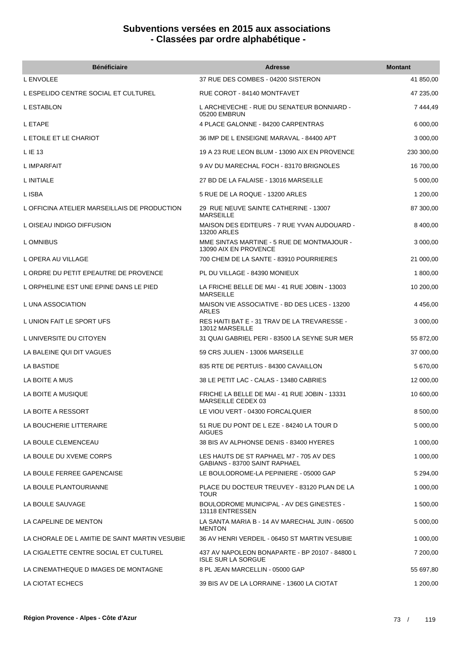| <b>Bénéficiaire</b>                            | <b>Adresse</b>                                                              | <b>Montant</b> |
|------------------------------------------------|-----------------------------------------------------------------------------|----------------|
| L ENVOLEE                                      | 37 RUE DES COMBES - 04200 SISTERON                                          | 41 850,00      |
| L ESPELIDO CENTRE SOCIAL ET CULTUREL           | RUE COROT - 84140 MONTFAVET                                                 | 47 235,00      |
| L ESTABLON                                     | L ARCHEVECHE - RUE DU SENATEUR BONNIARD -<br>05200 EMBRUN                   | 7444,49        |
| L ETAPE                                        | 4 PLACE GALONNE - 84200 CARPENTRAS                                          | 6 000,00       |
| L ETOILE ET LE CHARIOT                         | 36 IMP DE L ENSEIGNE MARAVAL - 84400 APT                                    | 3 000,00       |
| L IE 13                                        | 19 A 23 RUE LEON BLUM - 13090 AIX EN PROVENCE                               | 230 300,00     |
| L IMPARFAIT                                    | 9 AV DU MARECHAL FOCH - 83170 BRIGNOLES                                     | 16 700,00      |
| L INITIALE                                     | 27 BD DE LA FALAISE - 13016 MARSEILLE                                       | 5 000,00       |
| L ISBA                                         | 5 RUE DE LA ROQUE - 13200 ARLES                                             | 1 200,00       |
| L OFFICINA ATELIER MARSEILLAIS DE PRODUCTION   | 29 RUE NEUVE SAINTE CATHERINE - 13007<br><b>MARSEILLE</b>                   | 87 300,00      |
| L OISEAU INDIGO DIFFUSION                      | MAISON DES EDITEURS - 7 RUE YVAN AUDOUARD -<br><b>13200 ARLES</b>           | 8 400,00       |
| L OMNIBUS                                      | MME SINTAS MARTINE - 5 RUE DE MONTMAJOUR -<br>13090 AIX EN PROVENCE         | 3 000,00       |
| L OPERA AU VILLAGE                             | 700 CHEM DE LA SANTE - 83910 POURRIERES                                     | 21 000,00      |
| L ORDRE DU PETIT EPEAUTRE DE PROVENCE          | PL DU VILLAGE - 84390 MONIEUX                                               | 1 800,00       |
| L ORPHELINE EST UNE EPINE DANS LE PIED         | LA FRICHE BELLE DE MAI - 41 RUE JOBIN - 13003<br><b>MARSEILLE</b>           | 10 200,00      |
| L UNA ASSOCIATION                              | MAISON VIE ASSOCIATIVE - BD DES LICES - 13200<br>ARLES                      | 4 456,00       |
| L UNION FAIT LE SPORT UFS                      | RES HAITI BAT E - 31 TRAV DE LA TREVARESSE -<br>13012 MARSEILLE             | 3 000,00       |
| L UNIVERSITE DU CITOYEN                        | 31 QUAI GABRIEL PERI - 83500 LA SEYNE SUR MER                               | 55 872,00      |
| LA BALEINE QUI DIT VAGUES                      | 59 CRS JULIEN - 13006 MARSEILLE                                             | 37 000,00      |
| LA BASTIDE                                     | 835 RTE DE PERTUIS - 84300 CAVAILLON                                        | 5 670,00       |
| LA BOITE A MUS                                 | 38 LE PETIT LAC - CALAS - 13480 CABRIES                                     | 12 000,00      |
| LA BOITE A MUSIQUE                             | FRICHE LA BELLE DE MAI - 41 RUE JOBIN - 13331<br>MARSEILLE CEDEX 03         | 10 600,00      |
| LA BOITE A RESSORT                             | LE VIOU VERT - 04300 FORCALQUIER                                            | 8 500,00       |
| LA BOUCHERIE LITTERAIRE                        | 51 RUE DU PONT DE L EZE - 84240 LA TOUR D<br><b>AIGUES</b>                  | 5 000,00       |
| LA BOULE CLEMENCEAU                            | 38 BIS AV ALPHONSE DENIS - 83400 HYERES                                     | 1 000,00       |
| LA BOULE DU XVEME CORPS                        | LES HAUTS DE ST RAPHAEL M7 - 705 AV DES<br>GABIANS - 83700 SAINT RAPHAEL    | 1 000,00       |
| LA BOULE FERREE GAPENCAISE                     | LE BOULODROME-LA PEPINIERE - 05000 GAP                                      | 5 294,00       |
| LA BOULE PLANTOURIANNE                         | PLACE DU DOCTEUR TREUVEY - 83120 PLAN DE LA<br><b>TOUR</b>                  | 1 000,00       |
| LA BOULE SAUVAGE                               | BOULODROME MUNICIPAL - AV DES GINESTES -<br>13118 ENTRESSEN                 | 1 500,00       |
| LA CAPELINE DE MENTON                          | LA SANTA MARIA B - 14 AV MARECHAL JUIN - 06500<br><b>MENTON</b>             | 5 000,00       |
| LA CHORALE DE L AMITIE DE SAINT MARTIN VESUBIE | 36 AV HENRI VERDEIL - 06450 ST MARTIN VESUBIE                               | 1 000,00       |
| LA CIGALETTE CENTRE SOCIAL ET CULTUREL         | 437 AV NAPOLEON BONAPARTE - BP 20107 - 84800 L<br><b>ISLE SUR LA SORGUE</b> | 7 200,00       |
| LA CINEMATHEQUE D IMAGES DE MONTAGNE           | 8 PL JEAN MARCELLIN - 05000 GAP                                             | 55 697,80      |
| LA CIOTAT ECHECS                               | 39 BIS AV DE LA LORRAINE - 13600 LA CIOTAT                                  | 1 200,00       |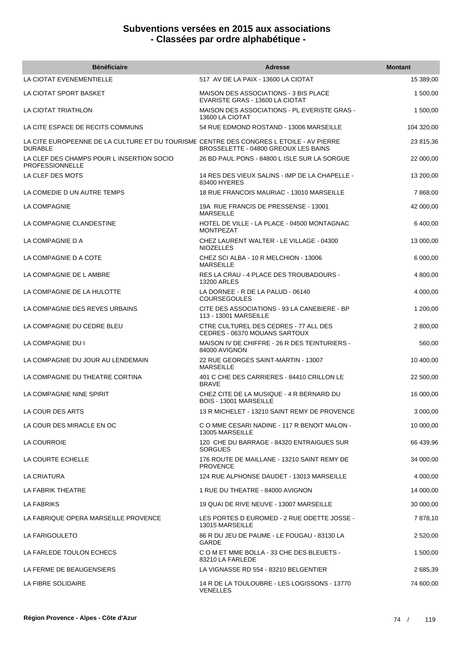| <b>Bénéficiaire</b>                                                                                       | <b>Adresse</b>                                                                  | <b>Montant</b> |
|-----------------------------------------------------------------------------------------------------------|---------------------------------------------------------------------------------|----------------|
| LA CIOTAT EVENEMENTIELLE                                                                                  | 517 AV DE LA PAIX - 13600 LA CIOTAT                                             | 15 389,00      |
| LA CIOTAT SPORT BASKET                                                                                    | <b>MAISON DES ASSOCIATIONS - 3 BIS PLACE</b><br>EVARISTE GRAS - 13600 LA CIOTAT | 1 500,00       |
| LA CIOTAT TRIATHLON                                                                                       | MAISON DES ASSOCIATIONS - PL EVERISTE GRAS -<br>13600 LA CIOTAT                 | 1 500,00       |
| LA CITE ESPACE DE RECITS COMMUNS                                                                          | 54 RUE EDMOND ROSTAND - 13006 MARSEILLE                                         | 104 320,00     |
| LA CITE EUROPEENNE DE LA CULTURE ET DU TOURISME CENTRE DES CONGRES L ETOILE - AV PIERRE<br><b>DURABLE</b> | BROSSELETTE - 04800 GREOUX LES BAINS                                            | 23 815,36      |
| LA CLEF DES CHAMPS POUR L INSERTION SOCIO<br><b>PROFESSIONNELLE</b>                                       | 26 BD PAUL PONS - 84800 L ISLE SUR LA SORGUE                                    | 22 000,00      |
| LA CLEF DES MOTS                                                                                          | 14 RES DES VIEUX SALINS - IMP DE LA CHAPELLE -<br>83400 HYERES                  | 13 200,00      |
| LA COMEDIE D UN AUTRE TEMPS                                                                               | 18 RUE FRANCOIS MAURIAC - 13010 MARSEILLE                                       | 7 868,00       |
| LA COMPAGNIE                                                                                              | 19A RUE FRANCIS DE PRESSENSE - 13001<br><b>MARSEILLE</b>                        | 42 000,00      |
| LA COMPAGNIE CLANDESTINE                                                                                  | HOTEL DE VILLE - LA PLACE - 04500 MONTAGNAC<br><b>MONTPEZAT</b>                 | 6 400,00       |
| LA COMPAGNIE D A                                                                                          | CHEZ LAURENT WALTER - LE VILLAGE - 04300<br><b>NIOZELLES</b>                    | 13 000,00      |
| LA COMPAGNIE D A COTE                                                                                     | CHEZ SCI ALBA - 10 R MELCHION - 13006<br><b>MARSEILLE</b>                       | 6 000,00       |
| LA COMPAGNIE DE L AMBRE                                                                                   | RES LA CRAU - 4 PLACE DES TROUBADOURS -<br>13200 ARLES                          | 4 800,00       |
| LA COMPAGNIE DE LA HULOTTE                                                                                | LA DORNEE - R DE LA PALUD - 06140<br><b>COURSEGOULES</b>                        | 4 000,00       |
| LA COMPAGNIE DES REVES URBAINS                                                                            | CITE DES ASSOCIATIONS - 93 LA CANEBIERE - BP<br>113 - 13001 MARSEILLE           | 1 200,00       |
| LA COMPAGNIE DU CEDRE BLEU                                                                                | CTRE CULTUREL DES CEDRES - 77 ALL DES<br>CEDRES - 06370 MOUANS SARTOUX          | 2 800,00       |
| LA COMPAGNIE DU I                                                                                         | MAISON IV DE CHIFFRE - 26 R DES TEINTURIERS -<br>84000 AVIGNON                  | 560,00         |
| LA COMPAGNIE DU JOUR AU LENDEMAIN                                                                         | 22 RUE GEORGES SAINT-MARTIN - 13007<br><b>MARSEILLE</b>                         | 10 400,00      |
| LA COMPAGNIE DU THEATRE CORTINA                                                                           | 401 C CHE DES CARRIERES - 84410 CRILLON LE<br><b>BRAVE</b>                      | 22 500,00      |
| LA COMPAGNIE NINE SPIRIT                                                                                  | CHEZ CITE DE LA MUSIQUE - 4 R BERNARD DU<br>BOIS - 13001 MARSEILLE              | 16 000,00      |
| LA COUR DES ARTS                                                                                          | 13 R MICHELET - 13210 SAINT REMY DE PROVENCE                                    | 3 000,00       |
| LA COUR DES MIRACLE EN OC                                                                                 | C O MME CESARI NADINE - 117 R BENOIT MALON -<br>13005 MARSEILLE                 | 10 000,00      |
| LA COURROIE                                                                                               | 120 CHE DU BARRAGE - 84320 ENTRAIGUES SUR<br><b>SORGUES</b>                     | 66 439,96      |
| LA COURTE ECHELLE                                                                                         | 176 ROUTE DE MAILLANE - 13210 SAINT REMY DE<br><b>PROVENCE</b>                  | 34 000,00      |
| LA CRIATURA                                                                                               | 124 RUE ALPHONSE DAUDET - 13013 MARSEILLE                                       | 4 000,00       |
| LA FABRIK THEATRE                                                                                         | 1 RUE DU THEATRE - 84000 AVIGNON                                                | 14 000,00      |
| LA FABRIKS                                                                                                | 19 QUAI DE RIVE NEUVE - 13007 MARSEILLE                                         | 30 000,00      |
| LA FABRIQUE OPERA MARSEILLE PROVENCE                                                                      | LES PORTES D EUROMED - 2 RUE ODETTE JOSSE -<br>13015 MARSEILLE                  | 7878,10        |
| LA FARIGOULETO                                                                                            | 86 R DU JEU DE PAUME - LE FOUGAU - 83130 LA<br><b>GARDE</b>                     | 2 520,00       |
| LA FARLEDE TOULON ECHECS                                                                                  | C O M ET MME BOLLA - 33 CHE DES BLEUETS -<br>83210 LA FARLEDE                   | 1 500,00       |
| LA FERME DE BEAUGENSIERS                                                                                  | LA VIGNASSE RD 554 - 83210 BELGENTIER                                           | 2 685,39       |
| LA FIBRE SOLIDAIRE                                                                                        | 14 R DE LA TOULOUBRE - LES LOGISSONS - 13770<br><b>VENELLES</b>                 | 74 600,00      |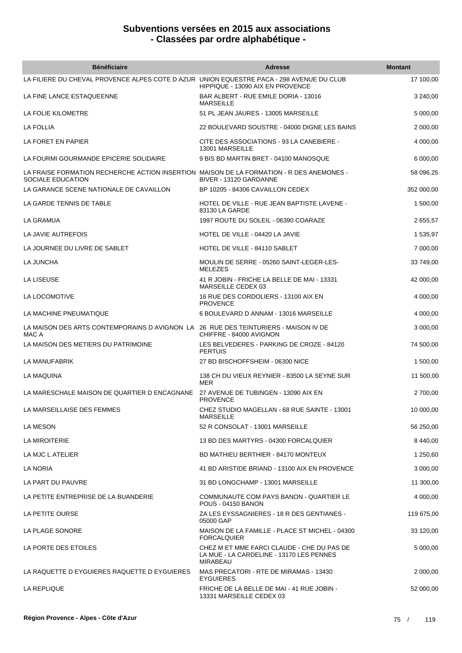| <b>Bénéficiaire</b>                                                                                           | <b>Adresse</b>                                                                                            | <b>Montant</b> |
|---------------------------------------------------------------------------------------------------------------|-----------------------------------------------------------------------------------------------------------|----------------|
| LA FILIERE DU CHEVAL PROVENCE ALPES COTE D AZUR UNION EQUESTRE PACA - 298 AVENUE DU CLUB                      | HIPPIQUE - 13090 AIX EN PROVENCE                                                                          | 17 100,00      |
| LA FINE LANCE ESTAQUEENNE                                                                                     | BAR ALBERT - RUE EMILE DORIA - 13016<br><b>MARSEILLE</b>                                                  | 3 240,00       |
| LA FOLIE KILOMETRE                                                                                            | 51 PL JEAN JAURES - 13005 MARSEILLE                                                                       | 5 000,00       |
| <b>LA FOLLIA</b>                                                                                              | 22 BOULEVARD SOUSTRE - 04000 DIGNE LES BAINS                                                              | 2 000,00       |
| LA FORET EN PAPIER                                                                                            | CITE DES ASSOCIATIONS - 93 LA CANEBIERE -<br>13001 MARSEILLE                                              | 4 000,00       |
| LA FOURMI GOURMANDE EPICERIE SOLIDAIRE                                                                        | 9 BIS BD MARTIN BRET - 04100 MANOSQUE                                                                     | 6 000,00       |
| LA FRAISE FORMATION RECHERCHE ACTION INSERTION MAISON DE LA FORMATION - R DES ANEMONES -<br>SOCIALE EDUCATION | BIVER - 13120 GARDANNE                                                                                    | 58 096,25      |
| LA GARANCE SCENE NATIONALE DE CAVAILLON                                                                       | BP 10205 - 84306 CAVAILLON CEDEX                                                                          | 352 000,00     |
| LA GARDE TENNIS DE TABLE                                                                                      | HOTEL DE VILLE - RUE JEAN BAPTISTE LAVENE -<br>83130 LA GARDE                                             | 1 500,00       |
| <b>LA GRAMUA</b>                                                                                              | 1997 ROUTE DU SOLEIL - 06390 COARAZE                                                                      | 2 655,57       |
| LA JAVIE AUTREFOIS                                                                                            | HOTEL DE VILLE - 04420 LA JAVIE                                                                           | 1 535,97       |
| LA JOURNEE DU LIVRE DE SABLET                                                                                 | HOTEL DE VILLE - 84110 SABLET                                                                             | 7 000,00       |
| LA JUNCHA                                                                                                     | MOULIN DE SERRE - 05260 SAINT-LEGER-LES-<br><b>MELEZES</b>                                                | 33 749,00      |
| LA LISEUSE                                                                                                    | 41 R JOBIN - FRICHE LA BELLE DE MAI - 13331<br>MARSEILLE CEDEX 03                                         | 42 000,00      |
| LA LOCOMOTIVE                                                                                                 | 16 RUE DES CORDOLIERS - 13100 AIX EN<br><b>PROVENCE</b>                                                   | 4 000,00       |
| LA MACHINE PNEUMATIQUE                                                                                        | 6 BOULEVARD D ANNAM - 13016 MARSEILLE                                                                     | 4 000,00       |
| LA MAISON DES ARTS CONTEMPORAINS D AVIGNON LA 26 RUE DES TEINTURIERS - MAISON IV DE<br>MAC A                  | CHIFFRE - 84000 AVIGNON                                                                                   | 3 000,00       |
| LA MAISON DES METIERS DU PATRIMOINE                                                                           | LES BELVEDERES - PARKING DE CROZE - 84120<br><b>PERTUIS</b>                                               | 74 500,00      |
| LA MANUFABRIK                                                                                                 | 27 BD BISCHOFFSHEIM - 06300 NICE                                                                          | 1 500,00       |
| LA MAQUINA                                                                                                    | 138 CH DU VIEUX REYNIER - 83500 LA SEYNE SUR<br>MER                                                       | 11 500,00      |
| LA MARESCHALE MAISON DE QUARTIER D ENCAGNANE                                                                  | 27 AVENUE DE TUBINGEN - 13090 AIX EN<br><b>PROVENCE</b>                                                   | 2 700,00       |
| LA MARSEILLAISE DES FEMMES                                                                                    | CHEZ STUDIO MAGELLAN - 68 RUE SAINTE - 13001<br>MARSEILLE                                                 | 10 000,00      |
| LA MESON                                                                                                      | 52 R CONSOLAT - 13001 MARSEILLE                                                                           | 56 250,00      |
| LA MIROITERIE                                                                                                 | 13 BD DES MARTYRS - 04300 FORCALQUIER                                                                     | 8 440,00       |
| LA MJC L ATELIER                                                                                              | BD MATHIEU BERTHIER - 84170 MONTEUX                                                                       | 1 250,60       |
| LA NORIA                                                                                                      | 41 BD ARISTIDE BRIAND - 13100 AIX EN PROVENCE                                                             | 3 000,00       |
| LA PART DU PAUVRE                                                                                             | 31 BD LONGCHAMP - 13001 MARSEILLE                                                                         | 11 300,00      |
| LA PETITE ENTREPRISE DE LA BUANDERIE                                                                          | COMMUNAUTE COM PAYS BANON - QUARTIER LE<br><b>POUS - 04150 BANON</b>                                      | 4 000,00       |
| LA PETITE OURSE                                                                                               | ZA LES EYSSAGNIERES - 18 R DES GENTIANES -<br>05000 GAP                                                   | 119 675,00     |
| LA PLAGE SONORE                                                                                               | MAISON DE LA FAMILLE - PLACE ST MICHEL - 04300<br><b>FORCALQUIER</b>                                      | 33 120,00      |
| LA PORTE DES ETOILES                                                                                          | CHEZ M ET MME FARCI CLAUDE - CHE DU PAS DE<br>LA MUE - LA CARDELINE - 13170 LES PENNES<br><b>MIRABEAU</b> | 5 000,00       |
| LA RAQUETTE D EYGUIERES RAQUETTE D EYGUIERES                                                                  | MAS PRECATORI - RTE DE MIRAMAS - 13430<br><b>EYGUIERES</b>                                                | 2 000,00       |
| LA REPLIQUE                                                                                                   | FRICHE DE LA BELLE DE MAI - 41 RUE JOBIN -<br>13331 MARSEILLE CEDEX 03                                    | 52 000,00      |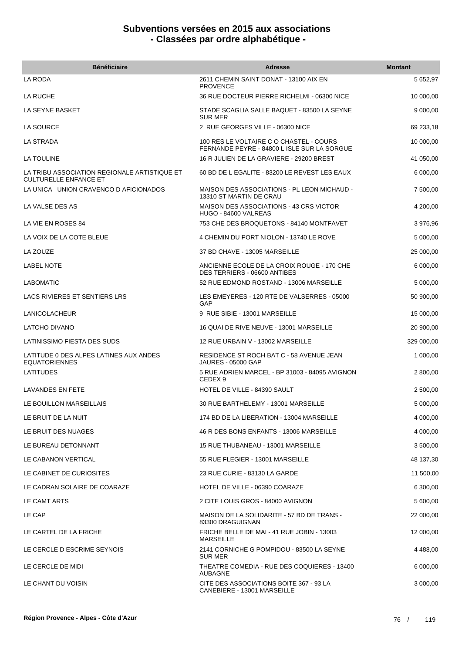| <b>Bénéficiaire</b>                                                          | Adresse                                                                                | <b>Montant</b> |
|------------------------------------------------------------------------------|----------------------------------------------------------------------------------------|----------------|
| LA RODA                                                                      | 2611 CHEMIN SAINT DONAT - 13100 AIX EN<br><b>PROVENCE</b>                              | 5 652,97       |
| LA RUCHE                                                                     | 36 RUE DOCTEUR PIERRE RICHELMI - 06300 NICE                                            | 10 000,00      |
| LA SEYNE BASKET                                                              | STADE SCAGLIA SALLE BAQUET - 83500 LA SEYNE<br><b>SUR MER</b>                          | 9 000,00       |
| <b>LA SOURCE</b>                                                             | 2 RUE GEORGES VILLE - 06300 NICE                                                       | 69 233,18      |
| LA STRADA                                                                    | 100 RES LE VOLTAIRE C O CHASTEL - COURS<br>FERNANDE PEYRE - 84800 L ISLE SUR LA SORGUE | 10 000,00      |
| LA TOULINE                                                                   | 16 R JULIEN DE LA GRAVIERE - 29200 BREST                                               | 41 050,00      |
| LA TRIBU ASSOCIATION REGIONALE ARTISTIQUE ET<br><b>CULTURELLE ENFANCE ET</b> | 60 BD DE L EGALITE - 83200 LE REVEST LES EAUX                                          | 6 000,00       |
| LA UNICA UNION CRAVENCO DAFICIONADOS                                         | MAISON DES ASSOCIATIONS - PL LEON MICHAUD -<br>13310 ST MARTIN DE CRAU                 | 7 500,00       |
| LA VALSE DES AS                                                              | MAISON DES ASSOCIATIONS - 43 CRS VICTOR<br>HUGO - 84600 VALREAS                        | 4 200,00       |
| LA VIE EN ROSES 84                                                           | 753 CHE DES BROQUETONS - 84140 MONTFAVET                                               | 3976,96        |
| LA VOIX DE LA COTE BLEUE                                                     | 4 CHEMIN DU PORT NIOLON - 13740 LE ROVE                                                | 5 000,00       |
| LA ZOUZE                                                                     | 37 BD CHAVE - 13005 MARSEILLE                                                          | 25 000,00      |
| LABEL NOTE                                                                   | ANCIENNE ECOLE DE LA CROIX ROUGE - 170 CHE<br>DES TERRIERS - 06600 ANTIBES             | 6 000,00       |
| LABOMATIC                                                                    | 52 RUE EDMOND ROSTAND - 13006 MARSEILLE                                                | 5 000,00       |
| LACS RIVIERES ET SENTIERS LRS                                                | LES EMEYERES - 120 RTE DE VALSERRES - 05000<br>GAP                                     | 50 900,00      |
| LANICOLACHEUR                                                                | 9 RUE SIBIE - 13001 MARSEILLE                                                          | 15 000,00      |
| LATCHO DIVANO                                                                | 16 QUAI DE RIVE NEUVE - 13001 MARSEILLE                                                | 20 900,00      |
| LATINISSIMO FIESTA DES SUDS                                                  | 12 RUE URBAIN V - 13002 MARSEILLE                                                      | 329 000,00     |
| LATITUDE 0 DES ALPES LATINES AUX ANDES<br><b>EQUATORIENNES</b>               | RESIDENCE ST ROCH BAT C - 58 AVENUE JEAN<br><b>JAURES - 05000 GAP</b>                  | 1 000,00       |
| <b>LATITUDES</b>                                                             | 5 RUE ADRIEN MARCEL - BP 31003 - 84095 AVIGNON<br>CEDEX <sub>9</sub>                   | 2 800,00       |
| LAVANDES EN FETE                                                             | HOTEL DE VILLE - 84390 SAULT                                                           | 2 500,00       |
| LE BOUILLON MARSEILLAIS                                                      | 30 RUE BARTHELEMY - 13001 MARSEILLE                                                    | 5 000,00       |
| LE BRUIT DE LA NUIT                                                          | 174 BD DE LA LIBERATION - 13004 MARSEILLE                                              | 4 000,00       |
| LE BRUIT DES NUAGES                                                          | 46 R DES BONS ENFANTS - 13006 MARSEILLE                                                | 4 000,00       |
| LE BUREAU DETONNANT                                                          | 15 RUE THUBANEAU - 13001 MARSEILLE                                                     | 3 500,00       |
| LE CABANON VERTICAL                                                          | 55 RUE FLEGIER - 13001 MARSEILLE                                                       | 48 137,30      |
| LE CABINET DE CURIOSITES                                                     | 23 RUE CURIE - 83130 LA GARDE                                                          | 11 500,00      |
| LE CADRAN SOLAIRE DE COARAZE                                                 | HOTEL DE VILLE - 06390 COARAZE                                                         | 6 300,00       |
| LE CAMT ARTS                                                                 | 2 CITE LOUIS GROS - 84000 AVIGNON                                                      | 5 600,00       |
| LE CAP                                                                       | MAISON DE LA SOLIDARITE - 57 BD DE TRANS -<br>83300 DRAGUIGNAN                         | 22 000,00      |
| LE CARTEL DE LA FRICHE                                                       | FRICHE BELLE DE MAI - 41 RUE JOBIN - 13003<br><b>MARSEILLE</b>                         | 12 000,00      |
| LE CERCLE D ESCRIME SEYNOIS                                                  | 2141 CORNICHE G POMPIDOU - 83500 LA SEYNE<br><b>SUR MER</b>                            | 4 4 88,00      |
| LE CERCLE DE MIDI                                                            | THEATRE COMEDIA - RUE DES COQUIERES - 13400<br>AUBAGNE                                 | 6 000,00       |
| LE CHANT DU VOISIN                                                           | CITE DES ASSOCIATIONS BOITE 367 - 93 LA<br>CANEBIERE - 13001 MARSEILLE                 | 3 000,00       |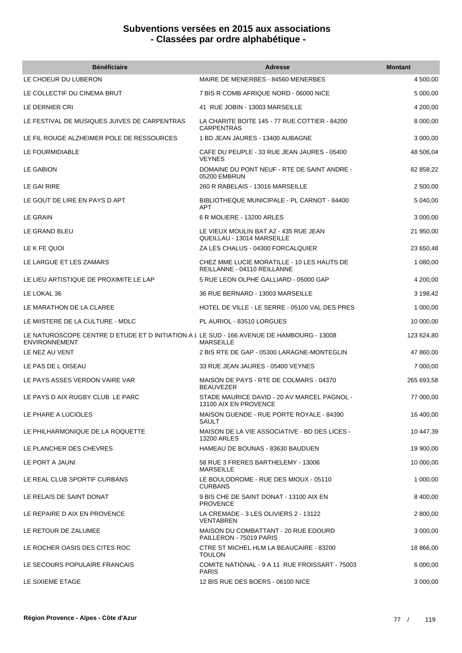| <b>Bénéficiaire</b>                                                                                               | <b>Adresse</b>                                                            | <b>Montant</b> |
|-------------------------------------------------------------------------------------------------------------------|---------------------------------------------------------------------------|----------------|
| LE CHOEUR DU LUBERON                                                                                              | MAIRE DE MENERBES - 84560 MENERBES                                        | 4 500,00       |
| LE COLLECTIF DU CINEMA BRUT                                                                                       | 7 BIS R COMB AFRIQUE NORD - 06000 NICE                                    | 5 000,00       |
| LE DERNIER CRI                                                                                                    | 41 RUE JOBIN - 13003 MARSEILLE                                            | 4 200,00       |
| LE FESTIVAL DE MUSIQUES JUIVES DE CARPENTRAS                                                                      | LA CHARITE BOITE 145 - 77 RUE COTTIER - 84200<br><b>CARPENTRAS</b>        | 8 000,00       |
| LE FIL ROUGE ALZHEIMER POLE DE RESSOURCES                                                                         | 1 BD JEAN JAURES - 13400 AUBAGNE                                          | 3 000,00       |
| LE FOURMIDIABLE                                                                                                   | CAFE DU PEUPLE - 33 RUE JEAN JAURES - 05400<br><b>VEYNES</b>              | 48 506,04      |
| LE GABION                                                                                                         | DOMAINE DU PONT NEUF - RTE DE SAINT ANDRE -<br>05200 EMBRUN               | 82 858,22      |
| LE GAI RIRE                                                                                                       | 260 R RABELAIS - 13016 MARSEILLE                                          | 2 500,00       |
| LE GOUT DE LIRE EN PAYS D APT                                                                                     | BIBLIOTHEQUE MUNICIPALE - PL CARNOT - 84400<br><b>APT</b>                 | 5 040,00       |
| <b>LE GRAIN</b>                                                                                                   | 6 R MOLIERE - 13200 ARLES                                                 | 3 000,00       |
| LE GRAND BLEU                                                                                                     | LE VIEUX MOULIN BAT A2 - 435 RUE JEAN<br>QUEILLAU - 13014 MARSEILLE       | 21 950,00      |
| LE K FE QUOI                                                                                                      | ZA LES CHALUS - 04300 FORCALQUIER                                         | 23 650,48      |
| LE LARGUE ET LES ZAMARS                                                                                           | CHEZ MME LUCIE MORATILLE - 10 LES HAUTS DE<br>REILLANNE - 04110 REILLANNE | 1 080,00       |
| LE LIEU ARTISTIQUE DE PROXIMITE LE LAP                                                                            | 5 RUE LEON OLPHE GALLIARD - 05000 GAP                                     | 4 200,00       |
| LE LOKAL 36                                                                                                       | 36 RUE BERNARD - 13003 MARSEILLE                                          | 3 198,42       |
| LE MARATHON DE LA CLAREE                                                                                          | HOTEL DE VILLE - LE SERRE - 05100 VAL DES PRES                            | 1 000,00       |
| LE MIISTERE DE LA CULTURE - MDLC                                                                                  | PL AURIOL - 83510 LORGUES                                                 | 10 000,00      |
| LE NATUROSCOPE CENTRE D ETUDE ET D INITIATION A L LE SUD - 166 AVENUE DE HAMBOURG - 13008<br><b>ENVIRONNEMENT</b> | <b>MARSEILLE</b>                                                          | 123 624,80     |
| LE NEZ AU VENT                                                                                                    | 2 BIS RTE DE GAP - 05300 LARAGNE-MONTEGLIN                                | 47 860,00      |
| LE PAS DE L OISEAU                                                                                                | 33 RUE JEAN JAURES - 05400 VEYNES                                         | 7 000,00       |
| LE PAYS ASSES VERDON VAIRE VAR                                                                                    | MAISON DE PAYS - RTE DE COLMARS - 04370<br><b>BEAUVEZER</b>               | 265 693,58     |
| LE PAYS D AIX RUGBY CLUB LE PARC                                                                                  | STADE MAURICE DAVID - 20 AV MARCEL PAGNOL -<br>13100 AIX EN PROVENCE      | 77 000,00      |
| LE PHARE A LUCIOLES                                                                                               | MAISON GUENDE - RUE PORTE ROYALE - 84390<br>SAULT                         | 16 400,00      |
| LE PHILHARMONIQUE DE LA ROQUETTE                                                                                  | MAISON DE LA VIE ASSOCIATIVE - BD DES LICES -<br><b>13200 ARLES</b>       | 10 447,39      |
| LE PLANCHER DES CHEVRES                                                                                           | HAMEAU DE BOUNAS - 83630 BAUDUEN                                          | 19 900,00      |
| LE PORT A JAUNI                                                                                                   | 58 RUE 3 FRERES BARTHELEMY - 13006<br><b>MARSEILLE</b>                    | 10 000,00      |
| LE REAL CLUB SPORTIF CURBANS                                                                                      | LE BOULODROME - RUE DES MIOUX - 05110<br><b>CURBANS</b>                   | 1 000,00       |
| LE RELAIS DE SAINT DONAT                                                                                          | 9 BIS CHE DE SAINT DONAT - 13100 AIX EN<br><b>PROVENCE</b>                | 8 400,00       |
| LE REPAIRE D AIX EN PROVENCE                                                                                      | LA CREMADE - 3 LES OLIVIERS 2 - 13122<br><b>VENTABREN</b>                 | 2 800,00       |
| LE RETOUR DE ZALUMEE                                                                                              | MAISON DU COMBATTANT - 20 RUE EDOURD<br>PAILLERON - 75019 PARIS           | 3 000,00       |
| LE ROCHER OASIS DES CITES ROC                                                                                     | CTRE ST MICHEL HLM LA BEAUCAIRE - 83200<br><b>TOULON</b>                  | 18 866,00      |
| LE SECOURS POPULAIRE FRANCAIS                                                                                     | COMITE NATIONAL - 9 A 11 RUE FROISSART - 75003<br><b>PARIS</b>            | 6 000,00       |
| LE SIXIEME ETAGE                                                                                                  | 12 BIS RUE DES BOERS - 06100 NICE                                         | 3 000,00       |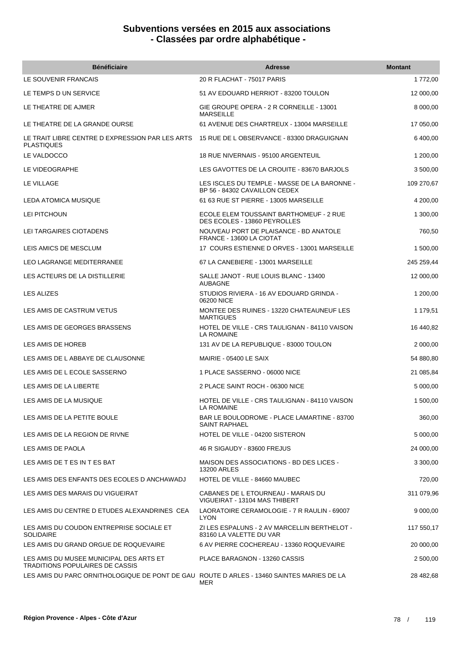| <b>Bénéficiaire</b>                                                                       | <b>Adresse</b>                                                                | <b>Montant</b> |
|-------------------------------------------------------------------------------------------|-------------------------------------------------------------------------------|----------------|
| LE SOUVENIR FRANCAIS                                                                      | 20 R FLACHAT - 75017 PARIS                                                    | 1 772,00       |
| LE TEMPS D UN SERVICE                                                                     | 51 AV EDOUARD HERRIOT - 83200 TOULON                                          | 12 000,00      |
| LE THEATRE DE AJMER                                                                       | GIE GROUPE OPERA - 2 R CORNEILLE - 13001<br><b>MARSEILLE</b>                  | 8 000,00       |
| LE THEATRE DE LA GRANDE OURSE                                                             | 61 AVENUE DES CHARTREUX - 13004 MARSEILLE                                     | 17 050,00      |
| LE TRAIT LIBRE CENTRE D EXPRESSION PAR LES ARTS<br><b>PLASTIQUES</b>                      | 15 RUE DE LOBSERVANCE - 83300 DRAGUIGNAN                                      | 6 400,00       |
| LE VALDOCCO                                                                               | 18 RUE NIVERNAIS - 95100 ARGENTEUIL                                           | 1 200,00       |
| LE VIDEOGRAPHE                                                                            | LES GAVOTTES DE LA CROUITE - 83670 BARJOLS                                    | 3 500,00       |
| LE VILLAGE                                                                                | LES ISCLES DU TEMPLE - MASSE DE LA BARONNE -<br>BP 56 - 84302 CAVAILLON CEDEX | 109 270,67     |
| LEDA ATOMICA MUSIQUE                                                                      | 61 63 RUE ST PIERRE - 13005 MARSEILLE                                         | 4 200,00       |
| LEI PITCHOUN                                                                              | ECOLE ELEM TOUSSAINT BARTHOMEUF - 2 RUE<br>DES ECOLES - 13860 PEYROLLES       | 1 300,00       |
| LEI TARGAIRES CIOTADENS                                                                   | NOUVEAU PORT DE PLAISANCE - BD ANATOLE<br>FRANCE - 13600 LA CIOTAT            | 760,50         |
| LEIS AMICS DE MESCLUM                                                                     | 17 COURS ESTIENNE D ORVES - 13001 MARSEILLE                                   | 1 500,00       |
| LEO LAGRANGE MEDITERRANEE                                                                 | 67 LA CANEBIERE - 13001 MARSEILLE                                             | 245 259,44     |
| LES ACTEURS DE LA DISTILLERIE                                                             | SALLE JANOT - RUE LOUIS BLANC - 13400<br><b>AUBAGNE</b>                       | 12 000,00      |
| LES ALIZES                                                                                | STUDIOS RIVIERA - 16 AV EDOUARD GRINDA -<br>06200 NICE                        | 1 200,00       |
| LES AMIS DE CASTRUM VETUS                                                                 | MONTEE DES RUINES - 13220 CHATEAUNEUF LES<br><b>MARTIGUES</b>                 | 1 179,51       |
| LES AMIS DE GEORGES BRASSENS                                                              | HOTEL DE VILLE - CRS TAULIGNAN - 84110 VAISON<br><b>LA ROMAINE</b>            | 16 440,82      |
| LES AMIS DE HOREB                                                                         | 131 AV DE LA REPUBLIQUE - 83000 TOULON                                        | 2 000,00       |
| LES AMIS DE L ABBAYE DE CLAUSONNE                                                         | MAIRIE - 05400 LE SAIX                                                        | 54 880,80      |
| LES AMIS DE L ECOLE SASSERNO                                                              | 1 PLACE SASSERNO - 06000 NICE                                                 | 21 085,84      |
| LES AMIS DE LA LIBERTE                                                                    | 2 PLACE SAINT ROCH - 06300 NICE                                               | 5 000,00       |
| LES AMIS DE LA MUSIQUE                                                                    | HOTEL DE VILLE - CRS TAULIGNAN - 84110 VAISON<br>LA ROMAINE                   | 1 500,00       |
| LES AMIS DE LA PETITE BOULE                                                               | BAR LE BOULODROME - PLACE LAMARTINE - 83700<br><b>SAINT RAPHAEL</b>           | 360,00         |
| LES AMIS DE LA REGION DE RIVNE                                                            | HOTEL DE VILLE - 04200 SISTERON                                               | 5 000,00       |
| LES AMIS DE PAOLA                                                                         | 46 R SIGAUDY - 83600 FREJUS                                                   | 24 000,00      |
| LES AMIS DE T ES IN T ES BAT                                                              | MAISON DES ASSOCIATIONS - BD DES LICES -<br>13200 ARLES                       | 3 300,00       |
| LES AMIS DES ENFANTS DES ECOLES D ANCHAWADJ                                               | HOTEL DE VILLE - 84660 MAUBEC                                                 | 720,00         |
| LES AMIS DES MARAIS DU VIGUEIRAT                                                          | CABANES DE L ETOURNEAU - MARAIS DU<br>VIGUEIRAT - 13104 MAS THIBERT           | 311 079,96     |
| LES AMIS DU CENTRE D ETUDES ALEXANDRINES CEA                                              | LAORATOIRE CERAMOLOGIE - 7 R RAULIN - 69007<br><b>LYON</b>                    | 9 000,00       |
| LES AMIS DU COUDON ENTREPRISE SOCIALE ET<br><b>SOLIDAIRE</b>                              | ZI LES ESPALUNS - 2 AV MARCELLIN BERTHELOT -<br>83160 LA VALETTE DU VAR       | 117 550,17     |
| LES AMIS DU GRAND ORGUE DE ROQUEVAIRE                                                     | 6 AV PIERRE COCHEREAU - 13360 ROQUEVAIRE                                      | 20 000,00      |
| LES AMIS DU MUSEE MUNICIPAL DES ARTS ET<br><b>TRADITIONS POPULAIRES DE CASSIS</b>         | PLACE BARAGNON - 13260 CASSIS                                                 | 2 500,00       |
| LES AMIS DU PARC ORNITHOLOGIQUE DE PONT DE GAU ROUTE D ARLES - 13460 SAINTES MARIES DE LA | MER                                                                           | 28 482,68      |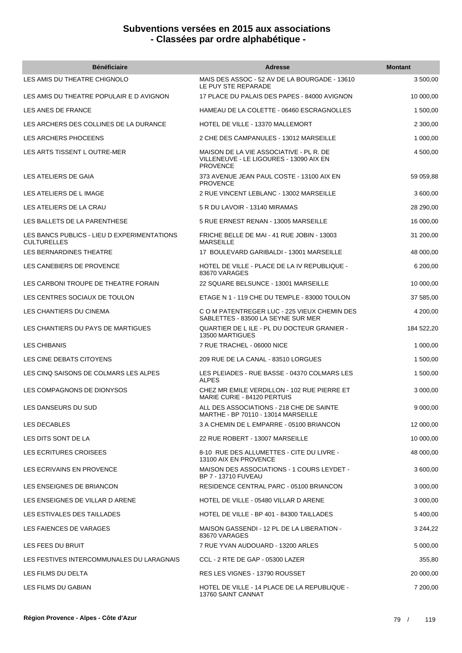| <b>Bénéficiaire</b>                                               | <b>Adresse</b>                                                                                        | <b>Montant</b> |
|-------------------------------------------------------------------|-------------------------------------------------------------------------------------------------------|----------------|
| LES AMIS DU THEATRE CHIGNOLO                                      | MAIS DES ASSOC - 52 AV DE LA BOURGADE - 13610<br>LE PUY STE REPARADE                                  | 3 500,00       |
| LES AMIS DU THEATRE POPULAIR E D AVIGNON                          | 17 PLACE DU PALAIS DES PAPES - 84000 AVIGNON                                                          | 10 000,00      |
| LES ANES DE FRANCE                                                | HAMEAU DE LA COLETTE - 06460 ESCRAGNOLLES                                                             | 1 500,00       |
| LES ARCHERS DES COLLINES DE LA DURANCE                            | HOTEL DE VILLE - 13370 MALLEMORT                                                                      | 2 300,00       |
| LES ARCHERS PHOCEENS                                              | 2 CHE DES CAMPANULES - 13012 MARSEILLE                                                                | 1 000,00       |
| LES ARTS TISSENT LOUTRE-MER                                       | MAISON DE LA VIE ASSOCIATIVE - PL R. DE<br>VILLENEUVE - LE LIGOURES - 13090 AIX EN<br><b>PROVENCE</b> | 4 500,00       |
| LES ATELIERS DE GAIA                                              | 373 AVENUE JEAN PAUL COSTE - 13100 AIX EN<br><b>PROVENCE</b>                                          | 59 059,88      |
| LES ATELIERS DE L IMAGE                                           | 2 RUE VINCENT LEBLANC - 13002 MARSEILLE                                                               | 3 600,00       |
| LES ATELIERS DE LA CRAU                                           | 5 R DU LAVOIR - 13140 MIRAMAS                                                                         | 28 290,00      |
| LES BALLETS DE LA PARENTHESE                                      | 5 RUE ERNEST RENAN - 13005 MARSEILLE                                                                  | 16 000,00      |
| LES BANCS PUBLICS - LIEU D EXPERIMENTATIONS<br><b>CULTURELLES</b> | FRICHE BELLE DE MAI - 41 RUE JOBIN - 13003<br><b>MARSEILLE</b>                                        | 31 200,00      |
| LES BERNARDINES THEATRE                                           | 17 BOULEVARD GARIBALDI - 13001 MARSEILLE                                                              | 48 000,00      |
| LES CANEBIERS DE PROVENCE                                         | HOTEL DE VILLE - PLACE DE LA IV REPUBLIQUE -<br>83670 VARAGES                                         | 6 200,00       |
| LES CARBONI TROUPE DE THEATRE FORAIN                              | 22 SQUARE BELSUNCE - 13001 MARSEILLE                                                                  | 10 000,00      |
| LES CENTRES SOCIAUX DE TOULON                                     | ETAGE N 1 - 119 CHE DU TEMPLE - 83000 TOULON                                                          | 37 585,00      |
| LES CHANTIERS DU CINEMA                                           | C O M PATENTREGER LUC - 225 VIEUX CHEMIN DES<br>SABLETTES - 83500 LA SEYNE SUR MER                    | 4 200,00       |
| LES CHANTIERS DU PAYS DE MARTIGUES                                | QUARTIER DE LILE - PL DU DOCTEUR GRANIER -<br>13500 MARTIGUES                                         | 184 522,20     |
| <b>LES CHIBANIS</b>                                               | 7 RUE TRACHEL - 06000 NICE                                                                            | 1 000,00       |
| LES CINE DEBATS CITOYENS                                          | 209 RUE DE LA CANAL - 83510 LORGUES                                                                   | 1 500,00       |
| LES CINQ SAISONS DE COLMARS LES ALPES                             | LES PLEIADES - RUE BASSE - 04370 COLMARS LES<br><b>ALPES</b>                                          | 1 500,00       |
| LES COMPAGNONS DE DIONYSOS                                        | CHEZ MR EMILE VERDILLON - 102 RUE PIERRE ET<br>MARIE CURIE - 84120 PERTUIS                            | 3 000,00       |
| LES DANSEURS DU SUD                                               | ALL DES ASSOCIATIONS - 218 CHE DE SAINTE<br>MARTHE - BP 70110 - 13014 MARSEILLE                       | 9 000,00       |
| LES DECABLES                                                      | 3 A CHEMIN DE L EMPARRE - 05100 BRIANCON                                                              | 12 000,00      |
| LES DITS SONT DE LA                                               | 22 RUE ROBERT - 13007 MARSEILLE                                                                       | 10 000,00      |
| LES ECRITURES CROISEES                                            | 8-10 RUE DES ALLUMETTES - CITE DU LIVRE -<br>13100 AIX EN PROVENCE                                    | 48 000,00      |
| LES ECRIVAINS EN PROVENCE                                         | MAISON DES ASSOCIATIONS - 1 COURS LEYDET -<br>BP 7 - 13710 FUVEAU                                     | 3 600,00       |
| LES ENSEIGNES DE BRIANCON                                         | RESIDENCE CENTRAL PARC - 05100 BRIANCON                                                               | 3 000,00       |
| LES ENSEIGNES DE VILLAR D ARENE                                   | HOTEL DE VILLE - 05480 VILLAR D ARENE                                                                 | 3 000,00       |
| LES ESTIVALES DES TAILLADES                                       | HOTEL DE VILLE - BP 401 - 84300 TAILLADES                                                             | 5 400,00       |
| LES FAIENCES DE VARAGES                                           | MAISON GASSENDI - 12 PL DE LA LIBERATION -<br>83670 VARAGES                                           | 3 244,22       |
| LES FEES DU BRUIT                                                 | 7 RUE YVAN AUDOUARD - 13200 ARLES                                                                     | 5 000,00       |
| LES FESTIVES INTERCOMMUNALES DU LARAGNAIS                         | CCL - 2 RTE DE GAP - 05300 LAZER                                                                      | 355,80         |
| LES FILMS DU DELTA                                                | RES LES VIGNES - 13790 ROUSSET                                                                        | 20 000,00      |
| LES FILMS DU GABIAN                                               | HOTEL DE VILLE - 14 PLACE DE LA REPUBLIQUE -<br>13760 SAINT CANNAT                                    | 7 200,00       |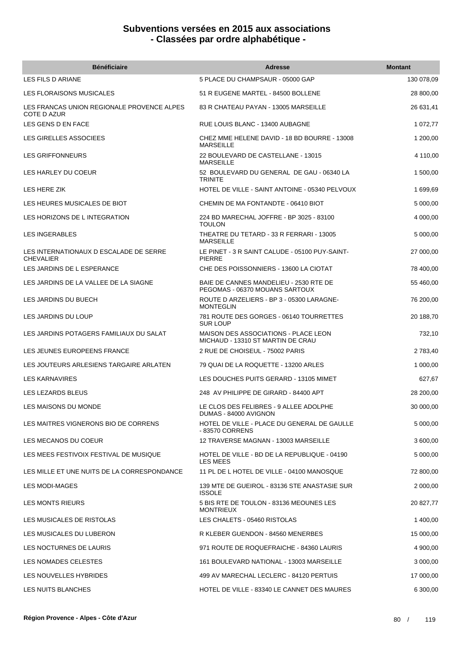| <b>Bénéficiaire</b>                                        | <b>Adresse</b>                                                                   | <b>Montant</b> |
|------------------------------------------------------------|----------------------------------------------------------------------------------|----------------|
| LES FILS D ARIANE                                          | 5 PLACE DU CHAMPSAUR - 05000 GAP                                                 | 130 078,09     |
| LES FLORAISONS MUSICALES                                   | 51 R EUGENE MARTEL - 84500 BOLLENE                                               | 28 800,00      |
| LES FRANCAS UNION REGIONALE PROVENCE ALPES<br>COTE D AZUR  | 83 R CHATEAU PAYAN - 13005 MARSEILLE                                             | 26 631,41      |
| LES GENS D EN FACE                                         | RUE LOUIS BLANC - 13400 AUBAGNE                                                  | 1 072,77       |
| LES GIRELLES ASSOCIEES                                     | CHEZ MME HELENE DAVID - 18 BD BOURRE - 13008<br><b>MARSEILLE</b>                 | 1 200,00       |
| <b>LES GRIFFONNEURS</b>                                    | 22 BOULEVARD DE CASTELLANE - 13015<br><b>MARSEILLE</b>                           | 4 110,00       |
| LES HARLEY DU COEUR                                        | 52 BOULEVARD DU GENERAL DE GAU - 06340 LA<br><b>TRINITE</b>                      | 1 500,00       |
| LES HERE ZIK                                               | HOTEL DE VILLE - SAINT ANTOINE - 05340 PELVOUX                                   | 1 699,69       |
| LES HEURES MUSICALES DE BIOT                               | CHEMIN DE MA FONTANDTE - 06410 BIOT                                              | 5 000,00       |
| LES HORIZONS DE L INTEGRATION                              | 224 BD MARECHAL JOFFRE - BP 3025 - 83100<br><b>TOULON</b>                        | 4 000,00       |
| LES INGERABLES                                             | THEATRE DU TETARD - 33 R FERRARI - 13005<br><b>MARSEILLE</b>                     | 5 000,00       |
| LES INTERNATIONAUX D ESCALADE DE SERRE<br><b>CHEVALIER</b> | LE PINET - 3 R SAINT CALUDE - 05100 PUY-SAINT-<br><b>PIERRE</b>                  | 27 000,00      |
| LES JARDINS DE L ESPERANCE                                 | CHE DES POISSONNIERS - 13600 LA CIOTAT                                           | 78 400,00      |
| LES JARDINS DE LA VALLEE DE LA SIAGNE                      | BAIE DE CANNES MANDELIEU - 2530 RTE DE<br>PEGOMAS - 06370 MOUANS SARTOUX         | 55 460,00      |
| LES JARDINS DU BUECH                                       | ROUTE D ARZELIERS - BP 3 - 05300 LARAGNE-<br><b>MONTEGLIN</b>                    | 76 200,00      |
| LES JARDINS DU LOUP                                        | 781 ROUTE DES GORGES - 06140 TOURRETTES<br><b>SUR LOUP</b>                       | 20 188,70      |
| LES JARDINS POTAGERS FAMILIAUX DU SALAT                    | <b>MAISON DES ASSOCIATIONS - PLACE LEON</b><br>MICHAUD - 13310 ST MARTIN DE CRAU | 732,10         |
| LES JEUNES EUROPEENS FRANCE                                | 2 RUE DE CHOISEUL - 75002 PARIS                                                  | 2 783,40       |
| LES JOUTEURS ARLESIENS TARGAIRE ARLATEN                    | 79 QUAI DE LA ROQUETTE - 13200 ARLES                                             | 1 000,00       |
| <b>LES KARNAVIRES</b>                                      | LES DOUCHES PUITS GERARD - 13105 MIMET                                           | 627,67         |
| LES LEZARDS BLEUS                                          | 248 AV PHILIPPE DE GIRARD - 84400 APT                                            | 28 200.00      |
| LES MAISONS DU MONDE                                       | LE CLOS DES FELIBRES - 9 ALLEE ADOLPHE<br>DUMAS - 84000 AVIGNON                  | 30 000,00      |
| LES MAITRES VIGNERONS BIO DE CORRENS                       | HOTEL DE VILLE - PLACE DU GENERAL DE GAULLE<br>- 83570 CORRENS                   | 5 000,00       |
| LES MECANOS DU COEUR                                       | 12 TRAVERSE MAGNAN - 13003 MARSEILLE                                             | 3 600,00       |
| LES MEES FESTIVOIX FESTIVAL DE MUSIQUE                     | HOTEL DE VILLE - BD DE LA REPUBLIQUE - 04190<br><b>LES MEES</b>                  | 5 000,00       |
| LES MILLE ET UNE NUITS DE LA CORRESPONDANCE                | 11 PL DE L HOTEL DE VILLE - 04100 MANOSQUE                                       | 72 800,00      |
| LES MODI-MAGES                                             | 139 MTE DE GUEIROL - 83136 STE ANASTASIE SUR<br><b>ISSOLE</b>                    | 2 000,00       |
| <b>LES MONTS RIEURS</b>                                    | 5 BIS RTE DE TOULON - 83136 MEOUNES LES<br><b>MONTRIEUX</b>                      | 20 827,77      |
| LES MUSICALES DE RISTOLAS                                  | LES CHALETS - 05460 RISTOLAS                                                     | 1 400,00       |
| LES MUSICALES DU LUBERON                                   | R KLEBER GUENDON - 84560 MENERBES                                                | 15 000,00      |
| LES NOCTURNES DE LAURIS                                    | 971 ROUTE DE ROQUEFRAICHE - 84360 LAURIS                                         | 4 900,00       |
| LES NOMADES CELESTES                                       | 161 BOULEVARD NATIONAL - 13003 MARSEILLE                                         | 3 000,00       |
| LES NOUVELLES HYBRIDES                                     | 499 AV MARECHAL LECLERC - 84120 PERTUIS                                          | 17 000,00      |
| LES NUITS BLANCHES                                         | HOTEL DE VILLE - 83340 LE CANNET DES MAURES                                      | 6 300,00       |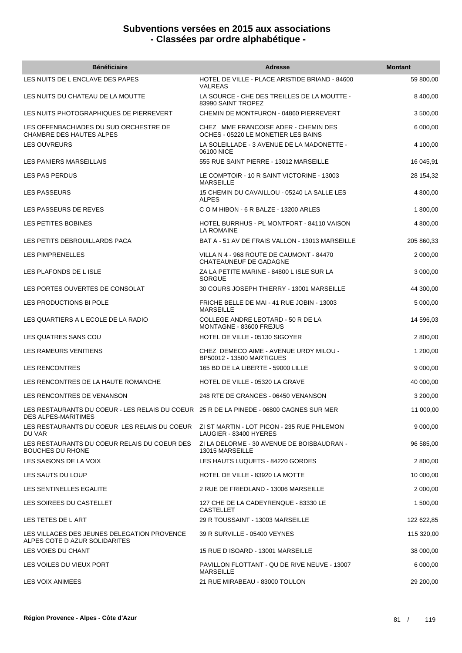| <b>Bénéficiaire</b>                                                                                                                 | <b>Adresse</b>                                                              | <b>Montant</b> |
|-------------------------------------------------------------------------------------------------------------------------------------|-----------------------------------------------------------------------------|----------------|
| LES NUITS DE L ENCLAVE DES PAPES                                                                                                    | HOTEL DE VILLE - PLACE ARISTIDE BRIAND - 84600<br><b>VALREAS</b>            | 59 800,00      |
| LES NUITS DU CHATEAU DE LA MOUTTE                                                                                                   | LA SOURCE - CHE DES TREILLES DE LA MOUTTE -<br>83990 SAINT TROPEZ           | 8 400,00       |
| LES NUITS PHOTOGRAPHIQUES DE PIERREVERT                                                                                             | CHEMIN DE MONTFURON - 04860 PIERREVERT                                      | 3 500,00       |
| LES OFFENBACHIADES DU SUD ORCHESTRE DE<br>CHAMBRE DES HAUTES ALPES                                                                  | CHEZ MME FRANCOISE ADER - CHEMIN DES<br>OCHES - 05220 LE MONETIER LES BAINS | 6 000,00       |
| <b>LES OUVREURS</b>                                                                                                                 | LA SOLEILLADE - 3 AVENUE DE LA MADONETTE -<br>06100 NICE                    | 4 100,00       |
| LES PANIERS MARSEILLAIS                                                                                                             | 555 RUE SAINT PIERRE - 13012 MARSEILLE                                      | 16 045,91      |
| LES PAS PERDUS                                                                                                                      | LE COMPTOIR - 10 R SAINT VICTORINE - 13003<br><b>MARSEILLE</b>              | 28 154,32      |
| <b>LES PASSEURS</b>                                                                                                                 | 15 CHEMIN DU CAVAILLOU - 05240 LA SALLE LES<br><b>ALPES</b>                 | 4 800,00       |
| LES PASSEURS DE REVES                                                                                                               | C O M HIBON - 6 R BALZE - 13200 ARLES                                       | 1 800,00       |
| LES PETITES BOBINES                                                                                                                 | HOTEL BURRHUS - PL MONTFORT - 84110 VAISON<br><b>LA ROMAINE</b>             | 4 800,00       |
| LES PETITS DEBROUILLARDS PACA                                                                                                       | BAT A - 51 AV DE FRAIS VALLON - 13013 MARSEILLE                             | 205 860,33     |
| LES PIMPRENELLES                                                                                                                    | VILLA N 4 - 968 ROUTE DE CAUMONT - 84470<br>CHATEAUNEUF DE GADAGNE          | 2 000,00       |
| LES PLAFONDS DE L ISLE                                                                                                              | ZA LA PETITE MARINE - 84800 L ISLE SUR LA<br><b>SORGUE</b>                  | 3 000,00       |
| LES PORTES OUVERTES DE CONSOLAT                                                                                                     | 30 COURS JOSEPH THIERRY - 13001 MARSEILLE                                   | 44 300,00      |
| LES PRODUCTIONS BI POLE                                                                                                             | FRICHE BELLE DE MAI - 41 RUE JOBIN - 13003<br><b>MARSEILLE</b>              | 5 000,00       |
| LES QUARTIERS A L ECOLE DE LA RADIO                                                                                                 | COLLEGE ANDRE LEOTARD - 50 R DE LA<br>MONTAGNE - 83600 FREJUS               | 14 596,03      |
| LES QUATRES SANS COU                                                                                                                | HOTEL DE VILLE - 05130 SIGOYER                                              | 2 800,00       |
| LES RAMEURS VENITIENS                                                                                                               | CHEZ DEMECO AIME - AVENUE URDY MILOU -<br>BP50012 - 13500 MARTIGUES         | 1 200,00       |
| <b>LES RENCONTRES</b>                                                                                                               | 165 BD DE LA LIBERTE - 59000 LILLE                                          | 9 000,00       |
| LES RENCONTRES DE LA HAUTE ROMANCHE                                                                                                 | HOTEL DE VILLE - 05320 LA GRAVE                                             | 40 000,00      |
| LES RENCONTRES DE VENANSON                                                                                                          | 248 RTE DE GRANGES - 06450 VENANSON                                         | 3 200,00       |
| LES RESTAURANTS DU COEUR - LES RELAIS DU COEUR 25 R DE LA PINEDE - 06800 CAGNES SUR MER<br><b>DES ALPES-MARITIMES</b>               |                                                                             | 11 000,00      |
| LES RESTAURANTS DU COEUR LES RELAIS DU COEUR                                  ZI ST MARTIN - LOT PICON - 235 RUE PHILEMON<br>DU VAR | LAUGIER - 83400 HYERES                                                      | 9 000,00       |
| LES RESTAURANTS DU COEUR RELAIS DU COEUR DES<br><b>BOUCHES DU RHONE</b>                                                             | ZI LA DELORME - 30 AVENUE DE BOISBAUDRAN -<br>13015 MARSEILLE               | 96 585,00      |
| LES SAISONS DE LA VOIX                                                                                                              | LES HAUTS LUQUETS - 84220 GORDES                                            | 2 800,00       |
| LES SAUTS DU LOUP                                                                                                                   | HOTEL DE VILLE - 83920 LA MOTTE                                             | 10 000,00      |
| LES SENTINELLES EGALITE                                                                                                             | 2 RUE DE FRIEDLAND - 13006 MARSEILLE                                        | 2 000,00       |
| LES SOIREES DU CASTELLET                                                                                                            | 127 CHE DE LA CADEYRENQUE - 83330 LE<br><b>CASTELLET</b>                    | 1 500,00       |
| LES TETES DE LART                                                                                                                   | 29 R TOUSSAINT - 13003 MARSEILLE                                            | 122 622,85     |
| LES VILLAGES DES JEUNES DELEGATION PROVENCE<br>ALPES COTE D AZUR SOLIDARITES                                                        | 39 R SURVILLE - 05400 VEYNES                                                | 115 320,00     |
| LES VOIES DU CHANT                                                                                                                  | 15 RUE D ISOARD - 13001 MARSEILLE                                           | 38 000,00      |
| LES VOILES DU VIEUX PORT                                                                                                            | PAVILLON FLOTTANT - QU DE RIVE NEUVE - 13007<br><b>MARSEILLE</b>            | 6 000,00       |
| LES VOIX ANIMEES                                                                                                                    | 21 RUE MIRABEAU - 83000 TOULON                                              | 29 200,00      |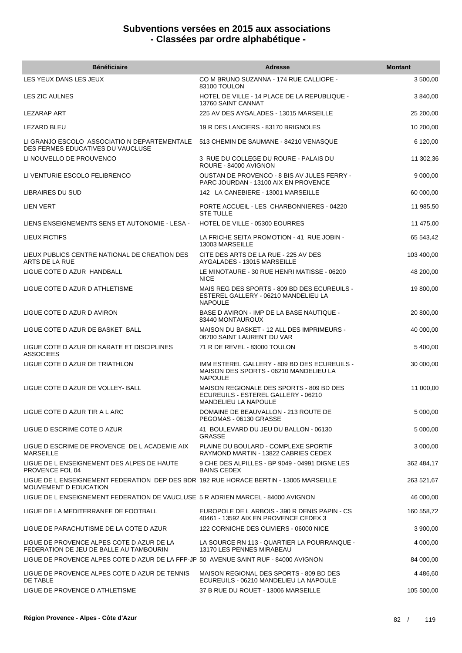| <b>Bénéficiaire</b>                                                                                             | <b>Adresse</b>                                                                                           | <b>Montant</b> |
|-----------------------------------------------------------------------------------------------------------------|----------------------------------------------------------------------------------------------------------|----------------|
| LES YEUX DANS LES JEUX                                                                                          | CO M BRUNO SUZANNA - 174 RUE CALLIOPE -<br>83100 TOULON                                                  | 3 500,00       |
| LES ZIC AULNES                                                                                                  | HOTEL DE VILLE - 14 PLACE DE LA REPUBLIQUE -<br>13760 SAINT CANNAT                                       | 3 840,00       |
| <b>LEZARAP ART</b>                                                                                              | 225 AV DES AYGALADES - 13015 MARSEILLE                                                                   | 25 200,00      |
| <b>LEZARD BLEU</b>                                                                                              | 19 R DES LANCIERS - 83170 BRIGNOLES                                                                      | 10 200,00      |
| LI GRANJO ESCOLO ASSOCIATIO N DEPARTEMENTALE<br>DES FERMES EDUCATIVES DU VAUCLUSE                               | 513 CHEMIN DE SAUMANE - 84210 VENASQUE                                                                   | 6 120,00       |
| LI NOUVELLO DE PROUVENCO                                                                                        | 3 RUE DU COLLEGE DU ROURE - PALAIS DU<br>ROURE - 84000 AVIGNON                                           | 11 302,36      |
| LI VENTURIE ESCOLO FELIBRENCO                                                                                   | <b>OUSTAN DE PROVENCO - 8 BIS AV JULES FERRY -</b><br>PARC JOURDAN - 13100 AIX EN PROVENCE               | 9 000,00       |
| LIBRAIRES DU SUD                                                                                                | 142 LA CANEBIERE - 13001 MARSEILLE                                                                       | 60 000,00      |
| <b>LIEN VERT</b>                                                                                                | PORTE ACCUEIL - LES CHARBONNIERES - 04220<br><b>STE TULLE</b>                                            | 11 985,50      |
| LIENS ENSEIGNEMENTS SENS ET AUTONOMIE - LESA -                                                                  | HOTEL DE VILLE - 05300 EOURRES                                                                           | 11 475,00      |
| LIEUX FICTIFS                                                                                                   | LA FRICHE SEITA PROMOTION - 41 RUE JOBIN -<br>13003 MARSEILLE                                            | 65 543,42      |
| LIEUX PUBLICS CENTRE NATIONAL DE CREATION DES<br>ARTS DE LA RUE                                                 | CITE DES ARTS DE LA RUE - 225 AV DES<br>AYGALADES - 13015 MARSEILLE                                      | 103 400,00     |
| LIGUE COTE D AZUR HANDBALL                                                                                      | LE MINOTAURE - 30 RUE HENRI MATISSE - 06200<br><b>NICE</b>                                               | 48 200,00      |
| LIGUE COTE D AZUR D ATHLETISME                                                                                  | MAIS REG DES SPORTS - 809 BD DES ECUREUILS -<br>ESTEREL GALLERY - 06210 MANDELIEU LA<br><b>NAPOULE</b>   | 19 800,00      |
| LIGUE COTE D AZUR D AVIRON                                                                                      | BASE D AVIRON - IMP DE LA BASE NAUTIQUE -<br>83440 MONTAUROUX                                            | 20 800,00      |
| LIGUE COTE D AZUR DE BASKET BALL                                                                                | MAISON DU BASKET - 12 ALL DES IMPRIMEURS -<br>06700 SAINT LAURENT DU VAR                                 | 40 000,00      |
| LIGUE COTE D AZUR DE KARATE ET DISCIPLINES<br><b>ASSOCIEES</b>                                                  | 71 R DE REVEL - 83000 TOULON                                                                             | 5 400,00       |
| LIGUE COTE D AZUR DE TRIATHLON                                                                                  | IMM ESTEREL GALLERY - 809 BD DES ECUREUILS -<br>MAISON DES SPORTS - 06210 MANDELIEU LA<br><b>NAPOULE</b> | 30 000,00      |
| LIGUE COTE D AZUR DE VOLLEY- BALL                                                                               | MAISON REGIONALE DES SPORTS - 809 BD DES<br>ECUREUILS - ESTEREL GALLERY - 06210<br>MANDELIEU LA NAPOULE  | 11 000,00      |
| LIGUE COTE D AZUR TIR A L ARC                                                                                   | DOMAINE DE BEAUVALLON - 213 ROUTE DE<br>PEGOMAS - 06130 GRASSE                                           | 5 000,00       |
| LIGUE D ESCRIME COTE D AZUR                                                                                     | 41 BOULEVARD DU JEU DU BALLON - 06130<br><b>GRASSE</b>                                                   | 5 000,00       |
| LIGUE D ESCRIME DE PROVENCE DE L ACADEMIE AIX<br><b>MARSEILLE</b>                                               | PLAINE DU BOULARD - COMPLEXE SPORTIF<br>RAYMOND MARTIN - 13822 CABRIES CEDEX                             | 3 000,00       |
| LIGUE DE L ENSEIGNEMENT DES ALPES DE HAUTE<br>PROVENCE FOL 04                                                   | 9 CHE DES ALPILLES - BP 9049 - 04991 DIGNE LES<br><b>BAINS CEDEX</b>                                     | 362 484,17     |
| LIGUE DE L ENSEIGNEMENT FEDERATION DEP DES BDR 192 RUE HORACE BERTIN - 13005 MARSEILLE<br>MOUVEMENT D EDUCATION |                                                                                                          | 263 521,67     |
| LIGUE DE L ENSEIGNEMENT FEDERATION DE VAUCLUSE 5 R ADRIEN MARCEL - 84000 AVIGNON                                |                                                                                                          | 46 000,00      |
| LIGUE DE LA MEDITERRANEE DE FOOTBALL                                                                            | EUROPOLE DE L ARBOIS - 390 R DENIS PAPIN - CS<br>40461 - 13592 AIX EN PROVENCE CEDEX 3                   | 160 558,72     |
| LIGUE DE PARACHUTISME DE LA COTE D AZUR                                                                         | 122 CORNICHE DES OLIVIERS - 06000 NICE                                                                   | 3 900,00       |
| LIGUE DE PROVENCE ALPES COTE D AZUR DE LA<br>FEDERATION DE JEU DE BALLE AU TAMBOURIN                            | LA SOURCE RN 113 - QUARTIER LA POURRANQUE -<br>13170 LES PENNES MIRABEAU                                 | 4 000,00       |
| LIGUE DE PROVENCE ALPES COTE D AZUR DE LA FFP-JP 50 AVENUE SAINT RUF - 84000 AVIGNON                            |                                                                                                          | 84 000,00      |
| LIGUE DE PROVENCE ALPES COTE D AZUR DE TENNIS<br>DE TABLE                                                       | MAISON REGIONAL DES SPORTS - 809 BD DES<br>ECUREUILS - 06210 MANDELIEU LA NAPOULE                        | 4 486,60       |
| LIGUE DE PROVENCE D ATHLETISME                                                                                  | 37 B RUE DU ROUET - 13006 MARSEILLE                                                                      | 105 500,00     |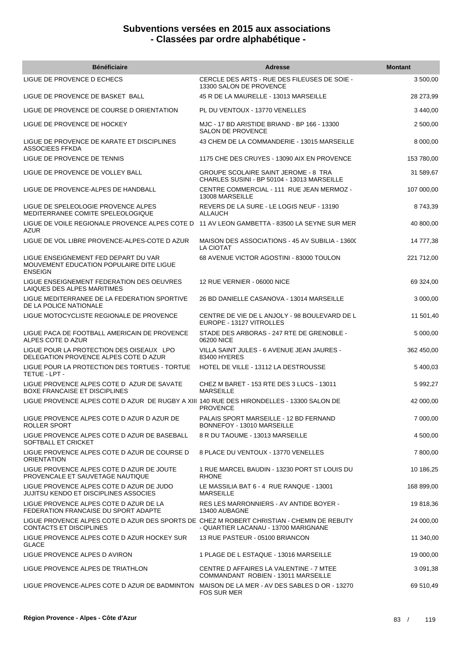| <b>Bénéficiaire</b>                                                                                                  | <b>Adresse</b>                                                                             | <b>Montant</b> |
|----------------------------------------------------------------------------------------------------------------------|--------------------------------------------------------------------------------------------|----------------|
| LIGUE DE PROVENCE D ECHECS                                                                                           | CERCLE DES ARTS - RUE DES FILEUSES DE SOIE -<br>13300 SALON DE PROVENCE                    | 3 500,00       |
| LIGUE DE PROVENCE DE BASKET BALL                                                                                     | 45 R DE LA MAURELLE - 13013 MARSEILLE                                                      | 28 273,99      |
| LIGUE DE PROVENCE DE COURSE D ORIENTATION                                                                            | PL DU VENTOUX - 13770 VENELLES                                                             | 3 440.00       |
| LIGUE DE PROVENCE DE HOCKEY                                                                                          | MJC - 17 BD ARISTIDE BRIAND - BP 166 - 13300<br><b>SALON DE PROVENCE</b>                   | 2 500,00       |
| LIGUE DE PROVENCE DE KARATE ET DISCIPLINES<br><b>ASSOCIEES FFKDA</b>                                                 | 43 CHEM DE LA COMMANDERIE - 13015 MARSEILLE                                                | 8 000,00       |
| LIGUE DE PROVENCE DE TENNIS                                                                                          | 1175 CHE DES CRUYES - 13090 AIX EN PROVENCE                                                | 153 780,00     |
| LIGUE DE PROVENCE DE VOLLEY BALL                                                                                     | <b>GROUPE SCOLAIRE SAINT JEROME - 8 TRA</b><br>CHARLES SUSINI - BP 50104 - 13013 MARSEILLE | 31 589,67      |
| LIGUE DE PROVENCE-ALPES DE HANDBALL                                                                                  | CENTRE COMMERCIAL - 111 RUE JEAN MERMOZ -<br>13008 MARSEILLE                               | 107 000,00     |
| LIGUE DE SPELEOLOGIE PROVENCE ALPES<br>MEDITERRANEE COMITE SPELEOLOGIQUE                                             | REVERS DE LA SURE - LE LOGIS NEUF - 13190<br><b>ALLAUCH</b>                                | 8743,39        |
| LIGUE DE VOILE REGIONALE PROVENCE ALPES COTE D<br><b>AZUR</b>                                                        | 11 AV LEON GAMBETTA - 83500 LA SEYNE SUR MER                                               | 40 800,00      |
| LIGUE DE VOL LIBRE PROVENCE-ALPES-COTE D AZUR                                                                        | MAISON DES ASSOCIATIONS - 45 AV SUBILIA - 13600<br><b>LA CIOTAT</b>                        | 14 777,38      |
| LIGUE ENSEIGNEMENT FED DEPART DU VAR<br>MOUVEMENT EDUCATION POPULAIRE DITE LIGUE<br><b>ENSEIGN</b>                   | 68 AVENUE VICTOR AGOSTINI - 83000 TOULON                                                   | 221 712,00     |
| LIGUE ENSEIGNEMENT FEDERATION DES OEUVRES<br>LAIQUES DES ALPES MARITIMES                                             | 12 RUE VERNIER - 06000 NICE                                                                | 69 324,00      |
| LIGUE MEDITERRANEE DE LA FEDERATION SPORTIVE<br>DE LA POLICE NATIONALE                                               | 26 BD DANIELLE CASANOVA - 13014 MARSEILLE                                                  | 3 000,00       |
| LIGUE MOTOCYCLISTE REGIONALE DE PROVENCE                                                                             | CENTRE DE VIE DE L ANJOLY - 98 BOULEVARD DE L<br>EUROPE - 13127 VITROLLES                  | 11 501,40      |
| LIGUE PACA DE FOOTBALL AMERICAIN DE PROVENCE<br>ALPES COTE D AZUR                                                    | STADE DES ARBORAS - 247 RTE DE GRENOBLE -<br>06200 NICE                                    | 5 000,00       |
| LIGUE POUR LA PROTECTION DES OISEAUX LPO<br>DELEGATION PROVENCE ALPES COTE D AZUR                                    | VILLA SAINT JULES - 6 AVENUE JEAN JAURES -<br>83400 HYERES                                 | 362 450,00     |
| LIGUE POUR LA PROTECTION DES TORTUES - TORTUE<br>TETUE - LPT -                                                       | HOTEL DE VILLE - 13112 LA DESTROUSSE                                                       | 5 400,03       |
| LIGUE PROVENCE ALPES COTE D AZUR DE SAVATE<br><b>BOXE FRANCAISE ET DISCIPLINES</b>                                   | CHEZ M BARET - 153 RTE DES 3 LUCS - 13011<br><b>MARSEILLE</b>                              | 5 992,27       |
| LIGUE PROVENCE ALPES COTE D AZUR DE RUGBY A XIII 140 RUE DES HIRONDELLES - 13300 SALON DE                            | <b>PROVENCE</b>                                                                            | 42 000,00      |
| LIGUE PROVENCE ALPES COTE D AZUR D AZUR DE<br>ROLLER SPORT                                                           | PALAIS SPORT MARSEILLE - 12 BD FERNAND<br>BONNEFOY - 13010 MARSEILLE                       | 7 000,00       |
| LIGUE PROVENCE ALPES COTE D AZUR DE BASEBALL<br>SOFTBALL ET CRICKET                                                  | 8 R DU TAOUME - 13013 MARSEILLE                                                            | 4 500,00       |
| LIGUE PROVENCE ALPES COTE D AZUR DE COURSE D<br><b>ORIENTATION</b>                                                   | 8 PLACE DU VENTOUX - 13770 VENELLES                                                        | 7 800,00       |
| LIGUE PROVENCE ALPES COTE D AZUR DE JOUTE<br>PROVENCALE ET SAUVETAGE NAUTIQUE                                        | 1 RUE MARCEL BAUDIN - 13230 PORT ST LOUIS DU<br><b>RHONE</b>                               | 10 186,25      |
| LIGUE PROVENCE ALPES COTE D AZUR DE JUDO<br><b>JUJITSU KENDO ET DISCIPLINES ASSOCIES</b>                             | LE MASSILIA BAT 6 - 4 RUE RANQUE - 13001<br><b>MARSEILLE</b>                               | 168 899,00     |
| LIGUE PROVENCE ALPES COTE D AZUR DE LA<br>FEDERATION FRANCAISE DU SPORT ADAPTE                                       | RES LES MARRONNIERS - AV ANTIDE BOYER -<br>13400 AUBAGNE                                   | 19818,36       |
| LIGUE PROVENCE ALPES COTE D AZUR DES SPORTS DE CHEZ M ROBERT CHRISTIAN - CHEMIN DE REBUTY<br>CONTACTS ET DISCIPLINES | - QUARTIER LACANAU - 13700 MARIGNANE                                                       | 24 000,00      |
| LIGUE PROVENCE ALPES COTE D AZUR HOCKEY SUR<br><b>GLACE</b>                                                          | 13 RUE PASTEUR - 05100 BRIANCON                                                            | 11 340,00      |
| LIGUE PROVENCE ALPES D AVIRON                                                                                        | 1 PLAGE DE L ESTAQUE - 13016 MARSEILLE                                                     | 19 000,00      |
| LIGUE PROVENCE ALPES DE TRIATHLON                                                                                    | CENTRE D AFFAIRES LA VALENTINE - 7 MTEE<br>COMMANDANT ROBIEN - 13011 MARSEILLE             | 3 091,38       |
| LIGUE PROVENCE-ALPES COTE D AZUR DE BADMINTON                                                                        | MAISON DE LA MER - AV DES SABLES D OR - 13270<br><b>FOS SUR MER</b>                        | 69 510,49      |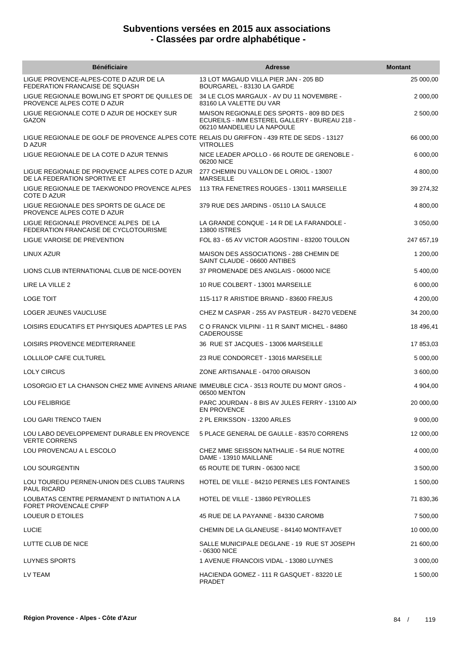| <b>Bénéficiaire</b>                                                                                  | <b>Adresse</b>                                                                                                          | <b>Montant</b> |
|------------------------------------------------------------------------------------------------------|-------------------------------------------------------------------------------------------------------------------------|----------------|
| LIGUE PROVENCE-ALPES-COTE D AZUR DE LA<br>FEDERATION FRANCAISE DE SQUASH                             | 13 LOT MAGAUD VILLA PIER JAN - 205 BD<br>BOURGAREL - 83130 LA GARDE                                                     | 25 000,00      |
| LIGUE REGIONALE BOWLING ET SPORT DE QUILLES DE<br>PROVENCE ALPES COTE D AZUR                         | 34 LE CLOS MARGAUX - AV DU 11 NOVEMBRE -<br>83160 LA VALETTE DU VAR                                                     | 2 000,00       |
| LIGUE REGIONALE COTE D AZUR DE HOCKEY SUR<br>GAZON                                                   | MAISON REGIONALE DES SPORTS - 809 BD DES<br>ECUREILS - IMM ESTEREL GALLERY - BUREAU 218 -<br>06210 MANDELIEU LA NAPOULE | 2 500,00       |
| LIGUE REGIONALE DE GOLF DE PROVENCE ALPES COTE RELAIS DU GRIFFON - 439 RTE DE SEDS - 13127<br>D AZUR | <b>VITROLLES</b>                                                                                                        | 66 000,00      |
| LIGUE REGIONALE DE LA COTE D AZUR TENNIS                                                             | NICE LEADER APOLLO - 66 ROUTE DE GRENOBLE -<br>06200 NICE                                                               | 6 000,00       |
| LIGUE REGIONALE DE PROVENCE ALPES COTE D AZUR<br>DE LA FEDERATION SPORTIVE ET                        | 277 CHEMIN DU VALLON DE L ORIOL - 13007<br><b>MARSEILLE</b>                                                             | 4 800,00       |
| LIGUE REGIONALE DE TAEKWONDO PROVENCE ALPES<br>COTE D AZUR                                           | 113 TRA FENETRES ROUGES - 13011 MARSEILLE                                                                               | 39 274,32      |
| LIGUE REGIONALE DES SPORTS DE GLACE DE<br>PROVENCE ALPES COTE D AZUR                                 | 379 RUE DES JARDINS - 05110 LA SAULCE                                                                                   | 4 800,00       |
| LIGUE REGIONALE PROVENCE ALPES DE LA<br>FEDERATION FRANCAISE DE CYCLOTOURISME                        | LA GRANDE CONQUE - 14 R DE LA FARANDOLE -<br><b>13800 ISTRES</b>                                                        | 3 050,00       |
| LIGUE VAROISE DE PREVENTION                                                                          | FOL 83 - 65 AV VICTOR AGOSTINI - 83200 TOULON                                                                           | 247 657,19     |
| LINUX AZUR                                                                                           | MAISON DES ASSOCIATIONS - 288 CHEMIN DE<br>SAINT CLAUDE - 06600 ANTIBES                                                 | 1 200,00       |
| LIONS CLUB INTERNATIONAL CLUB DE NICE-DOYEN                                                          | 37 PROMENADE DES ANGLAIS - 06000 NICE                                                                                   | 5 400,00       |
| LIRE LA VILLE 2                                                                                      | 10 RUE COLBERT - 13001 MARSEILLE                                                                                        | 6 000,00       |
| <b>LOGE TOIT</b>                                                                                     | 115-117 R ARISTIDE BRIAND - 83600 FREJUS                                                                                | 4 200,00       |
| LOGER JEUNES VAUCLUSE                                                                                | CHEZ M CASPAR - 255 AV PASTEUR - 84270 VEDENE                                                                           | 34 200,00      |
| LOISIRS EDUCATIFS ET PHYSIQUES ADAPTES LE PAS                                                        | C O FRANCK VILPINI - 11 R SAINT MICHEL - 84860<br><b>CADEROUSSE</b>                                                     | 18 496,41      |
| LOISIRS PROVENCE MEDITERRANEE                                                                        | 36 RUE ST JACQUES - 13006 MARSEILLE                                                                                     | 17 853,03      |
| LOLLILOP CAFE CULTUREL                                                                               | 23 RUE CONDORCET - 13016 MARSEILLE                                                                                      | 5 000,00       |
| LOLY CIRCUS                                                                                          | ZONE ARTISANALE - 04700 ORAISON                                                                                         | 3 600,00       |
| LOSORGIO ET LA CHANSON CHEZ MME AVINENS ARIANE IMMEUBLE CICA - 3513 ROUTE DU MONT GROS -             | 06500 MENTON                                                                                                            | 4 904,00       |
| <b>LOU FELIBRIGE</b>                                                                                 | PARC JOURDAN - 8 BIS AV JULES FERRY - 13100 AIX<br><b>EN PROVENCE</b>                                                   | 20 000,00      |
| LOU GARI TRENCO TAIEN                                                                                | 2 PL ERIKSSON - 13200 ARLES                                                                                             | 9 000,00       |
| LOU LABO DEVELOPPEMENT DURABLE EN PROVENCE<br><b>VERTE CORRENS</b>                                   | 5 PLACE GENERAL DE GAULLE - 83570 CORRENS                                                                               | 12 000,00      |
| LOU PROVENCAU A L ESCOLO                                                                             | CHEZ MME SEISSON NATHALIE - 54 RUE NOTRE<br>DAME - 13910 MAILLANE                                                       | 4 000,00       |
| <b>LOU SOURGENTIN</b>                                                                                | 65 ROUTE DE TURIN - 06300 NICE                                                                                          | 3 500,00       |
| LOU TOUREOU PERNEN-UNION DES CLUBS TAURINS<br><b>PAUL RICARD</b>                                     | HOTEL DE VILLE - 84210 PERNES LES FONTAINES                                                                             | 1 500,00       |
| LOUBATAS CENTRE PERMANENT D INITIATION A LA<br><b>FORET PROVENCALE CPIFP</b>                         | HOTEL DE VILLE - 13860 PEYROLLES                                                                                        | 71 830,36      |
| LOUEUR D ETOILES                                                                                     | 45 RUE DE LA PAYANNE - 84330 CAROMB                                                                                     | 7 500,00       |
| <b>LUCIE</b>                                                                                         | CHEMIN DE LA GLANEUSE - 84140 MONTFAVET                                                                                 | 10 000,00      |
| LUTTE CLUB DE NICE                                                                                   | SALLE MUNICIPALE DEGLANE - 19 RUE ST JOSEPH<br>- 06300 NICE                                                             | 21 600,00      |
| LUYNES SPORTS                                                                                        | 1 AVENUE FRANCOIS VIDAL - 13080 LUYNES                                                                                  | 3 000,00       |
| LV TEAM                                                                                              | HACIENDA GOMEZ - 111 R GASQUET - 83220 LE<br>PRADET                                                                     | 1 500,00       |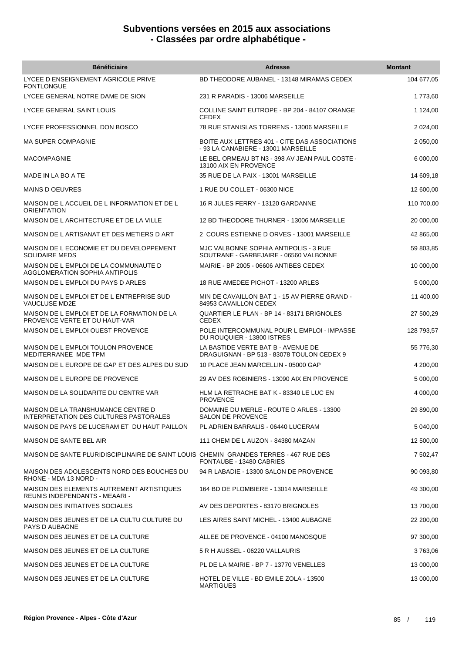| <b>Bénéficiaire</b>                                                                     | <b>Adresse</b>                                                                       | <b>Montant</b> |
|-----------------------------------------------------------------------------------------|--------------------------------------------------------------------------------------|----------------|
| LYCEE D ENSEIGNEMENT AGRICOLE PRIVE<br><b>FONTLONGUE</b>                                | BD THEODORE AUBANEL - 13148 MIRAMAS CEDEX                                            | 104 677,05     |
| LYCEE GENERAL NOTRE DAME DE SION                                                        | 231 R PARADIS - 13006 MARSEILLE                                                      | 1773,60        |
| LYCEE GENERAL SAINT LOUIS                                                               | COLLINE SAINT EUTROPE - BP 204 - 84107 ORANGE<br><b>CEDEX</b>                        | 1 124,00       |
| LYCEE PROFESSIONNEL DON BOSCO                                                           | 78 RUE STANISLAS TORRENS - 13006 MARSEILLE                                           | 2 0 24,00      |
| <b>MA SUPER COMPAGNIE</b>                                                               | BOITE AUX LETTRES 401 - CITE DAS ASSOCIATIONS<br>- 93 LA CANABIERE - 13001 MARSEILLE | 2 050,00       |
| <b>MACOMPAGNIE</b>                                                                      | LE BEL ORMEAU BT N3 - 398 AV JEAN PAUL COSTE -<br>13100 AIX EN PROVENCE              | 6 000,00       |
| MADE IN LA BO A TE                                                                      | 35 RUE DE LA PAIX - 13001 MARSEILLE                                                  | 14 609,18      |
| <b>MAINS D OEUVRES</b>                                                                  | 1 RUE DU COLLET - 06300 NICE                                                         | 12 600,00      |
| MAISON DE L ACCUEIL DE L INFORMATION ET DE L<br><b>ORIENTATION</b>                      | 16 R JULES FERRY - 13120 GARDANNE                                                    | 110 700,00     |
| MAISON DE L ARCHITECTURE ET DE LA VILLE                                                 | 12 BD THEODORE THURNER - 13006 MARSEILLE                                             | 20 000,00      |
| MAISON DE L ARTISANAT ET DES METIERS D ART                                              | 2 COURS ESTIENNE D ORVES - 13001 MARSEILLE                                           | 42 865,00      |
| MAISON DE L ECONOMIE ET DU DEVELOPPEMENT<br><b>SOLIDAIRE MEDS</b>                       | MJC VALBONNE SOPHIA ANTIPOLIS - 3 RUE<br>SOUTRANE - GARBEJAIRE - 06560 VALBONNE      | 59 803,85      |
| MAISON DE L EMPLOI DE LA COMMUNAUTE D<br><b>AGGLOMERATION SOPHIA ANTIPOLIS</b>          | MAIRIE - BP 2005 - 06606 ANTIBES CEDEX                                               | 10 000,00      |
| MAISON DE L EMPLOI DU PAYS D ARLES                                                      | 18 RUE AMEDEE PICHOT - 13200 ARLES                                                   | 5 000,00       |
| MAISON DE L EMPLOI ET DE L ENTREPRISE SUD<br><b>VAUCLUSE MD2E</b>                       | MIN DE CAVAILLON BAT 1 - 15 AV PIERRE GRAND -<br>84953 CAVAILLON CEDEX               | 11 400,00      |
| MAISON DE L EMPLOI ET DE LA FORMATION DE LA<br>PROVENCE VERTE ET DU HAUT-VAR            | QUARTIER LE PLAN - BP 14 - 83171 BRIGNOLES<br><b>CEDEX</b>                           | 27 500,29      |
| MAISON DE L EMPLOI OUEST PROVENCE                                                       | POLE INTERCOMMUNAL POUR L EMPLOI - IMPASSE<br>DU ROUQUIER - 13800 ISTRES             | 128 793,57     |
| MAISON DE L EMPLOI TOULON PROVENCE<br>MEDITERRANEE MDE TPM                              | LA BASTIDE VERTE BAT B - AVENUE DE<br>DRAGUIGNAN - BP 513 - 83078 TOULON CEDEX 9     | 55 776,30      |
| MAISON DE L EUROPE DE GAP ET DES ALPES DU SUD                                           | 10 PLACE JEAN MARCELLIN - 05000 GAP                                                  | 4 200,00       |
| MAISON DE L EUROPE DE PROVENCE                                                          | 29 AV DES ROBINIERS - 13090 AIX EN PROVENCE                                          | 5 000,00       |
| MAISON DE LA SOLIDARITE DU CENTRE VAR                                                   | HLM LA RETRACHE BAT K - 83340 LE LUC EN<br><b>PROVENCE</b>                           | 4 000,00       |
| MAISON DE LA TRANSHUMANCE CENTRE D<br>INTERPRETATION DES CULTURES PASTORALES            | DOMAINE DU MERLE - ROUTE D ARLES - 13300<br><b>SALON DE PROVENCE</b>                 | 29 890,00      |
| MAISON DE PAYS DE LUCERAM ET DU HAUT PAILLON                                            | PL ADRIEN BARRALIS - 06440 LUCERAM                                                   | 5 040,00       |
| MAISON DE SANTE BEL AIR                                                                 | 111 CHEM DE L AUZON - 84380 MAZAN                                                    | 12 500.00      |
| MAISON DE SANTE PLURIDISCIPLINAIRE DE SAINT LOUIS  CHEMIN  GRANDES TERRES - 467 RUE DES | FONTAUBE - 13480 CABRIES                                                             | 7 502,47       |
| MAISON DES ADOLESCENTS NORD DES BOUCHES DU<br>RHONE - MDA 13 NORD -                     | 94 R LABADIE - 13300 SALON DE PROVENCE                                               | 90 093,80      |
| MAISON DES ELEMENTS AUTREMENT ARTISTIQUES<br>REUNIS INDEPENDANTS - MEAARI -             | 164 BD DE PLOMBIERE - 13014 MARSEILLE                                                | 49 300,00      |
| <b>MAISON DES INITIATIVES SOCIALES</b>                                                  | AV DES DEPORTES - 83170 BRIGNOLES                                                    | 13 700,00      |
| MAISON DES JEUNES ET DE LA CULTU CULTURE DU<br>PAYS D AUBAGNE                           | LES AIRES SAINT MICHEL - 13400 AUBAGNE                                               | 22 200,00      |
| MAISON DES JEUNES ET DE LA CULTURE                                                      | ALLEE DE PROVENCE - 04100 MANOSQUE                                                   | 97 300,00      |
| MAISON DES JEUNES ET DE LA CULTURE                                                      | 5 R H AUSSEL - 06220 VALLAURIS                                                       | 3763,06        |
| MAISON DES JEUNES ET DE LA CULTURE                                                      | PL DE LA MAIRIE - BP 7 - 13770 VENELLES                                              | 13 000,00      |
| MAISON DES JEUNES ET DE LA CULTURE                                                      | HOTEL DE VILLE - BD EMILE ZOLA - 13500<br><b>MARTIGUES</b>                           | 13 000,00      |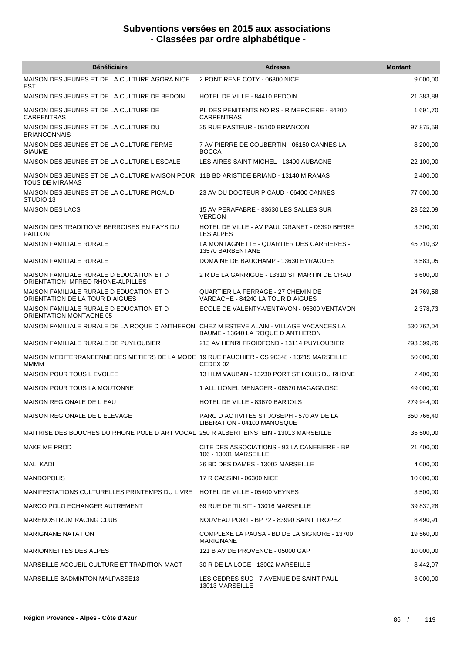| <b>Bénéficiaire</b>                                                                                       | <b>Adresse</b>                                                           | <b>Montant</b> |
|-----------------------------------------------------------------------------------------------------------|--------------------------------------------------------------------------|----------------|
| MAISON DES JEUNES ET DE LA CULTURE AGORA NICE<br>EST                                                      | 2 PONT RENE COTY - 06300 NICE                                            | 9 000,00       |
| MAISON DES JEUNES ET DE LA CULTURE DE BEDOIN                                                              | HOTEL DE VILLE - 84410 BEDOIN                                            | 21 383,88      |
| MAISON DES JEUNES ET DE LA CULTURE DE<br><b>CARPENTRAS</b>                                                | PL DES PENITENTS NOIRS - R MERCIERE - 84200<br><b>CARPENTRAS</b>         | 1 691,70       |
| MAISON DES JEUNES ET DE LA CULTURE DU<br><b>BRIANCONNAIS</b>                                              | 35 RUE PASTEUR - 05100 BRIANCON                                          | 97 875,59      |
| MAISON DES JEUNES ET DE LA CULTURE FERME<br><b>GIAUME</b>                                                 | 7 AV PIERRE DE COUBERTIN - 06150 CANNES LA<br><b>BOCCA</b>               | 8 200,00       |
| MAISON DES JEUNES ET DE LA CULTURE L ESCALE                                                               | LES AIRES SAINT MICHEL - 13400 AUBAGNE                                   | 22 100,00      |
| MAISON DES JEUNES ET DE LA CULTURE MAISON POUR 11B BD ARISTIDE BRIAND - 13140 MIRAMAS<br>TOUS DE MIRAMAS  |                                                                          | 2 400,00       |
| MAISON DES JEUNES ET DE LA CULTURE PICAUD<br>STUDIO 13                                                    | 23 AV DU DOCTEUR PICAUD - 06400 CANNES                                   | 77 000,00      |
| <b>MAISON DES LACS</b>                                                                                    | 15 AV PERAFABRE - 83630 LES SALLES SUR<br><b>VERDON</b>                  | 23 522,09      |
| MAISON DES TRADITIONS BERROISES EN PAYS DU<br><b>PAILLON</b>                                              | HOTEL DE VILLE - AV PAUL GRANET - 06390 BERRE<br><b>LES ALPES</b>        | 3 300,00       |
| <b>MAISON FAMILIALE RURALE</b>                                                                            | LA MONTAGNETTE - QUARTIER DES CARRIERES -<br>13570 BARBENTANE            | 45 710,32      |
| <b>MAISON FAMILIALE RURALE</b>                                                                            | DOMAINE DE BAUCHAMP - 13630 EYRAGUES                                     | 3 583,05       |
| MAISON FAMILIALE RURALE D EDUCATION ET D<br>ORIENTATION MFREO RHONE-ALPILLES                              | 2 R DE LA GARRIGUE - 13310 ST MARTIN DE CRAU                             | 3 600,00       |
| MAISON FAMILIALE RURALE D EDUCATION ET D<br>ORIENTATION DE LA TOUR D AIGUES                               | QUARTIER LA FERRAGE - 27 CHEMIN DE<br>VARDACHE - 84240 LA TOUR D AIGUES  | 24 769,58      |
| MAISON FAMILIALE RURALE D EDUCATION ET D<br>ORIENTATION MONTAGNE 05                                       | ECOLE DE VALENTY-VENTAVON - 05300 VENTAVON                               | 2 378,73       |
| MAISON FAMILIALE RURALE DE LA ROQUE D ANTHERON CHEZ M ESTEVE ALAIN - VILLAGE VACANCES LA                  | BAUME - 13640 LA ROQUE D ANTHERON                                        | 630 762,04     |
| MAISON FAMILIALE RURALE DE PUYLOUBIER                                                                     | 213 AV HENRI FROIDFOND - 13114 PUYLOUBIER                                | 293 399,26     |
| MAISON MEDITERRANEENNE DES METIERS DE LA MODE 19 RUE FAUCHIER - CS 90348 - 13215 MARSEILLE<br><b>MMMM</b> | CEDEX 02                                                                 | 50 000,00      |
| MAISON POUR TOUS L EVOLEE                                                                                 | 13 HLM VAUBAN - 13230 PORT ST LOUIS DU RHONE                             | 2 400,00       |
| <b>MAISON POUR TOUS LA MOUTONNE</b>                                                                       | 1 ALL LIONEL MENAGER - 06520 MAGAGNOSC                                   | 49 000,00      |
| MAISON REGIONALE DE L EAU                                                                                 | HOTEL DE VILLE - 83670 BARJOLS                                           | 279 944,00     |
| MAISON REGIONALE DE L ELEVAGE                                                                             | PARC D ACTIVITES ST JOSEPH - 570 AV DE LA<br>LIBERATION - 04100 MANOSQUE | 350 766,40     |
| MAITRISE DES BOUCHES DU RHONE POLE D ART VOCAL 250 R ALBERT EINSTEIN - 13013 MARSEILLE                    |                                                                          | 35 500,00      |
| MAKE ME PROD                                                                                              | CITE DES ASSOCIATIONS - 93 LA CANEBIERE - BP<br>106 - 13001 MARSEILLE    | 21 400,00      |
| MALI KADI                                                                                                 | 26 BD DES DAMES - 13002 MARSEILLE                                        | 4 000,00       |
| <b>MANDOPOLIS</b>                                                                                         | 17 R CASSINI - 06300 NICE                                                | 10 000,00      |
| MANIFESTATIONS CULTURELLES PRINTEMPS DU LIVRE HOTEL DE VILLE - 05400 VEYNES                               |                                                                          | 3 500,00       |
| MARCO POLO ECHANGER AUTREMENT                                                                             | 69 RUE DE TILSIT - 13016 MARSEILLE                                       | 39 837,28      |
| <b>MARENOSTRUM RACING CLUB</b>                                                                            | NOUVEAU PORT - BP 72 - 83990 SAINT TROPEZ                                | 8 490,91       |
| <b>MARIGNANE NATATION</b>                                                                                 | COMPLEXE LA PAUSA - BD DE LA SIGNORE - 13700<br><b>MARIGNANE</b>         | 19 560,00      |
| <b>MARIONNETTES DES ALPES</b>                                                                             | 121 B AV DE PROVENCE - 05000 GAP                                         | 10 000,00      |
| MARSEILLE ACCUEIL CULTURE ET TRADITION MACT                                                               | 30 R DE LA LOGE - 13002 MARSEILLE                                        | 8 442,97       |
| MARSEILLE BADMINTON MALPASSE13                                                                            | LES CEDRES SUD - 7 AVENUE DE SAINT PAUL -<br>13013 MARSEILLE             | 3 000,00       |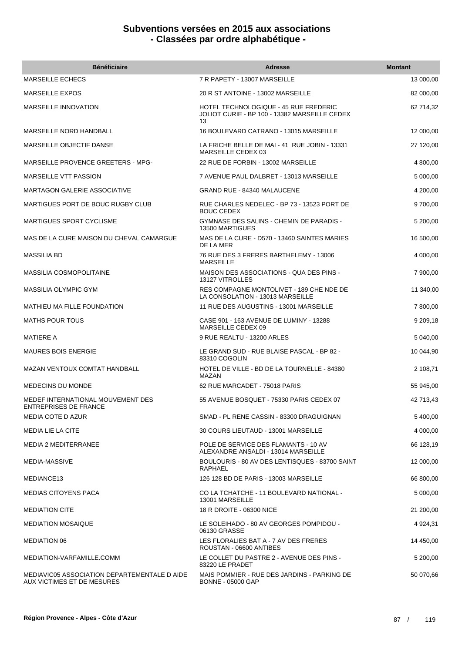| <b>Bénéficiaire</b>                                                        | <b>Adresse</b>                                                                                      | <b>Montant</b> |
|----------------------------------------------------------------------------|-----------------------------------------------------------------------------------------------------|----------------|
| <b>MARSEILLE ECHECS</b>                                                    | 7 R PAPETY - 13007 MARSEILLE                                                                        | 13 000,00      |
| <b>MARSEILLE EXPOS</b>                                                     | 20 R ST ANTOINE - 13002 MARSEILLE                                                                   | 82 000,00      |
| MARSEILLE INNOVATION                                                       | <b>HOTEL TECHNOLOGIQUE - 45 RUE FREDERIC</b><br>JOLIOT CURIE - BP 100 - 13382 MARSEILLE CEDEX<br>13 | 62 714,32      |
| MARSEILLE NORD HANDBALL                                                    | 16 BOULEVARD CATRANO - 13015 MARSEILLE                                                              | 12 000,00      |
| MARSEILLE OBJECTIF DANSE                                                   | LA FRICHE BELLE DE MAI - 41 RUE JOBIN - 13331<br>MARSEILLE CEDEX 03                                 | 27 120,00      |
| MARSEILLE PROVENCE GREETERS - MPG-                                         | 22 RUE DE FORBIN - 13002 MARSEILLE                                                                  | 4 800,00       |
| MARSEILLE VTT PASSION                                                      | 7 AVENUE PAUL DALBRET - 13013 MARSEILLE                                                             | 5 000,00       |
| <b>MARTAGON GALERIE ASSOCIATIVE</b>                                        | GRAND RUE - 84340 MALAUCENE                                                                         | 4 200,00       |
| MARTIGUES PORT DE BOUC RUGBY CLUB                                          | RUE CHARLES NEDELEC - BP 73 - 13523 PORT DE<br><b>BOUC CEDEX</b>                                    | 9700,00        |
| <b>MARTIGUES SPORT CYCLISME</b>                                            | GYMNASE DES SALINS - CHEMIN DE PARADIS -<br>13500 MARTIGUES                                         | 5 200,00       |
| MAS DE LA CURE MAISON DU CHEVAL CAMARGUE                                   | MAS DE LA CURE - D570 - 13460 SAINTES MARIES<br>DE LA MER                                           | 16 500,00      |
| <b>MASSILIA BD</b>                                                         | 76 RUE DES 3 FRERES BARTHELEMY - 13006<br><b>MARSEILLE</b>                                          | 4 000,00       |
| <b>MASSILIA COSMOPOLITAINE</b>                                             | MAISON DES ASSOCIATIONS - QUA DES PINS -<br>13127 VITROLLES                                         | 7 900,00       |
| MASSILIA OLYMPIC GYM                                                       | RES COMPAGNE MONTOLIVET - 189 CHE NDE DE<br>LA CONSOLATION - 13013 MARSEILLE                        | 11 340,00      |
| <b>MATHIEU MA FILLE FOUNDATION</b>                                         | 11 RUE DES AUGUSTINS - 13001 MARSEILLE                                                              | 7 800,00       |
| <b>MATHS POUR TOUS</b>                                                     | CASE 901 - 163 AVENUE DE LUMINY - 13288<br>MARSEILLE CEDEX 09                                       | 9 209,18       |
| <b>MATIERE A</b>                                                           | 9 RUE REALTU - 13200 ARLES                                                                          | 5 040,00       |
| <b>MAURES BOIS ENERGIE</b>                                                 | LE GRAND SUD - RUE BLAISE PASCAL - BP 82 -<br>83310 COGOLIN                                         | 10 044,90      |
| <b>MAZAN VENTOUX COMTAT HANDBALL</b>                                       | HOTEL DE VILLE - BD DE LA TOURNELLE - 84380<br>MAZAN                                                | 2 108,71       |
| MEDECINS DU MONDE                                                          | 62 RUE MARCADET - 75018 PARIS                                                                       | 55 945,00      |
| MEDEF INTERNATIONAL MOUVEMENT DES<br><b>ENTREPRISES DE FRANCE</b>          | 55 AVENUE BOSQUET - 75330 PARIS CEDEX 07                                                            | 42 713,43      |
| <b>MEDIA COTE D AZUR</b>                                                   | SMAD - PL RENE CASSIN - 83300 DRAGUIGNAN                                                            | 5 400,00       |
| <b>MEDIA LIE LA CITE</b>                                                   | 30 COURS LIEUTAUD - 13001 MARSEILLE                                                                 | 4 000,00       |
| <b>MEDIA 2 MEDITERRANEE</b>                                                | POLE DE SERVICE DES FLAMANTS - 10 AV<br>ALEXANDRE ANSALDI - 13014 MARSEILLE                         | 66 128,19      |
| <b>MEDIA-MASSIVE</b>                                                       | BOULOURIS - 80 AV DES LENTISQUES - 83700 SAINT<br><b>RAPHAEL</b>                                    | 12 000,00      |
| MEDIANCE13                                                                 | 126 128 BD DE PARIS - 13003 MARSEILLE                                                               | 66 800,00      |
| <b>MEDIAS CITOYENS PACA</b>                                                | CO LA TCHATCHE - 11 BOULEVARD NATIONAL -<br>13001 MARSEILLE                                         | 5 000,00       |
| <b>MEDIATION CITE</b>                                                      | 18 R DROITE - 06300 NICE                                                                            | 21 200,00      |
| <b>MEDIATION MOSAIQUE</b>                                                  | LE SOLEIHADO - 80 AV GEORGES POMPIDOU -<br>06130 GRASSE                                             | 4 9 24, 31     |
| <b>MEDIATION 06</b>                                                        | LES FLORALIES BAT A - 7 AV DES FRERES<br>ROUSTAN - 06600 ANTIBES                                    | 14 450,00      |
| MEDIATION-VARFAMILLE.COMM                                                  | LE COLLET DU PASTRE 2 - AVENUE DES PINS -<br>83220 LE PRADET                                        | 5 200,00       |
| MEDIAVIC05 ASSOCIATION DEPARTEMENTALE D AIDE<br>AUX VICTIMES ET DE MESURES | MAIS POMMIER - RUE DES JARDINS - PARKING DE<br><b>BONNE - 05000 GAP</b>                             | 50 070,66      |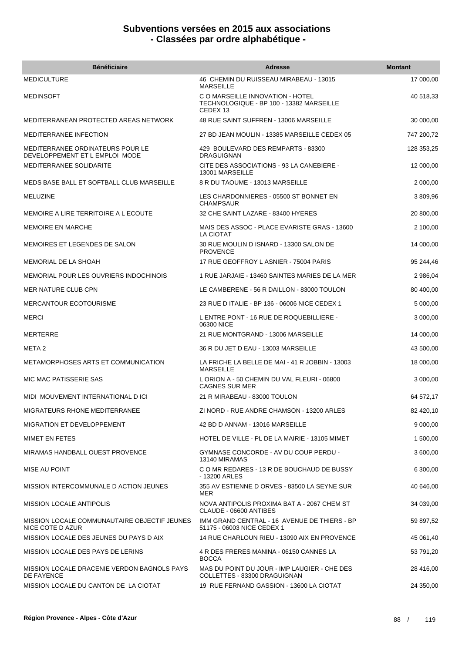| <b>Bénéficiaire</b>                                                | <b>Adresse</b>                                                                           | <b>Montant</b> |
|--------------------------------------------------------------------|------------------------------------------------------------------------------------------|----------------|
| <b>MEDICULTURE</b>                                                 | 46 CHEMIN DU RUISSEAU MIRABEAU - 13015<br><b>MARSEILLE</b>                               | 17 000,00      |
| MEDINSOFT                                                          | C O MARSEILLE INNOVATION - HOTEL<br>TECHNOLOGIQUE - BP 100 - 13382 MARSEILLE<br>CEDEX 13 | 40 518,33      |
| MEDITERRANEAN PROTECTED AREAS NETWORK                              | 48 RUE SAINT SUFFREN - 13006 MARSEILLE                                                   | 30 000,00      |
| MEDITERRANEE INFECTION                                             | 27 BD JEAN MOULIN - 13385 MARSEILLE CEDEX 05                                             | 747 200,72     |
| MEDITERRANEE ORDINATEURS POUR LE<br>DEVELOPPEMENT ET L EMPLOI MODE | 429 BOULEVARD DES REMPARTS - 83300<br><b>DRAGUIGNAN</b>                                  | 128 353.25     |
| MEDITERRANEE SOLIDARITE                                            | CITE DES ASSOCIATIONS - 93 LA CANEBIERE -<br>13001 MARSEILLE                             | 12 000,00      |
| MEDS BASE BALL ET SOFTBALL CLUB MARSEILLE                          | 8 R DU TAOUME - 13013 MARSEILLE                                                          | 2 000,00       |
| <b>MELUZINE</b>                                                    | LES CHARDONNIERES - 05500 ST BONNET EN<br><b>CHAMPSAUR</b>                               | 3 809,96       |
| MEMOIRE A LIRE TERRITOIRE A L ECOUTE                               | 32 CHE SAINT LAZARE - 83400 HYERES                                                       | 20 800,00      |
| <b>MEMOIRE EN MARCHE</b>                                           | MAIS DES ASSOC - PLACE EVARISTE GRAS - 13600<br>LA CIOTAT                                | 2 100,00       |
| MEMOIRES ET LEGENDES DE SALON                                      | 30 RUE MOULIN D ISNARD - 13300 SALON DE<br><b>PROVENCE</b>                               | 14 000,00      |
| MEMORIAL DE LA SHOAH                                               | 17 RUE GEOFFROY L ASNIER - 75004 PARIS                                                   | 95 244,46      |
| <b>MEMORIAL POUR LES OUVRIERS INDOCHINOIS</b>                      | 1 RUE JARJAIE - 13460 SAINTES MARIES DE LA MER                                           | 2 986,04       |
| MER NATURE CLUB CPN                                                | LE CAMBERENE - 56 R DAILLON - 83000 TOULON                                               | 80 400,00      |
| <b>MERCANTOUR ECOTOURISME</b>                                      | 23 RUE D ITALIE - BP 136 - 06006 NICE CEDEX 1                                            | 5 000,00       |
| <b>MERCI</b>                                                       | L ENTRE PONT - 16 RUE DE ROQUEBILLIERE -<br>06300 NICE                                   | 3 000,00       |
| MERTERRE                                                           | 21 RUE MONTGRAND - 13006 MARSEILLE                                                       | 14 000,00      |
| META 2                                                             | 36 R DU JET D EAU - 13003 MARSEILLE                                                      | 43 500,00      |
| <b>METAMORPHOSES ARTS ET COMMUNICATION</b>                         | LA FRICHE LA BELLE DE MAI - 41 R JOBBIN - 13003<br><b>MARSEILLE</b>                      | 18 000,00      |
| MIC MAC PATISSERIE SAS                                             | L ORION A - 50 CHEMIN DU VAL FLEURI - 06800<br><b>CAGNES SUR MER</b>                     | 3 000,00       |
| MIDI MOUVEMENT INTERNATIONAL DICI                                  | 21 R MIRABEAU - 83000 TOULON                                                             | 64 572,17      |
| MIGRATEURS RHONE MEDITERRANEE                                      | ZI NORD - RUE ANDRE CHAMSON - 13200 ARLES                                                | 82 420,10      |
| <b>MIGRATION ET DEVELOPPEMENT</b>                                  | 42 BD D ANNAM - 13016 MARSEILLE                                                          | 9 000,00       |
| MIMET EN FETES                                                     | HOTEL DE VILLE - PL DE LA MAIRIE - 13105 MIMET                                           | 1 500,00       |
| MIRAMAS HANDBALL OUEST PROVENCE                                    | GYMNASE CONCORDE - AV DU COUP PERDU -<br>13140 MIRAMAS                                   | 3 600,00       |
| MISE AU POINT                                                      | C O MR REDARES - 13 R DE BOUCHAUD DE BUSSY<br>- 13200 ARLES                              | 6 300,00       |
| MISSION INTERCOMMUNALE D ACTION JEUNES                             | 355 AV ESTIENNE D ORVES - 83500 LA SEYNE SUR<br>MER                                      | 40 646,00      |
| <b>MISSION LOCALE ANTIPOLIS</b>                                    | NOVA ANTIPOLIS PROXIMA BAT A - 2067 CHEM ST<br>CLAUDE - 06600 ANTIBES                    | 34 039,00      |
| MISSION LOCALE COMMUNAUTAIRE OBJECTIF JEUNES<br>NICE COTE D AZUR   | IMM GRAND CENTRAL - 16 AVENUE DE THIERS - BP<br>51175 - 06003 NICE CEDEX 1               | 59 897,52      |
| MISSION LOCALE DES JEUNES DU PAYS D AIX                            | 14 RUE CHARLOUN RIEU - 13090 AIX EN PROVENCE                                             | 45 061,40      |
| MISSION LOCALE DES PAYS DE LERINS                                  | 4 R DES FRERES MANINA - 06150 CANNES LA<br><b>BOCCA</b>                                  | 53 791,20      |
| MISSION LOCALE DRACENIE VERDON BAGNOLS PAYS<br>DE FAYENCE          | MAS DU POINT DU JOUR - IMP LAUGIER - CHE DES<br>COLLETTES - 83300 DRAGUIGNAN             | 28 416,00      |
| MISSION LOCALE DU CANTON DE LA CIOTAT                              | 19 RUE FERNAND GASSION - 13600 LA CIOTAT                                                 | 24 350,00      |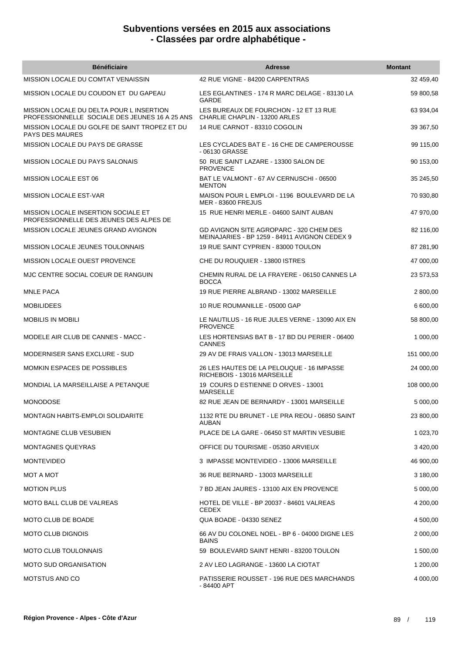| <b>Bénéficiaire</b>                                                                        | <b>Adresse</b>                                                                           | <b>Montant</b> |
|--------------------------------------------------------------------------------------------|------------------------------------------------------------------------------------------|----------------|
| MISSION LOCALE DU COMTAT VENAISSIN                                                         | 42 RUE VIGNE - 84200 CARPENTRAS                                                          | 32 459,40      |
| MISSION LOCALE DU COUDON ET DU GAPEAU                                                      | LES EGLANTINES - 174 R MARC DELAGE - 83130 LA<br><b>GARDE</b>                            | 59 800,58      |
| MISSION LOCALE DU DELTA POUR L INSERTION<br>PROFESSIONNELLE SOCIALE DES JEUNES 16 A 25 ANS | LES BUREAUX DE FOURCHON - 12 ET 13 RUE<br>CHARLIE CHAPLIN - 13200 ARLES                  | 63 934,04      |
| MISSION LOCALE DU GOLFE DE SAINT TROPEZ ET DU<br><b>PAYS DES MAURES</b>                    | 14 RUE CARNOT - 83310 COGOLIN                                                            | 39 367,50      |
| MISSION LOCALE DU PAYS DE GRASSE                                                           | LES CYCLADES BAT E - 16 CHE DE CAMPEROUSSE<br>- 06130 GRASSE                             | 99 115,00      |
| MISSION LOCALE DU PAYS SALONAIS                                                            | 50 RUE SAINT LAZARE - 13300 SALON DE<br><b>PROVENCE</b>                                  | 90 153,00      |
| MISSION LOCALE EST 06                                                                      | BAT LE VALMONT - 67 AV CERNUSCHI - 06500<br><b>MENTON</b>                                | 35 245,50      |
| <b>MISSION LOCALE EST-VAR</b>                                                              | MAISON POUR L EMPLOI - 1196 BOULEVARD DE LA<br><b>MER - 83600 FREJUS</b>                 | 70 930,80      |
| MISSION LOCALE INSERTION SOCIALE ET<br>PROFESSIONNELLE DES JEUNES DES ALPES DE             | 15 RUE HENRI MERLE - 04600 SAINT AUBAN                                                   | 47 970,00      |
| MISSION LOCALE JEUNES GRAND AVIGNON                                                        | GD AVIGNON SITE AGROPARC - 320 CHEM DES<br>MEINAJARIES - BP 1259 - 84911 AVIGNON CEDEX 9 | 82 116,00      |
| <b>MISSION LOCALE JEUNES TOULONNAIS</b>                                                    | 19 RUE SAINT CYPRIEN - 83000 TOULON                                                      | 87 281,90      |
| <b>MISSION LOCALE OUEST PROVENCE</b>                                                       | CHE DU ROUQUIER - 13800 ISTRES                                                           | 47 000,00      |
| MJC CENTRE SOCIAL COEUR DE RANGUIN                                                         | CHEMIN RURAL DE LA FRAYERE - 06150 CANNES LA<br><b>BOCCA</b>                             | 23 573,53      |
| <b>MNLE PACA</b>                                                                           | 19 RUE PIERRE ALBRAND - 13002 MARSEILLE                                                  | 2 800,00       |
| <b>MOBILIDEES</b>                                                                          | 10 RUE ROUMANILLE - 05000 GAP                                                            | 6 600,00       |
| MOBILIS IN MOBILI                                                                          | LE NAUTILUS - 16 RUE JULES VERNE - 13090 AIX EN<br><b>PROVENCE</b>                       | 58 800,00      |
| MODELE AIR CLUB DE CANNES - MACC -                                                         | LES HORTENSIAS BAT B - 17 BD DU PERIER - 06400<br><b>CANNES</b>                          | 1 000,00       |
| MODERNISER SANS EXCLURE - SUD                                                              | 29 AV DE FRAIS VALLON - 13013 MARSEILLE                                                  | 151 000,00     |
| <b>MOMKIN ESPACES DE POSSIBLES</b>                                                         | 26 LES HAUTES DE LA PELOUQUE - 16 IMPASSE<br>RICHEBOIS - 13016 MARSEILLE                 | 24 000,00      |
| MONDIAL LA MARSEILLAISE A PETANQUE                                                         | 19 COURS D ESTIENNE D ORVES - 13001<br><b>MARSEILLE</b>                                  | 108 000,00     |
| <b>MONODOSE</b>                                                                            | 82 RUE JEAN DE BERNARDY - 13001 MARSEILLE                                                | 5 000,00       |
| MONTAGN HABITS-EMPLOI SOLIDARITE                                                           | 1132 RTE DU BRUNET - LE PRA REOU - 06850 SAINT<br><b>AUBAN</b>                           | 23 800,00      |
| MONTAGNE CLUB VESUBIEN                                                                     | PLACE DE LA GARE - 06450 ST MARTIN VESUBIE                                               | 1 023,70       |
| <b>MONTAGNES QUEYRAS</b>                                                                   | OFFICE DU TOURISME - 05350 ARVIEUX                                                       | 3 420,00       |
| <b>MONTEVIDEO</b>                                                                          | 3 IMPASSE MONTEVIDEO - 13006 MARSEILLE                                                   | 46 900.00      |
| MOT A MOT                                                                                  | 36 RUE BERNARD - 13003 MARSEILLE                                                         | 3 180,00       |
| <b>MOTION PLUS</b>                                                                         | 7 BD JEAN JAURES - 13100 AIX EN PROVENCE                                                 | 5 000,00       |
| MOTO BALL CLUB DE VALREAS                                                                  | HOTEL DE VILLE - BP 20037 - 84601 VALREAS<br><b>CEDEX</b>                                | 4 200,00       |
| MOTO CLUB DE BOADE                                                                         | QUA BOADE - 04330 SENEZ                                                                  | 4 500,00       |
| <b>MOTO CLUB DIGNOIS</b>                                                                   | 66 AV DU COLONEL NOEL - BP 6 - 04000 DIGNE LES<br><b>BAINS</b>                           | 2 000,00       |
| <b>MOTO CLUB TOULONNAIS</b>                                                                | 59 BOULEVARD SAINT HENRI - 83200 TOULON                                                  | 1 500,00       |
| <b>MOTO SUD ORGANISATION</b>                                                               | 2 AV LEO LAGRANGE - 13600 LA CIOTAT                                                      | 1 200,00       |
| MOTSTUS AND CO                                                                             | PATISSERIE ROUSSET - 196 RUE DES MARCHANDS<br>- 84400 APT                                | 4 000,00       |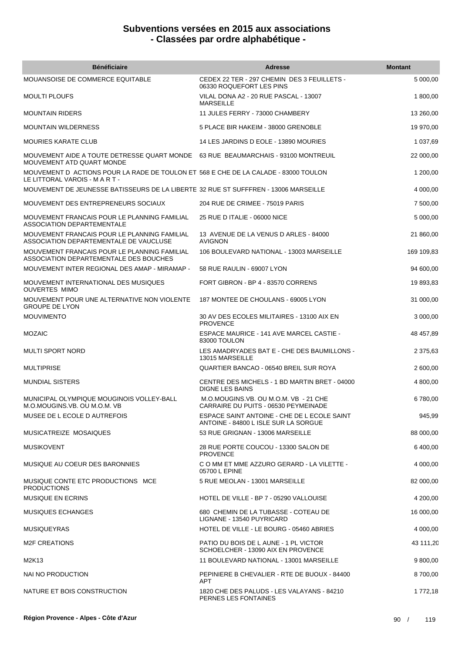| <b>Bénéficiaire</b>                                                                                                   | <b>Adresse</b>                                                                      | <b>Montant</b> |
|-----------------------------------------------------------------------------------------------------------------------|-------------------------------------------------------------------------------------|----------------|
| MOUANSOISE DE COMMERCE EQUITABLE                                                                                      | CEDEX 22 TER - 297 CHEMIN DES 3 FEUILLETS -<br>06330 ROQUEFORT LES PINS             | 5 000,00       |
| <b>MOULTI PLOUFS</b>                                                                                                  | VILAL DONA A2 - 20 RUE PASCAL - 13007<br><b>MARSEILLE</b>                           | 1 800,00       |
| <b>MOUNTAIN RIDERS</b>                                                                                                | 11 JULES FERRY - 73000 CHAMBERY                                                     | 13 260,00      |
| <b>MOUNTAIN WILDERNESS</b>                                                                                            | 5 PLACE BIR HAKEIM - 38000 GRENOBLE                                                 | 19 970,00      |
| <b>MOURIES KARATE CLUB</b>                                                                                            | 14 LES JARDINS D EOLE - 13890 MOURIES                                               | 1 037,69       |
| MOUVEMENT AIDE A TOUTE DETRESSE QUART MONDE 63 RUE BEAUMARCHAIS - 93100 MONTREUIL<br>MOUVEMENT ATD QUART MONDE        |                                                                                     | 22 000,00      |
| MOUVEMENT D ACTIONS POUR LA RADE DE TOULON ET 568 E CHE DE LA CALADE - 83000 TOULON<br>LE LITTORAL VAROIS - M A R T - |                                                                                     | 1 200,00       |
| MOUVEMENT DE JEUNESSE BATISSEURS DE LA LIBERTE 32 RUE ST SUFFFREN - 13006 MARSEILLE                                   |                                                                                     | 4 000,00       |
| MOUVEMENT DES ENTREPRENEURS SOCIAUX                                                                                   | 204 RUE DE CRIMEE - 75019 PARIS                                                     | 7 500,00       |
| MOUVEMENT FRANCAIS POUR LE PLANNING FAMILIAL<br><b>ASSOCIATION DEPARTEMENTALE</b>                                     | 25 RUE D ITALIE - 06000 NICE                                                        | 5 000,00       |
| MOUVEMENT FRANCAIS POUR LE PLANNING FAMILIAL<br>ASSOCIATION DEPARTEMENTALE DE VAUCLUSE                                | 13 AVENUE DE LA VENUS D ARLES - 84000<br><b>AVIGNON</b>                             | 21 860,00      |
| MOUVEMENT FRANCAIS POUR LE PLANNING FAMILIAL<br>ASSOCIATION DEPARTEMENTALE DES BOUCHES                                | 106 BOULEVARD NATIONAL - 13003 MARSEILLE                                            | 169 109,83     |
| MOUVEMENT INTER REGIONAL DES AMAP - MIRAMAP -                                                                         | 58 RUE RAULIN - 69007 LYON                                                          | 94 600,00      |
| MOUVEMENT INTERNATIONAL DES MUSIQUES<br><b>OUVERTES MIMO</b>                                                          | FORT GIBRON - BP 4 - 83570 CORRENS                                                  | 19 893,83      |
| MOUVEMENT POUR UNE ALTERNATIVE NON VIOLENTE<br><b>GROUPE DE LYON</b>                                                  | 187 MONTEE DE CHOULANS - 69005 LYON                                                 | 31 000,00      |
| <b>MOUVIMENTO</b>                                                                                                     | 30 AV DES ECOLES MILITAIRES - 13100 AIX EN<br><b>PROVENCE</b>                       | 3 000,00       |
| <b>MOZAIC</b>                                                                                                         | ESPACE MAURICE - 141 AVE MARCEL CASTIE -<br>83000 TOULON                            | 48 457,89      |
| <b>MULTI SPORT NORD</b>                                                                                               | LES AMADRYADES BAT E - CHE DES BAUMILLONS -<br>13015 MARSEILLE                      | 2 375,63       |
| <b>MULTIPRISE</b>                                                                                                     | QUARTIER BANCAO - 06540 BREIL SUR ROYA                                              | 2 600,00       |
| MUNDIAL SISTERS                                                                                                       | CENTRE DES MICHELS - 1 BD MARTIN BRET - 04000<br><b>DIGNE LES BAINS</b>             | 4 800,00       |
| MUNICIPAL OLYMPIQUE MOUGINOIS VOLLEY-BALL<br>M.O.MOUGINS.VB. OU M.O.M. VB                                             | M.O.MOUGINS.VB. OU M.O.M. VB - 21 CHE<br>CARRAIRE DU PUITS - 06530 PEYMEINADE       | 6780,00        |
| MUSEE DE L ECOLE D AUTREFOIS                                                                                          | ESPACE SAINT ANTOINE - CHE DE L ECOLE SAINT<br>ANTOINE - 84800 L ISLE SUR LA SORGUE | 945,99         |
| MUSICATREIZE MOSAIQUES                                                                                                | 53 RUE GRIGNAN - 13006 MARSEILLE                                                    | 88 000,00      |
| <b>MUSIKOVENT</b>                                                                                                     | 28 RUE PORTE COUCOU - 13300 SALON DE<br><b>PROVENCE</b>                             | 6 400,00       |
| MUSIQUE AU COEUR DES BARONNIES                                                                                        | C O MM ET MME AZZURO GERARD - LA VILETTE -<br>05700 L EPINE                         | 4 000,00       |
| MUSIQUE CONTE ETC PRODUCTIONS MCE<br><b>PRODUCTIONS</b>                                                               | 5 RUE MEOLAN - 13001 MARSEILLE                                                      | 82 000,00      |
| <b>MUSIQUE EN ECRINS</b>                                                                                              | HOTEL DE VILLE - BP 7 - 05290 VALLOUISE                                             | 4 200,00       |
| <b>MUSIQUES ECHANGES</b>                                                                                              | 680 CHEMIN DE LA TUBASSE - COTEAU DE<br>LIGNANE - 13540 PUYRICARD                   | 16 000,00      |
| <b>MUSIQUEYRAS</b>                                                                                                    | HOTEL DE VILLE - LE BOURG - 05460 ABRIES                                            | 4 000,00       |
| <b>M2F CREATIONS</b>                                                                                                  | PATIO DU BOIS DE L AUNE - 1 PL VICTOR<br>SCHOELCHER - 13090 AIX EN PROVENCE         | 43 111,20      |
| M2K13                                                                                                                 | 11 BOULEVARD NATIONAL - 13001 MARSEILLE                                             | 9 800,00       |
| NAI NO PRODUCTION                                                                                                     | PEPINIERE B CHEVALIER - RTE DE BUOUX - 84400<br><b>APT</b>                          | 8700,00        |
| NATURE ET BOIS CONSTRUCTION                                                                                           | 1820 CHE DES PALUDS - LES VALAYANS - 84210<br>PERNES LES FONTAINES                  | 1 772,18       |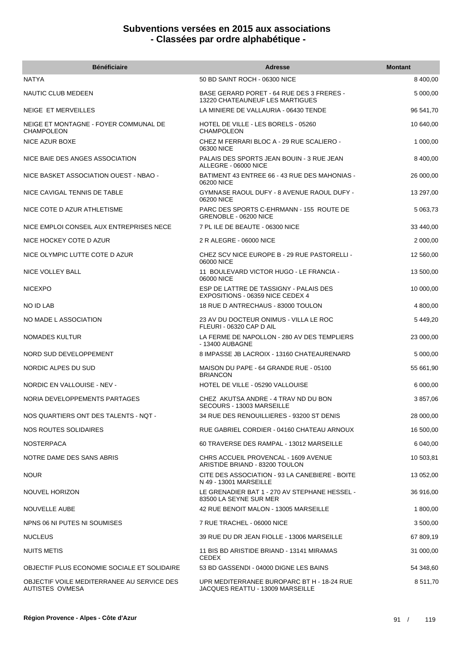| <b>Bénéficiaire</b>                                           | <b>Adresse</b>                                                                 | <b>Montant</b> |
|---------------------------------------------------------------|--------------------------------------------------------------------------------|----------------|
| <b>NATYA</b>                                                  | 50 BD SAINT ROCH - 06300 NICE                                                  | 8 400,00       |
| NAUTIC CLUB MEDEEN                                            | BASE GERARD PORET - 64 RUE DES 3 FRERES -<br>13220 CHATEAUNEUF LES MARTIGUES   | 5 000,00       |
| <b>NEIGE ET MERVEILLES</b>                                    | LA MINIERE DE VALLAURIA - 06430 TENDE                                          | 96 541.70      |
| NEIGE ET MONTAGNE - FOYER COMMUNAL DE<br><b>CHAMPOLEON</b>    | HOTEL DE VILLE - LES BORELS - 05260<br><b>CHAMPOLEON</b>                       | 10 640,00      |
| NICE AZUR BOXE                                                | CHEZ M FERRARI BLOC A - 29 RUE SCALIERO -<br>06300 NICE                        | 1 000,00       |
| NICE BAIE DES ANGES ASSOCIATION                               | PALAIS DES SPORTS JEAN BOUIN - 3 RUE JEAN<br>ALLEGRE - 06000 NICE              | 8 400,00       |
| NICE BASKET ASSOCIATION OUEST - NBAO -                        | BATIMENT 43 ENTREE 66 - 43 RUE DES MAHONIAS -<br>06200 NICE                    | 26 000,00      |
| NICE CAVIGAL TENNIS DE TABLE                                  | GYMNASE RAOUL DUFY - 8 AVENUE RAOUL DUFY -<br>06200 NICE                       | 13 297,00      |
| NICE COTE D AZUR ATHLETISME                                   | PARC DES SPORTS C-EHRMANN - 155 ROUTE DE<br>GRENOBLE - 06200 NICE              | 5 063,73       |
| NICE EMPLOI CONSEIL AUX ENTREPRISES NECE                      | 7 PL ILE DE BEAUTE - 06300 NICE                                                | 33 440,00      |
| NICE HOCKEY COTE D AZUR                                       | 2 R ALEGRE - 06000 NICE                                                        | 2 000,00       |
| NICE OLYMPIC LUTTE COTE D AZUR                                | CHEZ SCV NICE EUROPE B - 29 RUE PASTORELLI -<br>06000 NICE                     | 12 560,00      |
| NICE VOLLEY BALL                                              | 11 BOULEVARD VICTOR HUGO - LE FRANCIA -<br>06000 NICE                          | 13 500,00      |
| <b>NICEXPO</b>                                                | ESP DE LATTRE DE TASSIGNY - PALAIS DES<br>EXPOSITIONS - 06359 NICE CEDEX 4     | 10 000,00      |
| NO ID LAB                                                     | 18 RUE D ANTRECHAUS - 83000 TOULON                                             | 4 800,00       |
| NO MADE L ASSOCIATION                                         | 23 AV DU DOCTEUR ONIMUS - VILLA LE ROC<br>FLEURI - 06320 CAP D AIL             | 5 449,20       |
| NOMADES KULTUR                                                | LA FERME DE NAPOLLON - 280 AV DES TEMPLIERS<br>- 13400 AUBAGNE                 | 23 000,00      |
| NORD SUD DEVELOPPEMENT                                        | 8 IMPASSE JB LACROIX - 13160 CHATEAURENARD                                     | 5 000,00       |
| NORDIC ALPES DU SUD                                           | MAISON DU PAPE - 64 GRANDE RUE - 05100<br><b>BRIANCON</b>                      | 55 661,90      |
| NORDIC EN VALLOUISE - NEV -                                   | HOTEL DE VILLE - 05290 VALLOUISE                                               | 6 000,00       |
| NORIA DEVELOPPEMENTS PARTAGES                                 | CHEZ AKUTSA ANDRE - 4 TRAV ND DU BON<br>SECOURS - 13003 MARSEILLE              | 3 857,06       |
| NOS QUARTIERS ONT DES TALENTS - NOT -                         | 34 RUE DES RENOUILLIERES - 93200 ST DENIS                                      | 28 000,00      |
| NOS ROUTES SOLIDAIRES                                         | RUE GABRIEL CORDIER - 04160 CHATEAU ARNOUX                                     | 16 500,00      |
| <b>NOSTERPACA</b>                                             | 60 TRAVERSE DES RAMPAL - 13012 MARSEILLE                                       | 6 040,00       |
| NOTRE DAME DES SANS ABRIS                                     | CHRS ACCUEIL PROVENCAL - 1609 AVENUE<br>ARISTIDE BRIAND - 83200 TOULON         | 10 503,81      |
| <b>NOUR</b>                                                   | CITE DES ASSOCIATION - 93 LA CANEBIERE - BOITE<br>N 49 - 13001 MARSEILLE       | 13 052,00      |
| NOUVEL HORIZON                                                | LE GRENADIER BAT 1 - 270 AV STEPHANE HESSEL -<br>83500 LA SEYNE SUR MER        | 36 916,00      |
| NOUVELLE AUBE                                                 | 42 RUE BENOIT MALON - 13005 MARSEILLE                                          | 1 800,00       |
| NPNS 06 NI PUTES NI SOUMISES                                  | 7 RUE TRACHEL - 06000 NICE                                                     | 3 500,00       |
| <b>NUCLEUS</b>                                                | 39 RUE DU DR JEAN FIOLLE - 13006 MARSEILLE                                     | 67 809,19      |
| <b>NUITS METIS</b>                                            | 11 BIS BD ARISTIDE BRIAND - 13141 MIRAMAS<br><b>CEDEX</b>                      | 31 000,00      |
| OBJECTIF PLUS ECONOMIE SOCIALE ET SOLIDAIRE                   | 53 BD GASSENDI - 04000 DIGNE LES BAINS                                         | 54 348,60      |
| OBJECTIF VOILE MEDITERRANEE AU SERVICE DES<br>AUTISTES OVMESA | UPR MEDITERRANEE BUROPARC BT H - 18-24 RUE<br>JACQUES REATTU - 13009 MARSEILLE | 8 511,70       |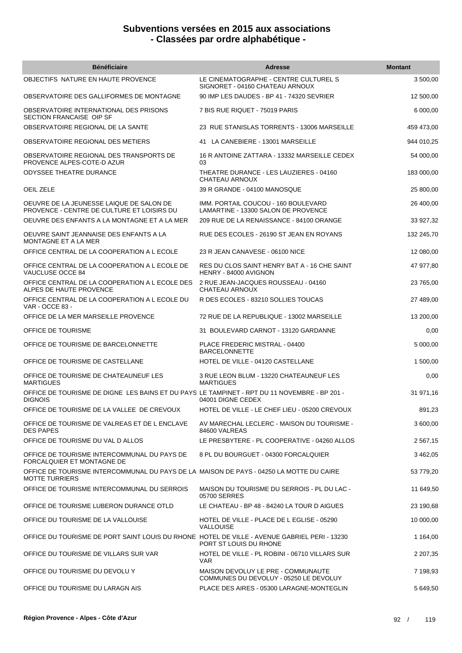| <b>Bénéficiaire</b>                                                                                              | <b>Adresse</b>                                                               | <b>Montant</b> |
|------------------------------------------------------------------------------------------------------------------|------------------------------------------------------------------------------|----------------|
| OBJECTIFS NATURE EN HAUTE PROVENCE                                                                               | LE CINEMATOGRAPHE - CENTRE CULTUREL S<br>SIGNORET - 04160 CHATEAU ARNOUX     | 3 500,00       |
| OBSERVATOIRE DES GALLIFORMES DE MONTAGNE                                                                         | 90 IMP LES DAUDES - BP 41 - 74320 SEVRIER                                    | 12 500,00      |
| OBSERVATOIRE INTERNATIONAL DES PRISONS<br>SECTION FRANCAISE OIP SF                                               | 7 BIS RUE RIQUET - 75019 PARIS                                               | 6 000,00       |
| OBSERVATOIRE REGIONAL DE LA SANTE                                                                                | 23 RUE STANISLAS TORRENTS - 13006 MARSEILLE                                  | 459 473,00     |
| OBSERVATOIRE REGIONAL DES METIERS                                                                                | 41 LA CANEBIERE - 13001 MARSEILLE                                            | 944 010,25     |
| OBSERVATOIRE REGIONAL DES TRANSPORTS DE<br>PROVENCE ALPES-COTE-D AZUR                                            | 16 R ANTOINE ZATTARA - 13332 MARSEILLE CEDEX<br>03                           | 54 000,00      |
| <b>ODYSSEE THEATRE DURANCE</b>                                                                                   | THEATRE DURANCE - LES LAUZIERES - 04160<br>CHATEAU ARNOUX                    | 183 000,00     |
| OEIL ZELE                                                                                                        | 39 R GRANDE - 04100 MANOSQUE                                                 | 25 800,00      |
| OEUVRE DE LA JEUNESSE LAIQUE DE SALON DE<br>PROVENCE - CENTRE DE CULTURE ET LOISIRS DU                           | IMM. PORTAIL COUCOU - 160 BOULEVARD<br>LAMARTINE - 13300 SALON DE PROVENCE   | 26 400,00      |
| OEUVRE DES ENFANTS A LA MONTAGNE ET A LA MER                                                                     | 209 RUE DE LA RENAISSANCE - 84100 ORANGE                                     | 33 927,32      |
| OEUVRE SAINT JEANNAISE DES ENFANTS A LA<br>MONTAGNE ET A LA MER                                                  | RUE DES ECOLES - 26190 ST JEAN EN ROYANS                                     | 132 245,70     |
| OFFICE CENTRAL DE LA COOPERATION A L ECOLE                                                                       | 23 R JEAN CANAVESE - 06100 NICE                                              | 12 080,00      |
| OFFICE CENTRAL DE LA COOPERATION A L ECOLE DE<br>VAUCLUSE OCCE 84                                                | RES DU CLOS SAINT HENRY BAT A - 16 CHE SAINT<br>HENRY - 84000 AVIGNON        | 47 977,80      |
| OFFICE CENTRAL DE LA COOPERATION A L ECOLE DES<br>ALPES DE HAUTE PROVENCE                                        | 2 RUE JEAN-JACQUES ROUSSEAU - 04160<br>CHATEAU ARNOUX                        | 23 765,00      |
| OFFICE CENTRAL DE LA COOPERATION A L ECOLE DU<br>VAR - OCCE 83 -                                                 | R DES ECOLES - 83210 SOLLIES TOUCAS                                          | 27 489,00      |
| OFFICE DE LA MER MARSEILLE PROVENCE                                                                              | 72 RUE DE LA REPUBLIQUE - 13002 MARSEILLE                                    | 13 200,00      |
| OFFICE DE TOURISME                                                                                               | 31 BOULEVARD CARNOT - 13120 GARDANNE                                         | 0,00           |
| OFFICE DE TOURISME DE BARCELONNETTE                                                                              | PLACE FREDERIC MISTRAL - 04400<br><b>BARCELONNETTE</b>                       | 5 000,00       |
| OFFICE DE TOURISME DE CASTELLANE                                                                                 | HOTEL DE VILLE - 04120 CASTELLANE                                            | 1 500,00       |
| OFFICE DE TOURISME DE CHATEAUNEUF LES<br><b>MARTIGUES</b>                                                        | 3 RUE LEON BLUM - 13220 CHATEAUNEUF LES<br><b>MARTIGUES</b>                  | 0,00           |
| OFFICE DE TOURISME DE DIGNE LES BAINS ET DU PAYS LE TAMPINET - RPT DU 11 NOVEMBRE - BP 201 -<br><b>DIGNOIS</b>   | 04001 DIGNE CEDEX                                                            | 31 971,16      |
| OFFICE DE TOURISME DE LA VALLEE DE CREVOUX                                                                       | HOTEL DE VILLE - LE CHEF LIEU - 05200 CREVOUX                                | 891,23         |
| OFFICE DE TOURISME DE VALREAS ET DE L ENCLAVE<br><b>DES PAPES</b>                                                | AV MARECHAL LECLERC - MAISON DU TOURISME -<br>84600 VALREAS                  | 3 600,00       |
| OFFICE DE TOURISME DU VAL D ALLOS                                                                                | LE PRESBYTERE - PL COOPERATIVE - 04260 ALLOS                                 | 2 567,15       |
| OFFICE DE TOURISME INTERCOMMUNAL DU PAYS DE<br>FORCALQUIER ET MONTAGNE DE                                        | 8 PL DU BOURGUET - 04300 FORCALQUIER                                         | 3 462,05       |
| OFFICE DE TOURISME INTERCOMMUNAL DU PAYS DE LA MAISON DE PAYS - 04250 LA MOTTE DU CAIRE<br><b>MOTTE TURRIERS</b> |                                                                              | 53 779,20      |
| OFFICE DE TOURISME INTERCOMMUNAL DU SERROIS                                                                      | MAISON DU TOURISME DU SERROIS - PL DU LAC -<br>05700 SERRES                  | 11 649,50      |
| OFFICE DE TOURISME LUBERON DURANCE OTLD                                                                          | LE CHATEAU - BP 48 - 84240 LA TOUR D AIGUES                                  | 23 190,68      |
| OFFICE DU TOURISME DE LA VALLOUISE                                                                               | HOTEL DE VILLE - PLACE DE L EGLISE - 05290<br><b>VALLOUISE</b>               | 10 000,00      |
| OFFICE DU TOURISME DE PORT SAINT LOUIS DU RHONE HOTEL DE VILLE - AVENUE GABRIEL PERI - 13230                     | PORT ST LOUIS DU RHONE                                                       | 1 164,00       |
| OFFICE DU TOURISME DE VILLARS SUR VAR                                                                            | HOTEL DE VILLE - PL ROBINI - 06710 VILLARS SUR<br><b>VAR</b>                 | 2 207,35       |
| OFFICE DU TOURISME DU DEVOLU Y                                                                                   | MAISON DEVOLUY LE PRE - COMMUNAUTE<br>COMMUNES DU DEVOLUY - 05250 LE DEVOLUY | 7 198,93       |
| OFFICE DU TOURISME DU LARAGN AIS                                                                                 | PLACE DES AIRES - 05300 LARAGNE-MONTEGLIN                                    | 5 649,50       |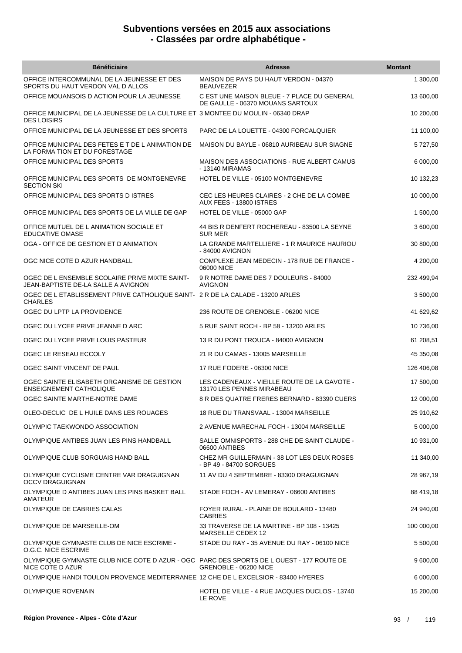| <b>Bénéficiaire</b>                                                                                          | <b>Adresse</b>                                                                  | <b>Montant</b> |
|--------------------------------------------------------------------------------------------------------------|---------------------------------------------------------------------------------|----------------|
| OFFICE INTERCOMMUNAL DE LA JEUNESSE ET DES<br>SPORTS DU HAUT VERDON VAL D ALLOS                              | MAISON DE PAYS DU HAUT VERDON - 04370<br><b>BEAUVEZER</b>                       | 1 300,00       |
| OFFICE MOUANSOIS D ACTION POUR LA JEUNESSE                                                                   | C EST UNE MAISON BLEUE - 7 PLACE DU GENERAL<br>DE GAULLE - 06370 MOUANS SARTOUX | 13 600,00      |
| OFFICE MUNICIPAL DE LA JEUNESSE DE LA CULTURE ET 3 MONTEE DU MOULIN - 06340 DRAP<br><b>DES LOISIRS</b>       |                                                                                 | 10 200,00      |
| OFFICE MUNICIPAL DE LA JEUNESSE ET DES SPORTS                                                                | PARC DE LA LOUETTE - 04300 FORCALQUIER                                          | 11 100,00      |
| OFFICE MUNICIPAL DES FETES E T DE L ANIMATION DE<br>LA FORMA TION ET DU FORESTAGE                            | MAISON DU BAYLE - 06810 AURIBEAU SUR SIAGNE                                     | 5727,50        |
| OFFICE MUNICIPAL DES SPORTS                                                                                  | <b>MAISON DES ASSOCIATIONS - RUE ALBERT CAMUS</b><br>- 13140 MIRAMAS            | 6 000,00       |
| OFFICE MUNICIPAL DES SPORTS DE MONTGENEVRE<br><b>SECTION SKI</b>                                             | HOTEL DE VILLE - 05100 MONTGENEVRE                                              | 10 132,23      |
| OFFICE MUNICIPAL DES SPORTS D ISTRES                                                                         | CEC LES HEURES CLAIRES - 2 CHE DE LA COMBE<br>AUX FEES - 13800 ISTRES           | 10 000,00      |
| OFFICE MUNICIPAL DES SPORTS DE LA VILLE DE GAP                                                               | HOTEL DE VILLE - 05000 GAP                                                      | 1 500,00       |
| OFFICE MUTUEL DE L ANIMATION SOCIALE ET<br>EDUCATIVE OMASE                                                   | 44 BIS R DENFERT ROCHEREAU - 83500 LA SEYNE<br><b>SUR MER</b>                   | 3 600,00       |
| OGA - OFFICE DE GESTION ET D ANIMATION                                                                       | LA GRANDE MARTELLIERE - 1 R MAURICE HAURIOU<br>- 84000 AVIGNON                  | 30 800,00      |
| OGC NICE COTE D AZUR HANDBALL                                                                                | COMPLEXE JEAN MEDECIN - 178 RUE DE FRANCE -<br>06000 NICE                       | 4 200,00       |
| OGEC DE L ENSEMBLE SCOLAIRE PRIVE MIXTE SAINT-<br>JEAN-BAPTISTE DE-LA SALLE A AVIGNON                        | 9 R NOTRE DAME DES 7 DOULEURS - 84000<br><b>AVIGNON</b>                         | 232 499,94     |
| OGEC DE L ETABLISSEMENT PRIVE CATHOLIQUE SAINT- 2 R DE LA CALADE - 13200 ARLES<br><b>CHARLES</b>             |                                                                                 | 3 500,00       |
| OGEC DU LPTP LA PROVIDENCE                                                                                   | 236 ROUTE DE GRENOBLE - 06200 NICE                                              | 41 629,62      |
| OGEC DU LYCEE PRIVE JEANNE D ARC                                                                             | 5 RUE SAINT ROCH - BP 58 - 13200 ARLES                                          | 10 736,00      |
| OGEC DU LYCEE PRIVE LOUIS PASTEUR                                                                            | 13 R DU PONT TROUCA - 84000 AVIGNON                                             | 61 208,51      |
| OGEC LE RESEAU ECCOLY                                                                                        | 21 R DU CAMAS - 13005 MARSEILLE                                                 | 45 350,08      |
| OGEC SAINT VINCENT DE PAUL                                                                                   | 17 RUE FODERE - 06300 NICE                                                      | 126 406,08     |
| OGEC SAINTE ELISABETH ORGANISME DE GESTION<br><b>ENSEIGNEMENT CATHOLIQUE</b>                                 | LES CADENEAUX - VIEILLE ROUTE DE LA GAVOTE -<br>13170 LES PENNES MIRABEAU       | 17 500,00      |
| OGEC SAINTE MARTHE-NOTRE DAME                                                                                | 8 R DES QUATRE FRERES BERNARD - 83390 CUERS                                     | 12 000,00      |
| OLEO-DECLIC DE L HUILE DANS LES ROUAGES                                                                      | 18 RUE DU TRANSVAAL - 13004 MARSEILLE                                           | 25 910,62      |
| OLYMPIC TAEKWONDO ASSOCIATION                                                                                | 2 AVENUE MARECHAL FOCH - 13004 MARSEILLE                                        | 5 000,00       |
| OLYMPIQUE ANTIBES JUAN LES PINS HANDBALL                                                                     | SALLE OMNISPORTS - 288 CHE DE SAINT CLAUDE -<br>06600 ANTIBES                   | 10 931,00      |
| OLYMPIQUE CLUB SORGUAIS HAND BALL                                                                            | CHEZ MR GUILLERMAIN - 38 LOT LES DEUX ROSES<br>- BP 49 - 84700 SORGUES          | 11 340,00      |
| OLYMPIQUE CYCLISME CENTRE VAR DRAGUIGNAN<br><b>OCCV DRAGUIGNAN</b>                                           | 11 AV DU 4 SEPTEMBRE - 83300 DRAGUIGNAN                                         | 28 967,19      |
| OLYMPIQUE D ANTIBES JUAN LES PINS BASKET BALL<br><b>AMATEUR</b>                                              | STADE FOCH - AV LEMERAY - 06600 ANTIBES                                         | 88 419,18      |
| OLYMPIQUE DE CABRIES CALAS                                                                                   | FOYER RURAL - PLAINE DE BOULARD - 13480<br><b>CABRIES</b>                       | 24 940,00      |
| OLYMPIQUE DE MARSEILLE-OM                                                                                    | 33 TRAVERSE DE LA MARTINE - BP 108 - 13425<br>MARSEILLE CEDEX 12                | 100 000,00     |
| OLYMPIQUE GYMNASTE CLUB DE NICE ESCRIME -<br>O.G.C. NICE ESCRIME                                             | STADE DU RAY - 35 AVENUE DU RAY - 06100 NICE                                    | 5 500,00       |
| OLYMPIQUE GYMNASTE CLUB NICE COTE D AZUR - OGC PARC DES SPORTS DE L OUEST - 177 ROUTE DE<br>NICE COTE D AZUR | GRENOBLE - 06200 NICE                                                           | 9 600,00       |
| OLYMPIQUE HANDI TOULON PROVENCE MEDITERRANEE 12 CHE DE L EXCELSIOR - 83400 HYERES                            |                                                                                 | 6 000,00       |
| OLYMPIQUE ROVENAIN                                                                                           | HOTEL DE VILLE - 4 RUE JACQUES DUCLOS - 13740<br>LE ROVE                        | 15 200,00      |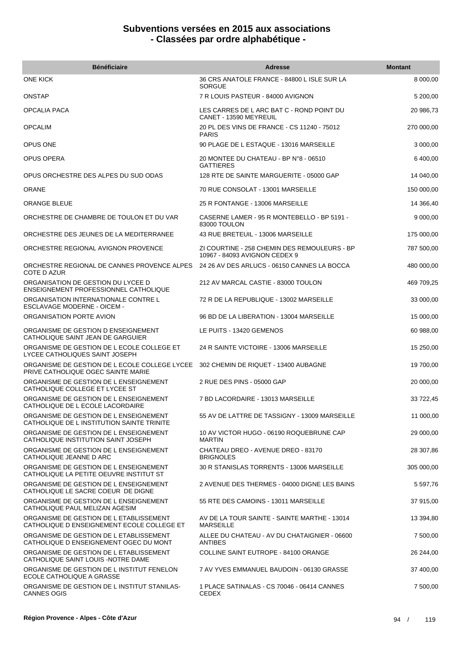| <b>Bénéficiaire</b>                                                                   | <b>Adresse</b>                                                                | <b>Montant</b> |
|---------------------------------------------------------------------------------------|-------------------------------------------------------------------------------|----------------|
| <b>ONE KICK</b>                                                                       | 36 CRS ANATOLE FRANCE - 84800 L ISLE SUR LA<br><b>SORGUE</b>                  | 8 000,00       |
| <b>ONSTAP</b>                                                                         | 7 R LOUIS PASTEUR - 84000 AVIGNON                                             | 5 200,00       |
| <b>OPCALIA PACA</b>                                                                   | LES CARRES DE L ARC BAT C - ROND POINT DU<br>CANET - 13590 MEYREUIL           | 20 986,73      |
| <b>OPCALIM</b>                                                                        | 20 PL DES VINS DE FRANCE - CS 11240 - 75012<br><b>PARIS</b>                   | 270 000,00     |
| OPUS ONE                                                                              | 90 PLAGE DE L ESTAQUE - 13016 MARSEILLE                                       | 3 000,00       |
| OPUS OPERA                                                                            | 20 MONTEE DU CHATEAU - BP N°8 - 06510<br><b>GATTIERES</b>                     | 6 400,00       |
| OPUS ORCHESTRE DES ALPES DU SUD ODAS                                                  | 128 RTE DE SAINTE MARGUERITE - 05000 GAP                                      | 14 040,00      |
| <b>ORANE</b>                                                                          | 70 RUE CONSOLAT - 13001 MARSEILLE                                             | 150 000,00     |
| <b>ORANGE BLEUE</b>                                                                   | 25 R FONTANGE - 13006 MARSEILLE                                               | 14 366,40      |
| ORCHESTRE DE CHAMBRE DE TOULON ET DU VAR                                              | CASERNE LAMER - 95 R MONTEBELLO - BP 5191 -<br>83000 TOULON                   | 9 000,00       |
| ORCHESTRE DES JEUNES DE LA MEDITERRANEE                                               | 43 RUE BRETEUIL - 13006 MARSEILLE                                             | 175 000,00     |
| ORCHESTRE REGIONAL AVIGNON PROVENCE                                                   | ZI COURTINE - 258 CHEMIN DES REMOULEURS - BP<br>10967 - 84093 AVIGNON CEDEX 9 | 787 500,00     |
| ORCHESTRE REGIONAL DE CANNES PROVENCE ALPES<br>COTE D AZUR                            | 24 26 AV DES ARLUCS - 06150 CANNES LA BOCCA                                   | 480 000,00     |
| ORGANISATION DE GESTION DU LYCEE D<br>ENSEIGNEMENT PROFESSIONNEL CATHOLIQUE           | 212 AV MARCAL CASTIE - 83000 TOULON                                           | 469 709,25     |
| ORGANISATION INTERNATIONALE CONTRE L<br>ESCLAVAGE MODERNE - OICEM -                   | 72 R DE LA REPUBLIQUE - 13002 MARSEILLE                                       | 33 000,00      |
| ORGANISATION PORTE AVION                                                              | 96 BD DE LA LIBERATION - 13004 MARSEILLE                                      | 15 000,00      |
| ORGANISME DE GESTION D ENSEIGNEMENT<br>CATHOLIQUE SAINT JEAN DE GARGUIER              | LE PUITS - 13420 GEMENOS                                                      | 60 988,00      |
| ORGANISME DE GESTION DE L ECOLE COLLEGE ET<br>LYCEE CATHOLIQUES SAINT JOSEPH          | 24 R SAINTE VICTOIRE - 13006 MARSEILLE                                        | 15 250,00      |
| ORGANISME DE GESTION DE L ECOLE COLLEGE LYCEE<br>PRIVE CATHOLIQUE OGEC SAINTE MARIE   | 302 CHEMIN DE RIQUET - 13400 AUBAGNE                                          | 19 700,00      |
| ORGANISME DE GESTION DE L ENSEIGNEMENT<br>CATHOLIQUE COLLEGE ET LYCEE ST              | 2 RUE DES PINS - 05000 GAP                                                    | 20 000,00      |
| ORGANISME DE GESTION DE L ENSEIGNEMENT<br>CATHOLIQUE DE L ECOLE LACORDAIRE            | 7 BD LACORDAIRE - 13013 MARSEILLE                                             | 33 722,45      |
| ORGANISME DE GESTION DE L ENSEIGNEMENT<br>CATHOLIQUE DE L INSTITUTION SAINTE TRINITE  | 55 AV DE LATTRE DE TASSIGNY - 13009 MARSEILLE                                 | 11 000,00      |
| ORGANISME DE GESTION DE L ENSEIGNEMENT<br>CATHOLIQUE INSTITUTION SAINT JOSEPH         | 10 AV VICTOR HUGO - 06190 ROQUEBRUNE CAP<br><b>MARTIN</b>                     | 29 000,00      |
| ORGANISME DE GESTION DE L ENSEIGNEMENT<br>CATHOLIQUE JEANNE D ARC                     | CHATEAU DREO - AVENUE DREO - 83170<br><b>BRIGNOLES</b>                        | 28 307,86      |
| ORGANISME DE GESTION DE L ENSEIGNEMENT<br>CATHOLIQUE LA PETITE OEUVRE INSTITUT ST     | 30 R STANISLAS TORRENTS - 13006 MARSEILLE                                     | 305 000,00     |
| ORGANISME DE GESTION DE L ENSEIGNEMENT<br>CATHOLIQUE LE SACRE COEUR DE DIGNE          | 2 AVENUE DES THERMES - 04000 DIGNE LES BAINS                                  | 5 597,76       |
| ORGANISME DE GESTION DE L ENSEIGNEMENT<br>CATHOLIQUE PAUL MELIZAN AGESIM              | 55 RTE DES CAMOINS - 13011 MARSEILLE                                          | 37 915,00      |
| ORGANISME DE GESTION DE L ETABLISSEMENT<br>CATHOLIQUE D ENSEIGNEMENT ECOLE COLLEGE ET | AV DE LA TOUR SAINTE - SAINTE MARTHE - 13014<br><b>MARSEILLE</b>              | 13 394,80      |
| ORGANISME DE GESTION DE L ETABLISSEMENT<br>CATHOLIQUE D ENSEIGNEMENT OGEC DU MONT     | ALLEE DU CHATEAU - AV DU CHATAIGNIER - 06600<br><b>ANTIBES</b>                | 7 500,00       |
| ORGANISME DE GESTION DE L ETABLISSEMENT<br>CATHOLIQUE SAINT LOUIS - NOTRE DAME        | COLLINE SAINT EUTROPE - 84100 ORANGE                                          | 26 244,00      |
| ORGANISME DE GESTION DE L INSTITUT FENELON<br>ECOLE CATHOLIQUE A GRASSE               | 7 AV YVES EMMANUEL BAUDOIN - 06130 GRASSE                                     | 37 400,00      |
| ORGANISME DE GESTION DE L INSTITUT STANILAS-<br><b>CANNES OGIS</b>                    | 1 PLACE SATINALAS - CS 70046 - 06414 CANNES<br>CEDEX                          | 7 500,00       |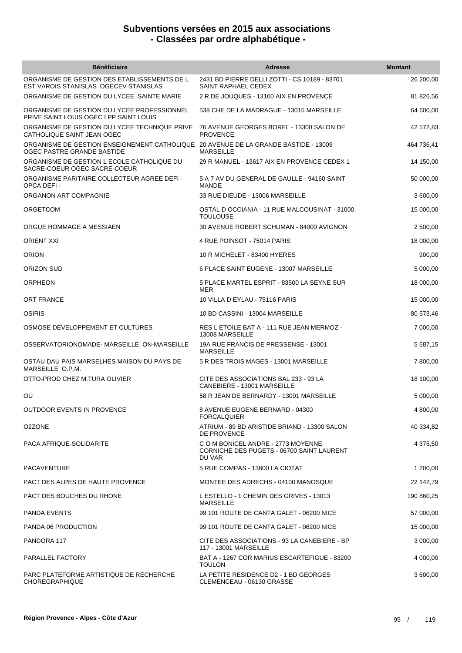| <b>Bénéficiaire</b>                                                                                               | <b>Adresse</b>                                                                            | <b>Montant</b> |
|-------------------------------------------------------------------------------------------------------------------|-------------------------------------------------------------------------------------------|----------------|
| ORGANISME DE GESTION DES ETABLISSEMENTS DE L<br>EST VAROIS STANISLAS OGECEV STANISLAS                             | 2431 BD PIERRE DELLI ZOTTI - CS 10189 - 83701<br>SAINT RAPHAEL CEDEX                      | 26 200,00      |
| ORGANISME DE GESTION DU LYCEE SAINTE MARIE                                                                        | 2 R DE JOUQUES - 13100 AIX EN PROVENCE                                                    | 81 826,56      |
| ORGANISME DE GESTION DU LYCEE PROFESSIONNEL<br>PRIVE SAINT LOUIS OGEC LPP SAINT LOUIS                             | 538 CHE DE LA MADRAGUE - 13015 MARSEILLE                                                  | 64 600,00      |
| ORGANISME DE GESTION DU LYCEE TECHNIQUE PRIVE<br>CATHOLIQUE SAINT JEAN OGEC                                       | 76 AVENUE GEORGES BOREL - 13300 SALON DE<br><b>PROVENCE</b>                               | 42 572,83      |
| ORGANISME DE GESTION ENSEIGNEMENT CATHOLIQUE 20 AVENUE DE LA GRANDE BASTIDE - 13009<br>OGEC PASTRE GRANDE BASTIDE | <b>MARSEILLE</b>                                                                          | 464 736,41     |
| ORGANISME DE GESTION L ECOLE CATHOLIQUE DU<br>SACRE-COEUR OGEC SACRE-COEUR                                        | 29 R MANUEL - 13617 AIX EN PROVENCE CEDEX 1                                               | 14 150,00      |
| ORGANISME PARITAIRE COLLECTEUR AGREE DEFI -<br>OPCA DEFI-                                                         | 5 A 7 AV DU GENERAL DE GAULLE - 94160 SAINT<br><b>MANDE</b>                               | 50 000,00      |
| ORGANON ART COMPAGNIE                                                                                             | 33 RUE DIEUDE - 13006 MARSEILLE                                                           | 3 600,00       |
| ORGETCOM                                                                                                          | OSTAL D OCCIANIA - 11 RUE MALCOUSINAT - 31000<br><b>TOULOUSE</b>                          | 15 000,00      |
| ORGUE HOMMAGE A MESSIAEN                                                                                          | 30 AVENUE ROBERT SCHUMAN - 84000 AVIGNON                                                  | 2 500,00       |
| <b>ORIENT XXI</b>                                                                                                 | 4 RUE POINSOT - 75014 PARIS                                                               | 18 000,00      |
| <b>ORION</b>                                                                                                      | 10 R MICHELET - 83400 HYERES                                                              | 900,00         |
| ORIZON SUD                                                                                                        | 6 PLACE SAINT EUGENE - 13007 MARSEILLE                                                    | 5 000,00       |
| <b>ORPHEON</b>                                                                                                    | 5 PLACE MARTEL ESPRIT - 83500 LA SEYNE SUR<br><b>MER</b>                                  | 18 000,00      |
| ORT FRANCE                                                                                                        | 10 VILLA D EYLAU - 75116 PARIS                                                            | 15 000,00      |
| <b>OSIRIS</b>                                                                                                     | 10 BD CASSINI - 13004 MARSEILLE                                                           | 80 573,46      |
| OSMOSE DEVELOPPEMENT ET CULTURES                                                                                  | RES L ETOILE BAT A - 111 RUE JEAN MERMOZ -<br>13008 MARSEILLE                             | 7 000,00       |
| OSSERVATORIONOMADE-MARSEILLE ON-MARSEILLE                                                                         | 19A RUE FRANCIS DE PRESSENSE - 13001<br><b>MARSEILLE</b>                                  | 5 5 8 7 , 1 5  |
| OSTAU DAU PAIS MARSELHES MAISON DU PAYS DE<br>MARSEILLE O.P.M.                                                    | 5 R DES TROIS MAGES - 13001 MARSEILLE                                                     | 7 800,00       |
| OTTO-PROD CHEZ M.TURA OLIVIER                                                                                     | CITE DES ASSOCIATIONS BAL 233 - 93 LA<br>CANEBIERE - 13001 MARSEILLE                      | 18 100,00      |
| ου                                                                                                                | 58 R JEAN DE BERNARDY - 13001 MARSEILLE                                                   | 5 000,00       |
| OUTDOOR EVENTS IN PROVENCE                                                                                        | 8 AVENUE EUGENE BERNARD - 04300<br><b>FORCALQUIER</b>                                     | 4 800,00       |
| O2ZONE                                                                                                            | ATRIUM - 89 BD ARISTIDE BRIAND - 13300 SALON<br>DE PROVENCE                               | 40 334.82      |
| PACA AFRIQUE-SOLIDARITE                                                                                           | C O M BONICEL ANDRE - 2773 MOYENNE<br>CORNICHE DES PUGETS - 06700 SAINT LAURENT<br>DU VAR | 4 375,50       |
| PACAVENTURE                                                                                                       | 5 RUE COMPAS - 13600 LA CIOTAT                                                            | 1 200,00       |
| PACT DES ALPES DE HAUTE PROVENCE                                                                                  | MONTEE DES ADRECHS - 04100 MANOSQUE                                                       | 22 142,79      |
| PACT DES BOUCHES DU RHONE                                                                                         | L ESTELLO - 1 CHEMIN DES GRIVES - 13013<br>MARSEILLE                                      | 190 860,25     |
| <b>PANDA EVENTS</b>                                                                                               | 99 101 ROUTE DE CANTA GALET - 06200 NICE                                                  | 57 000,00      |
| PANDA 06 PRODUCTION                                                                                               | 99 101 ROUTE DE CANTA GALET - 06200 NICE                                                  | 15 000,00      |
| PANDORA 117                                                                                                       | CITE DES ASSOCIATIONS - 93 LA CANEBIERE - BP<br>117 - 13001 MARSEILLE                     | 3 000,00       |
| PARALLEL FACTORY                                                                                                  | BAT A - 1267 COR MARIUS ESCARTEFIGUE - 83200<br><b>TOULON</b>                             | 4 000,00       |
| PARC PLATEFORME ARTISTIQUE DE RECHERCHE<br><b>CHOREGRAPHIQUE</b>                                                  | LA PETITE RESIDENCE D2 - 1 BD GEORGES<br>CLEMENCEAU - 06130 GRASSE                        | 3 600,00       |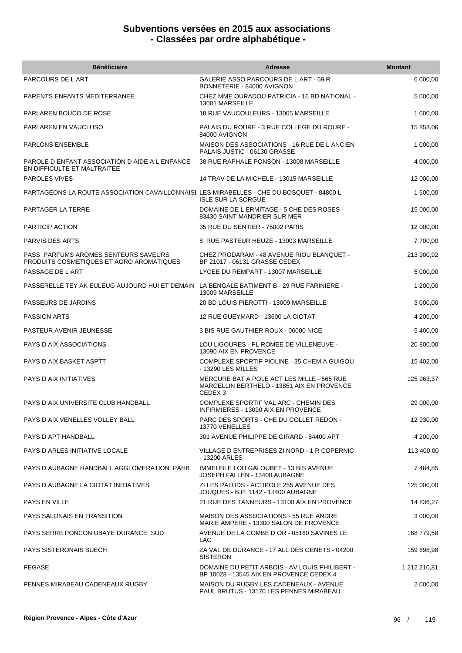| <b>Bénéficiaire</b>                                                                       | <b>Adresse</b>                                                                                                 | <b>Montant</b> |
|-------------------------------------------------------------------------------------------|----------------------------------------------------------------------------------------------------------------|----------------|
| PARCOURS DE L ART                                                                         | GALERIE ASSO PARCOURS DE L ART - 69 R<br>BONNETERIE - 84000 AVIGNON                                            | 6 000,00       |
| PARENTS ENFANTS MEDITERRANEE                                                              | CHEZ MME OURADOU PATRICIA - 16 BD NATIONAL -<br>13001 MARSEILLE                                                | 5 000,00       |
| PARLAREN BOUCO DE ROSE                                                                    | 18 RUE VAUCOULEURS - 13005 MARSEILLE                                                                           | 1 000,00       |
| PARLAREN EN VAUCLUSO                                                                      | PALAIS DU ROURE - 3 RUE COLLEGE DU ROURE -<br>84000 AVIGNON                                                    | 15 853,06      |
| <b>PARLONS ENSEMBLE</b>                                                                   | MAISON DES ASSOCIATIONS - 16 RUE DE L ANCIEN<br>PALAIS JUSTIC - 06130 GRASSE                                   | 1 000,00       |
| PAROLE D ENFANT ASSOCIATION D AIDE A L ENFANCE<br>EN DIFFICULTE ET MALTRAITEE             | 38 RUE RAPHALE PONSON - 13008 MARSEILLE                                                                        | 4 000,00       |
| <b>PAROLES VIVES</b>                                                                      | 14 TRAV DE LA MICHELE - 13015 MARSEILLE                                                                        | 12 000,00      |
| PARTAGEONS LA ROUTE ASSOCIATION CAVAILLONNAISE LES MIRABELLES - CHE DU BOSQUET - 84800 L  | <b>ISLE SUR LA SORGUE</b>                                                                                      | 1 500,00       |
| PARTAGER LA TERRE                                                                         | DOMAINE DE L ERMITAGE - 5 CHE DES ROSES -<br>83430 SAINT MANDRIER SUR MER                                      | 15 000,00      |
| PARTICIP ACTION                                                                           | 35 RUE DU SENTIER - 75002 PARIS                                                                                | 12 000,00      |
| PARVIS DES ARTS                                                                           | 8 RUE PASTEUR HEUZE - 13003 MARSEILLE                                                                          | 7 700,00       |
| PASS PARFUMS AROMES SENTEURS SAVEURS<br>PRODUITS COSMETIQUES ET AGRO AROMATIQUES          | CHEZ PRODARAM - 48 AVENUE RIOU BLANQUET -<br>BP 21017 - 06131 GRASSE CEDEX                                     | 213 900,92     |
| PASSAGE DE L ART                                                                          | LYCEE DU REMPART - 13007 MARSEILLE                                                                             | 5 000,00       |
| PASSERELLE TEY AK EULEUG AUJOURD HUI ET DEMAIN LA BENGALE BATIMENT B - 29 RUE FARINIERE - | 13009 MARSEILLE                                                                                                | 1 200,00       |
| PASSEURS DE JARDINS                                                                       | 20 BD LOUIS PIEROTTI - 13009 MARSEILLE                                                                         | 3 000,00       |
| <b>PASSION ARTS</b>                                                                       | 12 RUE GUEYMARD - 13600 LA CIOTAT                                                                              | 4 200,00       |
| PASTEUR AVENIR JEUNESSE                                                                   | 3 BIS RUE GAUTHIER ROUX - 06000 NICE                                                                           | 5 400,00       |
| PAYS D AIX ASSOCIATIONS                                                                   | LOU LIGOURES - PL ROMEE DE VILLENEUVE -<br>13090 AIX EN PROVENCE                                               | 20 800,00      |
| PAYS D AIX BASKET ASPTT                                                                   | COMPLEXE SPORTIF PIOLINE - 35 CHEM A GUIGOU<br>- 13290 LES MILLES                                              | 15 402,00      |
| PAYS D AIX INITIATIVES                                                                    | MERCURE BAT A POLE ACT LES MILLE - 565 RUE<br>MARCELLIN BERTHELO - 13851 AIX EN PROVENCE<br>CEDEX <sub>3</sub> | 125 963,37     |
| PAYS D AIX UNIVERSITE CLUB HANDBALL                                                       | COMPLEXE SPORTIF VAL ARC - CHEMIN DES<br>INFIRMIERES - 13090 AIX EN PROVENCE                                   | 29 000,00      |
| PAYS D AIX VENELLES VOLLEY BALL                                                           | PARC DES SPORTS - CHE DU COLLET REDON -<br>13770 VENELLES                                                      | 12 930,00      |
| PAYS D APT HANDBALL                                                                       | 301 AVENUE PHILIPPE DE GIRARD - 84400 APT                                                                      | 4 200,00       |
| PAYS D ARLES INITIATIVE LOCALE                                                            | VILLAGE D ENTREPRISES ZI NORD - 1 R COPERNIC<br>- 13200 ARLES                                                  | 113 400,00     |
| PAYS D AUBAGNE HANDBALL AGGLOMERATION PAHB                                                | <b>IMMEUBLE LOU GALOUBET - 13 BIS AVENUE</b><br>JOSEPH FALLEN - 13400 AUBAGNE                                  | 7 484,85       |
| PAYS D AUBAGNE LA CIOTAT INITIATIVES                                                      | ZI LES PALUDS - ACTIPOLE 255 AVENUE DES<br>JOUQUES - B.P. 1142 - 13400 AUBAGNE                                 | 125 000,00     |
| PAYS EN VILLE                                                                             | 21 RUE DES TANNEURS - 13100 AIX EN PROVENCE                                                                    | 14 836,27      |
| PAYS SALONAIS EN TRANSITION                                                               | MAISON DES ASSOCIATIONS - 55 RUE ANDRE<br>MARIE AMPERE - 13300 SALON DE PROVENCE                               | 3 000,00       |
| PAYS SERRE PONCON UBAYE DURANCE SUD                                                       | AVENUE DE LA COMBE D OR - 05160 SAVINES LE<br>LAC                                                              | 168 779,58     |
| PAYS SISTERONAIS BUECH                                                                    | ZA VAL DE DURANCE - 17 ALL DES GENETS - 04200<br><b>SISTERON</b>                                               | 159 698,98     |
| <b>PEGASE</b>                                                                             | DOMAINE DU PETIT ARBOIS - AV LOUIS PHILIBERT -<br>BP 10028 - 13545 AIX EN PROVENCE CEDEX 4                     | 1 212 210,81   |
| PENNES MIRABEAU CADENEAUX RUGBY                                                           | MAISON DU RUGBY LES CADENEAUX - AVENUE<br>PAUL BRUTUS - 13170 LES PENNES MIRABEAU                              | 2 000,00       |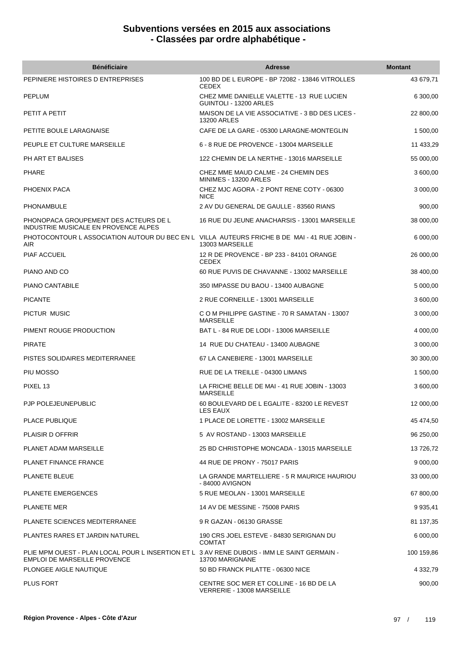| <b>Bénéficiaire</b>                                                                                                                | <b>Adresse</b>                                                        | <b>Montant</b> |
|------------------------------------------------------------------------------------------------------------------------------------|-----------------------------------------------------------------------|----------------|
| PEPINIERE HISTOIRES D ENTREPRISES                                                                                                  | 100 BD DE L EUROPE - BP 72082 - 13846 VITROLLES<br><b>CEDEX</b>       | 43 679,71      |
| <b>PEPLUM</b>                                                                                                                      | CHEZ MME DANIELLE VALETTE - 13 RUE LUCIEN<br>GUINTOLI - 13200 ARLES   | 6 300,00       |
| PETIT A PETIT                                                                                                                      | MAISON DE LA VIE ASSOCIATIVE - 3 BD DES LICES -<br><b>13200 ARLES</b> | 22 800,00      |
| PETITE BOULE LARAGNAISE                                                                                                            | CAFE DE LA GARE - 05300 LARAGNE-MONTEGLIN                             | 1 500,00       |
| PEUPLE ET CULTURE MARSEILLE                                                                                                        | 6 - 8 RUE DE PROVENCE - 13004 MARSEILLE                               | 11 433,29      |
| PH ART ET BALISES                                                                                                                  | 122 CHEMIN DE LA NERTHE - 13016 MARSEILLE                             | 55 000,00      |
| PHARE                                                                                                                              | CHEZ MME MAUD CALME - 24 CHEMIN DES<br>MINIMES - 13200 ARLES          | 3 600,00       |
| PHOENIX PACA                                                                                                                       | CHEZ MJC AGORA - 2 PONT RENE COTY - 06300<br><b>NICE</b>              | 3 000,00       |
| PHONAMBULE                                                                                                                         | 2 AV DU GENERAL DE GAULLE - 83560 RIANS                               | 900,00         |
| PHONOPACA GROUPEMENT DES ACTEURS DE L<br>INDUSTRIE MUSICALE EN PROVENCE ALPES                                                      | 16 RUE DU JEUNE ANACHARSIS - 13001 MARSEILLE                          | 38 000,00      |
| PHOTOCONTOUR LASSOCIATION AUTOUR DU BEC EN L VILLA AUTEURS FRICHE B DE MAI - 41 RUE JOBIN -<br><b>AIR</b>                          | 13003 MARSEILLE                                                       | 6 000,00       |
| <b>PIAF ACCUEIL</b>                                                                                                                | 12 R DE PROVENCE - BP 233 - 84101 ORANGE<br><b>CEDEX</b>              | 26 000,00      |
| PIANO AND CO                                                                                                                       | 60 RUE PUVIS DE CHAVANNE - 13002 MARSEILLE                            | 38 400,00      |
| PIANO CANTABILE                                                                                                                    | 350 IMPASSE DU BAOU - 13400 AUBAGNE                                   | 5 000,00       |
| <b>PICANTE</b>                                                                                                                     | 2 RUE CORNEILLE - 13001 MARSEILLE                                     | 3 600,00       |
| PICTUR MUSIC                                                                                                                       | C O M PHILIPPE GASTINE - 70 R SAMATAN - 13007<br><b>MARSEILLE</b>     | 3 000,00       |
| PIMENT ROUGE PRODUCTION                                                                                                            | BAT L - 84 RUE DE LODI - 13006 MARSEILLE                              | 4 000,00       |
| <b>PIRATE</b>                                                                                                                      | 14 RUE DU CHATEAU - 13400 AUBAGNE                                     | 3 000,00       |
| PISTES SOLIDAIRES MEDITERRANEE                                                                                                     | 67 LA CANEBIERE - 13001 MARSEILLE                                     | 30 300,00      |
| PIU MOSSO                                                                                                                          | RUE DE LA TREILLE - 04300 LIMANS                                      | 1 500,00       |
| PIXEL 13                                                                                                                           | LA FRICHE BELLE DE MAI - 41 RUE JOBIN - 13003<br><b>MARSEILLE</b>     | 3 600,00       |
| PJP POLEJEUNEPUBLIC                                                                                                                | 60 BOULEVARD DE L EGALITE - 83200 LE REVEST<br>LES EAUX               | 12 000,00      |
| PLACE PUBLIQUE                                                                                                                     | 1 PLACE DE LORETTE - 13002 MARSEILLE                                  | 45 474,50      |
| <b>PLAISIR D OFFRIR</b>                                                                                                            | 5 AV ROSTAND - 13003 MARSEILLE                                        | 96 250,00      |
| PLANET ADAM MARSEILLE                                                                                                              | 25 BD CHRISTOPHE MONCADA - 13015 MARSEILLE                            | 13726,72       |
| <b>PLANET FINANCE FRANCE</b>                                                                                                       | 44 RUE DE PRONY - 75017 PARIS                                         | 9 000,00       |
| PLANETE BLEUE                                                                                                                      | LA GRANDE MARTELLIERE - 5 R MAURICE HAURIOU<br>- 84000 AVIGNON        | 33 000,00      |
| <b>PLANETE EMERGENCES</b>                                                                                                          | 5 RUE MEOLAN - 13001 MARSEILLE                                        | 67 800,00      |
| <b>PLANETE MER</b>                                                                                                                 | 14 AV DE MESSINE - 75008 PARIS                                        | 9 9 3 5,41     |
| PLANETE SCIENCES MEDITERRANEE                                                                                                      | 9 R GAZAN - 06130 GRASSE                                              | 81 137,35      |
| PLANTES RARES ET JARDIN NATUREL                                                                                                    | 190 CRS JOEL ESTEVE - 84830 SERIGNAN DU<br><b>COMTAT</b>              | 6 000,00       |
| PLIE MPM OUEST - PLAN LOCAL POUR L INSERTION ET L 3 AV RENE DUBOIS - IMM LE SAINT GERMAIN -<br><b>EMPLOI DE MARSEILLE PROVENCE</b> | 13700 MARIGNANE                                                       | 100 159,86     |
| PLONGEE AIGLE NAUTIQUE                                                                                                             | 50 BD FRANCK PILATTE - 06300 NICE                                     | 4 3 3 2, 7 9   |
| <b>PLUS FORT</b>                                                                                                                   | CENTRE SOC MER ET COLLINE - 16 BD DE LA<br>VERRERIE - 13008 MARSEILLE | 900,00         |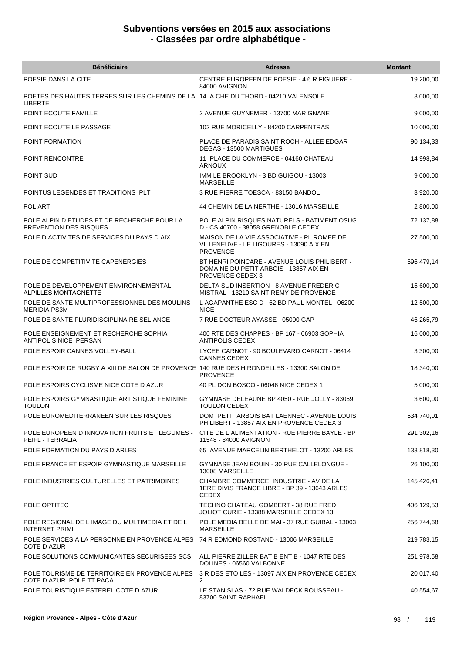| <b>Bénéficiaire</b>                                                                                  | <b>Adresse</b>                                                                                             | <b>Montant</b> |
|------------------------------------------------------------------------------------------------------|------------------------------------------------------------------------------------------------------------|----------------|
| POESIE DANS LA CITE                                                                                  | CENTRE EUROPEEN DE POESIE - 46 R FIGUIERE -<br>84000 AVIGNON                                               | 19 200,00      |
| POETES DES HAUTES TERRES SUR LES CHEMINS DE LA 14 A CHE DU THORD - 04210 VALENSOLE<br><b>LIBERTE</b> |                                                                                                            | 3 000,00       |
| POINT ECOUTE FAMILLE                                                                                 | 2 AVENUE GUYNEMER - 13700 MARIGNANE                                                                        | 9 000,00       |
| POINT ECOUTE LE PASSAGE                                                                              | 102 RUE MORICELLY - 84200 CARPENTRAS                                                                       | 10 000,00      |
| POINT FORMATION                                                                                      | PLACE DE PARADIS SAINT ROCH - ALLEE EDGAR<br>DEGAS - 13500 MARTIGUES                                       | 90 134,33      |
| POINT RENCONTRE                                                                                      | 11 PLACE DU COMMERCE - 04160 CHATEAU<br><b>ARNOUX</b>                                                      | 14 998,84      |
| POINT SUD                                                                                            | IMM LE BROOKLYN - 3 BD GUIGOU - 13003<br><b>MARSEILLE</b>                                                  | 9 000,00       |
| POINTUS LEGENDES ET TRADITIONS PLT                                                                   | 3 RUE PIERRE TOESCA - 83150 BANDOL                                                                         | 3 920,00       |
| POL ART                                                                                              | 44 CHEMIN DE LA NERTHE - 13016 MARSEILLE                                                                   | 2 800,00       |
| POLE ALPIN D ETUDES ET DE RECHERCHE POUR LA<br>PREVENTION DES RISQUES                                | POLE ALPIN RISQUES NATURELS - BATIMENT OSUG<br>D - CS 40700 - 38058 GRENOBLE CEDEX                         | 72 137,88      |
| POLE D ACTIVITES DE SERVICES DU PAYS D AIX                                                           | MAISON DE LA VIE ASSOCIATIVE - PL ROMEE DE<br>VILLENEUVE - LE LIGOURES - 13090 AIX EN<br><b>PROVENCE</b>   | 27 500,00      |
| POLE DE COMPETITIVITE CAPENERGIES                                                                    | BT HENRI POINCARE - AVENUE LOUIS PHILIBERT -<br>DOMAINE DU PETIT ARBOIS - 13857 AIX EN<br>PROVENCE CEDEX 3 | 696 479,14     |
| POLE DE DEVELOPPEMENT ENVIRONNEMENTAL<br>ALPILLES MONTAGNETTE                                        | DELTA SUD INSERTION - 8 AVENUE FREDERIC<br>MISTRAL - 13210 SAINT REMY DE PROVENCE                          | 15 600,00      |
| POLE DE SANTE MULTIPROFESSIONNEL DES MOULINS<br><b>MERIDIA PS3M</b>                                  | L AGAPANTHE ESC D - 62 BD PAUL MONTEL - 06200<br><b>NICE</b>                                               | 12 500,00      |
| POLE DE SANTE PLURIDISCIPLINAIRE SELIANCE                                                            | 7 RUE DOCTEUR AYASSE - 05000 GAP                                                                           | 46 265,79      |
| POLE ENSEIGNEMENT ET RECHERCHE SOPHIA<br>ANTIPOLIS NICE PERSAN                                       | 400 RTE DES CHAPPES - BP 167 - 06903 SOPHIA<br><b>ANTIPOLIS CEDEX</b>                                      | 16 000,00      |
| POLE ESPOIR CANNES VOLLEY-BALL                                                                       | LYCEE CARNOT - 90 BOULEVARD CARNOT - 06414<br><b>CANNES CEDEX</b>                                          | 3 300,00       |
| POLE ESPOIR DE RUGBY A XIII DE SALON DE PROVENCE 140 RUE DES HIRONDELLES - 13300 SALON DE            | <b>PROVENCE</b>                                                                                            | 18 340,00      |
| POLE ESPOIRS CYCLISME NICE COTE D AZUR                                                               | 40 PL DON BOSCO - 06046 NICE CEDEX 1                                                                       | 5 000,00       |
| POLE ESPOIRS GYMNASTIQUE ARTISTIQUE FEMININE<br><b>TOULON</b>                                        | GYMNASE DELEAUNE BP 4050 - RUE JOLLY - 83069<br>TOULON CEDEX                                               | 3 600,00       |
| POLE EUROMEDITERRANEEN SUR LES RISQUES                                                               | DOM PETIT ARBOIS BAT LAENNEC - AVENUE LOUIS<br>PHILIBERT - 13857 AIX EN PROVENCE CEDEX 3                   | 534 740,01     |
| POLE EUROPEEN D INNOVATION FRUITS ET LEGUMES -<br>PEIFL - TERRALIA                                   | CITE DE L ALIMENTATION - RUE PIERRE BAYLE - BP<br>11548 - 84000 AVIGNON                                    | 291 302,16     |
| POLE FORMATION DU PAYS D ARLES                                                                       | 65 AVENUE MARCELIN BERTHELOT - 13200 ARLES                                                                 | 133 818,30     |
| POLE FRANCE ET ESPOIR GYMNASTIQUE MARSEILLE                                                          | GYMNASE JEAN BOUIN - 30 RUE CALLELONGUE -<br>13008 MARSEILLE                                               | 26 100,00      |
| POLE INDUSTRIES CULTURELLES ET PATRIMOINES                                                           | CHAMBRE COMMERCE INDUSTRIE - AV DE LA<br>1ERE DIVIS FRANCE LIBRE - BP 39 - 13643 ARLES<br><b>CEDEX</b>     | 145 426,41     |
| POLE OPTITEC                                                                                         | TECHNO CHATEAU GOMBERT - 38 RUE FRED<br>JOLIOT CURIE - 13388 MARSEILLE CEDEX 13                            | 406 129,53     |
| POLE REGIONAL DE L IMAGE DU MULTIMEDIA ET DE L<br><b>INTERNET PRIMI</b>                              | POLE MEDIA BELLE DE MAI - 37 RUE GUIBAL - 13003<br><b>MARSEILLE</b>                                        | 256 744,68     |
| POLE SERVICES A LA PERSONNE EN PROVENCE ALPES 74 R EDMOND ROSTAND - 13006 MARSEILLE<br>COTE D AZUR   |                                                                                                            | 219 783,15     |
| POLE SOLUTIONS COMMUNICANTES SECURISEES SCS                                                          | ALL PIERRE ZILLER BAT B ENT B - 1047 RTE DES<br>DOLINES - 06560 VALBONNE                                   | 251 978,58     |
| POLE TOURISME DE TERRITOIRE EN PROVENCE ALPES<br>COTE D AZUR POLE TT PACA                            | 3 R DES ETOILES - 13097 AIX EN PROVENCE CEDEX<br>2                                                         | 20 017,40      |
| POLE TOURISTIQUE ESTEREL COTE D AZUR                                                                 | LE STANISLAS - 72 RUE WALDECK ROUSSEAU -<br>83700 SAINT RAPHAEL                                            | 40 554,67      |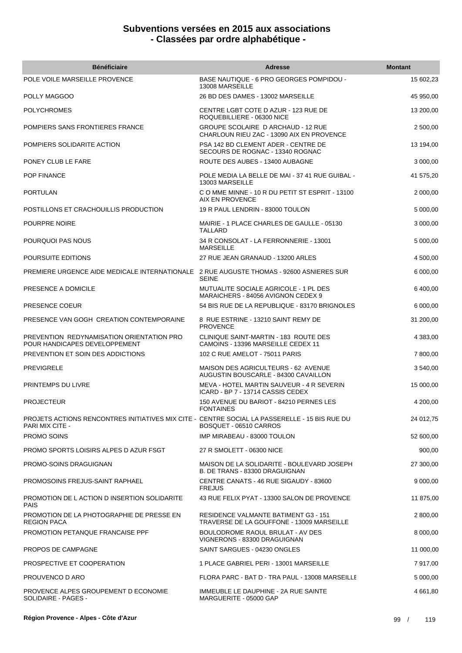| <b>Bénéficiaire</b>                                                                                              | <b>Adresse</b>                                                                         | <b>Montant</b> |
|------------------------------------------------------------------------------------------------------------------|----------------------------------------------------------------------------------------|----------------|
| POLE VOILE MARSEILLE PROVENCE                                                                                    | BASE NAUTIQUE - 6 PRO GEORGES POMPIDOU -<br>13008 MARSEILLE                            | 15 602,23      |
| POLLY MAGGOO                                                                                                     | 26 BD DES DAMES - 13002 MARSEILLE                                                      | 45 950,00      |
| <b>POLYCHROMES</b>                                                                                               | CENTRE LGBT COTE D AZUR - 123 RUE DE<br>ROQUEBILLIERE - 06300 NICE                     | 13 200,00      |
| POMPIERS SANS FRONTIERES FRANCE                                                                                  | <b>GROUPE SCOLAIRE D ARCHAUD - 12 RUE</b><br>CHARLOUN RIEU ZAC - 13090 AIX EN PROVENCE | 2 500,00       |
| POMPIERS SOLIDARITE ACTION                                                                                       | PSA 142 BD CLEMENT ADER - CENTRE DE<br>SECOURS DE ROGNAC - 13340 ROGNAC                | 13 194,00      |
| PONEY CLUB LE FARE                                                                                               | ROUTE DES AUBES - 13400 AUBAGNE                                                        | 3 000,00       |
| <b>POP FINANCE</b>                                                                                               | POLE MEDIA LA BELLE DE MAI - 37 41 RUE GUIBAL -<br>13003 MARSEILLE                     | 41 575,20      |
| <b>PORTULAN</b>                                                                                                  | CO MME MINNE - 10 R DU PETIT ST ESPRIT - 13100<br>AIX EN PROVENCE                      | 2 000,00       |
| POSTILLONS ET CRACHOUILLIS PRODUCTION                                                                            | 19 R PAUL LENDRIN - 83000 TOULON                                                       | 5 000,00       |
| POURPRE NOIRE                                                                                                    | MAIRIE - 1 PLACE CHARLES DE GAULLE - 05130<br><b>TALLARD</b>                           | 3 000,00       |
| POURQUOI PAS NOUS                                                                                                | 34 R CONSOLAT - LA FERRONNERIE - 13001<br><b>MARSEILLE</b>                             | 5 000,00       |
| POURSUITE EDITIONS                                                                                               | 27 RUE JEAN GRANAUD - 13200 ARLES                                                      | 4 500,00       |
| PREMIERE URGENCE AIDE MEDICALE INTERNATIONALE 2 RUE AUGUSTE THOMAS - 92600 ASNIERES SUR                          | <b>SEINE</b>                                                                           | 6 000,00       |
| PRESENCE A DOMICILE                                                                                              | MUTUALITE SOCIALE AGRICOLE - 1 PL DES<br>MARAICHERS - 84056 AVIGNON CEDEX 9            | 6 400,00       |
| PRESENCE COEUR                                                                                                   | 54 BIS RUE DE LA REPUBLIQUE - 83170 BRIGNOLES                                          | 6 000,00       |
| PRESENCE VAN GOGH CREATION CONTEMPORAINE                                                                         | 8 RUE ESTRINE - 13210 SAINT REMY DE<br><b>PROVENCE</b>                                 | 31 200,00      |
| PREVENTION REDYNAMISATION ORIENTATION PRO<br>POUR HANDICAPES DEVELOPPEMENT                                       | CLINIQUE SAINT-MARTIN - 183 ROUTE DES<br>CAMOINS - 13396 MARSEILLE CEDEX 11            | 4 383,00       |
| PREVENTION ET SOIN DES ADDICTIONS                                                                                | 102 C RUE AMELOT - 75011 PARIS                                                         | 7 800,00       |
| <b>PREVIGRELE</b>                                                                                                | MAISON DES AGRICULTEURS - 62 AVENUE<br>AUGUSTIN BOUSCARLE - 84300 CAVAILLON            | 3 540,00       |
| PRINTEMPS DU LIVRE                                                                                               | MEVA - HOTEL MARTIN SAUVEUR - 4 R SEVERIN<br>ICARD - BP 7 - 13714 CASSIS CEDEX         | 15 000,00      |
| <b>PROJECTEUR</b>                                                                                                | 150 AVENUE DU BARIOT - 84210 PERNES LES<br><b>FONTAINES</b>                            | 4 200,00       |
| PROJETS ACTIONS RENCONTRES INITIATIVES MIX CITE - CENTRE SOCIAL LA PASSERELLE - 15 BIS RUE DU<br>PARI MIX CITE - | BOSQUET - 06510 CARROS                                                                 | 24 012,75      |
| <b>PROMO SOINS</b>                                                                                               | IMP MIRABEAU - 83000 TOULON                                                            | 52 600,00      |
| PROMO SPORTS LOISIRS ALPES D AZUR FSGT                                                                           | 27 R SMOLETT - 06300 NICE                                                              | 900,00         |
| PROMO-SOINS DRAGUIGNAN                                                                                           | MAISON DE LA SOLIDARITE - BOULEVARD JOSEPH<br>B. DE TRANS - 83300 DRAGUIGNAN           | 27 300,00      |
| PROMOSOINS FREJUS-SAINT RAPHAEL                                                                                  | CENTRE CANATS - 46 RUE SIGAUDY - 83600<br><b>FREJUS</b>                                | 9 000,00       |
| PROMOTION DE L ACTION D INSERTION SOLIDARITE<br><b>PAIS</b>                                                      | 43 RUE FELIX PYAT - 13300 SALON DE PROVENCE                                            | 11 875,00      |
| PROMOTION DE LA PHOTOGRAPHIE DE PRESSE EN<br><b>REGION PACA</b>                                                  | RESIDENCE VALMANTE BATIMENT G3 - 151<br>TRAVERSE DE LA GOUFFONE - 13009 MARSEILLE      | 2 800,00       |
| PROMOTION PETANQUE FRANCAISE PPF                                                                                 | BOULODROME RAOUL BRULAT - AV DES<br>VIGNERONS - 83300 DRAGUIGNAN                       | 8 000,00       |
| PROPOS DE CAMPAGNE                                                                                               | SAINT SARGUES - 04230 ONGLES                                                           | 11 000,00      |
| PROSPECTIVE ET COOPERATION                                                                                       | 1 PLACE GABRIEL PERI - 13001 MARSEILLE                                                 | 7 917,00       |
| PROUVENCO D ARO                                                                                                  | FLORA PARC - BAT D - TRA PAUL - 13008 MARSEILLE                                        | 5 000,00       |
| PROVENCE ALPES GROUPEMENT D ECONOMIE<br>SOLIDAIRE - PAGES -                                                      | IMMEUBLE LE DAUPHINE - 2A RUE SAINTE<br>MARGUERITE - 05000 GAP                         | 4 661,80       |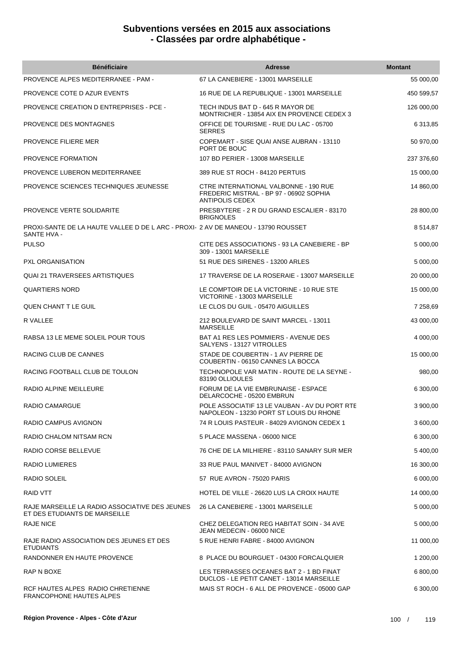| <b>Bénéficiaire</b>                                                                              | <b>Adresse</b>                                                                                      | <b>Montant</b> |
|--------------------------------------------------------------------------------------------------|-----------------------------------------------------------------------------------------------------|----------------|
| <b>PROVENCE ALPES MEDITERRANEE - PAM -</b>                                                       | 67 LA CANEBIERE - 13001 MARSEILLE                                                                   | 55 000,00      |
| PROVENCE COTE D AZUR EVENTS                                                                      | 16 RUE DE LA REPUBLIQUE - 13001 MARSEILLE                                                           | 450 599,57     |
| <b>PROVENCE CREATION D ENTREPRISES - PCE -</b>                                                   | TECH INDUS BAT D - 645 R MAYOR DE<br>MONTRICHER - 13854 AIX EN PROVENCE CEDEX 3                     | 126 000,00     |
| PROVENCE DES MONTAGNES                                                                           | OFFICE DE TOURISME - RUE DU LAC - 05700<br><b>SERRES</b>                                            | 6 313,85       |
| <b>PROVENCE FILIERE MER</b>                                                                      | COPEMART - SISE QUAI ANSE AUBRAN - 13110<br>PORT DE BOUC                                            | 50 970,00      |
| PROVENCE FORMATION                                                                               | 107 BD PERIER - 13008 MARSEILLE                                                                     | 237 376,60     |
| PROVENCE LUBERON MEDITERRANEE                                                                    | 389 RUE ST ROCH - 84120 PERTUIS                                                                     | 15 000,00      |
| PROVENCE SCIENCES TECHNIQUES JEUNESSE                                                            | CTRE INTERNATIONAL VALBONNE - 190 RUE<br>FREDERIC MISTRAL - BP 97 - 06902 SOPHIA<br>ANTIPOLIS CEDEX | 14 860,00      |
| PROVENCE VERTE SOLIDARITE                                                                        | PRESBYTERE - 2 R DU GRAND ESCALIER - 83170<br><b>BRIGNOLES</b>                                      | 28 800,00      |
| PROXI-SANTE DE LA HAUTE VALLEE D DE L ARC - PROXI- 2 AV DE MANEOU - 13790 ROUSSET<br>SANTE HVA - |                                                                                                     | 8514,87        |
| <b>PULSO</b>                                                                                     | CITE DES ASSOCIATIONS - 93 LA CANEBIERE - BP<br>309 - 13001 MARSEILLE                               | 5 000,00       |
| <b>PXL ORGANISATION</b>                                                                          | 51 RUE DES SIRENES - 13200 ARLES                                                                    | 5 000,00       |
| QUAI 21 TRAVERSEES ARTISTIQUES                                                                   | 17 TRAVERSE DE LA ROSERAIE - 13007 MARSEILLE                                                        | 20 000,00      |
| <b>QUARTIERS NORD</b>                                                                            | LE COMPTOIR DE LA VICTORINE - 10 RUE STE<br>VICTORINE - 13003 MARSEILLE                             | 15 000,00      |
| QUEN CHANT T LE GUIL                                                                             | LE CLOS DU GUIL - 05470 AIGUILLES                                                                   | 7 258,69       |
| R VALLEE                                                                                         | 212 BOULEVARD DE SAINT MARCEL - 13011<br><b>MARSEILLE</b>                                           | 43 000,00      |
| RABSA 13 LE MEME SOLEIL POUR TOUS                                                                | BAT A1 RES LES POMMIERS - AVENUE DES<br>SALYENS - 13127 VITROLLES                                   | 4 000,00       |
| RACING CLUB DE CANNES                                                                            | STADE DE COUBERTIN - 1 AV PIERRE DE<br>COUBERTIN - 06150 CANNES LA BOCCA                            | 15 000,00      |
| RACING FOOTBALL CLUB DE TOULON                                                                   | TECHNOPOLE VAR MATIN - ROUTE DE LA SEYNE -<br>83190 OLLIOULES                                       | 980,00         |
| RADIO ALPINE MEILLEURE                                                                           | FORUM DE LA VIE EMBRUNAISE - ESPACE<br>DELARCOCHE - 05200 EMBRUN                                    | 6 300,00       |
| RADIO CAMARGUE                                                                                   | POLE ASSOCIATIF 13 LE VAUBAN - AV DU PORT RTE<br>NAPOLEON - 13230 PORT ST LOUIS DU RHONE            | 3 900,00       |
| RADIO CAMPUS AVIGNON                                                                             | 74 R LOUIS PASTEUR - 84029 AVIGNON CEDEX 1                                                          | 3 600.00       |
| RADIO CHALOM NITSAM RCN                                                                          | 5 PLACE MASSENA - 06000 NICE                                                                        | 6 300,00       |
| RADIO CORSE BELLEVUE                                                                             | 76 CHE DE LA MILHIERE - 83110 SANARY SUR MER                                                        | 5 400.00       |
| <b>RADIO LUMIERES</b>                                                                            | 33 RUE PAUL MANIVET - 84000 AVIGNON                                                                 | 16 300,00      |
| RADIO SOLEIL                                                                                     | 57 RUE AVRON - 75020 PARIS                                                                          | 6 000,00       |
| <b>RAID VTT</b>                                                                                  | HOTEL DE VILLE - 26620 LUS LA CROIX HAUTE                                                           | 14 000,00      |
| RAJE MARSEILLE LA RADIO ASSOCIATIVE DES JEUNES<br>ET DES ETUDIANTS DE MARSEILLE                  | 26 LA CANEBIERE - 13001 MARSEILLE                                                                   | 5 000,00       |
| <b>RAJE NICE</b>                                                                                 | CHEZ DELEGATION REG HABITAT SOIN - 34 AVE<br>JEAN MEDECIN - 06000 NICE                              | 5 000,00       |
| RAJE RADIO ASSOCIATION DES JEUNES ET DES<br><b>ETUDIANTS</b>                                     | 5 RUE HENRI FABRE - 84000 AVIGNON                                                                   | 11 000,00      |
| RANDONNER EN HAUTE PROVENCE                                                                      | 8 PLACE DU BOURGUET - 04300 FORCALQUIER                                                             | 1 200,00       |
| RAP N BOXE                                                                                       | LES TERRASSES OCEANES BAT 2 - 1 BD FINAT<br>DUCLOS - LE PETIT CANET - 13014 MARSEILLE               | 6 800,00       |
| RCF HAUTES ALPES RADIO CHRETIENNE<br><b>FRANCOPHONE HAUTES ALPES</b>                             | MAIS ST ROCH - 6 ALL DE PROVENCE - 05000 GAP                                                        | 6 300,00       |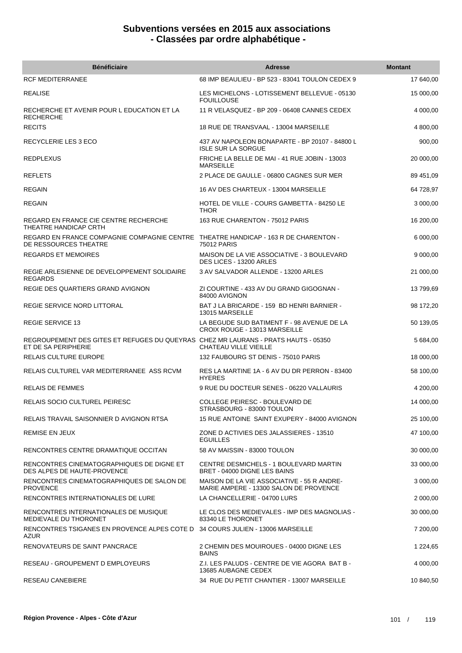| <b>Bénéficiaire</b>                                                                                          | <b>Adresse</b>                                                                       | <b>Montant</b> |
|--------------------------------------------------------------------------------------------------------------|--------------------------------------------------------------------------------------|----------------|
| <b>RCF MEDITERRANEE</b>                                                                                      | 68 IMP BEAULIEU - BP 523 - 83041 TOULON CEDEX 9                                      | 17 640,00      |
| <b>REALISE</b>                                                                                               | LES MICHELONS - LOTISSEMENT BELLEVUE - 05130<br><b>FOUILLOUSE</b>                    | 15 000,00      |
| RECHERCHE ET AVENIR POUR L EDUCATION ET LA<br><b>RECHERCHE</b>                                               | 11 R VELASQUEZ - BP 209 - 06408 CANNES CEDEX                                         | 4 000,00       |
| <b>RECITS</b>                                                                                                | 18 RUE DE TRANSVAAL - 13004 MARSEILLE                                                | 4 800,00       |
| RECYCLERIE LES 3 ECO                                                                                         | 437 AV NAPOLEON BONAPARTE - BP 20107 - 84800 L<br><b>ISLE SUR LA SORGUE</b>          | 900,00         |
| <b>REDPLEXUS</b>                                                                                             | FRICHE LA BELLE DE MAI - 41 RUE JOBIN - 13003<br><b>MARSEILLE</b>                    | 20 000,00      |
| <b>REFLETS</b>                                                                                               | 2 PLACE DE GAULLE - 06800 CAGNES SUR MER                                             | 89 451,09      |
| <b>REGAIN</b>                                                                                                | 16 AV DES CHARTEUX - 13004 MARSEILLE                                                 | 64 728,97      |
| <b>REGAIN</b>                                                                                                | HOTEL DE VILLE - COURS GAMBETTA - 84250 LE<br><b>THOR</b>                            | 3 000,00       |
| REGARD EN FRANCE CIE CENTRE RECHERCHE<br>THEATRE HANDICAP CRTH                                               | 163 RUE CHARENTON - 75012 PARIS                                                      | 16 200,00      |
| REGARD EN FRANCE COMPAGNIE COMPAGNIE CENTRE THEATRE HANDICAP - 163 R DE CHARENTON -<br>DE RESSOURCES THEATRE | 75012 PARIS                                                                          | 6 000,00       |
| <b>REGARDS ET MEMOIRES</b>                                                                                   | MAISON DE LA VIE ASSOCIATIVE - 3 BOULEVARD<br>DES LICES - 13200 ARLES                | 9 000,00       |
| REGIE ARLESIENNE DE DEVELOPPEMENT SOLIDAIRE<br><b>REGARDS</b>                                                | 3 AV SALVADOR ALLENDE - 13200 ARLES                                                  | 21 000,00      |
| REGIE DES QUARTIERS GRAND AVIGNON                                                                            | ZI COURTINE - 433 AV DU GRAND GIGOGNAN -<br>84000 AVIGNON                            | 13 799,69      |
| REGIE SERVICE NORD LITTORAL                                                                                  | BAT J LA BRICARDE - 159 BD HENRI BARNIER -<br>13015 MARSEILLE                        | 98 172,20      |
| <b>REGIE SERVICE 13</b>                                                                                      | LA BEGUDE SUD BATIMENT F - 98 AVENUE DE LA<br>CROIX ROUGE - 13013 MARSEILLE          | 50 139,05      |
| REGROUPEMENT DES GITES ET REFUGES DU QUEYRAS CHEZ MR LAURANS - PRATS HAUTS - 05350<br>ET DE SA PERIPHERIE    | CHATEAU VILLE VIEILLE                                                                | 5 684,00       |
| <b>RELAIS CULTURE EUROPE</b>                                                                                 | 132 FAUBOURG ST DENIS - 75010 PARIS                                                  | 18 000,00      |
| RELAIS CULTUREL VAR MEDITERRANEE ASS RCVM                                                                    | RES LA MARTINE 1A - 6 AV DU DR PERRON - 83400<br><b>HYERES</b>                       | 58 100,00      |
| <b>RELAIS DE FEMMES</b>                                                                                      | 9 RUE DU DOCTEUR SENES - 06220 VALLAURIS                                             | 4 200,00       |
| <b>RELAIS SOCIO CULTUREL PEIRESC</b>                                                                         | <b>COLLEGE PEIRESC - BOULEVARD DE</b><br>STRASBOURG - 83000 TOULON                   | 14 000,00      |
| RELAIS TRAVAIL SAISONNIER D AVIGNON RTSA                                                                     | 15 RUE ANTOINE SAINT EXUPERY - 84000 AVIGNON                                         | 25 100,00      |
| REMISE EN JEUX                                                                                               | ZONE D ACTIVIES DES JALASSIERES - 13510<br><b>EGUILLES</b>                           | 47 100,00      |
| RENCONTRES CENTRE DRAMATIQUE OCCITAN                                                                         | 58 AV MAISSIN - 83000 TOULON                                                         | 30 000,00      |
| RENCONTRES CINEMATOGRAPHIQUES DE DIGNE ET<br>DES ALPES DE HAUTE-PROVENCE                                     | CENTRE DESMICHELS - 1 BOULEVARD MARTIN<br>BRET - 04000 DIGNE LES BAINS               | 33 000,00      |
| RENCONTRES CINEMATOGRAPHIQUES DE SALON DE<br><b>PROVENCE</b>                                                 | MAISON DE LA VIE ASSOCIATIVE - 55 R ANDRE-<br>MARIE AMPERE - 13300 SALON DE PROVENCE | 3 000,00       |
| RENCONTRES INTERNATIONALES DE LURE                                                                           | LA CHANCELLERIE - 04700 LURS                                                         | 2 000,00       |
| RENCONTRES INTERNATIONALES DE MUSIQUE<br>MEDIEVALE DU THORONET                                               | LE CLOS DES MEDIEVALES - IMP DES MAGNOLIAS -<br>83340 LE THORONET                    | 30 000,00      |
| RENCONTRES TSIGANES EN PROVENCE ALPES COTE D 34 COURS JULIEN - 13006 MARSEILLE<br>AZUR                       |                                                                                      | 7 200,00       |
| RENOVATEURS DE SAINT PANCRACE                                                                                | 2 CHEMIN DES MOUIROUES - 04000 DIGNE LES<br><b>BAINS</b>                             | 1 224,65       |
| RESEAU - GROUPEMENT D EMPLOYEURS                                                                             | Z.I. LES PALUDS - CENTRE DE VIE AGORA BAT B -<br>13685 AUBAGNE CEDEX                 | 4 000,00       |
| <b>RESEAU CANEBIERE</b>                                                                                      | 34 RUE DU PETIT CHANTIER - 13007 MARSEILLE                                           | 10 840,50      |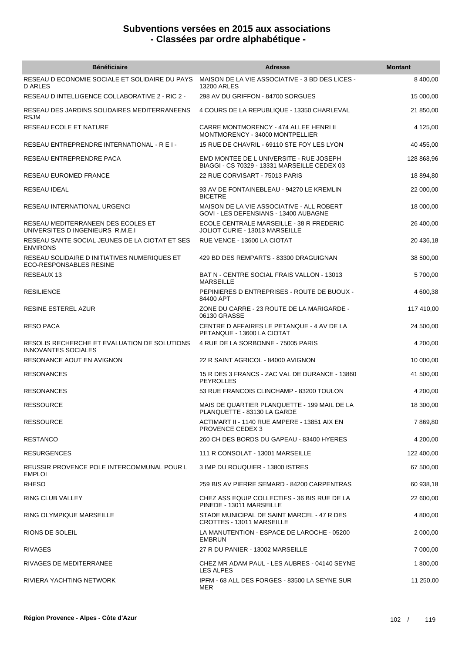| <b>Bénéficiaire</b>                                                        | <b>Adresse</b>                                                                          | <b>Montant</b> |
|----------------------------------------------------------------------------|-----------------------------------------------------------------------------------------|----------------|
| RESEAU D ECONOMIE SOCIALE ET SOLIDAIRE DU PAYS<br><b>D ARLES</b>           | MAISON DE LA VIE ASSOCIATIVE - 3 BD DES LICES -<br>13200 ARLES                          | 8 400,00       |
| RESEAU D INTELLIGENCE COLLABORATIVE 2 - RIC 2 -                            | 298 AV DU GRIFFON - 84700 SORGUES                                                       | 15 000,00      |
| RESEAU DES JARDINS SOLIDAIRES MEDITERRANEENS<br><b>RSJM</b>                | 4 COURS DE LA REPUBLIQUE - 13350 CHARLEVAL                                              | 21 850,00      |
| RESEAU ECOLE ET NATURE                                                     | CARRE MONTMORENCY - 474 ALLEE HENRI II<br>MONTMORENCY - 34000 MONTPELLIER               | 4 125,00       |
| RESEAU ENTREPRENDRE INTERNATIONAL - R E I -                                | 15 RUE DE CHAVRIL - 69110 STE FOY LES LYON                                              | 40 455,00      |
| RESEAU ENTREPRENDRE PACA                                                   | EMD MONTEE DE L UNIVERSITE - RUE JOSEPH<br>BIAGGI - CS 70329 - 13331 MARSEILLE CEDEX 03 | 128 868,96     |
| RESEAU EUROMED FRANCE                                                      | 22 RUE CORVISART - 75013 PARIS                                                          | 18 894,80      |
| RESEAU IDEAL                                                               | 93 AV DE FONTAINEBLEAU - 94270 LE KREMLIN<br><b>BICETRE</b>                             | 22 000,00      |
| RESEAU INTERNATIONAL URGENCI                                               | MAISON DE LA VIE ASSOCIATIVE - ALL ROBERT<br>GOVI - LES DEFENSIANS - 13400 AUBAGNE      | 18 000,00      |
| RESEAU MEDITERRANEEN DES ECOLES ET<br>UNIVERSITES D INGENIEURS R.M.E.I     | ECOLE CENTRALE MARSEILLE - 38 R FREDERIC<br>JOLIOT CURIE - 13013 MARSEILLE              | 26 400,00      |
| RESEAU SANTE SOCIAL JEUNES DE LA CIOTAT ET SES<br><b>ENVIRONS</b>          | RUE VENCE - 13600 LA CIOTAT                                                             | 20 436,18      |
| RESEAU SOLIDAIRE D INITIATIVES NUMERIQUES ET<br>ECO-RESPONSABLES RESINE    | 429 BD DES REMPARTS - 83300 DRAGUIGNAN                                                  | 38 500,00      |
| <b>RESEAUX 13</b>                                                          | BAT N - CENTRE SOCIAL FRAIS VALLON - 13013<br><b>MARSEILLE</b>                          | 5700,00        |
| <b>RESILIENCE</b>                                                          | PEPINIERES D ENTREPRISES - ROUTE DE BUOUX -<br>84400 APT                                | 4 600,38       |
| RESINE ESTEREL AZUR                                                        | ZONE DU CARRE - 23 ROUTE DE LA MARIGARDE -<br>06130 GRASSE                              | 117 410,00     |
| <b>RESO PACA</b>                                                           | CENTRE D AFFAIRES LE PETANQUE - 4 AV DE LA<br>PETANQUE - 13600 LA CIOTAT                | 24 500,00      |
| RESOLIS RECHERCHE ET EVALUATION DE SOLUTIONS<br><b>INNOVANTES SOCIALES</b> | 4 RUE DE LA SORBONNE - 75005 PARIS                                                      | 4 200,00       |
| <b>RESONANCE AOUT EN AVIGNON</b>                                           | 22 R SAINT AGRICOL - 84000 AVIGNON                                                      | 10 000,00      |
| <b>RESONANCES</b>                                                          | 15 R DES 3 FRANCS - ZAC VAL DE DURANCE - 13860<br><b>PEYROLLES</b>                      | 41 500,00      |
| <b>RESONANCES</b>                                                          | 53 RUE FRANCOIS CLINCHAMP - 83200 TOULON                                                | 4 200,00       |
| <b>RESSOURCE</b>                                                           | MAIS DE QUARTIER PLANQUETTE - 199 MAIL DE LA<br>PLANQUETTE - 83130 LA GARDE             | 18 300,00      |
| <b>RESSOURCE</b>                                                           | ACTIMART II - 1140 RUE AMPERE - 13851 AIX EN<br><b>PROVENCE CEDEX 3</b>                 | 7 869,80       |
| <b>RESTANCO</b>                                                            | 260 CH DES BORDS DU GAPEAU - 83400 HYERES                                               | 4 200,00       |
| <b>RESURGENCES</b>                                                         | 111 R CONSOLAT - 13001 MARSEILLE                                                        | 122 400,00     |
| REUSSIR PROVENCE POLE INTERCOMMUNAL POUR L<br><b>EMPLOI</b>                | 3 IMP DU ROUQUIER - 13800 ISTRES                                                        | 67 500,00      |
| <b>RHESO</b>                                                               | 259 BIS AV PIERRE SEMARD - 84200 CARPENTRAS                                             | 60 938,18      |
| RING CLUB VALLEY                                                           | CHEZ ASS EQUIP COLLECTIFS - 36 BIS RUE DE LA<br>PINEDE - 13011 MARSEILLE                | 22 600,00      |
| RING OLYMPIQUE MARSEILLE                                                   | STADE MUNICIPAL DE SAINT MARCEL - 47 R DES<br>CROTTES - 13011 MARSEILLE                 | 4 800,00       |
| RIONS DE SOLEIL                                                            | LA MANUTENTION - ESPACE DE LAROCHE - 05200<br><b>EMBRUN</b>                             | 2 000,00       |
| <b>RIVAGES</b>                                                             | 27 R DU PANIER - 13002 MARSEILLE                                                        | 7 000,00       |
| RIVAGES DE MEDITERRANEE                                                    | CHEZ MR ADAM PAUL - LES AUBRES - 04140 SEYNE<br><b>LES ALPES</b>                        | 1 800,00       |
| RIVIERA YACHTING NETWORK                                                   | IPFM - 68 ALL DES FORGES - 83500 LA SEYNE SUR<br><b>MER</b>                             | 11 250,00      |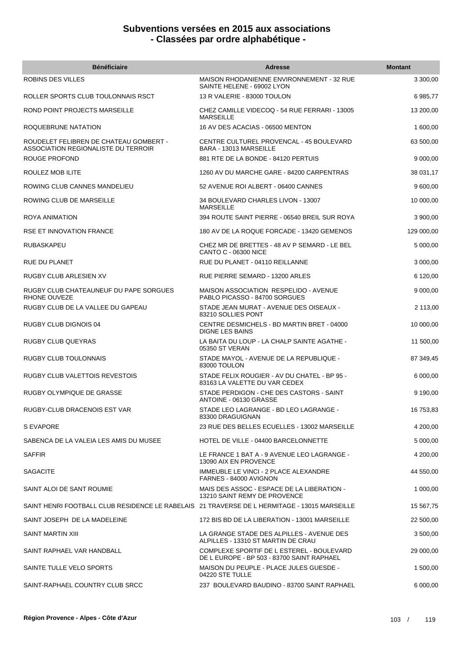| <b>Bénéficiaire</b>                                                                          | <b>Adresse</b>                                                                          | <b>Montant</b> |
|----------------------------------------------------------------------------------------------|-----------------------------------------------------------------------------------------|----------------|
| ROBINS DES VILLES                                                                            | MAISON RHODANIENNE ENVIRONNEMENT - 32 RUE<br>SAINTE HELENE - 69002 LYON                 | 3 300,00       |
| ROLLER SPORTS CLUB TOULONNAIS RSCT                                                           | 13 R VALERIE - 83000 TOULON                                                             | 6 985,77       |
| ROND POINT PROJECTS MARSEILLE                                                                | CHEZ CAMILLE VIDECOQ - 54 RUE FERRARI - 13005<br><b>MARSEILLE</b>                       | 13 200,00      |
| ROQUEBRUNE NATATION                                                                          | 16 AV DES ACACIAS - 06500 MENTON                                                        | 1 600,00       |
| ROUDELET FELIBREN DE CHATEAU GOMBERT -<br>ASSOCIATION REGIONALISTE DU TERROIR                | CENTRE CULTUREL PROVENCAL - 45 BOULEVARD<br>BARA - 13013 MARSEILLE                      | 63 500,00      |
| ROUGE PROFOND                                                                                | 881 RTE DE LA BONDE - 84120 PERTUIS                                                     | 9 000,00       |
| ROULEZ MOB ILITE                                                                             | 1260 AV DU MARCHE GARE - 84200 CARPENTRAS                                               | 38 031,17      |
| ROWING CLUB CANNES MANDELIEU                                                                 | 52 AVENUE ROI ALBERT - 06400 CANNES                                                     | 9 600,00       |
| ROWING CLUB DE MARSEILLE                                                                     | 34 BOULEVARD CHARLES LIVON - 13007<br><b>MARSEILLE</b>                                  | 10 000,00      |
| ROYA ANIMATION                                                                               | 394 ROUTE SAINT PIERRE - 06540 BREIL SUR ROYA                                           | 3 900,00       |
| <b>RSE ET INNOVATION FRANCE</b>                                                              | 180 AV DE LA ROQUE FORCADE - 13420 GEMENOS                                              | 129 000,00     |
| RUBASKAPEU                                                                                   | CHEZ MR DE BRETTES - 48 AV P SEMARD - LE BEL<br><b>CANTO C - 06300 NICE</b>             | 5 000,00       |
| RUE DU PLANET                                                                                | RUE DU PLANET - 04110 REILLANNE                                                         | 3 000,00       |
| RUGBY CLUB ARLESIEN XV                                                                       | RUE PIERRE SEMARD - 13200 ARLES                                                         | 6 120,00       |
| RUGBY CLUB CHATEAUNEUF DU PAPE SORGUES<br><b>RHONE OUVEZE</b>                                | MAISON ASSOCIATION RESPELIDO - AVENUE<br>PABLO PICASSO - 84700 SORGUES                  | 9 000,00       |
| RUGBY CLUB DE LA VALLEE DU GAPEAU                                                            | STADE JEAN MURAT - AVENUE DES OISEAUX -<br>83210 SOLLIES PONT                           | 2 113,00       |
| RUGBY CLUB DIGNOIS 04                                                                        | CENTRE DESMICHELS - BD MARTIN BRET - 04000<br><b>DIGNE LES BAINS</b>                    | 10 000,00      |
| <b>RUGBY CLUB QUEYRAS</b>                                                                    | LA BAITA DU LOUP - LA CHALP SAINTE AGATHE -<br>05350 ST VERAN                           | 11 500,00      |
| RUGBY CLUB TOULONNAIS                                                                        | STADE MAYOL - AVENUE DE LA REPUBLIQUE -<br>83000 TOULON                                 | 87 349,45      |
| <b>RUGBY CLUB VALETTOIS REVESTOIS</b>                                                        | STADE FELIX ROUGIER - AV DU CHATEL - BP 95 -<br>83163 LA VALETTE DU VAR CEDEX           | 6 000,00       |
| RUGBY OLYMPIQUE DE GRASSE                                                                    | STADE PERDIGON - CHE DES CASTORS - SAINT<br>ANTOINE - 06130 GRASSE                      | 9 190,00       |
| RUGBY-CLUB DRACENOIS EST VAR                                                                 | STADE LEO LAGRANGE - BD LEO LAGRANGE -<br>83300 DRAGUIGNAN                              | 16 753,83      |
| S EVAPORE                                                                                    | 23 RUE DES BELLES ECUELLES - 13002 MARSEILLE                                            | 4 200,00       |
| SABENCA DE LA VALEIA LES AMIS DU MUSEE                                                       | HOTEL DE VILLE - 04400 BARCELONNETTE                                                    | 5 000,00       |
| <b>SAFFIR</b>                                                                                | LE FRANCE 1 BAT A - 9 AVENUE LEO LAGRANGE -<br>13090 AIX EN PROVENCE                    | 4 200,00       |
| <b>SAGACITE</b>                                                                              | IMMEUBLE LE VINCI - 2 PLACE ALEXANDRE<br>FARNES - 84000 AVIGNON                         | 44 550,00      |
| SAINT ALOI DE SANT ROUMIE                                                                    | MAIS DES ASSOC - ESPACE DE LA LIBERATION -<br>13210 SAINT REMY DE PROVENCE              | 1 000,00       |
| SAINT HENRI FOOTBALL CLUB RESIDENCE LE RABELAIS 21 TRAVERSE DE L HERMITAGE - 13015 MARSEILLE |                                                                                         | 15 567,75      |
| SAINT JOSEPH DE LA MADELEINE                                                                 | 172 BIS BD DE LA LIBERATION - 13001 MARSEILLE                                           | 22 500,00      |
| SAINT MARTIN XIII                                                                            | LA GRANGE STADE DES ALPILLES - AVENUE DES<br>ALPILLES - 13310 ST MARTIN DE CRAU         | 3 500,00       |
| SAINT RAPHAEL VAR HANDBALL                                                                   | COMPLEXE SPORTIF DE L ESTEREL - BOULEVARD<br>DE L EUROPE - BP 503 - 83700 SAINT RAPHAEL | 29 000,00      |
| SAINTE TULLE VELO SPORTS                                                                     | MAISON DU PEUPLE - PLACE JULES GUESDE -<br>04220 STE TULLE                              | 1 500,00       |
| SAINT-RAPHAEL COUNTRY CLUB SRCC                                                              | 237 BOULEVARD BAUDINO - 83700 SAINT RAPHAEL                                             | 6 000,00       |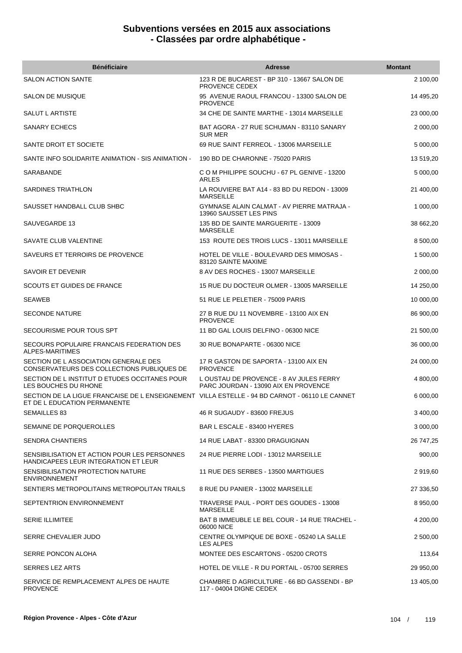| <b>Bénéficiaire</b>                                                                                                            | <b>Adresse</b>                                                                 | <b>Montant</b> |
|--------------------------------------------------------------------------------------------------------------------------------|--------------------------------------------------------------------------------|----------------|
| <b>SALON ACTION SANTE</b>                                                                                                      | 123 R DE BUCAREST - BP 310 - 13667 SALON DE<br>PROVENCE CEDEX                  | 2 100,00       |
| SALON DE MUSIQUE                                                                                                               | 95 AVENUE RAOUL FRANCOU - 13300 SALON DE<br><b>PROVENCE</b>                    | 14 495,20      |
| SALUT L ARTISTE                                                                                                                | 34 CHE DE SAINTE MARTHE - 13014 MARSEILLE                                      | 23 000,00      |
| <b>SANARY ECHECS</b>                                                                                                           | BAT AGORA - 27 RUE SCHUMAN - 83110 SANARY<br><b>SUR MER</b>                    | 2 000,00       |
| SANTE DROIT ET SOCIETE                                                                                                         | 69 RUE SAINT FERREOL - 13006 MARSEILLE                                         | 5 000,00       |
| SANTE INFO SOLIDARITE ANIMATION - SIS ANIMATION -                                                                              | 190 BD DE CHARONNE - 75020 PARIS                                               | 13 519,20      |
| <b>SARABANDE</b>                                                                                                               | C O M PHILIPPE SOUCHU - 67 PL GENIVE - 13200<br>ARLES                          | 5 000,00       |
| SARDINES TRIATHLON                                                                                                             | LA ROUVIERE BAT A14 - 83 BD DU REDON - 13009<br><b>MARSEILLE</b>               | 21 400,00      |
| SAUSSET HANDBALL CLUB SHBC                                                                                                     | <b>GYMNASE ALAIN CALMAT - AV PIERRE MATRAJA -</b><br>13960 SAUSSET LES PINS    | 1 000,00       |
| SAUVEGARDE 13                                                                                                                  | 135 BD DE SAINTE MARGUERITE - 13009<br><b>MARSEILLE</b>                        | 38 662,20      |
| SAVATE CLUB VALENTINE                                                                                                          | 153 ROUTE DES TROIS LUCS - 13011 MARSEILLE                                     | 8 500,00       |
| SAVEURS ET TERROIRS DE PROVENCE                                                                                                | HOTEL DE VILLE - BOULEVARD DES MIMOSAS -<br>83120 SAINTE MAXIME                | 1 500,00       |
| SAVOIR ET DEVENIR                                                                                                              | 8 AV DES ROCHES - 13007 MARSEILLE                                              | 2 000,00       |
| SCOUTS ET GUIDES DE FRANCE                                                                                                     | 15 RUE DU DOCTEUR OLMER - 13005 MARSEILLE                                      | 14 250,00      |
| <b>SEAWEB</b>                                                                                                                  | 51 RUE LE PELETIER - 75009 PARIS                                               | 10 000,00      |
| <b>SECONDE NATURE</b>                                                                                                          | 27 B RUE DU 11 NOVEMBRE - 13100 AIX EN<br><b>PROVENCE</b>                      | 86 900,00      |
| SECOURISME POUR TOUS SPT                                                                                                       | 11 BD GAL LOUIS DELFINO - 06300 NICE                                           | 21 500,00      |
| SECOURS POPULAIRE FRANCAIS FEDERATION DES<br>ALPES-MARITIMES                                                                   | 30 RUE BONAPARTE - 06300 NICE                                                  | 36 000,00      |
| SECTION DE L ASSOCIATION GENERALE DES<br>CONSERVATEURS DES COLLECTIONS PUBLIQUES DE                                            | 17 R GASTON DE SAPORTA - 13100 AIX EN<br><b>PROVENCE</b>                       | 24 000,00      |
| SECTION DE L INSTITUT D ETUDES OCCITANES POUR<br>LES BOUCHES DU RHONE                                                          | LOUSTAU DE PROVENCE - 8 AV JULES FERRY<br>PARC JOURDAN - 13090 AIX EN PROVENCE | 4 800,00       |
| SECTION DE LA LIGUE FRANCAISE DE L ENSEIGNEMENT VILLA ESTELLE - 94 BD CARNOT - 06110 LE CANNET<br>ET DE L EDUCATION PERMANENTE |                                                                                | 6 000,00       |
| SEMAILLES 83                                                                                                                   | 46 R SUGAUDY - 83600 FREJUS                                                    | 3 400,00       |
| SEMAINE DE PORQUEROLLES                                                                                                        | BAR L ESCALE - 83400 HYERES                                                    | 3 000,00       |
| <b>SENDRA CHANTIERS</b>                                                                                                        | 14 RUE LABAT - 83300 DRAGUIGNAN                                                | 26 747,25      |
| SENSIBILISATION ET ACTION POUR LES PERSONNES<br>HANDICAPEES LEUR INTEGRATION ET LEUR                                           | 24 RUE PIERRE LODI - 13012 MARSEILLE                                           | 900,00         |
| SENSIBILISATION PROTECTION NATURE<br><b>ENVIRONNEMENT</b>                                                                      | 11 RUE DES SERBES - 13500 MARTIGUES                                            | 2919,60        |
| SENTIERS METROPOLITAINS METROPOLITAN TRAILS                                                                                    | 8 RUE DU PANIER - 13002 MARSEILLE                                              | 27 336,50      |
| SEPTENTRION ENVIRONNEMENT                                                                                                      | TRAVERSE PAUL - PORT DES GOUDES - 13008<br><b>MARSEILLE</b>                    | 8 950,00       |
| <b>SERIE ILLIMITEE</b>                                                                                                         | BAT B IMMEUBLE LE BEL COUR - 14 RUE TRACHEL -<br>06000 NICE                    | 4 200,00       |
| SERRE CHEVALIER JUDO                                                                                                           | CENTRE OLYMPIQUE DE BOXE - 05240 LA SALLE<br><b>LES ALPES</b>                  | 2 500,00       |
| SERRE PONCON ALOHA                                                                                                             | MONTEE DES ESCARTONS - 05200 CROTS                                             | 113,64         |
| <b>SERRES LEZ ARTS</b>                                                                                                         | HOTEL DE VILLE - R DU PORTAIL - 05700 SERRES                                   | 29 950,00      |
| SERVICE DE REMPLACEMENT ALPES DE HAUTE<br><b>PROVENCE</b>                                                                      | CHAMBRE D AGRICULTURE - 66 BD GASSENDI - BP<br>117 - 04004 DIGNE CEDEX         | 13 405,00      |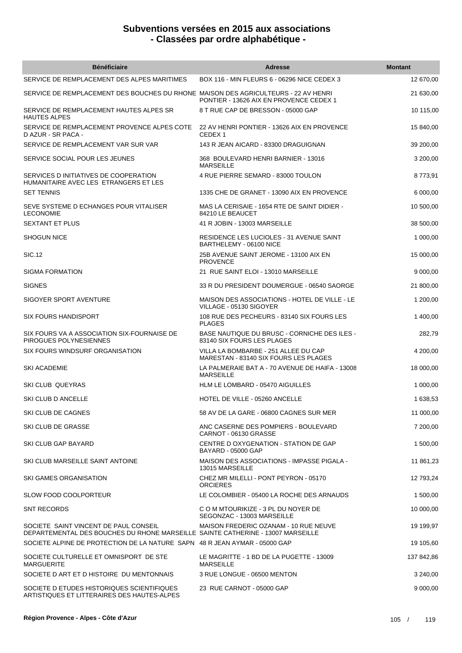| <b>Bénéficiaire</b>                                                                                                      | Adresse                                                                       | <b>Montant</b> |
|--------------------------------------------------------------------------------------------------------------------------|-------------------------------------------------------------------------------|----------------|
| SERVICE DE REMPLACEMENT DES ALPES MARITIMES                                                                              | BOX 116 - MIN FLEURS 6 - 06296 NICE CEDEX 3                                   | 12 670,00      |
| SERVICE DE REMPLACEMENT DES BOUCHES DU RHONE MAISON DES AGRICULTEURS - 22 AV HENRI                                       | PONTIER - 13626 AIX EN PROVENCE CEDEX 1                                       | 21 630,00      |
| SERVICE DE REMPLACEMENT HAUTES ALPES SR<br><b>HAUTES ALPES</b>                                                           | 8 T RUE CAP DE BRESSON - 05000 GAP                                            | 10 115,00      |
| SERVICE DE REMPLACEMENT PROVENCE ALPES COTE<br>D AZUR - SR PACA -                                                        | 22 AV HENRI PONTIER - 13626 AIX EN PROVENCE<br>CEDEX <sub>1</sub>             | 15 840,00      |
| SERVICE DE REMPLACEMENT VAR SUR VAR                                                                                      | 143 R JEAN AICARD - 83300 DRAGUIGNAN                                          | 39 200,00      |
| SERVICE SOCIAL POUR LES JEUNES                                                                                           | 368 BOULEVARD HENRI BARNIER - 13016<br><b>MARSEILLE</b>                       | 3 200,00       |
| SERVICES D INITIATIVES DE COOPERATION<br>HUMANITAIRE AVEC LES ETRANGERS ET LES                                           | 4 RUE PIERRE SEMARD - 83000 TOULON                                            | 8773,91        |
| <b>SET TENNIS</b>                                                                                                        | 1335 CHE DE GRANET - 13090 AIX EN PROVENCE                                    | 6 000,00       |
| SEVE SYSTEME D ECHANGES POUR VITALISER<br><b>LECONOMIE</b>                                                               | MAS LA CERISAIE - 1654 RTE DE SAINT DIDIER -<br>84210 LE BEAUCET              | 10 500,00      |
| <b>SEXTANT ET PLUS</b>                                                                                                   | 41 R JOBIN - 13003 MARSEILLE                                                  | 38 500,00      |
| <b>SHOGUN NICE</b>                                                                                                       | RESIDENCE LES LUCIOLES - 31 AVENUE SAINT<br>BARTHELEMY - 06100 NICE           | 1 000,00       |
| SIC.12                                                                                                                   | 25B AVENUE SAINT JEROME - 13100 AIX EN<br><b>PROVENCE</b>                     | 15 000,00      |
| SIGMA FORMATION                                                                                                          | 21 RUE SAINT ELOI - 13010 MARSEILLE                                           | 9 000,00       |
| <b>SIGNES</b>                                                                                                            | 33 R DU PRESIDENT DOUMERGUE - 06540 SAORGE                                    | 21 800,00      |
| SIGOYER SPORT AVENTURE                                                                                                   | MAISON DES ASSOCIATIONS - HOTEL DE VILLE - LE<br>VILLAGE - 05130 SIGOYER      | 1 200,00       |
| <b>SIX FOURS HANDISPORT</b>                                                                                              | 108 RUE DES PECHEURS - 83140 SIX FOURS LES<br><b>PLAGES</b>                   | 1 400,00       |
| SIX FOURS VA A ASSOCIATION SIX-FOURNAISE DE<br>PIROGUES POLYNESIENNES                                                    | BASE NAUTIQUE DU BRUSC - CORNICHE DES ILES -<br>83140 SIX FOURS LES PLAGES    | 282,79         |
| SIX FOURS WINDSURF ORGANISATION                                                                                          | VILLA LA BOMBARBE - 251 ALLEE DU CAP<br>MARESTAN - 83140 SIX FOURS LES PLAGES | 4 200,00       |
| <b>SKI ACADEMIE</b>                                                                                                      | LA PALMERAIE BAT A - 70 AVENUE DE HAIFA - 13008<br><b>MARSEILLE</b>           | 18 000,00      |
| <b>SKI CLUB QUEYRAS</b>                                                                                                  | HLM LE LOMBARD - 05470 AIGUILLES                                              | 1 000,00       |
| SKI CLUB D ANCELLE                                                                                                       | HOTEL DE VILLE - 05260 ANCELLE                                                | 1 638,53       |
| SKI CLUB DE CAGNES                                                                                                       | 58 AV DE LA GARE - 06800 CAGNES SUR MER                                       | 11 000,00      |
| SKI CLUB DE GRASSE                                                                                                       | ANC CASERNE DES POMPIERS - BOULEVARD<br>CARNOT - 06130 GRASSE                 | 7 200,00       |
| SKI CLUB GAP BAYARD                                                                                                      | CENTRE D OXYGENATION - STATION DE GAP<br>BAYARD - 05000 GAP                   | 1 500,00       |
| SKI CLUB MARSEILLE SAINT ANTOINE                                                                                         | MAISON DES ASSOCIATIONS - IMPASSE PIGALA -<br>13015 MARSEILLE                 | 11 861,23      |
| SKI GAMES ORGANISATION                                                                                                   | CHEZ MR MILELLI - PONT PEYRON - 05170<br><b>ORCIERES</b>                      | 12 793,24      |
| <b>SLOW FOOD COOLPORTEUR</b>                                                                                             | LE COLOMBIER - 05400 LA ROCHE DES ARNAUDS                                     | 1 500,00       |
| <b>SNT RECORDS</b>                                                                                                       | C O M MTOURIKIZE - 3 PL DU NOYER DE<br>SEGONZAC - 13003 MARSEILLE             | 10 000,00      |
| SOCIETE SAINT VINCENT DE PAUL CONSEIL<br>DEPARTEMENTAL DES BOUCHES DU RHONE MARSEILLE SAINTE CATHERINE - 13007 MARSEILLE | MAISON FREDERIC OZANAM - 10 RUE NEUVE                                         | 19 199,97      |
| SOCIETE ALPINE DE PROTECTION DE LA NATURE SAPN 48 R JEAN AYMAR - 05000 GAP                                               |                                                                               | 19 105,60      |
| SOCIETE CULTURELLE ET OMNISPORT DE STE<br><b>MARGUERITE</b>                                                              | LE MAGRITTE - 1 BD DE LA PUGETTE - 13009<br><b>MARSEILLE</b>                  | 137 842,86     |
| SOCIETE D ART ET D HISTOIRE DU MENTONNAIS                                                                                | 3 RUE LONGUE - 06500 MENTON                                                   | 3 240,00       |
| SOCIETE D ETUDES HISTORIQUES SCIENTIFIQUES<br>ARTISTIQUES ET LITTERAIRES DES HAUTES-ALPES                                | 23 RUE CARNOT - 05000 GAP                                                     | 9 000,00       |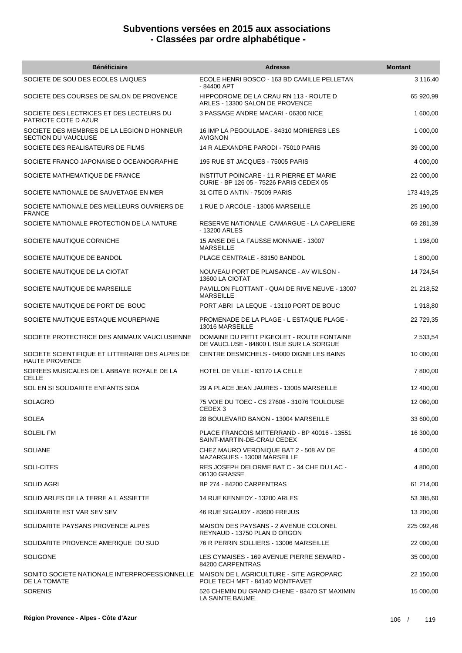| <b>Bénéficiaire</b>                                                                                   | <b>Adresse</b>                                                                         | <b>Montant</b> |
|-------------------------------------------------------------------------------------------------------|----------------------------------------------------------------------------------------|----------------|
| SOCIETE DE SOU DES ECOLES LAIQUES                                                                     | ECOLE HENRI BOSCO - 163 BD CAMILLE PELLETAN<br>-84400 APT                              | 3 116,40       |
| SOCIETE DES COURSES DE SALON DE PROVENCE                                                              | HIPPODROME DE LA CRAU RN 113 - ROUTE D<br>ARLES - 13300 SALON DE PROVENCE              | 65 920,99      |
| SOCIETE DES LECTRICES ET DES LECTEURS DU<br>PATRIOTE COTE D AZUR                                      | 3 PASSAGE ANDRE MACARI - 06300 NICE                                                    | 1 600,00       |
| SOCIETE DES MEMBRES DE LA LEGION D HONNEUR<br><b>SECTION DU VAUCLUSE</b>                              | 16 IMP LA PEGOULADE - 84310 MORIERES LES<br><b>AVIGNON</b>                             | 1 000,00       |
| SOCIETE DES REALISATEURS DE FILMS                                                                     | 14 R ALEXANDRE PARODI - 75010 PARIS                                                    | 39 000,00      |
| SOCIETE FRANCO JAPONAISE D OCEANOGRAPHIE                                                              | 195 RUE ST JACQUES - 75005 PARIS                                                       | 4 000,00       |
| SOCIETE MATHEMATIQUE DE FRANCE                                                                        | INSTITUT POINCARE - 11 R PIERRE ET MARIE<br>CURIE - BP 126 05 - 75226 PARIS CEDEX 05   | 22 000,00      |
| SOCIETE NATIONALE DE SAUVETAGE EN MER                                                                 | 31 CITE D ANTIN - 75009 PARIS                                                          | 173 419,25     |
| SOCIETE NATIONALE DES MEILLEURS OUVRIERS DE<br><b>FRANCE</b>                                          | 1 RUE D ARCOLE - 13006 MARSEILLE                                                       | 25 190,00      |
| SOCIETE NATIONALE PROTECTION DE LA NATURE                                                             | RESERVE NATIONALE CAMARGUE - LA CAPELIERE<br>- 13200 ARLES                             | 69 281,39      |
| SOCIETE NAUTIQUE CORNICHE                                                                             | 15 ANSE DE LA FAUSSE MONNAIE - 13007<br><b>MARSEILLE</b>                               | 1 198,00       |
| SOCIETE NAUTIQUE DE BANDOL                                                                            | PLAGE CENTRALE - 83150 BANDOL                                                          | 1 800,00       |
| SOCIETE NAUTIQUE DE LA CIOTAT                                                                         | NOUVEAU PORT DE PLAISANCE - AV WILSON -<br>13600 LA CIOTAT                             | 14 724,54      |
| SOCIETE NAUTIQUE DE MARSEILLE                                                                         | PAVILLON FLOTTANT - QUAI DE RIVE NEUVE - 13007<br><b>MARSEILLE</b>                     | 21 218,52      |
| SOCIETE NAUTIQUE DE PORT DE BOUC                                                                      | PORT ABRI LA LEQUE - 13110 PORT DE BOUC                                                | 1918,80        |
| SOCIETE NAUTIQUE ESTAQUE MOUREPIANE                                                                   | PROMENADE DE LA PLAGE - L ESTAQUE PLAGE -<br>13016 MARSEILLE                           | 22 729,35      |
| SOCIETE PROTECTRICE DES ANIMAUX VAUCLUSIENNE                                                          | DOMAINE DU PETIT PIGEOLET - ROUTE FONTAINE<br>DE VAUCLUSE - 84800 L ISLE SUR LA SORGUE | 2 533,54       |
| SOCIETE SCIENTIFIQUE ET LITTERAIRE DES ALPES DE<br><b>HAUTE PROVENCE</b>                              | CENTRE DESMICHELS - 04000 DIGNE LES BAINS                                              | 10 000,00      |
| SOIREES MUSICALES DE L ABBAYE ROYALE DE LA<br><b>CELLE</b>                                            | HOTEL DE VILLE - 83170 LA CELLE                                                        | 7 800,00       |
| SOL EN SI SOLIDARITE ENFANTS SIDA                                                                     | 29 A PLACE JEAN JAURES - 13005 MARSEILLE                                               | 12 400,00      |
| SOLAGRO                                                                                               | 75 VOIE DU TOEC - CS 27608 - 31076 TOULOUSE<br>CEDEX <sub>3</sub>                      | 12 060,00      |
| <b>SOLEA</b>                                                                                          | 28 BOULEVARD BANON - 13004 MARSEILLE                                                   | 33 600,00      |
| <b>SOLEIL FM</b>                                                                                      | PLACE FRANCOIS MITTERRAND - BP 40016 - 13551<br>SAINT-MARTIN-DE-CRAU CEDEX             | 16 300,00      |
| <b>SOLIANE</b>                                                                                        | CHEZ MAURO VERONIQUE BAT 2 - 508 AV DE<br>MAZARGUES - 13008 MARSEILLE                  | 4 500,00       |
| SOLI-CITES                                                                                            | RES JOSEPH DELORME BAT C - 34 CHE DU LAC -<br>06130 GRASSE                             | 4 800,00       |
| SOLID AGRI                                                                                            | BP 274 - 84200 CARPENTRAS                                                              | 61 214,00      |
| SOLID ARLES DE LA TERRE A L ASSIETTE                                                                  | 14 RUE KENNEDY - 13200 ARLES                                                           | 53 385,60      |
| SOLIDARITE EST VAR SEV SEV                                                                            | 46 RUE SIGAUDY - 83600 FREJUS                                                          | 13 200,00      |
| SOLIDARITE PAYSANS PROVENCE ALPES                                                                     | MAISON DES PAYSANS - 2 AVENUE COLONEL<br>REYNAUD - 13750 PLAN D ORGON                  | 225 092,46     |
| SOLIDARITE PROVENCE AMERIQUE DU SUD                                                                   | 76 R PERRIN SOLLIERS - 13006 MARSEILLE                                                 | 22 000,00      |
| <b>SOLIGONE</b>                                                                                       | LES CYMAISES - 169 AVENUE PIERRE SEMARD -<br>84200 CARPENTRAS                          | 35 000,00      |
| SONITO SOCIETE NATIONALE INTERPROFESSIONNELLE MAISON DE L AGRICULTURE - SITE AGROPARC<br>DE LA TOMATE | POLE TECH MFT - 84140 MONTFAVET                                                        | 22 150,00      |
| <b>SORENIS</b>                                                                                        | 526 CHEMIN DU GRAND CHENE - 83470 ST MAXIMIN<br>LA SAINTE BAUME                        | 15 000,00      |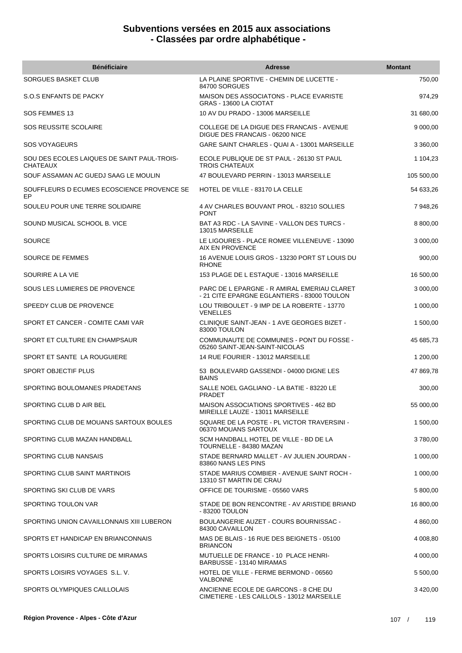| <b>Bénéficiaire</b>                                            | <b>Adresse</b>                                                                             | <b>Montant</b> |
|----------------------------------------------------------------|--------------------------------------------------------------------------------------------|----------------|
| SORGUES BASKET CLUB                                            | LA PLAINE SPORTIVE - CHEMIN DE LUCETTE -<br>84700 SORGUES                                  | 750,00         |
| S.O.S ENFANTS DE PACKY                                         | <b>MAISON DES ASSOCIATONS - PLACE EVARISTE</b><br>GRAS - 13600 LA CIOTAT                   | 974,29         |
| SOS FEMMES 13                                                  | 10 AV DU PRADO - 13006 MARSEILLE                                                           | 31 680,00      |
| <b>SOS REUSSITE SCOLAIRE</b>                                   | COLLEGE DE LA DIGUE DES FRANCAIS - AVENUE<br>DIGUE DES FRANCAIS - 06200 NICE               | 9 000,00       |
| <b>SOS VOYAGEURS</b>                                           | <b>GARE SAINT CHARLES - QUAI A - 13001 MARSEILLE</b>                                       | 3 360,00       |
| SOU DES ECOLES LAIQUES DE SAINT PAUL-TROIS-<br><b>CHATEAUX</b> | ECOLE PUBLIQUE DE ST PAUL - 26130 ST PAUL<br><b>TROIS CHATEAUX</b>                         | 1 104,23       |
| SOUF ASSAMAN AC GUEDJ SAAG LE MOULIN                           | 47 BOULEVARD PERRIN - 13013 MARSEILLE                                                      | 105 500,00     |
| SOUFFLEURS D ECUMES ECOSCIENCE PROVENCE SE<br>EP               | HOTEL DE VILLE - 83170 LA CELLE                                                            | 54 633,26      |
| SOULEU POUR UNE TERRE SOLIDAIRE                                | 4 AV CHARLES BOUVANT PROL - 83210 SOLLIES<br><b>PONT</b>                                   | 7 948,26       |
| SOUND MUSICAL SCHOOL B. VICE                                   | BAT A3 RDC - LA SAVINE - VALLON DES TURCS -<br>13015 MARSEILLE                             | 8 800,00       |
| <b>SOURCE</b>                                                  | LE LIGOURES - PLACE ROMEE VILLENEUVE - 13090<br><b>AIX EN PROVENCE</b>                     | 3 000,00       |
| SOURCE DE FEMMES                                               | 16 AVENUE LOUIS GROS - 13230 PORT ST LOUIS DU<br><b>RHONE</b>                              | 900,00         |
| SOURIRE A LA VIE                                               | 153 PLAGE DE L ESTAQUE - 13016 MARSEILLE                                                   | 16 500,00      |
| SOUS LES LUMIERES DE PROVENCE                                  | PARC DE L EPARGNE - R AMIRAL EMERIAU CLARET<br>- 21 CITE EPARGNE EGLANTIERS - 83000 TOULON | 3 000,00       |
| SPEEDY CLUB DE PROVENCE                                        | LOU TRIBOULET - 9 IMP DE LA ROBERTE - 13770<br><b>VENELLES</b>                             | 1 000,00       |
| SPORT ET CANCER - COMITE CAMI VAR                              | CLINIQUE SAINT-JEAN - 1 AVE GEORGES BIZET -<br>83000 TOULON                                | 1 500,00       |
| SPORT ET CULTURE EN CHAMPSAUR                                  | COMMUNAUTE DE COMMUNES - PONT DU FOSSE -<br>05260 SAINT-JEAN-SAINT-NICOLAS                 | 45 685,73      |
| SPORT ET SANTE LA ROUGUIERE                                    | 14 RUE FOURIER - 13012 MARSEILLE                                                           | 1 200,00       |
| SPORT OBJECTIF PLUS                                            | 53 BOULEVARD GASSENDI - 04000 DIGNE LES<br><b>BAINS</b>                                    | 47 869,78      |
| SPORTING BOULOMANES PRADETANS                                  | SALLE NOEL GAGLIANO - LA BATIE - 83220 LE<br><b>PRADET</b>                                 | 300,00         |
| SPORTING CLUB D AIR BEL                                        | MAISON ASSOCIATIONS SPORTIVES - 462 BD<br>MIREILLE LAUZE - 13011 MARSEILLE                 | 55 000,00      |
| SPORTING CLUB DE MOUANS SARTOUX BOULES                         | SQUARE DE LA POSTE - PL VICTOR TRAVERSINI -<br>06370 MOUANS SARTOUX                        | 1 500,00       |
| SPORTING CLUB MAZAN HANDBALL                                   | SCM HANDBALL HOTEL DE VILLE - BD DE LA<br>TOURNELLE - 84380 MAZAN                          | 3780,00        |
| SPORTING CLUB NANSAIS                                          | STADE BERNARD MALLET - AV JULIEN JOURDAN -<br>83860 NANS LES PINS                          | 1 000,00       |
| SPORTING CLUB SAINT MARTINOIS                                  | STADE MARIUS COMBIER - AVENUE SAINT ROCH -<br>13310 ST MARTIN DE CRAU                      | 1 000,00       |
| SPORTING SKI CLUB DE VARS                                      | OFFICE DE TOURISME - 05560 VARS                                                            | 5 800,00       |
| SPORTING TOULON VAR                                            | STADE DE BON RENCONTRE - AV ARISTIDE BRIAND<br>- 83200 TOULON                              | 16 800,00      |
| SPORTING UNION CAVAILLONNAIS XIII LUBERON                      | BOULANGERIE AUZET - COURS BOURNISSAC -<br>84300 CAVAILLON                                  | 4 860,00       |
| SPORTS ET HANDICAP EN BRIANCONNAIS                             | MAS DE BLAIS - 16 RUE DES BEIGNETS - 05100<br><b>BRIANCON</b>                              | 4 008,80       |
| SPORTS LOISIRS CULTURE DE MIRAMAS                              | MUTUELLE DE FRANCE - 10 PLACE HENRI-<br>BARBUSSE - 13140 MIRAMAS                           | 4 000,00       |
| SPORTS LOISIRS VOYAGES S.L. V.                                 | HOTEL DE VILLE - FERME BERMOND - 06560<br><b>VALBONNE</b>                                  | 5 500,00       |
| SPORTS OLYMPIQUES CAILLOLAIS                                   | ANCIENNE ECOLE DE GARCONS - 8 CHE DU<br>CIMETIERE - LES CAILLOLS - 13012 MARSEILLE         | 3 420,00       |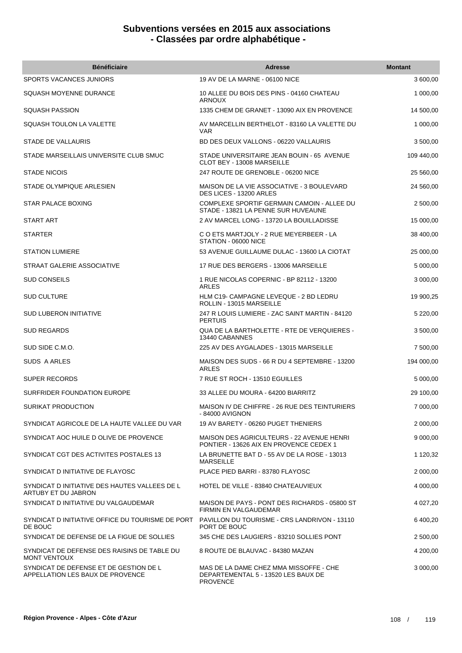| <b>Bénéficiaire</b>                                                        | <b>Adresse</b>                                                                                   | <b>Montant</b> |
|----------------------------------------------------------------------------|--------------------------------------------------------------------------------------------------|----------------|
| SPORTS VACANCES JUNIORS                                                    | 19 AV DE LA MARNE - 06100 NICE                                                                   | 3 600,00       |
| SQUASH MOYENNE DURANCE                                                     | 10 ALLEE DU BOIS DES PINS - 04160 CHATEAU<br><b>ARNOUX</b>                                       | 1 000,00       |
| <b>SQUASH PASSION</b>                                                      | 1335 CHEM DE GRANET - 13090 AIX EN PROVENCE                                                      | 14 500,00      |
| SQUASH TOULON LA VALETTE                                                   | AV MARCELLIN BERTHELOT - 83160 LA VALETTE DU<br><b>VAR</b>                                       | 1 000,00       |
| STADE DE VALLAURIS                                                         | BD DES DEUX VALLONS - 06220 VALLAURIS                                                            | 3 500,00       |
| STADE MARSEILLAIS UNIVERSITE CLUB SMUC                                     | STADE UNIVERSITAIRE JEAN BOUIN - 65 AVENUE<br>CLOT BEY - 13008 MARSEILLE                         | 109 440,00     |
| <b>STADE NICOIS</b>                                                        | 247 ROUTE DE GRENOBLE - 06200 NICE                                                               | 25 560,00      |
| STADE OLYMPIQUE ARLESIEN                                                   | MAISON DE LA VIE ASSOCIATIVE - 3 BOULEVARD<br>DES LICES - 13200 ARLES                            | 24 560,00      |
| <b>STAR PALACE BOXING</b>                                                  | COMPLEXE SPORTIF GERMAIN CAMOIN - ALLEE DU<br>STADE - 13821 LA PENNE SUR HUVEAUNE                | 2 500,00       |
| START ART                                                                  | 2 AV MARCEL LONG - 13720 LA BOUILLADISSE                                                         | 15 000,00      |
| <b>STARTER</b>                                                             | C O ETS MARTJOLY - 2 RUE MEYERBEER - LA<br>STATION - 06000 NICE                                  | 38 400,00      |
| <b>STATION LUMIERE</b>                                                     | 53 AVENUE GUILLAUME DULAC - 13600 LA CIOTAT                                                      | 25 000,00      |
| STRAAT GALERIE ASSOCIATIVE                                                 | 17 RUE DES BERGERS - 13006 MARSEILLE                                                             | 5 000,00       |
| <b>SUD CONSEILS</b>                                                        | 1 RUE NICOLAS COPERNIC - BP 82112 - 13200<br>ARLES                                               | 3 000,00       |
| <b>SUD CULTURE</b>                                                         | HLM C19- CAMPAGNE LEVEQUE - 2 BD LEDRU<br>ROLLIN - 13015 MARSEILLE                               | 19 900,25      |
| <b>SUD LUBERON INITIATIVE</b>                                              | 247 R LOUIS LUMIERE - ZAC SAINT MARTIN - 84120<br><b>PERTUIS</b>                                 | 5 220,00       |
| <b>SUD REGARDS</b>                                                         | QUA DE LA BARTHOLETTE - RTE DE VERQUIERES -<br>13440 CABANNES                                    | 3 500,00       |
| SUD SIDE C.M.O.                                                            | 225 AV DES AYGALADES - 13015 MARSEILLE                                                           | 7 500,00       |
| <b>SUDS A ARLES</b>                                                        | MAISON DES SUDS - 66 R DU 4 SEPTEMBRE - 13200<br><b>ARLES</b>                                    | 194 000,00     |
| <b>SUPER RECORDS</b>                                                       | 7 RUE ST ROCH - 13510 EGUILLES                                                                   | 5 000,00       |
| SURFRIDER FOUNDATION EUROPE                                                | 33 ALLEE DU MOURA - 64200 BIARRITZ                                                               | 29 100,00      |
| SURIKAT PRODUCTION                                                         | MAISON IV DE CHIFFRE - 26 RUE DES TEINTURIERS<br>- 84000 AVIGNON                                 | 7 000,00       |
| SYNDICAT AGRICOLE DE LA HAUTE VALLEE DU VAR                                | 19 AV BARETY - 06260 PUGET THENIERS                                                              | 2 000,00       |
| SYNDICAT AOC HUILE D OLIVE DE PROVENCE                                     | <b>MAISON DES AGRICULTEURS - 22 AVENUE HENRI</b><br>PONTIER - 13626 AIX EN PROVENCE CEDEX 1      | 9 000,00       |
| SYNDICAT CGT DES ACTIVITES POSTALES 13                                     | LA BRUNETTE BAT D - 55 AV DE LA ROSE - 13013<br><b>MARSEILLE</b>                                 | 1 120,32       |
| SYNDICAT D INITIATIVE DE FLAYOSC                                           | PLACE PIED BARRI - 83780 FLAYOSC                                                                 | 2 000,00       |
| SYNDICAT D INITIATIVE DES HAUTES VALLEES DE L<br>ARTUBY ET DU JABRON       | HOTEL DE VILLE - 83840 CHATEAUVIEUX                                                              | 4 000,00       |
| SYNDICAT D INITIATIVE DU VALGAUDEMAR                                       | MAISON DE PAYS - PONT DES RICHARDS - 05800 ST<br>FIRMIN EN VALGAUDEMAR                           | 4 027,20       |
| SYNDICAT D INITIATIVE OFFICE DU TOURISME DE PORT<br>DE BOUC                | PAVILLON DU TOURISME - CRS LANDRIVON - 13110<br>PORT DE BOUC                                     | 6 400,20       |
| SYNDICAT DE DEFENSE DE LA FIGUE DE SOLLIES                                 | 345 CHE DES LAUGIERS - 83210 SOLLIES PONT                                                        | 2 500,00       |
| SYNDICAT DE DEFENSE DES RAISINS DE TABLE DU<br><b>MONT VENTOUX</b>         | 8 ROUTE DE BLAUVAC - 84380 MAZAN                                                                 | 4 200,00       |
| SYNDICAT DE DEFENSE ET DE GESTION DE L<br>APPELLATION LES BAUX DE PROVENCE | MAS DE LA DAME CHEZ MMA MISSOFFE - CHE<br>DEPARTEMENTAL 5 - 13520 LES BAUX DE<br><b>PROVENCE</b> | 3 000,00       |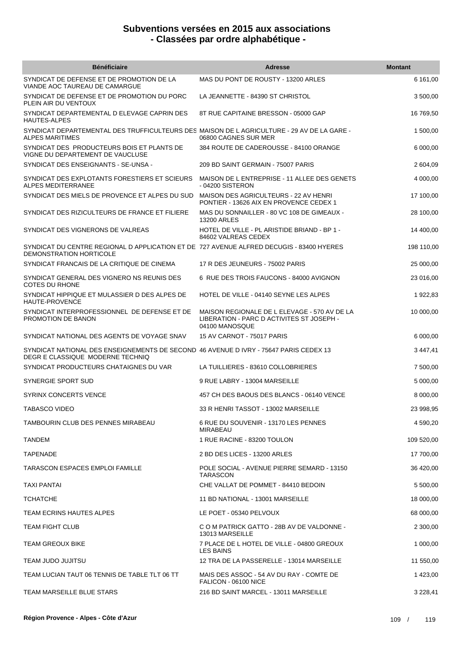| <b>Bénéficiaire</b>                                                                                                       | <b>Adresse</b>                                                                                              | <b>Montant</b> |
|---------------------------------------------------------------------------------------------------------------------------|-------------------------------------------------------------------------------------------------------------|----------------|
| SYNDICAT DE DEFENSE ET DE PROMOTION DE LA<br>VIANDE AOC TAUREAU DE CAMARGUE                                               | MAS DU PONT DE ROUSTY - 13200 ARLES                                                                         | 6 161,00       |
| SYNDICAT DE DEFENSE ET DE PROMOTION DU PORC<br>PLEIN AIR DU VENTOUX                                                       | LA JEANNETTE - 84390 ST CHRISTOL                                                                            | 3 500,00       |
| SYNDICAT DEPARTEMENTAL D ELEVAGE CAPRIN DES<br><b>HAUTES-ALPES</b>                                                        | 8T RUE CAPITAINE BRESSON - 05000 GAP                                                                        | 16 769,50      |
| SYNDICAT DEPARTEMENTAL DES TRUFFICULTEURS DES MAISON DE LAGRICULTURE - 29 AV DE LA GARE -<br><b>ALPES MARITIMES</b>       | 06800 CAGNES SUR MER                                                                                        | 1 500,00       |
| SYNDICAT DES PRODUCTEURS BOIS ET PLANTS DE<br>VIGNE DU DEPARTEMENT DE VAUCLUSE                                            | 384 ROUTE DE CADEROUSSE - 84100 ORANGE                                                                      | 6 000,00       |
| SYNDICAT DES ENSEIGNANTS - SE-UNSA -                                                                                      | 209 BD SAINT GERMAIN - 75007 PARIS                                                                          | 2 604,09       |
| SYNDICAT DES EXPLOTANTS FORESTIERS ET SCIEURS<br>ALPES MEDITERRANEE                                                       | MAISON DE L ENTREPRISE - 11 ALLEE DES GENETS<br>- 04200 SISTERON                                            | 4 000,00       |
| SYNDICAT DES MIELS DE PROVENCE ET ALPES DU SUD                                                                            | MAISON DES AGRICULTEURS - 22 AV HENRI<br>PONTIER - 13626 AIX EN PROVENCE CEDEX 1                            | 17 100,00      |
| SYNDICAT DES RIZICULTEURS DE FRANCE ET FILIERE                                                                            | MAS DU SONNAILLER - 80 VC 108 DE GIMEAUX -<br>13200 ARLES                                                   | 28 100,00      |
| SYNDICAT DES VIGNERONS DE VALREAS                                                                                         | HOTEL DE VILLE - PL ARISTIDE BRIAND - BP 1 -<br>84602 VALREAS CEDEX                                         | 14 400,00      |
| SYNDICAT DU CENTRE REGIONAL D APPLICATION ET DE 727 AVENUE ALFRED DECUGIS - 83400 HYERES<br>DEMONSTRATION HORTICOLE       |                                                                                                             | 198 110,00     |
| SYNDICAT FRANCAIS DE LA CRITIQUE DE CINEMA                                                                                | 17 R DES JEUNEURS - 75002 PARIS                                                                             | 25 000,00      |
| SYNDICAT GENERAL DES VIGNERO NS REUNIS DES<br><b>COTES DU RHONE</b>                                                       | 6 RUE DES TROIS FAUCONS - 84000 AVIGNON                                                                     | 23 016,00      |
| SYNDICAT HIPPIQUE ET MULASSIER D DES ALPES DE<br><b>HAUTE-PROVENCE</b>                                                    | HOTEL DE VILLE - 04140 SEYNE LES ALPES                                                                      | 1 922,83       |
| SYNDICAT INTERPROFESSIONNEL DE DEFENSE ET DE<br>PROMOTION DE BANON                                                        | MAISON REGIONALE DE L ELEVAGE - 570 AV DE LA<br>LIBERATION - PARC D ACTIVITES ST JOSEPH -<br>04100 MANOSQUE | 10 000,00      |
| SYNDICAT NATIONAL DES AGENTS DE VOYAGE SNAV                                                                               | 15 AV CARNOT - 75017 PARIS                                                                                  | 6 000,00       |
| SYNDICAT NATIONAL DES ENSEIGNEMENTS DE SECOND 46 AVENUE D IVRY - 75647 PARIS CEDEX 13<br>DEGR E CLASSIQUE MODERNE TECHNIQ |                                                                                                             | 3 447,41       |
| SYNDICAT PRODUCTEURS CHATAIGNES DU VAR                                                                                    | LA TUILLIERES - 83610 COLLOBRIERES                                                                          | 7 500,00       |
| SYNERGIE SPORT SUD                                                                                                        | 9 RUE LABRY - 13004 MARSEILLE                                                                               | 5 000,00       |
| <b>SYRINX CONCERTS VENCE</b>                                                                                              | 457 CH DES BAOUS DES BLANCS - 06140 VENCE                                                                   | 8 000,00       |
| TABASCO VIDEO                                                                                                             | 33 R HENRI TASSOT - 13002 MARSEILLE                                                                         | 23 998,95      |
| TAMBOURIN CLUB DES PENNES MIRABEAU                                                                                        | 6 RUE DU SOUVENIR - 13170 LES PENNES<br><b>MIRABEAU</b>                                                     | 4 590,20       |
| <b>TANDEM</b>                                                                                                             | 1 RUE RACINE - 83200 TOULON                                                                                 | 109 520,00     |
| <b>TAPENADE</b>                                                                                                           | 2 BD DES LICES - 13200 ARLES                                                                                | 17 700,00      |
| <b>TARASCON ESPACES EMPLOI FAMILLE</b>                                                                                    | POLE SOCIAL - AVENUE PIERRE SEMARD - 13150<br><b>TARASCON</b>                                               | 36 420,00      |
| TAXI PANTAI                                                                                                               | CHE VALLAT DE POMMET - 84410 BEDOIN                                                                         | 5 500,00       |
| <b>TCHATCHE</b>                                                                                                           | 11 BD NATIONAL - 13001 MARSEILLE                                                                            | 18 000,00      |
| TEAM ECRINS HAUTES ALPES                                                                                                  | LE POET - 05340 PELVOUX                                                                                     | 68 000,00      |
| TEAM FIGHT CLUB                                                                                                           | C O M PATRICK GATTO - 28B AV DE VALDONNE -<br>13013 MARSEILLE                                               | 2 300,00       |
| TEAM GREOUX BIKE                                                                                                          | 7 PLACE DE L HOTEL DE VILLE - 04800 GREOUX<br><b>LES BAINS</b>                                              | 1 000,00       |
| TEAM JUDO JUJITSU                                                                                                         | 12 TRA DE LA PASSERELLE - 13014 MARSEILLE                                                                   | 11 550,00      |
| TEAM LUCIAN TAUT 06 TENNIS DE TABLE TLT 06 TT                                                                             | MAIS DES ASSOC - 54 AV DU RAY - COMTE DE<br>FALICON - 06100 NICE                                            | 1 423,00       |
| TEAM MARSEILLE BLUE STARS                                                                                                 | 216 BD SAINT MARCEL - 13011 MARSEILLE                                                                       | 3 2 2 8, 41    |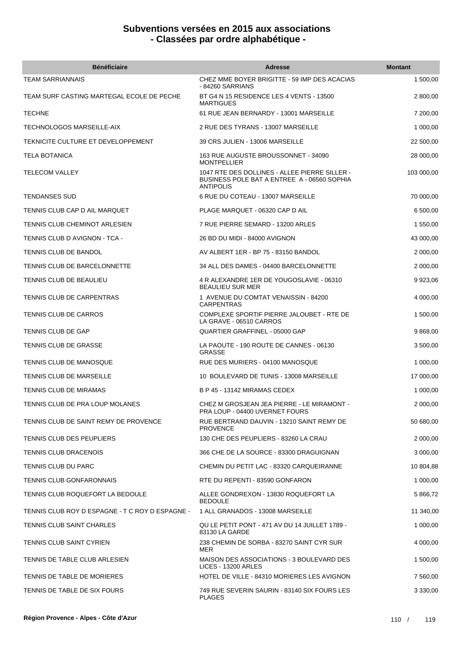| <b>Bénéficiaire</b>                             | Adresse                                                                                                          | <b>Montant</b> |
|-------------------------------------------------|------------------------------------------------------------------------------------------------------------------|----------------|
| <b>TEAM SARRIANNAIS</b>                         | CHEZ MME BOYER BRIGITTE - 59 IMP DES ACACIAS<br>- 84260 SARRIANS                                                 | 1 500,00       |
| TEAM SURF CASTING MARTEGAL ECOLE DE PECHE       | BT G4 N 15 RESIDENCE LES 4 VENTS - 13500<br><b>MARTIGUES</b>                                                     | 2 800,00       |
| <b>TECHNE</b>                                   | 61 RUE JEAN BERNARDY - 13001 MARSEILLE                                                                           | 7 200,00       |
| TECHNOLOGOS MARSEILLE-AIX                       | 2 RUE DES TYRANS - 13007 MARSEILLE                                                                               | 1 000,00       |
| TEKNICITE CULTURE ET DEVELOPPEMENT              | 39 CRS JULIEN - 13006 MARSEILLE                                                                                  | 22 500,00      |
| <b>TELA BOTANICA</b>                            | 163 RUE AUGUSTE BROUSSONNET - 34090<br><b>MONTPELLIER</b>                                                        | 28 000,00      |
| <b>TELECOM VALLEY</b>                           | 1047 RTE DES DOLLINES - ALLEE PIERRE SILLER -<br>BUSINESS POLE BAT A ENTREE A - 06560 SOPHIA<br><b>ANTIPOLIS</b> | 103 000,00     |
| <b>TENDANSES SUD</b>                            | 6 RUE DU COTEAU - 13007 MARSEILLE                                                                                | 70 000,00      |
| TENNIS CLUB CAP D AIL MARQUET                   | PLAGE MARQUET - 06320 CAP D AIL                                                                                  | 6 500,00       |
| TENNIS CLUB CHEMINOT ARLESIEN                   | 7 RUE PIERRE SEMARD - 13200 ARLES                                                                                | 1 550,00       |
| TENNIS CLUB D AVIGNON - TCA -                   | 26 BD DU MIDI - 84000 AVIGNON                                                                                    | 43 000,00      |
| TENNIS CLUB DE BANDOL                           | AV ALBERT 1ER - BP 75 - 83150 BANDOL                                                                             | 2 000,00       |
| TENNIS CLUB DE BARCELONNETTE                    | 34 ALL DES DAMES - 04400 BARCELONNETTE                                                                           | 2 000,00       |
| TENNIS CLUB DE BEAULIEU                         | 4 R ALEXANDRE 1ER DE YOUGOSLAVIE - 06310<br><b>BEAULIEU SUR MER</b>                                              | 9 9 23,06      |
| TENNIS CLUB DE CARPENTRAS                       | 1 AVENUE DU COMTAT VENAISSIN - 84200<br><b>CARPENTRAS</b>                                                        | 4 000,00       |
| TENNIS CLUB DE CARROS                           | COMPLEXE SPORTIF PIERRE JALOUBET - RTE DE<br>LA GRAVE - 06510 CARROS                                             | 1 500,00       |
| <b>TENNIS CLUB DE GAP</b>                       | QUARTIER GRAFFINEL - 05000 GAP                                                                                   | 9 868,00       |
| TENNIS CLUB DE GRASSE                           | LA PAOUTE - 190 ROUTE DE CANNES - 06130<br><b>GRASSE</b>                                                         | 3 500,00       |
| TENNIS CLUB DE MANOSQUE                         | RUE DES MURIERS - 04100 MANOSQUE                                                                                 | 1 000,00       |
| TENNIS CLUB DE MARSEILLE                        | 10 BOULEVARD DE TUNIS - 13008 MARSEILLE                                                                          | 17 000,00      |
| TENNIS CLUB DE MIRAMAS                          | B P 45 - 13142 MIRAMAS CEDEX                                                                                     | 1 000,00       |
| TENNIS CLUB DE PRA LOUP MOLANES                 | CHEZ M GROSJEAN JEA PIERRE - LE MIRAMONT -<br>PRA LOUP - 04400 UVERNET FOURS                                     | 2 000,00       |
| TENNIS CLUB DE SAINT REMY DE PROVENCE           | RUE BERTRAND DAUVIN - 13210 SAINT REMY DE<br><b>PROVENCE</b>                                                     | 50 680,00      |
| TENNIS CLUB DES PEUPLIERS                       | 130 CHE DES PEUPLIERS - 83260 LA CRAU                                                                            | 2 000,00       |
| <b>TENNIS CLUB DRACENOIS</b>                    | 366 CHE DE LA SOURCE - 83300 DRAGUIGNAN                                                                          | 3 000,00       |
| TENNIS CLUB DU PARC                             | CHEMIN DU PETIT LAC - 83320 CARQUEIRANNE                                                                         | 10 804,88      |
| TENNIS CLUB GONFARONNAIS                        | RTE DU REPENTI - 83590 GONFARON                                                                                  | 1 000,00       |
| TENNIS CLUB ROQUEFORT LA BEDOULE                | ALLEE GONDREXON - 13830 ROQUEFORT LA<br><b>BEDOULE</b>                                                           | 5 866,72       |
| TENNIS CLUB ROY D ESPAGNE - T C ROY D ESPAGNE - | 1 ALL GRANADOS - 13008 MARSEILLE                                                                                 | 11 340,00      |
| TENNIS CLUB SAINT CHARLES                       | QU LE PETIT PONT - 471 AV DU 14 JUILLET 1789 -<br>83130 LA GARDE                                                 | 1 000,00       |
| TENNIS CLUB SAINT CYRIEN                        | 238 CHEMIN DE SORBA - 83270 SAINT CYR SUR<br>MER                                                                 | 4 000,00       |
| TENNIS DE TABLE CLUB ARLESIEN                   | MAISON DES ASSOCIATIONS - 3 BOULEVARD DES<br><b>LICES - 13200 ARLES</b>                                          | 1 500,00       |
| TENNIS DE TABLE DE MORIERES                     | HOTEL DE VILLE - 84310 MORIERES LES AVIGNON                                                                      | 7 560,00       |
| TENNIS DE TABLE DE SIX FOURS                    | 749 RUE SEVERIN SAURIN - 83140 SIX FOURS LES<br><b>PLAGES</b>                                                    | 3 3 3 0 , 0 0  |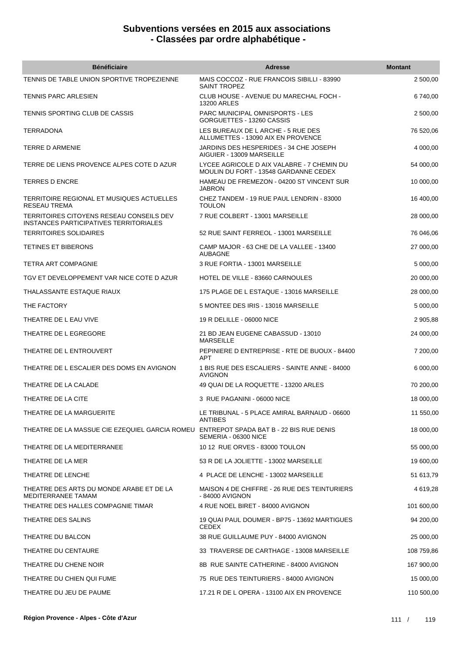| <b>Bénéficiaire</b>                                                                       | <b>Adresse</b>                                                                      | <b>Montant</b> |
|-------------------------------------------------------------------------------------------|-------------------------------------------------------------------------------------|----------------|
| TENNIS DE TABLE UNION SPORTIVE TROPEZIENNE                                                | MAIS COCCOZ - RUE FRANCOIS SIBILLI - 83990<br><b>SAINT TROPEZ</b>                   | 2 500,00       |
| TENNIS PARC ARLESIEN                                                                      | CLUB HOUSE - AVENUE DU MARECHAL FOCH -<br><b>13200 ARLES</b>                        | 6740,00        |
| TENNIS SPORTING CLUB DE CASSIS                                                            | <b>PARC MUNICIPAL OMNISPORTS - LES</b><br>GORGUETTES - 13260 CASSIS                 | 2 500,00       |
| TERRADONA                                                                                 | LES BUREAUX DE L ARCHE - 5 RUE DES<br>ALLUMETTES - 13090 AIX EN PROVENCE            | 76 520,06      |
| <b>TERRE D ARMENIE</b>                                                                    | JARDINS DES HESPERIDES - 34 CHE JOSEPH<br>AIGUIER - 13009 MARSEILLE                 | 4 000,00       |
| TERRE DE LIENS PROVENCE ALPES COTE D AZUR                                                 | LYCEE AGRICOLE D AIX VALABRE - 7 CHEMIN DU<br>MOULIN DU FORT - 13548 GARDANNE CEDEX | 54 000,00      |
| <b>TERRES D ENCRE</b>                                                                     | HAMEAU DE FREMEZON - 04200 ST VINCENT SUR<br>JABRON                                 | 10 000,00      |
| TERRITOIRE REGIONAL ET MUSIQUES ACTUELLES<br><b>RESEAU TREMA</b>                          | CHEZ TANDEM - 19 RUE PAUL LENDRIN - 83000<br><b>TOULON</b>                          | 16 400,00      |
| TERRITOIRES CITOYENS RESEAU CONSEILS DEV<br><b>INSTANCES PARTICIPATIVES TERRITORIALES</b> | 7 RUE COLBERT - 13001 MARSEILLE                                                     | 28 000,00      |
| <b>TERRITOIRES SOLIDAIRES</b>                                                             | 52 RUE SAINT FERREOL - 13001 MARSEILLE                                              | 76 046,06      |
| TETINES ET BIBERONS                                                                       | CAMP MAJOR - 63 CHE DE LA VALLEE - 13400<br>AUBAGNE                                 | 27 000,00      |
| TETRA ART COMPAGNIE                                                                       | 3 RUE FORTIA - 13001 MARSEILLE                                                      | 5 000,00       |
| TGV ET DEVELOPPEMENT VAR NICE COTE D AZUR                                                 | HOTEL DE VILLE - 83660 CARNOULES                                                    | 20 000,00      |
| THALASSANTE ESTAQUE RIAUX                                                                 | 175 PLAGE DE L ESTAQUE - 13016 MARSEILLE                                            | 28 000,00      |
| THE FACTORY                                                                               | 5 MONTEE DES IRIS - 13016 MARSEILLE                                                 | 5 000,00       |
| THEATRE DE L EAU VIVE                                                                     | 19 R DELILLE - 06000 NICE                                                           | 2 905,88       |
| THEATRE DE L EGREGORE                                                                     | 21 BD JEAN EUGENE CABASSUD - 13010<br><b>MARSEILLE</b>                              | 24 000,00      |
| THEATRE DE L ENTROUVERT                                                                   | PEPINIERE D ENTREPRISE - RTE DE BUOUX - 84400<br><b>APT</b>                         | 7 200,00       |
| THEATRE DE L ESCALIER DES DOMS EN AVIGNON                                                 | 1 BIS RUE DES ESCALIERS - SAINTE ANNE - 84000<br><b>AVIGNON</b>                     | 6 000,00       |
| THEATRE DE LA CALADE                                                                      | 49 QUAI DE LA ROQUETTE - 13200 ARLES                                                | 70 200,00      |
| THEATRE DE LA CITE                                                                        | 3 RUE PAGANINI - 06000 NICE                                                         | 18 000,00      |
| THEATRE DE LA MARGUERITE                                                                  | LE TRIBUNAL - 5 PLACE AMIRAL BARNAUD - 06600<br><b>ANTIBES</b>                      | 11 550,00      |
| THEATRE DE LA MASSUE CIE EZEQUIEL GARCIA ROMEU ENTREPOT SPADA BAT B - 22 BIS RUE DENIS    | SEMERIA - 06300 NICE                                                                | 18 000,00      |
| THEATRE DE LA MEDITERRANEE                                                                | 10 12 RUE ORVES - 83000 TOULON                                                      | 55 000,00      |
| THEATRE DE LA MER                                                                         | 53 R DE LA JOLIETTE - 13002 MARSEILLE                                               | 19 600,00      |
| THEATRE DE LENCHE                                                                         | 4 PLACE DE LENCHE - 13002 MARSEILLE                                                 | 51 613,79      |
| THEATRE DES ARTS DU MONDE ARABE ET DE LA<br>MEDITERRANEE TAMAM                            | MAISON 4 DE CHIFFRE - 26 RUE DES TEINTURIERS<br>- 84000 AVIGNON                     | 4 619,28       |
| THEATRE DES HALLES COMPAGNIE TIMAR                                                        | 4 RUE NOEL BIRET - 84000 AVIGNON                                                    | 101 600,00     |
| THEATRE DES SALINS                                                                        | 19 QUAI PAUL DOUMER - BP75 - 13692 MARTIGUES<br><b>CEDEX</b>                        | 94 200,00      |
| THEATRE DU BALCON                                                                         | 38 RUE GUILLAUME PUY - 84000 AVIGNON                                                | 25 000,00      |
| THEATRE DU CENTAURE                                                                       | 33 TRAVERSE DE CARTHAGE - 13008 MARSEILLE                                           | 108 759,86     |
| THEATRE DU CHENE NOIR                                                                     | 8B RUE SAINTE CATHERINE - 84000 AVIGNON                                             | 167 900,00     |
| THEATRE DU CHIEN QUI FUME                                                                 | 75 RUE DES TEINTURIERS - 84000 AVIGNON                                              | 15 000,00      |
| THEATRE DU JEU DE PAUME                                                                   | 17.21 R DE L OPERA - 13100 AIX EN PROVENCE                                          | 110 500,00     |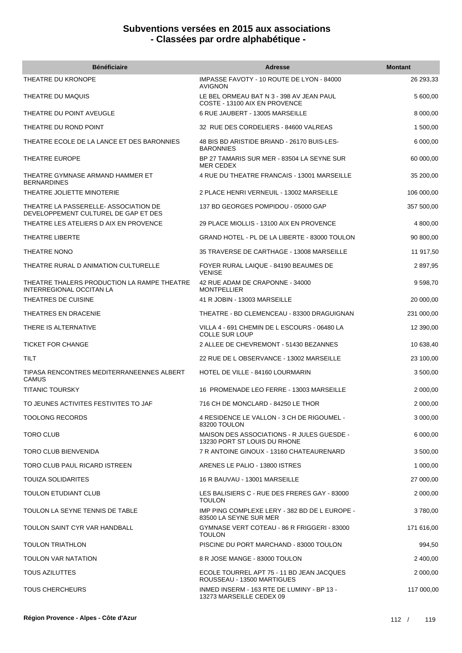| <b>Bénéficiaire</b>                                                          | <b>Adresse</b>                                                             | <b>Montant</b> |
|------------------------------------------------------------------------------|----------------------------------------------------------------------------|----------------|
| THEATRE DU KRONOPE                                                           | IMPASSE FAVOTY - 10 ROUTE DE LYON - 84000<br><b>AVIGNON</b>                | 26 293,33      |
| THEATRE DU MAQUIS                                                            | LE BEL ORMEAU BAT N 3 - 398 AV JEAN PAUL<br>COSTE - 13100 AIX EN PROVENCE  | 5 600,00       |
| THEATRE DU POINT AVEUGLE                                                     | 6 RUE JAUBERT - 13005 MARSEILLE                                            | 8 000,00       |
| THEATRE DU ROND POINT                                                        | 32 RUE DES CORDELIERS - 84600 VALREAS                                      | 1 500,00       |
| THEATRE ECOLE DE LA LANCE ET DES BARONNIES                                   | 48 BIS BD ARISTIDE BRIAND - 26170 BUIS-LES-<br><b>BARONNIES</b>            | 6 000,00       |
| THEATRE EUROPE                                                               | BP 27 TAMARIS SUR MER - 83504 LA SEYNE SUR<br><b>MER CEDEX</b>             | 60 000,00      |
| THEATRE GYMNASE ARMAND HAMMER ET<br><b>BERNARDINES</b>                       | 4 RUE DU THEATRE FRANCAIS - 13001 MARSEILLE                                | 35 200,00      |
| THEATRE JOLIETTE MINOTERIE                                                   | 2 PLACE HENRI VERNEUIL - 13002 MARSEILLE                                   | 106 000,00     |
| THEATRE LA PASSERELLE-ASSOCIATION DE<br>DEVELOPPEMENT CULTUREL DE GAP ET DES | 137 BD GEORGES POMPIDOU - 05000 GAP                                        | 357 500,00     |
| THEATRE LES ATELIERS D AIX EN PROVENCE                                       | 29 PLACE MIOLLIS - 13100 AIX EN PROVENCE                                   | 4 800,00       |
| THEATRE LIBERTE                                                              | GRAND HOTEL - PL DE LA LIBERTE - 83000 TOULON                              | 90 800,00      |
| THEATRE NONO                                                                 | 35 TRAVERSE DE CARTHAGE - 13008 MARSEILLE                                  | 11 917,50      |
| THEATRE RURAL D ANIMATION CULTURELLE                                         | FOYER RURAL LAIQUE - 84190 BEAUMES DE<br><b>VENISE</b>                     | 2897,95        |
| THEATRE THALERS PRODUCTION LA RAMPE THEATRE<br>INTERREGIONAL OCCITAN LA      | 42 RUE ADAM DE CRAPONNE - 34000<br><b>MONTPELLIER</b>                      | 9 598,70       |
| THEATRES DE CUISINE                                                          | 41 R JOBIN - 13003 MARSEILLE                                               | 20 000,00      |
| THEATRES EN DRACENIE                                                         | THEATRE - BD CLEMENCEAU - 83300 DRAGUIGNAN                                 | 231 000,00     |
| THERE IS ALTERNATIVE                                                         | VILLA 4 - 691 CHEMIN DE L ESCOURS - 06480 LA<br><b>COLLE SUR LOUP</b>      | 12 390,00      |
| <b>TICKET FOR CHANGE</b>                                                     | 2 ALLEE DE CHEVREMONT - 51430 BEZANNES                                     | 10 638,40      |
| <b>TILT</b>                                                                  | 22 RUE DE L OBSERVANCE - 13002 MARSEILLE                                   | 23 100,00      |
| TIPASA RENCONTRES MEDITERRANEENNES ALBERT<br>CAMUS                           | HOTEL DE VILLE - 84160 LOURMARIN                                           | 3 500,00       |
| <b>TITANIC TOURSKY</b>                                                       | 16 PROMENADE LEO FERRE - 13003 MARSEILLE                                   | 2 000,00       |
| TO JEUNES ACTIVITES FESTIVITES TO JAF                                        | 716 CH DE MONCLARD - 84250 LE THOR                                         | 2 000,00       |
| <b>TOOLONG RECORDS</b>                                                       | 4 RESIDENCE LE VALLON - 3 CH DE RIGOUMEL -<br>83200 TOULON                 | 3 000,00       |
| TORO CLUB                                                                    | MAISON DES ASSOCIATIONS - R JULES GUESDE -<br>13230 PORT ST LOUIS DU RHONE | 6 000,00       |
| <b>TORO CLUB BIENVENIDA</b>                                                  | 7 R ANTOINE GINOUX - 13160 CHATEAURENARD                                   | 3 500,00       |
| TORO CLUB PAUL RICARD ISTREEN                                                | ARENES LE PALIO - 13800 ISTRES                                             | 1 000,00       |
| <b>TOUIZA SOLIDARITES</b>                                                    | 16 R BAUVAU - 13001 MARSEILLE                                              | 27 000,00      |
| <b>TOULON ETUDIANT CLUB</b>                                                  | LES BALISIERS C - RUE DES FRERES GAY - 83000<br><b>TOULON</b>              | 2 000,00       |
| TOULON LA SEYNE TENNIS DE TABLE                                              | IMP PING COMPLEXE LERY - 382 BD DE L EUROPE -<br>83500 LA SEYNE SUR MER    | 3780,00        |
| TOULON SAINT CYR VAR HANDBALL                                                | GYMNASE VERT COTEAU - 86 R FRIGGERI - 83000<br><b>TOULON</b>               | 171 616,00     |
| <b>TOULON TRIATHLON</b>                                                      | PISCINE DU PORT MARCHAND - 83000 TOULON                                    | 994,50         |
| TOULON VAR NATATION                                                          | 8 R JOSE MANGE - 83000 TOULON                                              | 2 400,00       |
| <b>TOUS AZILUTTES</b>                                                        | ECOLE TOURREL APT 75 - 11 BD JEAN JACQUES<br>ROUSSEAU - 13500 MARTIGUES    | 2 000,00       |
| <b>TOUS CHERCHEURS</b>                                                       | INMED INSERM - 163 RTE DE LUMINY - BP 13 -<br>13273 MARSEILLE CEDEX 09     | 117 000,00     |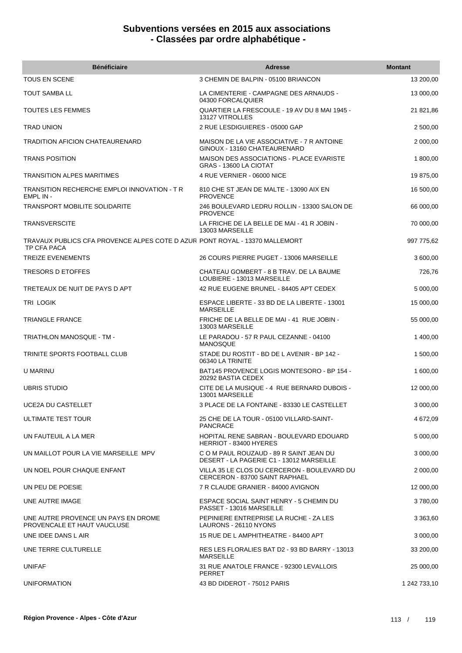| <b>Bénéficiaire</b>                                                                        | <b>Adresse</b>                                                                      | <b>Montant</b> |
|--------------------------------------------------------------------------------------------|-------------------------------------------------------------------------------------|----------------|
| <b>TOUS EN SCENE</b>                                                                       | 3 CHEMIN DE BALPIN - 05100 BRIANCON                                                 | 13 200,00      |
| TOUT SAMBA LL                                                                              | LA CIMENTERIE - CAMPAGNE DES ARNAUDS -<br>04300 FORCALQUIER                         | 13 000,00      |
| TOUTES LES FEMMES                                                                          | QUARTIER LA FRESCOULE - 19 AV DU 8 MAI 1945 -<br>13127 VITROLLES                    | 21 821,86      |
| <b>TRAD UNION</b>                                                                          | 2 RUE LESDIGUIERES - 05000 GAP                                                      | 2 500,00       |
| <b>TRADITION AFICION CHATEAURENARD</b>                                                     | MAISON DE LA VIE ASSOCIATIVE - 7 R ANTOINE<br>GINOUX - 13160 CHATEAURENARD          | 2 000,00       |
| <b>TRANS POSITION</b>                                                                      | MAISON DES ASSOCIATIONS - PLACE EVARISTE<br>GRAS - 13600 LA CIOTAT                  | 1 800,00       |
| TRANSITION ALPES MARITIMES                                                                 | 4 RUE VERNIER - 06000 NICE                                                          | 19 875,00      |
| TRANSITION RECHERCHE EMPLOI INNOVATION - T R<br>EMPL IN -                                  | 810 CHE ST JEAN DE MALTE - 13090 AIX EN<br><b>PROVENCE</b>                          | 16 500,00      |
| TRANSPORT MOBILITE SOLIDARITE                                                              | 246 BOULEVARD LEDRU ROLLIN - 13300 SALON DE<br><b>PROVENCE</b>                      | 66 000,00      |
| TRANSVERSCITE                                                                              | LA FRICHE DE LA BELLE DE MAI - 41 R JOBIN -<br>13003 MARSEILLE                      | 70 000,00      |
| TRAVAUX PUBLICS CFA PROVENCE ALPES COTE D AZUR PONT ROYAL - 13370 MALLEMORT<br>TP CFA PACA |                                                                                     | 997 775,62     |
| <b>TREIZE EVENEMENTS</b>                                                                   | 26 COURS PIERRE PUGET - 13006 MARSEILLE                                             | 3 600,00       |
| TRESORS D ETOFFES                                                                          | CHATEAU GOMBERT - 8 B TRAV. DE LA BAUME<br>LOUBIERE - 13013 MARSEILLE               | 726,76         |
| TRETEAUX DE NUIT DE PAYS D APT                                                             | 42 RUE EUGENE BRUNEL - 84405 APT CEDEX                                              | 5 000,00       |
| TRI LOGIK                                                                                  | ESPACE LIBERTE - 33 BD DE LA LIBERTE - 13001<br>MARSEILLE                           | 15 000,00      |
| TRIANGLE FRANCE                                                                            | FRICHE DE LA BELLE DE MAI - 41 RUE JOBIN -<br>13003 MARSEILLE                       | 55 000,00      |
| TRIATHLON MANOSQUE - TM -                                                                  | LE PARADOU - 57 R PAUL CEZANNE - 04100<br><b>MANOSQUE</b>                           | 1 400,00       |
| TRINITE SPORTS FOOTBALL CLUB                                                               | STADE DU ROSTIT - BD DE L AVENIR - BP 142 -<br>06340 LA TRINITE                     | 1 500,00       |
| U MARINU                                                                                   | BAT145 PROVENCE LOGIS MONTESORO - BP 154 -<br>20292 BASTIA CEDEX                    | 1 600,00       |
| <b>UBRIS STUDIO</b>                                                                        | CITE DE LA MUSIQUE - 4 RUE BERNARD DUBOIS -<br>13001 MARSEILLE                      | 12 000,00      |
| UCE2A DU CASTELLET                                                                         | 3 PLACE DE LA FONTAINE - 83330 LE CASTELLET                                         | 3 000,00       |
| ULTIMATE TEST TOUR                                                                         | 25 CHE DE LA TOUR - 05100 VILLARD-SAINT-<br><b>PANCRACE</b>                         | 4 672,09       |
| UN FAUTEUIL A LA MER                                                                       | HOPITAL RENE SABRAN - BOULEVARD EDOUARD<br>HERRIOT - 83400 HYERES                   | 5 000,00       |
| UN MAILLOT POUR LA VIE MARSEILLE MPV                                                       | C O M PAUL ROUZAUD - 89 R SAINT JEAN DU<br>DESERT - LA PAGERIE C1 - 13012 MARSEILLE | 3 000,00       |
| UN NOEL POUR CHAQUE ENFANT                                                                 | VILLA 35 LE CLOS DU CERCERON - BOULEVARD DU<br>CERCERON - 83700 SAINT RAPHAEL       | 2 000,00       |
| UN PEU DE POESIE                                                                           | 7 R CLAUDE GRANIER - 84000 AVIGNON                                                  | 12 000,00      |
| UNE AUTRE IMAGE                                                                            | ESPACE SOCIAL SAINT HENRY - 5 CHEMIN DU<br>PASSET - 13016 MARSEILLE                 | 3780,00        |
| UNE AUTRE PROVENCE UN PAYS EN DROME<br>PROVENCALE ET HAUT VAUCLUSE                         | PEPINIERE ENTREPRISE LA RUCHE - ZA LES<br>LAURONS - 26110 NYONS                     | 3 363,60       |
| UNE IDEE DANS L AIR                                                                        | 15 RUE DE L AMPHITHEATRE - 84400 APT                                                | 3 000,00       |
| UNE TERRE CULTURELLE                                                                       | RES LES FLORALIES BAT D2 - 93 BD BARRY - 13013<br>MARSEILLE                         | 33 200,00      |
| <b>UNIFAF</b>                                                                              | 31 RUE ANATOLE FRANCE - 92300 LEVALLOIS<br><b>PERRET</b>                            | 25 000,00      |
| <b>UNIFORMATION</b>                                                                        | 43 BD DIDEROT - 75012 PARIS                                                         | 1 242 733,10   |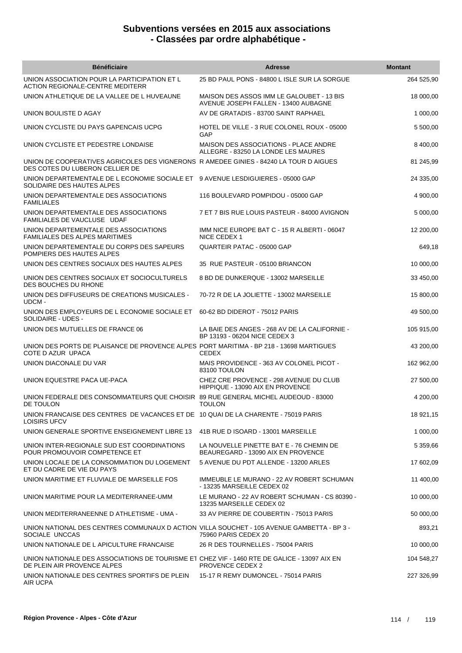| <b>Bénéficiaire</b>                                                                                                         | <b>Adresse</b>                                                                      | <b>Montant</b> |
|-----------------------------------------------------------------------------------------------------------------------------|-------------------------------------------------------------------------------------|----------------|
| UNION ASSOCIATION POUR LA PARTICIPATION ET L<br>ACTION REGIONALE-CENTRE MEDITERR                                            | 25 BD PAUL PONS - 84800 L ISLE SUR LA SORGUE                                        | 264 525,90     |
| UNION ATHLETIQUE DE LA VALLEE DE L HUVEAUNE                                                                                 | MAISON DES ASSOS IMM LE GALOUBET - 13 BIS<br>AVENUE JOSEPH FALLEN - 13400 AUBAGNE   | 18 000,00      |
| UNION BOULISTE D AGAY                                                                                                       | AV DE GRATADIS - 83700 SAINT RAPHAEL                                                | 1 000,00       |
| UNION CYCLISTE DU PAYS GAPENCAIS UCPG                                                                                       | HOTEL DE VILLE - 3 RUE COLONEL ROUX - 05000<br>GAP                                  | 5 500,00       |
| UNION CYCLISTE ET PEDESTRE LONDAISE                                                                                         | <b>MAISON DES ASSOCIATIONS - PLACE ANDRE</b><br>ALLEGRE - 83250 LA LONDE LES MAURES | 8 400,00       |
| UNION DE COOPERATIVES AGRICOLES DES VIGNERONS RAMEDEE GINIES - 84240 LA TOUR D AIGUES<br>DES COTES DU LUBERON CELLIER DE    |                                                                                     | 81 245,99      |
| UNION DEPARTEMENTALE DE L ECONOMIE SOCIALE ET 9 AVENUE LESDIGUIERES - 05000 GAP<br>SOLIDAIRE DES HAUTES ALPES               |                                                                                     | 24 335,00      |
| UNION DEPARTEMENTALE DES ASSOCIATIONS<br><b>FAMILIALES</b>                                                                  | 116 BOULEVARD POMPIDOU - 05000 GAP                                                  | 4 900,00       |
| UNION DEPARTEMENTALE DES ASSOCIATIONS<br>FAMILIALES DE VAUCLUSE UDAF                                                        | 7 ET 7 BIS RUE LOUIS PASTEUR - 84000 AVIGNON                                        | 5 000,00       |
| UNION DEPARTEMENTALE DES ASSOCIATIONS<br><b>FAMILIALES DES ALPES MARITIMES</b>                                              | IMM NICE EUROPE BAT C - 15 R ALBERTI - 06047<br>NICE CEDEX 1                        | 12 200,00      |
| UNION DEPARTEMENTALE DU CORPS DES SAPEURS<br>POMPIERS DES HAUTES ALPES                                                      | QUARTEIR PATAC - 05000 GAP                                                          | 649,18         |
| UNION DES CENTRES SOCIAUX DES HAUTES ALPES                                                                                  | 35 RUE PASTEUR - 05100 BRIANCON                                                     | 10 000,00      |
| UNION DES CENTRES SOCIAUX ET SOCIOCULTURELS<br>DES BOUCHES DU RHONE                                                         | 8 BD DE DUNKERQUE - 13002 MARSEILLE                                                 | 33 450,00      |
| UNION DES DIFFUSEURS DE CREATIONS MUSICALES -<br>UDCM -                                                                     | 70-72 R DE LA JOLIETTE - 13002 MARSEILLE                                            | 15 800,00      |
| UNION DES EMPLOYEURS DE L ECONOMIE SOCIALE ET<br>SOLIDAIRE - UDES -                                                         | 60-62 BD DIDEROT - 75012 PARIS                                                      | 49 500,00      |
| UNION DES MUTUELLES DE FRANCE 06                                                                                            | LA BAIE DES ANGES - 268 AV DE LA CALIFORNIE -<br>BP 13193 - 06204 NICE CEDEX 3      | 105 915,00     |
| UNION DES PORTS DE PLAISANCE DE PROVENCE ALPES PORT MARITIMA - BP 218 - 13698 MARTIGUES<br>COTE D AZUR UPACA                | <b>CEDEX</b>                                                                        | 43 200,00      |
| UNION DIACONALE DU VAR                                                                                                      | MAIS PROVIDENCE - 363 AV COLONEL PICOT -<br>83100 TOULON                            | 162 962,00     |
| UNION EQUESTRE PACA UE-PACA                                                                                                 | CHEZ CRE PROVENCE - 298 AVENUE DU CLUB<br>HIPPIQUE - 13090 AIX EN PROVENCE          | 27 500,00      |
| UNION FEDERALE DES CONSOMMATEURS QUE CHOISIR 89 RUE GENERAL MICHEL AUDEOUD - 83000<br>DE TOULON                             | TOULON                                                                              | 4 200,00       |
| UNION FRANCAISE DES CENTRES DE VACANCES ET DE 10 QUAI DE LA CHARENTE - 75019 PARIS<br><b>LOISIRS UFCV</b>                   |                                                                                     | 18 921,15      |
| UNION GENERALE SPORTIVE ENSEIGNEMENT LIBRE 13                                                                               | 41B RUE D ISOARD - 13001 MARSEILLE                                                  | 1 000,00       |
| UNION INTER-REGIONALE SUD EST COORDINATIONS<br>POUR PROMOUVOIR COMPETENCE ET                                                | LA NOUVELLE PINETTE BAT E - 76 CHEMIN DE<br>BEAUREGARD - 13090 AIX EN PROVENCE      | 5 359,66       |
| UNION LOCALE DE LA CONSOMMATION DU LOGEMENT<br>ET DU CADRE DE VIE DU PAYS                                                   | 5 AVENUE DU PDT ALLENDE - 13200 ARLES                                               | 17 602,09      |
| UNION MARITIME ET FLUVIALE DE MARSEILLE FOS                                                                                 | IMMEUBLE LE MURANO - 22 AV ROBERT SCHUMAN<br>- 13235 MARSEILLE CEDEX 02             | 11 400,00      |
| UNION MARITIME POUR LA MEDITERRANEE-UMM                                                                                     | LE MURANO - 22 AV ROBERT SCHUMAN - CS 80390 -<br>13235 MARSEILLE CEDEX 02           | 10 000,00      |
| UNION MEDITERRANEENNE D ATHLETISME - UMA -                                                                                  | 33 AV PIERRE DE COUBERTIN - 75013 PARIS                                             | 50 000,00      |
| UNION NATIONAL DES CENTRES COMMUNAUX D ACTION VILLA SOUCHET - 105 AVENUE GAMBETTA - BP 3 -<br>SOCIALE UNCCAS                | 75960 PARIS CEDEX 20                                                                | 893,21         |
| UNION NATIONALE DE L APICULTURE FRANCAISE                                                                                   | 26 R DES TOURNELLES - 75004 PARIS                                                   | 10 000,00      |
| UNION NATIONALE DES ASSOCIATIONS DE TOURISME ET CHEZ VIF - 1460 RTE DE GALICE - 13097 AIX EN<br>DE PLEIN AIR PROVENCE ALPES | <b>PROVENCE CEDEX 2</b>                                                             | 104 548,27     |
| UNION NATIONALE DES CENTRES SPORTIFS DE PLEIN<br>AIR UCPA                                                                   | 15-17 R REMY DUMONCEL - 75014 PARIS                                                 | 227 326,99     |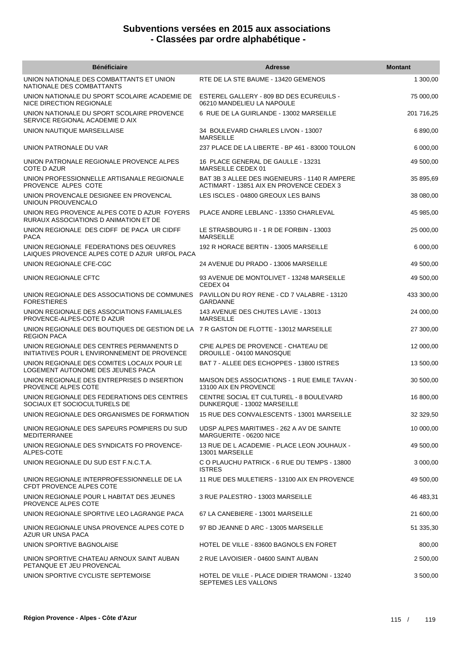| <b>Bénéficiaire</b>                                                                                         | <b>Adresse</b>                                                                            | <b>Montant</b> |
|-------------------------------------------------------------------------------------------------------------|-------------------------------------------------------------------------------------------|----------------|
| UNION NATIONALE DES COMBATTANTS ET UNION<br>NATIONALE DES COMBATTANTS                                       | RTE DE LA STE BAUME - 13420 GEMENOS                                                       | 1 300,00       |
| UNION NATIONALE DU SPORT SCOLAIRE ACADEMIE DE<br>NICE DIRECTION REGIONALE                                   | ESTEREL GALLERY - 809 BD DES ECUREUILS -<br>06210 MANDELIEU LA NAPOULE                    | 75 000,00      |
| UNION NATIONALE DU SPORT SCOLAIRE PROVENCE<br>SERVICE REGIONAL ACADEMIE D AIX                               | 6 RUE DE LA GUIRLANDE - 13002 MARSEILLE                                                   | 201 716,25     |
| UNION NAUTIQUE MARSEILLAISE                                                                                 | 34 BOULEVARD CHARLES LIVON - 13007<br><b>MARSEILLE</b>                                    | 6 890,00       |
| UNION PATRONALE DU VAR                                                                                      | 237 PLACE DE LA LIBERTE - BP 461 - 83000 TOULON                                           | 6 000,00       |
| UNION PATRONALE REGIONALE PROVENCE ALPES<br>COTE D AZUR                                                     | 16 PLACE GENERAL DE GAULLE - 13231<br>MARSEILLE CEDEX 01                                  | 49 500,00      |
| UNION PROFESSIONNELLE ARTISANALE REGIONALE<br>PROVENCE ALPES COTE                                           | BAT 3B 3 ALLEE DES INGENIEURS - 1140 R AMPERE<br>ACTIMART - 13851 AIX EN PROVENCE CEDEX 3 | 35 895,69      |
| UNION PROVENCALE DESIGNEE EN PROVENCAL<br>UNIOUN PROUVENCALO                                                | LES ISCLES - 04800 GREOUX LES BAINS                                                       | 38 080,00      |
| UNION REG PROVENCE ALPES COTE D AZUR FOYERS<br>RURAUX ASSOCIATIONS D ANIMATION ET DE                        | PLACE ANDRE LEBLANC - 13350 CHARLEVAL                                                     | 45 985,00      |
| UNION REGIONALE DES CIDFF DE PACA UR CIDFF<br><b>PACA</b>                                                   | LE STRASBOURG II - 1 R DE FORBIN - 13003<br><b>MARSEILLE</b>                              | 25 000,00      |
| UNION REGIONALE FEDERATIONS DES OEUVRES<br>LAIQUES PROVENCE ALPES COTE D AZUR URFOL PACA                    | 192 R HORACE BERTIN - 13005 MARSEILLE                                                     | 6 000,00       |
| UNION REGIONALE CFE-CGC                                                                                     | 24 AVENUE DU PRADO - 13006 MARSEILLE                                                      | 49 500,00      |
| UNION REGIONALE CFTC                                                                                        | 93 AVENUE DE MONTOLIVET - 13248 MARSEILLE<br>CEDEX 04                                     | 49 500,00      |
| UNION REGIONALE DES ASSOCIATIONS DE COMMUNES<br><b>FORESTIERES</b>                                          | PAVILLON DU ROY RENE - CD 7 VALABRE - 13120<br>GARDANNE                                   | 433 300,00     |
| UNION REGIONALE DES ASSOCIATIONS FAMILIALES<br>PROVENCE-ALPES-COTE D AZUR                                   | 143 AVENUE DES CHUTES LAVIE - 13013<br><b>MARSEILLE</b>                                   | 24 000,00      |
| UNION REGIONALE DES BOUTIQUES DE GESTION DE LA 7 R GASTON DE FLOTTE - 13012 MARSEILLE<br><b>REGION PACA</b> |                                                                                           | 27 300,00      |
| UNION REGIONALE DES CENTRES PERMANENTS D<br>INITIATIVES POUR L ENVIRONNEMENT DE PROVENCE                    | CPIE ALPES DE PROVENCE - CHATEAU DE<br>DROUILLE - 04100 MANOSQUE                          | 12 000,00      |
| UNION REGIONALE DES COMITES LOCAUX POUR LE<br>LOGEMENT AUTONOME DES JEUNES PACA                             | BAT 7 - ALLEE DES ECHOPPES - 13800 ISTRES                                                 | 13 500,00      |
| UNION REGIONALE DES ENTREPRISES D INSERTION<br>PROVENCE ALPES COTE                                          | MAISON DES ASSOCIATIONS - 1 RUE EMILE TAVAN<br>13100 AIX EN PROVENCE                      | 30 500,00      |
| UNION REGIONALE DES FEDERATIONS DES CENTRES<br>SOCIAUX ET SOCIOCULTURELS DE                                 | CENTRE SOCIAL ET CULTUREL - 8 BOULEVARD<br>DUNKERQUE - 13002 MARSEILLE                    | 16 800,00      |
| UNION REGIONALE DES ORGANISMES DE FORMATION                                                                 | 15 RUE DES CONVALESCENTS - 13001 MARSEILLE                                                | 32 329,50      |
| UNION REGIONALE DES SAPEURS POMPIERS DU SUD<br><b>MEDITERRANEE</b>                                          | UDSP ALPES MARITIMES - 262 A AV DE SAINTE<br>MARGUERITE - 06200 NICE                      | 10 000,00      |
| UNION REGIONALE DES SYNDICATS FO PROVENCE-<br>ALPES-COTE                                                    | 13 RUE DE L ACADEMIE - PLACE LEON JOUHAUX -<br>13001 MARSEILLE                            | 49 500,00      |
| UNION REGIONALE DU SUD EST F.N.C.T.A.                                                                       | C O PLAUCHU PATRICK - 6 RUE DU TEMPS - 13800<br><b>ISTRES</b>                             | 3 000,00       |
| UNION REGIONALE INTERPROFESSIONNELLE DE LA<br>CFDT PROVENCE ALPES COTE                                      | 11 RUE DES MULETIERS - 13100 AIX EN PROVENCE                                              | 49 500,00      |
| UNION REGIONALE POUR L HABITAT DES JEUNES<br>PROVENCE ALPES COTE                                            | 3 RUE PALESTRO - 13003 MARSEILLE                                                          | 46 483,31      |
| UNION REGIONALE SPORTIVE LEO LAGRANGE PACA                                                                  | 67 LA CANEBIERE - 13001 MARSEILLE                                                         | 21 600,00      |
| UNION REGIONALE UNSA PROVENCE ALPES COTE D<br>AZUR UR UNSA PACA                                             | 97 BD JEANNE D ARC - 13005 MARSEILLE                                                      | 51 335,30      |
| UNION SPORTIVE BAGNOLAISE                                                                                   | HOTEL DE VILLE - 83600 BAGNOLS EN FORET                                                   | 800,00         |
| UNION SPORTIVE CHATEAU ARNOUX SAINT AUBAN<br>PETANQUE ET JEU PROVENCAL                                      | 2 RUE LAVOISIER - 04600 SAINT AUBAN                                                       | 2 500,00       |
| UNION SPORTIVE CYCLISTE SEPTEMOISE                                                                          | HOTEL DE VILLE - PLACE DIDIER TRAMONI - 13240<br>SEPTEMES LES VALLONS                     | 3 500,00       |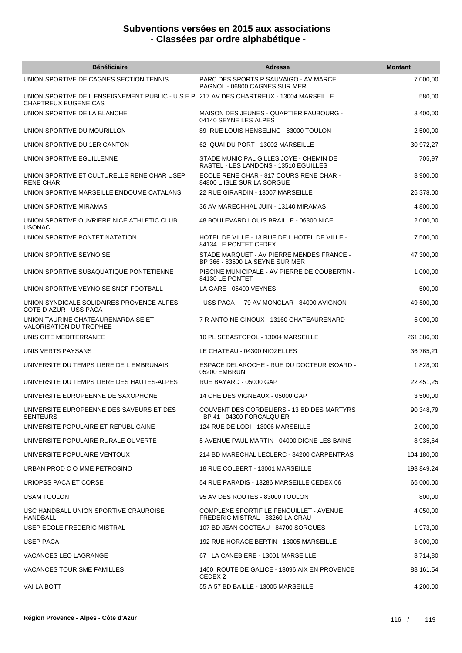| <b>Bénéficiaire</b>                                                                                              | <b>Adresse</b>                                                                   | <b>Montant</b> |
|------------------------------------------------------------------------------------------------------------------|----------------------------------------------------------------------------------|----------------|
| UNION SPORTIVE DE CAGNES SECTION TENNIS                                                                          | PARC DES SPORTS P SAUVAIGO - AV MARCEL<br>PAGNOL - 06800 CAGNES SUR MER          | 7 000,00       |
| UNION SPORTIVE DE L ENSEIGNEMENT PUBLIC - U.S.E.P 217 AV DES CHARTREUX - 13004 MARSEILLE<br>CHARTREUX EUGENE CAS |                                                                                  | 580,00         |
| UNION SPORTIVE DE LA BLANCHE                                                                                     | MAISON DES JEUNES - QUARTIER FAUBOURG -<br>04140 SEYNE LES ALPES                 | 3 400.00       |
| UNION SPORTIVE DU MOURILLON                                                                                      | 89 RUE LOUIS HENSELING - 83000 TOULON                                            | 2 500,00       |
| UNION SPORTIVE DU 1ER CANTON                                                                                     | 62 QUAI DU PORT - 13002 MARSEILLE                                                | 30 972,27      |
| UNION SPORTIVE EGUILLENNE                                                                                        | STADE MUNICIPAL GILLES JOYE - CHEMIN DE<br>RASTEL - LES LANDONS - 13510 EGUILLES | 705,97         |
| UNION SPORTIVE ET CULTURELLE RENE CHAR USEP<br><b>RENE CHAR</b>                                                  | ECOLE RENE CHAR - 817 COURS RENE CHAR -<br>84800 L ISLE SUR LA SORGUE            | 3 900,00       |
| UNION SPORTIVE MARSEILLE ENDOUME CATALANS                                                                        | 22 RUE GIRARDIN - 13007 MARSEILLE                                                | 26 378,00      |
| UNION SPORTIVE MIRAMAS                                                                                           | 36 AV MARECHHAL JUIN - 13140 MIRAMAS                                             | 4 800,00       |
| UNION SPORTIVE OUVRIERE NICE ATHLETIC CLUB<br><b>USONAC</b>                                                      | 48 BOULEVARD LOUIS BRAILLE - 06300 NICE                                          | 2 000,00       |
| UNION SPORTIVE PONTET NATATION                                                                                   | HOTEL DE VILLE - 13 RUE DE L HOTEL DE VILLE -<br>84134 LE PONTET CEDEX           | 7 500,00       |
| UNION SPORTIVE SEYNOISE                                                                                          | STADE MARQUET - AV PIERRE MENDES FRANCE -<br>BP 366 - 83500 LA SEYNE SUR MER     | 47 300,00      |
| UNION SPORTIVE SUBAQUATIQUE PONTETIENNE                                                                          | PISCINE MUNICIPALE - AV PIERRE DE COUBERTIN -<br>84130 LE PONTET                 | 1 000,00       |
| UNION SPORTIVE VEYNOISE SNCF FOOTBALL                                                                            | LA GARE - 05400 VEYNES                                                           | 500,00         |
| UNION SYNDICALE SOLIDAIRES PROVENCE-ALPES-<br>COTE D AZUR - USS PACA -                                           | - USS PACA - - 79 AV MONCLAR - 84000 AVIGNON                                     | 49 500,00      |
| UNION TAURINE CHATEAURENARDAISE ET<br><b>VALORISATION DU TROPHEE</b>                                             | 7 R ANTOINE GINOUX - 13160 CHATEAURENARD                                         | 5 000,00       |
| UNIS CITE MEDITERRANEE                                                                                           | 10 PL SEBASTOPOL - 13004 MARSEILLE                                               | 261 386,00     |
| UNIS VERTS PAYSANS                                                                                               | LE CHATEAU - 04300 NIOZELLES                                                     | 36 765,21      |
| UNIVERSITE DU TEMPS LIBRE DE L EMBRUNAIS                                                                         | ESPACE DELAROCHE - RUE DU DOCTEUR ISOARD -<br>05200 EMBRUN                       | 1 828,00       |
| UNIVERSITE DU TEMPS LIBRE DES HAUTES-ALPES                                                                       | RUE BAYARD - 05000 GAP                                                           | 22 451,25      |
| UNIVERSITE EUROPEENNE DE SAXOPHONE                                                                               | 14 CHE DES VIGNEAUX - 05000 GAP                                                  | 3 500,00       |
| UNIVERSITE EUROPEENNE DES SAVEURS ET DES<br><b>SENTEURS</b>                                                      | COUVENT DES CORDELIERS - 13 BD DES MARTYRS<br>- BP 41 - 04300 FORCALQUIER        | 90 348,79      |
| UNIVERSITE POPULAIRE ET REPUBLICAINE                                                                             | 124 RUE DE LODI - 13006 MARSEILLE                                                | 2 000,00       |
| UNIVERSITE POPULAIRE RURALE OUVERTE                                                                              | 5 AVENUE PAUL MARTIN - 04000 DIGNE LES BAINS                                     | 8 935,64       |
| UNIVERSITE POPULAIRE VENTOUX                                                                                     | 214 BD MARECHAL LECLERC - 84200 CARPENTRAS                                       | 104 180,00     |
| URBAN PROD C O MME PETROSINO                                                                                     | 18 RUE COLBERT - 13001 MARSEILLE                                                 | 193 849,24     |
| URIOPSS PACA ET CORSE                                                                                            | 54 RUE PARADIS - 13286 MARSEILLE CEDEX 06                                        | 66 000,00      |
| USAM TOULON                                                                                                      | 95 AV DES ROUTES - 83000 TOULON                                                  | 800,00         |
| USC HANDBALL UNION SPORTIVE CRAUROISE<br><b>HANDBALL</b>                                                         | COMPLEXE SPORTIF LE FENOUILLET - AVENUE<br>FREDERIC MISTRAL - 83260 LA CRAU      | 4 050,00       |
| USEP ECOLE FREDERIC MISTRAL                                                                                      | 107 BD JEAN COCTEAU - 84700 SORGUES                                              | 1 973,00       |
| USEP PACA                                                                                                        | 192 RUE HORACE BERTIN - 13005 MARSEILLE                                          | 3 000,00       |
| VACANCES LEO LAGRANGE                                                                                            | 67 LA CANEBIERE - 13001 MARSEILLE                                                | 3 714,80       |
| VACANCES TOURISME FAMILLES                                                                                       | 1460 ROUTE DE GALICE - 13096 AIX EN PROVENCE<br>CEDEX 2                          | 83 161,54      |
| VAI LA BOTT                                                                                                      | 55 A 57 BD BAILLE - 13005 MARSEILLE                                              | 4 200,00       |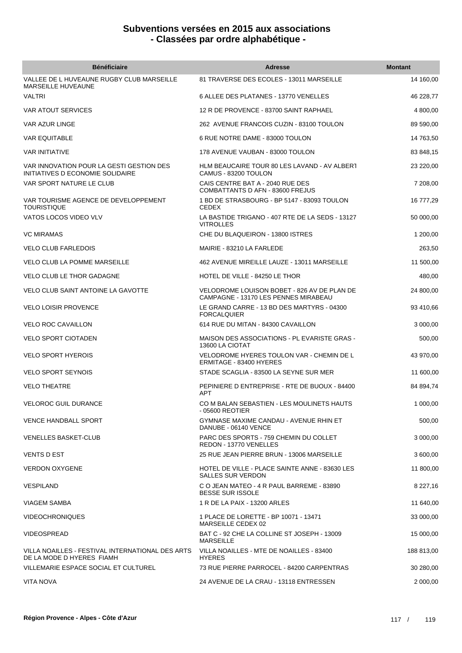| <b>Bénéficiaire</b>                                                           | <b>Adresse</b>                                                                      | <b>Montant</b> |
|-------------------------------------------------------------------------------|-------------------------------------------------------------------------------------|----------------|
| VALLEE DE L HUVEAUNE RUGBY CLUB MARSEILLE<br>MARSEILLE HUVEAUNE               | 81 TRAVERSE DES ECOLES - 13011 MARSEILLE                                            | 14 160,00      |
| <b>VALTRI</b>                                                                 | 6 ALLEE DES PLATANES - 13770 VENELLES                                               | 46 228,77      |
| <b>VAR ATOUT SERVICES</b>                                                     | 12 R DE PROVENCE - 83700 SAINT RAPHAEL                                              | 4 800,00       |
| <b>VAR AZUR LINGE</b>                                                         | 262 AVENUE FRANCOIS CUZIN - 83100 TOULON                                            | 89 590,00      |
| <b>VAR EQUITABLE</b>                                                          | 6 RUE NOTRE DAME - 83000 TOULON                                                     | 14 763,50      |
| <b>VAR INITIATIVE</b>                                                         | 178 AVENUE VAUBAN - 83000 TOULON                                                    | 83 848,15      |
| VAR INNOVATION POUR LA GESTI GESTION DES<br>INITIATIVES D ECONOMIE SOLIDAIRE  | HLM BEAUCAIRE TOUR 80 LES LAVAND - AV ALBERT<br>CAMUS - 83200 TOULON                | 23 220,00      |
| VAR SPORT NATURE LE CLUB                                                      | CAIS CENTRE BAT A - 2040 RUE DES<br>COMBATTANTS D AFN - 83600 FREJUS                | 7 208,00       |
| VAR TOURISME AGENCE DE DEVELOPPEMENT<br><b>TOURISTIQUE</b>                    | 1 BD DE STRASBOURG - BP 5147 - 83093 TOULON<br><b>CEDEX</b>                         | 16 777,29      |
| VATOS LOCOS VIDEO VLV                                                         | LA BASTIDE TRIGANO - 407 RTE DE LA SEDS - 13127<br><b>VITROLLES</b>                 | 50 000,00      |
| <b>VC MIRAMAS</b>                                                             | CHE DU BLAQUEIRON - 13800 ISTRES                                                    | 1 200,00       |
| <b>VELO CLUB FARLEDOIS</b>                                                    | MAIRIE - 83210 LA FARLEDE                                                           | 263,50         |
| <b>VELO CLUB LA POMME MARSEILLE</b>                                           | 462 AVENUE MIREILLE LAUZE - 13011 MARSEILLE                                         | 11 500,00      |
| <b>VELO CLUB LE THOR GADAGNE</b>                                              | HOTEL DE VILLE - 84250 LE THOR                                                      | 480,00         |
| <b>VELO CLUB SAINT ANTOINE LA GAVOTTE</b>                                     | VELODROME LOUISON BOBET - 826 AV DE PLAN DE<br>CAMPAGNE - 13170 LES PENNES MIRABEAU | 24 800,00      |
| <b>VELO LOISIR PROVENCE</b>                                                   | LE GRAND CARRE - 13 BD DES MARTYRS - 04300<br><b>FORCALQUIER</b>                    | 93 410,66      |
| <b>VELO ROC CAVAILLON</b>                                                     | 614 RUE DU MITAN - 84300 CAVAILLON                                                  | 3 000,00       |
| <b>VELO SPORT CIOTADEN</b>                                                    | <b>MAISON DES ASSOCIATIONS - PL EVARISTE GRAS -</b><br>13600 LA CIOTAT              | 500,00         |
| <b>VELO SPORT HYEROIS</b>                                                     | VELODROME HYERES TOULON VAR - CHEMIN DE L<br>ERMITAGE - 83400 HYERES                | 43 970,00      |
| <b>VELO SPORT SEYNOIS</b>                                                     | STADE SCAGLIA - 83500 LA SEYNE SUR MER                                              | 11 600,00      |
| <b>VELO THEATRE</b>                                                           | PEPINIERE D ENTREPRISE - RTE DE BUOUX - 84400<br><b>APT</b>                         | 84 894,74      |
| <b>VELOROC GUIL DURANCE</b>                                                   | CO M BALAN SEBASTIEN - LES MOULINETS HAUTS<br>- 05600 REOTIER                       | 1 000,00       |
| <b>VENCE HANDBALL SPORT</b>                                                   | GYMNASE MAXIME CANDAU - AVENUE RHIN ET<br>DANUBE - 06140 VENCE                      | 500.00         |
| <b>VENELLES BASKET-CLUB</b>                                                   | PARC DES SPORTS - 759 CHEMIN DU COLLET<br>REDON - 13770 VENELLES                    | 3 000,00       |
| VENTS D EST                                                                   | 25 RUE JEAN PIERRE BRUN - 13006 MARSEILLE                                           | 3 600,00       |
| <b>VERDON OXYGENE</b>                                                         | HOTEL DE VILLE - PLACE SAINTE ANNE - 83630 LES<br><b>SALLES SUR VERDON</b>          | 11 800,00      |
| <b>VESPILAND</b>                                                              | C O JEAN MATEO - 4 R PAUL BARREME - 83890<br><b>BESSE SUR ISSOLE</b>                | 8 2 2 7, 16    |
| VIAGEM SAMBA                                                                  | 1 R DE LA PAIX - 13200 ARLES                                                        | 11 640,00      |
| <b>VIDEOCHRONIQUES</b>                                                        | 1 PLACE DE LORETTE - BP 10071 - 13471<br>MARSEILLE CEDEX 02                         | 33 000,00      |
| <b>VIDEOSPREAD</b>                                                            | BAT C - 92 CHE LA COLLINE ST JOSEPH - 13009<br><b>MARSEILLE</b>                     | 15 000,00      |
| VILLA NOAILLES - FESTIVAL INTERNATIONAL DES ARTS<br>DE LA MODE D HYERES FIAMH | VILLA NOAILLES - MTE DE NOAILLES - 83400<br><b>HYERES</b>                           | 188 813,00     |
| VILLEMARIE ESPACE SOCIAL ET CULTUREL                                          | 73 RUE PIERRE PARROCEL - 84200 CARPENTRAS                                           | 30 280,00      |
| VITA NOVA                                                                     | 24 AVENUE DE LA CRAU - 13118 ENTRESSEN                                              | 2 000,00       |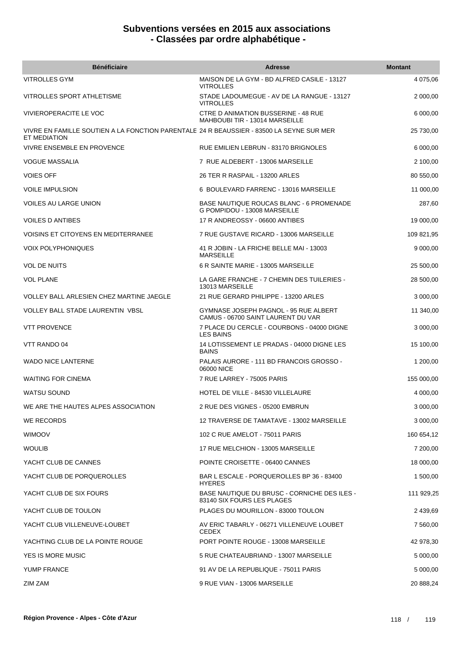| <b>Bénéficiaire</b>                                                                                      | <b>Adresse</b>                                                                  | <b>Montant</b> |
|----------------------------------------------------------------------------------------------------------|---------------------------------------------------------------------------------|----------------|
| <b>VITROLLES GYM</b>                                                                                     | MAISON DE LA GYM - BD ALFRED CASILE - 13127<br><b>VITROLLES</b>                 | 4 075,06       |
| <b>VITROLLES SPORT ATHLETISME</b>                                                                        | STADE LADOUMEGUE - AV DE LA RANGUE - 13127<br><b>VITROLLES</b>                  | 2 000,00       |
| <b>VIVIEROPERACITE LE VOC</b>                                                                            | CTRE D ANIMATION BUSSERINE - 48 RUE<br>MAHBOUBI TIR - 13014 MARSEILLE           | 6 000,00       |
| VIVRE EN FAMILLE SOUTIEN A LA FONCTION PARENTALE 24 R BEAUSSIER - 83500 LA SEYNE SUR MER<br>ET MEDIATION |                                                                                 | 25 730,00      |
| VIVRE ENSEMBLE EN PROVENCE                                                                               | RUE EMILIEN LEBRUN - 83170 BRIGNOLES                                            | 6 000,00       |
| <b>VOGUE MASSALIA</b>                                                                                    | 7 RUE ALDEBERT - 13006 MARSEILLE                                                | 2 100,00       |
| <b>VOIES OFF</b>                                                                                         | 26 TER R RASPAIL - 13200 ARLES                                                  | 80 550,00      |
| <b>VOILE IMPULSION</b>                                                                                   | 6 BOULEVARD FARRENC - 13016 MARSEILLE                                           | 11 000,00      |
| <b>VOILES AU LARGE UNION</b>                                                                             | <b>BASE NAUTIQUE ROUCAS BLANC - 6 PROMENADE</b><br>G POMPIDOU - 13008 MARSEILLE | 287,60         |
| <b>VOILES D ANTIBES</b>                                                                                  | 17 R ANDREOSSY - 06600 ANTIBES                                                  | 19 000,00      |
| VOISINS ET CITOYENS EN MEDITERRANEE                                                                      | 7 RUE GUSTAVE RICARD - 13006 MARSEILLE                                          | 109 821,95     |
| <b>VOIX POLYPHONIQUES</b>                                                                                | 41 R JOBIN - LA FRICHE BELLE MAI - 13003<br><b>MARSEILLE</b>                    | 9 000,00       |
| <b>VOL DE NUITS</b>                                                                                      | 6 R SAINTE MARIE - 13005 MARSEILLE                                              | 25 500,00      |
| <b>VOL PLANE</b>                                                                                         | LA GARE FRANCHE - 7 CHEMIN DES TUILERIES -<br>13013 MARSEILLE                   | 28 500,00      |
| VOLLEY BALL ARLESIEN CHEZ MARTINE JAEGLE                                                                 | 21 RUE GERARD PHILIPPE - 13200 ARLES                                            | 3 000,00       |
| <b>VOLLEY BALL STADE LAURENTIN VBSL</b>                                                                  | GYMNASE JOSEPH PAGNOL - 95 RUE ALBERT<br>CAMUS - 06700 SAINT LAURENT DU VAR     | 11 340,00      |
| <b>VTT PROVENCE</b>                                                                                      | 7 PLACE DU CERCLE - COURBONS - 04000 DIGNE<br><b>LES BAINS</b>                  | 3 000,00       |
| VTT RANDO 04                                                                                             | 14 LOTISSEMENT LE PRADAS - 04000 DIGNE LES<br><b>BAINS</b>                      | 15 100,00      |
| <b>WADO NICE LANTERNE</b>                                                                                | PALAIS AURORE - 111 BD FRANCOIS GROSSO -<br>06000 NICE                          | 1 200,00       |
| <b>WAITING FOR CINEMA</b>                                                                                | 7 RUE LARREY - 75005 PARIS                                                      | 155 000,00     |
| WATSU SOUND                                                                                              | HOTEL DE VILLE - 84530 VILLELAURE                                               | 4 000,00       |
| WE ARE THE HAUTES ALPES ASSOCIATION                                                                      | 2 RUE DES VIGNES - 05200 EMBRUN                                                 | 3 000,00       |
| WE RECORDS                                                                                               | 12 TRAVERSE DE TAMATAVE - 13002 MARSEILLE                                       | 3 000,00       |
| <b>WIMOOV</b>                                                                                            | 102 C RUE AMELOT - 75011 PARIS                                                  | 160 654,12     |
| <b>WOULIB</b>                                                                                            | 17 RUE MELCHION - 13005 MARSEILLE                                               | 7 200,00       |
| YACHT CLUB DE CANNES                                                                                     | POINTE CROISETTE - 06400 CANNES                                                 | 18 000,00      |
| YACHT CLUB DE PORQUEROLLES                                                                               | BAR L ESCALE - PORQUEROLLES BP 36 - 83400<br><b>HYERES</b>                      | 1 500,00       |
| YACHT CLUB DE SIX FOURS                                                                                  | BASE NAUTIQUE DU BRUSC - CORNICHE DES ILES -<br>83140 SIX FOURS LES PLAGES      | 111 929,25     |
| YACHT CLUB DE TOULON                                                                                     | PLAGES DU MOURILLON - 83000 TOULON                                              | 2 439,69       |
| YACHT CLUB VILLENEUVE-LOUBET                                                                             | AV ERIC TABARLY - 06271 VILLENEUVE LOUBET<br><b>CEDEX</b>                       | 7 560,00       |
| YACHTING CLUB DE LA POINTE ROUGE                                                                         | PORT POINTE ROUGE - 13008 MARSEILLE                                             | 42 978,30      |
| YES IS MORE MUSIC                                                                                        | 5 RUE CHATEAUBRIAND - 13007 MARSEILLE                                           | 5 000,00       |
| YUMP FRANCE                                                                                              | 91 AV DE LA REPUBLIQUE - 75011 PARIS                                            | 5 000,00       |
| ZIM ZAM                                                                                                  | 9 RUE VIAN - 13006 MARSEILLE                                                    | 20 888,24      |